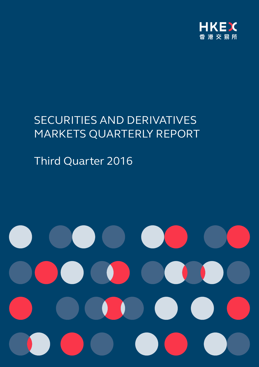

# SECURITIES AND DERIVATIVES MARKETS QUARTERLY REPORT

Third Quarter 2016

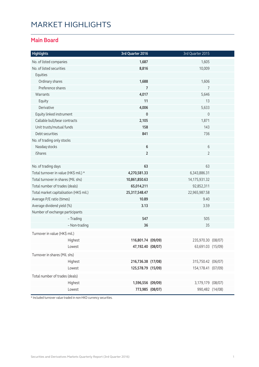# MARKET HIGHLIGHTS

#### **Main Board**

| <b>Highlights</b>                       | 3rd Quarter 2016   | 3rd Quarter 2015    |  |
|-----------------------------------------|--------------------|---------------------|--|
| No. of listed companies                 | 1,687              | 1,605               |  |
| No. of listed securities                | 8,816              | 10,009              |  |
| Equities                                |                    |                     |  |
| Ordinary shares                         | 1,688              | 1,606               |  |
| Preference shares                       | $\overline{7}$     | $\overline{7}$      |  |
| Warrants                                | 4,017              | 5,646               |  |
| Equity                                  | 11                 | 13                  |  |
| Derivative                              | 4,006              | 5,633               |  |
| Equity linked instrument                | $\mathbf 0$        | $\mathsf{O}\xspace$ |  |
| Callable bull/bear contracts            | 2,105              | 1,871               |  |
| Unit trusts/mutual funds                | 158                | 143                 |  |
| Debt securities                         | 841                | 736                 |  |
| No. of trading only stocks              |                    |                     |  |
| Nasdaq stocks                           | 6                  | 6                   |  |
| <b>iShares</b>                          | $\overline{2}$     | $\overline{2}$      |  |
|                                         |                    |                     |  |
| No. of trading days                     | 63                 | 63                  |  |
| Total turnover in value (HK\$ mil.) *   | 4,270,581.33       | 6,343,886.31        |  |
| Total turnover in shares (Mil. shs)     | 10,861,850.63      | 14,175,931.32       |  |
| Total number of trades (deals)          | 65,014,211         | 92,852,311          |  |
| Total market capitalisation (HK\$ mil.) | 25,317,548.47      | 22,965,987.58       |  |
| Average P/E ratio (times)               | 10.89              | 9.40                |  |
| Average dividend yield (%)              | 3.13               | 3.59                |  |
| Number of exchange participants         |                    |                     |  |
| - Trading                               | 547                | 505                 |  |
| - Non-trading                           | 36                 | 35                  |  |
| Turnover in value (HK\$ mil.)           |                    |                     |  |
| Highest                                 | 116,801.74 (09/09) | 235,970.30 (08/07)  |  |
| Lowest                                  | 47,192.40 (08/07)  | 63,691.03 (15/09)   |  |
| Turnover in shares (Mil. shs)           |                    |                     |  |
| Highest                                 | 216,736.38 (17/08) | 315,750.42 (06/07)  |  |
| Lowest                                  | 125,578.79 (15/09) | 154,178.41 (07/09)  |  |
| Total number of trades (deals)          |                    |                     |  |
| Highest                                 | 1,596,556 (09/09)  | 3,179,179 (08/07)   |  |
| Lowest                                  | 773,985 (08/07)    | 990,482 (14/08)     |  |

\* Included turnover value traded in non-HKD currency securities.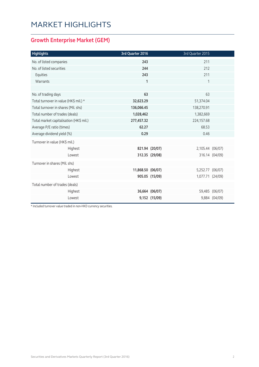# MARKET HIGHLIGHTS

### **Growth Enterprise Market (GEM)**

| <b>Highlights</b>                       | 3rd Quarter 2016  |                | 3rd Quarter 2015 |                |
|-----------------------------------------|-------------------|----------------|------------------|----------------|
| No. of listed companies                 | 243               |                | 211              |                |
| No. of listed securities                | 244               |                | 212              |                |
| Equities                                | 243               |                | 211              |                |
| Warrants                                | 1                 |                | 1                |                |
|                                         |                   |                |                  |                |
| No. of trading days                     | 63                |                | 63               |                |
| Total turnover in value (HK\$ mil.) *   | 32,623.29         |                | 51,374.04        |                |
| Total turnover in shares (Mil. shs)     | 136,066.45        |                | 138,270.91       |                |
| Total number of trades (deals)          | 1,028,462         | 1,382,669      |                  |                |
| Total market capitalisation (HK\$ mil.) | 277,457.32        | 224,157.68     |                  |                |
| Average P/E ratio (times)               | 62.27             | 68.53          |                  |                |
| Average dividend yield (%)              | 0.29              | 0.46           |                  |                |
| Turnover in value (HK\$ mil.)           |                   |                |                  |                |
| Highest                                 |                   | 821.94 (20/07) | 2,105.44 (06/07) |                |
| Lowest                                  |                   | 312.35 (29/08) |                  | 316.14 (04/09) |
| Turnover in shares (Mil. shs)           |                   |                |                  |                |
| Highest                                 | 11,868.50 (06/07) |                | 5,252.77 (06/07) |                |
| Lowest                                  |                   | 905.05 (15/09) | 1,077.71 (24/09) |                |
| Total number of trades (deals)          |                   |                |                  |                |
| Highest                                 |                   | 36,664 (06/07) |                  | 59,485 (06/07) |
| Lowest                                  |                   | 9,152 (15/09)  |                  | 9,884 (04/09)  |

\* Included turnover value traded in non-HKD currency securities.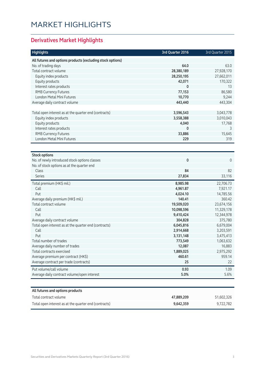# MARKET HIGHLIGHTS

### **Derivatives Market Highlights**

| <b>Highlights</b>                                          | 3rd Quarter 2016 | 3rd Quarter 2015 |
|------------------------------------------------------------|------------------|------------------|
| All futures and options products (excluding stock options) |                  |                  |
| No. of trading days                                        | 64.0             | 63.0             |
| Total contract volume                                      | 28,380,189       | 27,928,170       |
| Equity index products                                      | 28,250,195       | 27,662,011       |
| Equity products                                            | 42,071           | 170,322          |
| Interest rates products                                    | 0                | 13               |
| <b>RMB Currency Futures</b>                                | 77,153           | 86,580           |
| London Metal Mini Futures                                  | 10,770           | 9,244            |
| Average daily contract volume                              | 443,440          | 443,304          |
|                                                            |                  |                  |
| Total open interest as at the quarter end (contracts)      | 3,596,543        | 3,043,778        |
| Equity index products                                      | 3,558,388        | 3,010,043        |
| Equity products                                            | 4,040            | 17,768           |
| Interest rates products                                    | 0                | 3                |
| <b>RMB Currency Futures</b>                                | 33,886           | 15,645           |
| London Metal Mini Futures                                  | 229              | 319              |
|                                                            |                  |                  |
| <b>Stock options</b>                                       |                  |                  |
| No. of newly introduced stock options classes              | 0                | $\mathbf 0$      |
| No. of stock options as at the quarter end                 |                  |                  |
| Class                                                      | 84               | 82               |
| <b>Series</b>                                              | 27,834           | 33,116           |
| Total premium (HK\$ mil.)                                  | 8,985.98         | 22,706.73        |
| Call                                                       | 4,961.87         | 7,921.17         |
| Put                                                        | 4,024.10         | 14,785.56        |
| Average daily premium (HK\$ mil.)                          | 140.41           | 360.42           |
| Total contract volume                                      | 19,509,020       | 23,674,156       |
| Call                                                       | 10,098,596       | 11,329,178       |
| Put                                                        | 9,410,424        | 12,344,978       |
| Average daily contract volume                              | 304,828          | 375,780          |
| Total open interest as at the quarter end (contracts)      | 6,045,816        | 6,679,004        |
| Call                                                       | 2,914,668        | 3,203,591        |
| Put                                                        | 3,131,148        | 3,475,413        |
| Total number of trades                                     | 773,549          | 1,063,632        |
| Average daily number of trades                             | 12,087           | 16,883           |
| Total contracts exercised                                  | 1,889,025        | 2,975,292        |
| Average premium per contract (HK\$)                        | 460.61           | 959.14           |
| Average contract per trade (contracts)                     | 25               | 22               |
| Put volume/call volume                                     | 0.93             | 1.09             |
| Average daily contract volume/open interest                | 5.0%             | 5.6%             |
|                                                            |                  |                  |
| All futures and options products                           |                  |                  |
| Total contract volume                                      | 47,889,209       | 51,602,326       |
| Total open interest as at the quarter end (contracts)      | 9,642,359        | 9,722,782        |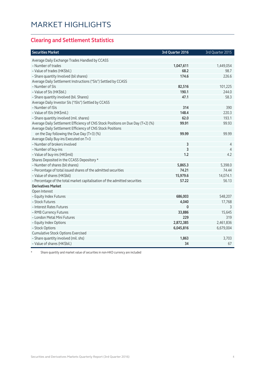#### **Clearing and Settlement Statistics**

| <b>Securities Market</b>                                                        | 3rd Quarter 2016 | 3rd Quarter 2015 |
|---------------------------------------------------------------------------------|------------------|------------------|
| Average Daily Exchange Trades Handled by CCASS                                  |                  |                  |
| - Number of trades                                                              | 1,047,611        | 1,449,054        |
| - Value of trades (HK\$bil.)                                                    | 68.2             | 98.7             |
| - Share quantity Involved (bil shares)                                          | 174.6            | 226.6            |
| Average Daily Settlement Instructions ("SIs") Settled by CCASS                  |                  |                  |
| - Number of SIs                                                                 | 82,516           | 101,225          |
| - Value of SIs (HK\$bil.)                                                       | 190.1            | 244.0            |
| - Share quantity involved (bil. Shares)                                         | 47.1             | 58.3             |
| Average Daily Investor SIs ("ISIs") Settled by CCASS                            |                  |                  |
| - Number of ISIs                                                                | 314              | 390              |
| - Value of ISIs (HK\$mil.)                                                      | 148.4            | 220.3            |
| - Share quantity involved (mil. shares)                                         | 62.0             | 193.1            |
| Average Daily Settlement Efficiency of CNS Stock Positions on Due Day (T+2) (%) | 99.91            | 99.93            |
| Average Daily Settlement Efficiency of CNS Stock Positions                      |                  |                  |
| on the Day following the Due Day (T+3) (%)                                      | 99.99            | 99.99            |
| Average Daily Buy-ins Executed on T+3                                           |                  |                  |
| - Number of brokers involved                                                    | 3                | 4                |
| - Number of buy-ins                                                             | 3                | 4                |
| - Value of buy-ins (HK\$mil)                                                    | 1.2              | 4.2              |
| Shares Deposited in the CCASS Depository *                                      |                  |                  |
| - Number of shares (bil shares)                                                 | 5,865.3          | 5,398.0          |
| - Percentage of total issued shares of the admitted securities                  | 74.21            | 74.44            |
| - Value of shares (HK\$bil)                                                     | 15,979.6         | 14,074.1         |
| - Percentage of the total market capitalisation of the admitted securities      | 57.22            | 56.13            |
| <b>Derivatives Market</b>                                                       |                  |                  |
| Open Interest                                                                   |                  |                  |
| - Equity Index Futures                                                          | 686,003          | 548,207          |
| - Stock Futures                                                                 | 4,040            | 17,768           |
| - Interest Rates Futures                                                        | 0                | 3                |
| - RMB Currency Futures                                                          | 33,886           | 15,645           |
| - London Metal Mini Futures                                                     | 229              | 319              |
| - Equity Index Options                                                          | 2,872,385        | 2,461,836        |
| - Stock Options                                                                 | 6,045,816        | 6,679,004        |
| <b>Cumulative Stock Options Exercised</b>                                       |                  |                  |
| - Share quantity involved (mil. shs)                                            | 1,863            | 3,703            |
| - Value of shares (HK\$bil.)                                                    | 34               | 67               |

Share quantity and market value of securities in non-HKD currency are included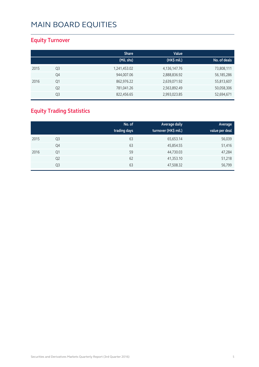### **Equity Turnover**

|      |                | <b>Share</b> | Value           |              |
|------|----------------|--------------|-----------------|--------------|
|      |                | (Mil. shs)   | (HK\$ mil.)     | No. of deals |
| 2015 | Q3             | 1,241,453.02 | 4, 136, 147. 76 | 73,808,111   |
|      | Q4             | 944,007.06   | 2,888,836.92    | 56, 185, 286 |
| 2016 | Q1             | 862,976.22   | 2,639,071.92    | 55,813,607   |
|      | Q <sub>2</sub> | 781,041.26   | 2,563,892.49    | 50,058,306   |
|      | Q <sub>3</sub> | 822,456.65   | 2,993,023.85    | 52,694,671   |

### **Equity Trading Statistics**

|      |                | No. of<br>trading days | <b>Average daily</b><br>turnover (HK\$ mil.) | Average<br>value per deal |
|------|----------------|------------------------|----------------------------------------------|---------------------------|
| 2015 | Q3             | 63                     | 65,653.14                                    | 56,039                    |
|      | Q4             | 63                     | 45,854.55                                    | 51,416                    |
| 2016 | Q1             | 59                     | 44,730.03                                    | 47,284                    |
|      | Q <sub>2</sub> | 62                     | 41,353.10                                    | 51,218                    |
|      | Q3             | 63                     | 47,508.32                                    | 56,799                    |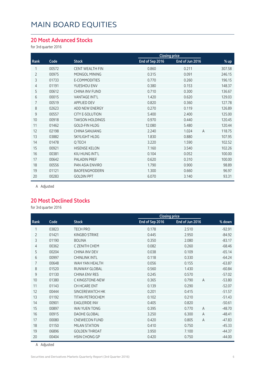#### **20 Most Advanced Stocks**

for 3rd quarter 2016

|                | <b>Closing price</b> |                        |                 |                 |                          |
|----------------|----------------------|------------------------|-----------------|-----------------|--------------------------|
| Rank           | Code                 | <b>Stock</b>           | End of Sep 2016 | End of Jun 2016 | % up                     |
|                | 00572                | <b>CENT WEALTH FIN</b> | 0.860           | 0.211           | 307.58                   |
| $\overline{2}$ | 00975                | MONGOL MINING          | 0.315           | 0.091           | 246.15                   |
| 3              | 01733                | E-COMMODITIES          | 0.770           | 0.260           | 196.15                   |
| 4              | 01191                | YUESHOU ENV            | 0.380           | 0.153           | 148.37                   |
| 5              | 00612                | CHINA INV FUND         | 0.710           | 0.300           | 136.67                   |
| 6              | 00015                | <b>VANTAGE INT'L</b>   | 1.420           | 0.620           | 129.03                   |
| 7              | 00519                | <b>APPLIED DEV</b>     | 0.820           | 0.360           | 127.78                   |
| 8              | 02623                | ADD NEW ENERGY         | 0.270           | 0.119           | 126.89                   |
| 9              | 00557                | <b>CITY E-SOLUTION</b> | 5.400           | 2.400           | 125.00                   |
| 10             | 00918                | <b>TAKSON HOLDINGS</b> | 0.970           | 0.440           | 120.45                   |
| 11             | 01462                | <b>GOLD-FIN HLDG</b>   | 12.080          | 5.480           | 120.44                   |
| 12             | 02198                | <b>CHINA SANJIANG</b>  | 2.240           | 1.024           | 118.75<br>$\overline{A}$ |
| 13             | 03882                | <b>SKYLIGHT HLDG</b>   | 1.830           | 0.880           | 107.95                   |
| 14             | 01478                | Q TECH                 | 3.220           | 1.590           | 102.52                   |
| 15             | 00921                | <b>HISENSE KELON</b>   | 7.160           | 3.540           | 102.26                   |
| 16             | 00381                | KIU HUNG INT'L         | 0.104           | 0.052           | 100.00                   |
| 17             | 00642                | <b>PALADIN PREF</b>    | 0.620           | 0.310           | 100.00                   |
| 18             | 00556                | PAN ASIA ENVIRO        | 1.790           | 0.900           | 98.89                    |
| 19             | 01121                | BAOFENGMODERN          | 1.300           | 0.660           | 96.97                    |
| 20             | 00283                | <b>GOLDIN PPT</b>      | 6.070           | 3.140           | 93.31                    |
|                |                      |                        |                 |                 |                          |

A Adjusted

#### **20 Most Declined Stocks**

for 3rd quarter 2016

|                |       |                        |                 | <b>Closing price</b>    |          |  |
|----------------|-------|------------------------|-----------------|-------------------------|----------|--|
| Rank           | Code  | <b>Stock</b>           | End of Sep 2016 | End of Jun 2016         | % down   |  |
| 1              | 03823 | <b>TECH PRO</b>        | 0.178           | 2.510                   | $-92.91$ |  |
| $\overline{2}$ | 01421 | KINGBO STRIKE          | 0.445           | 2.950                   | $-84.92$ |  |
| 3              | 01190 | <b>BOLINA</b>          | 0.350           | 2.080                   | $-83.17$ |  |
| 4              | 00362 | C ZENITH CHEM          | 0.082           | 0.260                   | $-68.46$ |  |
| 5              | 00204 | CHINA INV DEV          | 0.038           | 0.109                   | $-65.14$ |  |
| 6              | 00997 | <b>CHINLINK INTL</b>   | 0.118           | 0.330                   | $-64.24$ |  |
| 7              | 00648 | WAH YAN HFAI TH        | 0.056           | 0.155                   | $-63.87$ |  |
| 8              | 01520 | RUNWAY GLOBAL          | 0.560           | 1.430                   | $-60.84$ |  |
| 9              | 01130 | <b>CHINA ENV RES</b>   | 0.245           | 0.570                   | $-57.02$ |  |
| 10             | 01380 | C KINGSTONE-NEW        | 0.365           | $\overline{A}$<br>0.790 | $-53.80$ |  |
| 11             | 01143 | CH HCARE ENT           | 0.139           | 0.290                   | $-52.07$ |  |
| 12             | 00444 | SINCEREWATCH HK        | 0.201           | 0.415                   | $-51.57$ |  |
| 13             | 01192 | <b>TITAN PETROCHEM</b> | 0.102           | 0.210                   | $-51.43$ |  |
| 14             | 00901 | <b>EAGLERIDE INV</b>   | 0.405           | 0.820                   | $-50.61$ |  |
| 15             | 00897 | WAI YUEN TONG          | 0.395           | 0.770<br>$\overline{A}$ | $-48.70$ |  |
| 16             | 00915 | <b>DAOHE GLOBAL</b>    | 3.250           | 6.300<br>A              | $-48.41$ |  |
| 17             | 00080 | <b>CNEWECON FUND</b>   | 0.420           | 0.805<br>A              | $-47.83$ |  |
| 18             | 01150 | <b>MILAN STATION</b>   | 0.410           | 0.750                   | $-45.33$ |  |
| 19             | 06896 | <b>GOLDEN THROAT</b>   | 3.950           | 7.100                   | $-44.37$ |  |
| 20             | 00404 | <b>HSIN CHONG GP</b>   | 0.420           | 0.750                   | $-44.00$ |  |

A Adjusted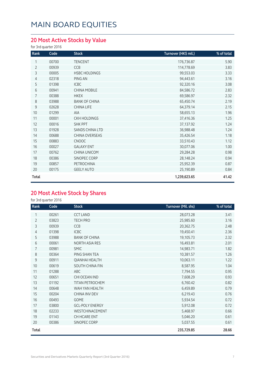### **20 Most Active Stocks by Value**

for 3rd quarter 2016

| Rank           | Code  | <b>Stock</b>         | Turnover (HK\$ mil.) | % of total |
|----------------|-------|----------------------|----------------------|------------|
| 1              | 00700 | <b>TENCENT</b>       | 176,736.87           | 5.90       |
| $\overline{2}$ | 00939 | CCB                  | 114,778.69           | 3.83       |
| 3              | 00005 | <b>HSBC HOLDINGS</b> | 99,553.03            | 3.33       |
| 4              | 02318 | PING AN              | 94,443.61            | 3.16       |
| 5              | 01398 | <b>ICBC</b>          | 92,320.16            | 3.08       |
| 6              | 00941 | <b>CHINA MOBILE</b>  | 84,586.72            | 2.83       |
| $\overline{7}$ | 00388 | <b>HKEX</b>          | 69,586.97            | 2.32       |
| 8              | 03988 | <b>BANK OF CHINA</b> | 65,450.74            | 2.19       |
| 9              | 02628 | CHINA LIFE           | 64,379.14            | 2.15       |
| 10             | 01299 | <b>AIA</b>           | 58,655.13            | 1.96       |
| 11             | 00001 | <b>CKH HOLDINGS</b>  | 37,416.36            | 1.25       |
| 12             | 00016 | <b>SHK PPT</b>       | 37,137.92            | 1.24       |
| 13             | 01928 | SANDS CHINA LTD      | 36,988.48            | 1.24       |
| 14             | 00688 | CHINA OVERSEAS       | 35,426.54            | 1.18       |
| 15             | 00883 | <b>CNOOC</b>         | 33,510.43            | 1.12       |
| 16             | 00027 | <b>GALAXY ENT</b>    | 30,077.06            | 1.00       |
| 17             | 00762 | CHINA UNICOM         | 29,284.28            | 0.98       |
| 18             | 00386 | SINOPEC CORP         | 28,148.24            | 0.94       |
| 19             | 00857 | PETROCHINA           | 25,952.39            | 0.87       |
| 20             | 00175 | <b>GEELY AUTO</b>    | 25,190.89            | 0.84       |
| Total          |       |                      | 1,239,623.65         | 41.42      |

#### **20 Most Active Stock by Shares**

for 3rd quarter 2016

| Rank           | Code  | <b>Stock</b>           | Turnover (Mil. shs) | % of total |
|----------------|-------|------------------------|---------------------|------------|
| 1              | 00261 | <b>CCT LAND</b>        | 28,073.28           | 3.41       |
| $\overline{2}$ | 03823 | <b>TECH PRO</b>        | 25,985.60           | 3.16       |
| 3              | 00939 | CCB                    | 20,362.75           | 2.48       |
| 4              | 01398 | <b>ICBC</b>            | 19,450.41           | 2.36       |
| 5              | 03988 | <b>BANK OF CHINA</b>   | 19,105.73           | 2.32       |
| 6              | 00061 | <b>NORTH ASIA RES</b>  | 16,493.81           | 2.01       |
| $\overline{7}$ | 00981 | <b>SMIC</b>            | 14,983.71           | 1.82       |
| 8              | 00364 | PING SHAN TEA          | 10,381.57           | 1.26       |
| 9              | 00911 | <b>QIANHAI HEALTH</b>  | 10,063.11           | 1.22       |
| 10             | 00619 | SOUTH CHINA FIN        | 8,587.95            | 1.04       |
| 11             | 01288 | ABC                    | 7,794.55            | 0.95       |
| 12             | 00651 | CHI OCEAN IND          | 7,608.29            | 0.93       |
| 13             | 01192 | TITAN PETROCHEM        | 6,760.42            | 0.82       |
| 14             | 00648 | WAH YAN HEALTH         | 6,459.89            | 0.79       |
| 15             | 00204 | <b>CHINA INV DEV</b>   | 6,219.43            | 0.76       |
| 16             | 00493 | <b>GOME</b>            | 5,934.54            | 0.72       |
| 17             | 03800 | <b>GCL-POLY ENERGY</b> | 5,912.08            | 0.72       |
| 18             | 02233 | WESTCHINACEMENT        | 5,468.97            | 0.66       |
| 19             | 01143 | CH HCARE ENT           | 5,046.20            | 0.61       |
| 20             | 00386 | SINOPEC CORP           | 5,037.55            | 0.61       |
| Total          |       |                        | 235,729.85          | 28.66      |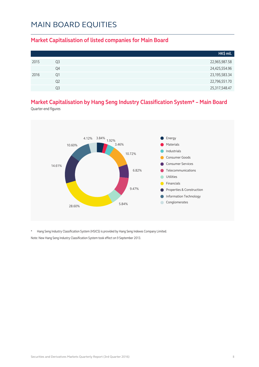#### **Market Capitalisation of listed companies for Main Board**

|      |                | HK\$ mil.        |
|------|----------------|------------------|
| 2015 | Q3             | 22,965,987.58    |
|      | Q4             | 24,425,554.96    |
| 2016 | O1             | 23, 195, 583. 34 |
|      | Q <sub>2</sub> | 22,796,551.70    |
|      | Q3             | 25,317,548.47    |

### **Market Capitalisation by Hang Seng Industry Classification System\* – Main Board**

Quarter-end figures



\* Hang Seng Industry Classification System (HSICS) is provided by Hang Seng Indexes Company Limited. Note: New Hang Seng Industry Classification System took effect on 9 September 2013.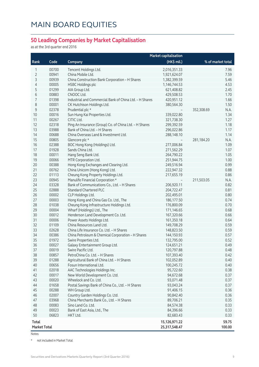#### **50 Leading Companies by Market Capitalisation**

as at the 3rd quarter end 2016

|                     |       |                                                         | <b>Market capitalisation</b> |                    |
|---------------------|-------|---------------------------------------------------------|------------------------------|--------------------|
| Rank                | Code  | Company                                                 | (HK\$ mil.)                  | % of market total  |
| 1                   | 00700 | Tencent Holdings Ltd.                                   | 2,016,351.33                 | 7.96               |
| 2                   | 00941 | China Mobile Ltd.                                       | 1,921,624.07                 | 7.59               |
| 3                   | 00939 | China Construction Bank Corporation - H Shares          | 1,382,399.59                 | 5.46               |
| 4                   | 00005 | <b>HSBC Holdings plc</b>                                | 1,146,744.53                 | 4.53               |
| 5                   | 01299 | AIA Group Ltd.                                          | 621,408.82                   | 2.45               |
| 6                   | 00883 | CNOOC Ltd.                                              | 429,508.53                   | 1.70               |
| 7                   | 01398 | Industrial and Commercial Bank of China Ltd. - H Shares | 420,951.12                   | 1.66               |
| 8                   | 00001 | CK Hutchison Holdings Ltd.                              | 380,564.30                   | 1.50               |
| $\mathsf 9$         | 02378 | Prudential plc *                                        |                              | 352,308.69<br>N.A. |
| 10                  | 00016 | Sun Hung Kai Properties Ltd.                            | 339,022.80                   | 1.34               |
| 11                  | 00267 | CITIC Ltd.                                              | 321,738.30                   | 1.27               |
| 12                  | 02318 | Ping An Insurance (Group) Co. of China Ltd. - H Shares  | 299,392.59                   | 1.18               |
| 13                  | 03988 | Bank of China Ltd. - H Shares                           | 296,022.86                   | 1.17               |
| 14                  | 00688 | China Overseas Land & Investment Ltd.                   | 288,148.10                   | 1.14               |
| 15                  | 00805 | Glencore plc *                                          |                              | 281,184.20<br>N.A. |
| 16                  | 02388 | BOC Hong Kong (Holdings) Ltd.                           | 277,006.84                   | 1.09               |
| 17                  | 01928 | Sands China Ltd.                                        | 271,562.29                   | 1.07               |
| 18                  | 00011 | Hang Seng Bank Ltd.                                     | 264,790.22                   | 1.05               |
| 19                  | 00066 | MTR Corporation Ltd.                                    | 251,944.75                   | 1.00               |
| 20                  | 00388 | Hong Kong Exchanges and Clearing Ltd.                   | 249,516.94                   | 0.99               |
| 21                  | 00762 | China Unicom (Hong Kong) Ltd.                           | 222,947.32                   | 0.88               |
| 22                  | 01113 | Cheung Kong Property Holdings Ltd.                      | 217,655.19                   | 0.86               |
| 23                  | 00945 | Manulife Financial Corporation *                        |                              | 211,503.05<br>N.A. |
| 24                  | 03328 | Bank of Communications Co., Ltd. - H Shares             | 206,920.11                   | 0.82               |
| 25                  | 02888 | <b>Standard Chartered PLC</b>                           | 204,722.47                   | 0.81               |
| 26                  | 00002 | CLP Holdings Ltd.                                       | 202,495.01                   | 0.80               |
| 27                  | 00003 | Hong Kong and China Gas Co. Ltd., The                   | 186,177.50                   | 0.74               |
| 28                  | 01038 | Cheung Kong Infrastructure Holdings Ltd.                | 176,800.09                   | 0.70               |
| 29                  | 00004 | Wharf (Holdings) Ltd., The                              | 171,146.65                   | 0.68               |
| 30                  | 00012 | Henderson Land Development Co. Ltd.                     | 167,320.66                   | 0.66               |
| 31                  | 00006 | Power Assets Holdings Ltd.                              | 161,350.18                   | 0.64               |
| 32                  | 01109 | China Resources Land Ltd.                               | 149,708.29                   | 0.59               |
| 33                  | 02628 | China Life Insurance Co. Ltd. - H Shares                | 148,823.50                   | 0.59               |
| 34                  | 00386 | China Petroleum & Chemical Corporation - H Shares       | 144,150.93                   | 0.57               |
| 35                  | 01972 | Swire Properties Ltd.                                   | 132,795.00                   | 0.52               |
| 36                  | 00027 | Galaxy Entertainment Group Ltd.                         | 124,651.21                   | 0.49               |
| 37                  | 00019 | Swire Pacific Ltd.                                      | 120,797.88                   | 0.48               |
| 38                  | 00857 | PetroChina Co. Ltd. - H Shares                          | 107,393.40                   | 0.42               |
| 39                  | 01288 | Agricultural Bank of China Ltd. - H Shares              | 102,052.89                   | 0.40               |
| 40                  | 00656 | Fosun International Ltd.                                | 100,245.72                   | 0.40               |
| 41                  | 02018 | AAC Technologies Holdings Inc.                          | 95,722.60                    | 0.38               |
| 42                  | 00017 | New World Development Co. Ltd.                          | 94,672.68                    | 0.37               |
| 43                  | 00020 | Wheelock and Co. Ltd.                                   | 93,071.48                    | 0.37               |
| $44$                | 01658 | Postal Savings Bank of China Co., Ltd. - H Shares       | 93,043.24                    | 0.37               |
| 45                  | 00288 | WH Group Ltd.                                           | 91,406.15                    | 0.36               |
| 46                  | 02007 | Country Garden Holdings Co. Ltd.                        | 90,842.40                    | 0.36               |
| 47                  | 03968 | China Merchants Bank Co., Ltd. - H Shares               | 89,706.21                    | 0.35               |
| 48                  | 00083 | Sino Land Co. Ltd.                                      | 84,574.38                    | 0.33               |
| 49                  | 00023 | Bank of East Asia, Ltd., The                            | 84,396.66                    | 0.33               |
| 50                  | 06823 | HKT Ltd.                                                | 82,683.43                    | 0.33               |
| Total               |       |                                                         | 15,126,971.22                | 59.75              |
| <b>Market Total</b> |       |                                                         | 25,317,548.47                | 100.00             |

Notes:

\* not included in Market Total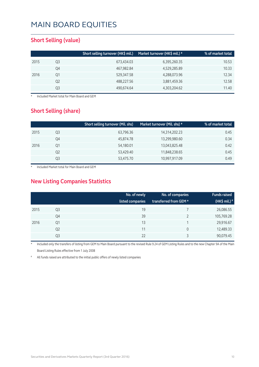#### **Short Selling (value)**

|      |    | Short selling turnover (HK\$ mil.) | Market turnover (HK\$ mil.) * | % of market total |
|------|----|------------------------------------|-------------------------------|-------------------|
| 2015 | Q3 | 673,434.03                         | 6,395,260.35                  | 10.53             |
|      | Q4 | 467,982.84                         | 4,529,285.89                  | 10.33             |
| 2016 | Q1 | 529,347.58                         | 4,288,073.96                  | 12.34             |
|      | Q2 | 488,227.56                         | 3,881,459.36                  | 12.58             |
|      | Q3 | 490,674.64                         | 4,303,204.62                  | 11.40             |

**Included Market total for Main Board and GEM** 

#### **Short Selling (share)**

| % of market total |
|-------------------|
| 0.45              |
| 0.34              |
| 0.42              |
| 0.45              |
| 0.49              |
|                   |

Included Market total for Main Board and GEM

#### **New Listing Companies Statistics**

|      |                | No. of newly<br>listed companies | No. of companies<br>transferred from GEM * | <b>Funds raised</b><br>(HK\$ mil.) <sup>#</sup> |
|------|----------------|----------------------------------|--------------------------------------------|-------------------------------------------------|
| 2015 | Q3             | 19                               |                                            | 26,086.55                                       |
|      | Q4             | 39                               |                                            | 105,769.28                                      |
| 2016 | Q1             | 13                               |                                            | 29,916.67                                       |
|      | Q <sub>2</sub> | 11                               | 0                                          | 12,489.33                                       |
|      | Q3             | 22                               | C                                          | 90,079.45                                       |

Included only the transfers of listing from GEM to Main Board pursuant to the revised Rule 9.24 of GEM Listing Rules and to the new Chapter 9A of the Main Board Listing Rules effective from 1 July 2008

All funds raised are attributed to the initial public offers of newly listed companies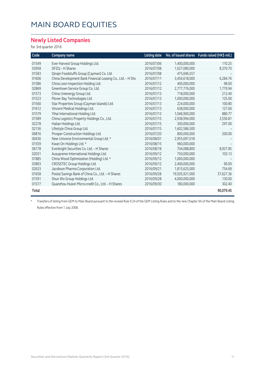#### **Newly Listed Companies**

for 3rd quarter 2016

| Code  | <b>Company name</b>                                        | <b>Listing date</b> |                | No. of issued shares Funds raised (HK\$ mil.) |
|-------|------------------------------------------------------------|---------------------|----------------|-----------------------------------------------|
| 01549 | Ever Harvest Group Holdings Ltd.                           | 2016/07/06          | 1,400,000,000  | 110.25                                        |
| 03958 | DFZQ - H Shares                                            | 2016/07/08          | 1,027,080,000  | 8,370.70                                      |
| 01583 | Qinqin Foodstuffs Group (Cayman) Co. Ltd.                  | 2016/07/08          | 475,696,557    |                                               |
| 01606 | China Development Bank Financial Leasing Co., Ltd. - H Shs | 2016/07/11          | 3,456,618,000  | 6,284.76                                      |
| 01586 | China Leon Inspection Holding Ltd.                         | 2016/07/12          | 400,000,000    | 98.00                                         |
| 02869 | Greentown Service Group Co. Ltd.                           | 2016/07/12          | 2,777,776,000  | 1,779.94                                      |
| 01573 | China Unienergy Group Ltd.                                 | 2016/07/13          | 718,000,000    | 212.40                                        |
| 01523 | Plover Bay Technologies Ltd.                               | 2016/07/13          | 1,000,000,000  | 125.00                                        |
| 01560 | Star Properties Group (Cayman Islands) Ltd.                | 2016/07/13          | 224,000,000    | 100.80                                        |
| 01612 | Vincent Medical Holdings Ltd.                              | 2016/07/13          | 638,000,000    | 127.60                                        |
| 01579 | Yihai International Holding Ltd.                           | 2016/07/13          | 1,046,900,000  | 880.77                                        |
| 01589 | China Logistics Property Holdings Co., Ltd.                | 2016/07/15          | 2,938,994,000  | 3,556.81                                      |
| 02278 | Hailan Holdings Ltd.                                       | 2016/07/15          | 300,000,000    | 297.00                                        |
| 02136 | Lifestyle China Group Ltd.                                 | 2016/07/15          | 1,602,586,500  |                                               |
| 06816 | Prosper Construction Holdings Ltd.                         | 2016/07/20          | 800,000,000    | 200.00                                        |
| 00436 | New Universe Environmental Group Ltd. *                    | 2016/08/01          | 2,955,697,018  |                                               |
| 01559 | Kwan On Holdings Ltd. *                                    | 2016/08/15          | 960,000,000    |                                               |
| 06178 | Everbright Securities Co. Ltd. - H Shares                  | 2016/08/18          | 704,088,800    | 8,927.85                                      |
| 02031 | Ausupreme International Holdings Ltd.                      | 2016/09/12          | 750,000,000    | 103.13                                        |
| 01885 | China Wood Optimization (Holding) Ltd. *                   | 2016/09/12          | 1,000,000,000  |                                               |
| 03893 | CROSSTEC Group Holdings Ltd.                               | 2016/09/12          | 2,400,000,000  | 90.00                                         |
| 02633 | Jacobson Pharma Corporation Ltd.                           | 2016/09/21          | 1,815,625,000  | 754.69                                        |
| 01658 | Postal Savings Bank of China Co., Ltd. - H Shares          | 2016/09/28          | 19,505,921,000 | 57,627.36                                     |
| 01591 | Shun Wo Group Holdings Ltd.                                | 2016/09/28          | 4,000,000,000  | 130.00                                        |
| 01577 | Quanzhou Huixin Micro-credit Co., Ltd. - H Shares          | 2016/09/30          | 180,000,000    | 302.40                                        |
| Total |                                                            |                     |                | 90,079.45                                     |

\* Transfers of listing from GEM to Main Board pursuant to the revised Rule 9.24 of the GEM Listing Rules and to the new Chapter 9A of the Main Board Listing Rules effective from 1 July 2008.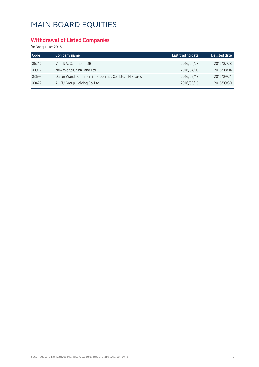#### **Withdrawal of Listed Companies**

for 3rd quarter 2016

| Code  | Company name                                            | Last trading date | Delisted date |
|-------|---------------------------------------------------------|-------------------|---------------|
| 06210 | Vale S.A. Common - DR                                   | 2016/06/27        | 2016/07/28    |
| 00917 | New World China Land Ltd.                               | 2016/04/05        | 2016/08/04    |
| 03699 | Dalian Wanda Commercial Properties Co., Ltd. - H Shares | 2016/09/13        | 2016/09/21    |
| 00477 | AUPU Group Holding Co. Ltd.                             | 2016/09/15        | 2016/09/30    |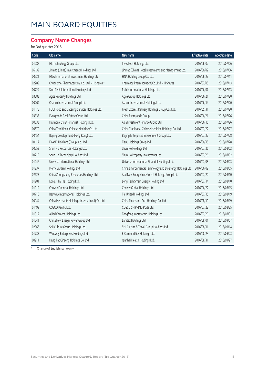#### **Company Name Changes**

for 3rd quarter 2016

| Old name                                          | New name                                             | <b>Effective date</b> | <b>Adoption date</b>                                       |
|---------------------------------------------------|------------------------------------------------------|-----------------------|------------------------------------------------------------|
| HL Technology Group Ltd.                          | InvesTech Holdings Ltd.                              | 2016/06/02            | 2016/07/06                                                 |
| Jinmao (China) Investments Holdings Ltd.          | Jinmao (China) Hotel Investments and Management Ltd. | 2016/06/02            | 2016/07/06                                                 |
| HNA International Investment Holdings Ltd.        | HNA Holding Group Co. Ltd.                           | 2016/06/27            | 2016/07/11                                                 |
| Chuangmei Pharmaceutical Co., Ltd. - H Shares *   | Charmacy Pharmaceutical Co., Ltd. - H Shares         | 2016/07/05            | 2016/07/13                                                 |
| Sino-Tech International Holdings Ltd.             | Ruixin International Holdings Ltd.                   | 2016/06/07            | 2016/07/13                                                 |
| Agile Property Holdings Ltd.                      | Agile Group Holdings Ltd.                            | 2016/06/21            | 2016/07/20                                                 |
| Chanco International Group Ltd.                   | Ascent International Holdings Ltd.                   | 2016/06/14            | 2016/07/20                                                 |
| FU JI Food and Catering Services Holdings Ltd.    | Fresh Express Delivery Holdings Group Co., Ltd.      | 2016/05/31            | 2016/07/20                                                 |
| Evergrande Real Estate Group Ltd.                 | China Evergrande Group                               | 2016/06/21            | 2016/07/26                                                 |
| Harmonic Strait Financial Holdings Ltd.           | Asia Investment Finance Group Ltd.                   | 2016/06/16            | 2016/07/26                                                 |
| China Traditional Chinese Medicine Co. Ltd.       | China Traditional Chinese Medicine Holdings Co. Ltd. | 2016/07/22            | 2016/07/27                                                 |
| Beijing Development (Hong Kong) Ltd.              | Beijing Enterprises Environment Group Ltd.           | 2016/07/22            | 2016/07/28                                                 |
| EYANG Holdings (Group) Co., Ltd.                  | Tianli Holdings Group Ltd.                           | 2016/06/15            | 2016/07/28                                                 |
| Shun Ho Resources Holdings Ltd.                   | Shun Ho Holdings Ltd.                                | 2016/07/26            | 2016/08/02                                                 |
| Shun Ho Technology Holdings Ltd.                  | Shun Ho Property Investments Ltd.                    | 2016/07/26            | 2016/08/02                                                 |
| Universe International Holdings Ltd.              | Universe International Financial Holdings Ltd.       | 2016/07/08            | 2016/08/03                                                 |
| Merry Garden Holdings Ltd.                        |                                                      | 2016/06/02            | 2016/08/05                                                 |
| China Zhongsheng Resources Holdings Ltd.          | Add New Energy Investment Holdings Group Ltd.        | 2016/07/20            | 2016/08/10                                                 |
| Long Ji Tai He Holding Ltd.                       | LongiTech Smart Energy Holding Ltd.                  | 2016/07/14            | 2016/08/10                                                 |
| Convoy Financial Holdings Ltd.                    | Convoy Global Holdings Ltd.                          | 2016/06/22            | 2016/08/15                                                 |
| Bestway International Holdings Ltd.               | Tai United Holdings Ltd.                             | 2016/07/15            | 2016/08/19                                                 |
| China Merchants Holdings (International) Co. Ltd. | China Merchants Port Holdings Co. Ltd.               | 2016/08/10            | 2016/08/19                                                 |
| COSCO Pacific Ltd.                                | COSCO SHIPPING Ports Ltd.                            | 2016/07/22            | 2016/08/25                                                 |
| Allied Cement Holdings Ltd.                       | Tongfang Kontafarma Holdings Ltd.                    | 2016/07/20            | 2016/08/31                                                 |
| China New Energy Power Group Ltd.                 | Lamtex Holdings Ltd.                                 | 2016/08/01            | 2016/09/07                                                 |
| SMI Culture Group Holdings Ltd.                   | SMI Culture & Travel Group Holdings Ltd.             | 2016/08/11            | 2016/09/14                                                 |
| Winsway Enterprises Holdings Ltd.                 | E-Commodities Holdings Ltd.                          | 2016/08/23            | 2016/09/23                                                 |
| Hang Fat Ginseng Holdings Co. Ltd.                | Qianhai Health Holdings Ltd.                         | 2016/08/31            | 2016/09/27                                                 |
|                                                   |                                                      |                       | China Environmental Technology and Bioenergy Holdings Ltd. |

\* Change of English name only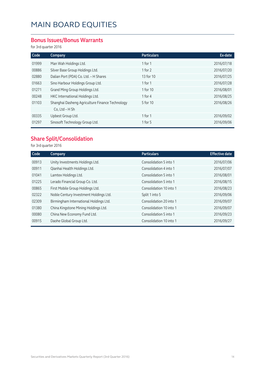#### **Bonus Issues/Bonus Warrants**

for 3rd quarter 2016

| Code  | Company                                         | <b>Particulars</b> | Ex-date    |
|-------|-------------------------------------------------|--------------------|------------|
| 01999 | Man Wah Holdings Ltd.                           | 1 for $1$          | 2016/07/18 |
| 00886 | Silver Base Group Holdings Ltd.                 | 1 for $2$          | 2016/07/20 |
| 02880 | Dalian Port (PDA) Co. Ltd. - H Shares           | 13 for 10          | 2016/07/25 |
| 01663 | Sino Harbour Holdings Group Ltd.                | 1 for $1$          | 2016/07/28 |
| 01271 | Grand Ming Group Holdings Ltd.                  | 1 for 10           | 2016/08/01 |
| 00248 | HKC International Holdings Ltd.                 | 1 for $4$          | 2016/08/25 |
| 01103 | Shanghai Dasheng Agriculture Finance Technology | 5 for 10           | 2016/08/26 |
|       | Co, Ltd - H Sh                                  |                    |            |
| 00335 | Upbest Group Ltd.                               | 1 for $1$          | 2016/09/02 |
| 01297 | Sinosoft Technology Group Ltd.                  | 1 for $5$          | 2016/09/06 |

#### **Share Split/Consolidation**

for 3rd quarter 2016

| Code  | Company                                | <b>Particulars</b>      | <b>Effective date</b> |
|-------|----------------------------------------|-------------------------|-----------------------|
| 00913 | Unity Investments Holdings Ltd.        | Consolidation 5 into 1  | 2016/07/06            |
| 00911 | Qianhai Health Holdings Ltd.           | Consolidation 4 into 1  | 2016/07/07            |
| 01041 | Lamtex Holdings Ltd.                   | Consolidation 5 into 1  | 2016/08/01            |
| 01225 | Lerado Financial Group Co. Ltd.        | Consolidation 5 into 1  | 2016/08/15            |
| 00865 | First Mobile Group Holdings Ltd.       | Consolidation 10 into 1 | 2016/08/23            |
| 02322 | Noble Century Investment Holdings Ltd. | Split 1 into 5          | 2016/09/06            |
| 02309 | Birmingham International Holdings Ltd. | Consolidation 20 into 1 | 2016/09/07            |
| 01380 | China Kingstone Mining Holdings Ltd.   | Consolidation 10 into 1 | 2016/09/07            |
| 00080 | China New Economy Fund Ltd.            | Consolidation 5 into 1  | 2016/09/23            |
| 00915 | Daohe Global Group Ltd.                | Consolidation 10 into 1 | 2016/09/27            |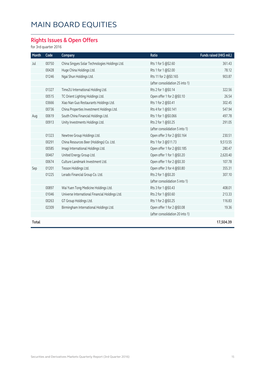### **Rights Issues & Open Offers**

for 3rd quarter 2016

| Month | Code  | Company                                        | Ratio                           | Funds raised (HK\$ mil.) |
|-------|-------|------------------------------------------------|---------------------------------|--------------------------|
| Jul   | 00750 | China Singyes Solar Technologies Holdings Ltd. | Rts 1 for 5 @\$2.60             | 361.43                   |
|       | 00428 | Huge China Holdings Ltd.                       | Rts 1 for 1 @\$2.00             | 78.12                    |
|       | 01246 | Ngai Shun Holdings Ltd.                        | Rts 11 for 2 @\$0.165           | 903.87                   |
|       |       |                                                | (after consolidation 25 into 1) |                          |
|       | 01327 | Time2U International Holding Ltd.              | Rts 2 for 1 @\$0.14             | 322.56                   |
|       | 00515 | TC Orient Lighting Holdings Ltd.               | Open offer 1 for 2 @\$0.10      | 26.54                    |
|       | 03666 | Xiao Nan Guo Restaurants Holdings Ltd.         | Rts 1 for 2 @\$0.41             | 302.45                   |
|       | 00736 | China Properties Investment Holdings Ltd.      | Rts 4 for 1 @\$0.141            | 547.94                   |
| Aug   | 00619 | South China Financial Holdings Ltd.            | Rts 1 for 1 @\$0.066            | 497.78                   |
|       | 00913 | Unity Investments Holdings Ltd.                | Rts 2 for 1 @\$0.25             | 291.05                   |
|       |       |                                                | (after consolidation 5 into 1)  |                          |
|       | 01323 | Newtree Group Holdings Ltd.                    | Open offer 3 for 2 @\$0.164     | 230.51                   |
|       | 00291 | China Resources Beer (Holdings) Co. Ltd.       | Rts 1 for 3 @\$11.73            | 9,513.55                 |
|       | 00585 | Imagi International Holdings Ltd.              | Open offer 1 for 2 @\$0.185     | 280.47                   |
|       | 00467 | United Energy Group Ltd.                       | Open offer 1 for 1 @\$0.20      | 2,620.40                 |
|       | 00674 | Culture Landmark Investment Ltd.               | Open offer 1 for 2 @\$0.30      | 107.78                   |
| Sep   | 01201 | Tesson Holdings Ltd.                           | Open offer 3 for 4 @\$0.80      | 355.31                   |
|       | 01225 | Lerado Financial Group Co. Ltd.                | Rts 2 for 1 @\$0.20             | 307.10                   |
|       |       |                                                | (after consolidation 5 into 1)  |                          |
|       | 00897 | Wai Yuen Tong Medicine Holdings Ltd.           | Rts 3 for 1 @\$0.43             | 408.01                   |
|       | 01046 | Universe International Financial Holdings Ltd. | Rts 2 for 1 @\$0.60             | 213.33                   |
|       | 00263 | GT Group Holdings Ltd.                         | Rts 1 for 2 @\$0.25             | 116.83                   |
|       | 02309 | Birmingham International Holdings Ltd.         | Open offer 1 for 2 @\$0.08      | 19.36                    |
|       |       |                                                | (after consolidation 20 into 1) |                          |
| Total |       |                                                |                                 | 17,504.39                |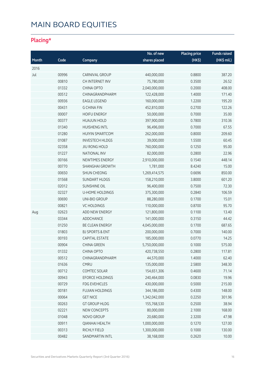### **Placing\***

|       |       |                            | No. of new    | <b>Placing price</b> | <b>Funds raised</b> |
|-------|-------|----------------------------|---------------|----------------------|---------------------|
| Month | Code  | Company                    | shares placed | (HK\$)               | (HK\$ mil.)         |
| 2016  |       |                            |               |                      |                     |
| Jul   | 00996 | CARNIVAL GROUP             | 440,000,000   | 0.8800               | 387.20              |
|       | 00810 | CH INTERNET INV            | 75,780,000    | 0.3500               | 26.52               |
|       | 01332 | <b>CHINA OPTO</b>          | 2,040,000,000 | 0.2000               | 408.00              |
|       | 00512 | CHINAGRANDPHARM            | 122,428,000   | 1.4000               | 171.40              |
|       | 00936 | <b>EAGLE LEGEND</b>        | 160,000,000   | 1.2200               | 195.20              |
|       | 00431 | <b>G CHINA FIN</b>         | 452,810,000   | 0.2700               | 122.26              |
|       | 00007 | <b>HOIFU ENERGY</b>        | 50,000,000    | 0.7000               | 35.00               |
|       | 00377 | <b>HUAJUN HOLD</b>         | 397,900,000   | 0.7800               | 310.36              |
|       | 01340 | <b>HUISHENG INTL</b>       | 96,496,000    | 0.7000               | 67.55               |
|       | 01280 | <b>HUIYIN SMARTCOM</b>     | 262,000,000   | 0.8000               | 209.60              |
|       | 01087 | <b>INVESTECH HLDGS</b>     | 39,000,000    | 1.5500               | 60.45               |
|       | 02358 | <b>JIU RONG HOLD</b>       | 760,000,000   | 0.1250               | 95.00               |
|       | 01227 | <b>NATIONAL INV</b>        | 82,000,000    | 0.2800               | 22.96               |
|       | 00166 | NEWTIMES ENERGY            | 2,910,000,000 | 0.1540               | 448.14              |
|       | 00770 | <b>SHANGHAI GROWTH</b>     | 1,781,000     | 8.4240               | 15.00               |
|       | 00650 | <b>SHUN CHEONG</b>         | 1,269,414,575 | 0.6696               | 850.00              |
|       | 01568 | <b>SUNDART HLDGS</b>       | 158,210,000   | 3.8000               | 601.20              |
|       | 02012 | SUNSHINE OIL               | 96,400,000    | 0.7500               | 72.30               |
|       | 02327 | <b>U-HOME HOLDINGS</b>     | 375,300,000   | 0.2840               | 106.59              |
|       | 00690 | UNI-BIO GROUP              | 88,280,000    | 0.1700               | 15.01               |
|       | 00821 | <b>VC HOLDINGS</b>         | 110,000,000   | 0.8700               | 95.70               |
| Aug   | 02623 | ADD NEW ENERGY             | 121,800,000   | 0.1100               | 13.40               |
|       | 03344 | ADDCHANCE                  | 141,000,000   | 0.3150               | 44.42               |
|       | 01250 | BE CLEAN ENERGY            | 4,045,000,000 | 0.1700               | 687.65              |
|       | 01803 | <b>BJ SPORTS &amp; ENT</b> | 200,000,000   | 0.7000               | 140.00              |
|       | 00193 | <b>CAPITAL ESTATE</b>      | 185,000,000   | 0.0770               | 14.25               |
|       | 00904 | <b>CHINA GREEN</b>         | 5,750,000,000 | 0.1000               | 575.00              |
|       | 01332 | CHINA OPTO                 | 420,738,550   | 0.2800               | 117.81              |
|       | 00512 | CHINAGRANDPHARM            | 44,570,000    | 1.4000               | 62.40               |
|       | 01636 | <b>CMRU</b>                | 135,000,000   | 2.5800               | 348.30              |
|       | 00712 | COMTEC SOLAR               | 154,651,306   | 0.4600               | 71.14               |
|       | 00943 | <b>EFORCE HOLDINGS</b>     | 240,464,000   | 0.0830               | 19.96               |
|       | 00729 | <b>FDG EVEHICLES</b>       | 430,000,000   | 0.5000               | 215.00              |
|       | 00181 | <b>FUJIAN HOLDINGS</b>     | 344,186,000   | 0.4300               | 148.00              |
|       | 00064 | <b>GET NICE</b>            | 1,342,042,000 | 0.2250               | 301.96              |
|       | 00263 | <b>GT GROUP HLDG</b>       | 155,768,530   | 0.2500               | 38.94               |
|       | 02221 | NEW CONCEPTS               | 80,000,000    | 2.1000               | 168.00              |
|       | 01048 | NOVO GROUP                 | 20,680,000    | 2.3200               | 47.98               |
|       | 00911 | <b>QIANHAI HEALTH</b>      | 1,000,000,000 | 0.1270               | 127.00              |
|       | 00313 | RICHLY FIELD               | 1,300,000,000 | 0.1000               | 130.00              |
|       | 00482 | SANDMARTIN INTL            | 38,168,000    | 0.2620               | 10.00               |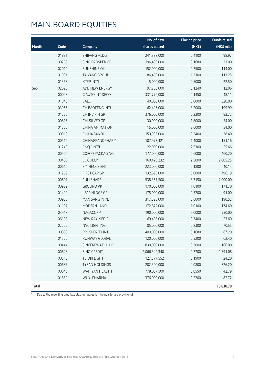|              |       |                        | No. of new    | <b>Placing price</b> | <b>Funds raised</b> |
|--------------|-------|------------------------|---------------|----------------------|---------------------|
| Month        | Code  | Company                | shares placed | (HK\$)               | (HK\$ mil.)         |
|              | 01831 | <b>SHIFANG HLDG</b>    | 241,388,000   | 0.4100               | 98.97               |
|              | 00766 | SINO PROSPER GP        | 196,430,000   | 0.1680               | 33.00               |
|              | 02012 | <b>SUNSHINE OIL</b>    | 152,000,000   | 0.7500               | 114.00              |
|              | 01991 | <b>TA YANG GROUP</b>   | 86,450,000    | 1.3100               | 113.25              |
|              | 01368 | <b>XTEP INT'L</b>      | 5,000,000     | 4.5000               | 22.50               |
| Sep          | 02623 | ADD NEW ENERGY         | 97,250,000    | 0.1240               | 12.06               |
|              | 00048 | C AUTO INT DECO        | 331,776,000   | 0.1450               | 48.11               |
|              | 01848 | CALC                   | 40,000,000    | 8.0000               | 320.00              |
|              | 03966 | <b>CH BAOFENG INTL</b> | 62,496,000    | 3.2000               | 199.99              |
|              | 01226 | CH INV FIN GP          | 376,000,000   | 0.2200               | 82.72               |
|              | 00815 | CHI SILVER GP          | 30,000,000    | 1.8000               | 54.00               |
|              | 01566 | <b>CHINA ANIMATION</b> | 15,000,000    | 3.6000               | 54.00               |
|              | 00910 | CHINA SANDI            | 159,996,000   | 0.2400               | 38.40               |
|              | 00512 | CHINAGRANDPHARM        | 107,973,421   | 1.4000               | 151.16              |
|              | 01240 | CNQC INT'L             | 22,000,000    | 2.5300               | 55.66               |
|              | 00906 | <b>COFCO PACKAGING</b> | 177,000,000   | 2.6000               | 460.20              |
|              | 00400 | <b>COGOBUY</b>         | 160,420,232   | 12.5000              | 2,005.25            |
|              | 00616 | <b>EMINENCE ENT</b>    | 223,000,000   | 0.1800               | 40.14               |
|              | 01269 | FIRST CAP GP           | 132,698,000   | 6.0000               | 796.19              |
|              | 00607 | <b>FULLSHARE</b>       | 538,357,500   | 3.7150               | 2,000.00            |
|              | 00989 | <b>GROUND PPT</b>      | 170,000,000   | 1.0100               | 171.70              |
|              | 01499 | LEAP HLDGS GP          | 175,000,000   | 0.5200               | 91.00               |
|              | 00938 | MAN SANG INT'L         | 317,528,000   | 0.6000               | 190.52              |
|              | 01107 | MODERN LAND            | 172,872,000   | 1.0100               | 174.60              |
|              | 03918 | NAGACORP               | 190,000,000   | 5.0000               | 950.00              |
|              | 06108 | NEW RAY MEDIC          | 69,408,000    | 0.3400               | 23.60               |
|              | 02222 | <b>NVC LIGHTING</b>    | 85,000,000    | 0.8300               | 70.55               |
|              | 00803 | PROSPERITY INTL        | 400,000,000   | 0.1680               | 67.20               |
|              | 01520 | RUNWAY GLOBAL          | 120,000,000   | 0.5200               | 62.40               |
|              | 00444 | SINCEREWATCH HK        | 830,000,000   | 0.2000               | 166.00              |
|              | 00628 | SINO CREDIT            | 2,066,342,340 | 0.7700               | 1,591.08            |
|              | 00515 | TC ORI LIGHT           | 127,377,552   | 0.1900               | 24.20               |
|              | 00687 | <b>TYSAN HOLDINGS</b>  | 202,500,000   | 4.0800               | 826.20              |
|              | 00648 | WAH YAN HEALTH         | 778,057,500   | 0.0550               | 42.79               |
|              | 01889 | <b>WUYI PHARMA</b>     | 376,000,000   | 0.2200               | 82.72               |
| <b>Total</b> |       |                        |               |                      | 18,830.78           |

\* Due to the reporting time-lag, placing figures for the quarter are provisional.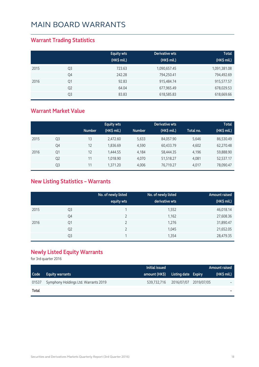#### **Warrant Trading Statistics**

|      |                | <b>Equity wts</b><br>(HK\$ mil.) | Derivative wts<br>(HK\$ mil.) | <b>Total</b><br>(HK\$ mil.) |
|------|----------------|----------------------------------|-------------------------------|-----------------------------|
| 2015 | Q <sub>3</sub> | 723.63                           | 1,090,657.45                  | 1,091,381.08                |
|      | Q4             | 242.28                           | 794,250.41                    | 794,492.69                  |
| 2016 | Q1             | 92.83                            | 915,484.74                    | 915,577.57                  |
|      | Q <sub>2</sub> | 64.04                            | 677,965.49                    | 678,029.53                  |
|      | Q3             | 83.83                            | 618,585.83                    | 618,669.66                  |

#### **Warrant Market Value**

|      |                |               | <b>Equity wts</b> |               | Derivative wts |           | <b>Total</b> |
|------|----------------|---------------|-------------------|---------------|----------------|-----------|--------------|
|      |                | <b>Number</b> | (HK\$ mil.)       | <b>Number</b> | (HK\$ mil.)    | Total no. | (HK\$ mil.)  |
| 2015 | Q3             | 13            | 2,472.60          | 5,633         | 84,057.90      | 5,646     | 86,530.49    |
|      | Q4             | 12            | 1,836.69          | 4,590         | 60,433.79      | 4,602     | 62,270.48    |
| 2016 | Q1             | 12            | 1,444.55          | 4,184         | 58,444.35      | 4,196     | 59,888.90    |
|      | Q <sub>2</sub> | 11            | 1.018.90          | 4.070         | 51,518.27      | 4.081     | 52,537.17    |
|      | Q3             | 11            | 1,371.20          | 4.006         | 76,719.27      | 4.017     | 78,090.47    |

### **New Listing Statistics – Warrants**

|      |                | No. of newly listed<br>equity wts | No. of newly listed<br>derivative wts | Amount raised<br>(HK\$ mil.) |
|------|----------------|-----------------------------------|---------------------------------------|------------------------------|
| 2015 | Q <sub>3</sub> |                                   | 1,552                                 | 46,018.14                    |
|      | Q4             |                                   | 1,162                                 | 27,608.36                    |
| 2016 | Q1             |                                   | 1,276                                 | 31,890.47                    |
|      | Q <sub>2</sub> |                                   | 1,045                                 | 21,652.05                    |
|      | Q <sub>3</sub> |                                   | 1,354                                 | 28,479.35                    |

#### **Newly Listed Equity Warrants**

for 3rd quarter 2016

|                   |                                      | Initial issued                    |                                   | <b>Amount raised</b> |
|-------------------|--------------------------------------|-----------------------------------|-----------------------------------|----------------------|
| Code <sup>1</sup> | <b>Equity warrants</b>               | amount (HK\$) Listing date Expiry |                                   | $(HK\$ mil.)         |
| 01537             | Symphony Holdings Ltd. Warrants 2019 |                                   | 539,732,716 2016/07/07 2019/07/05 | -                    |
| Total             |                                      |                                   |                                   |                      |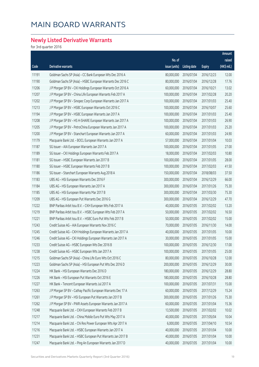### **Newly Listed Derivative Warrants**

for 3rd quarter 2016

|       |                                                              |               |                     |               | Amount      |
|-------|--------------------------------------------------------------|---------------|---------------------|---------------|-------------|
|       |                                                              | No. of        |                     |               | raised      |
| Code  | Derivative warrants                                          | issue (units) | <b>Listing date</b> | <b>Expiry</b> | (HK\$ mil.) |
| 11191 | Goldman Sachs SP (Asia) - CC Bank European Wts Dec 2016 A    | 80,000,000    | 2016/07/04          | 2016/12/23    | 12.00       |
| 11190 | Goldman Sachs SP (Asia) - HSBC European Warrants Dec 2016 C  | 80,000,000    | 2016/07/04          | 2016/12/28    | 17.76       |
| 11206 | J P Morgan SP BV - CKI Holdings European Warrants Oct 2016 A | 60,000,000    | 2016/07/04          | 2016/10/21    | 13.02       |
| 11207 | J P Morgan SP BV - China Life European Warrants Feb 2017 A   | 100,000,000   | 2016/07/04          | 2017/02/28    | 20.20       |
| 11202 | J P Morgan SP BV - Sinopec Corp European Warrants Jan 2017 A | 100,000,000   | 2016/07/04          | 2017/01/03    | 25.40       |
| 11213 | J P Morgan SP BV - HSBC European Warrants Oct 2016 C         | 100,000,000   | 2016/07/04          | 2016/10/07    | 25.60       |
| 11194 | J P Morgan SP BV - HSBC European Warrants Jan 2017 A         | 100,000,000   | 2016/07/04          | 2017/01/03    | 25.40       |
| 11208 | J P Morgan SP BV - HS H-SHARE European Warrants Jan 2017 A   | 100,000,000   | 2016/07/04          | 2017/01/03    | 26.90       |
| 11205 | J P Morgan SP BV - PetroChina European Warrants Jan 2017 A   | 100,000,000   | 2016/07/04          | 2017/01/03    | 25.20       |
| 11200 | J P Morgan SP BV - Stanchart European Warrants Jan 2017 A    | 60,000,000    | 2016/07/04          | 2017/01/03    | 24.90       |
| 11179 | Macquarie Bank Ltd. - BOCL European Warrants Jan 2017 A      | 57,000,000    | 2016/07/04          | 2017/01/04    | 10.03       |
| 11187 | SG Issuer - AIA European Warrants Jan 2017 A                 | 100,000,000   | 2016/07/04          | 2017/01/05    | 27.00       |
| 11189 | SG Issuer - CKI Holdings European Warrants Feb 2017 A        | 18,000,000    | 2016/07/04          | 2017/02/03    | 10.80       |
| 11181 | SG Issuer - HSBC European Warrants Jan 2017 B                | 100,000,000   | 2016/07/04          | 2017/01/05    | 28.00       |
| 11180 | SG Issuer - HSBC European Warrants Feb 2017 B                | 100,000,000   | 2016/07/04          | 2017/02/03    | 41.50       |
| 11186 | SG Issuer - Stanchart European Warrants Aug 2018 A           | 150,000,000   | 2016/07/04          | 2018/08/03    | 37.50       |
| 11183 | UBS AG - HSI European Warrants Dec 2016 F                    | 300,000,000   | 2016/07/04          | 2016/12/29    | 66.00       |
| 11184 | UBS AG - HSI European Warrants Jan 2017 A                    | 300,000,000   | 2016/07/04          | 2017/01/26    | 75.30       |
| 11185 | UBS AG - HSI European Warrants Mar 2017 B                    | 300,000,000   | 2016/07/04          | 2017/03/30    | 75.30       |
| 11209 | UBS AG - HSI European Put Warrants Dec 2016 G                | 300,000,000   | 2016/07/04          | 2016/12/29    | 47.70       |
| 11222 | BNP Paribas Arbit Issu B.V. - CKH European Wts Feb 2017 A    | 40,000,000    | 2016/07/05          | 2017/02/02    | 13.20       |
| 11219 | BNP Paribas Arbit Issu B.V. - HSBC European Wts Feb 2017 A   | 50,000,000    | 2016/07/05          | 2017/02/02    | 16.50       |
| 11221 | BNP Paribas Arbit Issu B.V. - HSBC Euro Put Wts Feb 2017 B   | 50,000,000    | 2016/07/05          | 2017/02/02    | 15.00       |
| 11243 | Credit Suisse AG - AIA European Warrants Nov 2016 C          | 70,000,000    | 2016/07/05          | 2016/11/30    | 14.00       |
| 11245 | Credit Suisse AG - CKH Holdings European Warrants Jan 2017 A | 40,000,000    | 2016/07/05          | 2017/01/05    | 10.00       |
| 11246 | Credit Suisse AG - CKI Holdings European Warrants Jan 2017 A | 30,000,000    | 2016/07/05          | 2017/01/05    | 15.00       |
| 11233 | Credit Suisse AG - HSBC European Wts Dec 2016 B              | 100,000,000   | 2016/07/05          | 2016/12/30    | 17.00       |
| 11238 | Credit Suisse AG - HSBC European Wts Jan 2017 A              | 100,000,000   | 2016/07/05          | 2017/01/05    | 25.00       |
| 11215 | Goldman Sachs SP (Asia) - China Life Euro Wts Oct 2016 C     | 80,000,000    | 2016/07/05          | 2016/10/28    | 12.00       |
| 11223 | Goldman Sachs SP (Asia) - HSI European Put Wts Dec 2016 D    | 200,000,000   | 2016/07/05          | 2016/12/29    | 30.00       |
| 11224 | HK Bank - HSI European Warrants Dec 2016 D                   | 180,000,000   | 2016/07/05          | 2016/12/29    | 28.80       |
| 11226 | HK Bank - HSI European Put Warrants Oct 2016 E               | 180,000,000   | 2016/07/05          | 2016/10/28    | 28.80       |
| 11227 | HK Bank - Tencent European Warrants Jul 2017 A               | 100,000,000   | 2016/07/05          | 2017/07/31    | 15.00       |
| 11263 | J P Morgan SP BV - Cathay Pacific European Warrants Dec 17 A | 60,000,000    | 2016/07/05          | 2017/12/29    | 15.24       |
| 11261 | J P Morgan SP BV - HSI European Put Warrants Jan 2017 B      | 300,000,000   | 2016/07/05          | 2017/01/26    | 75.30       |
| 11262 | J P Morgan SP BV - PWR Assets European Warrants Jan 2017 A   | 60,000,000    | 2016/07/05          | 2017/01/04    | 15.36       |
| 11248 | Macquarie Bank Ltd. - CKH European Warrants Feb 2017 B       | 13,500,000    | 2016/07/05          | 2017/02/02    | 10.02       |
| 11217 | Macquarie Bank Ltd. - China Mobile Euro Put Wts May 2017 A   | 40,000,000    | 2016/07/05          | 2017/05/04    | 10.04       |
| 11214 | Macquarie Bank Ltd. - Chi Res Power European Wts Apr 2017 A  | 6,000,000     | 2016/07/05          | 2017/04/10    | 10.54       |
| 11216 | Macquarie Bank Ltd. - HSBC European Warrants Jan 2017 A      | 40,000,000    | 2016/07/05          | 2017/01/04    | 10.00       |
| 11231 | Macquarie Bank Ltd. - HSBC European Put Warrants Jan 2017 B  | 40,000,000    | 2016/07/05          | 2017/01/04    | 10.00       |
| 11247 | Macquarie Bank Ltd. - Ping An European Warrants Jan 2017 D   | 40,000,000    | 2016/07/05          | 2017/01/04    | 10.00       |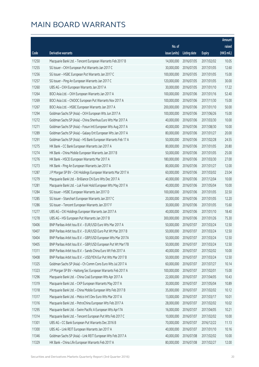|       |                                                              |               |                       |               | Amount      |
|-------|--------------------------------------------------------------|---------------|-----------------------|---------------|-------------|
|       |                                                              | No. of        |                       |               | raised      |
| Code  | Derivative warrants                                          | issue (units) | Listing date          | <b>Expiry</b> | (HK\$ mil.) |
| 11250 | Macquarie Bank Ltd. - Tencent European Warrants Feb 2017 B   | 14,000,000    | 2016/07/05            | 2017/02/02    | 10.05       |
| 11255 | SG Issuer - CKH European Put Warrants Jan 2017 C             | 30,000,000    | 2016/07/05            | 2017/01/05    | 12.60       |
| 11256 | SG Issuer - HSBC European Put Warrants Jan 2017 C            | 100,000,000   | 2016/07/05            | 2017/01/05    | 15.00       |
| 11257 | SG Issuer - Ping An European Warrants Jan 2017 C             | 120,000,000   | 2016/07/05            | 2017/01/05    | 30.00       |
| 11260 | UBS AG - CKH European Warrants Jan 2017 A                    | 30,000,000    | 2016/07/05            | 2017/01/10    | 17.22       |
| 11264 | BOCI Asia Ltd. - CKH European Warrants Jan 2017 A            | 100,000,000   | 2016/07/06            | 2017/01/16    | 52.40       |
| 11269 | BOCI Asia Ltd. - CNOOC European Put Warrants Nov 2017 A      | 100,000,000   | 2016/07/06            | 2017/11/30    | 15.00       |
| 11267 | BOCI Asia Ltd. - HSBC European Warrants Jan 2017 A           | 200,000,000   | 2016/07/06            | 2017/01/10    | 50.00       |
| 11294 | Goldman Sachs SP (Asia) - CKH European Wts Jun 2017 A        | 100,000,000   | 2016/07/06            | 2017/06/26    | 15.00       |
| 11272 | Goldman Sachs SP (Asia) - China Shenhua Euro Wts Mar 2017 A  | 40,000,000    | 2016/07/06            | 2017/03/30    | 10.00       |
| 11271 | Goldman Sachs SP (Asia) - Fosun Intl European Wts Aug 2017 A | 40,000,000    | 2016/07/06            | 2017/08/30    | 10.00       |
| 11289 | Goldman Sachs SP (Asia) - Galaxy Ent European Wts Jan 2017 A | 80,000,000    | 2016/07/06            | 2017/01/27    | 20.00       |
| 11291 | Goldman Sachs SP (Asia) - HS Bank European Warrants Feb 17 A | 50,000,000    | 2016/07/06            | 2017/02/28    | 24.55       |
| 11275 | HK Bank - CC Bank European Warrants Jan 2017 A               | 80,000,000    | 2016/07/06            | 2017/01/05    | 20.80       |
| 11274 | HK Bank - China Mobile European Warrants Jan 2017 B          | 50,000,000    | 2016/07/06            | 2017/01/05    | 25.00       |
| 11276 | HK Bank - HSCEI European Warrants Mar 2017 A                 | 180,000,000   | 2016/07/06            | 2017/03/30    | 27.00       |
| 11273 | HK Bank - Ping An European Warrants Jan 2017 A               | 80,000,000    | 2016/07/06            | 2017/01/27    | 12.00       |
| 11287 | J P Morgan SP BV - CKI Holdings European Warrants Mar 2017 A | 60,000,000    | 2016/07/06            | 2017/03/02    | 23.04       |
| 11279 | Macquarie Bank Ltd. - Brilliance Chi Euro Wts Dec 2017 A     | 40,000,000    | 2016/07/06            | 2017/12/04    | 10.00       |
| 11281 | Macquarie Bank Ltd. - Luk Fook Hold European Wts May 2017 A  | 40,000,000    | 2016/07/06            | 2017/05/04    | 10.00       |
| 11284 | SG Issuer - HSBC European Warrants Jan 2017 D                | 100,000,000   | 2016/07/06            | 2017/01/05    | 32.50       |
| 11285 | SG Issuer - Stanchart European Warrants Jan 2017 C           | 20,000,000    | 2016/07/06            | 2017/01/05    | 12.20       |
| 11286 | SG Issuer - Tencent European Warrants Jan 2017 F             | 30,000,000    | 2016/07/06            | 2017/01/05    | 15.60       |
| 11277 | UBS AG - CKI Holdings European Warrants Jan 2017 A           | 40,000,000    | 2016/07/06            | 2017/01/10    | 18.40       |
| 11278 | UBS AG - HSI European Put Warrants Jan 2017 B                | 300,000,000   | 2016/07/06            | 2017/01/26    | 75.30       |
| 10406 | BNP Paribas Arbit Issu B.V. - EUR/USD Euro Wts Mar 2017 A    | 50,000,000    | 2016/07/07            | 2017/03/24    | 12.50       |
| 10407 | BNP Paribas Arbit Issu B.V. - EUR/USD Euro Put Wt Mar 2017 B |               | 50,000,000 2016/07/07 | 2017/03/24    | 12.50       |
| 10404 | BNP Paribas Arbit Issu B.V. - GBP/USD European Wts Mar 2017A | 50,000,000    | 2016/07/07            | 2017/03/24    | 12.50       |
| 10405 | BNP Paribas Arbit Issu B.V. - GBP/USD European Put Wt Mar17B | 50,000,000    | 2016/07/07            | 2017/03/24    | 12.50       |
| 11311 | BNP Paribas Arbit Issu B.V. - Sands China Euro Wt Feb 2017 A | 40,000,000    | 2016/07/07            | 2017/02/02    | 10.00       |
| 10408 | BNP Paribas Arbit Issu B.V. - USD/YEN Eur Put Wts Mar 2017 B | 50,000,000    | 2016/07/07            | 2017/03/24    | 12.50       |
| 11325 | Goldman Sachs SP (Asia) - Ch Comm Cons Euro Wts Jul 2017 A   | 60,000,000    | 2016/07/07            | 2017/07/27    | 10.14       |
| 11323 | J P Morgan SP BV - Haitong Sec European Warrants Feb 2017 A  | 100,000,000   | 2016/07/07            | 2017/02/01    | 15.00       |
| 11296 | Macquarie Bank Ltd. - China Coal European Wts Apr 2017 A     | 22,000,000    | 2016/07/07            | 2017/04/05    | 10.43       |
| 11319 | Macquarie Bank Ltd. - CKP European Warrants May 2017 A       | 30,000,000    | 2016/07/07            | 2017/05/04    | 10.89       |
| 11318 | Macquarie Bank Ltd. - China Mobile European Wts Feb 2017 B   | 35,000,000    | 2016/07/07            | 2017/02/02    | 10.12       |
| 11317 | Macquarie Bank Ltd. - Melco Int'l Dev Euro Wts Mar 2017 A    | 13,000,000    | 2016/07/07            | 2017/03/17    | 10.01       |
| 11316 | Macquarie Bank Ltd. - PetroChina European Wts Feb 2017 A     | 28,000,000    | 2016/07/07            | 2017/02/02    | 10.02       |
| 11295 | Macquarie Bank Ltd. - Swire Pacific A European Wts Apr17A    | 16,000,000    | 2016/07/07            | 2017/04/05    | 10.21       |
| 11314 | Macquarie Bank Ltd. - Tencent European Put Wts Feb 2017 C    | 10,000,000    | 2016/07/07            | 2017/02/02    | 10.00       |
| 11301 | UBS AG - CC Bank European Put Warrants Dec 2016 B            | 70,000,000    | 2016/07/07            | 2016/12/22    | 11.13       |
| 11300 | UBS AG - Link REIT European Warrants Jan 2017 A              | 40,000,000    | 2016/07/07            | 2017/01/10    | 10.16       |
| 11346 | Goldman Sachs SP (Asia) - Link REIT European Wts Feb 2017 A  | 40,000,000    | 2016/07/08            | 2017/02/02    | 10.00       |
| 11329 | HK Bank - China Life European Warrants Feb 2017 A            | 80,000,000    | 2016/07/08            | 2017/02/27    | 12.00       |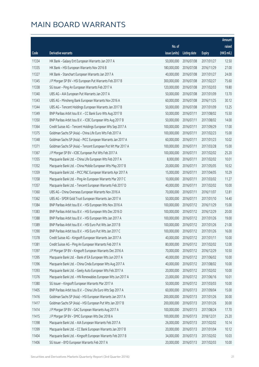|       |                                                              |                        |                     |               | Amount      |
|-------|--------------------------------------------------------------|------------------------|---------------------|---------------|-------------|
|       |                                                              | No. of                 |                     |               | raised      |
| Code  | <b>Derivative warrants</b>                                   | issue (units)          | <b>Listing date</b> | <b>Expiry</b> | (HK\$ mil.) |
| 11334 | HK Bank - Galaxy Ent European Warrants Jan 2017 A            | 50,000,000             | 2016/07/08          | 2017/01/27    | 12.50       |
| 11335 | HK Bank - HSI European Warrants Nov 2016 B                   | 180,000,000            | 2016/07/08          | 2016/11/29    | 27.00       |
| 11327 | HK Bank - Stanchart European Warrants Jan 2017 A             | 40,000,000             | 2016/07/08          | 2017/01/27    | 24.00       |
| 11345 | J P Morgan SP BV - HSI European Put Warrants Feb 2017 B      | 300,000,000            | 2016/07/08          | 2017/02/27    | 75.60       |
| 11338 | SG Issuer - Ping An European Warrants Feb 2017 A             | 120,000,000            | 2016/07/08          | 2017/02/03    | 19.80       |
| 11340 | UBS AG - AIA European Put Warrants Jan 2017 A                | 50,000,000             | 2016/07/08          | 2017/01/09    | 13.70       |
| 11343 | UBS AG - Minsheng Bank European Warrants Nov 2016 A          | 60,000,000             | 2016/07/08          | 2016/11/25    | 30.12       |
| 11344 | UBS AG - Tencent Holdings European Warrants Jan 2017 B       | 50,000,000             | 2016/07/08          | 2017/01/09    | 13.25       |
| 11349 | BNP Paribas Arbit Issu B.V. - CC Bank Euro Wts Aug 2017 B    | 50,000,000             | 2016/07/11          | 2017/08/02    | 15.50       |
| 11350 | BNP Paribas Arbit Issu B.V. - ICBC European Wts Aug 2017 B   | 50,000,000             | 2016/07/11          | 2017/08/02    | 14.00       |
| 11364 | Credit Suisse AG - Tencent Holdings European Wts Sep 2017 A  | 100,000,000            | 2016/07/11          | 2017/09/29    | 17.00       |
| 11375 | Goldman Sachs SP (Asia) - China Life Euro Wts Feb 2017 A     | 100,000,000            | 2016/07/11          | 2017/02/23    | 15.00       |
| 11348 | Goldman Sachs SP (Asia) - PICC European Warrants Jan 2017 A  | 60,000,000             | 2016/07/11          | 2017/01/23    | 10.02       |
| 11371 | Goldman Sachs SP (Asia) - Tencent European Put Wt Mar 2017 A | 100,000,000            | 2016/07/11          | 2017/03/28    | 15.00       |
| 11367 | J P Morgan SP BV - ICBC European Put Wts Feb 2017 A          | 100,000,000            | 2016/07/11          | 2017/02/02    | 25.20       |
| 11355 | Macquarie Bank Ltd. - China Life European Wts Feb 2017 A     | 8,000,000              | 2016/07/11          | 2017/02/02    | 10.01       |
| 11352 | Macquarie Bank Ltd. - China Mobile European Wts May 2017 B   | 20,000,000             | 2016/07/11          | 2017/05/05    | 10.52       |
| 11359 | Macquarie Bank Ltd. - PICC P&C European Warrants Apr 2017 A  | 15,000,000             | 2016/07/11          | 2017/04/05    | 10.29       |
| 11358 | Macquarie Bank Ltd. - Ping An European Warrants Mar 2017 C   | 10,000,000             | 2016/07/11          | 2017/03/02    | 11.27       |
| 11357 | Macquarie Bank Ltd. - Tencent European Warrants Feb 2017 D   | 40,000,000             | 2016/07/11          | 2017/02/02    | 10.00       |
| 11360 | UBS AG - China Overseas European Warrants Nov 2016 A         | 70,000,000             | 2016/07/11          | 2016/11/07    | 12.81       |
| 11362 | UBS AG - SPDR Gold Trust European Warrants Jan 2017 A        | 50,000,000             | 2016/07/11          | 2017/01/10    | 14.40       |
| 11384 | BNP Paribas Arbit Issu B.V. - HSI European Wts Nov 2016 A    | 100,000,000            | 2016/07/12          | 2016/11/29    | 15.00       |
| 11383 | BNP Paribas Arbit Issu B.V. - HSI European Wts Dec 2016 D    | 100,000,000            | 2016/07/12          | 2016/12/29    | 20.00       |
| 11388 | BNP Paribas Arbit Issu B.V. - HSI European Wts Jan 2017 A    | 100,000,000            | 2016/07/12          | 2017/01/26    | 19.00       |
| 11389 | BNP Paribas Arbit Issu B.V. - HSI Euro Put Wts Jan 2017 B    | 100,000,000            | 2016/07/12          | 2017/01/26    | 21.00       |
| 11390 | BNP Paribas Arbit Issu B.V. - HSI Euro Put Wts Jan 2017 C    | 100,000,000 2016/07/12 |                     | 2017/01/26    | 16.00       |
| 11378 | Credit Suisse AG - Kingsoft European Warrants Jan 2017 A     | 40,000,000             | 2016/07/12          | 2017/01/11    | 10.00       |
| 11381 | Credit Suisse AG - Ping An European Warrants Feb 2017 A      | 80,000,000             | 2016/07/12          | 2017/02/02    | 12.00       |
| 11397 | J P Morgan SP BV - Kingsoft European Warrants Dec 2016 A     | 70,000,000             | 2016/07/12          | 2016/12/29    | 10.50       |
| 11395 | Macquarie Bank Ltd. - Bank of EA European Wts Jun 2017 A     | 40,000,000             | 2016/07/12          | 2017/06/02    | 10.00       |
| 11396 | Macquarie Bank Ltd. - China Cinda European Wts Aug 2017 A    | 40,000,000             | 2016/07/12          | 2017/08/02    | 10.00       |
| 11393 | Macquarie Bank Ltd. - Geely Auto European Wts Feb 2017 A     | 20,000,000             | 2016/07/12          | 2017/02/02    | 10.00       |
| 11376 | Macquarie Bank Ltd. - HN Renewables European Wts Jun 2017 A  | 23,000,000             | 2016/07/12          | 2017/06/16    | 10.01       |
| 11380 | SG Issuer - Kingsoft European Warrants Mar 2017 A            | 50,000,000             | 2016/07/12          | 2017/03/03    | 10.00       |
| 11405 | BNP Paribas Arbit Issu B.V. - China Life Euro Wts Sep 2017 A | 60,000,000             | 2016/07/13          | 2017/09/04    | 15.00       |
| 11416 | Goldman Sachs SP (Asia) - HSI European Warrants Jan 2017 A   | 200,000,000            | 2016/07/13          | 2017/01/26    | 30.00       |
| 11417 | Goldman Sachs SP (Asia) - HSI European Put Wts Jan 2017 B    | 200,000,000            | 2016/07/13          | 2017/01/26    | 30.00       |
| 11414 | J P Morgan SP BV - GAC European Warrants Aug 2017 A          | 100,000,000            | 2016/07/13          | 2017/08/24    | 17.70       |
| 11415 | J P Morgan SP BV - SMIC European Wts Dec 2018 A              | 100,000,000            | 2016/07/13          | 2018/12/31    | 25.20       |
| 11398 | Macquarie Bank Ltd. - AIA European Warrants Feb 2017 A       | 26,000,000             | 2016/07/13          | 2017/02/02    | 10.14       |
| 11399 | Macquarie Bank Ltd. - CC Bank European Warrants Jan 2017 B   | 20,000,000             | 2016/07/13          | 2017/01/04    | 10.12       |
| 11404 | Macquarie Bank Ltd. - Kingsoft European Warrants Feb 2017 B  | 34,000,000             | 2016/07/13          | 2017/02/02    | 10.03       |
| 11406 | SG Issuer - BYD European Warrants Feb 2017 A                 | 20,000,000             | 2016/07/13          | 2017/02/03    | 10.00       |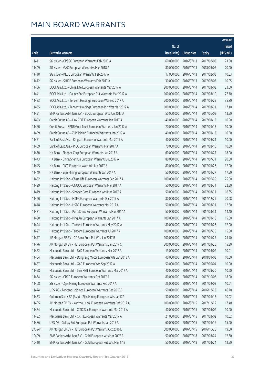|         |                                                               |               |                        |               | Amount      |
|---------|---------------------------------------------------------------|---------------|------------------------|---------------|-------------|
|         |                                                               | No. of        |                        |               | raised      |
| Code    | <b>Derivative warrants</b>                                    | issue (units) | <b>Listing date</b>    | <b>Expiry</b> | (HK\$ mil.) |
| 11411   | SG Issuer - CP&CC European Warrants Feb 2017 A                | 60,000,000    | 2016/07/13             | 2017/02/03    | 21.00       |
| 11409   | SG Issuer - GAC European Warrantss Mar 2018 A                 | 80,000,000    | 2016/07/13             | 2018/03/05    | 20.00       |
| 11410   | SG Issuer - KECL European Warrants Feb 2017 A                 | 17,000,000    | 2016/07/13             | 2017/02/03    | 10.03       |
| 11412   | SG Issuer - SHK P European Warrants Feb 2017 A                | 30,000,000    | 2016/07/13             | 2017/02/03    | 10.05       |
| 11436   | BOCI Asia Ltd. - China Life European Warrants Mar 2017 A      | 200,000,000   | 2016/07/14             | 2017/03/03    | 33.00       |
| 11441   | BOCI Asia Ltd. - Galaxy Ent European Put Warrants Mar 2017 A  | 100,000,000   | 2016/07/14             | 2017/03/10    | 27.70       |
| 11433   | BOCI Asia Ltd. - Tencent Holdings European Wts Sep 2017 A     | 200,000,000   | 2016/07/14             | 2017/09/29    | 35.80       |
| 11435   | BOCI Asia Ltd. - Tencent Holdings European Put Wts Mar 2017 A | 100,000,000   | 2016/07/14             | 2017/03/31    | 17.10       |
| 11451   | BNP Paribas Arbit Issu B.V. - BOCL European Wts Jun 2017 A    | 50,000,000    | 2016/07/14             | 2017/06/02    | 13.50       |
| 11463   | Credit Suisse AG - Link REIT European Warrants Jan 2017 A     | 40,000,000    | 2016/07/14             | 2017/01/13    | 10.00       |
| 11460   | Credit Suisse - SPDR Gold Trust European Warrants Jan 2017 A  | 20,000,000    | 2016/07/14             | 2017/01/13    | 10.00       |
| 11459   | Credit Suisse AG - Zijin Mining European Warrants Jan 2017 A  | 40,000,000    | 2016/07/14             | 2017/01/13    | 10.00       |
| 11471   | Bank of East Asia - Kingsoft European Warrants Mar 2017 A     | 40,000,000    | 2016/07/14             | 2017/03/21    | 10.00       |
| 11469   | Bank of East Asia - PICC European Warrants Mar 2017 A         | 70,000,000    | 2016/07/14             | 2017/03/10    | 10.50       |
| 11450   | HK Bank - Sinopec Corp European Warrants Jan 2017 A           | 60,000,000    | 2016/07/14             | 2017/01/27    | 18.00       |
| 11443   | HK Bank - China Shenhua European Warrants Jul 2017 A          | 80,000,000    | 2016/07/14             | 2017/07/31    | 20.00       |
| 11445   | HK Bank - PICC European Warrants Jan 2017 A                   | 80,000,000    | 2016/07/14             | 2017/01/26    | 12.00       |
| 11449   | HK Bank - Zijin Mining European Warrants Jan 2017 A           | 50,000,000    | 2016/07/14             | 2017/01/27    | 17.50       |
| 11432   | Haitong Int'l Sec - China Life European Warrants Sep 2017 A   | 100,000,000   | 2016/07/14             | 2017/09/29    | 25.00       |
| 11429   | Haitong Int'l Sec - CNOOC European Warrants Mar 2017 A        | 50,000,000    | 2016/07/14             | 2017/03/31    | 22.50       |
| 11419   | Haitong Int'l Sec - Sinopec Corp European Wts Mar 2017 A      | 50,000,000    | 2016/07/14             | 2017/03/31    | 16.85       |
| 11420   | Haitong Int'l Sec - HKEX European Warrants Dec 2017 A         | 80,000,000    | 2016/07/14             | 2017/12/29    | 20.08       |
| 11418   | Haitong Int'l Sec - HSBC European Warrants Mar 2017 A         | 50,000,000    | 2016/07/14             | 2017/03/31    | 12.50       |
| 11431   | Haitong Int'l Sec - PetroChina European Warrants Mar 2017 A   | 50,000,000    | 2016/07/14             | 2017/03/31    | 14.40       |
| 11430   | Haitong Int'l Sec - Ping An European Warrants Jan 2017 A      | 100,000,000   | 2016/07/14             | 2017/01/18    | 15.00       |
| 11424   | Haitong Int'l Sec - Tencent European Warrants May 2017 A      | 80,000,000    | 2016/07/14             | 2017/05/26    | 12.00       |
| 11427   | Haitong Int'l Sec - Tencent European Warrants Jul 2017 A      |               | 100,000,000 2016/07/14 | 2017/07/25    | 15.00       |
| 11477   | J P Morgan SP BV - CC Bank Euro Put Wts Jan 2017 B            | 100,000,000   | 2016/07/14             | 2017/01/27    | 25.40       |
| 11476   | J P Morgan SP BV - HSI European Put Warrants Jan 2017 C       | 300,000,000   | 2016/07/14             | 2017/01/26    | 45.30       |
| 11452   | Macquarie Bank Ltd. - BYD European Warrants Mar 2017 A        | 13,000,000    | 2016/07/14             | 2017/03/02    | 10.01       |
| 11454   | Macquarie Bank Ltd. - Dongfeng Motor European Wts Jan 2018 A  | 40,000,000    | 2016/07/14             | 2018/01/03    | 10.00       |
| 11457   | Macquarie Bank Ltd. - GAC European Wts Sep 2017 A             | 50,000,000    | 2016/07/14             | 2017/09/04    | 10.00       |
| 11458   | Macquarie Bank Ltd. - Link REIT European Warrants Mar 2017 A  | 40,000,000    | 2016/07/14             | 2017/03/20    | 10.00       |
| 11464   | SG Issuer - CRCC European Warrants Oct 2017 A                 | 80,000,000    | 2016/07/14             | 2017/10/06    | 18.00       |
| 11468   | SG Issuer - Zijin Mining European Warrants Feb 2017 A         | 26,000,000    | 2016/07/14             | 2017/02/03    | 10.01       |
| 11474   | UBS AG - Tencent Holdings European Warrants Dec 2016 E        | 50,000,000    | 2016/07/14             | 2016/12/23    | 46.70       |
| 11483   | Goldman Sachs SP (Asia) - Zijin Mining European Wts Jan17A    | 30,000,000    | 2016/07/15             | 2017/01/16    | 10.02       |
| 11485   | J P Morgan SP BV - Yanzhou Coal European Warrants Dec 2017 A  | 100,000,000   | 2016/07/15             | 2017/12/22    | 17.40       |
| 11484   | Macquarie Bank Ltd. - CITIC Sec European Warrants Mar 2017 A  | 40,000,000    | 2016/07/15             | 2017/03/02    | 10.00       |
| 11482   | Macquarie Bank Ltd. - CKH European Warrants Mar 2017 A        | 21,000,000    | 2016/07/15             | 2017/03/02    | 10.02       |
| 11486   | UBS AG - Galaxy Ent European Put Warrants Jan 2017 A          | 60,000,000    | 2016/07/15             | 2017/01/16    | 15.00       |
| 27394 # | J P Morgan SP BV - HSI European Put Warrants Oct 2016 E       | 300,000,000   | 2016/07/15             | 2016/10/28    | 19.50       |
| 10409   | BNP Paribas Arbit Issu B.V. - Gold European Wts Mar 2017 A    | 50,000,000    | 2016/07/18             | 2017/03/24    | 12.50       |
| 10410   | BNP Paribas Arbit Issu B.V. - Gold European Put Wts Mar 17 B  | 50,000,000    | 2016/07/18             | 2017/03/24    | 12.50       |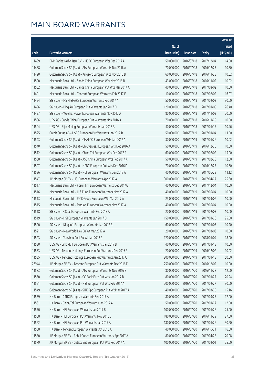|         |                                                               |               |                       |               | Amount      |
|---------|---------------------------------------------------------------|---------------|-----------------------|---------------|-------------|
|         |                                                               | No. of        |                       |               | raised      |
| Code    | <b>Derivative warrants</b>                                    | issue (units) | <b>Listing date</b>   | <b>Expiry</b> | (HK\$ mil.) |
| 11499   | BNP Paribas Arbit Issu B.V. - HSBC European Wts Dec 2017 A    | 50,000,000    | 2016/07/18            | 2017/12/04    | 14.00       |
| 11488   | Goldman Sachs SP (Asia) - AIA European Warrants Dec 2016 A    | 70,000,000    | 2016/07/18            | 2016/12/23    | 10.50       |
| 11490   | Goldman Sachs SP (Asia) - Kingsoft European Wts Nov 2016 B    | 60,000,000    | 2016/07/18            | 2016/11/28    | 10.02       |
| 11500   | Macquarie Bank Ltd. - Sands China European Wts Nov 2016 B     | 43,000,000    | 2016/07/18            | 2016/11/02    | 10.02       |
| 11502   | Macquarie Bank Ltd. - Sands China European Put Wts Mar 2017 A | 40,000,000    | 2016/07/18            | 2017/03/02    | 10.00       |
| 11491   | Macquarie Bank Ltd. - Tencent European Warrants Feb 2017 E    | 10,000,000    | 2016/07/18            | 2017/02/02    | 16.07       |
| 11494   | SG Issuer - HS H-SHARE European Warrants Feb 2017 A           | 50,000,000    | 2016/07/18            | 2017/02/03    | 30.00       |
| 11496   | SG Issuer - Ping An European Put Warrants Jan 2017 D          | 120,000,000   | 2016/07/18            | 2017/01/05    | 26.40       |
| 11497   | SG Issuer - Weichai Power European Warrants Nov 2017 A        | 80,000,000    | 2016/07/18            | 2017/11/03    | 20.00       |
| 11506   | UBS AG - Sands China European Put Warrants Nov 2016 A         | 70,000,000    | 2016/07/18            | 2016/11/25    | 10.50       |
| 11504   | UBS AG - Zijin Mining European Warrants Jan 2017 A            | 40,000,000    | 2016/07/18            | 2017/01/17    | 10.96       |
| 11525   | Credit Suisse AG - HSBC European Put Warrants Jan 2017 B      | 50,000,000    | 2016/07/19            | 2017/01/04    | 11.50       |
| 11543   | Goldman Sachs SP (Asia) - CHALCO European Wts Jan 2017 A      | 30,000,000    | 2016/07/19            | 2017/01/26    | 10.02       |
| 11540   | Goldman Sachs SP (Asia) - Ch Overseas European Wts Dec 2016 A | 50,000,000    | 2016/07/19            | 2016/12/30    | 10.00       |
| 11512   | Goldman Sachs SP (Asia) - China Tel European Wts Feb 2017 A   | 60,000,000    | 2016/07/19            | 2017/02/02    | 15.00       |
| 11538   | Goldman Sachs SP (Asia) - A50 China European Wts Feb 2017 A   | 50,000,000    | 2016/07/19            | 2017/02/28    | 12.50       |
| 11507   | Goldman Sachs SP (Asia) - HSBC European Put Wts Dec 2016 D    | 70,000,000    | 2016/07/19            | 2016/12/23    | 10.50       |
| 11536   | Goldman Sachs SP (Asia) - NCI European Warrants Jun 2017 A    | 40,000,000    | 2016/07/19            | 2017/06/29    | 11.12       |
| 11547   | J P Morgan SP BV - HSI European Warrants Apr 2017 A           | 300,000,000   | 2016/07/19            | 2017/04/27    | 75.30       |
| 11517   | Macquarie Bank Ltd. - Fosun Intl European Warrants Dec 2017A  | 40,000,000    | 2016/07/19            | 2017/12/04    | 10.00       |
| 11516   | Macquarie Bank Ltd. - Li & Fung European Warrants May 2017 A  | 40,000,000    | 2016/07/19            | 2017/05/04    | 10.00       |
| 11513   | Macquarie Bank Ltd. - PICC Group European Wts Mar 2017 A      | 25,000,000    | 2016/07/19            | 2017/03/02    | 10.00       |
| 11515   | Macquarie Bank Ltd. - Ping An European Warrants May 2017 A    | 40,000,000    | 2016/07/19            | 2017/05/04    | 10.00       |
| 11518   | SG Issuer - CCoal European Warrants Feb 2017 A                | 20,000,000    | 2016/07/19            | 2017/02/03    | 10.60       |
| 11519   | SG Issuer - HSI European Warrants Jan 2017 D                  | 150,000,000   | 2016/07/19            | 2017/01/26    | 25.50       |
| 11520   | SG Issuer - Kingsoft European Warrants Jan 2017 B             | 60,000,000    | 2016/07/19            | 2017/01/05    | 10.20       |
| 11521   | SG Issuer - NewWorld Dev Eu Wt Mar 2017 A                     |               | 20,000,000 2016/07/19 | 2017/03/03    | 10.00       |
| 11523   | SG Issuer - Yanzhou Coal Eu Wt Jan 2018 A                     | 120,000,000   | 2016/07/19            | 2018/01/04    | 18.00       |
| 11530   | UBS AG - Link REIT European Put Warrants Jan 2017 B           | 40,000,000    | 2016/07/19            | 2017/01/18    | 10.00       |
| 11533   | UBS AG - Tencent Holdings European Put Warrants Dec 2016 F    | 20,000,000    | 2016/07/19            | 2016/12/02    | 10.02       |
| 11535   | UBS AG - Tencent Holdings European Put Warrants Jan 2017 C    | 200,000,000   | 2016/07/19            | 2017/01/18    | 50.00       |
| 26944 * | J P Morgan SP BV - Tencent European Put Warrants Dec 2016 F   | 250,000,000   | 2016/07/19            | 2016/12/02    | 10.00       |
| 11583   | Goldman Sachs SP (Asia) - AIA European Warrants Nov 2016 B    | 80,000,000    | 2016/07/20            | 2016/11/28    | 12.00       |
| 11550   | Goldman Sachs SP (Asia) - CC Bank Euro Put Wts Jan 2017 B     | 80,000,000    | 2016/07/20            | 2017/01/27    | 20.24       |
| 11551   | Goldman Sachs SP (Asia) - HSI European Put Wts Feb 2017 A     | 200,000,000   | 2016/07/20            | 2017/02/27    | 30.00       |
| 11549   | Goldman Sachs SP (Asia) - SHK Ppt European Put Wt Mar 2017 A  | 40,000,000    | 2016/07/20            | 2017/03/30    | 15.16       |
| 11559   | HK Bank - CRRC European Warrants Sep 2017 A                   | 80,000,000    | 2016/07/20            | 2017/09/25    | 12.00       |
| 11561   | HK Bank - China Tel European Warrants Jan 2017 A              | 50,000,000    | 2016/07/20            | 2017/01/27    | 12.50       |
| 11570   | HK Bank - HSI European Warrants Jan 2017 B                    | 100,000,000   | 2016/07/20            | 2017/01/26    | 25.00       |
| 11568   | HK Bank - HSI European Put Warrants Nov 2016 C                | 180,000,000   | 2016/07/20            | 2016/11/29    | 27.00       |
| 11562   | HK Bank - HSI European Put Warrants Jan 2017 A                | 180,000,000   | 2016/07/20            | 2017/01/26    | 30.60       |
| 11558   | HK Bank - Tencent European Warrants Oct 2016 A                | 40,000,000    | 2016/07/20            | 2016/10/31    | 16.00       |
| 11580   | J P Morgan SP BV - Anhui Conch European Warrants Apr 2017 A   | 80,000,000    | 2016/07/20            | 2017/04/28    | 20.08       |
| 11579   | J P Morgan SP BV - Galaxy Ent European Put Wts Feb 2017 A     | 100,000,000   | 2016/07/20            | 2017/02/01    | 25.00       |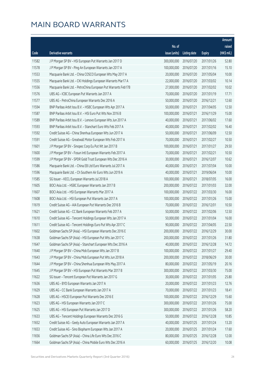|       |                                                               |                        |                     |               | Amount      |
|-------|---------------------------------------------------------------|------------------------|---------------------|---------------|-------------|
|       |                                                               | No. of                 |                     |               | raised      |
| Code  | Derivative warrants                                           | issue (units)          | <b>Listing date</b> | <b>Expiry</b> | (HK\$ mil.) |
| 11582 | J P Morgan SP BV - HSI European Put Warrants Jan 2017 D       | 300,000,000            | 2016/07/20          | 2017/01/26    | 52.80       |
| 11578 | J P Morgan SP BV - Ping An European Warrants Jan 2017 A       | 100,000,000            | 2016/07/20          | 2017/01/16    | 15.10       |
| 11553 | Macquarie Bank Ltd. - China COSCO European Wts May 2017 A     | 20,000,000             | 2016/07/20          | 2017/05/04    | 10.00       |
| 11555 | Macquarie Bank Ltd. - CKI Holdings European Warrants Mar17 A  | 22,000,000             | 2016/07/20          | 2017/03/02    | 10.14       |
| 11556 | Macquarie Bank Ltd. - PetroChina European Put Warrants Feb17B | 27,000,000             | 2016/07/20          | 2017/02/02    | 10.02       |
| 11576 | UBS AG - ICBC European Put Warrants Jan 2017 A                | 70,000,000             | 2016/07/20          | 2017/01/19    | 17.71       |
| 11577 | UBS AG - PetroChina European Warrants Dec 2016 A              | 50,000,000             | 2016/07/20          | 2016/12/21    | 12.60       |
| 11594 | BNP Paribas Arbit Issu B.V. - HSBC European Wts Apr 2017 A    | 50,000,000             | 2016/07/21          | 2017/04/05    | 12.50       |
| 11587 | BNP Paribas Arbit Issu B.V. - HSI Euro Put Wts Nov 2016 B     | 100,000,000            | 2016/07/21          | 2016/11/29    | 15.00       |
| 11589 | BNP Paribas Arbit Issu B.V. - Lenovo European Wts Jun 2017 A  | 40,000,000             | 2016/07/21          | 2017/06/02    | 17.60       |
| 11593 | BNP Paribas Arbit Issu B.V. - Stanchart Euro Wts Feb 2017 A   | 40,000,000             | 2016/07/21          | 2017/02/02    | 16.40       |
| 11592 | Credit Suisse AG - China Shenhua European Wts Jun 2017 A      | 50,000,000             | 2016/07/21          | 2017/06/09    | 12.50       |
| 11591 | Credit Suisse AG - Greatwall Motor European Wts Feb 2017 A    | 70,000,000             | 2016/07/21          | 2017/02/27    | 10.50       |
| 11601 | J P Morgan SP BV - Sinopec Corp Eu Put Wt Jan 2017 B          | 100,000,000            | 2016/07/21          | 2017/01/27    | 29.50       |
| 11600 | J P Morgan SP BV - Fosun Intl European Warrants Feb 2017 A    | 70,000,000             | 2016/07/21          | 2017/02/21    | 10.50       |
| 11599 | J P Morgan SP BV - SPDR Gold Trust European Wts Dec 2016 A    | 30,000,000             | 2016/07/21          | 2016/12/07    | 10.62       |
| 11586 | Macquarie Bank Ltd. - China EB Ltd Euro Warrants Jul 2017 A   | 40,000,000             | 2016/07/21          | 2017/07/04    | 10.00       |
| 11596 | Macquarie Bank Ltd. - Ch Southern Air Euro Wts Jun 2019 A     | 40,000,000             | 2016/07/21          | 2019/06/04    | 10.00       |
| 11585 | SG Issuer - KECL European Warrants Jul 2018 A                 | 100,000,000            | 2016/07/21          | 2018/07/05    | 16.00       |
| 11605 | BOCI Asia Ltd. - HSBC European Warrants Jan 2017 B            | 200,000,000            | 2016/07/22          | 2017/01/03    | 32.00       |
| 11607 | BOCI Asia Ltd. - HSI European Warrants Mar 2017 A             | 100,000,000            | 2016/07/22          | 2017/03/30    | 16.00       |
| 11608 | BOCI Asia Ltd. - HSI European Put Warrants Jan 2017 A         | 100,000,000            | 2016/07/22          | 2017/01/26    | 15.00       |
| 11619 | Credit Suisse AG - AIA European Put Warrants Dec 2016 B       | 70,000,000             | 2016/07/22          | 2016/12/01    | 10.50       |
| 11621 | Credit Suisse AG - CC Bank European Warrants Feb 2017 A       | 50,000,000             | 2016/07/22          | 2017/02/06    | 12.50       |
| 11610 | Credit Suisse AG - Tencent Holdings European Wts Jan 2017 A   | 50,000,000             | 2016/07/22          | 2017/01/04    | 16.00       |
| 11611 | Credit Suisse AG - Tencent Holdings Euro Put Wts Apr 2017 C   | 90,000,000             | 2016/07/22          | 2017/04/05    | 22.50       |
| 11602 | Goldman Sachs SP (Asia) - HSI European Warrants Dec 2016 E    | 200,000,000 2016/07/22 |                     | 2016/12/29    | 30.00       |
| 11638 | Goldman Sachs SP (Asia) - HSI European Put Wts Jan 2017 C     | 200,000,000            | 2016/07/22          | 2017/01/26    | 31.80       |
| 11647 | Goldman Sachs SP (Asia) - Stanchart European Wts Dec 2016 A   | 40,000,000             | 2016/07/22          | 2016/12/28    | 14.72       |
| 11640 | J P Morgan SP BV - China Mob European Wts Jan 2017 B          | 100,000,000            | 2016/07/22          | 2017/01/27    | 29.40       |
| 11643 | J P Morgan SP BV - China Mob European Put Wts Jun 2018 A      | 200,000,000            | 2016/07/22          | 2018/06/29    | 30.00       |
| 11644 | J P Morgan SP BV - China Shenhua European Wts May 2017 A      | 80,000,000             | 2016/07/22          | 2017/05/19    | 20.16       |
| 11645 | J P Morgan SP BV - HSI European Put Warrants Mar 2017 B       | 300,000,000            | 2016/07/22          | 2017/03/30    | 75.00       |
| 11622 | SG Issuer - Tencent European Put Warrants Jan 2017 G          | 30,000,000             | 2016/07/22          | 2017/01/05    | 25.80       |
| 11636 | UBS AG - BYD European Warrants Jan 2017 A                     | 20,000,000             | 2016/07/22          | 2017/01/23    | 12.76       |
| 11629 | UBS AG - CC Bank European Warrants Jan 2017 A                 | 70,000,000             | 2016/07/22          | 2017/01/23    | 18.41       |
| 11628 | UBS AG - HSCEI European Put Warrants Dec 2016 E               | 100,000,000            | 2016/07/22          | 2016/12/29    | 15.60       |
| 11623 | UBS AG - HSI European Warrants Jan 2017 C                     | 300,000,000            | 2016/07/22          | 2017/01/26    | 75.00       |
| 11625 | UBS AG - HSI European Put Warrants Jan 2017 D                 | 300,000,000            | 2016/07/22          | 2017/01/26    | 58.20       |
| 11633 | UBS AG - Tencent Holdings European Warrants Dec 2016 G        | 50,000,000             | 2016/07/22          | 2016/12/28    | 10.85       |
| 11652 | Credit Suisse AG - Geely Auto European Warrants Jan 2017 A    | 40,000,000             | 2016/07/25          | 2017/01/24    | 13.20       |
| 11653 | Credit Suisse AG - Sino Biopharm European Wts Jan 2017 A      | 20,000,000             | 2016/07/25          | 2017/01/24    | 17.60       |
| 11656 | Goldman Sachs SP (Asia) - China Life Euro Wts Dec 2016 C      | 80,000,000             | 2016/07/25          | 2016/12/28    | 12.00       |
| 11664 | Goldman Sachs SP (Asia) - China Mobile Euro Wts Dec 2016 A    | 60,000,000             | 2016/07/25          | 2016/12/20    | 10.08       |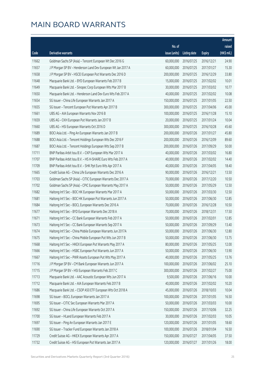|       |                                                              |               |                       |               | Amount      |
|-------|--------------------------------------------------------------|---------------|-----------------------|---------------|-------------|
|       |                                                              | No. of        |                       |               | raised      |
| Code  | <b>Derivative warrants</b>                                   | issue (units) | <b>Listing date</b>   | <b>Expiry</b> | (HK\$ mil.) |
| 11662 | Goldman Sachs SP (Asia) - Tencent European Wt Dec 2016 G     | 60,000,000    | 2016/07/25            | 2016/12/21    | 24.90       |
| 11657 | J P Morgan SP BV - Henderson Land Dev European Wt Jan 2017 A | 60,000,000    | 2016/07/25            | 2017/01/27    | 15.30       |
| 11658 | J P Morgan SP BV - HSCEI European Put Warrants Dec 2016 D    | 200,000,000   | 2016/07/25            | 2016/12/29    | 33.80       |
| 11648 | Macquarie Bank Ltd. - BYD European Warrants Feb 2017 B       | 15,000,000    | 2016/07/25            | 2017/02/02    | 10.01       |
| 11649 | Macquarie Bank Ltd. - Sinopec Corp European Wts Mar 2017 B   | 30,000,000    | 2016/07/25            | 2017/03/02    | 10.77       |
| 11650 | Macquarie Bank Ltd. - Henderson Land Dev Euro Wts Feb 2017 A | 40,000,000    | 2016/07/25            | 2017/02/02    | 10.08       |
| 11654 | SG Issuer - China Life European Warrants Jan 2017 A          | 150,000,000   | 2016/07/25            | 2017/01/05    | 22.50       |
| 11655 | SG Issuer - Tencent European Put Warrants Apr 2017 B         | 300,000,000   | 2016/07/25            | 2017/04/06    | 45.00       |
| 11661 | UBS AG - AIA European Warrants Nov 2016 B                    | 100,000,000   | 2016/07/25            | 2016/11/28    | 15.10       |
| 11659 | UBS AG - CKH European Put Warrants Jan 2017 B                | 20,000,000    | 2016/07/25            | 2017/01/24    | 10.04       |
| 11660 | UBS AG - HSI European Warrants Oct 2016 D                    | 300,000,000   | 2016/07/25            | 2016/10/28    | 45.60       |
| 11689 | BOCI Asia Ltd. - Ping An European Warrants Jan 2017 B        | 200,000,000   | 2016/07/26            | 2017/01/27    | 45.80       |
| 11688 | BOCI Asia Ltd. - Tencent Holdings European Wts Dec 2016 F    | 200,000,000   | 2016/07/26            | 2016/12/09    | 89.60       |
| 11687 | BOCI Asia Ltd. - Tencent Holdings European Wts Sep 2017 B    | 200,000,000   | 2016/07/26            | 2017/09/29    | 50.00       |
| 11711 | BNP Paribas Arbit Issu B.V. - CKP European Wts Mar 2017 A    | 40,000,000    | 2016/07/26            | 2017/03/02    | 16.80       |
| 11707 | BNP Paribas Arbit Issu B.V. - HS H-SHARE Euro Wts Feb 2017 A | 40,000,000    | 2016/07/26            | 2017/02/02    | 14.40       |
| 11709 | BNP Paribas Arbit Issu B.V. - SHK Ppt Euro Wts Apr 2017 A    | 40,000,000    | 2016/07/26            | 2017/04/05    | 18.40       |
| 11665 | Credit Suisse AG - China Life European Warrants Dec 2016 A   | 90,000,000    | 2016/07/26            | 2016/12/21    | 13.50       |
| 11703 | Goldman Sachs SP (Asia) - CITIC European Warrants Dec 2017 A | 70,000,000    | 2016/07/26            | 2017/12/20    | 10.50       |
| 11702 | Goldman Sachs SP (Asia) - CPIC European Warrants May 2017 A  | 50,000,000    | 2016/07/26            | 2017/05/29    | 12.50       |
| 11682 | Haitong Int'l Sec - BOC HK European Warrants Mar 2017 A      | 50,000,000    | 2016/07/26            | 2017/03/30    | 12.50       |
| 11681 | Haitong Int'l Sec - BOC HK European Put Warrants Jun 2017 A  | 50,000,000    | 2016/07/26            | 2017/06/30    | 12.85       |
| 11684 | Haitong Int'l Sec - BOCL European Warrants Dec 2016 A        | 70,000,000    | 2016/07/26            | 2016/12/28    | 10.50       |
| 11677 | Haitong Int'l Sec - BYD European Warrants Dec 2018 A         | 70,000,000    | 2016/07/26            | 2018/12/31    | 17.50       |
| 11671 | Haitong Int'l Sec - CC Bank European Warrants Feb 2017 A     | 50,000,000    | 2016/07/26            | 2017/02/01    | 12.85       |
| 11673 | Haitong Int'l Sec - CC Bank European Warrants Sep 2017 A     | 50,000,000    | 2016/07/26            | 2017/09/29    | 13.40       |
| 11674 | Haitong Int'l Sec - China Mobile European Warrants Jun 2017A |               | 50,000,000 2016/07/26 | 2017/06/30    | 12.80       |
| 11675 | Haitong Int'l Sec - China Mobile European Put Wts Jun 2017 B | 50,000,000    | 2016/07/26            | 2017/06/30    | 13.75       |
| 11668 | Haitong Int'l Sec - HKEX European Put Warrants May 2017 A    | 80,000,000    | 2016/07/26            | 2017/05/25    | 12.00       |
| 11666 | Haitong Int'l Sec - HSBC European Put Warrants Jun 2017 A    | 50,000,000    | 2016/07/26            | 2017/06/30    | 13.90       |
| 11667 | Haitong Int'l Sec - PWR Assets European Put Wts May 2017 A   | 40,000,000    | 2016/07/26            | 2017/05/25    | 13.76       |
| 11716 | J P Morgan SP BV - CM Bank European Warrants Jun 2017 A      | 100,000,000   | 2016/07/26            | 2017/06/02    | 25.10       |
| 11715 | J P Morgan SP BV - HSI European Warrants Feb 2017 C          | 300,000,000   | 2016/07/26            | 2017/02/27    | 75.00       |
| 11713 | Macquarie Bank Ltd. - AAC Acoustic European Wts Jun 2017 A   | 9,500,000     | 2016/07/26            | 2017/06/16    | 10.00       |
| 11712 | Macquarie Bank Ltd. - AIA European Warrants Feb 2017 B       | 40,000,000    | 2016/07/26            | 2017/02/02    | 10.20       |
| 11686 | Macquarie Bank Ltd. - CSOP A50 ETF European Wts Oct 2018 A   | 45,000,000    | 2016/07/26            | 2018/10/03    | 10.04       |
| 11698 | SG Issuer - BOCL European Warrants Jan 2017 A                | 100,000,000   | 2016/07/26            | 2017/01/05    | 16.50       |
| 11695 | SG Issuer - CITIC Sec European Warrants Mar 2017 A           | 50,000,000    | 2016/07/26            | 2017/03/03    | 10.00       |
| 11692 | SG Issuer - China Life European Warrants Oct 2017 A          | 150,000,000   | 2016/07/26            | 2017/10/06    | 32.25       |
| 11700 | SG Issuer - HLand European Warrants Feb 2017 A               | 30,000,000    | 2016/07/26            | 2017/02/03    | 10.05       |
| 11697 | SG Issuer - Ping An European Warrants Jan 2017 E             | 120,000,000   | 2016/07/26            | 2017/01/05    | 18.60       |
| 11690 | SG Issuer - Tracker Fund European Warrants Jan 2018 A        | 100,000,000   | 2016/07/26            | 2018/01/04    | 16.50       |
| 11729 | Credit Suisse AG - HKEX European Warrants Apr 2017 A         | 150,000,000   | 2016/07/27            | 2017/04/05    | 37.50       |
| 11732 | Credit Suisse AG - HSI European Put Warrants Jan 2017 A      | 120,000,000   | 2016/07/27            | 2017/01/26    | 18.00       |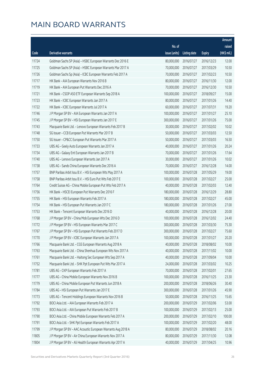|       |                                                              |                        |                     |               | Amount      |
|-------|--------------------------------------------------------------|------------------------|---------------------|---------------|-------------|
|       |                                                              | No. of                 |                     |               | raised      |
| Code  | <b>Derivative warrants</b>                                   | issue (units)          | <b>Listing date</b> | <b>Expiry</b> | (HK\$ mil.) |
| 11724 | Goldman Sachs SP (Asia) - HSBC European Warrants Dec 2016 E  | 80,000,000             | 2016/07/27          | 2016/12/23    | 12.00       |
| 11725 | Goldman Sachs SP (Asia) - HSBC European Warrants Mar 2017 A  | 70,000,000             | 2016/07/27          | 2017/03/29    | 10.50       |
| 11726 | Goldman Sachs Sp (Asia) - ICBC European Warrants Feb 2017 A  | 70,000,000             | 2016/07/27          | 2017/02/23    | 10.50       |
| 11717 | HK Bank - AIA European Warrants Nov 2016 B                   | 80,000,000             | 2016/07/27          | 2016/11/30    | 12.00       |
| 11719 | HK Bank - AIA European Put Warrants Dec 2016 A               | 70,000,000             | 2016/07/27          | 2016/12/30    | 10.50       |
| 11721 | HK Bank - CSOP A50 ETF European Warrants Sep 2018 A          | 100,000,000            | 2016/07/27          | 2018/09/27    | 15.00       |
| 11723 | HK Bank - ICBC European Warrants Jan 2017 A                  | 80,000,000             | 2016/07/27          | 2017/01/26    | 14.40       |
| 11722 | HK Bank - ICBC European Warrants Jul 2017 A                  | 60,000,000             | 2016/07/27          | 2017/07/31    | 19.20       |
| 11746 | J P Morgan SP BV - AIA European Warrants Jan 2017 A          | 100,000,000            | 2016/07/27          | 2017/01/27    | 25.10       |
| 11745 | J P Morgan SP BV - HSI European Warrants Jan 2017 E          | 300,000,000            | 2016/07/27          | 2017/01/26    | 75.00       |
| 11743 | Macquarie Bank Ltd. - Lenovo European Warrants Feb 2017 B    | 30,000,000             | 2016/07/27          | 2017/02/02    | 10.02       |
| 11748 | SG Issuer - CCB European Put Warrants Mar 2017 B             | 50,000,000             | 2016/07/27          | 2017/03/03    | 12.50       |
| 11750 | SG Issuer - CP&CC European Put Warrants Mar 2017 A           | 50,000,000             | 2016/07/27          | 2017/03/03    | 16.50       |
| 11733 | UBS AG - Geely Auto European Warrants Jan 2017 A             | 40,000,000             | 2016/07/27          | 2017/01/26    | 20.24       |
| 11734 | UBS AG - Galaxy Ent European Warrants Jan 2017 B             | 70,000,000             | 2016/07/27          | 2017/01/26    | 17.64       |
| 11740 | UBS AG - Lenovo European Warrants Jan 2017 A                 | 30,000,000             | 2016/07/27          | 2017/01/26    | 10.02       |
| 11738 | UBS AG - Sands China European Warrants Dec 2016 A            | 70,000,000             | 2016/07/27          | 2016/12/28    | 14.00       |
| 11757 | BNP Paribas Arbit Issu B.V. - HSI European Wts May 2017 A    | 100,000,000            | 2016/07/28          | 2017/05/29    | 19.00       |
| 11758 | BNP Paribas Arbit Issu B.V. - HSI Euro Put Wts Feb 2017 E    | 100,000,000            | 2016/07/28          | 2017/02/27    | 25.00       |
| 11764 | Credit Suisse AG - China Mobile European Put Wts Feb 2017 A  | 40,000,000             | 2016/07/28          | 2017/02/03    | 12.40       |
| 11756 | HK Bank - HSCEI European Put Warrants Dec 2016 F             | 180,000,000            | 2016/07/28          | 2016/12/29    | 28.80       |
| 11755 | HK Bank - HSI European Warrants Feb 2017 A                   | 180,000,000            | 2016/07/28          | 2017/02/27    | 45.00       |
| 11754 | HK Bank - HSI European Put Warrants Jan 2017 C               | 180,000,000            | 2016/07/28          | 2017/01/26    | 27.00       |
| 11753 | HK Bank - Tencent European Warrants Dec 2016 D               | 40,000,000             | 2016/07/28          | 2016/12/28    | 20.00       |
| 11768 | J P Morgan SP BV - China Mob European Wts Dec 2016 D         | 100,000,000            | 2016/07/28          | 2016/12/02    | 24.40       |
| 11772 | J P Morgan SP BV - HSI European Warrants Mar 2017 C          | 300,000,000            | 2016/07/28          | 2017/03/30    | 75.30       |
| 11767 | J P Morgan SP BV - HSI European Put Warrants Feb 2017 D      | 300,000,000 2016/07/28 |                     | 2017/02/27    | 75.60       |
| 11770 | J P Morgan SP BV - ICBC European Warrants Jan 2017 A         | 100,000,000            | 2016/07/28          | 2017/01/27    | 20.20       |
| 11766 | Macquarie Bank Ltd. - CGS European Warrants Aug 2018 A       | 40,000,000             | 2016/07/28          | 2018/08/02    | 10.00       |
| 11763 | Macquarie Bank Ltd. - China Shenhua European Wts Nov 2017 A  | 40,000,000             | 2016/07/28          | 2017/11/02    | 10.00       |
| 11761 | Macquarie Bank Ltd. - Haitong Sec European Wts Sep 2017 A    | 40,000,000             | 2016/07/28          | 2017/09/04    | 10.00       |
| 11752 | Macquarie Bank Ltd. - SHK Ppt European Put Wts Mar 2017 A    | 24,000,000             | 2016/07/28          | 2017/03/02    | 10.25       |
| 11781 | UBS AG - CKP European Warrants Feb 2017 A                    | 70,000,000             | 2016/07/28          | 2017/02/01    | 27.65       |
| 11777 | UBS AG - China Mobile European Warrants Nov 2016 B           | 100,000,000            | 2016/07/28          | 2016/11/25    | 23.30       |
| 11779 | UBS AG - China Mobile European Put Warrants Jun 2018 A       | 200,000,000            | 2016/07/28          | 2018/06/26    | 30.40       |
| 11784 | UBS AG - HSI European Put Warrants Jan 2017 E                | 300,000,000            | 2016/07/28          | 2017/01/26    | 45.90       |
| 11773 | UBS AG - Tencent Holdings European Warrants Nov 2016 B       | 50,000,000             | 2016/07/28          | 2016/11/25    | 15.65       |
| 11792 | BOCI Asia Ltd. - AIA European Warrants Feb 2017 A            | 200,000,000            | 2016/07/29          | 2017/02/06    | 53.00       |
| 11793 | BOCI Asia Ltd. - AIA European Put Warrants Feb 2017 B        | 100,000,000            | 2016/07/29          | 2017/02/13    | 25.00       |
| 11790 | BOCI Asia Ltd. - China Mobile European Warrants Feb 2017 A   | 200,000,000            | 2016/07/29          | 2017/02/10    | 100.00      |
| 11791 | BOCI Asia Ltd. - SHK Ppt European Warrants Feb 2017 A        | 100,000,000            | 2016/07/29          | 2017/02/20    | 48.00       |
| 11799 | J P Morgan SP BV - AAC Acoustic European Warrants Aug 2018 A | 80,000,000             | 2016/07/29          | 2018/08/02    | 20.16       |
| 11805 | J P Morgan SP BV - Air China European Warrants Nov 2017 A    | 80,000,000             | 2016/07/29          | 2017/11/30    | 12.08       |
| 11804 | J P Morgan SP BV - Ali Health European Warrants Apr 2017 A   | 40,000,000             | 2016/07/29          | 2017/04/25    | 10.96       |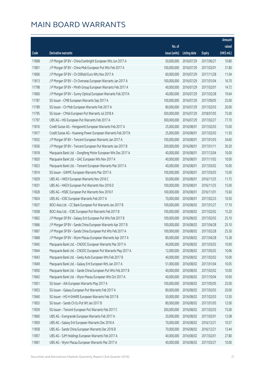|       |                                                               |               |                        |               | Amount      |
|-------|---------------------------------------------------------------|---------------|------------------------|---------------|-------------|
|       |                                                               | No. of        |                        |               | raised      |
| Code  | Derivative warrants                                           | issue (units) | Listing date           | <b>Expiry</b> | (HK\$ mil.) |
| 11808 | J P Morgan SP BV - China Everbright European Wts Jun 2017 A   | 50,000,000    | 2016/07/29             | 2017/06/27    | 10.80       |
| 11801 | J P Morgan SP BV - China Mob European Put Wts Feb 2017 A      | 100,000,000   | 2016/07/29             | 2017/02/01    | 31.80       |
| 11806 | J P Morgan SP BV - Ch Oilfield Euro Wts Nov 2017 A            | 60,000,000    | 2016/07/29             | 2017/11/28    | 11.04       |
| 11813 | J P Morgan SP BV - Ch Overseas European Warrants Jan 2017 A   | 100,000,000   | 2016/07/29             | 2017/01/04    | 16.70       |
| 11798 | J P Morgan SP BV - Minth Group European Warrants Feb 2017 A   | 40,000,000    | 2016/07/29             | 2017/02/01    | 14.72       |
| 11800 | J P Morgan SP BV - Sunny Optical European Warrants Feb 2017A  | 40,000,000    | 2016/07/29             | 2017/02/28    | 19.64       |
| 11787 | SG Issuer - CMB European Warrants Sep 2017 A                  | 100,000,000   | 2016/07/29             | 2017/09/05    | 25.00       |
| 11789 | SG Issuer - Ch Mob European Warrants Feb 2017 A               | 80,000,000    | 2016/07/29             | 2017/02/03    | 20.00       |
| 11795 | SG Issuer - CMob European Put Warrants Jul 2018 A             | 500,000,000   | 2016/07/29             | 2018/07/05    | 75.00       |
| 11797 | UBS AG - HSI European Put Warrants Feb 2017 A                 | 300,000,000   | 2016/07/29             | 2017/02/27    | 77.70       |
| 11816 | Credit Suisse AG - Henganintl European Warrants Feb 2017 A    | 25,000,000    | 2016/08/01             | 2017/02/03    | 15.00       |
| 11817 | Credit Suisse AG - Huaneng Power European Warrants Feb 2017A  | 25,000,000    | 2016/08/01             | 2017/02/03    | 11.50       |
| 11832 | J P Morgan SP BV - Tencent European Warrants Jan 2017 A       | 100,000,000   | 2016/08/01             | 2017/01/03    | 34.60       |
| 11836 | J P Morgan SP BV - Tencent European Put Warrants Jan 2017 B   | 200,000,000   | 2016/08/01             | 2017/01/11    | 30.20       |
| 11818 | Macquarie Bank Ltd. - Dongfeng Motor European Wts Dec 2017 A  | 40,000,000    | 2016/08/01             | 2017/12/04    | 10.00       |
| 11820 | Macquarie Bank Ltd. - GAC European Wts Nov 2017 A             | 40,000,000    | 2016/08/01             | 2017/11/02    | 10.00       |
| 11823 | Macquarie Bank Ltd. - Tencent European Warrants Mar 2017 A    | 40,000,000    | 2016/08/01             | 2017/03/02    | 10.00       |
| 11814 | SG Issuer - GWMC European Warrants Mar 2017 A                 | 100,000,000   | 2016/08/01             | 2017/03/03    | 15.00       |
| 11829 | UBS AG - HKEX European Warrants Nov 2016 C                    | 50,000,000    | 2016/08/01             | 2016/11/25    | 11.75       |
| 11831 | UBS AG - HKEX European Put Warrants Nov 2016 D                | 100,000,000   | 2016/08/01             | 2016/11/25    | 15.00       |
| 11828 | UBS AG - HSBC European Put Warrants Nov 2016 F                | 100,000,000   | 2016/08/01             | 2016/11/01    | 15.60       |
| 11824 | UBS AG - ICBC European Warrants Feb 2017 A                    | 70,000,000    | 2016/08/01             | 2017/02/23    | 10.50       |
| 11837 | BOCI Asia Ltd. - CC Bank European Put Warrants Jan 2017 B     | 100,000,000   | 2016/08/02             | 2017/01/27    | 17.10       |
| 11838 | BOCI Asia Ltd. - ICBC European Put Warrants Feb 2017 B        | 100,000,000   | 2016/08/02             | 2017/02/02    | 15.20       |
| 11862 | J P Morgan SP BV - Galaxy Ent European Put Wts Feb 2017 B     | 100,000,000   | 2016/08/02             | 2017/02/03    | 25.10       |
| 11866 | J P Morgan SP BV - Sands China European Warrants Apr 2017 B   | 100,000,000   | 2016/08/02             | 2017/04/28    | 25.10       |
| 11867 | J P Morgan SP BV – Sands China European Put Wts Feb 2017 A    |               | 100,000,000 2016/08/02 | 2017/02/28    | 25.30       |
| 11868 | J P Morgan SP BV - Wynn Macau European Warrants Apr 2017 A    | 80,000,000    | 2016/08/02             | 2017/04/28    | 15.28       |
| 11845 | Macquarie Bank Ltd. - CNOOC European Warrants Mar 2017 A      | 40,000,000    | 2016/08/02             | 2017/03/02    | 10.00       |
| 11844 | Macquarie Bank Ltd. - CNOOC European Put Warrants May 2017 A  | 12,000,000    | 2016/08/02             | 2017/05/02    | 10.06       |
| 11843 | Macquarie Bank Ltd. - Geely Auto European Wts Feb 2017 B      | 40,000,000    | 2016/08/02             | 2017/02/02    | 10.00       |
| 11849 | Macquarie Bank Ltd. - Galaxy Ent European Wts Jan 2017 A      | 51,000,000    | 2016/08/02             | 2017/01/04    | 10.05       |
| 11850 | Macquarie Bank Ltd. - Sands China European Put Wts Feb 2017 B | 40,000,000    | 2016/08/02             | 2017/02/02    | 10.00       |
| 11842 | Macquarie Bank Ltd. - Wynn Macau European Wts Oct 2017 A      | 40,000,000    | 2016/08/02             | 2017/10/04    | 10.00       |
| 11851 | SG Issuer - AIA European Warrants May 2017 A                  | 100,000,000   | 2016/08/02             | 2017/05/05    | 25.00       |
| 11853 | SG Issuer - Galaxy European Put Warrants Feb 2017 A           | 80,000,000    | 2016/08/02             | 2017/02/03    | 20.00       |
| 11840 | SG Issuer - HS H-SHARE European Warrants Feb 2017 B           | 50,000,000    | 2016/08/02             | 2017/02/03    | 12.50       |
| 11855 | SG Issuer - Sands Ch Eu Put Wt Jan 2017 B                     | 80,000,000    | 2016/08/02             | 2017/01/05    | 12.00       |
| 11839 | SG Issuer - Tencent European Put Warrants Feb 2017 C          | 300,000,000   | 2016/08/02             | 2017/02/03    | 75.00       |
| 11860 | UBS AG - Evergrande European Warrants Feb 2017 A              | 20,000,000    | 2016/08/02             | 2017/02/01    | 12.08       |
| 11859 | UBS AG - Galaxy Ent European Warrants Dec 2016 A              | 70,000,000    | 2016/08/02             | 2016/12/21    | 10.57       |
| 11858 | UBS AG - Sands China European Warrants Dec 2016 B             | 70,000,000    | 2016/08/02             | 2016/12/21    | 13.44       |
| 11857 | UBS AG - SJM Holdings European Warrants Feb 2017 A            | 40,000,000    | 2016/08/02             | 2017/02/01    | 27.80       |
| 11861 | UBS AG - Wynn Macau European Warrants Mar 2017 A              | 40,000,000    | 2016/08/02             | 2017/03/27    | 10.00       |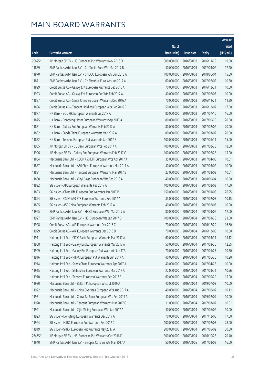|         |                                                              |               |                       |               | Amount      |
|---------|--------------------------------------------------------------|---------------|-----------------------|---------------|-------------|
|         |                                                              | No. of        |                       |               | raised      |
| Code    | <b>Derivative warrants</b>                                   | issue (units) | Listing date          | <b>Expiry</b> | (HK\$ mil.) |
| 28625 # | J P Morgan SP BV - HSI European Put Warrants Nov 2016 D      | 300,000,000   | 2016/08/02            | 2016/11/29    | 19.50       |
| 11869   | BNP Paribas Arbit Issu B.V. - Ch Mobile Euro Wts Mar 2017 B  | 40,000,000    | 2016/08/03            | 2017/03/02    | 17.20       |
| 11870   | BNP Paribas Arbit Issu B.V. - CNOOC European Wts Jun 2018 A  | 100,000,000   | 2016/08/03            | 2018/06/04    | 15.00       |
| 11871   | BNP Paribas Arbit Issu B.V. - Ch Shenhua Euro Wts Jun 2017 A | 60,000,000    | 2016/08/03            | 2017/06/02    | 10.80       |
| 11899   | Credit Suisse AG - Galaxy Ent European Warrants Dec 2016 A   | 70,000,000    | 2016/08/03            | 2016/12/21    | 10.50       |
| 11903   | Credit Suisse AG - Galaxy Ent European Put Wts Feb 2017 A    | 40,000,000    | 2016/08/03            | 2017/02/03    | 10.00       |
| 11897   | Credit Suisse AG - Sands China European Warrants Dec 2016 A  | 70,000,000    | 2016/08/03            | 2016/12/21    | 11.20       |
| 11896   | Credit Suisse AG - Tencent Holdings European Wts Dec 2016 E  | 50,000,000    | 2016/08/03            | 2016/12/02    | 17.00       |
| 11877   | HK Bank - BOC HK European Warrants Jul 2017 A                | 80,000,000    | 2016/08/03            | 2017/07/10    | 16.00       |
| 11875   | HK Bank - Dongfeng Motor European Warrants Sep 2017 A        | 80,000,000    | 2016/08/03            | 2017/09/29    | 20.00       |
| 11881   | HK Bank - Galaxy Ent European Warrants Feb 2017 A            | 80,000,000    | 2016/08/03            | 2017/02/02    | 20.00       |
| 11882   | HK Bank - Sands China European Warrants Mar 2017 A           | 80,000,000    | 2016/08/03            | 2017/03/02    | 20.00       |
| 11872   | HK Bank - Tencent European Put Warrants Jan 2017 B           | 100,000,000   | 2016/08/03            | 2017/01/11    | 15.00       |
| 11905   | J P Morgan SP BV - CC Bank European Wts Feb 2017 A           | 100,000,000   | 2016/08/03            | 2017/02/28    | 18.50       |
| 11906   | J P Morgan SP BV - Galaxy Ent European Warrants Feb 2017 C   | 100,000,000   | 2016/08/03            | 2017/02/28    | 15.00       |
| 11884   | Macquarie Bank Ltd. - CSOP A50 ETF European Wts Apr 2017 A   | 35,000,000    | 2016/08/03            | 2017/04/05    | 10.01       |
| 11887   | Macquarie Bank Ltd. - A50 China European Warrants Mar 2017 A | 40,000,000    | 2016/08/03            | 2017/03/02    | 10.00       |
| 11891   | Macquarie Bank Ltd. - Tencent European Warrants Mar 2017 B   | 23,000,000    | 2016/08/03            | 2017/03/02    | 10.01       |
| 11890   | Macquarie Bank Ltd. - Xinyi Glass European Wts Sep 2018 A    | 40,000,000    | 2016/08/03            | 2018/09/04    | 10.00       |
| 11892   | SG Issuer - AIA European Warrants Feb 2017 A                 | 100,000,000   | 2016/08/03            | 2017/02/03    | 17.50       |
| 11893   | SG Issuer - China Life European Put Warrants Jan 2017 B      | 150,000,000   | 2016/08/03            | 2017/01/05    | 26.25       |
| 11894   | SG Issuer - CSOP A50 ETF European Warrants Feb 2017 A        | 35,000,000    | 2016/08/03            | 2017/02/03    | 10.15       |
| 11895   | SG Issuer - A50 China European Warrants Feb 2017 A           | 40,000,000    | 2016/08/03            | 2017/02/03    | 10.00       |
| 11925   | BNP Paribas Arbit Issu B.V. - HKEX European Wts Mar 2017 A   | 80,000,000    | 2016/08/04            | 2017/03/02    | 12.00       |
| 11927   | BNP Paribas Arbit Issu B.V. - HSI European Wts Jan 2017 D    | 100,000,000   | 2016/08/04            | 2017/01/26    | 23.00       |
| 11928   | Credit Suisse AG - AIA European Warrants Dec 2016 C          | 70,000,000    | 2016/08/04            | 2016/12/29    | 16.80       |
| 11929   | Credit Suisse AG - AIA European Warrants Dec 2016 D          |               | 70,000,000 2016/08/04 | 2016/12/05    | 10.50       |
| 11911   | Haitong Int'l Sec - CITIC Bank European Warrants Mar 2017 A  | 60,000,000    | 2016/08/04            | 2017/03/31    | 15.12       |
| 11908   | Haitong Int'l Sec - Galaxy Ent European Warrants Mar 2017 A  | 50,000,000    | 2016/08/04            | 2017/03/30    | 12.85       |
| 11909   | Haitong Int'l Sec - Galaxy Ent European Put Warrants Jan 17A | 70,000,000    | 2016/08/04            | 2017/01/23    | 10.50       |
| 11916   | Haitong Int'l Sec - MTRC European Put Warrants Jun 2017 A    | 40,000,000    | 2016/08/04            | 2017/06/30    | 10.20       |
| 11914   | Haitong Int'l Sec - Sands China European Warrants Apr 2017 A | 40,000,000    | 2016/08/04            | 2017/04/28    | 10.00       |
| 11915   | Haitong Int'l Sec - Sh Electric European Warrants Mar 2017 A | 22,000,000    | 2016/08/04            | 2017/03/31    | 10.96       |
| 11910   | Haitong Int'l Sec - Tencent European Warrants Sep 2017 B     | 60,000,000    | 2016/08/04            | 2017/09/29    | 15.00       |
| 11930   | Macquarie Bank Ltd. - Belle Int'l European Wts Jul 2019 A    | 40,000,000    | 2016/08/04            | 2019/07/03    | 10.00       |
| 11922   | Macquarie Bank Ltd. - China Overseas European Wts Aug 2017 A | 40,000,000    | 2016/08/04            | 2017/08/02    | 10.12       |
| 11931   | Macquarie Bank Ltd. - Chow Tai Fook European Wts Feb 2019 A  | 40,000,000    | 2016/08/04            | 2019/02/04    | 10.00       |
| 11920   | Macquarie Bank Ltd. - Tencent European Warrants Mar 2017 C   | 11,000,000    | 2016/08/04            | 2017/03/02    | 10.01       |
| 11921   | Macquarie Bank Ltd. - Zijin Mining European Wts Jun 2017 A   | 40,000,000    | 2016/08/04            | 2017/06/02    | 10.00       |
| 11923   | SG Issuer - Dongfeng European Warrants Dec 2017 A            | 70,000,000    | 2016/08/04            | 2017/12/05    | 17.50       |
| 11924   | SG Issuer - HSBC European Put Warrants Feb 2017 C            | 100,000,000   | 2016/08/04            | 2017/02/03    | 28.00       |
| 11919   | SG Issuer - SHKP European Put Warrants May 2017 A            | 200,000,000   | 2016/08/04            | 2017/05/02    | 30.00       |
| 27465 # | J P Morgan SP BV - HSI European Put Warrants Oct 2016 F      | 300,000,000   | 2016/08/04            | 2016/10/28    | 20.40       |
| 11940   | BNP Paribas Arbit Issu B.V. - Sinopec Corp Eu Wts Mar 2017 A | 50,000,000    | 2016/08/05            | 2017/03/02    | 16.00       |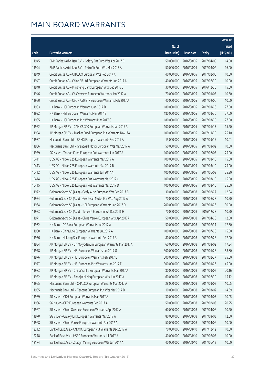|       |                                                               |               |                        |               | Amount      |
|-------|---------------------------------------------------------------|---------------|------------------------|---------------|-------------|
|       |                                                               | No. of        |                        |               | raised      |
| Code  | Derivative warrants                                           | issue (units) | Listing date           | <b>Expiry</b> | (HK\$ mil.) |
| 11945 | BNP Paribas Arbit Issu B.V. - Galaxy Ent Euro Wts Apr 2017 B  | 50,000,000    | 2016/08/05             | 2017/04/05    | 14.50       |
| 11944 | BNP Paribas Arbit Issu B.V. - PetroCh Euro Wts Mar 2017 A     | 50,000,000    | 2016/08/05             | 2017/03/02    | 16.00       |
| 11949 | Credit Suisse AG - CHALCO European Wts Feb 2017 A             | 40,000,000    | 2016/08/05             | 2017/02/06    | 10.00       |
| 11947 | Credit Suisse AG - China EB Ltd European Warrants Jun 2017 A  | 40,000,000    | 2016/08/05             | 2017/06/30    | 10.00       |
| 11948 | Credit Suisse AG - Minsheng Bank European Wts Dec 2016 C      | 30,000,000    | 2016/08/05             | 2016/12/30    | 15.60       |
| 11946 | Credit Suisse AG - Ch Overseas European Warrants Jan 2017 A   | 70,000,000    | 2016/08/05             | 2017/01/05    | 10.50       |
| 11950 | Credit Suisse AG - CSOP A50 ETF European Warrants Feb 2017 A  | 40,000,000    | 2016/08/05             | 2017/02/06    | 10.00       |
| 11933 | HK Bank - HSI European Warrants Jan 2017 D                    | 180,000,000   | 2016/08/05             | 2017/01/26    | 27.00       |
| 11932 | HK Bank - HSI European Warrants Mar 2017 B                    | 180,000,000   | 2016/08/05             | 2017/03/30    | 27.00       |
| 11935 | HK Bank - HSI European Put Warrants Mar 2017 C                | 180,000,000   | 2016/08/05             | 2017/03/30    | 27.00       |
| 11952 | J P Morgan SP BV - CAM CSI300 European Warrants Jan 2017 A    | 100,000,000   | 2016/08/05             | 2017/01/13    | 15.20       |
| 11954 | J P Morgan SP BV - Tracker Fund European Put Warrants Nov17A  | 100,000,000   | 2016/08/05             | 2017/11/30    | 25.10       |
| 11937 | Macquarie Bank Ltd. - BBMG European Warrants Sep 2017 A       | 15,000,000    | 2016/08/05             | 2017/09/15    | 10.01       |
| 11936 | Macquarie Bank Ltd. - Greatwall Motor European Wts Mar 2017 A | 50,000,000    | 2016/08/05             | 2017/03/02    | 10.00       |
| 11939 | SG Issuer - Tracker Fund European Put Warrants Jun 2017 A     | 100,000,000   | 2016/08/05             | 2017/06/05    | 25.00       |
| 10411 | UBS AG - Nikkei 225 European Warrants Mar 2017 A              | 100,000,000   | 2016/08/05             | 2017/03/10    | 15.60       |
| 10413 | UBS AG - Nikkei 225 European Warrants Mar 2017 B              | 100,000,000   | 2016/08/05             | 2017/03/10    | 25.00       |
| 10412 | UBS AG - Nikkei 225 European Warrants Jun 2017 A              | 100,000,000   | 2016/08/05             | 2017/06/09    | 25.30       |
| 10414 | UBS AG - Nikkei 225 European Put Warrants Mar 2017 C          | 100,000,000   | 2016/08/05             | 2017/03/10    | 15.00       |
| 10415 | UBS AG - Nikkei 225 European Put Warrants Mar 2017 D          | 100,000,000   | 2016/08/05             | 2017/03/10    | 25.00       |
| 11972 | Goldman Sachs SP (Asia) - Geely Auto European Wts Feb 2017 B  | 30,000,000    | 2016/08/08             | 2017/02/27    | 12.84       |
| 11974 | Goldman Sachs SP (Asia) - Greatwall Motor Eur Wts Aug 2017 A  | 70,000,000    | 2016/08/08             | 2017/08/28    | 10.50       |
| 11964 | Goldman Sachs SP (Asia) - HSI European Warrants Jan 2017 D    | 200,000,000   | 2016/08/08             | 2017/01/26    | 30.00       |
| 11973 | Goldman Sachs SP (Asia) - Tencent European Wt Dec 2016 H      | 70,000,000    | 2016/08/08             | 2016/12/28    | 10.50       |
| 11971 | Goldman Sachs SP (Asia) - China Vanke European Wts Apr 2017A  | 50,000,000    | 2016/08/08             | 2017/04/28    | 12.50       |
| 11962 | HK Bank - CC Bank European Warrants Jul 2017 A                | 50,000,000    | 2016/08/08             | 2017/07/31    | 12.50       |
| 11960 | HK Bank - China Life European Warrants Jul 2017 A             |               | 100,000,000 2016/08/08 | 2017/07/28    | 15.00       |
| 11956 | HK Bank - Haitong Sec European Warrants Feb 2017 A            | 80,000,000    | 2016/08/08             | 2017/02/28    | 12.00       |
| 11984 | J P Morgan SP BV - Ch Molybdenum European Warrants Mar 2017A  | 60,000,000    | 2016/08/08             | 2017/03/02    | 17.34       |
| 11978 | J P Morgan SP BV - HSI European Warrants Jan 2017 G           | 300,000,000   | 2016/08/08             | 2017/01/26    | 58.80       |
| 11976 | J P Morgan SP BV - HSI European Warrants Feb 2017 E           | 300,000,000   | 2016/08/08             | 2017/02/27    | 75.00       |
| 11977 | J P Morgan SP BV - HSI European Put Warrants Jan 2017 F       | 300,000,000   | 2016/08/08             | 2017/01/26    | 45.00       |
| 11983 | J P Morgan SP BV - China Vanke European Warrants Mar 2017 A   | 80,000,000    | 2016/08/08             | 2017/03/02    | 20.16       |
| 11982 | J P Morgan SP BV - Zhaojin Mining European Wts Jun 2017 A     | 60,000,000    | 2016/08/08             | 2017/06/30    | 15.12       |
| 11955 | Macquarie Bank Ltd. - CHALCO European Warrants Mar 2017 A     | 28,000,000    | 2016/08/08             | 2017/03/02    | 10.05       |
| 11965 | Macquarie Bank Ltd. - Tencent European Put Wts Mar 2017 D     | 10,000,000    | 2016/08/08             | 2017/03/02    | 14.69       |
| 11969 | SG Issuer - CKH European Warrants Mar 2017 A                  | 30,000,000    | 2016/08/08             | 2017/03/03    | 10.05       |
| 11966 | SG Issuer - CKP European Warrants Feb 2017 A                  | 50,000,000    | 2016/08/08             | 2017/02/03    | 20.25       |
| 11967 | SG Issuer - China Overseas European Warrants Apr 2017 A       | 60,000,000    | 2016/08/08             | 2017/04/06    | 10.20       |
| 11970 | SG Issuer - Galaxy Ent European Warrants Mar 2017 A           | 80,000,000    | 2016/08/08             | 2017/03/03    | 12.80       |
| 11968 | SG Issuer - China Vanke European Warrants Apr 2017 A          | 50,000,000    | 2016/08/08             | 2017/04/06    | 10.00       |
| 12212 | Bank of East Asia - CNOOC European Put Warrants Dec 2017 A    | 70,000,000    | 2016/08/10             | 2017/12/12    | 10.50       |
| 12218 | Bank of East Asia - HSBC European Warrants Jul 2017 A         | 40,000,000    | 2016/08/10             | 2017/07/05    | 10.00       |
| 12174 | Bank of East Asia - Zhaojin Mining European Wts Jun 2017 A    | 40,000,000    | 2016/08/10             | 2017/06/12    | 10.00       |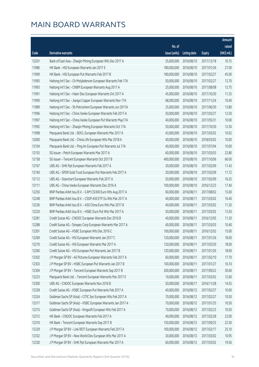|       |                                                              |                        |                     |               | Amount      |
|-------|--------------------------------------------------------------|------------------------|---------------------|---------------|-------------|
|       |                                                              | No. of                 |                     |               | raised      |
| Code  | <b>Derivative warrants</b>                                   | issue (units)          | <b>Listing date</b> | <b>Expiry</b> | (HK\$ mil.) |
| 12201 | Bank of East Asia - Zhaojin Mining European Wts Dec 2017 A   | 35,000,000             | 2016/08/10          | 2017/12/18    | 10.15       |
| 11986 | HK Bank - HSI European Warrants Jan 2017 E                   | 180,000,000            | 2016/08/10          | 2017/01/26    | 27.00       |
| 11999 | HK Bank - HSI European Put Warrants Feb 2017 B               | 180,000,000            | 2016/08/10          | 2017/02/27    | 45.00       |
| 11995 | Haitong Int'l Sec - Ch Molybdenum European Warrants Feb 17A  | 50,000,000             | 2016/08/10          | 2017/02/27    | 12.70       |
| 11993 | Haitong Int'l Sec - CNBM European Warrants Aug 2017 A        | 25,000,000             | 2016/08/10          | 2017/08/08    | 12.75       |
| 11991 | Haitong Int'l Sec - Haier Elec European Warrants Oct 2017 A  | 45,000,000             | 2016/08/10          | 2017/10/30    | 11.25       |
| 11990 | Haitong Int'l Sec - Jiangxi Copper European Warrants Nov 17A | 68,000,000             | 2016/08/10          | 2017/11/24    | 10.40       |
| 11989 | Haitong Int'l Sec - Sh Petrochem European Warrants Jun 2017A | 25,000,000             | 2016/08/10          | 2017/06/30    | 13.80       |
| 11996 | Haitong Int'l Sec - China Vanke European Warrants Feb 2017 A | 50,000,000             | 2016/08/10          | 2017/02/27    | 12.50       |
| 11997 | Haitong Int'l Sec - China Vanke European Put Warrants May17A | 40,000,000             | 2016/08/10          | 2017/05/31    | 10.00       |
| 11992 | Haitong Int'l Sec - Zhaojin Mining European Warrants Oct 17A | 50,000,000             | 2016/08/10          | 2017/10/30    | 12.50       |
| 11998 | Macquarie Bank Ltd. - BOCL European Warrants Mar 2017 A      | 43,000,000             | 2016/08/10          | 2017/03/02    | 10.02       |
| 12000 | Macquarie Bank Ltd. - China Life European Wts Mar 2018 A     | 40,000,000             | 2016/08/10          | 2018/03/02    | 10.00       |
| 12104 | Macquarie Bank Ltd. - Ping An European Put Warrants Jul 17A  | 40,000,000             | 2016/08/10          | 2017/07/04    | 10.00       |
| 12155 | SG Issuer - Petch European Warrants Mar 2017 A               | 60,000,000             | 2016/08/10          | 2017/03/03    | 22.80       |
| 12158 | SG Issuer - Tencent European Warrants Oct 2017 B             | 400,000,000            | 2016/08/10          | 2017/10/06    | 66.00       |
| 12107 | UBS AG - SHK Ppt European Warrants Feb 2017 A                | 30,000,000             | 2016/08/10          | 2017/02/09    | 11.43       |
| 12140 | UBS AG - SPDR Gold Trust European Put Warrants Feb 2017 A    | 20,000,000             | 2016/08/10          | 2017/02/09    | 11.72       |
| 12112 | UBS AG - Stanchart European Warrants Feb 2017 A              | 50,000,000             | 2016/08/10          | 2017/02/09    | 16.25       |
| 12111 | UBS AG - China Vanke European Warrants Dec 2016 A            | 100,000,000            | 2016/08/10          | 2016/12/23    | 17.40       |
| 12250 | BNP Paribas Arbit Issu B.V. - CAM CSI300 Euro Wts Aug 2017 A | 60,000,000             | 2016/08/11          | 2017/08/02    | 15.00       |
| 12248 | BNP Paribas Arbit Issu B.V. - CSOP A50 ETF Eu Wts Mar 2017 A | 40,000,000             | 2016/08/11          | 2017/03/02    | 16.40       |
| 12236 | BNP Paribas Arbit Issu B.V. - A50 China Euro Wts Mar 2017 B  | 40,000,000             | 2016/08/11          | 2017/03/02    | 11.20       |
| 12220 | BNP Paribas Arbit Issu B.V. - HSBC Euro Put Wts Mar 2017 A   | 50,000,000             | 2016/08/11          | 2017/03/02    | 13.50       |
| 12281 | Credit Suisse AG - CNOOC European Warrants Dec 2016 B        | 40,000,000             | 2016/08/11          | 2016/12/05    | 11.20       |
| 12288 | Credit Suisse AG - Sinopec Corp European Warrants Mar 2017 A | 40,000,000             | 2016/08/11          | 2017/03/03    | 10.40       |
| 12301 | Credit Suisse AG - HSBC European Wts Dec 2016 C              | 100,000,000 2016/08/11 |                     | 2016/12/02    | 15.00       |
| 12269 | Credit Suisse AG - HSI European Warrants Jan 2017 C          | 120,000,000            | 2016/08/11          | 2017/01/26    | 18.00       |
| 12270 | Credit Suisse AG - HSI European Warrants Mar 2017 A          | 120,000,000            | 2016/08/11          | 2017/03/30    | 18.00       |
| 12260 | Credit Suisse AG - HSI European Put Warrants Jan 2017 B      | 120,000,000            | 2016/08/11          | 2017/01/26    | 18.00       |
| 12302 | J P Morgan SP BV - Ali Pictures European Warrants Feb 2017 A | 60,000,000             | 2016/08/11          | 2017/02/10    | 17.70       |
| 12303 | J P Morgan SP BV - HSBC European Put Warrants Jan 2017 B     | 100,000,000            | 2016/08/11          | 2017/01/27    | 16.10       |
| 12304 | J P Morgan SP BV - Tencent European Warrants Sep 2017 B      | 200,000,000            | 2016/08/11          | 2017/09/22    | 30.60       |
| 12223 | Macquarie Bank Ltd. - Tencent European Warrants Mar 2017 E   | 10,000,000             | 2016/08/11          | 2017/03/02    | 12.60       |
| 12300 | UBS AG - CNOOC European Warrants Nov 2016 B                  | 50,000,000             | 2016/08/11          | 2016/11/28    | 14.55       |
| 12328 | Credit Suisse AG - HSBC European Put Warrants Feb 2017 A     | 40,000,000             | 2016/08/12          | 2017/02/27    | 10.00       |
| 12324 | Goldman Sachs SP (Asia) - CITIC Sec European Wts Feb 2017 A  | 70,000,000             | 2016/08/12          | 2017/02/27    | 10.50       |
| 12317 | Goldman Sachs SP (Asia) - HSBC European Warrants Jan 2017 A  | 70,000,000             | 2016/08/12          | 2017/01/25    | 10.50       |
| 12315 | Goldman Sachs SP (Asia) - Kingsoft European Wts Feb 2017 A   | 70,000,000             | 2016/08/12          | 2017/02/23    | 10.50       |
| 12312 | HK Bank - CNOOC European Warrants Feb 2017 A                 | 40,000,000             | 2016/08/12          | 2017/02/28    | 22.00       |
| 12310 | HK Bank - Tencent European Warrants Sep 2017 B               | 150,000,000            | 2016/08/12          | 2017/09/25    | 22.50       |
| 12329 | J P Morgan SP BV - Link REIT European Warrants Feb 2017 A    | 100,000,000            | 2016/08/12          | 2017/02/17    | 25.10       |
| 12332 | J P Morgan SP BV - New World Dev European Wts Mar 2017 A     | 30,000,000             | 2016/08/12          | 2017/03/02    | 10.95       |
| 12330 | J P Morgan SP BV - SHK Ppt European Warrants Mar 2017 A      | 60,000,000             | 2016/08/12          | 2017/03/02    | 19.56       |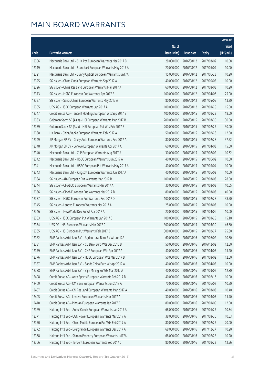|       |                                                              |                        |                     |               | Amount      |
|-------|--------------------------------------------------------------|------------------------|---------------------|---------------|-------------|
|       |                                                              | No. of                 |                     |               | raised      |
| Code  | Derivative warrants                                          | issue (units)          | <b>Listing date</b> | <b>Expiry</b> | (HK\$ mil.) |
| 12306 | Macquarie Bank Ltd. - SHK Ppt European Warrants Mar 2017 B   | 28,000,000             | 2016/08/12          | 2017/03/02    | 10.08       |
| 12319 | Macquarie Bank Ltd. - Stanchart European Warrants May 2017 A | 20,000,000             | 2016/08/12          | 2017/05/04    | 10.00       |
| 12321 | Macquarie Bank Ltd. - Sunny Optical European Warrants Jun17A | 15,000,000             | 2016/08/12          | 2017/06/23    | 10.20       |
| 12325 | SG Issuer - China Cinda European Warrants Sep 2017 A         | 40,000,000             | 2016/08/12          | 2017/09/05    | 10.00       |
| 12326 | SG Issuer - China Res Land European Warrants Mar 2017 A      | 60,000,000             | 2016/08/12          | 2017/03/03    | 10.20       |
| 12313 | SG Issuer - HSBC European Put Warrants Apr 2017 B            | 100,000,000            | 2016/08/12          | 2017/04/06    | 25.00       |
| 12327 | SG Issuer - Sands China European Warrants May 2017 A         | 80,000,000             | 2016/08/12          | 2017/05/05    | 13.20       |
| 12305 | UBS AG - HSBC European Warrants Jan 2017 A                   | 100,000,000            | 2016/08/12          | 2017/01/25    | 15.00       |
| 12347 | Credit Suisse AG - Tencent Holdings European Wts Sep 2017 B  | 100,000,000            | 2016/08/15          | 2017/09/29    | 18.00       |
| 12333 | Goldman Sachs SP (Asia) - HSI European Warrants Mar 2017 B   | 200,000,000            | 2016/08/15          | 2017/03/30    | 30.00       |
| 12339 | Goldman Sachs SP (Asia) - HSI European Put Wts Feb 2017 B    | 200,000,000            | 2016/08/15          | 2017/02/27    | 30.00       |
| 12338 | HK Bank - China Vanke European Warrants Feb 2017 A           | 50,000,000             | 2016/08/15          | 2017/02/28    | 12.50       |
| 12349 | J P Morgan SP BV - Geely Auto European Warrants Feb 2017 A   | 80,000,000             | 2016/08/15          | 2017/02/28    | 37.52       |
| 12348 | J P Morgan SP BV - Lenovo European Warrants Apr 2017 A       | 60,000,000             | 2016/08/15          | 2017/04/03    | 15.60       |
| 12340 | Macquarie Bank Ltd. - CLP European Warrants Aug 2017 A       | 30,000,000             | 2016/08/15          | 2017/08/02    | 10.62       |
| 12342 | Macquarie Bank Ltd. - HSBC European Warrants Jun 2017 A      | 40,000,000             | 2016/08/15          | 2017/06/02    | 10.00       |
| 12341 | Macquarie Bank Ltd. - HSBC European Put Warrants May 2017 A  | 40,000,000             | 2016/08/15          | 2017/05/04    | 10.00       |
| 12343 | Macquarie Bank Ltd. - Kingsoft European Warrants Jun 2017 A  | 40,000,000             | 2016/08/15          | 2017/06/02    | 10.00       |
| 12334 | SG Issuer - AIA European Put Warrants Mar 2017 B             | 100,000,000            | 2016/08/15          | 2017/03/03    | 28.00       |
| 12344 | SG Issuer - CHALCO European Warrants Mar 2017 A              | 30,000,000             | 2016/08/15          | 2017/03/03    | 10.05       |
| 12336 | SG Issuer - CMob European Put Warrants Mar 2017 B            | 80,000,000             | 2016/08/15          | 2017/03/03    | 40.00       |
| 12337 | SG Issuer - HSBC European Put Warrants Feb 2017 D            | 100,000,000            | 2016/08/15          | 2017/02/28    | 38.50       |
| 12345 | SG Issuer - Lenovo European Warrants Mar 2017 A              | 25,000,000             | 2016/08/15          | 2017/03/03    | 10.00       |
| 12346 | SG Issuer - NewWorld Dev Eu Wt Apr 2017 A                    | 20,000,000             | 2016/08/15          | 2017/04/06    | 10.00       |
| 12353 | UBS AG - HSBC European Put Warrants Jan 2017 B               | 100,000,000            | 2016/08/15          | 2017/01/25    | 15.10       |
| 12354 | UBS AG - HSI European Warrants Mar 2017 C                    | 300,000,000            | 2016/08/15          | 2017/03/30    | 46.80       |
| 12365 | UBS AG - HSI European Put Warrants Feb 2017 B                | 300,000,000 2016/08/15 |                     | 2017/02/27    | 75.30       |
| 12382 | BNP Paribas Arbit Issu B.V. - Agricultural Bank Eu Wt Jun17A | 60,000,000             | 2016/08/16          | 2017/06/02    | 10.80       |
| 12381 | BNP Paribas Arbit Issu B.V. - CC Bank Euro Wts Dec 2016 B    | 50,000,000             | 2016/08/16          | 2016/12/02    | 12.50       |
| 12379 | BNP Paribas Arbit Issu B.V. - CKP European Wts Apr 2017 A    | 40,000,000             | 2016/08/16          | 2017/04/05    | 15.20       |
| 12376 | BNP Paribas Arbit Issu B.V. - HSBC European Wts Mar 2017 B   | 50,000,000             | 2016/08/16          | 2017/03/02    | 12.50       |
| 12387 | BNP Paribas Arbit Issu B.V. - Sands China Euro Wt Apr 2017 A | 40,000,000             | 2016/08/16          | 2017/04/05    | 10.00       |
| 12388 | BNP Paribas Arbit Issu B.V. - Zijin Mining Eu Wts Mar 2017 A | 40,000,000             | 2016/08/16          | 2017/03/02    | 12.80       |
| 12408 | Credit Suisse AG - Anta Sports European Warrants Feb 2017 B  | 40,000,000             | 2016/08/16          | 2017/02/16    | 10.00       |
| 12409 | Credit Suisse AG - CM Bank European Warrants Jun 2017 A      | 70,000,000             | 2016/08/16          | 2017/06/02    | 10.50       |
| 12407 | Credit Suisse AG - Chi Res Land European Warrants Mar 2017 A | 40,000,000             | 2016/08/16          | 2017/03/03    | 10.40       |
| 12405 | Credit Suisse AG - Lenovo European Warrants Mar 2017 A       | 30,000,000             | 2016/08/16          | 2017/03/03    | 11.40       |
| 12410 | Credit Suisse AG - Ping An European Warrants Jan 2017 B      | 80,000,000             | 2016/08/16          | 2017/01/05    | 12.00       |
| 12369 | Haitong Int'l Sec - Anhui Conch European Warrants Jan 2017 A | 68,000,000             | 2016/08/16          | 2017/01/27    | 10.34       |
| 12371 | Haitong Int'l Sec - CGN Power European Warrants Mar 2017 A   | 38,000,000             | 2016/08/16          | 2017/03/30    | 10.83       |
| 12370 | Haitong Int'l Sec - China Mobile European Put Wts Feb 2017 A | 80,000,000             | 2016/08/16          | 2017/02/27    | 20.00       |
| 12372 | Haitong Int'l Sec - Evergrande European Warrants Dec 2017 A  | 68,000,000             | 2016/08/16          | 2017/12/27    | 10.20       |
| 12368 | Haitong Int'l Sec - Shimao Property European Warrants Jul17A | 68,000,000             | 2016/08/16          | 2017/07/28    | 10.20       |
| 12366 | Haitong Int'l Sec - Tencent European Warrants Sep 2017 C     | 80,000,000             | 2016/08/16          | 2017/09/22    | 12.56       |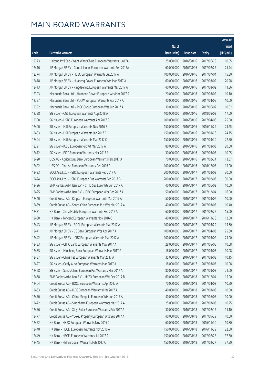|       |                                                              |               |                        |               | Amount      |
|-------|--------------------------------------------------------------|---------------|------------------------|---------------|-------------|
|       |                                                              | No. of        |                        |               | raised      |
| Code  | <b>Derivative warrants</b>                                   | issue (units) | <b>Listing date</b>    | <b>Expiry</b> | (HK\$ mil.) |
| 12373 | Haitong Int'l Sec - Want Want China European Warrants Jun17A | 25,000,000    | 2016/08/16             | 2017/06/28    | 10.55       |
| 12416 | J P Morgan SP BV - Guotai Junani European Warrants Feb 2017A | 60,000,000    | 2016/08/16             | 2017/02/27    | 25.44       |
| 12374 | J P Morgan SP BV - HSBC European Warrants Jul 2017 A         | 100,000,000   | 2016/08/16             | 2017/07/04    | 15.30       |
| 12418 | J P Morgan SP BV - Huaneng Power European Wts Mar 2017 A     | 60,000,000    | 2016/08/16             | 2017/03/02    | 20.28       |
| 12413 | J P Morgan SP BV - Kingdee Intl European Warrants Mar 2017 A | 40,000,000    | 2016/08/16             | 2017/03/02    | 11.36       |
| 12393 | Macquarie Bank Ltd. - Huaneng Power European Wts Mar 2017 A  | 20,000,000    | 2016/08/16             | 2017/03/02    | 10.10       |
| 12397 | Macquarie Bank Ltd. - PCCW European Warrants Apr 2017 A      | 40,000,000    | 2016/08/16             | 2017/04/05    | 10.00       |
| 12392 | Macquarie Bank Ltd. - PICC Group European Wts Jun 2017 A     | 30,000,000    | 2016/08/16             | 2017/06/02    | 10.02       |
| 12398 | SG Issuer - CGS European Warrants Aug 2018 A                 | 100,000,000   | 2016/08/16             | 2018/08/03    | 17.00       |
| 12390 | SG Issuer - HSBC European Warrants Apr 2017 C                | 100,000,000   | 2016/08/16             | 2017/04/06    | 25.00       |
| 12400 | SG Issuer - HSI European Warrants Nov 2016 B                 | 150,000,000   | 2016/08/16             | 2016/11/29    | 23.25       |
| 12403 | SG Issuer - HSI European Warrants Jan 2017 E                 | 150,000,000   | 2016/08/16             | 2017/01/26    | 24.75       |
| 12404 | SG Issuer - HSI European Warrants Mar 2017 C                 | 150,000,000   | 2016/08/16             | 2017/03/30    | 22.50       |
| 12391 | SG Issuer - ICBC European Put Wt Mar 2017 A                  | 80,000,000    | 2016/08/16             | 2017/03/03    | 20.00       |
| 12412 | SG Issuer - PICC European Warrants Mar 2017 A                | 30,000,000    | 2016/08/16             | 2017/03/03    | 10.05       |
| 12420 | UBS AG - Agricultural Bank European Warrants Feb 2017 A      | 70,000,000    | 2016/08/16             | 2017/02/24    | 13.37       |
| 12422 | UBS AG - Ping An European Warrants Dec 2016 C                | 100,000,000   | 2016/08/16             | 2016/12/05    | 15.00       |
| 12423 | BOCI Asia Ltd. - HSBC European Warrants Feb 2017 A           | 200,000,000   | 2016/08/17             | 2017/02/03    | 30.00       |
| 12424 | BOCI Asia Ltd. - HSBC European Put Warrants Feb 2017 B       | 200,000,000   | 2016/08/17             | 2017/02/03    | 30.00       |
| 12426 | BNP Paribas Arbit Issu B.V. - CITIC Sec Euro Wts Jun 2017 A  | 40,000,000    | 2016/08/17             | 2017/06/02    | 10.00       |
| 12425 | BNP Paribas Arbit Issu B.V. - ICBC European Wts Dec 2017 A   | 50,000,000    | 2016/08/17             | 2017/12/04    | 16.00       |
| 12440 | Credit Suisse AG - Kingsoft European Warrants Mar 2017 A     | 50,000,000    | 2016/08/17             | 2017/03/02    | 10.00       |
| 12439 | Credit Suisse AG - Sands China European Put Wts Mar 2017 A   | 40,000,000    | 2016/08/17             | 2017/03/03    | 10.40       |
| 12431 | HK Bank - China Mobile European Warrants Feb 2017 A          | 60,000,000    | 2016/08/17             | 2017/02/27    | 15.00       |
| 12430 | HK Bank - Tencent European Warrants Nov 2016 C               | 40,000,000    | 2016/08/17             | 2016/11/28    | 12.00       |
| 12443 | J P Morgan SP BV - BOCL European Warrants Mar 2017 A         | 100,000,000   | 2016/08/17             | 2017/03/29    | 15.60       |
| 12441 | J P Morgan SP BV – CC Bank European Wts Apr 2017 A           |               | 100,000,000 2016/08/17 | 2017/04/03    | 25.30       |
| 12442 | J P Morgan SP BV - ICBC European Warrants Mar 2017 A         | 100,000,000   | 2016/08/17             | 2017/03/02    | 25.00       |
| 12433 | SG Issuer - CITIC Bank European Warrants May 2017 A          | 28,000,000    | 2016/08/17             | 2017/05/05    | 10.08       |
| 12435 | SG Issuer - Minsheng Bank European Warrants Mar 2017 A       | 16,000,000    | 2016/08/17             | 2017/03/03    | 10.08       |
| 12437 | SG Issuer - China Tel European Warrants Mar 2017 A           | 35,000,000    | 2016/08/17             | 2017/03/03    | 10.15       |
| 12427 | SG Issuer - Geely Auto European Warrants Mar 2017 A          | 18,000,000    | 2016/08/17             | 2017/03/03    | 10.08       |
| 12428 | SG Issuer - Sands China European Put Warrants Mar 2017 A     | 80,000,000    | 2016/08/17             | 2017/03/03    | 21.60       |
| 12468 | BNP Paribas Arbit Issu B.V. - HKEX European Wts Dec 2017 B   | 60,000,000    | 2016/08/18             | 2017/12/04    | 15.00       |
| 12464 | Credit Suisse AG - BOCL European Warrants Apr 2017 A         | 70,000,000    | 2016/08/18             | 2017/04/03    | 10.50       |
| 12463 | Credit Suisse AG - ICBC European Warrants Mar 2017 A         | 40,000,000    | 2016/08/18             | 2017/03/03    | 10.00       |
| 12470 | Credit Suisse AG - China Mengniu European Wts Jun 2017 A     | 40,000,000    | 2016/08/18             | 2017/06/05    | 10.00       |
| 12472 | Credit Suisse AG - Sinopharm European Warrants Mar 2017 A    | 25,000,000    | 2016/08/18             | 2017/03/03    | 10.25       |
| 12476 | Credit Suisse AG - Xinyi Solar European Warrants Feb 2017 A  | 30,000,000    | 2016/08/18             | 2017/02/17    | 11.10       |
| 12477 | Credit Suisse AG - Yuexiu Property European Wts Sep 2017 A   | 40,000,000    | 2016/08/18             | 2017/09/29    | 10.00       |
| 12452 | HK Bank - HKEX European Warrants Nov 2016 C                  | 60,000,000    | 2016/08/18             | 2016/11/30    | 10.80       |
| 12448 | HK Bank - HSCEI European Warrants Nov 2016 A                 | 150,000,000   | 2016/08/18             | 2016/11/29    | 22.50       |
| 12449 | HK Bank - HSCEI European Warrants Jul 2017 A                 | 150,000,000   | 2016/08/18             | 2017/07/28    | 37.50       |
| 12445 | HK Bank - HSI European Warrants Feb 2017 C                   | 150,000,000   | 2016/08/18             | 2017/02/27    | 37.50       |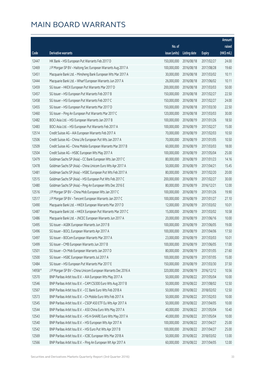|         |                                                              |                        |                     |               | Amount      |
|---------|--------------------------------------------------------------|------------------------|---------------------|---------------|-------------|
|         |                                                              | No. of                 |                     |               | raised      |
| Code    | <b>Derivative warrants</b>                                   | issue (units)          | <b>Listing date</b> | <b>Expiry</b> | (HK\$ mil.) |
| 12447   | HK Bank - HSI European Put Warrants Feb 2017 D               | 150,000,000            | 2016/08/18          | 2017/02/27    | 24.00       |
| 12469   | J P Morgan SP BV - Haitong Sec European Warrants Aug 2017 A  | 100,000,000            | 2016/08/18          | 2017/08/28    | 19.60       |
| 12451   | Macquarie Bank Ltd. - Minsheng Bank European Wts Mar 2017 A  | 30,000,000             | 2016/08/18          | 2017/03/02    | 10.11       |
| 12444   | Macquarie Bank Ltd. - Wharf European Warrants Jun 2017 A     | 26,000,000             | 2016/08/18          | 2017/06/02    | 10.11       |
| 12459   | SG Issuer - HKEX European Put Warrants Mar 2017 D            | 200,000,000            | 2016/08/18          | 2017/03/03    | 50.00       |
| 12457   | SG Issuer - HSI European Put Warrants Feb 2017 B             | 150,000,000            | 2016/08/18          | 2017/02/27    | 22.50       |
| 12458   | SG Issuer - HSI European Put Warrants Feb 2017 C             | 150,000,000            | 2016/08/18          | 2017/02/27    | 24.00       |
| 12455   | SG Issuer - HSI European Put Warrants Mar 2017 D             | 150,000,000            | 2016/08/18          | 2017/03/30    | 22.50       |
| 12460   | SG Issuer - Ping An European Put Warrants Mar 2017 C         | 120,000,000            | 2016/08/18          | 2017/03/03    | 30.00       |
| 12482   | BOCI Asia Ltd. - HSI European Warrants Jan 2017 B            | 100,000,000            | 2016/08/19          | 2017/01/26    | 18.50       |
| 12483   | BOCI Asia Ltd. - HSI European Put Warrants Feb 2017 A        | 100,000,000            | 2016/08/19          | 2017/02/27    | 15.00       |
| 12514   | Credit Suisse AG - AIA European Warrants Feb 2017 A          | 70,000,000             | 2016/08/19          | 2017/02/03    | 10.50       |
| 12506   | Credit Suisse AG - China Life European Put Wts Jan 2017 A    | 70,000,000             | 2016/08/19          | 2017/01/05    | 10.50       |
| 12509   | Credit Suisse AG - China Mobile European Warrants Mar 2017 B | 60,000,000             | 2016/08/19          | 2017/03/03    | 18.00       |
| 12504   | Credit Suisse AG - HSBC European Wts May 2017 A              | 100,000,000            | 2016/08/19          | 2017/05/04    | 25.00       |
| 12479   | Goldman Sachs SP (Asia) - CC Bank European Wts Jan 2017 C    | 80,000,000             | 2016/08/19          | 2017/01/23    | 14.16       |
| 12478   | Goldman Sachs SP (Asia) - China Unicom Euro Wts Apr 2017 A   | 50,000,000             | 2016/08/19          | 2017/04/21    | 15.45       |
| 12481   | Goldman Sachs SP (Asia) - HSBC European Put Wts Feb 2017 A   | 80,000,000             | 2016/08/19          | 2017/02/20    | 20.00       |
| 12515   | Goldman Sachs SP (Asia) - HSI European Put Wts Feb 2017 C    | 200,000,000            | 2016/08/19          | 2017/02/27    | 30.00       |
| 12480   | Goldman Sachs SP (Asia) - Ping An European Wts Dec 2016 E    | 80,000,000             | 2016/08/19          | 2016/12/21    | 12.00       |
| 12516   | J P Morgan SP BV - China Mob European Wts Jan 2017 C         | 100,000,000            | 2016/08/19          | 2017/01/26    | 19.90       |
| 12517   | J P Morgan SP BV - Tencent European Warrants Jan 2017 C      | 100,000,000            | 2016/08/19          | 2017/01/27    | 27.10       |
| 12490   | Macquarie Bank Ltd. - HKEX European Warrants Mar 2017 D      | 12,000,000             | 2016/08/19          | 2017/03/02    | 10.01       |
| 12487   | Macquarie Bank Ltd. - HKEX European Put Warrants Mar 2017 C  | 15,000,000             | 2016/08/19          | 2017/03/02    | 10.58       |
| 12486   | Macquarie Bank Ltd. - JNCEC European Warrants Jun 2017 A     | 20,000,000             | 2016/08/19          | 2017/06/16    | 10.00       |
| 12495   | SG Issuer - AGBK European Warrants Jun 2017 B                | 100,000,000            | 2016/08/19          | 2017/06/05    | 19.00       |
| 12496   | SG Issuer - BOCL European Warrants Apr 2017 A                | 100,000,000 2016/08/19 |                     | 2017/04/06    | 17.50       |
| 12497   | SG Issuer - BOCom European Warrants Mar 2017 A               | 23,000,000             | 2016/08/19          | 2017/03/03    | 10.01       |
| 12499   | SG Issuer - CMB European Warrants Jun 2017 B                 | 100,000,000            | 2016/08/19          | 2017/06/05    | 17.00       |
| 12501   | SG Issuer - Ch Mob European Warrants Jan 2017 D              | 80,000,000             | 2016/08/19          | 2017/01/05    | 27.60       |
| 12500   | SG Issuer - HSBC European Warrants Jul 2017 A                | 100,000,000            | 2016/08/19          | 2017/07/05    | 15.00       |
| 12484   | SG Issuer - HSI European Put Warrants Mar 2017 E             | 150,000,000            | 2016/08/19          | 2017/03/30    | 37.50       |
| 14958 # | J P Morgan SP BV - China Unicom European Warrants Dec 2016 A | 320,000,000            | 2016/08/19          | 2016/12/12    | 10.56       |
| 12570   | BNP Paribas Arbit Issu B.V. - AIA European Wts May 2017 A    | 50,000,000             | 2016/08/22          | 2017/05/04    | 10.00       |
| 12546   | BNP Paribas Arbit Issu B.V. - CAM CSI300 Euro Wts Aug 2017 B | 50,000,000             | 2016/08/22          | 2017/08/02    | 12.50       |
| 12567   | BNP Paribas Arbit Issu B.V. - CC Bank Euro Wts Feb 2018 A    | 50,000,000             | 2016/08/22          | 2018/02/02    | 12.50       |
| 12573   | BNP Paribas Arbit Issu B.V. - Ch Mobile Euro Wts Feb 2017 A  | 50,000,000             | 2016/08/22          | 2017/02/03    | 10.00       |
| 12545   | BNP Paribas Arbit Issu B.V. - CSOP A50 ETF Eu Wts Apr 2017 A | 50,000,000             | 2016/08/22          | 2017/04/05    | 10.00       |
| 12544   | BNP Paribas Arbit Issu B.V. - A50 China Euro Wts May 2017 A  | 40,000,000             | 2016/08/22          | 2017/05/04    | 10.40       |
| 12543   | BNP Paribas Arbit Issu B.V. - HS H-SHARE Euro Wts May 2017 A | 40,000,000             | 2016/08/22          | 2017/05/04    | 10.00       |
| 12540   | BNP Paribas Arbit Issu B.V. - HSI European Wts Apr 2017 A    | 100,000,000            | 2016/08/22          | 2017/04/27    | 25.00       |
| 12542   | BNP Paribas Arbit Issu B.V. - HSI Euro Put Wts Apr 2017 B    | 100,000,000            | 2016/08/22          | 2017/04/27    | 25.00       |
| 12569   | BNP Paribas Arbit Issu B.V. - ICBC European Wts Mar 2018 A   | 50,000,000             | 2016/08/22          | 2018/03/02    | 13.00       |
| 12566   | BNP Paribas Arbit Issu B.V. - Ping An European Wt Apr 2017 A | 60,000,000             | 2016/08/22          | 2017/04/05    | 12.00       |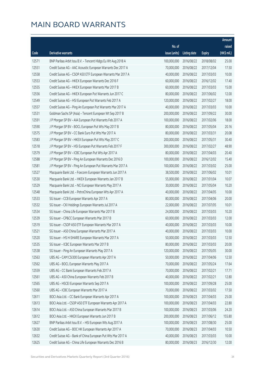|       |                                                              |               |                       |               | Amount      |
|-------|--------------------------------------------------------------|---------------|-----------------------|---------------|-------------|
|       |                                                              | No. of        |                       |               | raised      |
| Code  | Derivative warrants                                          | issue (units) | <b>Listing date</b>   | <b>Expiry</b> | (HK\$ mil.) |
| 12571 | BNP Paribas Arbit Issu B.V. - Tencent Hldgs Eu Wt Aug 2018 A | 100,000,000   | 2016/08/22            | 2018/08/02    | 25.00       |
| 12551 | Credit Suisse AG - AAC Acoustic European Warrants Dec 2017 A | 70,000,000    | 2016/08/22            | 2017/12/04    | 17.50       |
| 12558 | Credit Suisse AG - CSOP A50 ETF European Warrants Mar 2017 A | 40,000,000    | 2016/08/22            | 2017/03/03    | 10.00       |
| 12553 | Credit Suisse AG - HKEX European Warrants Dec 2016 F         | 60,000,000    | 2016/08/22            | 2016/12/02    | 17.40       |
| 12555 | Credit Suisse AG - HKEX European Warrants Mar 2017 B         | 60,000,000    | 2016/08/22            | 2017/03/03    | 15.00       |
| 12556 | Credit Suisse AG - HKEX European Put Warrants Jun 2017 C     | 80,000,000    | 2016/08/22            | 2017/06/02    | 12.00       |
| 12549 | Credit Suisse AG - HSI European Put Warrants Feb 2017 A      | 120,000,000   | 2016/08/22            | 2017/02/27    | 18.00       |
| 12557 | Credit Suisse AG - Ping An European Put Warrants Mar 2017 A  | 40,000,000    | 2016/08/22            | 2017/03/03    | 10.00       |
| 12531 | Goldman Sachs SP (Asia) - Tencent European Wt Sep 2017 B     | 200,000,000   | 2016/08/22            | 2017/09/22    | 30.00       |
| 12591 | J P Morgan SP BV - AIA European Put Warrants Feb 2017 A      | 100,000,000   | 2016/08/22            | 2017/02/06    | 18.00       |
| 12590 | J P Morgan SP BV - BOCL European Put Wts May 2017 B          | 80,000,000    | 2016/08/22            | 2017/05/04    | 20.16       |
| 12575 | J P Morgan SP BV - CC Bank Euro Put Wts Mar 2017 A           | 80,000,000    | 2016/08/22            | 2017/03/31    | 20.08       |
| 12583 | J P Morgan SP BV - HKEX European Put Wts May 2017 C          | 200,000,000   | 2016/08/22            | 2017/05/31    | 30.40       |
| 12518 | J P Morgan SP BV - HSI European Put Warrants Feb 2017 F      | 300,000,000   | 2016/08/22            | 2017/02/27    | 48.90       |
| 12579 | J P Morgan SP BV - ICBC European Put Wts Apr 2017 A          | 80,000,000    | 2016/08/22            | 2017/04/03    | 20.40       |
| 12588 | J P Morgan SP BV - Ping An European Warrants Dec 2016 D      | 100,000,000   | 2016/08/22            | 2016/12/02    | 15.40       |
| 12581 | J P Morgan SP BV - Ping An European Put Warrants Mar 2017 A  | 100,000,000   | 2016/08/22            | 2017/03/02    | 25.00       |
| 12527 | Macquarie Bank Ltd. - Foxconn European Warrants Jun 2017 A   | 38,500,000    | 2016/08/22            | 2017/06/02    | 10.01       |
| 12530 | Macquarie Bank Ltd. - HKEX European Warrants Jan 2017 B      | 55,000,000    | 2016/08/22            | 2017/01/04    | 10.07       |
| 12529 | Macquarie Bank Ltd. - NCI European Warrants May 2017 A       | 30,000,000    | 2016/08/22            | 2017/05/04    | 10.20       |
| 12548 | Macquarie Bank Ltd. - PetroChina European Wts Apr 2017 A     | 40,000,000    | 2016/08/22            | 2017/04/05    | 10.00       |
| 12533 | SG Issuer - CCB European Warrants Apr 2017 A                 | 80,000,000    | 2016/08/22            | 2017/04/06    | 20.00       |
| 12532 | SG Issuer - CKI Holdings European Warrants Jul 2017 A        | 22,000,000    | 2016/08/22            | 2017/07/05    | 10.01       |
| 12534 | SG Issuer - China Life European Warrants Mar 2017 B          | 24,000,000    | 2016/08/22            | 2017/03/03    | 10.20       |
| 12539 | SG Issuer - CP&CC European Warrants Mar 2017 B               | 60,000,000    | 2016/08/22            | 2017/03/03    | 12.00       |
| 12519 | SG Issuer - CSOP A50 ETF European Warrants Mar 2017 A        | 40,000,000    | 2016/08/22            | 2017/03/03    | 10.00       |
| 12521 | SG Issuer - A50 China European Warrants Mar 2017 A           |               | 40,000,000 2016/08/22 | 2017/03/03    | 10.00       |
| 12520 | SG Issuer - HS H-SHARE European Warrants Mar 2017 A          | 50,000,000    | 2016/08/22            | 2017/03/03    | 12.50       |
| 12535 | SG Issuer - ICBC European Warrants Mar 2017 B                | 80,000,000    | 2016/08/22            | 2017/03/03    | 20.00       |
| 12538 | SG Issuer - Ping An European Warrants May 2017 A             | 120,000,000   | 2016/08/22            | 2017/05/05    | 30.00       |
| 12563 | UBS AG - CAM CSI300 European Warrants Apr 2017 A             | 50,000,000    | 2016/08/22            | 2017/04/06    | 12.50       |
| 12562 | UBS AG - BOCL European Warrants May 2017 A                   | 70,000,000    | 2016/08/22            | 2017/05/24    | 17.64       |
| 12559 | UBS AG - CC Bank European Warrants Feb 2017 A                | 70,000,000    | 2016/08/22            | 2017/02/21    | 17.71       |
| 12561 | UBS AG - A50 China European Warrants Feb 2017 B              | 40,000,000    | 2016/08/22            | 2017/02/21    | 12.80       |
| 12565 | UBS AG - HSCEI European Warrants Sep 2017 A                  | 100,000,000   | 2016/08/22            | 2017/09/28    | 25.00       |
| 12560 | UBS AG - ICBC European Warrants Mar 2017 A                   | 70,000,000    | 2016/08/22            | 2017/03/02    | 17.50       |
| 12611 | BOCI Asia Ltd. - CC Bank European Warrants Apr 2017 A        | 100,000,000   | 2016/08/23            | 2017/04/03    | 25.00       |
| 12613 | BOCI Asia Ltd. - CSOP A50 ETF European Warrants Apr 2017 A   | 100,000,000   | 2016/08/23            | 2017/04/03    | 22.80       |
| 12614 | BOCI Asia Ltd. - A50 China European Warrants Mar 2017 B      | 100,000,000   | 2016/08/23            | 2017/03/06    | 24.20       |
| 12612 | BOCI Asia Ltd. - HKEX European Warrants Jun 2017 B           | 200,000,000   | 2016/08/23            | 2017/06/12    | 155.80      |
| 12627 | BNP Paribas Arbit Issu B.V. - HSI European Wts Aug 2017 A    | 100,000,000   | 2016/08/23            | 2017/08/30    | 25.00       |
| 12630 | Credit Suisse AG - BOC HK European Warrants Apr 2017 A       | 70,000,000    | 2016/08/23            | 2017/04/03    | 10.50       |
| 12632 | Credit Suisse AG - Bank of China European Put Wts Mar 2017 A | 40,000,000    | 2016/08/23            | 2017/03/03    | 10.00       |
| 12625 | Credit Suisse AG - China Life European Warrants Dec 2016 B   | 80,000,000    | 2016/08/23            | 2016/12/30    | 12.00       |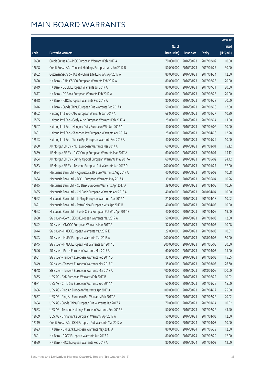|       |                                                                |               |                       |               | Amount      |
|-------|----------------------------------------------------------------|---------------|-----------------------|---------------|-------------|
|       |                                                                | No. of        |                       |               | raised      |
| Code  | Derivative warrants                                            | issue (units) | Listing date          | <b>Expiry</b> | (HK\$ mil.) |
| 12658 | Credit Suisse AG - PICC European Warrants Feb 2017 A           | 70,000,000    | 2016/08/23            | 2017/02/02    | 10.50       |
| 12628 | Credit Suisse AG - Tencent Holdings European Wts Jan 2017 B    | 50,000,000    | 2016/08/23            | 2017/01/27    | 30.00       |
| 12652 | Goldman Sachs SP (Asia) - China Life Euro Wts Apr 2017 A       | 80,000,000    | 2016/08/23            | 2017/04/24    | 12.00       |
| 12620 | HK Bank - CAM CSI300 European Warrants Feb 2017 A              | 80,000,000    | 2016/08/23            | 2017/02/28    | 20.00       |
| 12619 | HK Bank - BOCL European Warrants Jul 2017 A                    | 80,000,000    | 2016/08/23            | 2017/07/31    | 20.00       |
| 12617 | HK Bank - CC Bank European Warrants Feb 2017 A                 | 80,000,000    | 2016/08/23            | 2017/02/28    | 20.00       |
| 12618 | HK Bank - ICBC European Warrants Feb 2017 A                    | 80,000,000    | 2016/08/23            | 2017/02/28    | 20.00       |
| 12616 | HK Bank - Sands China European Put Warrants Feb 2017 A         | 50,000,000    | 2016/08/23            | 2017/02/28    | 12.50       |
| 12602 | Haitong Int'l Sec - AIA European Warrants Jan 2017 A           | 68,000,000    | 2016/08/23            | 2017/01/27    | 10.20       |
| 12595 | Haitong Int'l Sec - Geely Auto European Warrants Feb 2017 A    | 25,000,000    | 2016/08/23            | 2017/02/24    | 11.00       |
| 12607 | Haitong Int'l Sec - Mengniu Dairy European Wts Jun 2017 A      | 40,000,000    | 2016/08/23            | 2017/06/02    | 10.00       |
| 12601 | Haitong Int'l Sec - Shenzhen Inv European Warrants Apr 2017A   | 25,000,000    | 2016/08/23            | 2017/04/28    | 12.28       |
| 12593 | Haitong Int'l Sec - Yuexiu Ppt European Warrants Sep 2017 A    | 40,000,000    | 2016/08/23            | 2017/09/29    | 10.00       |
| 12660 | J P Morgan SP BV - NCI European Warrants Mar 2017 A            | 60,000,000    | 2016/08/23            | 2017/03/01    | 15.12       |
| 12659 | J P Morgan SP BV - PICC Group European Warrants Mar 2017 A     | 60,000,000    | 2016/08/23            | 2017/03/01    | 15.12       |
| 12664 | J P Morgan SP BV - Sunny Optical European Warrants May 2017A   | 60,000,000    | 2016/08/23            | 2017/05/02    | 24.42       |
| 12663 | J P Morgan SP BV - Tencent European Put Warrants Jan 2017 D    | 200,000,000   | 2016/08/23            | 2017/01/27    | 32.00       |
| 12624 | Macquarie Bank Ltd. - Agricultural Bk Euro Warrants Aug 2017 A | 40,000,000    | 2016/08/23            | 2017/08/02    | 10.08       |
| 12634 | Macquarie Bank Ltd. - BOCL European Warrants May 2017 A        | 39,000,000    | 2016/08/23            | 2017/05/04    | 10.26       |
| 12615 | Macquarie Bank Ltd. - CC Bank European Warrants Apr 2017 A     | 39,000,000    | 2016/08/23            | 2017/04/05    | 10.06       |
| 12635 | Macquarie Bank Ltd. - CM Bank European Warrants Apr 2018 A     | 40,000,000    | 2016/08/23            | 2018/04/04    | 10.00       |
| 12622 | Macquarie Bank Ltd. - Li Ning European Warrants Apr 2017 A     | 21,000,000    | 2016/08/23            | 2017/04/18    | 10.02       |
| 12621 | Macquarie Bank Ltd. - PetroChina European Wts Apr 2017 B       | 40,000,000    | 2016/08/23            | 2017/04/05    | 10.00       |
| 12623 | Macquarie Bank Ltd. - Sands China European Put Wts Apr 2017 B  | 40,000,000    | 2016/08/23            | 2017/04/05    | 19.60       |
| 12638 | SG Issuer - CAM CSI300 European Warrants Mar 2017 A            | 50,000,000    | 2016/08/23            | 2017/03/03    | 12.50       |
| 12642 | SG Issuer - CNOOC European Warrants Mar 2017 A                 | 32,000,000    | 2016/08/23            | 2017/03/03    | 10.08       |
| 12644 | SG Issuer - HKEX European Warrants Mar 2017 E                  |               | 22,000,000 2016/08/23 | 2017/03/03    | 10.01       |
| 12643 | SG Issuer - HKEX European Warrants Mar 2018 A                  | 200,000,000   | 2016/08/23            | 2018/03/05    | 50.00       |
| 12645 | SG Issuer - HKEX European Put Warrants Jun 2017 C              | 200,000,000   | 2016/08/23            | 2017/06/05    | 30.00       |
| 12646 | SG Issuer - Petch European Warrants Mar 2017 B                 | 60,000,000    | 2016/08/23            | 2017/03/03    | 15.00       |
| 12651 | SG Issuer - Tencent European Warrants Feb 2017 D               | 35,000,000    | 2016/08/23            | 2017/02/03    | 15.05       |
| 12649 | SG Issuer - Tencent European Warrants Mar 2017 C               | 35,000,000    | 2016/08/23            | 2017/03/03    | 26.60       |
| 12648 | SG Issuer - Tencent European Warrants Mar 2018 A               | 400,000,000   | 2016/08/23            | 2018/03/05    | 100.00      |
| 12665 | UBS AG - BYD European Warrants Feb 2017 B                      | 30,000,000    | 2016/08/23            | 2017/02/22    | 10.92       |
| 12671 | UBS AG - CITIC Sec European Warrants Sep 2017 A                | 60,000,000    | 2016/08/23            | 2017/09/25    | 15.00       |
| 12656 | UBS AG - Ping An European Warrants Apr 2017 A                  | 100,000,000   | 2016/08/23            | 2017/04/27    | 25.00       |
| 12657 | UBS AG - Ping An European Put Warrants Feb 2017 A              | 70,000,000    | 2016/08/23            | 2017/02/22    | 20.02       |
| 12654 | UBS AG - Sands China European Put Warrants Jan 2017 A          | 70,000,000    | 2016/08/23            | 2017/01/24    | 10.92       |
| 12653 | UBS AG - Tencent Holdings European Warrants Feb 2017 B         | 50,000,000    | 2016/08/23            | 2017/02/22    | 43.90       |
| 12669 | UBS AG - China Vanke European Warrants Apr 2017 A              | 50,000,000    | 2016/08/23            | 2017/04/03    | 12.50       |
| 12719 | Credit Suisse AG - CKH European Put Warrants Mar 2017 A        | 40,000,000    | 2016/08/24            | 2017/03/03    | 10.00       |
| 12693 | HK Bank - CM Bank European Warrants May 2017 A                 | 80,000,000    | 2016/08/24            | 2017/05/29    | 12.00       |
| 12691 | HK Bank - CRCC European Warrants Jun 2017 A                    | 80,000,000    | 2016/08/24            | 2017/06/29    | 12.00       |
| 12699 | HK Bank - PICC European Warrants Feb 2017 A                    | 80,000,000    | 2016/08/24            | 2017/02/03    | 12.00       |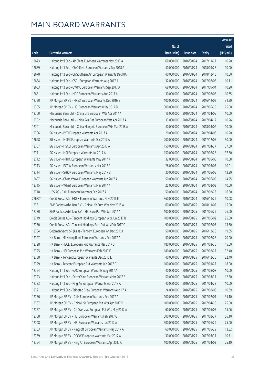|                      |                                                              |               |                       |               | Amount      |
|----------------------|--------------------------------------------------------------|---------------|-----------------------|---------------|-------------|
|                      |                                                              | No. of        |                       |               | raised      |
| Code                 | Derivative warrants                                          | issue (units) | Listing date          | <b>Expiry</b> | (HK\$ mil.) |
| 12673                | Haitong Int'l Sec - Air China European Warrants Nov 2017 A   | 68,000,000    | 2016/08/24            | 2017/11/27    | 10.20       |
| 12689                | Haitong Int'l Sec - Ch Oilfield European Warrants Sep 2018 A | 40,000,000    | 2016/08/24            | 2018/09/28    | 10.00       |
| 12678                | Haitong Int'l Sec - Ch Southern Air European Warrants Dec18A | 40,000,000    | 2016/08/24            | 2018/12/18    | 10.00       |
| 12684                | Haitong Int'l Sec - CSCL European Warrants Aug 2017 A        | 32,000,000    | 2016/08/24            | 2017/08/08    | 10.11       |
| 12683                | Haitong Int'l Sec - GWMC European Warrants Sep 2017 A        | 68,000,000    | 2016/08/24            | 2017/09/04    | 10.20       |
| 12681                | Haitong Int'l Sec - MCC European Warrants Aug 2017 A         | 30,000,000    | 2016/08/24            | 2017/08/08    | 10.65       |
| 12720                | J P Morgan SP BV - HKEX European Warrants Dec 2016 E         | 100,000,000   | 2016/08/24            | 2016/12/02    | 31.20       |
| 12705                | J P Morgan SP BV - HSI European Warrants May 2017 B          | 300,000,000   | 2016/08/24            | 2017/05/29    | 75.00       |
| 12700                | Macquarie Bank Ltd. - China Life European Wts Apr 2017 A     | 16,000,000    | 2016/08/24            | 2017/04/05    | 10.00       |
| 12702                | Macquarie Bank Ltd. - China Res Gas European Wts Apr 2017 A  | 33,000,000    | 2016/08/24            | 2017/04/12    | 10.26       |
| 12701                | Macquarie Bank Ltd. - China Mengniu European Wts Mar 2018 A  | 40,000,000    | 2016/08/24            | 2018/03/02    | 10.00       |
| 12706                | SG Issuer - BYD European Warrants Apr 2017 A                 | 20,000,000    | 2016/08/24            | 2017/04/06    | 10.20       |
| 12698                | SG Issuer - HKEX European Warrants Dec 2017 A                | 200,000,000   | 2016/08/24            | 2017/12/05    | 50.00       |
| 12707                | SG Issuer - HSCEI European Warrants Apr 2017 A               | 150,000,000   | 2016/08/24            | 2017/04/27    | 37.50       |
| 12711                | SG Issuer - HSI European Warrants Jul 2017 A                 | 150,000,000   | 2016/08/24            | 2017/07/28    | 37.50       |
| 12712                | SG Issuer - MTRC European Warrants May 2017 A                | 32,000,000    | 2016/08/24            | 2017/05/05    | 10.08       |
| 12713                | SG Issuer - PCCW European Warrants Mar 2017 A                | 26,000,000    | 2016/08/24            | 2017/03/03    | 10.01       |
| 12714                | SG Issuer - SHK P European Warrants May 2017 B               | 30,000,000    | 2016/08/24            | 2017/05/05    | 12.30       |
| 12697                | SG Issuer - China Vanke European Warrants Jun 2017 A         | 50,000,000    | 2016/08/24            | 2017/06/05    | 14.25       |
| 12715                | SG Issuer - Wharf European Warrants Mar 2017 A               | 25,000,000    | 2016/08/24            | 2017/03/03    | 10.00       |
| 12718                | UBS AG - CKH European Warrants Feb 2017 A                    | 50,000,000    | 2016/08/24            | 2017/02/23    | 16.50       |
| $27682$ <sup>#</sup> | Credit Suisse AG - HKEX European Warrants Nov 2016 E         | 360,000,000   | 2016/08/24            | 2016/11/29    | 10.08       |
| 12731                | BNP Paribas Arbit Issu B.V. - China Life Euro Wts Nov 2018 A | 60,000,000    | 2016/08/25            | 2018/11/02    | 15.00       |
| 12730                | BNP Paribas Arbit Issu B.V. - HSI Euro Put Wts Jun 2017 A    | 100,000,000   | 2016/08/25            | 2017/06/29    | 26.00       |
| 12749                | Credit Suisse AG - Tencent Holdings European Wts Jun 2017 B  | 100,000,000   | 2016/08/25            | 2017/06/02    | 25.00       |
| 12750                | Credit Suisse AG - Tencent Holdings Euro Put Wts Feb 2017 C  | 90,000,000    | 2016/08/25            | 2017/02/03    | 13.50       |
| 12734                | Goldman Sachs SP (Asia) - Tencent European Wt Dec 2016 I     |               | 50,000,000 2016/08/25 | 2016/12/28    | 19.65       |
| 12727                | HK Bank - Minsheng Bank European Warrants Feb 2017 A         | 50,000,000    | 2016/08/25            | 2017/02/28    | 20.00       |
| 12728                | HK Bank - HSCEI European Put Warrants Mar 2017 B             | 180,000,000   | 2016/08/25            | 2017/03/30    | 45.00       |
| 12725                | HK Bank - HSI European Put Warrants Feb 2017 E               | 180,000,000   | 2016/08/25            | 2017/02/27    | 32.40       |
| 12738                | HK Bank - Tencent European Warrants Dec 2016 E               | 40,000,000    | 2016/08/25            | 2016/12/30    | 22.40       |
| 12729                | HK Bank - Tencent European Put Warrants Jan 2017 C           | 100,000,000   | 2016/08/25            | 2017/01/27    | 18.00       |
| 12724                | Haitong Int'l Sec - GAC European Warrants Aug 2017 A         | 40,000,000    | 2016/08/25            | 2017/08/08    | 10.00       |
| 12723                | Haitong Int'l Sec - PetroChina European Warrants Mar 2017 B  | 50,000,000    | 2016/08/25            | 2017/03/31    | 12.50       |
| 12733                | Haitong Int'l Sec - Ping An European Warrants Apr 2017 A     | 40,000,000    | 2016/08/25            | 2017/04/28    | 10.00       |
| 12721                | Haitong Int'l Sec - Tsingtao Brew European Warrants Aug 17 A | 24,000,000    | 2016/08/25            | 2017/08/08    | 10.39       |
| 12756                | J P Morgan SP BV - CKH European Warrants Feb 2017 A          | 100,000,000   | 2016/08/25            | 2017/02/01    | 31.10       |
| 12737                | J P Morgan SP BV - China Life European Put Wts Apr 2017 B    | 100,000,000   | 2016/08/25            | 2017/04/28    | 25.00       |
| 12757                | J P Morgan SP BV - Ch Overseas European Put Wts May 2017 A   | 60,000,000    | 2016/08/25            | 2017/05/05    | 15.06       |
| 12758                | J P Morgan SP BV - HSI European Warrants Feb 2017 G          | 300,000,000   | 2016/08/25            | 2017/02/27    | 56.10       |
| 12748                | J P Morgan SP BV - HSI European Warrants Jun 2017 A          | 300,000,000   | 2016/08/25            | 2017/06/29    | 75.00       |
| 12763                | J P Morgan SP BV - Kingsoft European Warrants May 2017 A     | 60,000,000    | 2016/08/25            | 2017/05/29    | 13.32       |
| 12759                | J P Morgan SP BV - PCCW European Warrants Mar 2017 A         | 30,000,000    | 2016/08/25            | 2017/03/31    | 10.71       |
| 12754                | J P Morgan SP BV - Ping An European Warrants Apr 2017 C      | 100,000,000   | 2016/08/25            | 2017/04/03    | 25.10       |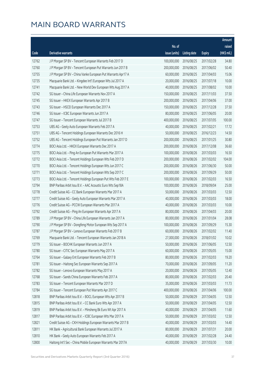| No. of<br>raised<br>(HK\$ mil.)<br>issue (units)<br>Code<br>Derivative warrants<br><b>Expiry</b><br><b>Listing date</b><br>12762<br>J P Morgan SP BV - Tencent European Warrants Feb 2017 D<br>100,000,000<br>2016/08/25<br>2017/02/28<br>34.80<br>50.40<br>12760<br>J P Morgan SP BV - Tencent European Put Warrants Jun 2017 B<br>200,000,000<br>2016/08/25<br>2017/06/02<br>12755<br>60,000,000<br>15.06<br>J P Morgan SP BV - China Vanke European Put Warrants Apr17 A<br>2016/08/25<br>2017/04/03<br>12735<br>Macquarie Bank Ltd. - Kingdee Int'l European Wts Jul 2017 A<br>20,000,000<br>2016/08/25<br>2017/07/18<br>10.00<br>12741<br>40,000,000<br>10.00<br>Macquarie Bank Ltd. - New World Dev European Wts Aug 2017 A<br>2016/08/25<br>2017/08/02<br>12742<br>SG Issuer - China Life European Warrants Nov 2017 A<br>150,000,000<br>2016/08/25<br>2017/11/03<br>37.50<br>12745<br>200,000,000<br>37.00<br>SG Issuer - HKEX European Warrants Apr 2017 B<br>2016/08/25<br>2017/04/06<br>12743<br>SG Issuer - HSCEI European Warrants Dec 2017 A<br>150,000,000<br>2016/08/25<br>2017/12/28<br>37.50<br>12746<br>80,000,000<br>20.00<br>SG Issuer - ICBC European Warrants Jun 2017 A<br>2016/08/25<br>2017/06/05<br>12747<br>SG Issuer - Tencent European Warrants Jul 2017 B<br>400,000,000<br>2016/08/25<br>2017/07/05<br>100.00<br>40,000,000<br>17.72<br>12753<br>UBS AG - Geely Auto European Warrants Feb 2017 A<br>2016/08/25<br>2017/02/21<br>14.50<br>12751<br>UBS AG - Tencent Holdings European Warrants Dec 2016 H<br>50,000,000<br>2016/08/25<br>2016/12/23<br>12752<br>200,000,000<br>30.80<br>UBS AG - Tencent Holdings European Put Warrants Jan 2017 D<br>2016/08/25<br>2017/01/25<br>12774<br>BOCI Asia Ltd. - HKEX European Warrants Dec 2017 A<br>200,000,000<br>2016/08/26<br>2017/12/08<br>36.60<br>16.50<br>12775<br>BOCI Asia Ltd. - Ping An European Put Warrants Mar 2017 A<br>100,000,000<br>2016/08/26<br>2017/03/03<br>200,000,000<br>104.00<br>12772<br>BOCI Asia Ltd. - Tencent Holdings European Wts Feb 2017 D<br>2016/08/26<br>2017/02/02<br>12770<br>200,000,000<br>50.00<br>BOCI Asia Ltd. - Tencent Holdings European Wts Jun 2017 C<br>2016/08/26<br>2017/06/30<br>50.00<br>12771<br>BOCI Asia Ltd. - Tencent Holdings European Wts Sep 2017 C<br>200,000,000<br>2016/08/26<br>2017/09/29<br>100,000,000<br>16.50<br>12773<br>BOCI Asia Ltd. - Tencent Holdings European Put Wts Feb 2017 E<br>2016/08/26<br>2017/02/03<br>100,000,000<br>25.00<br>12794<br>BNP Paribas Arbit Issu B.V. - AAC Acoustic Euro Wts Sep18A<br>2016/08/26<br>2018/09/04<br>12778<br>50,000,000<br>12.50<br>Credit Suisse AG - CC Bank European Warrants Mar 2017 A<br>2016/08/26<br>2017/03/03<br>40,000,000<br>12777<br>Credit Suisse AG - Geely Auto European Warrants Mar 2017 A<br>2016/08/26<br>2017/03/03<br>18.00<br>12776<br>40,000,000<br>Credit Suisse AG - PCCW European Warrants Mar 2017 A<br>2016/08/26<br>2017/03/03<br>10.00<br>80,000,000<br>12792<br>Credit Suisse AG - Ping An European Warrants Apr 2017 A<br>2016/08/26<br>2017/04/03<br>20.00<br>12789<br>80,000,000<br>28.08<br>J P Morgan SP BV - China Life European Warrants Jan 2017 A<br>2016/08/26<br>2017/01/04<br>100,000,000<br>15.30<br>12790<br>J P Morgan SP BV - Dongfeng Motor European Wts Sep 2017 A<br>2016/08/26<br>2017/09/29<br>12787<br>J P Morgan SP BV - Lenovo European Warrants Feb 2017 B<br>60,000,000 2016/08/26<br>2017/02/02<br>11.40<br>12769<br>Macquarie Bank Ltd. - Tencent European Warrants Jan 2018 A<br>27,000,000<br>2016/08/26<br>2018/01/02<br>10.02<br>12779<br>SG Issuer - BOCHK European Warrants Jun 2017 A<br>50,000,000<br>12.50<br>2016/08/26<br>2017/06/05<br>60,000,000<br>2016/08/26<br>12780<br>SG Issuer - CITIC Sec European Warrants May 2017 A<br>2017/05/05<br>15.00<br>12764<br>SG Issuer - Galaxy Ent European Warrants Feb 2017 B<br>80,000,000<br>19.20<br>2016/08/26<br>2017/02/03<br>70,000,000<br>12781<br>SG Issuer - Haitong Sec European Warrants Sep 2017 A<br>2016/08/26<br>2017/09/05<br>11.20<br>12782<br>SG Issuer - Lenovo European Warrants May 2017 A<br>20,000,000<br>12.40<br>2016/08/26<br>2017/05/05<br>SG Issuer - Sands China European Warrants Feb 2017 A<br>80,000,000<br>12768<br>2016/08/26<br>2017/02/03<br>20.40<br>12783<br>SG Issuer - Tencent European Warrants Mar 2017 D<br>35,000,000<br>11.73<br>2016/08/26<br>2017/03/03<br>400,000,000<br>12784<br>SG Issuer - Tencent European Put Warrants Apr 2017 C<br>2016/08/26<br>2017/04/06<br>100.00<br>12818<br>50,000,000<br>12.50<br>BNP Paribas Arbit Issu B.V. - BOCL European Wts Apr 2017 B<br>2016/08/29<br>2017/04/05<br>BNP Paribas Arbit Issu B.V. - CC Bank Euro Wts Apr 2017 A<br>50,000,000<br>12.50<br>12815<br>2016/08/29<br>2017/04/05<br>12819<br>BNP Paribas Arbit Issu B.V. - Minsheng Bk Euro Wt Apr 2017 A<br>40,000,000<br>11.60<br>2016/08/29<br>2017/04/05<br>12817<br>BNP Paribas Arbit Issu B.V. - ICBC European Wts Mar 2017 A<br>50,000,000<br>2016/08/29<br>2017/03/02<br>12.50<br>12821<br>Credit Suisse AG - CKH Holdings European Warrants Mar 2017 B<br>40,000,000<br>2016/08/29<br>2017/03/03<br>14.40<br>HK Bank - Agricultural Bank European Warrants Jul 2017 A<br>80,000,000<br>12811<br>2016/08/29<br>2017/07/31<br>20.00<br>12810<br>HK Bank - Geely Auto European Warrants Feb 2017 A<br>40,000,000<br>24.40<br>2016/08/29<br>2017/02/28 |       |                                                              |            |            |            | Amount |
|--------------------------------------------------------------------------------------------------------------------------------------------------------------------------------------------------------------------------------------------------------------------------------------------------------------------------------------------------------------------------------------------------------------------------------------------------------------------------------------------------------------------------------------------------------------------------------------------------------------------------------------------------------------------------------------------------------------------------------------------------------------------------------------------------------------------------------------------------------------------------------------------------------------------------------------------------------------------------------------------------------------------------------------------------------------------------------------------------------------------------------------------------------------------------------------------------------------------------------------------------------------------------------------------------------------------------------------------------------------------------------------------------------------------------------------------------------------------------------------------------------------------------------------------------------------------------------------------------------------------------------------------------------------------------------------------------------------------------------------------------------------------------------------------------------------------------------------------------------------------------------------------------------------------------------------------------------------------------------------------------------------------------------------------------------------------------------------------------------------------------------------------------------------------------------------------------------------------------------------------------------------------------------------------------------------------------------------------------------------------------------------------------------------------------------------------------------------------------------------------------------------------------------------------------------------------------------------------------------------------------------------------------------------------------------------------------------------------------------------------------------------------------------------------------------------------------------------------------------------------------------------------------------------------------------------------------------------------------------------------------------------------------------------------------------------------------------------------------------------------------------------------------------------------------------------------------------------------------------------------------------------------------------------------------------------------------------------------------------------------------------------------------------------------------------------------------------------------------------------------------------------------------------------------------------------------------------------------------------------------------------------------------------------------------------------------------------------------------------------------------------------------------------------------------------------------------------------------------------------------------------------------------------------------------------------------------------------------------------------------------------------------------------------------------------------------------------------------------------------------------------------------------------------------------------------------------------------------------------------------------------------------------------------------------------------------------------------------------------------------------------------------------------------------------------------------------------------------------------------------------------------------------------------------------------------------------------------------------------------------------------------------------------------------------------------------------------------------------------------------------------------------------------------------------------------------------------------------------------------------------------------------------------------------------------------------------------------------------------------------------------------------------------------------------------------------------------------------------------------------------------------------------------------------------------------------------------------------------------------------------------------------------------------------------------------------------------------------------------------------------------------------------------------------------------|-------|--------------------------------------------------------------|------------|------------|------------|--------|
|                                                                                                                                                                                                                                                                                                                                                                                                                                                                                                                                                                                                                                                                                                                                                                                                                                                                                                                                                                                                                                                                                                                                                                                                                                                                                                                                                                                                                                                                                                                                                                                                                                                                                                                                                                                                                                                                                                                                                                                                                                                                                                                                                                                                                                                                                                                                                                                                                                                                                                                                                                                                                                                                                                                                                                                                                                                                                                                                                                                                                                                                                                                                                                                                                                                                                                                                                                                                                                                                                                                                                                                                                                                                                                                                                                                                                                                                                                                                                                                                                                                                                                                                                                                                                                                                                                                                                                                                                                                                                                                                                                                                                                                                                                                                                                                                                                                                                                                                                                                                                                                                                                                                                                                                                                                                                                                                                                                                                                |       |                                                              |            |            |            |        |
|                                                                                                                                                                                                                                                                                                                                                                                                                                                                                                                                                                                                                                                                                                                                                                                                                                                                                                                                                                                                                                                                                                                                                                                                                                                                                                                                                                                                                                                                                                                                                                                                                                                                                                                                                                                                                                                                                                                                                                                                                                                                                                                                                                                                                                                                                                                                                                                                                                                                                                                                                                                                                                                                                                                                                                                                                                                                                                                                                                                                                                                                                                                                                                                                                                                                                                                                                                                                                                                                                                                                                                                                                                                                                                                                                                                                                                                                                                                                                                                                                                                                                                                                                                                                                                                                                                                                                                                                                                                                                                                                                                                                                                                                                                                                                                                                                                                                                                                                                                                                                                                                                                                                                                                                                                                                                                                                                                                                                                |       |                                                              |            |            |            |        |
|                                                                                                                                                                                                                                                                                                                                                                                                                                                                                                                                                                                                                                                                                                                                                                                                                                                                                                                                                                                                                                                                                                                                                                                                                                                                                                                                                                                                                                                                                                                                                                                                                                                                                                                                                                                                                                                                                                                                                                                                                                                                                                                                                                                                                                                                                                                                                                                                                                                                                                                                                                                                                                                                                                                                                                                                                                                                                                                                                                                                                                                                                                                                                                                                                                                                                                                                                                                                                                                                                                                                                                                                                                                                                                                                                                                                                                                                                                                                                                                                                                                                                                                                                                                                                                                                                                                                                                                                                                                                                                                                                                                                                                                                                                                                                                                                                                                                                                                                                                                                                                                                                                                                                                                                                                                                                                                                                                                                                                |       |                                                              |            |            |            |        |
|                                                                                                                                                                                                                                                                                                                                                                                                                                                                                                                                                                                                                                                                                                                                                                                                                                                                                                                                                                                                                                                                                                                                                                                                                                                                                                                                                                                                                                                                                                                                                                                                                                                                                                                                                                                                                                                                                                                                                                                                                                                                                                                                                                                                                                                                                                                                                                                                                                                                                                                                                                                                                                                                                                                                                                                                                                                                                                                                                                                                                                                                                                                                                                                                                                                                                                                                                                                                                                                                                                                                                                                                                                                                                                                                                                                                                                                                                                                                                                                                                                                                                                                                                                                                                                                                                                                                                                                                                                                                                                                                                                                                                                                                                                                                                                                                                                                                                                                                                                                                                                                                                                                                                                                                                                                                                                                                                                                                                                |       |                                                              |            |            |            |        |
|                                                                                                                                                                                                                                                                                                                                                                                                                                                                                                                                                                                                                                                                                                                                                                                                                                                                                                                                                                                                                                                                                                                                                                                                                                                                                                                                                                                                                                                                                                                                                                                                                                                                                                                                                                                                                                                                                                                                                                                                                                                                                                                                                                                                                                                                                                                                                                                                                                                                                                                                                                                                                                                                                                                                                                                                                                                                                                                                                                                                                                                                                                                                                                                                                                                                                                                                                                                                                                                                                                                                                                                                                                                                                                                                                                                                                                                                                                                                                                                                                                                                                                                                                                                                                                                                                                                                                                                                                                                                                                                                                                                                                                                                                                                                                                                                                                                                                                                                                                                                                                                                                                                                                                                                                                                                                                                                                                                                                                |       |                                                              |            |            |            |        |
|                                                                                                                                                                                                                                                                                                                                                                                                                                                                                                                                                                                                                                                                                                                                                                                                                                                                                                                                                                                                                                                                                                                                                                                                                                                                                                                                                                                                                                                                                                                                                                                                                                                                                                                                                                                                                                                                                                                                                                                                                                                                                                                                                                                                                                                                                                                                                                                                                                                                                                                                                                                                                                                                                                                                                                                                                                                                                                                                                                                                                                                                                                                                                                                                                                                                                                                                                                                                                                                                                                                                                                                                                                                                                                                                                                                                                                                                                                                                                                                                                                                                                                                                                                                                                                                                                                                                                                                                                                                                                                                                                                                                                                                                                                                                                                                                                                                                                                                                                                                                                                                                                                                                                                                                                                                                                                                                                                                                                                |       |                                                              |            |            |            |        |
|                                                                                                                                                                                                                                                                                                                                                                                                                                                                                                                                                                                                                                                                                                                                                                                                                                                                                                                                                                                                                                                                                                                                                                                                                                                                                                                                                                                                                                                                                                                                                                                                                                                                                                                                                                                                                                                                                                                                                                                                                                                                                                                                                                                                                                                                                                                                                                                                                                                                                                                                                                                                                                                                                                                                                                                                                                                                                                                                                                                                                                                                                                                                                                                                                                                                                                                                                                                                                                                                                                                                                                                                                                                                                                                                                                                                                                                                                                                                                                                                                                                                                                                                                                                                                                                                                                                                                                                                                                                                                                                                                                                                                                                                                                                                                                                                                                                                                                                                                                                                                                                                                                                                                                                                                                                                                                                                                                                                                                |       |                                                              |            |            |            |        |
|                                                                                                                                                                                                                                                                                                                                                                                                                                                                                                                                                                                                                                                                                                                                                                                                                                                                                                                                                                                                                                                                                                                                                                                                                                                                                                                                                                                                                                                                                                                                                                                                                                                                                                                                                                                                                                                                                                                                                                                                                                                                                                                                                                                                                                                                                                                                                                                                                                                                                                                                                                                                                                                                                                                                                                                                                                                                                                                                                                                                                                                                                                                                                                                                                                                                                                                                                                                                                                                                                                                                                                                                                                                                                                                                                                                                                                                                                                                                                                                                                                                                                                                                                                                                                                                                                                                                                                                                                                                                                                                                                                                                                                                                                                                                                                                                                                                                                                                                                                                                                                                                                                                                                                                                                                                                                                                                                                                                                                |       |                                                              |            |            |            |        |
|                                                                                                                                                                                                                                                                                                                                                                                                                                                                                                                                                                                                                                                                                                                                                                                                                                                                                                                                                                                                                                                                                                                                                                                                                                                                                                                                                                                                                                                                                                                                                                                                                                                                                                                                                                                                                                                                                                                                                                                                                                                                                                                                                                                                                                                                                                                                                                                                                                                                                                                                                                                                                                                                                                                                                                                                                                                                                                                                                                                                                                                                                                                                                                                                                                                                                                                                                                                                                                                                                                                                                                                                                                                                                                                                                                                                                                                                                                                                                                                                                                                                                                                                                                                                                                                                                                                                                                                                                                                                                                                                                                                                                                                                                                                                                                                                                                                                                                                                                                                                                                                                                                                                                                                                                                                                                                                                                                                                                                |       |                                                              |            |            |            |        |
|                                                                                                                                                                                                                                                                                                                                                                                                                                                                                                                                                                                                                                                                                                                                                                                                                                                                                                                                                                                                                                                                                                                                                                                                                                                                                                                                                                                                                                                                                                                                                                                                                                                                                                                                                                                                                                                                                                                                                                                                                                                                                                                                                                                                                                                                                                                                                                                                                                                                                                                                                                                                                                                                                                                                                                                                                                                                                                                                                                                                                                                                                                                                                                                                                                                                                                                                                                                                                                                                                                                                                                                                                                                                                                                                                                                                                                                                                                                                                                                                                                                                                                                                                                                                                                                                                                                                                                                                                                                                                                                                                                                                                                                                                                                                                                                                                                                                                                                                                                                                                                                                                                                                                                                                                                                                                                                                                                                                                                |       |                                                              |            |            |            |        |
|                                                                                                                                                                                                                                                                                                                                                                                                                                                                                                                                                                                                                                                                                                                                                                                                                                                                                                                                                                                                                                                                                                                                                                                                                                                                                                                                                                                                                                                                                                                                                                                                                                                                                                                                                                                                                                                                                                                                                                                                                                                                                                                                                                                                                                                                                                                                                                                                                                                                                                                                                                                                                                                                                                                                                                                                                                                                                                                                                                                                                                                                                                                                                                                                                                                                                                                                                                                                                                                                                                                                                                                                                                                                                                                                                                                                                                                                                                                                                                                                                                                                                                                                                                                                                                                                                                                                                                                                                                                                                                                                                                                                                                                                                                                                                                                                                                                                                                                                                                                                                                                                                                                                                                                                                                                                                                                                                                                                                                |       |                                                              |            |            |            |        |
|                                                                                                                                                                                                                                                                                                                                                                                                                                                                                                                                                                                                                                                                                                                                                                                                                                                                                                                                                                                                                                                                                                                                                                                                                                                                                                                                                                                                                                                                                                                                                                                                                                                                                                                                                                                                                                                                                                                                                                                                                                                                                                                                                                                                                                                                                                                                                                                                                                                                                                                                                                                                                                                                                                                                                                                                                                                                                                                                                                                                                                                                                                                                                                                                                                                                                                                                                                                                                                                                                                                                                                                                                                                                                                                                                                                                                                                                                                                                                                                                                                                                                                                                                                                                                                                                                                                                                                                                                                                                                                                                                                                                                                                                                                                                                                                                                                                                                                                                                                                                                                                                                                                                                                                                                                                                                                                                                                                                                                |       |                                                              |            |            |            |        |
|                                                                                                                                                                                                                                                                                                                                                                                                                                                                                                                                                                                                                                                                                                                                                                                                                                                                                                                                                                                                                                                                                                                                                                                                                                                                                                                                                                                                                                                                                                                                                                                                                                                                                                                                                                                                                                                                                                                                                                                                                                                                                                                                                                                                                                                                                                                                                                                                                                                                                                                                                                                                                                                                                                                                                                                                                                                                                                                                                                                                                                                                                                                                                                                                                                                                                                                                                                                                                                                                                                                                                                                                                                                                                                                                                                                                                                                                                                                                                                                                                                                                                                                                                                                                                                                                                                                                                                                                                                                                                                                                                                                                                                                                                                                                                                                                                                                                                                                                                                                                                                                                                                                                                                                                                                                                                                                                                                                                                                |       |                                                              |            |            |            |        |
|                                                                                                                                                                                                                                                                                                                                                                                                                                                                                                                                                                                                                                                                                                                                                                                                                                                                                                                                                                                                                                                                                                                                                                                                                                                                                                                                                                                                                                                                                                                                                                                                                                                                                                                                                                                                                                                                                                                                                                                                                                                                                                                                                                                                                                                                                                                                                                                                                                                                                                                                                                                                                                                                                                                                                                                                                                                                                                                                                                                                                                                                                                                                                                                                                                                                                                                                                                                                                                                                                                                                                                                                                                                                                                                                                                                                                                                                                                                                                                                                                                                                                                                                                                                                                                                                                                                                                                                                                                                                                                                                                                                                                                                                                                                                                                                                                                                                                                                                                                                                                                                                                                                                                                                                                                                                                                                                                                                                                                |       |                                                              |            |            |            |        |
|                                                                                                                                                                                                                                                                                                                                                                                                                                                                                                                                                                                                                                                                                                                                                                                                                                                                                                                                                                                                                                                                                                                                                                                                                                                                                                                                                                                                                                                                                                                                                                                                                                                                                                                                                                                                                                                                                                                                                                                                                                                                                                                                                                                                                                                                                                                                                                                                                                                                                                                                                                                                                                                                                                                                                                                                                                                                                                                                                                                                                                                                                                                                                                                                                                                                                                                                                                                                                                                                                                                                                                                                                                                                                                                                                                                                                                                                                                                                                                                                                                                                                                                                                                                                                                                                                                                                                                                                                                                                                                                                                                                                                                                                                                                                                                                                                                                                                                                                                                                                                                                                                                                                                                                                                                                                                                                                                                                                                                |       |                                                              |            |            |            |        |
|                                                                                                                                                                                                                                                                                                                                                                                                                                                                                                                                                                                                                                                                                                                                                                                                                                                                                                                                                                                                                                                                                                                                                                                                                                                                                                                                                                                                                                                                                                                                                                                                                                                                                                                                                                                                                                                                                                                                                                                                                                                                                                                                                                                                                                                                                                                                                                                                                                                                                                                                                                                                                                                                                                                                                                                                                                                                                                                                                                                                                                                                                                                                                                                                                                                                                                                                                                                                                                                                                                                                                                                                                                                                                                                                                                                                                                                                                                                                                                                                                                                                                                                                                                                                                                                                                                                                                                                                                                                                                                                                                                                                                                                                                                                                                                                                                                                                                                                                                                                                                                                                                                                                                                                                                                                                                                                                                                                                                                |       |                                                              |            |            |            |        |
|                                                                                                                                                                                                                                                                                                                                                                                                                                                                                                                                                                                                                                                                                                                                                                                                                                                                                                                                                                                                                                                                                                                                                                                                                                                                                                                                                                                                                                                                                                                                                                                                                                                                                                                                                                                                                                                                                                                                                                                                                                                                                                                                                                                                                                                                                                                                                                                                                                                                                                                                                                                                                                                                                                                                                                                                                                                                                                                                                                                                                                                                                                                                                                                                                                                                                                                                                                                                                                                                                                                                                                                                                                                                                                                                                                                                                                                                                                                                                                                                                                                                                                                                                                                                                                                                                                                                                                                                                                                                                                                                                                                                                                                                                                                                                                                                                                                                                                                                                                                                                                                                                                                                                                                                                                                                                                                                                                                                                                |       |                                                              |            |            |            |        |
|                                                                                                                                                                                                                                                                                                                                                                                                                                                                                                                                                                                                                                                                                                                                                                                                                                                                                                                                                                                                                                                                                                                                                                                                                                                                                                                                                                                                                                                                                                                                                                                                                                                                                                                                                                                                                                                                                                                                                                                                                                                                                                                                                                                                                                                                                                                                                                                                                                                                                                                                                                                                                                                                                                                                                                                                                                                                                                                                                                                                                                                                                                                                                                                                                                                                                                                                                                                                                                                                                                                                                                                                                                                                                                                                                                                                                                                                                                                                                                                                                                                                                                                                                                                                                                                                                                                                                                                                                                                                                                                                                                                                                                                                                                                                                                                                                                                                                                                                                                                                                                                                                                                                                                                                                                                                                                                                                                                                                                |       |                                                              |            |            |            |        |
|                                                                                                                                                                                                                                                                                                                                                                                                                                                                                                                                                                                                                                                                                                                                                                                                                                                                                                                                                                                                                                                                                                                                                                                                                                                                                                                                                                                                                                                                                                                                                                                                                                                                                                                                                                                                                                                                                                                                                                                                                                                                                                                                                                                                                                                                                                                                                                                                                                                                                                                                                                                                                                                                                                                                                                                                                                                                                                                                                                                                                                                                                                                                                                                                                                                                                                                                                                                                                                                                                                                                                                                                                                                                                                                                                                                                                                                                                                                                                                                                                                                                                                                                                                                                                                                                                                                                                                                                                                                                                                                                                                                                                                                                                                                                                                                                                                                                                                                                                                                                                                                                                                                                                                                                                                                                                                                                                                                                                                |       |                                                              |            |            |            |        |
|                                                                                                                                                                                                                                                                                                                                                                                                                                                                                                                                                                                                                                                                                                                                                                                                                                                                                                                                                                                                                                                                                                                                                                                                                                                                                                                                                                                                                                                                                                                                                                                                                                                                                                                                                                                                                                                                                                                                                                                                                                                                                                                                                                                                                                                                                                                                                                                                                                                                                                                                                                                                                                                                                                                                                                                                                                                                                                                                                                                                                                                                                                                                                                                                                                                                                                                                                                                                                                                                                                                                                                                                                                                                                                                                                                                                                                                                                                                                                                                                                                                                                                                                                                                                                                                                                                                                                                                                                                                                                                                                                                                                                                                                                                                                                                                                                                                                                                                                                                                                                                                                                                                                                                                                                                                                                                                                                                                                                                |       |                                                              |            |            |            |        |
|                                                                                                                                                                                                                                                                                                                                                                                                                                                                                                                                                                                                                                                                                                                                                                                                                                                                                                                                                                                                                                                                                                                                                                                                                                                                                                                                                                                                                                                                                                                                                                                                                                                                                                                                                                                                                                                                                                                                                                                                                                                                                                                                                                                                                                                                                                                                                                                                                                                                                                                                                                                                                                                                                                                                                                                                                                                                                                                                                                                                                                                                                                                                                                                                                                                                                                                                                                                                                                                                                                                                                                                                                                                                                                                                                                                                                                                                                                                                                                                                                                                                                                                                                                                                                                                                                                                                                                                                                                                                                                                                                                                                                                                                                                                                                                                                                                                                                                                                                                                                                                                                                                                                                                                                                                                                                                                                                                                                                                |       |                                                              |            |            |            |        |
|                                                                                                                                                                                                                                                                                                                                                                                                                                                                                                                                                                                                                                                                                                                                                                                                                                                                                                                                                                                                                                                                                                                                                                                                                                                                                                                                                                                                                                                                                                                                                                                                                                                                                                                                                                                                                                                                                                                                                                                                                                                                                                                                                                                                                                                                                                                                                                                                                                                                                                                                                                                                                                                                                                                                                                                                                                                                                                                                                                                                                                                                                                                                                                                                                                                                                                                                                                                                                                                                                                                                                                                                                                                                                                                                                                                                                                                                                                                                                                                                                                                                                                                                                                                                                                                                                                                                                                                                                                                                                                                                                                                                                                                                                                                                                                                                                                                                                                                                                                                                                                                                                                                                                                                                                                                                                                                                                                                                                                |       |                                                              |            |            |            |        |
|                                                                                                                                                                                                                                                                                                                                                                                                                                                                                                                                                                                                                                                                                                                                                                                                                                                                                                                                                                                                                                                                                                                                                                                                                                                                                                                                                                                                                                                                                                                                                                                                                                                                                                                                                                                                                                                                                                                                                                                                                                                                                                                                                                                                                                                                                                                                                                                                                                                                                                                                                                                                                                                                                                                                                                                                                                                                                                                                                                                                                                                                                                                                                                                                                                                                                                                                                                                                                                                                                                                                                                                                                                                                                                                                                                                                                                                                                                                                                                                                                                                                                                                                                                                                                                                                                                                                                                                                                                                                                                                                                                                                                                                                                                                                                                                                                                                                                                                                                                                                                                                                                                                                                                                                                                                                                                                                                                                                                                |       |                                                              |            |            |            |        |
|                                                                                                                                                                                                                                                                                                                                                                                                                                                                                                                                                                                                                                                                                                                                                                                                                                                                                                                                                                                                                                                                                                                                                                                                                                                                                                                                                                                                                                                                                                                                                                                                                                                                                                                                                                                                                                                                                                                                                                                                                                                                                                                                                                                                                                                                                                                                                                                                                                                                                                                                                                                                                                                                                                                                                                                                                                                                                                                                                                                                                                                                                                                                                                                                                                                                                                                                                                                                                                                                                                                                                                                                                                                                                                                                                                                                                                                                                                                                                                                                                                                                                                                                                                                                                                                                                                                                                                                                                                                                                                                                                                                                                                                                                                                                                                                                                                                                                                                                                                                                                                                                                                                                                                                                                                                                                                                                                                                                                                |       |                                                              |            |            |            |        |
|                                                                                                                                                                                                                                                                                                                                                                                                                                                                                                                                                                                                                                                                                                                                                                                                                                                                                                                                                                                                                                                                                                                                                                                                                                                                                                                                                                                                                                                                                                                                                                                                                                                                                                                                                                                                                                                                                                                                                                                                                                                                                                                                                                                                                                                                                                                                                                                                                                                                                                                                                                                                                                                                                                                                                                                                                                                                                                                                                                                                                                                                                                                                                                                                                                                                                                                                                                                                                                                                                                                                                                                                                                                                                                                                                                                                                                                                                                                                                                                                                                                                                                                                                                                                                                                                                                                                                                                                                                                                                                                                                                                                                                                                                                                                                                                                                                                                                                                                                                                                                                                                                                                                                                                                                                                                                                                                                                                                                                |       |                                                              |            |            |            |        |
|                                                                                                                                                                                                                                                                                                                                                                                                                                                                                                                                                                                                                                                                                                                                                                                                                                                                                                                                                                                                                                                                                                                                                                                                                                                                                                                                                                                                                                                                                                                                                                                                                                                                                                                                                                                                                                                                                                                                                                                                                                                                                                                                                                                                                                                                                                                                                                                                                                                                                                                                                                                                                                                                                                                                                                                                                                                                                                                                                                                                                                                                                                                                                                                                                                                                                                                                                                                                                                                                                                                                                                                                                                                                                                                                                                                                                                                                                                                                                                                                                                                                                                                                                                                                                                                                                                                                                                                                                                                                                                                                                                                                                                                                                                                                                                                                                                                                                                                                                                                                                                                                                                                                                                                                                                                                                                                                                                                                                                |       |                                                              |            |            |            |        |
|                                                                                                                                                                                                                                                                                                                                                                                                                                                                                                                                                                                                                                                                                                                                                                                                                                                                                                                                                                                                                                                                                                                                                                                                                                                                                                                                                                                                                                                                                                                                                                                                                                                                                                                                                                                                                                                                                                                                                                                                                                                                                                                                                                                                                                                                                                                                                                                                                                                                                                                                                                                                                                                                                                                                                                                                                                                                                                                                                                                                                                                                                                                                                                                                                                                                                                                                                                                                                                                                                                                                                                                                                                                                                                                                                                                                                                                                                                                                                                                                                                                                                                                                                                                                                                                                                                                                                                                                                                                                                                                                                                                                                                                                                                                                                                                                                                                                                                                                                                                                                                                                                                                                                                                                                                                                                                                                                                                                                                |       |                                                              |            |            |            |        |
|                                                                                                                                                                                                                                                                                                                                                                                                                                                                                                                                                                                                                                                                                                                                                                                                                                                                                                                                                                                                                                                                                                                                                                                                                                                                                                                                                                                                                                                                                                                                                                                                                                                                                                                                                                                                                                                                                                                                                                                                                                                                                                                                                                                                                                                                                                                                                                                                                                                                                                                                                                                                                                                                                                                                                                                                                                                                                                                                                                                                                                                                                                                                                                                                                                                                                                                                                                                                                                                                                                                                                                                                                                                                                                                                                                                                                                                                                                                                                                                                                                                                                                                                                                                                                                                                                                                                                                                                                                                                                                                                                                                                                                                                                                                                                                                                                                                                                                                                                                                                                                                                                                                                                                                                                                                                                                                                                                                                                                |       |                                                              |            |            |            |        |
|                                                                                                                                                                                                                                                                                                                                                                                                                                                                                                                                                                                                                                                                                                                                                                                                                                                                                                                                                                                                                                                                                                                                                                                                                                                                                                                                                                                                                                                                                                                                                                                                                                                                                                                                                                                                                                                                                                                                                                                                                                                                                                                                                                                                                                                                                                                                                                                                                                                                                                                                                                                                                                                                                                                                                                                                                                                                                                                                                                                                                                                                                                                                                                                                                                                                                                                                                                                                                                                                                                                                                                                                                                                                                                                                                                                                                                                                                                                                                                                                                                                                                                                                                                                                                                                                                                                                                                                                                                                                                                                                                                                                                                                                                                                                                                                                                                                                                                                                                                                                                                                                                                                                                                                                                                                                                                                                                                                                                                |       |                                                              |            |            |            |        |
|                                                                                                                                                                                                                                                                                                                                                                                                                                                                                                                                                                                                                                                                                                                                                                                                                                                                                                                                                                                                                                                                                                                                                                                                                                                                                                                                                                                                                                                                                                                                                                                                                                                                                                                                                                                                                                                                                                                                                                                                                                                                                                                                                                                                                                                                                                                                                                                                                                                                                                                                                                                                                                                                                                                                                                                                                                                                                                                                                                                                                                                                                                                                                                                                                                                                                                                                                                                                                                                                                                                                                                                                                                                                                                                                                                                                                                                                                                                                                                                                                                                                                                                                                                                                                                                                                                                                                                                                                                                                                                                                                                                                                                                                                                                                                                                                                                                                                                                                                                                                                                                                                                                                                                                                                                                                                                                                                                                                                                |       |                                                              |            |            |            |        |
|                                                                                                                                                                                                                                                                                                                                                                                                                                                                                                                                                                                                                                                                                                                                                                                                                                                                                                                                                                                                                                                                                                                                                                                                                                                                                                                                                                                                                                                                                                                                                                                                                                                                                                                                                                                                                                                                                                                                                                                                                                                                                                                                                                                                                                                                                                                                                                                                                                                                                                                                                                                                                                                                                                                                                                                                                                                                                                                                                                                                                                                                                                                                                                                                                                                                                                                                                                                                                                                                                                                                                                                                                                                                                                                                                                                                                                                                                                                                                                                                                                                                                                                                                                                                                                                                                                                                                                                                                                                                                                                                                                                                                                                                                                                                                                                                                                                                                                                                                                                                                                                                                                                                                                                                                                                                                                                                                                                                                                |       |                                                              |            |            |            |        |
|                                                                                                                                                                                                                                                                                                                                                                                                                                                                                                                                                                                                                                                                                                                                                                                                                                                                                                                                                                                                                                                                                                                                                                                                                                                                                                                                                                                                                                                                                                                                                                                                                                                                                                                                                                                                                                                                                                                                                                                                                                                                                                                                                                                                                                                                                                                                                                                                                                                                                                                                                                                                                                                                                                                                                                                                                                                                                                                                                                                                                                                                                                                                                                                                                                                                                                                                                                                                                                                                                                                                                                                                                                                                                                                                                                                                                                                                                                                                                                                                                                                                                                                                                                                                                                                                                                                                                                                                                                                                                                                                                                                                                                                                                                                                                                                                                                                                                                                                                                                                                                                                                                                                                                                                                                                                                                                                                                                                                                |       |                                                              |            |            |            |        |
|                                                                                                                                                                                                                                                                                                                                                                                                                                                                                                                                                                                                                                                                                                                                                                                                                                                                                                                                                                                                                                                                                                                                                                                                                                                                                                                                                                                                                                                                                                                                                                                                                                                                                                                                                                                                                                                                                                                                                                                                                                                                                                                                                                                                                                                                                                                                                                                                                                                                                                                                                                                                                                                                                                                                                                                                                                                                                                                                                                                                                                                                                                                                                                                                                                                                                                                                                                                                                                                                                                                                                                                                                                                                                                                                                                                                                                                                                                                                                                                                                                                                                                                                                                                                                                                                                                                                                                                                                                                                                                                                                                                                                                                                                                                                                                                                                                                                                                                                                                                                                                                                                                                                                                                                                                                                                                                                                                                                                                |       |                                                              |            |            |            |        |
|                                                                                                                                                                                                                                                                                                                                                                                                                                                                                                                                                                                                                                                                                                                                                                                                                                                                                                                                                                                                                                                                                                                                                                                                                                                                                                                                                                                                                                                                                                                                                                                                                                                                                                                                                                                                                                                                                                                                                                                                                                                                                                                                                                                                                                                                                                                                                                                                                                                                                                                                                                                                                                                                                                                                                                                                                                                                                                                                                                                                                                                                                                                                                                                                                                                                                                                                                                                                                                                                                                                                                                                                                                                                                                                                                                                                                                                                                                                                                                                                                                                                                                                                                                                                                                                                                                                                                                                                                                                                                                                                                                                                                                                                                                                                                                                                                                                                                                                                                                                                                                                                                                                                                                                                                                                                                                                                                                                                                                |       |                                                              |            |            |            |        |
|                                                                                                                                                                                                                                                                                                                                                                                                                                                                                                                                                                                                                                                                                                                                                                                                                                                                                                                                                                                                                                                                                                                                                                                                                                                                                                                                                                                                                                                                                                                                                                                                                                                                                                                                                                                                                                                                                                                                                                                                                                                                                                                                                                                                                                                                                                                                                                                                                                                                                                                                                                                                                                                                                                                                                                                                                                                                                                                                                                                                                                                                                                                                                                                                                                                                                                                                                                                                                                                                                                                                                                                                                                                                                                                                                                                                                                                                                                                                                                                                                                                                                                                                                                                                                                                                                                                                                                                                                                                                                                                                                                                                                                                                                                                                                                                                                                                                                                                                                                                                                                                                                                                                                                                                                                                                                                                                                                                                                                |       |                                                              |            |            |            |        |
|                                                                                                                                                                                                                                                                                                                                                                                                                                                                                                                                                                                                                                                                                                                                                                                                                                                                                                                                                                                                                                                                                                                                                                                                                                                                                                                                                                                                                                                                                                                                                                                                                                                                                                                                                                                                                                                                                                                                                                                                                                                                                                                                                                                                                                                                                                                                                                                                                                                                                                                                                                                                                                                                                                                                                                                                                                                                                                                                                                                                                                                                                                                                                                                                                                                                                                                                                                                                                                                                                                                                                                                                                                                                                                                                                                                                                                                                                                                                                                                                                                                                                                                                                                                                                                                                                                                                                                                                                                                                                                                                                                                                                                                                                                                                                                                                                                                                                                                                                                                                                                                                                                                                                                                                                                                                                                                                                                                                                                |       |                                                              |            |            |            |        |
|                                                                                                                                                                                                                                                                                                                                                                                                                                                                                                                                                                                                                                                                                                                                                                                                                                                                                                                                                                                                                                                                                                                                                                                                                                                                                                                                                                                                                                                                                                                                                                                                                                                                                                                                                                                                                                                                                                                                                                                                                                                                                                                                                                                                                                                                                                                                                                                                                                                                                                                                                                                                                                                                                                                                                                                                                                                                                                                                                                                                                                                                                                                                                                                                                                                                                                                                                                                                                                                                                                                                                                                                                                                                                                                                                                                                                                                                                                                                                                                                                                                                                                                                                                                                                                                                                                                                                                                                                                                                                                                                                                                                                                                                                                                                                                                                                                                                                                                                                                                                                                                                                                                                                                                                                                                                                                                                                                                                                                |       |                                                              |            |            |            |        |
|                                                                                                                                                                                                                                                                                                                                                                                                                                                                                                                                                                                                                                                                                                                                                                                                                                                                                                                                                                                                                                                                                                                                                                                                                                                                                                                                                                                                                                                                                                                                                                                                                                                                                                                                                                                                                                                                                                                                                                                                                                                                                                                                                                                                                                                                                                                                                                                                                                                                                                                                                                                                                                                                                                                                                                                                                                                                                                                                                                                                                                                                                                                                                                                                                                                                                                                                                                                                                                                                                                                                                                                                                                                                                                                                                                                                                                                                                                                                                                                                                                                                                                                                                                                                                                                                                                                                                                                                                                                                                                                                                                                                                                                                                                                                                                                                                                                                                                                                                                                                                                                                                                                                                                                                                                                                                                                                                                                                                                |       |                                                              |            |            |            |        |
|                                                                                                                                                                                                                                                                                                                                                                                                                                                                                                                                                                                                                                                                                                                                                                                                                                                                                                                                                                                                                                                                                                                                                                                                                                                                                                                                                                                                                                                                                                                                                                                                                                                                                                                                                                                                                                                                                                                                                                                                                                                                                                                                                                                                                                                                                                                                                                                                                                                                                                                                                                                                                                                                                                                                                                                                                                                                                                                                                                                                                                                                                                                                                                                                                                                                                                                                                                                                                                                                                                                                                                                                                                                                                                                                                                                                                                                                                                                                                                                                                                                                                                                                                                                                                                                                                                                                                                                                                                                                                                                                                                                                                                                                                                                                                                                                                                                                                                                                                                                                                                                                                                                                                                                                                                                                                                                                                                                                                                |       |                                                              |            |            |            |        |
|                                                                                                                                                                                                                                                                                                                                                                                                                                                                                                                                                                                                                                                                                                                                                                                                                                                                                                                                                                                                                                                                                                                                                                                                                                                                                                                                                                                                                                                                                                                                                                                                                                                                                                                                                                                                                                                                                                                                                                                                                                                                                                                                                                                                                                                                                                                                                                                                                                                                                                                                                                                                                                                                                                                                                                                                                                                                                                                                                                                                                                                                                                                                                                                                                                                                                                                                                                                                                                                                                                                                                                                                                                                                                                                                                                                                                                                                                                                                                                                                                                                                                                                                                                                                                                                                                                                                                                                                                                                                                                                                                                                                                                                                                                                                                                                                                                                                                                                                                                                                                                                                                                                                                                                                                                                                                                                                                                                                                                |       |                                                              |            |            |            |        |
|                                                                                                                                                                                                                                                                                                                                                                                                                                                                                                                                                                                                                                                                                                                                                                                                                                                                                                                                                                                                                                                                                                                                                                                                                                                                                                                                                                                                                                                                                                                                                                                                                                                                                                                                                                                                                                                                                                                                                                                                                                                                                                                                                                                                                                                                                                                                                                                                                                                                                                                                                                                                                                                                                                                                                                                                                                                                                                                                                                                                                                                                                                                                                                                                                                                                                                                                                                                                                                                                                                                                                                                                                                                                                                                                                                                                                                                                                                                                                                                                                                                                                                                                                                                                                                                                                                                                                                                                                                                                                                                                                                                                                                                                                                                                                                                                                                                                                                                                                                                                                                                                                                                                                                                                                                                                                                                                                                                                                                |       |                                                              |            |            |            |        |
|                                                                                                                                                                                                                                                                                                                                                                                                                                                                                                                                                                                                                                                                                                                                                                                                                                                                                                                                                                                                                                                                                                                                                                                                                                                                                                                                                                                                                                                                                                                                                                                                                                                                                                                                                                                                                                                                                                                                                                                                                                                                                                                                                                                                                                                                                                                                                                                                                                                                                                                                                                                                                                                                                                                                                                                                                                                                                                                                                                                                                                                                                                                                                                                                                                                                                                                                                                                                                                                                                                                                                                                                                                                                                                                                                                                                                                                                                                                                                                                                                                                                                                                                                                                                                                                                                                                                                                                                                                                                                                                                                                                                                                                                                                                                                                                                                                                                                                                                                                                                                                                                                                                                                                                                                                                                                                                                                                                                                                |       |                                                              |            |            |            |        |
|                                                                                                                                                                                                                                                                                                                                                                                                                                                                                                                                                                                                                                                                                                                                                                                                                                                                                                                                                                                                                                                                                                                                                                                                                                                                                                                                                                                                                                                                                                                                                                                                                                                                                                                                                                                                                                                                                                                                                                                                                                                                                                                                                                                                                                                                                                                                                                                                                                                                                                                                                                                                                                                                                                                                                                                                                                                                                                                                                                                                                                                                                                                                                                                                                                                                                                                                                                                                                                                                                                                                                                                                                                                                                                                                                                                                                                                                                                                                                                                                                                                                                                                                                                                                                                                                                                                                                                                                                                                                                                                                                                                                                                                                                                                                                                                                                                                                                                                                                                                                                                                                                                                                                                                                                                                                                                                                                                                                                                |       |                                                              |            |            |            |        |
|                                                                                                                                                                                                                                                                                                                                                                                                                                                                                                                                                                                                                                                                                                                                                                                                                                                                                                                                                                                                                                                                                                                                                                                                                                                                                                                                                                                                                                                                                                                                                                                                                                                                                                                                                                                                                                                                                                                                                                                                                                                                                                                                                                                                                                                                                                                                                                                                                                                                                                                                                                                                                                                                                                                                                                                                                                                                                                                                                                                                                                                                                                                                                                                                                                                                                                                                                                                                                                                                                                                                                                                                                                                                                                                                                                                                                                                                                                                                                                                                                                                                                                                                                                                                                                                                                                                                                                                                                                                                                                                                                                                                                                                                                                                                                                                                                                                                                                                                                                                                                                                                                                                                                                                                                                                                                                                                                                                                                                |       |                                                              |            |            |            |        |
|                                                                                                                                                                                                                                                                                                                                                                                                                                                                                                                                                                                                                                                                                                                                                                                                                                                                                                                                                                                                                                                                                                                                                                                                                                                                                                                                                                                                                                                                                                                                                                                                                                                                                                                                                                                                                                                                                                                                                                                                                                                                                                                                                                                                                                                                                                                                                                                                                                                                                                                                                                                                                                                                                                                                                                                                                                                                                                                                                                                                                                                                                                                                                                                                                                                                                                                                                                                                                                                                                                                                                                                                                                                                                                                                                                                                                                                                                                                                                                                                                                                                                                                                                                                                                                                                                                                                                                                                                                                                                                                                                                                                                                                                                                                                                                                                                                                                                                                                                                                                                                                                                                                                                                                                                                                                                                                                                                                                                                | 12800 | Haitong Int'l Sec - China Mobile European Warrants Mar 2017A | 40,000,000 | 2016/08/29 | 2017/03/30 | 10.00  |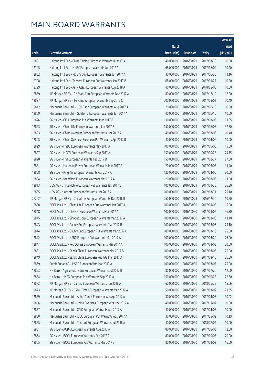|         |                                                              |               |                        |               | Amount       |
|---------|--------------------------------------------------------------|---------------|------------------------|---------------|--------------|
|         |                                                              | No. of        |                        |               | raised       |
| Code    | Derivative warrants                                          | issue (units) | <b>Listing date</b>    | <b>Expiry</b> | $(HK\$ mil.) |
| 12801   | Haitong Int'l Sec - China Taiping European Warrants Mar 17 A | 40,000,000    | 2016/08/29             | 2017/03/30    | 10.00        |
| 12795   | Haitong Int'l Sec - HKEX European Warrants Jun 2017 A        | 68,000,000    | 2016/08/29             | 2017/06/09    | 10.20        |
| 12802   | Haitong Int'l Sec - PICC Group European Warrants Jun 2017 A  | 30,000,000    | 2016/08/29             | 2017/06/28    | 11.16        |
| 12798   | Haitong Int'l Sec - Tencent European Put Warrants Jan 2017 B | 68,000,000    | 2016/08/29             | 2017/01/27    | 10.20        |
| 12799   | Haitong Int'l Sec - Xinyi Glass European Warrants Aug 2018 A | 40,000,000    | 2016/08/29             | 2018/08/08    | 10.00        |
| 12839   | J P Morgan SP BV - Ch State Con European Warrants Dec 2017 A | 80,000,000    | 2016/08/29             | 2017/12/19    | 12.00        |
| 12837   | J P Morgan SP BV - Tencent European Warrants Sep 2017 C      | 200,000,000   | 2016/08/29             | 2017/09/01    | 50.40        |
| 12812   | Macquarie Bank Ltd. - CEB Bank European Warrants Aug 2017 A  | 20,000,000    | 2016/08/29             | 2017/08/15    | 10.00        |
| 12809   | Macquarie Bank Ltd. - Goldwind European Warrants Jun 2017 A  | 40,000,000    | 2016/08/29             | 2017/06/16    | 10.00        |
| 12826   | SG Issuer - CKH European Put Warrants Mar 2017 B             | 30,000,000    | 2016/08/29             | 2017/03/03    | 11.85        |
| 12825   | SG Issuer - China Life European Warrants Jun 2017 B          | 150,000,000   | 2016/08/29             | 2017/06/05    | 37.50        |
| 12803   | SG Issuer - China Overseas European Warrants Mar 2017 A      | 40,000,000    | 2016/08/29             | 2017/03/03    | 10.40        |
| 12805   | SG Issuer - China Overseas European Put Warrants Apr 2017 B  | 40,000,000    | 2016/08/29             | 2017/04/06    | 10.00        |
| 12829   | SG Issuer - HSBC European Warrants May 2017 A                | 100,000,000   | 2016/08/29             | 2017/05/05    | 15.00        |
| 12827   | SG Issuer - HSCEI European Warrants Sep 2017 A               | 150,000,000   | 2016/08/29             | 2017/09/28    | 24.75        |
| 12828   | SG Issuer - HSI European Warrants Feb 2017 D                 | 150,000,000   | 2016/08/29             | 2017/02/27    | 27.00        |
| 12831   | SG Issuer - Huaneng Power European Warrants Mar 2017 A       | 20,000,000    | 2016/08/29             | 2017/03/03    | 11.40        |
| 12808   | SG Issuer - Ping An European Warrants Apr 2017 A             | 120,000,000   | 2016/08/29             | 2017/04/06    | 30.00        |
| 12834   | SG Issuer - Stanchart European Warrants Mar 2017 A           | 20,000,000    | 2016/08/29             | 2017/03/03    | 11.00        |
| 12813   | UBS AG - China Mobile European Put Warrants Jan 2017 B       | 100,000,000   | 2016/08/29             | 2017/01/25    | 26.30        |
| 12835   | UBS AG - Kingsoft European Warrants Mar 2017 A               | 100,000,000   | 2016/08/29             | 2017/03/31    | 25.10        |
| 27262 # | J P Morgan SP BV - China Life European Warrants Dec 2016 B   | 250,000,000   | 2016/08/29             | 2016/12/30    | 10.50        |
| 12850   | BOCI Asia Ltd. - China Life European Put Warrants Jan 2017 A | 100,000,000   | 2016/08/30             | 2017/01/05    | 15.00        |
| 12848   | BOCI Asia Ltd. - CNOOC European Warrants Mar 2017 A          | 100,000,000   | 2016/08/30             | 2017/03/02    | 46.30        |
| 12845   | BOCI Asia Ltd. - Sinopec Corp European Warrants Mar 2017 A   | 100,000,000   | 2016/08/30             | 2017/03/06    | 41.40        |
| 12843   | BOCI Asia Ltd. - Galaxy Ent European Warrants Mar 2017 B     | 100,000,000   | 2016/08/30             | 2017/03/06    | 25.10        |
| 12844   | BOCI Asia Ltd. - Galaxy Ent European Put Warrants Mar 2017 C |               | 100,000,000 2016/08/30 | 2017/03/13    | 25.00        |
| 12842   | BOCI Asia Ltd. - HSBC European Put Warrants Mar 2017 A       | 100,000,000   | 2016/08/30             | 2017/03/20    | 26.90        |
| 12847   | BOCI Asia Ltd. - PetroChina European Warrants Mar 2017 A     | 100,000,000   | 2016/08/30             | 2017/03/03    | 30.60        |
| 12851   | BOCI Asia Ltd. - Sands China European Warrants Mar 2017 B    | 100,000,000   | 2016/08/30             | 2017/03/03    | 25.00        |
| 12849   | BOCI Asia Ltd. - Sands China European Put Wts Mar 2017 A     | 100,000,000   | 2016/08/30             | 2017/03/10    | 26.60        |
| 12869   | Credit Suisse AG - HSBC European Wts Mar 2017 A              | 100,000,000   | 2016/08/30             | 2017/03/03    | 25.00        |
| 12853   | HK Bank - Agricultural Bank European Warrants Jul 2017 B     | 80,000,000    | 2016/08/30             | 2017/07/26    | 12.00        |
| 12854   | HK Bank - HKEX European Put Warrants Sep 2017 A              | 150,000,000   | 2016/08/30             | 2017/09/25    | 22.50        |
| 12872   | J P Morgan SP BV - Car Inc European Warrants Jun 2018 A      | 60,000,000    | 2016/08/30             | 2018/06/29    | 15.06        |
| 12873   | J P Morgan SP BV - CRRC Times European Warrants Mar 2017 A   | 50,000,000    | 2016/08/30             | 2017/03/02    | 23.35        |
| 12859   | Macquarie Bank Ltd. - Anhui Conch European Wts Apr 2017 A    | 30,000,000    | 2016/08/30             | 2017/04/05    | 10.02        |
| 12856   | Macquarie Bank Ltd. - China Overseas European Wts Nov 2017 A | 40,000,000    | 2016/08/30             | 2017/11/02    | 10.00        |
| 12857   | Macquarie Bank Ltd. - CPIC European Warrants Apr 2017 A      | 40,000,000    | 2016/08/30             | 2017/04/05    | 10.00        |
| 12860   | Macquarie Bank Ltd. - ICBC European Put Warrants Aug 2017 A  | 36,000,000    | 2016/08/30             | 2017/08/02    | 10.19        |
| 12855   | Macquarie Bank Ltd. - Tencent European Warrants Jul 2018 A   | 40,000,000    | 2016/08/30             | 2018/07/04    | 10.00        |
| 12861   | SG Issuer - AGBK European Warrants Aug 2017 A                | 80,000,000    | 2016/08/30             | 2017/08/03    | 12.00        |
| 12864   | SG Issuer - BOCL European Warrants Sep 2017 A                | 80,000,000    | 2016/08/30             | 2017/09/05    | 20.00        |
| 12865   | SG Issuer - BOCL European Put Warrants Mar 2017 B            | 80,000,000    | 2016/08/30             | 2017/03/03    | 16.00        |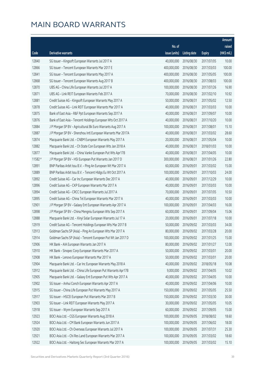|                                                                      |                                                                                                                                                                                                                                                                                                                                                                                                                                                                 |                                                                                                                    |                                                                                                              |                                                                                                              | Amount                                                               |
|----------------------------------------------------------------------|-----------------------------------------------------------------------------------------------------------------------------------------------------------------------------------------------------------------------------------------------------------------------------------------------------------------------------------------------------------------------------------------------------------------------------------------------------------------|--------------------------------------------------------------------------------------------------------------------|--------------------------------------------------------------------------------------------------------------|--------------------------------------------------------------------------------------------------------------|----------------------------------------------------------------------|
|                                                                      |                                                                                                                                                                                                                                                                                                                                                                                                                                                                 | No. of                                                                                                             |                                                                                                              |                                                                                                              | raised                                                               |
| Code                                                                 | Derivative warrants                                                                                                                                                                                                                                                                                                                                                                                                                                             | issue (units)                                                                                                      | <b>Listing date</b>                                                                                          | <b>Expiry</b>                                                                                                | (HK\$ mil.)                                                          |
| 12840                                                                | SG Issuer - Kingsoft European Warrants Jul 2017 A                                                                                                                                                                                                                                                                                                                                                                                                               | 40,000,000                                                                                                         | 2016/08/30                                                                                                   | 2017/07/05                                                                                                   | 10.00                                                                |
| 12866                                                                | SG Issuer - Tencent European Warrants Mar 2017 E                                                                                                                                                                                                                                                                                                                                                                                                                | 400,000,000                                                                                                        | 2016/08/30                                                                                                   | 2017/03/03                                                                                                   | 100.00                                                               |
| 12841                                                                | SG Issuer - Tencent European Warrants May 2017 A                                                                                                                                                                                                                                                                                                                                                                                                                | 400,000,000                                                                                                        | 2016/08/30                                                                                                   | 2017/05/05                                                                                                   | 100.00                                                               |
| 12868                                                                | SG Issuer - Tencent European Warrants Aug 2017 B                                                                                                                                                                                                                                                                                                                                                                                                                | 400,000,000                                                                                                        | 2016/08/30                                                                                                   | 2017/08/03                                                                                                   | 100.00                                                               |
| 12870                                                                | UBS AG - China Life European Warrants Jul 2017 A                                                                                                                                                                                                                                                                                                                                                                                                                | 100,000,000                                                                                                        | 2016/08/30                                                                                                   | 2017/07/26                                                                                                   | 16.90                                                                |
| 12871                                                                | UBS AG - Link REIT European Warrants Feb 2017 A                                                                                                                                                                                                                                                                                                                                                                                                                 | 70,000,000                                                                                                         | 2016/08/30                                                                                                   | 2017/02/10                                                                                                   | 10.92                                                                |
| 12881                                                                | Credit Suisse AG - Kingsoft European Warrants May 2017 A                                                                                                                                                                                                                                                                                                                                                                                                        | 50,000,000                                                                                                         | 2016/08/31                                                                                                   | 2017/05/02                                                                                                   | 12.50                                                                |
| 12878                                                                | Credit Suisse AG - Link REIT European Warrants Mar 2017 A                                                                                                                                                                                                                                                                                                                                                                                                       | 40,000,000                                                                                                         | 2016/08/31                                                                                                   | 2017/03/03                                                                                                   | 10.00                                                                |
| 12875                                                                | Bank of East Asia - R&F Ppt European Warrants Sep 2017 A                                                                                                                                                                                                                                                                                                                                                                                                        | 40,000,000                                                                                                         | 2016/08/31                                                                                                   | 2017/09/07                                                                                                   | 10.00                                                                |
| 12876                                                                | Bank of East Asia - Tencent Holdings European Wts Oct 2017 A                                                                                                                                                                                                                                                                                                                                                                                                    | 40,000,000                                                                                                         | 2016/08/31                                                                                                   | 2017/10/20                                                                                                   | 10.00                                                                |
| 12884                                                                | J P Morgan SP BV - Agricultural Bk Euro Warrants Aug 2017 A                                                                                                                                                                                                                                                                                                                                                                                                     | 100,000,000                                                                                                        | 2016/08/31                                                                                                   | 2017/08/01                                                                                                   | 15.10                                                                |
| 12887                                                                | J P Morgan SP BV - Shenzhou Intl European Warrants Mar 2017A                                                                                                                                                                                                                                                                                                                                                                                                    | 40,000,000                                                                                                         | 2016/08/31                                                                                                   | 2017/03/02                                                                                                   | 28.60                                                                |
| 12874                                                                | Macquarie Bank Ltd. - CNBM European Warrants May 2017 A                                                                                                                                                                                                                                                                                                                                                                                                         | 20,000,000                                                                                                         | 2016/08/31                                                                                                   | 2017/05/04                                                                                                   | 10.00                                                                |
| 12882                                                                | Macquarie Bank Ltd. - Ch State Con European Wts Jan 2018 A                                                                                                                                                                                                                                                                                                                                                                                                      | 40,000,000                                                                                                         | 2016/08/31                                                                                                   | 2018/01/03                                                                                                   | 10.00                                                                |
| 12877                                                                | Macquarie Bank Ltd. - China Vanke European Put Wts Apr17B                                                                                                                                                                                                                                                                                                                                                                                                       | 40,000,000                                                                                                         | 2016/08/31                                                                                                   | 2017/04/05                                                                                                   | 10.00                                                                |
| 11582 #                                                              | J P Morgan SP BV - HSI European Put Warrants Jan 2017 D                                                                                                                                                                                                                                                                                                                                                                                                         | 300,000,000                                                                                                        | 2016/08/31                                                                                                   | 2017/01/26                                                                                                   | 22.80                                                                |
| 12891                                                                | BNP Paribas Arbit Issu B.V. - Ping An European Wt Mar 2017 A                                                                                                                                                                                                                                                                                                                                                                                                    | 60,000,000                                                                                                         | 2016/09/01                                                                                                   | 2017/03/02                                                                                                   | 15.00                                                                |
| 12889                                                                | BNP Paribas Arbit Issu B.V. - Tencent Hldgs Eu Wt Oct 2017 A                                                                                                                                                                                                                                                                                                                                                                                                    | 100,000,000                                                                                                        | 2016/09/01                                                                                                   | 2017/10/03                                                                                                   | 24.00                                                                |
| 12892                                                                | Credit Suisse AG - Car Inc European Warrants Dec 2017 A                                                                                                                                                                                                                                                                                                                                                                                                         | 40,000,000                                                                                                         | 2016/09/01                                                                                                   | 2017/12/29                                                                                                   | 10.00                                                                |
| 12896                                                                | Credit Suisse AG - CKP European Warrants Mar 2017 A                                                                                                                                                                                                                                                                                                                                                                                                             | 40,000,000                                                                                                         | 2016/09/01                                                                                                   | 2017/03/03                                                                                                   | 10.00                                                                |
| 12894                                                                | Credit Suisse AG - CRCC European Warrants Jul 2017 A                                                                                                                                                                                                                                                                                                                                                                                                            | 70,000,000                                                                                                         | 2016/09/01                                                                                                   | 2017/07/05                                                                                                   | 10.50                                                                |
| 12895                                                                | Credit Suisse AG - China Tel European Warrants Mar 2017 A                                                                                                                                                                                                                                                                                                                                                                                                       | 40,000,000                                                                                                         | 2016/09/01                                                                                                   | 2017/03/03                                                                                                   | 10.00                                                                |
| 12901                                                                | J P Morgan SP BV - Galaxy Ent European Warrants Apr 2017 A                                                                                                                                                                                                                                                                                                                                                                                                      | 100,000,000                                                                                                        | 2016/09/01                                                                                                   | 2017/04/03                                                                                                   | 16.00                                                                |
| 12898                                                                | J P Morgan SP BV - China Mengniu European Wts Sep 2017 A                                                                                                                                                                                                                                                                                                                                                                                                        | 60,000,000                                                                                                         | 2016/09/01                                                                                                   | 2017/09/04                                                                                                   | 15.06                                                                |
| 12888                                                                | Macquarie Bank Ltd. - Xinyi Solar European Warrants Jul 17 A                                                                                                                                                                                                                                                                                                                                                                                                    | 20,000,000                                                                                                         | 2016/09/01                                                                                                   | 2017/07/18                                                                                                   | 10.00                                                                |
| 12919                                                                | Credit Suisse AG - Tencent Holdings European Wts Mar 2017 B                                                                                                                                                                                                                                                                                                                                                                                                     | 50,000,000                                                                                                         | 2016/09/02                                                                                                   | 2017/03/03                                                                                                   | 34.00                                                                |
| 12913                                                                | Goldman Sachs SP (Asia) - Ping An European Wts Mar 2017 A                                                                                                                                                                                                                                                                                                                                                                                                       |                                                                                                                    | 80,000,000 2016/09/02                                                                                        | 2017/03/28                                                                                                   | 20.00                                                                |
| 12914                                                                | Goldman Sachs SP (Asia) - Tencent European Put Wt Jan 2017 D                                                                                                                                                                                                                                                                                                                                                                                                    | 100,000,000                                                                                                        | 2016/09/02                                                                                                   | 2017/01/25                                                                                                   | 15.00                                                                |
| 12906                                                                | HK Bank - AIA European Warrants Jan 2017 A                                                                                                                                                                                                                                                                                                                                                                                                                      | 80,000,000                                                                                                         | 2016/09/02                                                                                                   | 2017/01/27                                                                                                   | 12.00                                                                |
| 12910                                                                | HK Bank - Sinopec Corp European Warrants Mar 2017 A                                                                                                                                                                                                                                                                                                                                                                                                             | 50,000,000                                                                                                         | 2016/09/02                                                                                                   | 2017/03/01                                                                                                   | 20.00                                                                |
| 12908                                                                | HK Bank - Lenovo European Warrants Mar 2017 A                                                                                                                                                                                                                                                                                                                                                                                                                   | 50,000,000                                                                                                         | 2016/09/02                                                                                                   | 2017/03/01                                                                                                   | 20.00                                                                |
| 12904                                                                | Macquarie Bank Ltd. - Car Inc European Warrants May 2018 A                                                                                                                                                                                                                                                                                                                                                                                                      | 40,000,000                                                                                                         | 2016/09/02                                                                                                   | 2018/05/18                                                                                                   | 10.08                                                                |
| 12912                                                                | Macquarie Bank Ltd. - China Life European Put Warrants Apr17B                                                                                                                                                                                                                                                                                                                                                                                                   | 9,000,000                                                                                                          | 2016/09/02                                                                                                   | 2017/04/05                                                                                                   | 10.02                                                                |
| 12905                                                                | Macquarie Bank Ltd. - Galaxy Ent European Put Wts Apr 2017 A                                                                                                                                                                                                                                                                                                                                                                                                    | 40,000,000                                                                                                         | 2016/09/02                                                                                                   | 2017/04/05                                                                                                   | 10.00                                                                |
| 12902                                                                | SG Issuer - Anhui Conch European Warrants Apr 2017 A                                                                                                                                                                                                                                                                                                                                                                                                            | 40,000,000                                                                                                         | 2016/09/02                                                                                                   | 2017/04/06                                                                                                   | 10.00                                                                |
| 12915                                                                | SG Issuer - China Life European Put Warrants May 2017 A                                                                                                                                                                                                                                                                                                                                                                                                         | 150,000,000                                                                                                        | 2016/09/02                                                                                                   | 2017/05/05                                                                                                   | 25.50                                                                |
|                                                                      |                                                                                                                                                                                                                                                                                                                                                                                                                                                                 |                                                                                                                    |                                                                                                              |                                                                                                              |                                                                      |
|                                                                      |                                                                                                                                                                                                                                                                                                                                                                                                                                                                 |                                                                                                                    |                                                                                                              |                                                                                                              |                                                                      |
|                                                                      |                                                                                                                                                                                                                                                                                                                                                                                                                                                                 |                                                                                                                    |                                                                                                              |                                                                                                              |                                                                      |
|                                                                      |                                                                                                                                                                                                                                                                                                                                                                                                                                                                 |                                                                                                                    |                                                                                                              |                                                                                                              |                                                                      |
|                                                                      |                                                                                                                                                                                                                                                                                                                                                                                                                                                                 |                                                                                                                    |                                                                                                              |                                                                                                              |                                                                      |
|                                                                      |                                                                                                                                                                                                                                                                                                                                                                                                                                                                 |                                                                                                                    |                                                                                                              |                                                                                                              |                                                                      |
|                                                                      |                                                                                                                                                                                                                                                                                                                                                                                                                                                                 |                                                                                                                    |                                                                                                              |                                                                                                              |                                                                      |
| 12917<br>12903<br>12918<br>12923<br>12924<br>12920<br>12921<br>12922 | SG Issuer - HSCEI European Put Warrants Mar 2017 B<br>SG Issuer - Link REIT European Warrants May 2017 A<br>SG Issuer - Wynn European Warrants Sep 2017 A<br>BOCI Asia Ltd. - CGS European Warrants Aug 2018 A<br>BOCI Asia Ltd. - CM Bank European Warrants Jun 2017 A<br>BOCI Asia Ltd. - Ch Overseas European Warrants Jul 2017 A<br>BOCI Asia Ltd. - Chi Res Land European Warrants Mar 2017 A<br>BOCI Asia Ltd. - Haitong Sec European Warrants Mar 2017 A | 150,000,000<br>30,000,000<br>60,000,000<br>100,000,000<br>100,000,000<br>100,000,000<br>100,000,000<br>100,000,000 | 2016/09/02<br>2016/09/02<br>2016/09/02<br>2016/09/05<br>2016/09/05<br>2016/09/05<br>2016/09/05<br>2016/09/05 | 2017/03/30<br>2017/05/05<br>2017/09/05<br>2018/08/02<br>2017/06/02<br>2017/07/31<br>2017/03/02<br>2017/03/02 | 30.00<br>10.05<br>15.00<br>18.60<br>18.00<br>25.30<br>18.60<br>15.10 |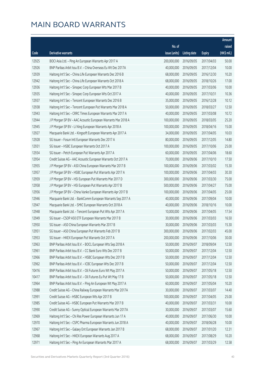| No. of<br>raised<br>(HK\$ mil.)<br>issue (units)<br>Code<br><b>Derivative warrants</b><br><b>Expiry</b><br>Listing date<br>200,000,000<br>50.00<br>12925<br>BOCI Asia Ltd. - Ping An European Warrants Apr 2017 A<br>2016/09/05<br>2017/04/03<br>12926<br>BNP Paribas Arbit Issu B.V. - China Overseas Eu Wt Dec 2017A<br>40,000,000<br>2016/09/05<br>2017/12/04<br>10.00<br>12939<br>68,000,000<br>10.20<br>Haitong Int'l Sec - China Life European Warrants Dec 2016 B<br>2016/09/05<br>2016/12/30<br>12942<br>Haitong Int'l Sec - China Life European Warrants Oct 2018 A<br>68,000,000<br>2016/09/05<br>2018/10/26<br>17.00<br>12936<br>40,000,000<br>Haitong Int'l Sec - Sinopec Corp European Wts Mar 2017 B<br>2016/09/05<br>2017/03/06<br>10.00<br>12935<br>Haitong Int'l Sec - Sinopec Corp European Wts Oct 2017 A<br>40,000,000<br>2016/09/05<br>2017/10/31<br>10.36<br>12937<br>35,000,000<br>10.12<br>Haitong Int'l Sec - Tencent European Warrants Dec 2016 B<br>2016/09/05<br>2016/12/28<br>12938<br>Haitong Int'l Sec - Tencent European Put Warrants Mar 2018 A<br>50,000,000<br>2016/09/05<br>2018/03/27<br>12.50<br>12943<br>10.72<br>Haitong Int'l Sec - CRRC Times European Warrants Mar 2017 A<br>40,000,000<br>2016/09/05<br>2017/03/08<br>12944<br>J P Morgan SP BV - AAC Acoustic European Warrants Mar 2018 A<br>100,000,000<br>2016/09/05<br>2018/03/05<br>25.20<br>12945<br>J P Morgan SP BV - Li Ning European Warrants Apr 2018 A<br>100,000,000<br>2016/09/05<br>2018/04/16<br>15.00<br>12927<br>Macquarie Bank Ltd. - Kingsoft European Warrants Apr 2017 A<br>34,000,000<br>2016/09/05<br>2017/04/05<br>10.03<br>12928<br>80,000,000<br>14.80<br>SG Issuer - Fosun Intl European Warrants Dec 2017 A<br>2016/09/05<br>2017/12/05<br>12931<br>SG Issuer - HSBC European Warrants Oct 2017 A<br>100,000,000<br>2016/09/05<br>2017/10/06<br>25.00<br>18.60<br>12934<br>SG Issuer - Petch European Put Warrants Apr 2017 A<br>60,000,000<br>2016/09/05<br>2017/04/06<br>70,000,000<br>2016/09/06<br>12954<br>Credit Suisse AG - AAC Acoustic European Warrants Oct 2017 A<br>2017/10/10<br>17.50<br>12955<br>100,000,000<br>15.30<br>J P Morgan SP BV - A50 China European Warrants Mar 2017 B<br>2016/09/06<br>2017/03/02<br>30.30<br>12957<br>J P Morgan SP BV - HSBC European Put Warrants Apr 2017 A<br>100,000,000<br>2016/09/06<br>2017/04/03<br>12959<br>300,000,000<br>J P Morgan SP BV - HSI European Put Warrants Mar 2017 D<br>2016/09/06<br>2017/03/30<br>75.00<br>500,000,000<br>12958<br>J P Morgan SP BV - HSI European Put Warrants Apr 2017 B<br>2016/09/06<br>2017/04/27<br>75.00<br>12956<br>25.00<br>J P Morgan SP BV - China Vanke European Warrants Apr 2017 B<br>100,000,000<br>2016/09/06<br>2017/04/05<br>12946<br>Macquarie Bank Ltd. - BankComm European Warrants Sep 2017 A<br>40,000,000<br>2016/09/06<br>2017/09/04<br>10.00<br>12947<br>40,000,000<br>Macquarie Bank Ltd. - SMIC European Warrants Oct 2018 A<br>2016/09/06<br>2018/10/16<br>10.00<br>10,000,000<br>12948<br>Macquarie Bank Ltd. - Tencent European Put Wts Apr 2017 A<br>2016/09/06<br>2017/04/05<br>17.54<br>12949<br>30,000,000<br>16.50<br>SG Issuer - CSOP A50 ETF European Warrants Mar 2017 B<br>2016/09/06<br>2017/03/03<br>12950<br>30,000,000<br>SG Issuer - A50 China European Warrants Mar 2017 B<br>2016/09/06<br>2017/03/03<br>15.30<br>12951<br>SG Issuer - A50 China European Put Warrants Feb 2017 B<br>300,000,000 2016/09/06<br>2017/02/03<br>45.00<br>12953<br>SG Issuer - HKEX European Put Warrants Oct 2017 A<br>200,000,000<br>2016/09/06<br>2017/10/06<br>30.00<br>12963<br>50,000,000<br>2016/09/07<br>12.50<br>BNP Paribas Arbit Issu B.V. - BOCL European Wts Sep 2018 A<br>2018/09/04<br>BNP Paribas Arbit Issu B.V. - CC Bank Euro Wts Dec 2017 B<br>50,000,000<br>2016/09/07<br>12.50<br>12961<br>2017/12/04<br>12966<br>50,000,000<br>12.50<br>BNP Paribas Arbit Issu B.V. - HSBC European Wts Dec 2017 B<br>2016/09/07<br>2017/12/04<br>12962<br>50,000,000<br>12.50<br>BNP Paribas Arbit Issu B.V. - ICBC European Wts Dec 2017 B<br>2016/09/07<br>2017/12/04<br>10416<br>BNP Paribas Arbit Issu B.V. - Oil Futures Euro Wt May 2017 A<br>50,000,000<br>12.50<br>2016/09/07<br>2017/05/18<br>BNP Paribas Arbit Issu B.V. - Oil Futures Eu Put Wt May 17 B<br>50,000,000<br>2016/09/07<br>12.50<br>10417<br>2017/05/18<br>12964<br>BNP Paribas Arbit Issu B.V. - Ping An European Wt May 2017 A<br>60,000,000<br>10.20<br>2016/09/07<br>2017/05/04<br>30,000,000<br>12988<br>Credit Suisse AG - China Railway European Warrants Mar 2017A<br>2016/09/07<br>2017/03/07<br>14.40<br>12991<br>Credit Suisse AG - HSBC European Wts Apr 2017 B<br>100,000,000<br>25.00<br>2016/09/07<br>2017/04/05<br>Credit Suisse AG - HSBC European Put Warrants Mar 2017 B<br>40,000,000<br>2016/09/07<br>12985<br>2017/03/31<br>10.00 |       |                                                              |            |            |            | Amount |
|-------------------------------------------------------------------------------------------------------------------------------------------------------------------------------------------------------------------------------------------------------------------------------------------------------------------------------------------------------------------------------------------------------------------------------------------------------------------------------------------------------------------------------------------------------------------------------------------------------------------------------------------------------------------------------------------------------------------------------------------------------------------------------------------------------------------------------------------------------------------------------------------------------------------------------------------------------------------------------------------------------------------------------------------------------------------------------------------------------------------------------------------------------------------------------------------------------------------------------------------------------------------------------------------------------------------------------------------------------------------------------------------------------------------------------------------------------------------------------------------------------------------------------------------------------------------------------------------------------------------------------------------------------------------------------------------------------------------------------------------------------------------------------------------------------------------------------------------------------------------------------------------------------------------------------------------------------------------------------------------------------------------------------------------------------------------------------------------------------------------------------------------------------------------------------------------------------------------------------------------------------------------------------------------------------------------------------------------------------------------------------------------------------------------------------------------------------------------------------------------------------------------------------------------------------------------------------------------------------------------------------------------------------------------------------------------------------------------------------------------------------------------------------------------------------------------------------------------------------------------------------------------------------------------------------------------------------------------------------------------------------------------------------------------------------------------------------------------------------------------------------------------------------------------------------------------------------------------------------------------------------------------------------------------------------------------------------------------------------------------------------------------------------------------------------------------------------------------------------------------------------------------------------------------------------------------------------------------------------------------------------------------------------------------------------------------------------------------------------------------------------------------------------------------------------------------------------------------------------------------------------------------------------------------------------------------------------------------------------------------------------------------------------------------------------------------------------------------------------------------------------------------------------------------------------------------------------------------------------------------------------------------------------------------------------------------------------------------------------------------------------------------------------------------------------------------------------------------------------------------------------------------------------------------------------------------------------------------------------------------------------------------------------------------------------------------------------------------------------------------------------------------------------------------------------------------------------------------------------------------------------------|-------|--------------------------------------------------------------|------------|------------|------------|--------|
|                                                                                                                                                                                                                                                                                                                                                                                                                                                                                                                                                                                                                                                                                                                                                                                                                                                                                                                                                                                                                                                                                                                                                                                                                                                                                                                                                                                                                                                                                                                                                                                                                                                                                                                                                                                                                                                                                                                                                                                                                                                                                                                                                                                                                                                                                                                                                                                                                                                                                                                                                                                                                                                                                                                                                                                                                                                                                                                                                                                                                                                                                                                                                                                                                                                                                                                                                                                                                                                                                                                                                                                                                                                                                                                                                                                                                                                                                                                                                                                                                                                                                                                                                                                                                                                                                                                                                                                                                                                                                                                                                                                                                                                                                                                                                                                                                                                                                     |       |                                                              |            |            |            |        |
|                                                                                                                                                                                                                                                                                                                                                                                                                                                                                                                                                                                                                                                                                                                                                                                                                                                                                                                                                                                                                                                                                                                                                                                                                                                                                                                                                                                                                                                                                                                                                                                                                                                                                                                                                                                                                                                                                                                                                                                                                                                                                                                                                                                                                                                                                                                                                                                                                                                                                                                                                                                                                                                                                                                                                                                                                                                                                                                                                                                                                                                                                                                                                                                                                                                                                                                                                                                                                                                                                                                                                                                                                                                                                                                                                                                                                                                                                                                                                                                                                                                                                                                                                                                                                                                                                                                                                                                                                                                                                                                                                                                                                                                                                                                                                                                                                                                                                     |       |                                                              |            |            |            |        |
|                                                                                                                                                                                                                                                                                                                                                                                                                                                                                                                                                                                                                                                                                                                                                                                                                                                                                                                                                                                                                                                                                                                                                                                                                                                                                                                                                                                                                                                                                                                                                                                                                                                                                                                                                                                                                                                                                                                                                                                                                                                                                                                                                                                                                                                                                                                                                                                                                                                                                                                                                                                                                                                                                                                                                                                                                                                                                                                                                                                                                                                                                                                                                                                                                                                                                                                                                                                                                                                                                                                                                                                                                                                                                                                                                                                                                                                                                                                                                                                                                                                                                                                                                                                                                                                                                                                                                                                                                                                                                                                                                                                                                                                                                                                                                                                                                                                                                     |       |                                                              |            |            |            |        |
|                                                                                                                                                                                                                                                                                                                                                                                                                                                                                                                                                                                                                                                                                                                                                                                                                                                                                                                                                                                                                                                                                                                                                                                                                                                                                                                                                                                                                                                                                                                                                                                                                                                                                                                                                                                                                                                                                                                                                                                                                                                                                                                                                                                                                                                                                                                                                                                                                                                                                                                                                                                                                                                                                                                                                                                                                                                                                                                                                                                                                                                                                                                                                                                                                                                                                                                                                                                                                                                                                                                                                                                                                                                                                                                                                                                                                                                                                                                                                                                                                                                                                                                                                                                                                                                                                                                                                                                                                                                                                                                                                                                                                                                                                                                                                                                                                                                                                     |       |                                                              |            |            |            |        |
|                                                                                                                                                                                                                                                                                                                                                                                                                                                                                                                                                                                                                                                                                                                                                                                                                                                                                                                                                                                                                                                                                                                                                                                                                                                                                                                                                                                                                                                                                                                                                                                                                                                                                                                                                                                                                                                                                                                                                                                                                                                                                                                                                                                                                                                                                                                                                                                                                                                                                                                                                                                                                                                                                                                                                                                                                                                                                                                                                                                                                                                                                                                                                                                                                                                                                                                                                                                                                                                                                                                                                                                                                                                                                                                                                                                                                                                                                                                                                                                                                                                                                                                                                                                                                                                                                                                                                                                                                                                                                                                                                                                                                                                                                                                                                                                                                                                                                     |       |                                                              |            |            |            |        |
|                                                                                                                                                                                                                                                                                                                                                                                                                                                                                                                                                                                                                                                                                                                                                                                                                                                                                                                                                                                                                                                                                                                                                                                                                                                                                                                                                                                                                                                                                                                                                                                                                                                                                                                                                                                                                                                                                                                                                                                                                                                                                                                                                                                                                                                                                                                                                                                                                                                                                                                                                                                                                                                                                                                                                                                                                                                                                                                                                                                                                                                                                                                                                                                                                                                                                                                                                                                                                                                                                                                                                                                                                                                                                                                                                                                                                                                                                                                                                                                                                                                                                                                                                                                                                                                                                                                                                                                                                                                                                                                                                                                                                                                                                                                                                                                                                                                                                     |       |                                                              |            |            |            |        |
|                                                                                                                                                                                                                                                                                                                                                                                                                                                                                                                                                                                                                                                                                                                                                                                                                                                                                                                                                                                                                                                                                                                                                                                                                                                                                                                                                                                                                                                                                                                                                                                                                                                                                                                                                                                                                                                                                                                                                                                                                                                                                                                                                                                                                                                                                                                                                                                                                                                                                                                                                                                                                                                                                                                                                                                                                                                                                                                                                                                                                                                                                                                                                                                                                                                                                                                                                                                                                                                                                                                                                                                                                                                                                                                                                                                                                                                                                                                                                                                                                                                                                                                                                                                                                                                                                                                                                                                                                                                                                                                                                                                                                                                                                                                                                                                                                                                                                     |       |                                                              |            |            |            |        |
|                                                                                                                                                                                                                                                                                                                                                                                                                                                                                                                                                                                                                                                                                                                                                                                                                                                                                                                                                                                                                                                                                                                                                                                                                                                                                                                                                                                                                                                                                                                                                                                                                                                                                                                                                                                                                                                                                                                                                                                                                                                                                                                                                                                                                                                                                                                                                                                                                                                                                                                                                                                                                                                                                                                                                                                                                                                                                                                                                                                                                                                                                                                                                                                                                                                                                                                                                                                                                                                                                                                                                                                                                                                                                                                                                                                                                                                                                                                                                                                                                                                                                                                                                                                                                                                                                                                                                                                                                                                                                                                                                                                                                                                                                                                                                                                                                                                                                     |       |                                                              |            |            |            |        |
|                                                                                                                                                                                                                                                                                                                                                                                                                                                                                                                                                                                                                                                                                                                                                                                                                                                                                                                                                                                                                                                                                                                                                                                                                                                                                                                                                                                                                                                                                                                                                                                                                                                                                                                                                                                                                                                                                                                                                                                                                                                                                                                                                                                                                                                                                                                                                                                                                                                                                                                                                                                                                                                                                                                                                                                                                                                                                                                                                                                                                                                                                                                                                                                                                                                                                                                                                                                                                                                                                                                                                                                                                                                                                                                                                                                                                                                                                                                                                                                                                                                                                                                                                                                                                                                                                                                                                                                                                                                                                                                                                                                                                                                                                                                                                                                                                                                                                     |       |                                                              |            |            |            |        |
|                                                                                                                                                                                                                                                                                                                                                                                                                                                                                                                                                                                                                                                                                                                                                                                                                                                                                                                                                                                                                                                                                                                                                                                                                                                                                                                                                                                                                                                                                                                                                                                                                                                                                                                                                                                                                                                                                                                                                                                                                                                                                                                                                                                                                                                                                                                                                                                                                                                                                                                                                                                                                                                                                                                                                                                                                                                                                                                                                                                                                                                                                                                                                                                                                                                                                                                                                                                                                                                                                                                                                                                                                                                                                                                                                                                                                                                                                                                                                                                                                                                                                                                                                                                                                                                                                                                                                                                                                                                                                                                                                                                                                                                                                                                                                                                                                                                                                     |       |                                                              |            |            |            |        |
|                                                                                                                                                                                                                                                                                                                                                                                                                                                                                                                                                                                                                                                                                                                                                                                                                                                                                                                                                                                                                                                                                                                                                                                                                                                                                                                                                                                                                                                                                                                                                                                                                                                                                                                                                                                                                                                                                                                                                                                                                                                                                                                                                                                                                                                                                                                                                                                                                                                                                                                                                                                                                                                                                                                                                                                                                                                                                                                                                                                                                                                                                                                                                                                                                                                                                                                                                                                                                                                                                                                                                                                                                                                                                                                                                                                                                                                                                                                                                                                                                                                                                                                                                                                                                                                                                                                                                                                                                                                                                                                                                                                                                                                                                                                                                                                                                                                                                     |       |                                                              |            |            |            |        |
|                                                                                                                                                                                                                                                                                                                                                                                                                                                                                                                                                                                                                                                                                                                                                                                                                                                                                                                                                                                                                                                                                                                                                                                                                                                                                                                                                                                                                                                                                                                                                                                                                                                                                                                                                                                                                                                                                                                                                                                                                                                                                                                                                                                                                                                                                                                                                                                                                                                                                                                                                                                                                                                                                                                                                                                                                                                                                                                                                                                                                                                                                                                                                                                                                                                                                                                                                                                                                                                                                                                                                                                                                                                                                                                                                                                                                                                                                                                                                                                                                                                                                                                                                                                                                                                                                                                                                                                                                                                                                                                                                                                                                                                                                                                                                                                                                                                                                     |       |                                                              |            |            |            |        |
|                                                                                                                                                                                                                                                                                                                                                                                                                                                                                                                                                                                                                                                                                                                                                                                                                                                                                                                                                                                                                                                                                                                                                                                                                                                                                                                                                                                                                                                                                                                                                                                                                                                                                                                                                                                                                                                                                                                                                                                                                                                                                                                                                                                                                                                                                                                                                                                                                                                                                                                                                                                                                                                                                                                                                                                                                                                                                                                                                                                                                                                                                                                                                                                                                                                                                                                                                                                                                                                                                                                                                                                                                                                                                                                                                                                                                                                                                                                                                                                                                                                                                                                                                                                                                                                                                                                                                                                                                                                                                                                                                                                                                                                                                                                                                                                                                                                                                     |       |                                                              |            |            |            |        |
|                                                                                                                                                                                                                                                                                                                                                                                                                                                                                                                                                                                                                                                                                                                                                                                                                                                                                                                                                                                                                                                                                                                                                                                                                                                                                                                                                                                                                                                                                                                                                                                                                                                                                                                                                                                                                                                                                                                                                                                                                                                                                                                                                                                                                                                                                                                                                                                                                                                                                                                                                                                                                                                                                                                                                                                                                                                                                                                                                                                                                                                                                                                                                                                                                                                                                                                                                                                                                                                                                                                                                                                                                                                                                                                                                                                                                                                                                                                                                                                                                                                                                                                                                                                                                                                                                                                                                                                                                                                                                                                                                                                                                                                                                                                                                                                                                                                                                     |       |                                                              |            |            |            |        |
|                                                                                                                                                                                                                                                                                                                                                                                                                                                                                                                                                                                                                                                                                                                                                                                                                                                                                                                                                                                                                                                                                                                                                                                                                                                                                                                                                                                                                                                                                                                                                                                                                                                                                                                                                                                                                                                                                                                                                                                                                                                                                                                                                                                                                                                                                                                                                                                                                                                                                                                                                                                                                                                                                                                                                                                                                                                                                                                                                                                                                                                                                                                                                                                                                                                                                                                                                                                                                                                                                                                                                                                                                                                                                                                                                                                                                                                                                                                                                                                                                                                                                                                                                                                                                                                                                                                                                                                                                                                                                                                                                                                                                                                                                                                                                                                                                                                                                     |       |                                                              |            |            |            |        |
|                                                                                                                                                                                                                                                                                                                                                                                                                                                                                                                                                                                                                                                                                                                                                                                                                                                                                                                                                                                                                                                                                                                                                                                                                                                                                                                                                                                                                                                                                                                                                                                                                                                                                                                                                                                                                                                                                                                                                                                                                                                                                                                                                                                                                                                                                                                                                                                                                                                                                                                                                                                                                                                                                                                                                                                                                                                                                                                                                                                                                                                                                                                                                                                                                                                                                                                                                                                                                                                                                                                                                                                                                                                                                                                                                                                                                                                                                                                                                                                                                                                                                                                                                                                                                                                                                                                                                                                                                                                                                                                                                                                                                                                                                                                                                                                                                                                                                     |       |                                                              |            |            |            |        |
|                                                                                                                                                                                                                                                                                                                                                                                                                                                                                                                                                                                                                                                                                                                                                                                                                                                                                                                                                                                                                                                                                                                                                                                                                                                                                                                                                                                                                                                                                                                                                                                                                                                                                                                                                                                                                                                                                                                                                                                                                                                                                                                                                                                                                                                                                                                                                                                                                                                                                                                                                                                                                                                                                                                                                                                                                                                                                                                                                                                                                                                                                                                                                                                                                                                                                                                                                                                                                                                                                                                                                                                                                                                                                                                                                                                                                                                                                                                                                                                                                                                                                                                                                                                                                                                                                                                                                                                                                                                                                                                                                                                                                                                                                                                                                                                                                                                                                     |       |                                                              |            |            |            |        |
|                                                                                                                                                                                                                                                                                                                                                                                                                                                                                                                                                                                                                                                                                                                                                                                                                                                                                                                                                                                                                                                                                                                                                                                                                                                                                                                                                                                                                                                                                                                                                                                                                                                                                                                                                                                                                                                                                                                                                                                                                                                                                                                                                                                                                                                                                                                                                                                                                                                                                                                                                                                                                                                                                                                                                                                                                                                                                                                                                                                                                                                                                                                                                                                                                                                                                                                                                                                                                                                                                                                                                                                                                                                                                                                                                                                                                                                                                                                                                                                                                                                                                                                                                                                                                                                                                                                                                                                                                                                                                                                                                                                                                                                                                                                                                                                                                                                                                     |       |                                                              |            |            |            |        |
|                                                                                                                                                                                                                                                                                                                                                                                                                                                                                                                                                                                                                                                                                                                                                                                                                                                                                                                                                                                                                                                                                                                                                                                                                                                                                                                                                                                                                                                                                                                                                                                                                                                                                                                                                                                                                                                                                                                                                                                                                                                                                                                                                                                                                                                                                                                                                                                                                                                                                                                                                                                                                                                                                                                                                                                                                                                                                                                                                                                                                                                                                                                                                                                                                                                                                                                                                                                                                                                                                                                                                                                                                                                                                                                                                                                                                                                                                                                                                                                                                                                                                                                                                                                                                                                                                                                                                                                                                                                                                                                                                                                                                                                                                                                                                                                                                                                                                     |       |                                                              |            |            |            |        |
|                                                                                                                                                                                                                                                                                                                                                                                                                                                                                                                                                                                                                                                                                                                                                                                                                                                                                                                                                                                                                                                                                                                                                                                                                                                                                                                                                                                                                                                                                                                                                                                                                                                                                                                                                                                                                                                                                                                                                                                                                                                                                                                                                                                                                                                                                                                                                                                                                                                                                                                                                                                                                                                                                                                                                                                                                                                                                                                                                                                                                                                                                                                                                                                                                                                                                                                                                                                                                                                                                                                                                                                                                                                                                                                                                                                                                                                                                                                                                                                                                                                                                                                                                                                                                                                                                                                                                                                                                                                                                                                                                                                                                                                                                                                                                                                                                                                                                     |       |                                                              |            |            |            |        |
|                                                                                                                                                                                                                                                                                                                                                                                                                                                                                                                                                                                                                                                                                                                                                                                                                                                                                                                                                                                                                                                                                                                                                                                                                                                                                                                                                                                                                                                                                                                                                                                                                                                                                                                                                                                                                                                                                                                                                                                                                                                                                                                                                                                                                                                                                                                                                                                                                                                                                                                                                                                                                                                                                                                                                                                                                                                                                                                                                                                                                                                                                                                                                                                                                                                                                                                                                                                                                                                                                                                                                                                                                                                                                                                                                                                                                                                                                                                                                                                                                                                                                                                                                                                                                                                                                                                                                                                                                                                                                                                                                                                                                                                                                                                                                                                                                                                                                     |       |                                                              |            |            |            |        |
|                                                                                                                                                                                                                                                                                                                                                                                                                                                                                                                                                                                                                                                                                                                                                                                                                                                                                                                                                                                                                                                                                                                                                                                                                                                                                                                                                                                                                                                                                                                                                                                                                                                                                                                                                                                                                                                                                                                                                                                                                                                                                                                                                                                                                                                                                                                                                                                                                                                                                                                                                                                                                                                                                                                                                                                                                                                                                                                                                                                                                                                                                                                                                                                                                                                                                                                                                                                                                                                                                                                                                                                                                                                                                                                                                                                                                                                                                                                                                                                                                                                                                                                                                                                                                                                                                                                                                                                                                                                                                                                                                                                                                                                                                                                                                                                                                                                                                     |       |                                                              |            |            |            |        |
|                                                                                                                                                                                                                                                                                                                                                                                                                                                                                                                                                                                                                                                                                                                                                                                                                                                                                                                                                                                                                                                                                                                                                                                                                                                                                                                                                                                                                                                                                                                                                                                                                                                                                                                                                                                                                                                                                                                                                                                                                                                                                                                                                                                                                                                                                                                                                                                                                                                                                                                                                                                                                                                                                                                                                                                                                                                                                                                                                                                                                                                                                                                                                                                                                                                                                                                                                                                                                                                                                                                                                                                                                                                                                                                                                                                                                                                                                                                                                                                                                                                                                                                                                                                                                                                                                                                                                                                                                                                                                                                                                                                                                                                                                                                                                                                                                                                                                     |       |                                                              |            |            |            |        |
|                                                                                                                                                                                                                                                                                                                                                                                                                                                                                                                                                                                                                                                                                                                                                                                                                                                                                                                                                                                                                                                                                                                                                                                                                                                                                                                                                                                                                                                                                                                                                                                                                                                                                                                                                                                                                                                                                                                                                                                                                                                                                                                                                                                                                                                                                                                                                                                                                                                                                                                                                                                                                                                                                                                                                                                                                                                                                                                                                                                                                                                                                                                                                                                                                                                                                                                                                                                                                                                                                                                                                                                                                                                                                                                                                                                                                                                                                                                                                                                                                                                                                                                                                                                                                                                                                                                                                                                                                                                                                                                                                                                                                                                                                                                                                                                                                                                                                     |       |                                                              |            |            |            |        |
|                                                                                                                                                                                                                                                                                                                                                                                                                                                                                                                                                                                                                                                                                                                                                                                                                                                                                                                                                                                                                                                                                                                                                                                                                                                                                                                                                                                                                                                                                                                                                                                                                                                                                                                                                                                                                                                                                                                                                                                                                                                                                                                                                                                                                                                                                                                                                                                                                                                                                                                                                                                                                                                                                                                                                                                                                                                                                                                                                                                                                                                                                                                                                                                                                                                                                                                                                                                                                                                                                                                                                                                                                                                                                                                                                                                                                                                                                                                                                                                                                                                                                                                                                                                                                                                                                                                                                                                                                                                                                                                                                                                                                                                                                                                                                                                                                                                                                     |       |                                                              |            |            |            |        |
|                                                                                                                                                                                                                                                                                                                                                                                                                                                                                                                                                                                                                                                                                                                                                                                                                                                                                                                                                                                                                                                                                                                                                                                                                                                                                                                                                                                                                                                                                                                                                                                                                                                                                                                                                                                                                                                                                                                                                                                                                                                                                                                                                                                                                                                                                                                                                                                                                                                                                                                                                                                                                                                                                                                                                                                                                                                                                                                                                                                                                                                                                                                                                                                                                                                                                                                                                                                                                                                                                                                                                                                                                                                                                                                                                                                                                                                                                                                                                                                                                                                                                                                                                                                                                                                                                                                                                                                                                                                                                                                                                                                                                                                                                                                                                                                                                                                                                     |       |                                                              |            |            |            |        |
|                                                                                                                                                                                                                                                                                                                                                                                                                                                                                                                                                                                                                                                                                                                                                                                                                                                                                                                                                                                                                                                                                                                                                                                                                                                                                                                                                                                                                                                                                                                                                                                                                                                                                                                                                                                                                                                                                                                                                                                                                                                                                                                                                                                                                                                                                                                                                                                                                                                                                                                                                                                                                                                                                                                                                                                                                                                                                                                                                                                                                                                                                                                                                                                                                                                                                                                                                                                                                                                                                                                                                                                                                                                                                                                                                                                                                                                                                                                                                                                                                                                                                                                                                                                                                                                                                                                                                                                                                                                                                                                                                                                                                                                                                                                                                                                                                                                                                     |       |                                                              |            |            |            |        |
|                                                                                                                                                                                                                                                                                                                                                                                                                                                                                                                                                                                                                                                                                                                                                                                                                                                                                                                                                                                                                                                                                                                                                                                                                                                                                                                                                                                                                                                                                                                                                                                                                                                                                                                                                                                                                                                                                                                                                                                                                                                                                                                                                                                                                                                                                                                                                                                                                                                                                                                                                                                                                                                                                                                                                                                                                                                                                                                                                                                                                                                                                                                                                                                                                                                                                                                                                                                                                                                                                                                                                                                                                                                                                                                                                                                                                                                                                                                                                                                                                                                                                                                                                                                                                                                                                                                                                                                                                                                                                                                                                                                                                                                                                                                                                                                                                                                                                     |       |                                                              |            |            |            |        |
|                                                                                                                                                                                                                                                                                                                                                                                                                                                                                                                                                                                                                                                                                                                                                                                                                                                                                                                                                                                                                                                                                                                                                                                                                                                                                                                                                                                                                                                                                                                                                                                                                                                                                                                                                                                                                                                                                                                                                                                                                                                                                                                                                                                                                                                                                                                                                                                                                                                                                                                                                                                                                                                                                                                                                                                                                                                                                                                                                                                                                                                                                                                                                                                                                                                                                                                                                                                                                                                                                                                                                                                                                                                                                                                                                                                                                                                                                                                                                                                                                                                                                                                                                                                                                                                                                                                                                                                                                                                                                                                                                                                                                                                                                                                                                                                                                                                                                     |       |                                                              |            |            |            |        |
|                                                                                                                                                                                                                                                                                                                                                                                                                                                                                                                                                                                                                                                                                                                                                                                                                                                                                                                                                                                                                                                                                                                                                                                                                                                                                                                                                                                                                                                                                                                                                                                                                                                                                                                                                                                                                                                                                                                                                                                                                                                                                                                                                                                                                                                                                                                                                                                                                                                                                                                                                                                                                                                                                                                                                                                                                                                                                                                                                                                                                                                                                                                                                                                                                                                                                                                                                                                                                                                                                                                                                                                                                                                                                                                                                                                                                                                                                                                                                                                                                                                                                                                                                                                                                                                                                                                                                                                                                                                                                                                                                                                                                                                                                                                                                                                                                                                                                     |       |                                                              |            |            |            |        |
|                                                                                                                                                                                                                                                                                                                                                                                                                                                                                                                                                                                                                                                                                                                                                                                                                                                                                                                                                                                                                                                                                                                                                                                                                                                                                                                                                                                                                                                                                                                                                                                                                                                                                                                                                                                                                                                                                                                                                                                                                                                                                                                                                                                                                                                                                                                                                                                                                                                                                                                                                                                                                                                                                                                                                                                                                                                                                                                                                                                                                                                                                                                                                                                                                                                                                                                                                                                                                                                                                                                                                                                                                                                                                                                                                                                                                                                                                                                                                                                                                                                                                                                                                                                                                                                                                                                                                                                                                                                                                                                                                                                                                                                                                                                                                                                                                                                                                     |       |                                                              |            |            |            |        |
|                                                                                                                                                                                                                                                                                                                                                                                                                                                                                                                                                                                                                                                                                                                                                                                                                                                                                                                                                                                                                                                                                                                                                                                                                                                                                                                                                                                                                                                                                                                                                                                                                                                                                                                                                                                                                                                                                                                                                                                                                                                                                                                                                                                                                                                                                                                                                                                                                                                                                                                                                                                                                                                                                                                                                                                                                                                                                                                                                                                                                                                                                                                                                                                                                                                                                                                                                                                                                                                                                                                                                                                                                                                                                                                                                                                                                                                                                                                                                                                                                                                                                                                                                                                                                                                                                                                                                                                                                                                                                                                                                                                                                                                                                                                                                                                                                                                                                     |       |                                                              |            |            |            |        |
|                                                                                                                                                                                                                                                                                                                                                                                                                                                                                                                                                                                                                                                                                                                                                                                                                                                                                                                                                                                                                                                                                                                                                                                                                                                                                                                                                                                                                                                                                                                                                                                                                                                                                                                                                                                                                                                                                                                                                                                                                                                                                                                                                                                                                                                                                                                                                                                                                                                                                                                                                                                                                                                                                                                                                                                                                                                                                                                                                                                                                                                                                                                                                                                                                                                                                                                                                                                                                                                                                                                                                                                                                                                                                                                                                                                                                                                                                                                                                                                                                                                                                                                                                                                                                                                                                                                                                                                                                                                                                                                                                                                                                                                                                                                                                                                                                                                                                     |       |                                                              |            |            |            |        |
|                                                                                                                                                                                                                                                                                                                                                                                                                                                                                                                                                                                                                                                                                                                                                                                                                                                                                                                                                                                                                                                                                                                                                                                                                                                                                                                                                                                                                                                                                                                                                                                                                                                                                                                                                                                                                                                                                                                                                                                                                                                                                                                                                                                                                                                                                                                                                                                                                                                                                                                                                                                                                                                                                                                                                                                                                                                                                                                                                                                                                                                                                                                                                                                                                                                                                                                                                                                                                                                                                                                                                                                                                                                                                                                                                                                                                                                                                                                                                                                                                                                                                                                                                                                                                                                                                                                                                                                                                                                                                                                                                                                                                                                                                                                                                                                                                                                                                     |       |                                                              |            |            |            |        |
|                                                                                                                                                                                                                                                                                                                                                                                                                                                                                                                                                                                                                                                                                                                                                                                                                                                                                                                                                                                                                                                                                                                                                                                                                                                                                                                                                                                                                                                                                                                                                                                                                                                                                                                                                                                                                                                                                                                                                                                                                                                                                                                                                                                                                                                                                                                                                                                                                                                                                                                                                                                                                                                                                                                                                                                                                                                                                                                                                                                                                                                                                                                                                                                                                                                                                                                                                                                                                                                                                                                                                                                                                                                                                                                                                                                                                                                                                                                                                                                                                                                                                                                                                                                                                                                                                                                                                                                                                                                                                                                                                                                                                                                                                                                                                                                                                                                                                     |       |                                                              |            |            |            |        |
|                                                                                                                                                                                                                                                                                                                                                                                                                                                                                                                                                                                                                                                                                                                                                                                                                                                                                                                                                                                                                                                                                                                                                                                                                                                                                                                                                                                                                                                                                                                                                                                                                                                                                                                                                                                                                                                                                                                                                                                                                                                                                                                                                                                                                                                                                                                                                                                                                                                                                                                                                                                                                                                                                                                                                                                                                                                                                                                                                                                                                                                                                                                                                                                                                                                                                                                                                                                                                                                                                                                                                                                                                                                                                                                                                                                                                                                                                                                                                                                                                                                                                                                                                                                                                                                                                                                                                                                                                                                                                                                                                                                                                                                                                                                                                                                                                                                                                     |       |                                                              |            |            |            |        |
|                                                                                                                                                                                                                                                                                                                                                                                                                                                                                                                                                                                                                                                                                                                                                                                                                                                                                                                                                                                                                                                                                                                                                                                                                                                                                                                                                                                                                                                                                                                                                                                                                                                                                                                                                                                                                                                                                                                                                                                                                                                                                                                                                                                                                                                                                                                                                                                                                                                                                                                                                                                                                                                                                                                                                                                                                                                                                                                                                                                                                                                                                                                                                                                                                                                                                                                                                                                                                                                                                                                                                                                                                                                                                                                                                                                                                                                                                                                                                                                                                                                                                                                                                                                                                                                                                                                                                                                                                                                                                                                                                                                                                                                                                                                                                                                                                                                                                     |       |                                                              |            |            |            |        |
|                                                                                                                                                                                                                                                                                                                                                                                                                                                                                                                                                                                                                                                                                                                                                                                                                                                                                                                                                                                                                                                                                                                                                                                                                                                                                                                                                                                                                                                                                                                                                                                                                                                                                                                                                                                                                                                                                                                                                                                                                                                                                                                                                                                                                                                                                                                                                                                                                                                                                                                                                                                                                                                                                                                                                                                                                                                                                                                                                                                                                                                                                                                                                                                                                                                                                                                                                                                                                                                                                                                                                                                                                                                                                                                                                                                                                                                                                                                                                                                                                                                                                                                                                                                                                                                                                                                                                                                                                                                                                                                                                                                                                                                                                                                                                                                                                                                                                     |       |                                                              |            |            |            |        |
|                                                                                                                                                                                                                                                                                                                                                                                                                                                                                                                                                                                                                                                                                                                                                                                                                                                                                                                                                                                                                                                                                                                                                                                                                                                                                                                                                                                                                                                                                                                                                                                                                                                                                                                                                                                                                                                                                                                                                                                                                                                                                                                                                                                                                                                                                                                                                                                                                                                                                                                                                                                                                                                                                                                                                                                                                                                                                                                                                                                                                                                                                                                                                                                                                                                                                                                                                                                                                                                                                                                                                                                                                                                                                                                                                                                                                                                                                                                                                                                                                                                                                                                                                                                                                                                                                                                                                                                                                                                                                                                                                                                                                                                                                                                                                                                                                                                                                     |       |                                                              |            |            |            |        |
|                                                                                                                                                                                                                                                                                                                                                                                                                                                                                                                                                                                                                                                                                                                                                                                                                                                                                                                                                                                                                                                                                                                                                                                                                                                                                                                                                                                                                                                                                                                                                                                                                                                                                                                                                                                                                                                                                                                                                                                                                                                                                                                                                                                                                                                                                                                                                                                                                                                                                                                                                                                                                                                                                                                                                                                                                                                                                                                                                                                                                                                                                                                                                                                                                                                                                                                                                                                                                                                                                                                                                                                                                                                                                                                                                                                                                                                                                                                                                                                                                                                                                                                                                                                                                                                                                                                                                                                                                                                                                                                                                                                                                                                                                                                                                                                                                                                                                     |       |                                                              |            |            |            |        |
| 40,000,000<br>12969<br>Haitong Int'l Sec - Chi Res Power European Warrants Jun 17 A<br>2016/09/07<br>2017/06/30<br>10.00                                                                                                                                                                                                                                                                                                                                                                                                                                                                                                                                                                                                                                                                                                                                                                                                                                                                                                                                                                                                                                                                                                                                                                                                                                                                                                                                                                                                                                                                                                                                                                                                                                                                                                                                                                                                                                                                                                                                                                                                                                                                                                                                                                                                                                                                                                                                                                                                                                                                                                                                                                                                                                                                                                                                                                                                                                                                                                                                                                                                                                                                                                                                                                                                                                                                                                                                                                                                                                                                                                                                                                                                                                                                                                                                                                                                                                                                                                                                                                                                                                                                                                                                                                                                                                                                                                                                                                                                                                                                                                                                                                                                                                                                                                                                                            | 12990 | Credit Suisse AG - Sunny Optical European Warrants Mar 2017A | 30,000,000 | 2016/09/07 | 2017/03/07 | 15.60  |
| 12970<br>40,000,000<br>10.00<br>Haitong Int'l Sec - CSPC Pharma European Warrants Jun 2018 A<br>2016/09/07<br>2018/06/28                                                                                                                                                                                                                                                                                                                                                                                                                                                                                                                                                                                                                                                                                                                                                                                                                                                                                                                                                                                                                                                                                                                                                                                                                                                                                                                                                                                                                                                                                                                                                                                                                                                                                                                                                                                                                                                                                                                                                                                                                                                                                                                                                                                                                                                                                                                                                                                                                                                                                                                                                                                                                                                                                                                                                                                                                                                                                                                                                                                                                                                                                                                                                                                                                                                                                                                                                                                                                                                                                                                                                                                                                                                                                                                                                                                                                                                                                                                                                                                                                                                                                                                                                                                                                                                                                                                                                                                                                                                                                                                                                                                                                                                                                                                                                            |       |                                                              |            |            |            |        |
| 68,000,000<br>2016/09/07<br>12.31<br>12967<br>Haitong Int'l Sec - Galaxy Ent European Warrants Jan 2017 B<br>2017/01/20                                                                                                                                                                                                                                                                                                                                                                                                                                                                                                                                                                                                                                                                                                                                                                                                                                                                                                                                                                                                                                                                                                                                                                                                                                                                                                                                                                                                                                                                                                                                                                                                                                                                                                                                                                                                                                                                                                                                                                                                                                                                                                                                                                                                                                                                                                                                                                                                                                                                                                                                                                                                                                                                                                                                                                                                                                                                                                                                                                                                                                                                                                                                                                                                                                                                                                                                                                                                                                                                                                                                                                                                                                                                                                                                                                                                                                                                                                                                                                                                                                                                                                                                                                                                                                                                                                                                                                                                                                                                                                                                                                                                                                                                                                                                                             |       |                                                              |            |            |            |        |
| 12968<br>Haitong Int'l Sec - HKEX European Warrants Aug 2017 A<br>68,000,000<br>10.20<br>2016/09/07<br>2017/08/29                                                                                                                                                                                                                                                                                                                                                                                                                                                                                                                                                                                                                                                                                                                                                                                                                                                                                                                                                                                                                                                                                                                                                                                                                                                                                                                                                                                                                                                                                                                                                                                                                                                                                                                                                                                                                                                                                                                                                                                                                                                                                                                                                                                                                                                                                                                                                                                                                                                                                                                                                                                                                                                                                                                                                                                                                                                                                                                                                                                                                                                                                                                                                                                                                                                                                                                                                                                                                                                                                                                                                                                                                                                                                                                                                                                                                                                                                                                                                                                                                                                                                                                                                                                                                                                                                                                                                                                                                                                                                                                                                                                                                                                                                                                                                                   |       |                                                              |            |            |            |        |
| 12971<br>Haitong Int'l Sec - Ping An European Warrants Mar 2017 A<br>68,000,000<br>2016/09/07<br>2017/03/29<br>12.58                                                                                                                                                                                                                                                                                                                                                                                                                                                                                                                                                                                                                                                                                                                                                                                                                                                                                                                                                                                                                                                                                                                                                                                                                                                                                                                                                                                                                                                                                                                                                                                                                                                                                                                                                                                                                                                                                                                                                                                                                                                                                                                                                                                                                                                                                                                                                                                                                                                                                                                                                                                                                                                                                                                                                                                                                                                                                                                                                                                                                                                                                                                                                                                                                                                                                                                                                                                                                                                                                                                                                                                                                                                                                                                                                                                                                                                                                                                                                                                                                                                                                                                                                                                                                                                                                                                                                                                                                                                                                                                                                                                                                                                                                                                                                                |       |                                                              |            |            |            |        |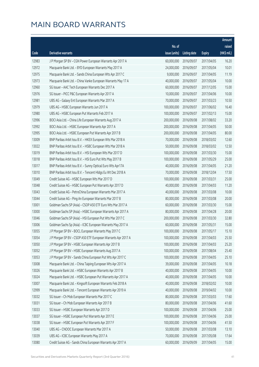|       |                                                              |                        |              |               | Amount      |
|-------|--------------------------------------------------------------|------------------------|--------------|---------------|-------------|
|       |                                                              | No. of                 |              |               | raised      |
| Code  | Derivative warrants                                          | issue (units)          | Listing date | <b>Expiry</b> | (HK\$ mil.) |
| 12983 | J P Morgan SP BV - CGN Power European Warrants Apr 2017 A    | 60,000,000             | 2016/09/07   | 2017/04/05    | 16.20       |
| 12972 | Macquarie Bank Ltd. - BYD European Warrants May 2017 A       | 24,000,000             | 2016/09/07   | 2017/05/04    | 10.01       |
| 12975 | Macquarie Bank Ltd. - Sands China European Wts Apr 2017 C    | 9,000,000              | 2016/09/07   | 2017/04/05    | 11.19       |
| 12973 | Macquarie Bank Ltd. - China Vanke European Warrants May 17 A | 40,000,000             | 2016/09/07   | 2017/05/04    | 10.00       |
| 12960 | SG Issuer - AAC Tech European Warrants Dec 2017 A            | 60,000,000             | 2016/09/07   | 2017/12/05    | 15.00       |
| 12976 | SG Issuer - PICC P&C European Warrants Apr 2017 A            | 10,000,000             | 2016/09/07   | 2017/04/06    | 10.00       |
| 12981 | UBS AG - Galaxy Ent European Warrants Mar 2017 A             | 70,000,000             | 2016/09/07   | 2017/03/23    | 10.50       |
| 12979 | UBS AG - HSBC European Warrants Jun 2017 A                   | 100,000,000            | 2016/09/07   | 2017/06/02    | 16.40       |
| 12980 | UBS AG - HSBC European Put Warrants Feb 2017 A               | 100,000,000            | 2016/09/07   | 2017/02/13    | 15.00       |
| 12996 | BOCI Asia Ltd. - China Life European Warrants Aug 2017 A     | 200,000,000            | 2016/09/08   | 2017/08/02    | 33.20       |
| 12992 | BOCI Asia Ltd. - HSBC European Warrants Apr 2017 A           | 200,000,000            | 2016/09/08   | 2017/04/05    | 50.00       |
| 12995 | BOCI Asia Ltd. - HSBC European Put Warrants Apr 2017 B       | 200,000,000            | 2016/09/08   | 2017/04/05    | 80.00       |
| 13009 | BNP Paribas Arbit Issu B.V. - HKEX European Wts Mar 2018 A   | 70,000,000             | 2016/09/08   | 2018/03/02    | 12.60       |
| 13022 | BNP Paribas Arbit Issu B.V. - HSBC European Wts Mar 2018 A   | 50,000,000             | 2016/09/08   | 2018/03/02    | 12.50       |
| 13019 | BNP Paribas Arbit Issu B.V. - HSI European Wts Mar 2017 D    | 100,000,000            | 2016/09/08   | 2017/03/30    | 15.00       |
| 13018 | BNP Paribas Arbit Issu B.V. - HSI Euro Put Wts May 2017 B    | 100,000,000            | 2016/09/08   | 2017/05/29    | 25.00       |
| 13017 | BNP Paribas Arbit Issu B.V. - Sunny Optical Euro Wts Apr17A  | 40,000,000             | 2016/09/08   | 2017/04/05    | 21.20       |
| 13010 | BNP Paribas Arbit Issu B.V. - Tencent Hldgs Eu Wt Dec 2018 A | 70,000,000             | 2016/09/08   | 2018/12/04    | 17.50       |
| 13049 | Credit Suisse AG - HSBC European Wts Mar 2017 D              | 100,000,000            | 2016/09/08   | 2017/03/31    | 25.00       |
| 13048 | Credit Suisse AG - HSBC European Put Warrants Apr 2017 D     | 40,000,000             | 2016/09/08   | 2017/04/03    | 11.20       |
| 13043 | Credit Suisse AG - PetroChina European Warrants Mar 2017 A   | 40,000,000             | 2016/09/08   | 2017/03/08    | 10.00       |
| 13044 | Credit Suisse AG - Ping An European Warrants Mar 2017 B      | 80,000,000             | 2016/09/08   | 2017/03/08    | 20.00       |
| 13001 | Goldman Sachs SP (Asia) - CSOP A50 ETF Euro Wts Mar 2017 A   | 60,000,000             | 2016/09/08   | 2017/03/30    | 15.00       |
| 13000 | Goldman Sachs SP (Asia) - HSBC European Warrants Apr 2017 A  | 80,000,000             | 2016/09/08   | 2017/04/28    | 20.00       |
| 13046 | Goldman Sachs SP (Asia) - HSI European Put Wts Mar 2017 C    | 200,000,000            | 2016/09/08   | 2017/03/30    | 32.80       |
| 13006 | Goldman Sachs Sp (Asia) - ICBC European Warrants May 2017 A  | 60,000,000             | 2016/09/08   | 2017/05/31    | 15.00       |
| 13055 | J P Morgan SP BV – BOCL European Warrants May 2017 C         | 100,000,000 2016/09/08 |              | 2017/05/17    | 15.10       |
| 13054 | J P Morgan SP BV - CSOP A50 ETF European Warrants Apr 2017 A | 100,000,000            | 2016/09/08   | 2017/04/03    | 25.50       |
| 13050 | J P Morgan SP BV - HSBC European Warrants Apr 2017 B         | 100,000,000            | 2016/09/08   | 2017/04/03    | 25.20       |
| 13052 | J P Morgan SP BV - HSBC European Warrants Aug 2017 A         | 100,000,000            | 2016/09/08   | 2017/08/04    | 25.40       |
| 13053 | J P Morgan SP BV - Sands China European Put Wts Apr 2017 C   | 100,000,000            | 2016/09/08   | 2017/04/05    | 25.10       |
| 13008 | Macquarie Bank Ltd. - China Taiping European Wts Apr 2017 A  | 39,000,000             | 2016/09/08   | 2017/04/05    | 10.18       |
| 13026 | Macquarie Bank Ltd. - HSBC European Warrants Apr 2017 B      | 40,000,000             | 2016/09/08   | 2017/04/05    | 10.00       |
| 13024 | Macquarie Bank Ltd. - HSBC European Put Warrants Apr 2017 A  | 40,000,000             | 2016/09/08   | 2017/04/05    | 10.00       |
| 13007 | Macquarie Bank Ltd. - Kingsoft European Warrants Feb 2018 A  | 40,000,000             | 2016/09/08   | 2018/02/02    | 10.00       |
| 12999 | Macquarie Bank Ltd. - Tencent European Warrants Apr 2019 A   | 40,000,000             | 2016/09/08   | 2019/04/02    | 10.00       |
| 13032 | SG Issuer - Ch Mob European Warrants Mar 2017 C              | 80,000,000             | 2016/09/08   | 2017/03/03    | 17.60       |
| 13031 | SG Issuer - Ch Mob European Warrants Apr 2017 B              | 80,000,000             | 2016/09/08   | 2017/04/06    | 41.60       |
| 13033 | SG Issuer - HSBC European Warrants Apr 2017 D                | 100,000,000            | 2016/09/08   | 2017/04/06    | 25.00       |
| 13037 | SG Issuer - HSBC European Put Warrants Apr 2017 E            | 100,000,000            | 2016/09/08   | 2017/04/06    | 25.00       |
| 13038 | SG Issuer - HSBC European Put Warrants Apr 2017 F            | 100,000,000            | 2016/09/08   | 2017/04/06    | 41.50       |
| 13040 | UBS AG - CNOOC European Warrants Mar 2017 A                  | 50,000,000             | 2016/09/08   | 2017/03/08    | 13.10       |
| 13039 | UBS AG - ICBC European Warrants May 2017 A                   | 70,000,000             | 2016/09/08   | 2017/05/08    | 17.64       |
| 13080 | Credit Suisse AG - Sands China European Warrants Apr 2017 A  | 60,000,000             | 2016/09/09   | 2017/04/05    | 15.00       |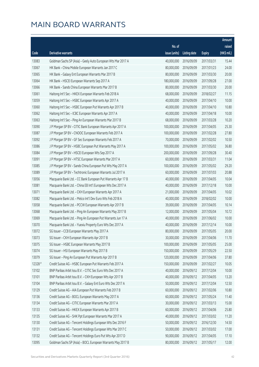|         |                                                              |               |                       |               | Amount      |
|---------|--------------------------------------------------------------|---------------|-----------------------|---------------|-------------|
|         |                                                              | No. of        |                       |               | raised      |
| Code    | <b>Derivative warrants</b>                                   | issue (units) | Listing date          | <b>Expiry</b> | (HK\$ mil.) |
| 13083   | Goldman Sachs SP (Asia) - Geely Auto European Wts Mar 2017 A | 40,000,000    | 2016/09/09            | 2017/03/31    | 15.44       |
| 13067   | HK Bank - China Mobile European Warrants Jan 2017 C          | 80,000,000    | 2016/09/09            | 2017/01/23    | 24.00       |
| 13065   | HK Bank - Galaxy Ent European Warrants Mar 2017 B            | 80,000,000    | 2016/09/09            | 2017/03/30    | 20.00       |
| 13064   | HK Bank - HSCEI European Warrants Sep 2017 A                 | 180,000,000   | 2016/09/09            | 2017/09/28    | 27.00       |
| 13066   | HK Bank - Sands China European Warrants Mar 2017 B           | 80,000,000    | 2016/09/09            | 2017/03/30    | 20.00       |
| 13061   | Haitong Int'l Sec - HKEX European Warrants Feb 2018 A        | 68,000,000    | 2016/09/09            | 2018/02/27    | 11.15       |
| 13059   | Haitong Int'l Sec - HSBC European Warrants Apr 2017 A        | 40,000,000    | 2016/09/09            | 2017/04/10    | 10.00       |
| 13060   | Haitong Int'l Sec - HSBC European Put Warrants Apr 2017 B    | 40,000,000    | 2016/09/09            | 2017/04/10    | 10.80       |
| 13062   | Haitong Int'l Sec - ICBC European Warrants Apr 2017 A        | 40,000,000    | 2016/09/09            | 2017/04/18    | 10.00       |
| 13063   | Haitong Int'l Sec - Ping An European Warrants Mar 2017 B     | 68,000,000    | 2016/09/09            | 2017/03/28    | 10.20       |
| 13090   | J P Morgan SP BV - CITIC Bank European Warrants Apr 2017 A   | 100,000,000   | 2016/09/09            | 2017/04/05    | 25.30       |
| 13087   | J P Morgan SP BV - CNOOC European Warrants Feb 2017 A        | 100,000,000   | 2016/09/09            | 2017/02/28    | 27.80       |
| 13092   | J P Morgan SP BV - GF Sec European Warrants Feb 2017 A       | 70,000,000    | 2016/09/09            | 2017/02/02    | 10.50       |
| 13086   | J P Morgan SP BV - HSBC European Put Warrants May 2017 A     | 100,000,000   | 2016/09/09            | 2017/05/02    | 36.80       |
| 13084   | J P Morgan SP BV - HSCEI European Wts Sep 2017 A             | 200,000,000   | 2016/09/09            | 2017/09/28    | 30.40       |
| 13091   | J P Morgan SP BV - HTSC European Warrants Mar 2017 A         | 60,000,000    | 2016/09/09            | 2017/03/31    | 11.04       |
| 13085   | J P Morgan SP BV - Sands China European Put Wts May 2017 A   | 100,000,000   | 2016/09/09            | 2017/05/02    | 29.20       |
| 13089   | J P Morgan SP BV - Techtronic European Warrants Jul 2017 A   | 60,000,000    | 2016/09/09            | 2017/07/03    | 20.88       |
| 13056   | Macquarie Bank Ltd. - CC Bank European Put Warrants Apr 17 B | 40,000,000    | 2016/09/09            | 2017/04/05    | 10.04       |
| 13081   | Macquarie Bank Ltd. - China EB Int'l European Wts Dec 2017 A | 40,000,000    | 2016/09/09            | 2017/12/18    | 10.00       |
| 13071   | Macquarie Bank Ltd. - CKH European Warrants Apr 2017 A       | 21,000,000    | 2016/09/09            | 2017/04/05    | 10.02       |
| 13082   | Macquarie Bank Ltd. - Melco Int'l Dev Euro Wts Feb 2018 A    | 40,000,000    | 2016/09/09            | 2018/02/02    | 10.00       |
| 13058   | Macquarie Bank Ltd. - PCCW European Warrants Apr 2017 B      | 39,000,000    | 2016/09/09            | 2017/04/05    | 10.14       |
| 13068   | Macquarie Bank Ltd. - Ping An European Warrants May 2017 B   | 12,000,000    | 2016/09/09            | 2017/05/04    | 10.72       |
| 13069   | Macquarie Bank Ltd. - Ping An European Put Warrants Jun 17 A | 40,000,000    | 2016/09/09            | 2017/06/02    | 10.00       |
| 13070   | Macquarie Bank Ltd. - Yuexiu Property Euro Wts Dec 2017 A    | 40,000,000    | 2016/09/09            | 2017/12/14    | 10.00       |
| 13072   | SG Issuer - CCB European Warrants May 2017 A                 |               | 80,000,000 2016/09/09 | 2017/05/05    | 20.00       |
| 13073   | SG Issuer - CKH European Warrants Apr 2017 B                 | 30,000,000    | 2016/09/09            | 2017/04/06    | 11.70       |
| 13075   | SG Issuer - HSBC European Warrants May 2017 B                | 100,000,000   | 2016/09/09            | 2017/05/05    | 25.00       |
| 13074   | SG Issuer - HSI European Warrants May 2017 B                 | 150,000,000   | 2016/09/09            | 2017/05/29    | 22.50       |
| 13079   | SG Issuer - Ping An European Put Warrants Apr 2017 B         | 120,000,000   | 2016/09/09            | 2017/04/06    | 37.80       |
| 12328 # | Credit Suisse AG - HSBC European Put Warrants Feb 2017 A     | 150,000,000   | 2016/09/09            | 2017/02/27    | 10.05       |
| 13102   | BNP Paribas Arbit Issu B.V. - CITIC Sec Euro Wts Dec 2017 A  | 40,000,000    | 2016/09/12            | 2017/12/04    | 10.00       |
| 13101   | BNP Paribas Arbit Issu B.V. - CKH European Wts Apr 2017 B    | 40,000,000    | 2016/09/12            | 2017/04/05    | 13.20       |
| 13104   | BNP Paribas Arbit Issu B.V. - Galaxy Ent Euro Wts Dec 2017 A | 50,000,000    | 2016/09/12            | 2017/12/04    | 12.50       |
| 13129   | Credit Suisse AG - AIA European Put Warrants Feb 2017 B      | 60,000,000    | 2016/09/12            | 2017/02/06    | 10.80       |
| 13136   | Credit Suisse AG - BOCL European Warrants May 2017 A         | 60,000,000    | 2016/09/12            | 2017/05/24    | 11.40       |
| 13134   | Credit Suisse AG - CITIC European Warrants Mar 2017 A        | 30,000,000    | 2016/09/12            | 2017/03/13    | 15.00       |
| 13133   | Credit Suisse AG - HKEX European Warrants Apr 2017 B         | 60,000,000    | 2016/09/12            | 2017/04/06    | 25.80       |
| 13135   | Credit Suisse AG - SHK Ppt European Warrants Mar 2017 A      | 40,000,000    | 2016/09/12            | 2017/03/02    | 11.20       |
| 13130   | Credit Suisse AG - Tencent Holdings European Wts Dec 2016 F  | 50,000,000    | 2016/09/12            | 2016/12/30    | 14.50       |
| 13131   | Credit Suisse AG - Tencent Holdings European Wts Mar 2017 C  | 50,000,000    | 2016/09/12            | 2017/03/02    | 17.00       |
| 13132   | Credit Suisse AG - Tencent Holdings Euro Put Wts Apr 2017 D  | 90,000,000    | 2016/09/12            | 2017/04/05    | 17.10       |
| 13095   | Goldman Sachs SP (Asia) - BOCL European Warrants May 2017 B  | 80,000,000    | 2016/09/12            | 2017/05/17    | 12.00       |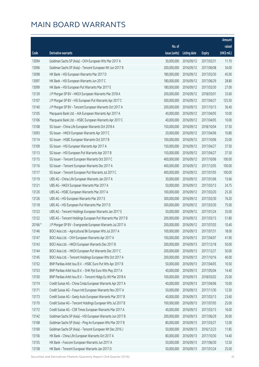|         |                                                              |               |                        |               | Amount      |
|---------|--------------------------------------------------------------|---------------|------------------------|---------------|-------------|
|         |                                                              | No. of        |                        |               | raised      |
| Code    | Derivative warrants                                          | issue (units) | <b>Listing date</b>    | <b>Expiry</b> | (HK\$ mil.) |
| 13094   | Goldman Sachs SP (Asia) - CKH European Wts Mar 2017 A        | 30,000,000    | 2016/09/12             | 2017/03/31    | 11.70       |
| 13096   | Goldman Sachs SP (Asia) - Tencent European Wt Jun 2017 B     | 200,000,000   | 2016/09/12             | 2017/06/08    | 34.00       |
| 13098   | HK Bank - HSI European Warrants Mar 2017 D                   | 180,000,000   | 2016/09/12             | 2017/03/30    | 45.00       |
| 13097   | HK Bank - HSI European Warrants Jun 2017 C                   | 180,000,000   | 2016/09/12             | 2017/06/29    | 28.80       |
| 13099   | HK Bank - HSI European Put Warrants Mar 2017 E               | 180,000,000   | 2016/09/12             | 2017/03/30    | 27.00       |
| 13139   | J P Morgan SP BV - HKEX European Warrants Mar 2018 A         | 200,000,000   | 2016/09/12             | 2018/03/01    | 33.60       |
| 13107   | J P Morgan SP BV - HSI European Put Warrants Apr 2017 C      | 500,000,000   | 2016/09/12             | 2017/04/27    | 125.50      |
| 13140   | J P Morgan SP BV - Tencent European Warrants Oct 2017 A      | 200,000,000   | 2016/09/12             | 2017/10/13    | 36.40       |
| 13105   | Macquarie Bank Ltd. - AIA European Warrants Apr 2017 A       | 40,000,000    | 2016/09/12             | 2017/04/05    | 10.00       |
| 13106   | Macquarie Bank Ltd. - HSBC European Warrants Apr 2017 C      | 40,000,000    | 2016/09/12             | 2017/04/05    | 10.00       |
| 13108   | SG Issuer - China Life European Warrants Oct 2018 A          | 150,000,000   | 2016/09/12             | 2018/10/04    | 37.50       |
| 13093   | SG Issuer - HKEX European Warrants Apr 2017 C                | 20,000,000    | 2016/09/12             | 2017/04/06    | 10.80       |
| 13114   | SG Issuer - HSBC European Warrants Oct 2017 B                | 100,000,000   | 2016/09/12             | 2017/10/06    | 25.00       |
| 13109   | SG Issuer - HSI European Warrants Apr 2017 A                 | 150,000,000   | 2016/09/12             | 2017/04/27    | 37.50       |
| 13113   | SG Issuer - HSI European Put Warrants Apr 2017 B             | 150,000,000   | 2016/09/12             | 2017/04/27    | 37.50       |
| 13115   | SG Issuer - Tencent European Warrants Oct 2017 C             | 400,000,000   | 2016/09/12             | 2017/10/06    | 100.00      |
| 13116   | SG Issuer - Tencent European Warrants Dec 2017 A             | 400,000,000   | 2016/09/12             | 2017/12/05    | 100.00      |
| 13117   | SG Issuer - Tencent European Put Warrants Jul 2017 C         | 400,000,000   | 2016/09/12             | 2017/07/05    | 100.00      |
| 13119   | UBS AG - China Life European Warrants Jan 2017 A             | 30,000,000    | 2016/09/12             | 2017/01/06    | 15.66       |
| 13121   | UBS AG - HKEX European Warrants Mar 2017 A                   | 50,000,000    | 2016/09/12             | 2017/03/13    | 24.75       |
| 13120   | UBS AG - HSBC European Warrants Mar 2017 A                   | 100,000,000   | 2016/09/12             | 2017/03/20    | 25.30       |
| 13126   | UBS AG - HSI European Warrants Mar 2017 E                    | 300,000,000   | 2016/09/12             | 2017/03/30    | 76.20       |
| 13118   | UBS AG - HSI European Put Warrants Mar 2017 D                | 300,000,000   | 2016/09/12             | 2017/03/30    | 75.00       |
| 13123   | UBS AG - Tencent Holdings European Warrants Jan 2017 E       | 50,000,000    | 2016/09/12             | 2017/01/24    | 35.00       |
| 13122   | UBS AG - Tencent Holdings European Put Warrants Mar 2017 B   | 200,000,000   | 2016/09/12             | 2017/03/13    | 51.80       |
| 20166 # | J P Morgan SP BV - Evergrande European Warrants Jul 2017 A   | 200,000,000   | 2016/09/12             | 2017/07/03    | 10.40       |
| 13146   | BOCI Asia Ltd. - Agricultural Bk European Wts Jul 2017 A     |               | 100,000,000 2016/09/13 | 2017/07/31    | 18.00       |
| 13147   | BOCI Asia Ltd. - CKH European Warrants Apr 2017 A            | 100,000,000   | 2016/09/13             | 2017/04/07    | 41.90       |
| 13143   | BOCI Asia Ltd. - HKEX European Warrants Dec 2017 B           | 200,000,000   | 2016/09/13             | 2017/12/18    | 50.00       |
| 13144   | BOCI Asia Ltd. - HKEX European Put Warrants Dec 2017 C       | 200,000,000   | 2016/09/13             | 2017/12/27    | 50.00       |
| 13145   | BOCI Asia Ltd. - Tencent Holdings European Wts Oct 2017 A    | 200,000,000   | 2016/09/13             | 2017/10/16    | 40.00       |
| 13152   | BNP Paribas Arbit Issu B.V. - HSBC Euro Put Wts Apr 2017 B   | 50,000,000    | 2016/09/13             | 2017/04/05    | 10.50       |
| 13153   | BNP Paribas Arbit Issu B.V. - SHK Ppt Euro Wts May 2017 A    | 40,000,000    | 2016/09/13             | 2017/05/04    | 14.40       |
| 13150   | BNP Paribas Arbit Issu B.V. - Tencent Hldgs Eu Wt Mar 2018 A | 100,000,000   | 2016/09/13             | 2018/03/02    | 25.00       |
| 13174   | Credit Suisse AG - China Cinda European Warrants Apr 2017 A  | 40,000,000    | 2016/09/13             | 2017/04/06    | 10.00       |
| 13171   | Credit Suisse AG - Fosun Intl European Warrants Nov 2017 A   | 50,000,000    | 2016/09/13             | 2017/11/30    | 12.50       |
| 13173   | Credit Suisse AG - Geely Auto European Warrants Mar 2017 B   | 40,000,000    | 2016/09/13             | 2017/03/13    | 23.60       |
| 13170   | Credit Suisse AG - Tencent Holdings European Wts Jul 2017 B  | 100,000,000   | 2016/09/13             | 2017/07/05    | 25.00       |
| 13172   | Credit Suisse AG - CSR Times European Warrants Mar 2017 A    | 40,000,000    | 2016/09/13             | 2017/03/13    | 16.00       |
| 13142   | Goldman Sachs SP (Asia) - HSI European Warrants Jun 2017 B   | 200,000,000   | 2016/09/13             | 2017/06/29    | 30.00       |
| 13168   | Goldman Sachs SP (Asia) - Ping An European Wts Mar 2017 B    | 80,000,000    | 2016/09/13             | 2017/03/27    | 12.00       |
| 13169   | Goldman Sachs SP (Asia) - Tencent European Wt Dec 2016 J     | 50,000,000    | 2016/09/13             | 2016/12/23    | 11.85       |
| 13156   | HK Bank - China Life European Warrants Oct 2017 A            | 80,000,000    | 2016/09/13             | 2017/10/30    | 14.40       |
| 13155   | HK Bank - Foxconn European Warrants Jun 2017 A               | 50,000,000    | 2016/09/13             | 2017/06/30    | 12.50       |
| 13158   | HK Bank - Tencent European Warrants Jan 2017 D               | 50,000,000    | 2016/09/13             | 2017/01/24    | 25.00       |

Securities and Derivatives Markets Quarterly Report (3rd Quarter 2016) 43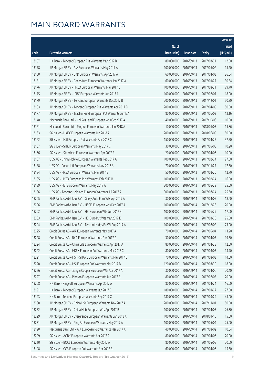|       |                                                              |                           |                       |               | Amount      |
|-------|--------------------------------------------------------------|---------------------------|-----------------------|---------------|-------------|
|       |                                                              | No. of                    |                       |               | raised      |
| Code  | Derivative warrants                                          | issue (units)             | <b>Listing date</b>   | <b>Expiry</b> | (HK\$ mil.) |
| 13157 | HK Bank - Tencent European Put Warrants Mar 2017 B           | 80,000,000                | 2016/09/13            | 2017/03/31    | 12.00       |
| 13178 | J P Morgan SP BV - AIA European Warrants May 2017 A          | 100,000,000               | 2016/09/13            | 2017/05/02    | 15.20       |
| 13180 | J P Morgan SP BV - BYD European Warrants Apr 2017 A          | 60,000,000                | 2016/09/13            | 2017/04/03    | 26.64       |
| 13181 | J P Morgan SP BV - Geely Auto European Warrants Jan 2017 A   | 60,000,000                | 2016/09/13            | 2017/01/27    | 30.84       |
| 13176 | J P Morgan SP BV - HKEX European Warrants Mar 2017 B         | 100,000,000               | 2016/09/13            | 2017/03/31    | 79.70       |
| 13175 | J P Morgan SP BV - ICBC European Warrants Jun 2017 A         | 100,000,000               | 2016/09/13            | 2017/06/01    | 18.90       |
| 13179 | J P Morgan SP BV - Tencent European Warrants Dec 2017 B      | 200,000,000               | 2016/09/13            | 2017/12/01    | 50.20       |
| 13183 | J P Morgan SP BV - Tencent European Put Warrants Apr 2017 B  | 200,000,000               | 2016/09/13            | 2017/04/05    | 50.00       |
| 13177 | J P Morgan SP BV - Tracker Fund European Put Warrants Jun17A | 80,000,000                | 2016/09/13            | 2017/06/02    | 12.16       |
| 13148 | Macquarie Bank Ltd. - Chi Res Land European Wts Oct 2017 A   | 40,000,000                | 2016/09/13            | 2017/10/06    | 10.00       |
| 13161 | Macquarie Bank Ltd. - Ping An European Warrants Jan 2018 A   | 10,000,000                | 2016/09/13            | 2018/01/03    | 11.86       |
| 13163 | SG Issuer - HKEX European Warrants Jun 2018 A                | 200,000,000               | 2016/09/13            | 2018/06/05    | 50.00       |
| 13162 | SG Issuer - HSI European Put Warrants Apr 2017 C             | 150,000,000               | 2016/09/13            | 2017/04/27    | 37.50       |
| 13167 | SG Issuer - SHK P European Warrants May 2017 C               | 30,000,000                | 2016/09/13            | 2017/05/05    | 10.20       |
| 13166 | SG Issuer - Stanchart European Warrants Apr 2017 A           | 20,000,000                | 2016/09/13            | 2017/04/06    | 10.00       |
| 13187 | UBS AG - China Mobile European Warrants Feb 2017 A           | 100,000,000               | 2016/09/13            | 2017/02/24    | 27.00       |
| 13188 | UBS AG - Fosun Intl European Warrants Nov 2017 A             | 70,000,000                | 2016/09/13            | 2017/11/27    | 17.50       |
| 13184 | UBS AG - HKEX European Warrants Mar 2017 B                   | 50,000,000                | 2016/09/13            | 2017/03/20    | 12.70       |
| 13185 | UBS AG - HKEX European Put Warrants Feb 2017 B               | 100,000,000               | 2016/09/13            | 2017/02/24    | 16.90       |
| 13189 | UBS AG - HSI European Warrants May 2017 A                    | 300,000,000               | 2016/09/13            | 2017/05/29    | 75.00       |
| 13186 | UBS AG - Tencent Holdings European Warrants Jul 2017 A       | 300,000,000               | 2016/09/13            | 2017/07/24    | 75.60       |
| 13205 | BNP Paribas Arbit Issu B.V. - Geely Auto Euro Wts Apr 2017 A | 30,000,000                | 2016/09/14            | 2017/04/05    | 18.60       |
| 13206 | BNP Paribas Arbit Issu B.V. - HSCEI European Wts Dec 2017 A  | 100,000,000               | 2016/09/14            | 2017/12/28    | 20.00       |
| 13202 | BNP Paribas Arbit Issu B.V. - HSI European Wts Jun 2017 B    | 100,000,000               | 2016/09/14            | 2017/06/29    | 17.00       |
| 13203 | BNP Paribas Arbit Issu B.V. - HSI Euro Put Wts Mar 2017 E    | 100,000,000               | 2016/09/14            | 2017/03/30    | 25.00       |
| 13204 | BNP Paribas Arbit Issu B.V. - Tencent Hldgs Eu Wt Aug 2017 A | 100,000,000               | 2016/09/14            | 2017/08/02    | 23.00       |
| 13225 | Credit Suisse AG - AIA European Warrants May 2017 A          |                           | 70,000,000 2016/09/14 | 2017/05/04    | 11.20       |
| 13228 | Credit Suisse AG - BYD European Warrants Apr 2017 A          | 30,000,000                | 2016/09/14            | 2017/04/03    | 19.50       |
| 13224 | Credit Suisse AG - China Life European Warrants Apr 2017 A   | 80,000,000                | 2016/09/14            | 2017/04/28    | 12.00       |
| 13222 | Credit Suisse AG - HKEX European Put Warrants Mar 2017 C     | 80,000,000                | 2016/09/14            | 2017/03/03    | 14.40       |
| 13221 | Credit Suisse AG - HS H-SHARE European Warrants Mar 2017 B   | 70,000,000                | 2016/09/14            | 2017/03/03    | 14.00       |
| 13220 | Credit Suisse AG - HSI European Put Warrants Mar 2017 B      | 120,000,000               | 2016/09/14            | 2017/03/30    | 18.00       |
| 13226 | Credit Suisse AG - Jiangxi Copper European Wts Apr 2017 A    | 30,000,000                | 2016/09/14            | 2017/04/06    | 20.40       |
| 13227 | Credit Suisse AG - Ping An European Warrants Jun 2017 B      | 80,000,000                | 2016/09/14            | 2017/06/05    | 20.00       |
| 13208 | HK Bank - Kingsoft European Warrants Apr 2017 A              | 80,000,000                | 2016/09/14            | 2017/04/24    | 16.00       |
| 13191 | HK Bank - Tencent European Warrants Jan 2017 E               | 180,000,000               | 2016/09/14            | 2017/01/27    | 27.00       |
| 13193 | HK Bank - Tencent European Warrants Sep 2017 C               | 180,000,000               | 2016/09/14            | 2017/09/29    | 45.00       |
| 13230 | J P Morgan SP BV - China Life European Warrants Nov 2017 A   | 200,000,000               | 2016/09/14            | 2017/11/01    | 50.00       |
| 13232 | J P Morgan SP BV - China Mob European Wts Apr 2017 B         | 100,000,000               | 2016/09/14            | 2017/04/03    | 26.30       |
|       |                                                              | 100,000,000               |                       |               |             |
| 13229 | J P Morgan SP BV - Evergrande European Warrants Jan 2018 A   |                           | 2016/09/14            | 2018/01/10    | 15.00       |
| 13231 | J P Morgan SP BV - Ping An European Warrants May 2017 A      | 100,000,000<br>40,000,000 | 2016/09/14            | 2017/05/04    | 25.00       |
| 13190 | Macquarie Bank Ltd. - AIA European Put Warrants Mar 2017 A   |                           | 2016/09/14            | 2017/03/02    | 10.04       |
| 13209 | SG Issuer - AGBK European Warrants Apr 2017 A                | 80,000,000                | 2016/09/14            | 2017/04/06    | 20.00       |
| 13210 | SG Issuer - BOCL European Warrants May 2017 A                | 80,000,000                | 2016/09/14            | 2017/05/05    | 20.00       |
| 13198 | SG Issuer - CCB European Put Warrants Apr 2017 B             | 60,000,000                | 2016/09/14            | 2017/04/06    | 15.30       |

Securities and Derivatives Markets Quarterly Report (3rd Quarter 2016) 44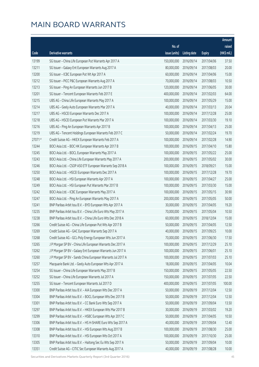|        |                                                              |               |                       |               | Amount      |
|--------|--------------------------------------------------------------|---------------|-----------------------|---------------|-------------|
|        |                                                              | No. of        |                       |               | raised      |
| Code   | Derivative warrants                                          | issue (units) | Listing date          | <b>Expiry</b> | (HK\$ mil.) |
| 13199  | SG Issuer - China Life European Put Warrants Apr 2017 A      | 150,000,000   | 2016/09/14            | 2017/04/06    | 37.50       |
| 13211  | SG Issuer - Galaxy Ent European Warrants Aug 2017 A          | 80,000,000    | 2016/09/14            | 2017/08/03    | 20.00       |
| 13200  | SG Issuer - ICBC European Put Wt Apr 2017 A                  | 60,000,000    | 2016/09/14            | 2017/04/06    | 15.00       |
| 13212  | SG Issuer - PICC P&C European Warrants Aug 2017 A            | 70,000,000    | 2016/09/14            | 2017/08/03    | 10.50       |
| 13213  | SG Issuer - Ping An European Warrants Jun 2017 B             | 120,000,000   | 2016/09/14            | 2017/06/05    | 30.00       |
| 13201  | SG Issuer - Tencent European Warrants Feb 2017 E             | 400,000,000   | 2016/09/14            | 2017/02/03    | 64.00       |
| 13215  | UBS AG - China Life European Warrants May 2017 A             | 100,000,000   | 2016/09/14            | 2017/05/29    | 15.00       |
| 13214  | UBS AG - Geely Auto European Warrants Mar 2017 A             | 40,000,000    | 2016/09/14            | 2017/03/13    | 20.04       |
| 13217  | UBS AG - HSCEI European Warrants Dec 2017 A                  | 100,000,000   | 2016/09/14            | 2017/12/28    | 25.00       |
| 13218  | UBS AG - HSCEI European Put Warrants Mar 2017 A              | 100,000,000   | 2016/09/14            | 2017/03/30    | 19.10       |
| 13216  | UBS AG - Ping An European Warrants Apr 2017 B                | 100,000,000   | 2016/09/14            | 2017/04/13    | 25.00       |
| 13219  | UBS AG - Tencent Holdings European Warrants Feb 2017 C       | 50,000,000    | 2016/09/14            | 2017/02/24    | 19.70       |
| 27071# | Credit Suisse AG - HKEX European Warrants Feb 2017 A         | 100,000,000   | 2016/09/14            | 2017/02/28    | 14.90       |
| 13244  | BOCI Asia Ltd. - BOC HK European Warrants Apr 2017 B         | 100,000,000   | 2016/09/15            | 2017/04/10    | 15.80       |
| 13245  | BOCI Asia Ltd. - BOCL European Warrants May 2017 A           | 100,000,000   | 2016/09/15            | 2017/05/22    | 25.00       |
| 13243  | BOCI Asia Ltd. - China Life European Warrants May 2017 A     | 200,000,000   | 2016/09/15            | 2017/05/02    | 30.00       |
| 13246  | BOCI Asia Ltd. - CSOP A50 ETF European Warrants Sep 2018 A   | 100,000,000   | 2016/09/15            | 2018/09/21    | 15.00       |
| 13250  | BOCI Asia Ltd. - HSCEI European Warrants Dec 2017 A          | 100,000,000   | 2016/09/15            | 2017/12/28    | 19.70       |
| 13248  | BOCI Asia Ltd. - HSI European Warrants Apr 2017 A            | 100,000,000   | 2016/09/15            | 2017/04/27    | 25.00       |
| 13249  | BOCI Asia Ltd. - HSI European Put Warrants Mar 2017 B        | 100,000,000   | 2016/09/15            | 2017/03/30    | 15.00       |
| 13242  | BOCI Asia Ltd. - ICBC European Warrants May 2017 A           | 100,000,000   | 2016/09/15            | 2017/05/15    | 30.90       |
| 13247  | BOCI Asia Ltd. - Ping An European Warrants May 2017 A        | 200,000,000   | 2016/09/15            | 2017/05/05    | 50.00       |
| 13241  | BNP Paribas Arbit Issu B.V. - BYD European Wts Apr 2017 A    | 30,000,000    | 2016/09/15            | 2017/04/05    | 19.20       |
| 13235  | BNP Paribas Arbit Issu B.V. - China Life Euro Wts May 2017 A | 70,000,000    | 2016/09/15            | 2017/05/04    | 10.50       |
| 13238  | BNP Paribas Arbit Issu B.V. - China Life Euro Wts Dec 2018 A | 60,000,000    | 2016/09/15            | 2018/12/04    | 15.00       |
| 13266  | Credit Suisse AG - China Life European Put Wts Apr 2017 B    | 50,000,000    | 2016/09/15            | 2017/04/05    | 12.50       |
| 13269  | Credit Suisse AG - GAC European Warrants Sep 2017 A          |               | 40,000,000 2016/09/15 | 2017/09/25    | 10.00       |
| 13268  | Credit Suisse AG - GCL-Poly Energy European Wts Jun 2017 A   | 70,000,000    | 2016/09/15            | 2017/06/30    | 17.50       |
| 13265  | J P Morgan SP BV - China Life European Warrants Dec 2017 A   | 100,000,000   | 2016/09/15            | 2017/12/29    | 25.10       |
| 13262  | J P Morgan SP BV - Galaxy Ent European Warrants Jun 2017 A   | 100,000,000   | 2016/09/15            | 2017/06/01    | 25.10       |
| 13260  | J P Morgan SP BV - Sands China European Warrants Jul 2017 A  | 100,000,000   | 2016/09/15            | 2017/07/03    | 25.10       |
| 13257  | Macquarie Bank Ltd. - Geely Auto European Wts Apr 2017 A     | 18,000,000    | 2016/09/15            | 2017/04/05    | 10.04       |
| 13254  | SG Issuer - China Life European Warrants May 2017 B          | 150,000,000   | 2016/09/15            | 2017/05/05    | 22.50       |
| 13252  | SG Issuer - China Life European Warrants Jul 2017 A          | 150,000,000   | 2016/09/15            | 2017/07/05    | 22.50       |
| 13255  | SG Issuer - Tencent European Warrants Jul 2017 D             | 400,000,000   | 2016/09/15            | 2017/07/05    | 100.00      |
| 13300  | BNP Paribas Arbit Issu B.V. - AIA European Wts Dec 2017 A    | 50,000,000    | 2016/09/19            | 2017/12/04    | 12.50       |
| 13304  | BNP Paribas Arbit Issu B.V. - BOCL European Wts Dec 2017 B   | 50,000,000    | 2016/09/19            | 2017/12/04    | 12.50       |
| 13301  | BNP Paribas Arbit Issu B.V. - CC Bank Euro Wts Sep 2017 A    | 50,000,000    | 2016/09/19            | 2017/09/04    | 13.50       |
| 13297  | BNP Paribas Arbit Issu B.V. - HKEX European Wts Mar 2017 B   | 30,000,000    | 2016/09/19            | 2017/03/02    | 19.20       |
| 13299  | BNP Paribas Arbit Issu B.V. - HSBC European Wts Apr 2017 C   | 50,000,000    | 2016/09/19            | 2017/04/05    | 10.50       |
| 13306  | BNP Paribas Arbit Issu B.V. - HS H-SHARE Euro Wts Sep 2017 A | 40,000,000    | 2016/09/19            | 2017/09/04    | 12.40       |
| 13308  | BNP Paribas Arbit Issu B.V. - HSI European Wts Aug 2017 B    | 100,000,000   | 2016/09/19            | 2017/08/30    | 25.00       |
| 13310  | BNP Paribas Arbit Issu B.V. - HSI European Wts Oct 2017 A    | 100,000,000   | 2016/09/19            | 2017/10/30    | 25.00       |
| 13305  | BNP Paribas Arbit Issu B.V. - Haitong Sec Eu Wts Sep 2017 A  | 50,000,000    | 2016/09/19            | 2017/09/04    | 10.00       |
| 13351  | Credit Suisse AG - CITIC Sec European Warrants Aug 2017 A    | 40,000,000    | 2016/09/19            | 2017/08/28    | 10.00       |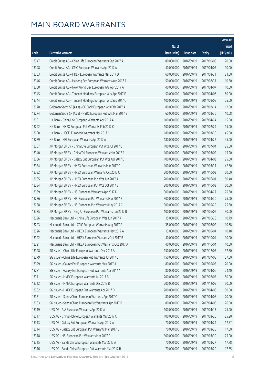|       |                                                             |               |                       |               | Amount      |
|-------|-------------------------------------------------------------|---------------|-----------------------|---------------|-------------|
|       |                                                             | No. of        |                       |               | raised      |
| Code  | Derivative warrants                                         | issue (units) | Listing date          | <b>Expiry</b> | (HK\$ mil.) |
| 13347 | Credit Suisse AG - China Life European Warrants Sep 2017 A  | 80,000,000    | 2016/09/19            | 2017/09/08    | 20.00       |
| 13348 | Credit Suisse AG - CPIC European Warrants Apr 2017 A        | 40,000,000    | 2016/09/19            | 2017/04/07    | 10.00       |
| 13353 | Credit Suisse AG - HKEX European Warrants Mar 2017 D        | 60,000,000    | 2016/09/19            | 2017/03/31    | 81.00       |
| 13346 | Credit Suisse AG - Haitong Sec European Warrants Aug 2017 A | 50,000,000    | 2016/09/19            | 2017/08/31    | 10.50       |
| 13350 | Credit Suisse AG - New World Dev European Wts Apr 2017 A    | 40,000,000    | 2016/09/19            | 2017/04/07    | 10.00       |
| 13345 | Credit Suisse AG - Tencent Holdings European Wts Apr 2017 E | 50,000,000    | 2016/09/19            | 2017/04/06    | 50.00       |
| 13344 | Credit Suisse AG - Tencent Holdings European Wts Sep 2017 C | 100,000,000   | 2016/09/19            | 2017/09/05    | 25.00       |
| 13278 | Goldman Sachs SP (Asia) - CC Bank European Wts Feb 2017 A   | 80,000,000    | 2016/09/19            | 2017/02/14    | 12.00       |
| 13274 | Goldman Sachs SP (Asia) - HSBC European Put Wts Mar 2017 B  | 60,000,000    | 2016/09/19            | 2017/03/30    | 10.08       |
| 13291 | HK Bank - China Life European Warrants Apr 2017 A           | 100,000,000   | 2016/09/19            | 2017/04/24    | 15.00       |
| 13292 | HK Bank - HKEX European Put Warrants Feb 2017 C             | 100,000,000   | 2016/09/19            | 2017/02/24    | 15.00       |
| 13290 | HK Bank - HSCEI European Warrants Mar 2017 C                | 180,000,000   | 2016/09/19            | 2017/03/30    | 45.00       |
| 13289 | HK Bank - HSI European Warrants Apr 2017 A                  | 180,000,000   | 2016/09/19            | 2017/04/27    | 45.00       |
| 13287 | J P Morgan SP BV - China Life European Put Wts Jul 2017 B   | 100,000,000   | 2016/09/19            | 2017/07/04    | 25.00       |
| 13340 | J P Morgan SP BV - China Tel European Warrants Mar 2017 A   | 100,000,000   | 2016/09/19            | 2017/03/02    | 15.20       |
| 13336 | J P Morgan SP BV - Galaxy Ent European Put Wts Apr 2017 B   | 100,000,000   | 2016/09/19            | 2017/04/03    | 25.00       |
| 13334 | J P Morgan SP BV - HKEX European Warrants Mar 2017 C        | 100,000,000   | 2016/09/19            | 2017/03/31    | 42.80       |
| 13332 | J P Morgan SP BV - HKEX European Warrants Oct 2017 C        | 200,000,000   | 2016/09/19            | 2017/10/03    | 50.00       |
| 13285 | J P Morgan SP BV - HKEX European Put Wts Jun 2017 A         | 200,000,000   | 2016/09/19            | 2017/06/01    | 50.40       |
| 13284 | J P Morgan SP BV - HKEX European Put Wts Oct 2017 B         | 200,000,000   | 2016/09/19            | 2017/10/03    | 50.00       |
| 13339 | J P Morgan SP BV - HSI European Warrants Apr 2017 D         | 300,000,000   | 2016/09/19            | 2017/04/27    | 75.30       |
| 13286 | J P Morgan SP BV - HSI European Put Warrants Mar 2017 E     | 300,000,000   | 2016/09/19            | 2017/03/30    | 75.00       |
| 13288 | J P Morgan SP BV - HSI European Put Warrants May 2017 C     | 300,000,000   | 2016/09/19            | 2017/05/29    | 75.30       |
| 13335 | J P Morgan SP BV - Ping An European Put Warrants Jun 2017 B | 100,000,000   | 2016/09/19            | 2017/06/02    | 30.00       |
| 13296 | Macquarie Bank Ltd. - China Life European Wts Jun 2017 A    | 15,000,000    | 2016/09/19            | 2017/06/26    | 10.79       |
| 13293 | Macquarie Bank Ltd. - CPIC European Warrants Aug 2017 A     | 35,000,000    | 2016/09/19            | 2017/08/02    | 10.68       |
| 13326 | Macquarie Bank Ltd. - HKEX European Warrants May 2017 A     |               | 13,000,000 2016/09/19 | 2017/05/04    | 10.48       |
| 13322 | Macquarie Bank Ltd. - HKEX European Warrants Oct 2017 B     | 40,000,000    | 2016/09/19            | 2017/10/04    | 10.00       |
| 13321 | Macquarie Bank Ltd. - HKEX European Put Warrants Oct 2017 A | 40,000,000    | 2016/09/19            | 2017/10/04    | 10.00       |
| 13328 | SG Issuer - China Life European Warrants Dec 2017 A         | 150,000,000   | 2016/09/19            | 2017/12/05    | 37.50       |
| 13279 | SG Issuer - China Life European Put Warrants Jul 2017 B     | 150,000,000   | 2016/09/19            | 2017/07/05    | 37.50       |
| 13329 | SG Issuer - Galaxy Ent European Warrants May 2017 A         | 80,000,000    | 2016/09/19            | 2017/05/05    | 20.00       |
| 13281 | SG Issuer - Galaxy Ent European Put Warrants Apr 2017 A     | 80,000,000    | 2016/09/19            | 2017/04/06    | 24.40       |
| 13311 | SG Issuer - HKEX European Warrants Jul 2017 B               | 200,000,000   | 2016/09/19            | 2017/07/05    | 50.00       |
| 13312 | SG Issuer - HKEX European Warrants Dec 2017 B               | 200,000,000   | 2016/09/19            | 2017/12/05    | 50.00       |
| 13282 | SG Issuer - HKEX European Put Warrants Apr 2017 D           | 200,000,000   | 2016/09/19            | 2017/04/06    | 50.00       |
| 13331 | SG Issuer - Sands China European Warrants Apr 2017 C        | 80,000,000    | 2016/09/19            | 2017/04/06    | 20.00       |
| 13283 | SG Issuer - Sands China European Put Warrants Apr 2017 B    | 80,000,000    | 2016/09/19            | 2017/04/06    | 26.00       |
| 13319 | UBS AG - AIA European Warrants Apr 2017 A                   | 100,000,000   | 2016/09/19            | 2017/04/13    | 25.00       |
| 13317 | UBS AG - China Mobile European Warrants Mar 2017 C          | 100,000,000   | 2016/09/19            | 2017/03/20    | 25.20       |
| 13313 | UBS AG - Galaxy Ent European Warrants Apr 2017 A            | 70,000,000    | 2016/09/19            | 2017/04/24    | 17.57       |
| 13314 | UBS AG - Galaxy Ent European Put Warrants Mar 2017 B        | 70,000,000    | 2016/09/19            | 2017/03/20    | 17.50       |
| 13318 | UBS AG - HSI European Put Warrants Mar 2017 F               | 300,000,000   | 2016/09/19            | 2017/03/30    | 75.90       |
| 13315 | UBS AG - Sands China European Warrants Mar 2017 A           | 70,000,000    | 2016/09/19            | 2017/03/27    | 17.78       |
| 13316 | UBS AG - Sands China European Put Warrants Mar 2017 B       | 70,000,000    | 2016/09/19            | 2017/03/20    | 17.85       |

Securities and Derivatives Markets Quarterly Report (3rd Quarter 2016) 46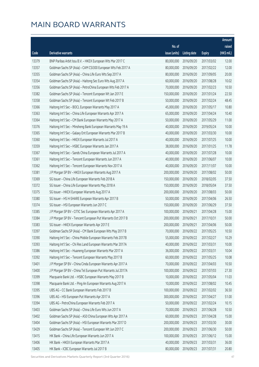|       |                                                              |               |                       |               | Amount      |
|-------|--------------------------------------------------------------|---------------|-----------------------|---------------|-------------|
|       |                                                              | No. of        |                       |               | raised      |
| Code  | <b>Derivative warrants</b>                                   | issue (units) | <b>Listing date</b>   | <b>Expiry</b> | (HK\$ mil.) |
| 13379 | BNP Paribas Arbit Issu B.V. - HKEX European Wts Mar 2017 C   | 80,000,000    | 2016/09/20            | 2017/03/02    | 12.00       |
| 13357 | Goldman Sachs SP (Asia) - CAM CSI300 European Wts Feb 2017 A | 80,000,000    | 2016/09/20            | 2017/02/22    | 12.00       |
| 13355 | Goldman Sachs SP (Asia) - China Life Euro Wts Sep 2017 A     | 80,000,000    | 2016/09/20            | 2017/09/05    | 20.00       |
| 13354 | Goldman Sachs SP (Asia) - Haitong Sec Euro Wts Aug 2017 A    | 60,000,000    | 2016/09/20            | 2017/08/28    | 10.02       |
| 13356 | Goldman Sachs SP (Asia) - PetroChina European Wts Feb 2017 A | 70,000,000    | 2016/09/20            | 2017/02/23    | 10.50       |
| 13382 | Goldman Sachs SP (Asia) - Tencent European Wt Jan 2017 E     | 150,000,000   | 2016/09/20            | 2017/01/24    | 22.50       |
| 13358 | Goldman Sachs SP (Asia) - Tencent European Wt Feb 2017 B     | 50,000,000    | 2016/09/20            | 2017/02/24    | 48.45       |
| 13366 | Haitong Int'l Sec - BOCL European Warrants May 2017 A        | 45,000,000    | 2016/09/20            | 2017/05/17    | 10.80       |
| 13363 | Haitong Int'l Sec - China Life European Warrants Apr 2017 A  | 65,000,000    | 2016/09/20            | 2017/04/24    | 10.40       |
| 13364 | Haitong Int'l Sec - CM Bank European Warrants May 2017 A     | 50,000,000    | 2016/09/20            | 2017/05/29    | 11.00       |
| 13376 | Haitong Int'l Sec - Minsheng Bank European Warrants May 19 A | 40,000,000    | 2016/09/20            | 2019/05/24    | 10.00       |
| 13365 | Haitong Int'l Sec - Galaxy Ent European Warrants Mar 2017 B  | 40,000,000    | 2016/09/20            | 2017/03/30    | 10.00       |
| 13360 | Haitong Int'l Sec - HKEX European Warrants Jul 2017 A        | 40,000,000    | 2016/09/20            | 2017/07/25    | 10.00       |
| 13359 | Haitong Int'l Sec - HSBC European Warrants Jan 2017 A        | 38,000,000    | 2016/09/20            | 2017/01/25    | 11.78       |
| 13367 | Haitong Int'l Sec - Sands China European Warrants Jul 2017 A | 40,000,000    | 2016/09/20            | 2017/07/28    | 10.00       |
| 13361 | Haitong Int'l Sec - Tencent European Warrants Jun 2017 A     | 40,000,000    | 2016/09/20            | 2017/06/07    | 10.00       |
| 13362 | Haitong Int'l Sec - Tencent European Warrants Nov 2017 A     | 40,000,000    | 2016/09/20            | 2017/11/07    | 10.00       |
| 13381 | J P Morgan SP BV - HKEX European Warrants Aug 2017 A         | 200,000,000   | 2016/09/20            | 2017/08/02    | 50.00       |
| 13369 | SG Issuer - China Life European Warrants Feb 2018 A          | 150,000,000   | 2016/09/20            | 2018/02/05    | 37.50       |
| 13372 | SG Issuer - China Life European Warrants May 2018 A          | 150,000,000   | 2016/09/20            | 2018/05/04    | 37.50       |
| 13375 | SG Issuer - HKEX European Warrants Aug 2017 A                | 200,000,000   | 2016/09/20            | 2017/08/03    | 50.00       |
| 13380 | SG Issuer - HS H-SHARE European Warrants Apr 2017 B          | 50,000,000    | 2016/09/20            | 2017/04/06    | 26.50       |
| 13374 | SG Issuer - HSI European Warrants Jun 2017 C                 | 150,000,000   | 2016/09/20            | 2017/06/29    | 37.50       |
| 13385 | J P Morgan SP BV - CITIC Sec European Warrants Apr 2017 A    | 100,000,000   | 2016/09/21            | 2017/04/28    | 15.00       |
| 13384 | J P Morgan SP BV - Tencent European Put Warrants Oct 2017 B  | 200,000,000   | 2016/09/21            | 2017/10/31    | 50.00       |
| 13383 | SG Issuer - HKEX European Warrants Apr 2017 E                | 200,000,000   | 2016/09/21            | 2017/04/06    | 50.00       |
| 13397 | Goldman Sachs SP (Asia) - CM Bank European Wts May 2017 B    |               | 70,000,000 2016/09/22 | 2017/05/25    | 10.50       |
| 13390 | Haitong Int'l Sec - China Mobile European Warrants Feb 2017B | 55,000,000    | 2016/09/22            | 2017/02/27    | 10.29       |
| 13393 | Haitong Int'l Sec - Chi Res Land European Warrants Mar 2017A | 40,000,000    | 2016/09/22            | 2017/03/31    | 10.00       |
| 13386 | Haitong Int'l Sec - Huaneng European Warrants Mar 2017 A     | 36,000,000    | 2016/09/22            | 2017/03/31    | 10.04       |
| 13392 | Haitong Int'l Sec - Tencent European Warrants May 2017 B     | 60,000,000    | 2016/09/22            | 2017/05/25    | 10.08       |
| 13401 | J P Morgan SP BV - China Cinda European Warrants Apr 2017 A  | 70,000,000    | 2016/09/22            | 2017/04/03    | 10.50       |
| 13400 | J P Morgan SP BV - China Tel European Put Warrants Jul 2017A | 100,000,000   | 2016/09/22            | 2017/07/03    | 27.30       |
| 13399 | Macquarie Bank Ltd. - HSBC European Warrants May 2017 B      | 10,000,000    | 2016/09/22            | 2017/05/04    | 11.03       |
| 13398 | Macquarie Bank Ltd. - Ping An European Warrants Aug 2017 A   | 10,000,000    | 2016/09/22            | 2017/08/02    | 10.45       |
| 13395 | UBS AG - CC Bank European Warrants Feb 2017 B                | 100,000,000   | 2016/09/22            | 2017/02/02    | 36.50       |
| 13396 | UBS AG - HSI European Put Warrants Apr 2017 A                | 300,000,000   | 2016/09/22            | 2017/04/27    | 51.00       |
| 13394 | UBS AG - PetroChina European Warrants Feb 2017 A             | 50,000,000    | 2016/09/22            | 2017/02/24    | 10.15       |
| 13403 | Goldman Sachs SP (Asia) - China Life Euro Wts Jun 2017 A     | 70,000,000    | 2016/09/23            | 2017/06/28    | 10.50       |
| 13402 | Goldman Sachs SP (Asia) - A50 China European Wts Apr 2017 A  | 60,000,000    | 2016/09/23            | 2017/04/28    | 15.00       |
| 13404 | Goldman Sachs SP (Asia) - HSI European Warrants Mar 2017 D   | 200,000,000   | 2016/09/23            | 2017/03/30    | 30.00       |
| 13429 | Goldman Sachs SP (Asia) - Tencent European Wt Jun 2017 C     | 200,000,000   | 2016/09/23            | 2017/06/30    | 50.00       |
| 13415 | HK Bank - China Life European Warrants Jun 2017 A            | 100,000,000   | 2016/09/23            | 2017/06/12    | 15.00       |
| 13406 | HK Bank - HKEX European Warrants Mar 2017 A                  | 40,000,000    | 2016/09/23            | 2017/03/31    | 36.00       |
| 13405 | HK Bank - ICBC European Warrants Jul 2017 B                  | 80,000,000    | 2016/09/23            | 2017/07/31    | 20.80       |

Securities and Derivatives Markets Quarterly Report (3rd Quarter 2016) 47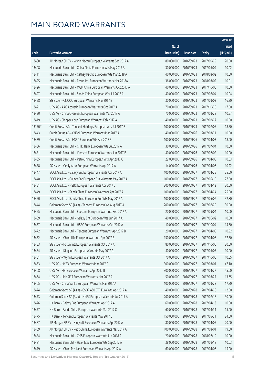|         |                                                              |               |                     |               | Amount       |
|---------|--------------------------------------------------------------|---------------|---------------------|---------------|--------------|
|         |                                                              | No. of        |                     |               | raised       |
| Code    | <b>Derivative warrants</b>                                   | issue (units) | <b>Listing date</b> | <b>Expiry</b> | $(HK\$ mil.) |
| 13430   | J P Morgan SP BV - Wynn Macau European Warrants Sep 2017 A   | 80,000,000    | 2016/09/23          | 2017/09/29    | 20.00        |
| 13408   | Macquarie Bank Ltd. - China Cinda European Wts May 2017 A    | 30,000,000    | 2016/09/23          | 2017/05/04    | 10.02        |
| 13411   | Macquarie Bank Ltd. - Cathay Pacific European Wts Mar 2018 A | 40,000,000    | 2016/09/23          | 2018/03/02    | 10.00        |
| 13425   | Macquarie Bank Ltd. - Fosun Intl European Warrants Mar 2018A | 36,000,000    | 2016/09/23          | 2018/03/02    | 10.01        |
| 13426   | Macquarie Bank Ltd. - MGM China European Warrants Oct 2017 A | 40,000,000    | 2016/09/23          | 2017/10/06    | 10.00        |
| 13427   | Macquarie Bank Ltd. - Sands China European Wts Jul 2017 A    | 40,000,000    | 2016/09/23          | 2017/07/04    | 10.04        |
| 13428   | SG Issuer - CNOOC European Warrants Mar 2017 B               | 30,000,000    | 2016/09/23          | 2017/03/03    | 16.20        |
| 13421   | UBS AG - AAC Acoustic European Warrants Oct 2017 A           | 70,000,000    | 2016/09/23          | 2017/10/30    | 17.50        |
| 13420   | UBS AG - China Overseas European Warrants Mar 2017 A         | 70,000,000    | 2016/09/23          | 2017/03/28    | 10.57        |
| 13419   | UBS AG - Sinopec Corp European Warrants Feb 2017 A           | 40,000,000    | 2016/09/23          | 2017/02/27    | 10.00        |
| 13170 # | Credit Suisse AG - Tencent Holdings European Wts Jul 2017 B  | 100,000,000   | 2016/09/23          | 2017/07/05    | 18.50        |
| 13443   | Credit Suisse AG - CNBM European Warrants Mar 2017 A         | 40,000,000    | 2016/09/26          | 2017/03/31    | 10.00        |
| 13439   | Credit Suisse AG - HSBC European Wts Apr 2017 E              | 100,000,000   | 2016/09/26          | 2017/04/03    | 18.00        |
| 13436   | Macquarie Bank Ltd. - CITIC Bank European Wts Jul 2017 A     | 30,000,000    | 2016/09/26          | 2017/07/04    | 10.50        |
| 13431   | Macquarie Bank Ltd. - Kingsoft European Warrants Jun 2017 B  | 40,000,000    | 2016/09/26          | 2017/06/02    | 10.00        |
| 13435   | Macquarie Bank Ltd. - PetroChina European Wts Apr 2017 C     | 22,000,000    | 2016/09/26          | 2017/04/05    | 10.03        |
| 13438   | SG Issuer - Geely Auto European Warrants Apr 2017 A          | 14,000,000    | 2016/09/26          | 2017/04/06    | 10.22        |
| 13447   | BOCI Asia Ltd. - Galaxy Ent European Warrants Apr 2017 A     | 100,000,000   | 2016/09/27          | 2017/04/25    | 25.00        |
| 13448   | BOCI Asia Ltd. - Galaxy Ent European Put Warrants May 2017 A | 100,000,000   | 2016/09/27          | 2017/05/10    | 27.50        |
| 13451   | BOCI Asia Ltd. - HSBC European Warrants Apr 2017 C           | 200,000,000   | 2016/09/27          | 2017/04/12    | 30.00        |
| 13449   | BOCI Asia Ltd. - Sands China European Warrants Apr 2017 A    | 100,000,000   | 2016/09/27          | 2017/04/24    | 25.00        |
| 13450   | BOCI Asia Ltd. - Sands China European Put Wts May 2017 A     | 100,000,000   | 2016/09/27          | 2017/05/02    | 32.80        |
| 13444   | Goldman Sachs SP (Asia) - Tencent European Wt Aug 2017 A     | 200,000,000   | 2016/09/27          | 2017/08/29    | 30.00        |
| 13455   | Macquarie Bank Ltd. - Foxconn European Warrants Sep 2017 A   | 20,000,000    | 2016/09/27          | 2017/09/04    | 10.00        |
| 13459   | Macquarie Bank Ltd. - Galaxy Ent European Wts Jun 2017 A     | 40,000,000    | 2016/09/27          | 2017/06/02    | 10.00        |
| 13457   | Macquarie Bank Ltd. - HSBC European Warrants Oct 2017 A      | 10,000,000    | 2016/09/27          | 2017/10/04    | 14.50        |
| 13472   | Macquarie Bank Ltd. - Tencent European Warrants Apr 2017 B   | 20,000,000    | 2016/09/27          | 2017/04/05    | 10.92        |
| 13452   | SG Issuer - China Life European Warrants Apr 2017 B          | 150,000,000   | 2016/09/27          | 2017/04/06    | 37.50        |
| 13453   | SG Issuer - Fosun Intl European Warrants Oct 2017 A          | 80,000,000    | 2016/09/27          | 2017/10/06    | 20.00        |
| 13454   | SG Issuer - Kingsoft European Warrants May 2017 A            | 40,000,000    | 2016/09/27          | 2017/05/05    | 10.00        |
| 13461   | SG Issuer - Wynn European Warrants Oct 2017 A                | 70,000,000    | 2016/09/27          | 2017/10/06    | 10.85        |
| 13463   | UBS AG - HKEX European Warrants Mar 2017 C                   | 300,000,000   | 2016/09/27          | 2017/03/01    | 47.10        |
| 13468   | UBS AG - HSI European Warrants Apr 2017 B                    | 300,000,000   | 2016/09/27          | 2017/04/27    | 45.00        |
| 13464   | UBS AG - Link REIT European Warrants Mar 2017 A              | 50,000,000    | 2016/09/27          | 2017/03/27    | 13.65        |
| 13465   | UBS AG - China Vanke European Warrants Mar 2017 A            | 100,000,000   | 2016/09/27          | 2017/03/28    | 17.70        |
| 13474   | Goldman Sachs SP (Asia) - CSOP A50 ETF Euro Wts Apr 2017 A   | 40,000,000    | 2016/09/28          | 2017/04/28    | 12.00        |
| 13473   | Goldman Sachs SP (Asia) - HKEX European Warrants Jul 2017 A  | 200,000,000   | 2016/09/28          | 2017/07/18    | 30.00        |
| 13476   | HK Bank - Galaxy Ent European Warrants Apr 2017 A            | 60,000,000    | 2016/09/28          | 2017/04/13    | 10.80        |
| 13477   | HK Bank - Sands China European Warrants Mar 2017 C           | 60,000,000    | 2016/09/28          | 2017/03/31    | 15.00        |
| 13475   | HK Bank - Tencent European Warrants May 2017 B               | 150,000,000   | 2016/09/28          | 2017/05/31    | 24.00        |
| 13487   | J P Morgan SP BV - Kingsoft European Warrants Apr 2017 A     | 80,000,000    | 2016/09/28          | 2017/04/05    | 20.00        |
| 13489   | J P Morgan SP BV - PetroChina European Warrants Mar 2017 A   | 100,000,000   | 2016/09/28          | 2017/03/01    | 19.60        |
| 13484   | Macquarie Bank Ltd. - CMS European Warrants Jun 2018 A       | 20,000,000    | 2016/09/28          | 2018/06/19    | 10.00        |
| 13481   | Macquarie Bank Ltd. - Haier Elec European Wts Sep 2017 A     | 38,000,000    | 2016/09/28          | 2017/09/18    | 10.03        |
| 13479   | SG Issuer - China Res Land European Warrants Apr 2017 A      | 60,000,000    | 2016/09/28          | 2017/04/06    | 15.00        |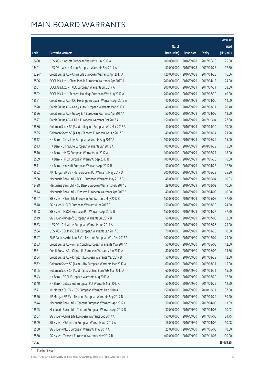|              |                                                               |               |                       |               | Amount      |
|--------------|---------------------------------------------------------------|---------------|-----------------------|---------------|-------------|
|              |                                                               | No. of        |                       |               | raised      |
| Code         | Derivative warrants                                           | issue (units) | <b>Listing date</b>   | <b>Expiry</b> | (HK\$ mil.) |
| 13490        | UBS AG - Kingsoft European Warrants Jun 2017 A                | 100,000,000   | 2016/09/28            | 2017/06/19    | 25.00       |
| 13491        | UBS AG - Wynn Macau European Warrants Sep 2017 A              | 50,000,000    | 2016/09/28            | 2017/09/25    | 12.50       |
| 13224 #      | Credit Suisse AG - China Life European Warrants Apr 2017 A    | 120,000,000   | 2016/09/28            | 2017/04/28    | 16.56       |
| 13506        | BOCI Asia Ltd. - China Mobile European Warrants Apr 2017 A    | 200,000,000   | 2016/09/29            | 2017/04/12    | 74.00       |
| 13501        | BOCI Asia Ltd. - HKEX European Warrants Jul 2017 A            | 200,000,000   | 2016/09/29            | 2017/07/31    | 38.00       |
| 13502        | BOCI Asia Ltd. - Tencent Holdings European Wts Aug 2017 A     | 200,000,000   | 2016/09/29            | 2017/08/30    | 40.00       |
| 13521        | Credit Suisse AG - CKI Holdings European Warrants Apr 2017 A  | 40,000,000    | 2016/09/29            | 2017/04/06    | 14.00       |
| 13520        | Credit Suisse AG - Geely Auto European Warrants Mar 2017 C    | 40,000,000    | 2016/09/29            | 2017/03/31    | 20.40       |
| 13526        | Credit Suisse AG - Galaxy Ent European Warrants Apr 2017 A    | 50,000,000    | 2016/09/29            | 2017/04/05    | 12.50       |
| 13527        | Credit Suisse AG - HKEX European Warrants Oct 2017 A          | 150,000,000   | 2016/09/29            | 2017/10/04    | 27.30       |
| 13536        | Goldman Sachs SP (Asia) - Kingsoft European Wts Mar 2017 A    | 40,000,000    | 2016/09/29            | 2017/03/30    | 10.00       |
| 13535        | Goldman Sachs SP (Asia) - Tencent European Wt Jan 2017 F      | 40,000,000    | 2016/09/29            | 2017/01/24    | 21.28       |
| 13512        | HK Bank - China Life European Warrants Aug 2017 A             | 100,000,000   | 2016/09/29            | 2017/08/29    | 15.00       |
| 13513        | HK Bank - China Life European Warrants Jan 2018 A             | 100,000,000   | 2016/09/29            | 2018/01/29    | 15.00       |
| 13510        | HK Bank - HKEX European Warrants Jul 2017 A                   | 100,000,000   | 2016/09/29            | 2017/07/27    | 18.00       |
| 13509        | HK Bank - HKEX European Warrants Sep 2017 B                   | 100,000,000   | 2016/09/29            | 2017/09/26    | 16.00       |
| 13511        | HK Bank - Kingsoft European Warrants Apr 2017 B               | 50,000,000    | 2016/09/29            | 2017/04/28    | 12.50       |
| 13532        | J P Morgan SP BV - HSI European Put Warrants May 2017 D       | 300,000,000   | 2016/09/29            | 2017/05/29    | 75.30       |
| 13500        | Macquarie Bank Ltd. - BOCL European Warrants May 2017 B       | 48,000,000    | 2016/09/29            | 2017/05/04    | 10.03       |
| 13498        | Macquarie Bank Ltd. - CC Bank European Warrants Feb 2017 B    | 29,000,000    | 2016/09/29            | 2017/02/02    | 10.06       |
| 13514        | Macquarie Bank Ltd. - Kingsoft European Warrants Apr 2017 B   | 40,000,000    | 2016/09/29            | 2017/04/05    | 10.00       |
| 13507        | SG Issuer - China Life European Put Warrants May 2017 C       | 150,000,000   | 2016/09/29            | 2017/05/05    | 37.50       |
| 13518        | SG Issuer - HSCEI European Warrants Mar 2017 C                | 150,000,000   | 2016/09/29            | 2017/03/30    | 24.00       |
| 13508        | SG Issuer - HSCEI European Put Warrants Apr 2017 B            | 150,000,000   | 2016/09/29            | 2017/04/27    | 37.50       |
| 13519        | SG Issuer - Kingsoft European Warrants Jul 2017 B             | 50,000,000    | 2016/09/29            | 2017/07/05    | 12.50       |
| 13533        | UBS AG - China Life European Warrants Jun 2017 A              | 100,000,000   | 2016/09/29            | 2017/06/26    | 25.00       |
| 13534        | UBS AG - CSOP A50 ETF European Warrants Jan 2017 B            |               | 70,000,000 2016/09/29 | 2017/01/25    | 10.50       |
| 13547        | BNP Paribas Arbit Issu B.V. - Tencent European Wts Dec 2017 A | 100,000,000   | 2016/09/30            | 2017/12/04    | 25.00       |
| 13553        | Credit Suisse AG - Anhui Conch European Warrants May 2017 A   | 50,000,000    | 2016/09/30            | 2017/05/05    | 12.50       |
| 13551        | Credit Suisse AG - China Life European Warrants Jun 2017 A    | 80,000,000    | 2016/09/30            | 2017/06/02    | 13.36       |
| 13554        | Credit Suisse AG - Kingsoft European Warrants Mar 2017 B      | 50,000,000    | 2016/09/30            | 2017/03/29    | 12.50       |
| 13562        | Goldman Sachs SP (Asia) - AIA European Warrants Mar 2017 A    | 60,000,000    | 2016/09/30            | 2017/03/31    | 15.00       |
| 13565        | Goldman Sachs SP (Asia) - Sands China Euro Wts Mar 2017 A     | 60,000,000    | 2016/09/30            | 2017/03/31    | 15.00       |
| 13543        | HK Bank - BOCL European Warrants Aug 2017 A                   | 80,000,000    | 2016/09/30            | 2017/08/29    | 12.80       |
| 13540        | HK Bank - Galaxy Ent European Put Warrants Mar 2017 C         | 50,000,000    | 2016/09/30            | 2017/03/29    | 12.50       |
| 13571        | J P Morgan SP BV - CGS European Warrants Dec 2018 A           | 150,000,000   | 2016/09/30            | 2018/12/31    | 37.50       |
| 13570        | J P Morgan SP BV - Tencent European Warrants Sep 2017 D       | 200,000,000   | 2016/09/30            | 2017/09/29    | 50.20       |
| 13544        | Macquarie Bank Ltd. - Tencent European Warrants Apr 2017 C    | 10,000,000    | 2016/09/30            | 2017/04/05    | 13.89       |
| 13545        | Macquarie Bank Ltd. - Tencent European Warrants Apr 2017 D    | 30,000,000    | 2016/09/30            | 2017/04/05    | 10.02       |
| 13537        | SG Issuer - China Life European Warrants Sep 2017 A           | 150,000,000   | 2016/09/30            | 2017/09/05    | 24.75       |
| 13549        | SG Issuer - ChiUnicom European Warrants Apr 2017 A            | 16,000,000    | 2016/09/30            | 2017/04/06    | 10.08       |
| 13538        | SG Issuer - KECL European Warrants May 2017 A                 | 25,000,000    | 2016/09/30            | 2017/05/05    | 10.00       |
| 13550        | SG Issuer - Tencent European Warrants Nov 2017 B              | 400,000,000   | 2016/09/30            | 2017/11/03    | 100.00      |
| <b>Total</b> |                                                               |               |                       |               | 28,479.35   |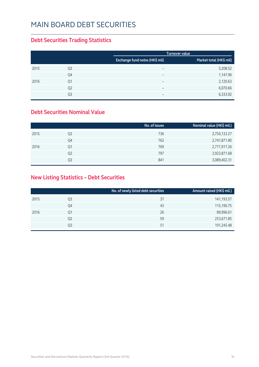#### MAIN BOARD DEBT SECURITIES

#### **Debt Securities Trading Statistics**

|      |                |                                | <b>Turnover value</b>   |
|------|----------------|--------------------------------|-------------------------|
|      |                | Exchange fund notes (HK\$ mil) | Market total (HK\$ mil) |
| 2015 | Q <sub>3</sub> | $\qquad \qquad$                | 5,208.52                |
|      | Q4             | $\overline{\phantom{0}}$       | 1,147.96                |
| 2016 | Q1             | $\overline{\phantom{0}}$       | 2,120.63                |
|      | Q <sub>2</sub> | $\overline{\phantom{0}}$       | 6,070.66                |
|      | Q3             | $\overline{\phantom{0}}$       | 6,333.92                |

#### **Debt Securities Nominal Value**

|      |                | No. of issues | Nominal value (HK\$ mil.) |
|------|----------------|---------------|---------------------------|
| 2015 | Q3             | 736           | 2,750,133.27              |
|      | Q4             | 762           | 2,741,871.80              |
| 2016 | Q1             | 769           | 2,777,917.26              |
|      | Q <sub>2</sub> | 797           | 2,923,871.68              |
|      | O3             | 841           | 3,089,402.31              |

#### **New Listing Statistics – Debt Securities**

|      |                | No. of newly listed debt securities | Amount raised (HK\$ mil.) |
|------|----------------|-------------------------------------|---------------------------|
| 2015 | Q3             | 37                                  | 141,193.57                |
|      | Q4             | 43                                  | 115,190.75                |
| 2016 | Q1             | 26                                  | 89,996.61                 |
|      | Q <sub>2</sub> | 59                                  | 253,671.85                |
|      | Q3             | 51                                  | 191,245.48                |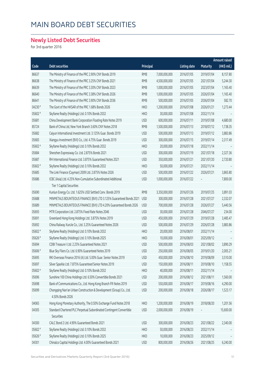## MAIN BOARD DEBT SECURITIES

#### **Newly Listed Debt Securities**

for 3rd quarter 2016

|         |                                                                      |            |               |                     |                 | <b>Amount raised</b> |
|---------|----------------------------------------------------------------------|------------|---------------|---------------------|-----------------|----------------------|
| Code    | Debt securities                                                      | Principal  |               | <b>Listing date</b> | <b>Maturity</b> | (HK\$ mil.)          |
| 86637   | The Ministry of Finance of the PRC 2.90% CNY Bonds 2019              | <b>RMB</b> | 7,000,000,000 | 2016/07/05          | 2019/07/04      | 8,157.80             |
| 86638   | The Ministry of Finance of the PRC 3.25% CNY Bonds 2021              | <b>RMB</b> | 4,500,000,000 | 2016/07/05          | 2021/07/04      | 5,244.30             |
| 86639   | The Ministry of Finance of the PRC 3.30% CNY Bonds 2023              | <b>RMB</b> | 1,000,000,000 | 2016/07/05          | 2023/07/04      | 1,165.40             |
| 86640   | The Ministry of Finance of the PRC 3.38% CNY Bonds 2026              | <b>RMB</b> | 1,000,000,000 | 2016/07/05          | 2026/07/04      | 1,165.40             |
| 86641   | The Ministry of Finance of the PRC 3.90% CNY Bonds 2036              | <b>RMB</b> | 500,000,000   | 2016/07/05          | 2036/07/04      | 582.70               |
| 04230 # | The Govt of the HKSAR of the PRC 1.68% Bonds 2026                    | <b>HKD</b> | 1,200,000,000 | 2016/07/08          | 2026/01/21      | 1,273.44             |
| 05602 # | Skyfame Realty (Holdings) Ltd. 0.10% Bonds 2032                      | <b>HKD</b> | 30,000,000    | 2016/07/08          | 2032/11/14      |                      |
| 05681   | China Development Bank Corporation Floating Rate Notes 2019          | <b>USD</b> | 600,000,000   | 2016/07/11          | 2019/07/08      | 4,680.00             |
| 85724   | Bank of China Ltd, New York Branch 3.60% CNY Notes 2018              | <b>RMB</b> | 1,500,000,000 | 2016/07/13          | 2018/07/12      | 1,738.35             |
| 05682   | Caiyun International Investment Ltd. 3.125% Guar. Bonds 2019         | <b>USD</b> | 500,000,000   | 2016/07/13          | 2019/07/12      | 3,883.86             |
| 05683   | Xiangyu Investment (BVI) Co., Ltd. 4.75% Guar. Bonds 2019            | <b>USD</b> | 300,000,000   | 2016/07/15          | 2019/07/14      | 2,317.49             |
| 05602 # | Skyfame Realty (Holdings) Ltd. 0.10% Bonds 2032                      | <b>HKD</b> | 20,000,000    | 2016/07/18          | 2032/11/14      |                      |
| 05684   | Shenzhen Expressway Co. Ltd. 2.875% Bonds 2021                       | <b>USD</b> | 300,000,000   | 2016/07/19          | 2021/07/18      | 2,327.36             |
| 05687   | RH International Finance Ltd. 3.875% Guaranteed Notes 2021           | <b>USD</b> | 350,000,000   | 2016/07/21          | 2021/07/20      | 2,720.80             |
| 05602 # | Skyfame Realty (Holdings) Ltd. 0.10% Bonds 2032                      | <b>HKD</b> | 50,000,000    | 2016/07/21          | 2032/11/14      |                      |
| 05685   | The Link Finance (Cayman) 2009 Ltd. 2.875% Notes 2026                | <b>USD</b> | 500,000,000   | 2016/07/22          | 2026/07/21      | 3,865.80             |
| 05686   | ICBC (Asia) Ltd. 4.25% Non-Cumulative Subordinated Additional        | <b>USD</b> | 1,000,000,000 | 2016/07/22          |                 | 7,800.00             |
|         | Tier 1 Capital Securities                                            |            |               |                     |                 |                      |
| 05690   | Kunlun Energy Co. Ltd. 1.625% USD Settled Conv. Bonds 2019           | <b>RMB</b> | 3,350,000,000 | 2016/07/26          | 2019/07/25      | 3,891.03             |
| 05688   | MINMETALS BOUNTEOUS FINANCE (BVI) LTD 3.125% Guaranteed Bonds 2021   | <b>USD</b> | 300,000,000   | 2016/07/28          | 2021/07/27      | 2,332.07             |
| 05689   | MINMETALS BOUNTEOUS FINANCE (BVI) LTD 4.20% Guaranteed Bonds 2026    | <b>USD</b> | 700,000,000   | 2016/07/28          | 2026/07/27      | 5,440.56             |
| 05693   | MTR Corporation Ltd. 2.875% Fixed Rate Notes 2046                    | <b>USD</b> | 30,000,000    | 2016/07/28          | 2046/07/27      | 234.00               |
| 05691   | Greenland Hong Kong Holdings Ltd. 3.875% Notes 2019                  | <b>USD</b> | 450,000,000   | 2016/07/29          | 2019/07/28      | 3,485.47             |
| 05692   | China Railway XunJie Co., Ltd. 3.25% Guaranteed Notes 2026           | <b>USD</b> | 500,000,000   | 2016/07/29          | 2026/07/28      | 3,883.86             |
| 05602 # | Skyfame Realty (Holdings) Ltd. 0.10% Bonds 2032                      | <b>HKD</b> | 20,000,000    | 2016/08/01          | 2032/11/14      |                      |
| 05626#  | Skyfame Realty (Holdings) Ltd. 0.10% Bonds 2025                      | <b>HKD</b> | 10,000,000    | 2016/08/01          | 2025/09/12      |                      |
| 05694   | CDBI Treasure I Ltd. 2.25% Guaranteed Notes 2021                     | <b>USD</b> | 500,000,000   | 2016/08/03          | 2021/08/02      | 3,890.29             |
| 05606#  | Blue Sky Fliers Co. Ltd. 6.90% Guaranteed Notes 2019                 | <b>USD</b> | 250,000,000   | 2016/08/05          | 2019/01/20      | 2,005.21             |
| 05695   | RKI Overseas Finance 2016 (A) Ltd. 5.00% Guar. Senior Notes 2019     | <b>USD</b> | 450,000,000   | 2016/08/10          | 2019/08/09      | 3,510.00             |
| 05697   | Silver Sparkle Ltd. 7.875% Guaranteed Senior Notes 2019              | <b>USD</b> | 150,000,000   | 2016/08/11          | 2019/08/10      | 1,158.55             |
| 05602 # | Skyfame Realty (Holdings) Ltd. 0.10% Bonds 2032                      | <b>HKD</b> | 40,000,000    | 2016/08/11          | 2032/11/14      |                      |
| 05696   | Sunshine 100 China Holdings Ltd. 6.50% Convertible Bonds 2021        | <b>USD</b> | 200,000,000   | 2016/08/12          | 2021/08/11      | 1,560.00             |
| 05698   | Bank of Communications Co., Ltd. Hong Kong Branch FR Notes 2019      | <b>USD</b> | 550,000,000   | 2016/08/17          | 2019/08/16      | 4,290.00             |
| 05699   | Chongqing Nan'an Urban Construction & Development (Group) Co., Ltd.  | <b>USD</b> | 200,000,000   | 2016/08/18          | 2026/08/17      | 1,523.17             |
|         | 4.50% Bonds 2026                                                     |            |               |                     |                 |                      |
| 04065   | Hong Kong Monetary Authority, The 0.50% Exchange Fund Notes 2018     | <b>HKD</b> | 1,200,000,000 | 2016/08/19          | 2018/08/20      | 1,201.56             |
| 04305   | Standard Chartered PLC Perpetual Subordinated Contingent Convertible | <b>USD</b> | 2,000,000,000 | 2016/08/19          |                 | 15,600.00            |
|         | Securities                                                           |            |               |                     |                 |                      |
| 04300   | CALC Bond 2 Ltd. 4.90% Guaranteed Bonds 2021                         | <b>USD</b> | 300,000,000   | 2016/08/23          | 2021/08/22      | 2,340.00             |
| 05602 # | Skyfame Realty (Holdings) Ltd. 0.10% Bonds 2032                      | <b>HKD</b> | 50,000,000    | 2016/08/23          | 2032/11/14      |                      |
| 05626 # | Skyfame Realty (Holdings) Ltd. 0.10% Bonds 2025                      | <b>HKD</b> | 10,000,000    | 2016/08/23          | 2025/09/12      |                      |
| 04301   | Chinalco Capital Holdings Ltd. 4.00% Guaranteed Bonds 2021           | <b>USD</b> | 800,000,000   | 2016/08/26          | 2021/08/25      | 6,240.00             |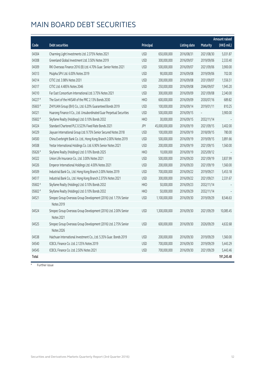## MAIN BOARD DEBT SECURITIES

|         |                                                                                 |            |                |                     |                 | <b>Amount raised</b> |
|---------|---------------------------------------------------------------------------------|------------|----------------|---------------------|-----------------|----------------------|
| Code    | <b>Debt securities</b>                                                          | Principal  |                | <b>Listing date</b> | <b>Maturity</b> | (HK\$ mil.)          |
| 04304   | Charming Light Investments Ltd. 2.375% Notes 2021                               | <b>USD</b> | 650,000,000    | 2016/08/31          | 2021/08/30      | 5,031.87             |
| 04308   | Greenland Global Investment Ltd. 3.50% Notes 2019                               | <b>USD</b> | 300,000,000    | 2016/09/07          | 2019/09/06      | 2,333.40             |
| 04309   | RKI Overseas Finance 2016 (B) Ltd. 4.70% Guar. Senior Notes 2021                | <b>USD</b> | 500,000,000    | 2016/09/07          | 2021/09/06      | 3,900.00             |
| 04313   | Mulpha SPV Ltd. 6.00% Notes 2019                                                | <b>USD</b> | 90,000,000     | 2016/09/08          | 2019/09/06      | 702.00               |
| 04314   | CITIC Ltd. 3.98% Notes 2031                                                     | <b>USD</b> | 200,000,000    | 2016/09/08          | 2031/09/07      | 1,556.51             |
| 04317   | CITIC Ltd. 4.485% Notes 2046                                                    | <b>USD</b> | 250,000,000    | 2016/09/08          | 2046/09/07      | 1,945.20             |
| 04310   | Far East Consortium International Ltd. 3.75% Notes 2021                         | <b>USD</b> | 300,000,000    | 2016/09/09          | 2021/09/08      | 2,340.00             |
| 04227 # | The Govt of the HKSAR of the PRC 2.13% Bonds 2030                               | <b>HKD</b> | 600,000,000    | 2016/09/09          | 2030/07/16      | 689.82               |
| 05603 # | ZHIYUAN Group (BVI) Co., Ltd. 6.20% Guaranteed Bonds 2019                       | <b>USD</b> | 100,000,000    | 2016/09/14          | 2019/01/11      | 810.25               |
| 04321   | Huarong Finance II Co., Ltd. Unsubordinated Guar Perpetual Securities           | <b>USD</b> | 500,000,000    | 2016/09/15          |                 | 3,900.00             |
| 05602 # | Skyfame Realty (Holdings) Ltd. 0.10% Bonds 2032                                 | <b>HKD</b> | 30,000,000     | 2016/09/15          | 2032/11/14      |                      |
| 04324   | Standard Chartered PLC 0.523% Fixed Rate Bonds 2021                             | JPY        | 45,000,000,000 | 2016/09/19          | 2021/09/15      | 3,402.00             |
| 04329   | Jiayuan International Group Ltd. 9.75% Senior Secured Notes 2018                | <b>USD</b> | 100,000,000    | 2016/09/19          | 2018/09/15      | 780.00               |
| 04500   | China Everbright Bank Co. Ltd., Hong Kong Branch 2.00% Notes 2019               | <b>USD</b> | 500,000,000    | 2016/09/19          | 2019/09/15      | 3,891.66             |
| 04508   | Yestar International Holdings Co. Ltd. 6.90% Senior Notes 2021                  | <b>USD</b> | 200,000,000    | 2016/09/19          | 2021/09/15      | 1,560.00             |
| 05626 # | Skyfame Realty (Holdings) Ltd. 0.10% Bonds 2025                                 | <b>HKD</b> | 10,000,000     | 2016/09/19          | 2025/09/12      |                      |
| 04322   | Union Life Insurance Co., Ltd. 3.00% Notes 2021                                 | <b>USD</b> | 500,000,000    | 2016/09/20          | 2021/09/19      | 3,837.99             |
| 04326   | Emperor International Holdings Ltd. 4.00% Notes 2021                            | <b>USD</b> | 200,000,000    | 2016/09/20          | 2021/09/19      | 1,560.00             |
| 04509   | Industrial Bank Co., Ltd. Hong Kong Branch 2.00% Notes 2019                     | <b>USD</b> | 700,000,000    | 2016/09/22          | 2019/09/21      | 5,453.18             |
| 04517   | Industrial Bank Co., Ltd. Hong Kong Branch 2.375% Notes 2021                    | <b>USD</b> | 300,000,000    | 2016/09/22          | 2021/09/21      | 2,331.67             |
| 05602 # | Skyfame Realty (Holdings) Ltd. 0.10% Bonds 2032                                 | <b>HKD</b> | 50,000,000     | 2016/09/23          | 2032/11/14      |                      |
| 05602 # | Skyfame Realty (Holdings) Ltd. 0.10% Bonds 2032                                 | <b>HKD</b> | 50,000,000     | 2016/09/29          | 2032/11/14      |                      |
| 04521   | Sinopec Group Overseas Group Development (2016) Ltd. 1.75% Senior               | <b>USD</b> | 1,100,000,000  | 2016/09/30          | 2019/09/29      | 8,546.63             |
|         | Notes 2019                                                                      |            |                |                     |                 |                      |
| 04524   | Sinopec Group Overseas Group Development (2016) Ltd. 2.00% Senior<br>Notes 2021 | <b>USD</b> | 1,300,000,000  | 2016/09/30          | 2021/09/29      | 10,085.45            |
| 04525   | Sinopec Group Overseas Group Development (2016) Ltd. 2.75% Senior               | <b>USD</b> | 600,000,000    | 2016/09/30          | 2026/09/29      | 4,632.68             |
|         | Notes 2026                                                                      |            |                |                     |                 |                      |
| 04538   | Haichuan International Investment Co., Ltd. 5.35% Guar. Bonds 2019              | <b>USD</b> | 200,000,000    | 2016/09/30          | 2019/09/29      | 1,560.00             |
| 04540   | ICBCIL Finance Co. Ltd. 2.125% Notes 2019                                       | <b>USD</b> | 700,000,000    | 2016/09/30          | 2019/09/29      | 5,443.29             |
| 04545   | ICBCIL Finance Co. Ltd. 2.50% Notes 2021                                        | <b>USD</b> | 700,000,000    | 2016/09/30          | 2021/09/29      | 5,443.46             |
| Total   |                                                                                 |            |                |                     |                 | 191,245.48           |

# Further issue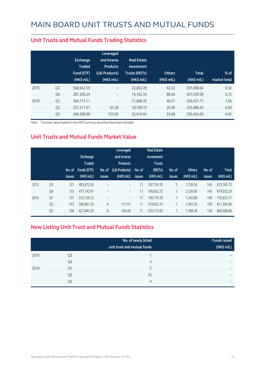|      |                | Exchange<br><b>Traded</b><br>Fund (ETF)<br>$(HK\$ mil.) | Leveraged<br>and Inverse<br><b>Products</b><br>(L&I Products)<br>(HK\$ mil.) | <b>Real Estate</b><br>Investment<br>Trusts (REITs)<br>$(HK$$ mil.) | <b>Others</b><br>(HK\$ mil.) | <b>Total</b><br>(HK\$ mil.) | $%$ of<br>market total |
|------|----------------|---------------------------------------------------------|------------------------------------------------------------------------------|--------------------------------------------------------------------|------------------------------|-----------------------------|------------------------|
| 2015 | Q <sub>3</sub> | 568,942.55                                              | $\overline{\phantom{a}}$                                                     | 22,063.78                                                          | 92.32                        | 591,098.64                  | 9.32                   |
|      | Q4             | 287,309.24                                              | -                                                                            | 14,162.34                                                          | 88.40                        | 301,559.98                  | 6.72                   |
| 2016 | Q1             | 304,713.11                                              | -                                                                            | 21,668.39                                                          | 40.27                        | 326,421.77                  | 7.66                   |
|      | Q <sub>2</sub> | 237,211.91                                              | 65.38                                                                        | 18,190.19                                                          | 20.96                        | 255,488.43                  | 6.64                   |
|      | Q <sub>3</sub> | 269,308.99                                              | 153.00                                                                       | 25,916.93                                                          | 23.08                        | 295,402.00                  | 6.92                   |

#### **Unit Trusts and Mutual Funds Trading Statistics**

Note: Turnover value traded in non-HKD currency securities have been included

#### **Unit Trusts and Mutual Funds Market Value**

|      |                | No. of<br><b>issues</b> | <b>Exchange</b><br><b>Traded</b><br>Funds (ETF)<br>(HK\$ mil.) | No. of<br><b>issues</b>  | Leveraged<br>and Inverse<br><b>Products</b><br>(L&I Products)<br>$(HK$$ mil.) | No. of<br>issues | <b>Real Estate</b><br>Investment<br><b>Trusts</b><br>(REITs)<br>(HK\$ mil.) | No. of<br><b>issues</b> | <b>Others</b><br>(HK\$ mil.) | No. of<br>issues | <b>Total</b><br>(HK\$ mil.) |
|------|----------------|-------------------------|----------------------------------------------------------------|--------------------------|-------------------------------------------------------------------------------|------------------|-----------------------------------------------------------------------------|-------------------------|------------------------------|------------------|-----------------------------|
| 2015 | Q <sub>3</sub> | 131                     | 483,672.20                                                     | $\overline{\phantom{0}}$ | $\overline{\phantom{a}}$                                                      | 11               | 187,754.18                                                                  | 1                       | 1,739.34                     | 143              | 673,165.72                  |
|      | Q4             | 133                     | 477,142.97                                                     | $\qquad \qquad -$        | $\overline{\phantom{a}}$                                                      | 11               | 199,652.72                                                                  | 1                       | 2,236.60                     | 145              | 679,032.29                  |
| 2016 | Q <sub>1</sub> | 137                     | 535,139.73                                                     | $\overline{\phantom{a}}$ | $\overline{\phantom{a}}$                                                      | 11               | 199.170.18                                                                  | 1                       | 1.342.80                     | 149              | 735.652.71                  |
|      | Q <sub>2</sub> | 143                     | 589,881.25                                                     | $\overline{4}$           | 111.01                                                                        | 11               | 219,952.15                                                                  | 1                       | 1.401.55                     | 159              | 811,345.96                  |
|      | Q <sub>3</sub> | 138                     | 627,842.20                                                     | 8                        | 434.09                                                                        | 11               | 235.115.93                                                                  | 1                       | 1,188.38                     | 158              | 864,580.60                  |

#### **New Listing Unit Trust and Mutual Funds Statistics**

|      |                | No. of newly listed<br>unit trust and mutual funds | <b>Funds raised</b><br>(HK\$ mil.) |
|------|----------------|----------------------------------------------------|------------------------------------|
| 2015 | Q3             |                                                    | -                                  |
|      | Q4             | 4                                                  | $\overline{\phantom{0}}$           |
| 2016 | Q1             | 5                                                  | -                                  |
|      | Q <sub>2</sub> | 16                                                 | $\overline{\phantom{0}}$           |
|      | Q <sub>3</sub> | 4                                                  | $\overline{\phantom{0}}$           |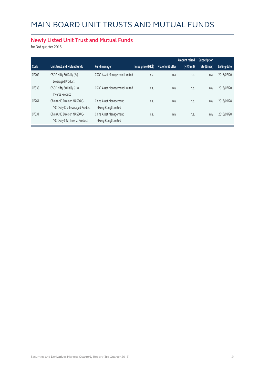# MAIN BOARD UNIT TRUSTS AND MUTUAL FUNDS

#### **Newly Listed Unit Trust and Mutual Funds**

for 3rd quarter 2016

|       |                                                                      |                                               |                    |                   | Amount raised | <b>Subscription</b> |              |
|-------|----------------------------------------------------------------------|-----------------------------------------------|--------------------|-------------------|---------------|---------------------|--------------|
| Code  | Unit trust and Mutual funds                                          | Fund manager                                  | Issue price (HK\$) | No. of unit offer | (HK\$ mil)    | rate (times)        | Listing date |
| 07202 | CSOP Nifty 50 Daily (2x)<br>Leveraged Product                        | CSOP Asset Management Limited                 | n.a.               | n.a.              | n.a.          | n.a.                | 2016/07/20   |
| 07335 | CSOP Nifty 50 Daily (-1x)                                            | CSOP Asset Management Limited                 | n.a.               | n.a.              | n.a.          | n.a.                | 2016/07/20   |
| 07261 | <b>Inverse Product</b><br>ChinaAMC Direxion NASDAO-                  | China Asset Management                        | n.a.               | n.a.              | n.a.          | n.a.                | 2016/09/28   |
| 07331 | 100 Daily (2x) Leveraged Product<br><b>ChinaAMC Direxion NASDAO-</b> | (Hong Kong) Limited<br>China Asset Management | n.a.               | n.a.              | n.a.          | n.a.                | 2016/09/28   |
|       | 100 Daily (-1x) Inverse Product                                      | (Hong Kong) Limited                           |                    |                   |               |                     |              |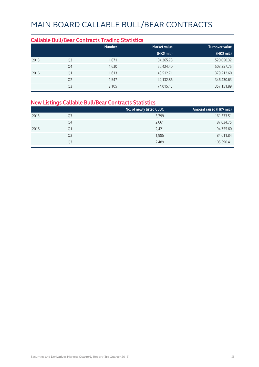#### **Callable Bull/Bear Contracts Trading Statistics Market value Turnover value (HK\$ mil.) (HK\$ mil.)** 2015 Q3 1,871 104,265.78 520,050.32 Q4 1,630 56,424.40 503,357.75 2016 Q1 1,613 48,512.71 379,212.60  $Q2$  1,547 32.86 346,430.63  $Q3$  2,105 357,151.89 357,151.89

#### **New Listings Callable Bull/Bear Contracts Statistics**

|      |                | No. of newly listed CBBC | Amount raised (HK\$ mil.) |
|------|----------------|--------------------------|---------------------------|
| 2015 | Q3             | 3,799                    | 161,333.51                |
|      | Q4             | 2,061                    | 87,034.75                 |
| 2016 | Q1             | 2,421                    | 94,755.60                 |
|      | Q <sub>2</sub> | 1,985                    | 84,611.84                 |
|      | Q3             | 2,489                    | 105,390.41                |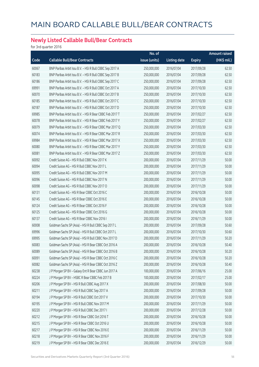#### **Newly Listed Callable Bull/Bear Contracts**

for 3rd quarter 2016

|       |                                                          | No. of        |                     |               | Amount raised |
|-------|----------------------------------------------------------|---------------|---------------------|---------------|---------------|
| Code  | <b>Callable Bull/Bear Contracts</b>                      | issue (units) | <b>Listing date</b> | <b>Expiry</b> | (HK\$ mil.)   |
| 60067 | BNP Paribas Arbit Issu B.V. - HSI R Bull CBBC Sep 2017 A | 250,000,000   | 2016/07/04          | 2017/09/28    | 62.50         |
| 60183 | BNP Paribas Arbit Issu B.V. - HSI R Bull CBBC Sep 2017 B | 250,000,000   | 2016/07/04          | 2017/09/28    | 62.50         |
| 60186 | BNP Paribas Arbit Issu B.V. - HSI R Bull CBBC Sep 2017 C | 250,000,000   | 2016/07/04          | 2017/09/28    | 62.50         |
| 69991 | BNP Paribas Arbit Issu B.V. - HSI R Bull CBBC Oct 2017 A | 250,000,000   | 2016/07/04          | 2017/10/30    | 62.50         |
| 60070 | BNP Paribas Arbit Issu B.V. - HSI R Bull CBBC Oct 2017 B | 250,000,000   | 2016/07/04          | 2017/10/30    | 62.50         |
| 60185 | BNP Paribas Arbit Issu B.V. - HSI R Bull CBBC Oct 2017 C | 250,000,000   | 2016/07/04          | 2017/10/30    | 62.50         |
| 60187 | BNP Paribas Arbit Issu B.V. - HSI R Bull CBBC Oct 2017 D | 250,000,000   | 2016/07/04          | 2017/10/30    | 62.50         |
| 69985 | BNP Paribas Arbit Issu B.V. - HSI R Bear CBBC Feb 2017 T | 250,000,000   | 2016/07/04          | 2017/02/27    | 62.50         |
| 60078 | BNP Paribas Arbit Issu B.V. - HSI R Bear CBBC Feb 2017 Y | 250,000,000   | 2016/07/04          | 2017/02/27    | 62.50         |
| 60079 | BNP Paribas Arbit Issu B.V. - HSI R Bear CBBC Mar 2017 Q | 250,000,000   | 2016/07/04          | 2017/03/30    | 62.50         |
| 60074 | BNP Paribas Arbit Issu B.V. - HSI R Bear CBBC Mar 2017 R | 250,000,000   | 2016/07/04          | 2017/03/30    | 62.50         |
| 69984 | BNP Paribas Arbit Issu B.V. - HSI R Bear CBBC Mar 2017 X | 250,000,000   | 2016/07/04          | 2017/03/30    | 62.50         |
| 60080 | BNP Paribas Arbit Issu B.V. - HSI R Bear CBBC Mar 2017 Y | 250,000,000   | 2016/07/04          | 2017/03/30    | 62.50         |
| 60081 | BNP Paribas Arbit Issu B.V. - HSI R Bear CBBC Mar 2017 Z | 250,000,000   | 2016/07/04          | 2017/03/30    | 62.50         |
| 60092 | Credit Suisse AG - HSI R Bull CBBC Nov 2017 K            | 200,000,000   | 2016/07/04          | 2017/11/29    | 50.00         |
| 60094 | Credit Suisse AG - HSI R Bull CBBC Nov 2017 L            | 200,000,000   | 2016/07/04          | 2017/11/29    | 50.00         |
| 60095 | Credit Suisse AG - HSI R Bull CBBC Nov 2017 M            | 200,000,000   | 2016/07/04          | 2017/11/29    | 50.00         |
| 60096 | Credit Suisse AG - HSI R Bull CBBC Nov 2017 N            | 200,000,000   | 2016/07/04          | 2017/11/29    | 50.00         |
| 60098 | Credit Suisse AG - HSI R Bull CBBC Nov 2017 O            | 200,000,000   | 2016/07/04          | 2017/11/29    | 50.00         |
| 60131 | Credit Suisse AG - HSI R Bear CBBC Oct 2016 C            | 200,000,000   | 2016/07/04          | 2016/10/28    | 50.00         |
| 60145 | Credit Suisse AG - HSI R Bear CBBC Oct 2016 E            | 200,000,000   | 2016/07/04          | 2016/10/28    | 50.00         |
| 60124 | Credit Suisse AG - HSI R Bear CBBC Oct 2016 F            | 200,000,000   | 2016/07/04          | 2016/10/28    | 50.00         |
| 60125 | Credit Suisse AG - HSI R Bear CBBC Oct 2016 G            | 200,000,000   | 2016/07/04          | 2016/10/28    | 50.00         |
| 60137 | Credit Suisse AG - HSI R Bear CBBC Nov 2016 I            | 200,000,000   | 2016/07/04          | 2016/11/29    | 50.00         |
| 60008 | Goldman Sachs SP (Asia) - HSI R Bull CBBC Sep 2017 L     | 200,000,000   | 2016/07/04          | 2017/09/28    | 50.60         |
| 69996 | Goldman Sachs SP (Asia) - HSI R Bull CBBC Oct 2017 L     | 200,000,000   | 2016/07/04          | 2017/10/30    | 50.60         |
| 69995 | Goldman Sachs SP (Asia) - HSI R Bull CBBC Nov 2017 D     | 200,000,000   | 2016/07/04          | 2017/11/29    | 50.20         |
| 60083 | Goldman Sachs SP (Asia) - HSI R Bear CBBC Oct 2016 A     | 200,000,000   | 2016/07/04          | 2016/10/28    | 50.40         |
| 60089 | Goldman Sachs SP (Asia) - HSI R Bear CBBC Oct 2016 B     | 200,000,000   | 2016/07/04          | 2016/10/28    | 50.20         |
| 60091 | Goldman Sachs SP (Asia) - HSI R Bear CBBC Oct 2016 C     | 200,000,000   | 2016/07/04          | 2016/10/28    | 50.20         |
| 60082 | Goldman Sachs SP (Asia) - HSI R Bear CBBC Oct 2016 Z     | 200,000,000   | 2016/07/04          | 2016/10/28    | 50.40         |
| 60238 | J P Morgan SP BV - Galaxy Ent R Bear CBBC Jun 2017 A     | 100,000,000   | 2016/07/04          | 2017/06/16    | 25.00         |
| 60224 | J P Morgan SP BV - HSBC R Bear CBBC Feb 2017 B           | 100,000,000   | 2016/07/04          | 2017/02/17    | 25.00         |
| 60206 | J P Morgan SP BV - HSI R Bull CBBC Aug 2017 X            | 200,000,000   | 2016/07/04          | 2017/08/30    | 50.00         |
| 60211 | J P Morgan SP BV - HSI R Bull CBBC Sep 2017 A            | 200,000,000   | 2016/07/04          | 2017/09/28    | 50.00         |
| 60194 | J P Morgan SP BV - HSI R Bull CBBC Oct 2017 V            | 200,000,000   | 2016/07/04          | 2017/10/30    | 50.00         |
| 60195 | J P Morgan SP BV - HSI R Bull CBBC Nov 2017 M            | 200,000,000   | 2016/07/04          | 2017/11/29    | 50.00         |
| 60220 | J P Morgan SP BV - HSI R Bull CBBC Dec 2017 I            | 200,000,000   | 2016/07/04          | 2017/12/28    | 50.00         |
| 60212 | J P Morgan SP BV - HSI R Bear CBBC Oct 2016 T            | 200,000,000   | 2016/07/04          | 2016/10/28    | 50.00         |
| 60215 | J P Morgan SP BV - HSI R Bear CBBC Oct 2016 U            | 200,000,000   | 2016/07/04          | 2016/10/28    | 50.00         |
| 60217 | J P Morgan SP BV - HSI R Bear CBBC Nov 2016 E            | 200,000,000   | 2016/07/04          | 2016/11/29    | 50.00         |
| 60218 | J P Morgan SP BV - HSI R Bear CBBC Nov 2016 F            | 200,000,000   | 2016/07/04          | 2016/11/29    | 50.00         |
| 60219 | J P Morgan SP BV - HSI R Bear CBBC Dec 2016 E            | 200,000,000   | 2016/07/04          | 2016/12/29    | 50.00         |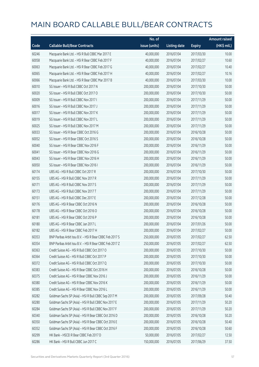|       |                                                          | No. of        |                     |               | Amount raised |
|-------|----------------------------------------------------------|---------------|---------------------|---------------|---------------|
| Code  | <b>Callable Bull/Bear Contracts</b>                      | issue (units) | <b>Listing date</b> | <b>Expiry</b> | (HK\$ mil.)   |
| 60246 | Macquarie Bank Ltd. - HSI R Bull CBBC Mar 2017 E         | 40,000,000    | 2016/07/04          | 2017/03/30    | 10.00         |
| 60058 | Macquarie Bank Ltd. - HSI R Bear CBBC Feb 2017 F         | 40,000,000    | 2016/07/04          | 2017/02/27    | 10.60         |
| 60063 | Macquarie Bank Ltd. - HSI R Bear CBBC Feb 2017 G         | 40,000,000    | 2016/07/04          | 2017/02/27    | 10.40         |
| 60065 | Macquarie Bank Ltd. - HSI R Bear CBBC Feb 2017 H         | 40,000,000    | 2016/07/04          | 2017/02/27    | 10.16         |
| 60066 | Macquarie Bank Ltd. - HSI R Bear CBBC Mar 2017 B         | 40,000,000    | 2016/07/04          | 2017/03/30    | 10.00         |
| 60010 | SG Issuer - HSI R Bull CBBC Oct 2017 N                   | 200,000,000   | 2016/07/04          | 2017/10/30    | 50.00         |
| 60020 | SG Issuer - HSI R Bull CBBC Oct 2017 O                   | 200,000,000   | 2016/07/04          | 2017/10/30    | 50.00         |
| 60009 | SG Issuer - HSI R Bull CBBC Nov 2017 I                   | 200,000,000   | 2016/07/04          | 2017/11/29    | 50.00         |
| 60016 | SG Issuer - HSI R Bull CBBC Nov 2017 J                   | 200,000,000   | 2016/07/04          | 2017/11/29    | 50.00         |
| 60017 | SG Issuer - HSI R Bull CBBC Nov 2017 K                   | 200,000,000   | 2016/07/04          | 2017/11/29    | 50.00         |
| 60019 | SG Issuer - HSI R Bull CBBC Nov 2017 L                   | 200,000,000   | 2016/07/04          | 2017/11/29    | 50.00         |
| 60025 | SG Issuer - HSI R Bull CBBC Nov 2017 M                   | 200,000,000   | 2016/07/04          | 2017/11/29    | 50.00         |
| 60033 | SG Issuer - HSI R Bear CBBC Oct 2016 G                   | 200,000,000   | 2016/07/04          | 2016/10/28    | 50.00         |
| 60052 | SG Issuer - HSI R Bear CBBC Oct 2016 S                   | 200,000,000   | 2016/07/04          | 2016/10/28    | 50.00         |
| 60040 | SG Issuer - HSI R Bear CBBC Nov 2016 F                   | 200,000,000   | 2016/07/04          | 2016/11/29    | 50.00         |
| 60041 | SG Issuer - HSI R Bear CBBC Nov 2016 G                   | 200,000,000   | 2016/07/04          | 2016/11/29    | 50.00         |
| 60043 | SG Issuer - HSI R Bear CBBC Nov 2016 H                   | 200,000,000   | 2016/07/04          | 2016/11/29    | 50.00         |
| 60050 | SG Issuer - HSI R Bear CBBC Nov 2016 I                   | 200,000,000   | 2016/07/04          | 2016/11/29    | 50.00         |
| 60174 | UBS AG - HSI R Bull CBBC Oct 2017 R                      | 200,000,000   | 2016/07/04          | 2017/10/30    | 50.00         |
| 60155 | UBS AG - HSI R Bull CBBC Nov 2017 R                      | 200,000,000   | 2016/07/04          | 2017/11/29    | 50.00         |
| 60171 | UBS AG - HSI R Bull CBBC Nov 2017 S                      | 200,000,000   | 2016/07/04          | 2017/11/29    | 50.00         |
| 60173 | UBS AG - HSI R Bull CBBC Nov 2017 T                      | 200,000,000   | 2016/07/04          | 2017/11/29    | 50.00         |
| 60151 | UBS AG - HSI R Bull CBBC Dec 2017 E                      | 200,000,000   | 2016/07/04          | 2017/12/28    | 50.00         |
| 60176 | UBS AG - HSI R Bear CBBC Oct 2016 N                      | 200,000,000   | 2016/07/04          | 2016/10/28    | 50.00         |
| 60178 | UBS AG - HSI R Bear CBBC Oct 2016 O                      | 200,000,000   | 2016/07/04          | 2016/10/28    | 50.00         |
| 60181 | UBS AG - HSI R Bear CBBC Oct 2016 P                      | 200,000,000   | 2016/07/04          | 2016/10/28    | 50.00         |
| 60180 | UBS AG - HSI R Bear CBBC Jan 2017 L                      | 200,000,000   | 2016/07/04          | 2017/01/26    | 50.00         |
| 60182 | UBS AG - HSI R Bear CBBC Feb 2017 H                      | 200,000,000   | 2016/07/04          | 2017/02/27    | 50.00         |
| 60353 | BNP Paribas Arbit Issu B.V. - HSI R Bear CBBC Feb 2017 S | 250,000,000   | 2016/07/05          | 2017/02/27    | 62.50         |
| 60354 | BNP Paribas Arbit Issu B.V. - HSI R Bear CBBC Feb 2017 Z | 250,000,000   | 2016/07/05          | 2017/02/27    | 62.50         |
| 60363 | Credit Suisse AG - HSI R Bull CBBC Oct 2017 O            | 200,000,000   | 2016/07/05          | 2017/10/30    | 50.00         |
| 60364 | Credit Suisse AG - HSI R Bull CBBC Oct 2017 P            | 200,000,000   | 2016/07/05          | 2017/10/30    | 50.00         |
| 60372 | Credit Suisse AG - HSI R Bull CBBC Oct 2017 Q            | 200,000,000   | 2016/07/05          | 2017/10/30    | 50.00         |
| 60383 | Credit Suisse AG - HSI R Bear CBBC Oct 2016 H            | 200,000,000   | 2016/07/05          | 2016/10/28    | 50.00         |
| 60375 | Credit Suisse AG - HSI R Bear CBBC Nov 2016 J            | 200,000,000   | 2016/07/05          | 2016/11/29    | 50.00         |
| 60380 | Credit Suisse AG - HSI R Bear CBBC Nov 2016 K            | 200,000,000   | 2016/07/05          | 2016/11/29    | 50.00         |
| 60385 | Credit Suisse AG - HSI R Bear CBBC Nov 2016 L            | 200,000,000   | 2016/07/05          | 2016/11/29    | 50.00         |
| 60282 | Goldman Sachs SP (Asia) - HSI R Bull CBBC Sep 2017 M     | 200,000,000   | 2016/07/05          | 2017/09/28    | 50.40         |
| 60280 | Goldman Sachs SP (Asia) - HSI R Bull CBBC Nov 2017 E     | 200,000,000   | 2016/07/05          | 2017/11/29    | 50.20         |
| 60284 | Goldman Sachs SP (Asia) - HSI R Bull CBBC Nov 2017 F     | 200,000,000   | 2016/07/05          | 2017/11/29    | 50.20         |
| 60340 | Goldman Sachs SP (Asia) - HSI R Bear CBBC Oct 2016 D     | 200,000,000   | 2016/07/05          | 2016/10/28    | 50.20         |
| 60350 | Goldman Sachs SP (Asia) - HSI R Bear CBBC Oct 2016 E     | 200,000,000   | 2016/07/05          | 2016/10/28    | 50.40         |
| 60352 | Goldman Sachs SP (Asia) - HSI R Bear CBBC Oct 2016 F     | 200,000,000   | 2016/07/05          | 2016/10/28    | 50.60         |
| 60299 | HK Bank - HSCEI R Bear CBBC Feb 2017 D                   | 50,000,000    | 2016/07/05          | 2017/02/27    | 12.50         |
| 60286 | HK Bank - HSI R Bull CBBC Jun 2017 C                     | 150,000,000   | 2016/07/05          | 2017/06/29    | 37.50         |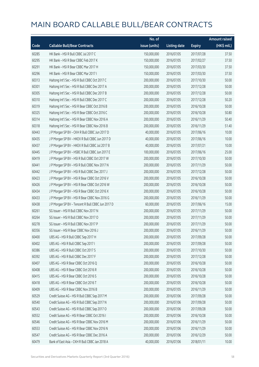|       |                                                   | No. of        |                     |               | <b>Amount raised</b> |
|-------|---------------------------------------------------|---------------|---------------------|---------------|----------------------|
| Code  | <b>Callable Bull/Bear Contracts</b>               | issue (units) | <b>Listing date</b> | <b>Expiry</b> | $(HK\$ mil.)         |
| 60285 | HK Bank - HSI R Bull CBBC Jul 2017 C              | 150,000,000   | 2016/07/05          | 2017/07/28    | 37.50                |
| 60295 | HK Bank - HSI R Bear CBBC Feb 2017 K              | 150,000,000   | 2016/07/05          | 2017/02/27    | 37.50                |
| 60291 | HK Bank - HSI R Bear CBBC Mar 2017 H              | 150,000,000   | 2016/07/05          | 2017/03/30    | 37.50                |
| 60296 | HK Bank - HSI R Bear CBBC Mar 2017 I              | 150,000,000   | 2016/07/05          | 2017/03/30    | 37.50                |
| 60313 | Haitong Int'l Sec - HSI R Bull CBBC Oct 2017 C    | 200,000,000   | 2016/07/05          | 2017/10/30    | 50.00                |
| 60301 | Haitong Int'l Sec - HSI R Bull CBBC Dec 2017 A    | 200,000,000   | 2016/07/05          | 2017/12/28    | 50.00                |
| 60305 | Haitong Int'l Sec - HSI R Bull CBBC Dec 2017 B    | 200,000,000   | 2016/07/05          | 2017/12/28    | 50.00                |
| 60310 | Haitong Int'l Sec - HSI R Bull CBBC Dec 2017 C    | 200,000,000   | 2016/07/05          | 2017/12/28    | 50.20                |
| 60319 | Haitong Int'l Sec - HSI R Bear CBBC Oct 2016 B    | 200,000,000   | 2016/07/05          | 2016/10/28    | 50.00                |
| 60325 | Haitong Int'l Sec - HSI R Bear CBBC Oct 2016 C    | 200,000,000   | 2016/07/05          | 2016/10/28    | 50.80                |
| 60314 | Haitong Int'l Sec - HSI R Bear CBBC Nov 2016 A    | 200,000,000   | 2016/07/05          | 2016/11/29    | 50.40                |
| 60318 | Haitong Int'l Sec - HSI R Bear CBBC Nov 2016 B    | 200,000,000   | 2016/07/05          | 2016/11/29    | 51.40                |
| 60443 | J P Morgan SP BV - CKH R Bull CBBC Jun 2017 D     | 40,000,000    | 2016/07/05          | 2017/06/16    | 10.00                |
| 60435 | J P Morgan SP BV - HKEX R Bull CBBC Jun 2017 D    | 40,000,000    | 2016/07/05          | 2017/06/16    | 10.00                |
| 60437 | J P Morgan SP BV - HKEX R Bull CBBC Jul 2017 B    | 40,000,000    | 2016/07/05          | 2017/07/21    | 10.00                |
| 60445 | J P Morgan SP BV - HSBC R Bull CBBC Jun 2017 E    | 100,000,000   | 2016/07/05          | 2017/06/16    | 25.00                |
| 60419 | J P Morgan SP BV - HSI R Bull CBBC Oct 2017 W     | 200,000,000   | 2016/07/05          | 2017/10/30    | 50.00                |
| 60441 | J P Morgan SP BV - HSI R Bull CBBC Nov 2017 N     | 200,000,000   | 2016/07/05          | 2017/11/29    | 50.00                |
| 60442 | J P Morgan SP BV - HSI R Bull CBBC Dec 2017 J     | 200,000,000   | 2016/07/05          | 2017/12/28    | 50.00                |
| 60423 | J P Morgan SP BV - HSI R Bear CBBC Oct 2016 V     | 200,000,000   | 2016/07/05          | 2016/10/28    | 50.00                |
| 60426 | J P Morgan SP BV - HSI R Bear CBBC Oct 2016 W     | 200,000,000   | 2016/07/05          | 2016/10/28    | 50.00                |
| 60434 | J P Morgan SP BV - HSI R Bear CBBC Oct 2016 X     | 200,000,000   | 2016/07/05          | 2016/10/28    | 50.00                |
| 60433 | J P Morgan SP BV - HSI R Bear CBBC Nov 2016 G     | 200,000,000   | 2016/07/05          | 2016/11/29    | 50.00                |
| 60438 | J P Morgan SP BV - Tencent R Bull CBBC Jun 2017 D | 60,000,000    | 2016/07/05          | 2017/06/16    | 15.00                |
| 60261 | SG Issuer - HSI R Bull CBBC Nov 2017 N            | 200,000,000   | 2016/07/05          | 2017/11/29    | 50.00                |
| 60264 | SG Issuer - HSI R Bull CBBC Nov 2017 O            | 200,000,000   | 2016/07/05          | 2017/11/29    | 50.00                |
| 60278 | SG Issuer - HSI R Bull CBBC Nov 2017 P            | 200,000,000   | 2016/07/05          | 2017/11/29    | 50.00                |
| 60356 | SG Issuer - HSI R Bear CBBC Nov 2016 J            | 200,000,000   | 2016/07/05          | 2016/11/29    | 50.00                |
| 60400 | UBS AG - HSI R Bull CBBC Sep 2017 H               | 200,000,000   | 2016/07/05          | 2017/09/28    | 50.00                |
| 60402 | UBS AG - HSI R Bull CBBC Sep 2017 I               | 200,000,000   | 2016/07/05          | 2017/09/28    | 50.00                |
| 60386 | UBS AG - HSI R Bull CBBC Oct 2017 S               | 200,000,000   | 2016/07/05          | 2017/10/30    | 50.00                |
| 60392 | UBS AG - HSI R Bull CBBC Dec 2017 F               | 200,000,000   | 2016/07/05          | 2017/12/28    | 50.00                |
| 60407 | UBS AG - HSI R Bear CBBC Oct 2016 Q               | 200,000,000   | 2016/07/05          | 2016/10/28    | 50.00                |
| 60408 | UBS AG - HSI R Bear CBBC Oct 2016 R               | 200,000,000   | 2016/07/05          | 2016/10/28    | 50.00                |
| 60415 | UBS AG - HSI R Bear CBBC Oct 2016 S               | 200,000,000   | 2016/07/05          | 2016/10/28    | 50.00                |
| 60418 | UBS AG - HSI R Bear CBBC Oct 2016 T               | 200,000,000   | 2016/07/05          | 2016/10/28    | 50.00                |
| 60409 | UBS AG - HSI R Bear CBBC Nov 2016 B               | 200,000,000   | 2016/07/05          | 2016/11/29    | 50.00                |
| 60529 | Credit Suisse AG - HSI R Bull CBBC Sep 2017 M     | 200,000,000   | 2016/07/06          | 2017/09/28    | 50.00                |
| 60540 | Credit Suisse AG - HSI R Bull CBBC Sep 2017 N     | 200,000,000   | 2016/07/06          | 2017/09/28    | 50.00                |
| 60543 | Credit Suisse AG - HSI R Bull CBBC Sep 2017 O     | 200,000,000   | 2016/07/06          | 2017/09/28    | 50.00                |
| 60552 | Credit Suisse AG - HSI R Bear CBBC Oct 2016 I     | 200,000,000   | 2016/07/06          | 2016/10/28    | 50.00                |
| 60546 | Credit Suisse AG - HSI R Bear CBBC Nov 2016 M     | 200,000,000   | 2016/07/06          | 2016/11/29    | 50.00                |
| 60553 | Credit Suisse AG - HSI R Bear CBBC Nov 2016 N     | 200,000,000   | 2016/07/06          | 2016/11/29    | 50.00                |
| 60547 | Credit Suisse AG - HSI R Bear CBBC Dec 2016 A     | 200,000,000   | 2016/07/06          | 2016/12/29    | 50.00                |
| 60479 | Bank of East Asia - CKH R Bull CBBC Jan 2018 A    | 40,000,000    | 2016/07/06          | 2018/01/11    | 10.00                |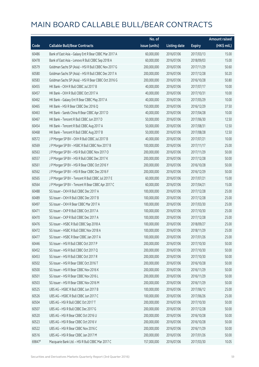|        |                                                       | No. of        |                     |               | <b>Amount raised</b> |
|--------|-------------------------------------------------------|---------------|---------------------|---------------|----------------------|
| Code   | <b>Callable Bull/Bear Contracts</b>                   | issue (units) | <b>Listing date</b> | <b>Expiry</b> | (HK\$ mil.)          |
| 60486  | Bank of East Asia - Galaxy Ent R Bear CBBC Mar 2017 A | 60,000,000    | 2016/07/06          | 2017/03/13    | 15.00                |
| 60478  | Bank of East Asia - Lenovo R Bull CBBC Sep 2018 A     | 60,000,000    | 2016/07/06          | 2018/09/03    | 15.00                |
| 60579  | Goldman Sachs SP (Asia) - HSI R Bull CBBC Nov 2017 G  | 200,000,000   | 2016/07/06          | 2017/11/29    | 50.60                |
| 60580  | Goldman Sachs SP (Asia) - HSI R Bull CBBC Dec 2017 A  | 200,000,000   | 2016/07/06          | 2017/12/28    | 50.20                |
| 60583  | Goldman Sachs SP (Asia) - HSI R Bear CBBC Oct 2016 G  | 200,000,000   | 2016/07/06          | 2016/10/28    | 50.80                |
| 60455  | HK Bank - CKH R Bull CBBC Jul 2017 B                  | 40,000,000    | 2016/07/06          | 2017/07/17    | 10.00                |
| 60457  | HK Bank - CKH R Bull CBBC Oct 2017 A                  | 40,000,000    | 2016/07/06          | 2017/10/31    | 10.00                |
| 60462  | HK Bank - Galaxy Ent R Bear CBBC May 2017 A           | 40,000,000    | 2016/07/06          | 2017/05/29    | 10.00                |
| 60465  | HK Bank - HSI R Bear CBBC Dec 2016 Q                  | 150,000,000   | 2016/07/06          | 2016/12/29    | 37.50                |
| 60463  | HK Bank - Sands China R Bear CBBC Apr 2017 D          | 40,000,000    | 2016/07/06          | 2017/04/28    | 10.00                |
| 60467  | HK Bank - Tencent R Bull CBBC Jun 2017 D              | 50,000,000    | 2016/07/06          | 2017/06/30    | 12.50                |
| 60454  | HK Bank - Tencent R Bull CBBC Aug 2017 A              | 50,000,000    | 2016/07/06          | 2017/08/31    | 12.50                |
| 60468  | HK Bank - Tencent R Bull CBBC Aug 2017 B              | 50,000,000    | 2016/07/06          | 2017/08/28    | 12.50                |
| 60572  | J P Morgan SP BV - CKH R Bull CBBC Jul 2017 B         | 40,000,000    | 2016/07/06          | 2017/07/21    | 10.00                |
| 60569  | J P Morgan SP BV - HSBC R Bull CBBC Nov 2017 B        | 100,000,000   | 2016/07/06          | 2017/11/17    | 25.00                |
| 60563  | J P Morgan SP BV - HSI R Bull CBBC Nov 2017 O         | 200,000,000   | 2016/07/06          | 2017/11/29    | 50.00                |
| 60557  | J P Morgan SP BV - HSI R Bull CBBC Dec 2017 K         | 200,000,000   | 2016/07/06          | 2017/12/28    | 50.00                |
| 60561  | J P Morgan SP BV - HSI R Bear CBBC Oct 2016 Y         | 200,000,000   | 2016/07/06          | 2016/10/28    | 50.00                |
| 60562  | J P Morgan SP BV - HSI R Bear CBBC Dec 2016 F         | 200,000,000   | 2016/07/06          | 2016/12/29    | 50.00                |
| 60565  | J P Morgan SP BV - Tencent R Bull CBBC Jul 2017 E     | 60,000,000    | 2016/07/06          | 2017/07/21    | 15.00                |
| 60564  | J P Morgan SP BV - Tencent R Bear CBBC Apr 2017 C     | 60,000,000    | 2016/07/06          | 2017/04/21    | 15.00                |
| 60488  | SG Issuer - CKH R Bull CBBC Dec 2017 A                | 100,000,000   | 2016/07/06          | 2017/12/28    | 25.00                |
| 60489  | SG Issuer - CKH R Bull CBBC Dec 2017 B                | 100,000,000   | 2016/07/06          | 2017/12/28    | 25.00                |
| 60497  | SG Issuer - CKH R Bear CBBC Mar 2017 A                | 100,000,000   | 2016/07/06          | 2017/03/30    | 25.00                |
| 60471  | SG Issuer - CKP R Bull CBBC Oct 2017 A                | 100,000,000   | 2016/07/06          | 2017/10/30    | 25.00                |
| 60470  | SG Issuer - CKP R Bull CBBC Dec 2017 A                | 100,000,000   | 2016/07/06          | 2017/12/28    | 25.00                |
| 60476  | SG Issuer - HSBC R Bull CBBC Sep 2018 A               | 100,000,000   | 2016/07/06          | 2018/09/27    | 25.00                |
| 60472  | SG Issuer – HSBC R Bull CBBC Nov 2018 A               | 100,000,000   | 2016/07/06          | 2018/11/29    | 25.00                |
| 60477  | SG Issuer - HSBC R Bear CBBC Jan 2017 A               | 100,000,000   | 2016/07/06          | 2017/01/26    | 25.00                |
| 60446  | SG Issuer - HSI R Bull CBBC Oct 2017 P                | 200,000,000   | 2016/07/06          | 2017/10/30    | 50.00                |
| 60452  | SG Issuer - HSI R Bull CBBC Oct 2017 Q                | 200,000,000   | 2016/07/06          | 2017/10/30    | 50.00                |
| 60453  | SG Issuer - HSI R Bull CBBC Oct 2017 R                | 200,000,000   | 2016/07/06          | 2017/10/30    | 50.00                |
| 60502  | SG Issuer - HSI R Bear CBBC Oct 2016 T                | 200,000,000   | 2016/07/06          | 2016/10/28    | 50.00                |
| 60500  | SG Issuer - HSI R Bear CBBC Nov 2016 K                | 200,000,000   | 2016/07/06          | 2016/11/29    | 50.00                |
| 60501  | SG Issuer - HSI R Bear CBBC Nov 2016 L                | 200,000,000   | 2016/07/06          | 2016/11/29    | 50.00                |
| 60503  | SG Issuer - HSI R Bear CBBC Nov 2016 M                | 200,000,000   | 2016/07/06          | 2016/11/29    | 50.00                |
| 60525  | UBS AG - HSBC R Bull CBBC Jun 2017 B                  | 100,000,000   | 2016/07/06          | 2017/06/12    | 25.00                |
| 60526  | UBS AG - HSBC R Bull CBBC Jun 2017 C                  | 100,000,000   | 2016/07/06          | 2017/06/26    | 25.00                |
| 60504  | UBS AG - HSI R Bull CBBC Oct 2017 T                   | 200,000,000   | 2016/07/06          | 2017/10/30    | 50.00                |
| 60507  | UBS AG - HSI R Bull CBBC Dec 2017 G                   | 200,000,000   | 2016/07/06          | 2017/12/28    | 50.00                |
| 60520  | UBS AG - HSI R Bear CBBC Oct 2016 U                   | 200,000,000   | 2016/07/06          | 2016/10/28    | 50.00                |
| 60523  | UBS AG - HSI R Bear CBBC Oct 2016 V                   | 200,000,000   | 2016/07/06          | 2016/10/28    | 50.00                |
| 60522  | UBS AG - HSI R Bear CBBC Nov 2016 C                   | 200,000,000   | 2016/07/06          | 2016/11/29    | 50.00                |
| 60516  | UBS AG - HSI R Bear CBBC Jan 2017 M                   | 200,000,000   | 2016/07/06          | 2017/01/26    | 50.00                |
| 69847# | Macquarie Bank Ltd. - HSI R Bull CBBC Mar 2017 C      | 157,000,000   | 2016/07/06          | 2017/03/30    | 10.05                |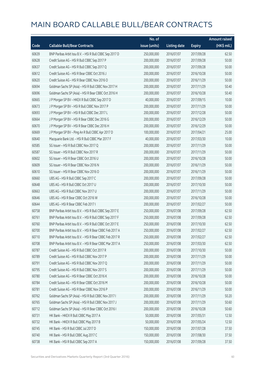|       |                                                          | No. of        |                     |               | <b>Amount raised</b> |
|-------|----------------------------------------------------------|---------------|---------------------|---------------|----------------------|
| Code  | <b>Callable Bull/Bear Contracts</b>                      | issue (units) | <b>Listing date</b> | <b>Expiry</b> | (HK\$ mil.)          |
| 60639 | BNP Paribas Arbit Issu B.V. - HSI R Bull CBBC Sep 2017 D | 250,000,000   | 2016/07/07          | 2017/09/28    | 62.50                |
| 60628 | Credit Suisse AG - HSI R Bull CBBC Sep 2017 P            | 200,000,000   | 2016/07/07          | 2017/09/28    | 50.00                |
| 60637 | Credit Suisse AG - HSI R Bull CBBC Sep 2017 Q            | 200,000,000   | 2016/07/07          | 2017/09/28    | 50.00                |
| 60612 | Credit Suisse AG - HSI R Bear CBBC Oct 2016 J            | 200,000,000   | 2016/07/07          | 2016/10/28    | 50.00                |
| 60620 | Credit Suisse AG - HSI R Bear CBBC Nov 2016 O            | 200,000,000   | 2016/07/07          | 2016/11/29    | 50.00                |
| 60694 | Goldman Sachs SP (Asia) - HSI R Bull CBBC Nov 2017 H     | 200,000,000   | 2016/07/07          | 2017/11/29    | 50.40                |
| 60696 | Goldman Sachs SP (Asia) - HSI R Bear CBBC Oct 2016 H     | 200,000,000   | 2016/07/07          | 2016/10/28    | 50.40                |
| 60665 | J P Morgan SP BV - HKEX R Bull CBBC Sep 2017 D           | 40,000,000    | 2016/07/07          | 2017/09/15    | 10.00                |
| 60673 | J P Morgan SP BV - HSI R Bull CBBC Nov 2017 P            | 200,000,000   | 2016/07/07          | 2017/11/29    | 50.00                |
| 60693 | J P Morgan SP BV - HSI R Bull CBBC Dec 2017 L            | 200,000,000   | 2016/07/07          | 2017/12/28    | 50.00                |
| 60664 | J P Morgan SP BV - HSI R Bear CBBC Dec 2016 G            | 200,000,000   | 2016/07/07          | 2016/12/29    | 50.00                |
| 60670 | J P Morgan SP BV - HSI R Bear CBBC Dec 2016 H            | 200,000,000   | 2016/07/07          | 2016/12/29    | 50.00                |
| 60669 | J P Morgan SP BV - Ping An R Bull CBBC Apr 2017 D        | 100,000,000   | 2016/07/07          | 2017/04/21    | 25.00                |
| 60640 | Macquarie Bank Ltd. - HSI R Bull CBBC Mar 2017 F         | 40,000,000    | 2016/07/07          | 2017/03/30    | 10.00                |
| 60585 | SG Issuer - HSI R Bull CBBC Nov 2017 Q                   | 200,000,000   | 2016/07/07          | 2017/11/29    | 50.00                |
| 60587 | SG Issuer - HSI R Bull CBBC Nov 2017 R                   | 200,000,000   | 2016/07/07          | 2017/11/29    | 50.00                |
| 60602 | SG Issuer - HSI R Bear CBBC Oct 2016 U                   | 200,000,000   | 2016/07/07          | 2016/10/28    | 50.00                |
| 60609 | SG Issuer - HSI R Bear CBBC Nov 2016 N                   | 200,000,000   | 2016/07/07          | 2016/11/29    | 50.00                |
| 60610 | SG Issuer - HSI R Bear CBBC Nov 2016 O                   | 200,000,000   | 2016/07/07          | 2016/11/29    | 50.00                |
| 60660 | UBS AG - HSI R Bull CBBC Sep 2017 C                      | 200,000,000   | 2016/07/07          | 2017/09/28    | 50.00                |
| 60648 | UBS AG - HSI R Bull CBBC Oct 2017 U                      | 200,000,000   | 2016/07/07          | 2017/10/30    | 50.00                |
| 60663 | UBS AG - HSI R Bull CBBC Nov 2017 U                      | 200,000,000   | 2016/07/07          | 2017/11/29    | 50.00                |
| 60646 | UBS AG - HSI R Bear CBBC Oct 2016 W                      | 200,000,000   | 2016/07/07          | 2016/10/28    | 50.00                |
| 60644 | UBS AG - HSI R Bear CBBC Feb 2017 I                      | 200,000,000   | 2016/07/07          | 2017/02/27    | 50.00                |
| 60758 | BNP Paribas Arbit Issu B.V. - HSI R Bull CBBC Sep 2017 E | 250,000,000   | 2016/07/08          | 2017/09/28    | 62.50                |
| 60761 | BNP Paribas Arbit Issu B.V. - HSI R Bull CBBC Sep 2017 F | 250,000,000   | 2016/07/08          | 2017/09/28    | 62.50                |
| 60760 | BNP Paribas Arbit Issu B.V. - HSI R Bull CBBC Oct 2017 E | 250,000,000   | 2016/07/08          | 2017/10/30    | 62.50                |
| 60700 | BNP Paribas Arbit Issu B.V. - HSI R Bear CBBC Feb 2017 A | 250,000,000   | 2016/07/08          | 2017/02/27    | 62.50                |
| 60710 | BNP Paribas Arbit Issu B.V. - HSI R Bear CBBC Feb 2017 R | 250,000,000   | 2016/07/08          | 2017/02/27    | 62.50                |
| 60708 | BNP Paribas Arbit Issu B.V. - HSI R Bear CBBC Mar 2017 A | 250,000,000   | 2016/07/08          | 2017/03/30    | 62.50                |
| 60787 | Credit Suisse AG - HSI R Bull CBBC Oct 2017 R            | 200,000,000   | 2016/07/08          | 2017/10/30    | 50.00                |
| 60789 | Credit Suisse AG - HSI R Bull CBBC Nov 2017 P            | 200,000,000   | 2016/07/08          | 2017/11/29    | 50.00                |
| 60791 | Credit Suisse AG - HSI R Bull CBBC Nov 2017 Q            | 200,000,000   | 2016/07/08          | 2017/11/29    | 50.00                |
| 60795 | Credit Suisse AG - HSI R Bull CBBC Nov 2017 S            | 200,000,000   | 2016/07/08          | 2017/11/29    | 50.00                |
| 60780 | Credit Suisse AG - HSI R Bear CBBC Oct 2016 K            | 200,000,000   | 2016/07/08          | 2016/10/28    | 50.00                |
| 60784 | Credit Suisse AG - HSI R Bear CBBC Oct 2016 M            | 200,000,000   | 2016/07/08          | 2016/10/28    | 50.00                |
| 60781 | Credit Suisse AG - HSI R Bear CBBC Nov 2016 P            | 200,000,000   | 2016/07/08          | 2016/11/29    | 50.00                |
| 60762 | Goldman Sachs SP (Asia) - HSI R Bull CBBC Nov 2017 I     | 200,000,000   | 2016/07/08          | 2017/11/29    | 50.20                |
| 60765 | Goldman Sachs SP (Asia) - HSI R Bull CBBC Nov 2017 J     | 200,000,000   | 2016/07/08          | 2017/11/29    | 50.60                |
| 60712 | Goldman Sachs SP (Asia) - HSI R Bear CBBC Oct 2016 I     | 200,000,000   | 2016/07/08          | 2016/10/28    | 50.60                |
| 60731 | HK Bank - HKEX R Bull CBBC May 2017 A                    | 50,000,000    | 2016/07/08          | 2017/05/31    | 12.50                |
| 60732 | HK Bank - HKEX R Bull CBBC May 2017 B                    | 50,000,000    | 2016/07/08          | 2017/05/24    | 12.50                |
| 60745 | HK Bank - HSI R Bull CBBC Jul 2017 D                     | 150,000,000   | 2016/07/08          | 2017/07/28    | 37.50                |
| 60740 | HK Bank - HSI R Bull CBBC Aug 2017 C                     | 150,000,000   | 2016/07/08          | 2017/08/30    | 37.50                |
| 60738 | HK Bank - HSI R Bull CBBC Sep 2017 A                     | 150,000,000   | 2016/07/08          | 2017/09/28    | 37.50                |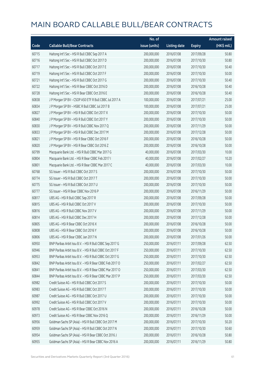|       |                                                          | No. of        |                     |               | <b>Amount raised</b>  |
|-------|----------------------------------------------------------|---------------|---------------------|---------------|-----------------------|
| Code  | <b>Callable Bull/Bear Contracts</b>                      | issue (units) | <b>Listing date</b> | <b>Expiry</b> | $(HK\frac{1}{2}mil.)$ |
| 60715 | Haitong Int'l Sec - HSI R Bull CBBC Sep 2017 A           | 200,000,000   | 2016/07/08          | 2017/09/28    | 50.80                 |
| 60716 | Haitong Int'l Sec - HSI R Bull CBBC Oct 2017 D           | 200,000,000   | 2016/07/08          | 2017/10/30    | 50.80                 |
| 60717 | Haitong Int'l Sec - HSI R Bull CBBC Oct 2017 E           | 200,000,000   | 2016/07/08          | 2017/10/30    | 50.40                 |
| 60719 | Haitong Int'l Sec - HSI R Bull CBBC Oct 2017 F           | 200,000,000   | 2016/07/08          | 2017/10/30    | 50.00                 |
| 60721 | Haitong Int'l Sec - HSI R Bull CBBC Oct 2017 G           | 200,000,000   | 2016/07/08          | 2017/10/30    | 50.40                 |
| 60722 | Haitong Int'l Sec - HSI R Bear CBBC Oct 2016 D           | 200,000,000   | 2016/07/08          | 2016/10/28    | 50.40                 |
| 60728 | Haitong Int'l Sec - HSI R Bear CBBC Oct 2016 E           | 200,000,000   | 2016/07/08          | 2016/10/28    | 50.40                 |
| 60838 | J P Morgan SP BV - CSOP A50 ETF R Bull CBBC Jul 2017 A   | 100,000,000   | 2016/07/08          | 2017/07/21    | 25.00                 |
| 60834 | J P Morgan SP BV - HSBC R Bull CBBC Jul 2017 B           | 100,000,000   | 2016/07/08          | 2017/07/21    | 25.00                 |
| 60827 | J P Morgan SP BV - HSI R Bull CBBC Oct 2017 X            | 200,000,000   | 2016/07/08          | 2017/10/30    | 50.00                 |
| 60840 | J P Morgan SP BV - HSI R Bull CBBC Oct 2017 Y            | 200,000,000   | 2016/07/08          | 2017/10/30    | 50.00                 |
| 60830 | J P Morgan SP BV - HSI R Bull CBBC Nov 2017 Q            | 200,000,000   | 2016/07/08          | 2017/11/29    | 50.00                 |
| 60833 | J P Morgan SP BV - HSI R Bull CBBC Dec 2017 M            | 200,000,000   | 2016/07/08          | 2017/12/28    | 50.00                 |
| 60821 | J P Morgan SP BV - HSI R Bear CBBC Oct 2016 F            | 200,000,000   | 2016/07/08          | 2016/10/28    | 50.00                 |
| 60820 | J P Morgan SP BV - HSI R Bear CBBC Oct 2016 Z            | 200,000,000   | 2016/07/08          | 2016/10/28    | 50.00                 |
| 60799 | Macquarie Bank Ltd. - HSI R Bull CBBC Mar 2017 G         | 40,000,000    | 2016/07/08          | 2017/03/30    | 10.00                 |
| 60804 | Macquarie Bank Ltd. - HSI R Bear CBBC Feb 2017 I         | 40,000,000    | 2016/07/08          | 2017/02/27    | 10.20                 |
| 60801 | Macquarie Bank Ltd. - HSI R Bear CBBC Mar 2017 C         | 40,000,000    | 2016/07/08          | 2017/03/30    | 10.00                 |
| 60768 | SG Issuer - HSI R Bull CBBC Oct 2017 S                   | 200,000,000   | 2016/07/08          | 2017/10/30    | 50.00                 |
| 60774 | SG Issuer - HSI R Bull CBBC Oct 2017 T                   | 200,000,000   | 2016/07/08          | 2017/10/30    | 50.00                 |
| 60775 | SG Issuer - HSI R Bull CBBC Oct 2017 U                   | 200,000,000   | 2016/07/08          | 2017/10/30    | 50.00                 |
| 60777 | SG Issuer - HSI R Bear CBBC Nov 2016 P                   | 200,000,000   | 2016/07/08          | 2016/11/29    | 50.00                 |
| 60817 | UBS AG - HSI R Bull CBBC Sep 2017 R                      | 200,000,000   | 2016/07/08          | 2017/09/28    | 50.00                 |
| 60815 | UBS AG - HSI R Bull CBBC Oct 2017 V                      | 200,000,000   | 2016/07/08          | 2017/10/30    | 50.00                 |
| 60816 | UBS AG - HSI R Bull CBBC Nov 2017 V                      | 200,000,000   | 2016/07/08          | 2017/11/29    | 50.00                 |
| 60814 | UBS AG - HSI R Bull CBBC Dec 2017 H                      | 200,000,000   | 2016/07/08          | 2017/12/28    | 50.00                 |
| 60805 | UBS AG - HSI R Bear CBBC Oct 2016 X                      | 200,000,000   | 2016/07/08          | 2016/10/28    | 50.00                 |
| 60808 | UBS AG - HSI R Bear CBBC Oct 2016 Y                      | 200,000,000   | 2016/07/08          | 2016/10/28    | 50.00                 |
| 60806 | UBS AG - HSI R Bear CBBC Jan 2017 N                      | 200,000,000   | 2016/07/08          | 2017/01/26    | 50.00                 |
| 60950 | BNP Paribas Arbit Issu B.V. - HSI R Bull CBBC Sep 2017 G | 250,000,000   | 2016/07/11          | 2017/09/28    | 62.50                 |
| 60946 | BNP Paribas Arbit Issu B.V. - HSI R Bull CBBC Oct 2017 F | 250,000,000   | 2016/07/11          | 2017/10/30    | 62.50                 |
| 60953 | BNP Paribas Arbit Issu B.V. - HSI R Bull CBBC Oct 2017 G | 250,000,000   | 2016/07/11          | 2017/10/30    | 62.50                 |
| 60842 | BNP Paribas Arbit Issu B.V. - HSI R Bear CBBC Feb 2017 O | 250,000,000   | 2016/07/11          | 2017/02/27    | 62.50                 |
| 60841 | BNP Paribas Arbit Issu B.V. - HSI R Bear CBBC Mar 2017 O | 250,000,000   | 2016/07/11          | 2017/03/30    | 62.50                 |
| 60844 | BNP Paribas Arbit Issu B.V. - HSI R Bear CBBC Mar 2017 P | 250,000,000   | 2016/07/11          | 2017/03/30    | 62.50                 |
| 60982 | Credit Suisse AG - HSI R Bull CBBC Oct 2017 S            | 200,000,000   | 2016/07/11          | 2017/10/30    | 50.00                 |
| 60983 | Credit Suisse AG - HSI R Bull CBBC Oct 2017 T            | 200,000,000   | 2016/07/11          | 2017/10/30    | 50.00                 |
| 60987 | Credit Suisse AG - HSI R Bull CBBC Oct 2017 U            | 200,000,000   | 2016/07/11          | 2017/10/30    | 50.00                 |
| 60992 | Credit Suisse AG - HSI R Bull CBBC Oct 2017 V            | 200,000,000   | 2016/07/11          | 2017/10/30    | 50.00                 |
| 60978 | Credit Suisse AG - HSI R Bear CBBC Oct 2016 N            | 200,000,000   | 2016/07/11          | 2016/10/28    | 50.00                 |
| 60973 | Credit Suisse AG - HSI R Bear CBBC Nov 2016 Q            | 200,000,000   | 2016/07/11          | 2016/11/29    | 50.00                 |
| 60956 | Goldman Sachs SP (Asia) - HSI R Bull CBBC Oct 2017 M     | 200,000,000   | 2016/07/11          | 2017/10/30    | 50.20                 |
| 60959 | Goldman Sachs SP (Asia) - HSI R Bull CBBC Oct 2017 N     | 200,000,000   | 2016/07/11          | 2017/10/30    | 50.60                 |
| 60954 | Goldman Sachs SP (Asia) - HSI R Bear CBBC Oct 2016 J     | 200,000,000   | 2016/07/11          | 2016/10/28    | 50.80                 |
| 60955 | Goldman Sachs SP (Asia) - HSI R Bear CBBC Nov 2016 A     | 200,000,000   | 2016/07/11          | 2016/11/29    | 50.80                 |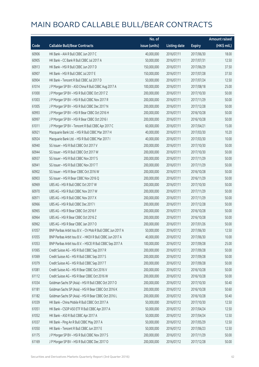|       |                                                             | No. of        |                     |               | <b>Amount raised</b> |
|-------|-------------------------------------------------------------|---------------|---------------------|---------------|----------------------|
| Code  | <b>Callable Bull/Bear Contracts</b>                         | issue (units) | <b>Listing date</b> | <b>Expiry</b> | (HK\$ mil.)          |
| 60906 | HK Bank - AIA R Bull CBBC Jun 2017 C                        | 40,000,000    | 2016/07/11          | 2017/06/30    | 18.00                |
| 60905 | HK Bank - CC Bank R Bull CBBC Jul 2017 A                    | 50,000,000    | 2016/07/11          | 2017/07/31    | 12.50                |
| 60913 | HK Bank - HSI R Bull CBBC Jun 2017 D                        | 150,000,000   | 2016/07/11          | 2017/06/29    | 37.50                |
| 60907 | HK Bank - HSI R Bull CBBC Jul 2017 E                        | 150,000,000   | 2016/07/11          | 2017/07/28    | 37.50                |
| 60904 | HK Bank - Tencent R Bull CBBC Jul 2017 D                    | 50,000,000    | 2016/07/11          | 2017/07/24    | 12.50                |
| 61014 | J P Morgan SP BV - A50 China R Bull CBBC Aug 2017 A         | 100,000,000   | 2016/07/11          | 2017/08/18    | 25.00                |
| 61000 | J P Morgan SP BV - HSI R Bull CBBC Oct 2017 Z               | 200,000,000   | 2016/07/11          | 2017/10/30    | 50.00                |
| 61003 | J P Morgan SP BV - HSI R Bull CBBC Nov 2017 R               | 200,000,000   | 2016/07/11          | 2017/11/29    | 50.00                |
| 61005 | J P Morgan SP BV - HSI R Bull CBBC Dec 2017 N               | 200,000,000   | 2016/07/11          | 2017/12/28    | 50.00                |
| 60993 | J P Morgan SP BV - HSI R Bear CBBC Oct 2016 H               | 200,000,000   | 2016/07/11          | 2016/10/28    | 50.00                |
| 60997 | J P Morgan SP BV - HSI R Bear CBBC Oct 2016 I               | 200,000,000   | 2016/07/11          | 2016/10/28    | 50.00                |
| 61011 | JP Morgan SP BV - Tencent R Bull CBBC Apr 2017 C            | 60,000,000    | 2016/07/11          | 2017/04/21    | 15.00                |
| 60921 | Macquarie Bank Ltd. - HSI R Bull CBBC Mar 2017 H            | 40,000,000    | 2016/07/11          | 2017/03/30    | 10.20                |
| 60924 | Macquarie Bank Ltd. - HSI R Bull CBBC Mar 2017 I            | 40,000,000    | 2016/07/11          | 2017/03/30    | 10.00                |
| 60940 | SG Issuer - HSI R Bull CBBC Oct 2017 V                      | 200,000,000   | 2016/07/11          | 2017/10/30    | 50.00                |
| 60944 | SG Issuer - HSI R Bull CBBC Oct 2017 W                      | 200,000,000   | 2016/07/11          | 2017/10/30    | 50.00                |
| 60937 | SG Issuer - HSI R Bull CBBC Nov 2017 S                      | 200,000,000   | 2016/07/11          | 2017/11/29    | 50.00                |
| 60941 | SG Issuer - HSI R Bull CBBC Nov 2017 T                      | 200,000,000   | 2016/07/11          | 2017/11/29    | 50.00                |
| 60902 | SG Issuer - HSI R Bear CBBC Oct 2016 W                      | 200,000,000   | 2016/07/11          | 2016/10/28    | 50.00                |
| 60903 | SG Issuer - HSI R Bear CBBC Nov 2016 Q                      | 200,000,000   | 2016/07/11          | 2016/11/29    | 50.00                |
| 60969 | UBS AG - HSI R Bull CBBC Oct 2017 W                         | 200,000,000   | 2016/07/11          | 2017/10/30    | 50.00                |
| 60970 | UBS AG - HSI R Bull CBBC Nov 2017 W                         | 200,000,000   | 2016/07/11          | 2017/11/29    | 50.00                |
| 60971 | UBS AG - HSI R Bull CBBC Nov 2017 X                         | 200,000,000   | 2016/07/11          | 2017/11/29    | 50.00                |
| 60966 | UBS AG - HSI R Bull CBBC Dec 2017 I                         | 200,000,000   | 2016/07/11          | 2017/12/28    | 50.00                |
| 60965 | UBS AG - HSI R Bear CBBC Oct 2016 F                         | 200,000,000   | 2016/07/11          | 2016/10/28    | 50.00                |
| 60964 | UBS AG - HSI R Bear CBBC Oct 2016 Z                         | 200,000,000   | 2016/07/11          | 2016/10/28    | 50.00                |
| 60962 | UBS AG - HSI R Bear CBBC Jan 2017 O                         | 200,000,000   | 2016/07/11          | 2017/01/26    | 50.00                |
| 61057 | BNP Paribas Arbit Issu B.V. - Ch Mob R Bull CBBC Jun 2017 A | 50,000,000    | 2016/07/12          | 2017/06/30    | 12.50                |
| 61055 | BNP Paribas Arbit Issu B.V. - HKEX R Bull CBBC Jun 2017 A   | 40,000,000    | 2016/07/12          | 2017/06/30    | 10.00                |
| 61053 | BNP Paribas Arbit Issu B.V. - HSCEI R Bull CBBC Sep 2017 A  | 100,000,000   | 2016/07/12          | 2017/09/28    | 25.00                |
| 61065 | Credit Suisse AG - HSI R Bull CBBC Sep 2017 R               | 200,000,000   | 2016/07/12          | 2017/09/28    | 50.00                |
| 61069 | Credit Suisse AG - HSI R Bull CBBC Sep 2017 S               | 200,000,000   | 2016/07/12          | 2017/09/28    | 50.00                |
| 61079 | Credit Suisse AG - HSI R Bull CBBC Sep 2017 T               | 200,000,000   | 2016/07/12          | 2017/09/28    | 50.00                |
| 61081 | Credit Suisse AG - HSI R Bear CBBC Oct 2016 V               | 200,000,000   | 2016/07/12          | 2016/10/28    | 50.00                |
| 61112 | Credit Suisse AG - HSI R Bear CBBC Oct 2016 W               | 200,000,000   | 2016/07/12          | 2016/10/28    | 50.00                |
| 61034 | Goldman Sachs SP (Asia) - HSI R Bull CBBC Oct 2017 O        | 200,000,000   | 2016/07/12          | 2017/10/30    | 50.40                |
| 61181 | Goldman Sachs SP (Asia) - HSI R Bear CBBC Oct 2016 K        | 200,000,000   | 2016/07/12          | 2016/10/28    | 50.60                |
| 61182 | Goldman Sachs SP (Asia) - HSI R Bear CBBC Oct 2016 L        | 200,000,000   | 2016/07/12          | 2016/10/28    | 50.40                |
| 61039 | HK Bank - China Mobile R Bull CBBC Oct 2017 A               | 50,000,000    | 2016/07/12          | 2017/10/30    | 12.50                |
| 61051 | HK Bank - CSOP A50 ETF R Bull CBBC Apr 2017 A               | 50,000,000    | 2016/07/12          | 2017/04/24    | 12.50                |
| 61052 | HK Bank - A50 R Bull CBBC Apr 2017 A                        | 50,000,000    | 2016/07/12          | 2017/04/24    | 12.50                |
| 61037 | HK Bank - Ping An R Bull CBBC May 2017 A                    | 50,000,000    | 2016/07/12          | 2017/05/29    | 12.50                |
| 61050 | HK Bank - Tencent R Bull CBBC Jun 2017 E                    | 50,000,000    | 2016/07/12          | 2017/06/23    | 12.50                |
| 61175 | J P Morgan SP BV - HSI R Bull CBBC Nov 2017 S               | 200,000,000   | 2016/07/12          | 2017/11/29    | 50.00                |
| 61169 | J P Morgan SP BV - HSI R Bull CBBC Dec 2017 O               | 200,000,000   | 2016/07/12          | 2017/12/28    | 50.00                |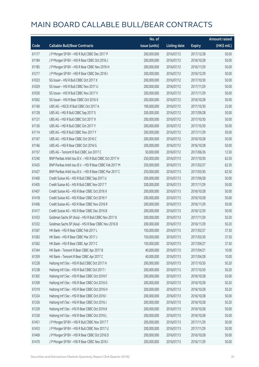|       |                                                          | No. of        |                     |               | <b>Amount raised</b> |
|-------|----------------------------------------------------------|---------------|---------------------|---------------|----------------------|
| Code  | <b>Callable Bull/Bear Contracts</b>                      | issue (units) | <b>Listing date</b> | <b>Expiry</b> | (HK\$ mil.)          |
| 61177 | J P Morgan SP BV - HSI R Bull CBBC Dec 2017 P            | 200,000,000   | 2016/07/12          | 2017/12/28    | 50.00                |
| 61184 | J P Morgan SP BV - HSI R Bear CBBC Oct 2016 J            | 200,000,000   | 2016/07/12          | 2016/10/28    | 50.00                |
| 61185 | J P Morgan SP BV - HSI R Bear CBBC Nov 2016 H            | 200,000,000   | 2016/07/12          | 2016/11/29    | 50.00                |
| 61217 | JP Morgan SP BV - HSIR Bear CBBC Dec 2016 I              | 200,000,000   | 2016/07/12          | 2016/12/29    | 50.00                |
| 61023 | SG Issuer - HSI R Bull CBBC Oct 2017 X                   | 200,000,000   | 2016/07/12          | 2017/10/30    | 50.00                |
| 61029 | SG Issuer - HSI R Bull CBBC Nov 2017 U                   | 200,000,000   | 2016/07/12          | 2017/11/29    | 50.00                |
| 61030 | SG Issuer - HSI R Bull CBBC Nov 2017 V                   | 200,000,000   | 2016/07/12          | 2017/11/29    | 50.00                |
| 61062 | SG Issuer - HSI R Bear CBBC Oct 2016 X                   | 200,000,000   | 2016/07/12          | 2016/10/28    | 50.00                |
| 61160 | UBS AG - HSCEI R Bull CBBC Oct 2017 A                    | 100,000,000   | 2016/07/12          | 2017/10/30    | 25.00                |
| 61128 | UBS AG - HSI R Bull CBBC Sep 2017 S                      | 200,000,000   | 2016/07/12          | 2017/09/28    | 50.00                |
| 61121 | UBS AG - HSI R Bull CBBC Oct 2017 X                      | 200,000,000   | 2016/07/12          | 2017/10/30    | 50.00                |
| 61126 | UBS AG - HSI R Bull CBBC Oct 2017 Y                      | 200,000,000   | 2016/07/12          | 2017/10/30    | 50.00                |
| 61114 | UBS AG - HSI R Bull CBBC Nov 2017 Y                      | 200,000,000   | 2016/07/12          | 2017/11/29    | 50.00                |
| 61167 | UBS AG - HSI R Bear CBBC Oct 2016 C                      | 200,000,000   | 2016/07/12          | 2016/10/28    | 50.00                |
| 61166 | UBS AG - HSI R Bear CBBC Oct 2016 G                      | 200,000,000   | 2016/07/12          | 2016/10/28    | 50.00                |
| 61157 | UBS AG - Tencent R Bull CBBC Jun 2017 C                  | 50,000,000    | 2016/07/12          | 2017/06/26    | 12.50                |
| 61240 | BNP Paribas Arbit Issu B.V. - HSI R Bull CBBC Oct 2017 H | 250,000,000   | 2016/07/13          | 2017/10/30    | 62.50                |
| 61425 | BNP Paribas Arbit Issu B.V. - HSI R Bear CBBC Feb 2017 M | 250,000,000   | 2016/07/13          | 2017/02/27    | 62.50                |
| 61427 | BNP Paribas Arbit Issu B.V. - HSI R Bear CBBC Mar 2017 C | 250,000,000   | 2016/07/13          | 2017/03/30    | 62.50                |
| 61400 | Credit Suisse AG - HSI R Bull CBBC Sep 2017 U            | 200,000,000   | 2016/07/13          | 2017/09/28    | 50.00                |
| 61405 | Credit Suisse AG - HSI R Bull CBBC Nov 2017 T            | 200,000,000   | 2016/07/13          | 2017/11/29    | 50.00                |
| 61407 | Credit Suisse AG - HSI R Bear CBBC Oct 2016 X            | 200,000,000   | 2016/07/13          | 2016/10/28    | 50.00                |
| 61418 | Credit Suisse AG - HSI R Bear CBBC Oct 2016 Y            | 200,000,000   | 2016/07/13          | 2016/10/28    | 50.00                |
| 61406 | Credit Suisse AG - HSI R Bear CBBC Nov 2016 R            | 200,000,000   | 2016/07/13          | 2016/11/29    | 50.00                |
| 61417 | Credit Suisse AG - HSI R Bear CBBC Dec 2016 B            | 200,000,000   | 2016/07/13          | 2016/12/29    | 50.00                |
| 61433 | Goldman Sachs SP (Asia) - HSI R Bull CBBC Nov 2017 K     | 200,000,000   | 2016/07/13          | 2017/11/29    | 50.20                |
| 61332 | Goldman Sachs SP (Asia) - HSI R Bear CBBC Nov 2016 B     | 200,000,000   | 2016/07/13          | 2016/11/29    | 50.20                |
| 61367 | HK Bank - HSI R Bear CBBC Feb 2017 L                     | 150,000,000   | 2016/07/13          | 2017/02/27    | 37.50                |
| 61363 | HK Bank - HSI R Bear CBBC Mar 2017 J                     | 150,000,000   | 2016/07/13          | 2017/03/30    | 37.50                |
| 61362 | HK Bank - HSI R Bear CBBC Apr 2017 C                     | 150,000,000   | 2016/07/13          | 2017/04/27    | 37.50                |
| 61344 | HK Bank - Tencent R Bear CBBC Apr 2017 B                 | 40,000,000    | 2016/07/13          | 2017/04/21    | 10.00                |
| 61359 | HK Bank - Tencent R Bear CBBC Apr 2017 C                 | 40,000,000    | 2016/07/13          | 2017/04/28    | 10.00                |
| 61228 | Haitong Int'l Sec - HSI R Bull CBBC Oct 2017 H           | 200,000,000   | 2016/07/13          | 2017/10/30    | 50.20                |
| 61238 | Haitong Int'l Sec - HSI R Bull CBBC Oct 2017 I           | 200,000,000   | 2016/07/13          | 2017/10/30    | 50.20                |
| 61302 | Haitong Int'l Sec - HSI R Bear CBBC Oct 2016 F           | 200,000,000   | 2016/07/13          | 2016/10/28    | 50.00                |
| 61309 | Haitong Int'l Sec - HSI R Bear CBBC Oct 2016 G           | 200,000,000   | 2016/07/13          | 2016/10/28    | 50.20                |
| 61319 | Haitong Int'l Sec - HSI R Bear CBBC Oct 2016 H           | 200,000,000   | 2016/07/13          | 2016/10/28    | 50.20                |
| 61324 | Haitong Int'l Sec - HSI R Bear CBBC Oct 2016 I           | 200,000,000   | 2016/07/13          | 2016/10/28    | 50.00                |
| 61326 | Haitong Int'l Sec - HSI R Bear CBBC Oct 2016 J           | 200,000,000   | 2016/07/13          | 2016/10/28    | 50.20                |
| 61329 | Haitong Int'l Sec - HSI R Bear CBBC Oct 2016 K           | 200,000,000   | 2016/07/13          | 2016/10/28    | 50.00                |
| 61330 | Haitong Int'l Sec - HSI R Bear CBBC Oct 2016 L           | 200,000,000   | 2016/07/13          | 2016/10/28    | 50.00                |
| 61451 | J P Morgan SP BV - HSI R Bull CBBC Nov 2017 T            | 200,000,000   | 2016/07/13          | 2017/11/29    | 50.00                |
| 61453 | J P Morgan SP BV - HSI R Bull CBBC Nov 2017 U            | 200,000,000   | 2016/07/13          | 2017/11/29    | 50.00                |
| 61469 | J P Morgan SP BV - HSI R Bear CBBC Oct 2016 D            | 200,000,000   | 2016/07/13          | 2016/10/28    | 50.00                |
| 61470 | J P Morgan SP BV - HSI R Bear CBBC Nov 2016 I            | 200,000,000   | 2016/07/13          | 2016/11/29    | 50.00                |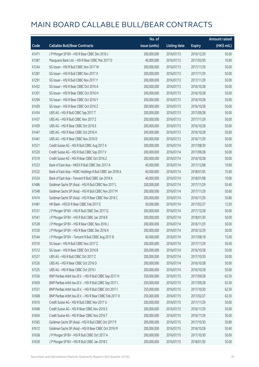|       |                                                          | No. of        |                     |               | <b>Amount raised</b> |
|-------|----------------------------------------------------------|---------------|---------------------|---------------|----------------------|
| Code  | <b>Callable Bull/Bear Contracts</b>                      | issue (units) | <b>Listing date</b> | <b>Expiry</b> | $(HK$$ mil.)         |
| 61471 | J P Morgan SP BV - HSI R Bear CBBC Dec 2016 J            | 200,000,000   | 2016/07/13          | 2016/12/29    | 50.00                |
| 61387 | Macquarie Bank Ltd. - HSI R Bear CBBC Mar 2017 D         | 40,000,000    | 2016/07/13          | 2017/03/30    | 10.00                |
| 61244 | SG Issuer - HSI R Bull CBBC Nov 2017 W                   | 200,000,000   | 2016/07/13          | 2017/11/29    | 50.00                |
| 61287 | SG Issuer - HSI R Bull CBBC Nov 2017 X                   | 200,000,000   | 2016/07/13          | 2017/11/29    | 50.00                |
| 61291 | SG Issuer - HSI R Bull CBBC Nov 2017 Y                   | 200,000,000   | 2016/07/13          | 2017/11/29    | 50.00                |
| 61432 | SG Issuer - HSI R Bear CBBC Oct 2016 A                   | 200,000,000   | 2016/07/13          | 2016/10/28    | 50.00                |
| 61301 | SG Issuer - HSI R Bear CBBC Oct 2016 H                   | 200,000,000   | 2016/07/13          | 2016/10/28    | 50.00                |
| 61294 | SG Issuer - HSI R Bear CBBC Oct 2016 Y                   | 200,000,000   | 2016/07/13          | 2016/10/28    | 50.00                |
| 61429 | SG Issuer - HSI R Bear CBBC Oct 2016 Z                   | 200,000,000   | 2016/07/13          | 2016/10/28    | 50.00                |
| 61434 | UBS AG - HSI R Bull CBBC Sep 2017 T                      | 200,000,000   | 2016/07/13          | 2017/09/28    | 50.00                |
| 61437 | UBS AG - HSI R Bull CBBC Nov 2017 Z                      | 200,000,000   | 2016/07/13          | 2017/11/29    | 50.00                |
| 61439 | UBS AG - HSI R Bear CBBC Oct 2016 E                      | 200,000,000   | 2016/07/13          | 2016/10/28    | 50.00                |
| 61447 | UBS AG - HSI R Bear CBBC Oct 2016 H                      | 200,000,000   | 2016/07/13          | 2016/10/28    | 50.00                |
| 61441 | UBS AG - HSI R Bear CBBC Nov 2016 D                      | 200,000,000   | 2016/07/13          | 2016/11/29    | 50.00                |
| 61521 | Credit Suisse AG - HSI R Bull CBBC Aug 2017 A            | 200,000,000   | 2016/07/14          | 2017/08/30    | 50.00                |
| 61520 | Credit Suisse AG - HSI R Bull CBBC Sep 2017 V            | 200,000,000   | 2016/07/14          | 2017/09/28    | 50.00                |
| 61519 | Credit Suisse AG - HSI R Bear CBBC Oct 2016 Z            | 200,000,000   | 2016/07/14          | 2016/10/28    | 50.00                |
| 61523 | Bank of East Asia - HKEX R Bull CBBC Dec 2017 A          | 40,000,000    | 2016/07/14          | 2017/12/08    | 10.00                |
| 61522 | Bank of East Asia - HSBC Holdings R Bull CBBC Jan 2018 A | 60,000,000    | 2016/07/14          | 2018/01/05    | 15.00                |
| 61524 | Bank of East Asia - Tencent R Bull CBBC Jan 2018 A       | 40,000,000    | 2016/07/14          | 2018/01/08    | 10.00                |
| 61486 | Goldman Sachs SP (Asia) - HSI R Bull CBBC Nov 2017 L     | 200,000,000   | 2016/07/14          | 2017/11/29    | 50.40                |
| 61548 | Goldman Sachs SP (Asia) - HSI R Bull CBBC Nov 2017 M     | 200,000,000   | 2016/07/14          | 2017/11/29    | 50.60                |
| 61474 | Goldman Sachs SP (Asia) - HSI R Bear CBBC Nov 2016 C     | 200,000,000   | 2016/07/14          | 2016/11/29    | 50.80                |
| 61481 | HK Bank - HSCEI R Bear CBBC Feb 2017 E                   | 50,000,000    | 2016/07/14          | 2017/02/27    | 12.50                |
| 61531 | J P Morgan SP BV - HSI R Bull CBBC Dec 2017 Q            | 200,000,000   | 2016/07/14          | 2017/12/28    | 50.00                |
| 61541 | J P Morgan SP BV - HSI R Bull CBBC Jan 2018 B            | 200,000,000   | 2016/07/14          | 2018/01/30    | 50.00                |
| 61528 | J P Morgan SP BV - HSI R Bear CBBC Nov 2016 J            | 200,000,000   | 2016/07/14          | 2016/11/29    | 50.00                |
| 61530 | J P Morgan SP BV - HSI R Bear CBBC Dec 2016 K            | 200,000,000   | 2016/07/14          | 2016/12/29    | 50.00                |
| 61544 | J P Morgan SP BV - Tencent R Bull CBBC Aug 2017 B        | 60,000,000    | 2016/07/14          | 2017/08/18    | 15.00                |
| 61510 | SG Issuer - HSI R Bull CBBC Nov 2017 Z                   | 200,000,000   | 2016/07/14          | 2017/11/29    | 50.00                |
| 61512 | SG Issuer - HSI R Bear CBBC Oct 2016 B                   | 200,000,000   | 2016/07/14          | 2016/10/28    | 50.00                |
| 61527 | UBS AG - HSI R Bull CBBC Oct 2017 Z                      | 200,000,000   | 2016/07/14          | 2017/10/30    | 50.00                |
| 61526 | UBS AG - HSI R Bear CBBC Oct 2016 D                      | 200,000,000   | 2016/07/14          | 2016/10/28    | 50.00                |
| 61525 | UBS AG - HSI R Bear CBBC Oct 2016 I                      | 200,000,000   | 2016/07/14          | 2016/10/28    | 50.00                |
| 61556 | BNP Paribas Arbit Issu B.V. - HSI R Bull CBBC Sep 2017 H | 250,000,000   | 2016/07/15          | 2017/09/28    | 62.50                |
| 61659 | BNP Paribas Arbit Issu B.V. - HSI R Bull CBBC Sep 2017 I | 250,000,000   | 2016/07/15          | 2017/09/28    | 62.50                |
| 61551 | BNP Paribas Arbit Issu B.V. - HSI R Bull CBBC Oct 2017 I | 250,000,000   | 2016/07/15          | 2017/10/30    | 62.50                |
| 61608 | BNP Paribas Arbit Issu B.V. - HSI R Bear CBBC Feb 2017 X | 250,000,000   | 2016/07/15          | 2017/02/27    | 62.50                |
| 61610 | Credit Suisse AG - HSI R Bull CBBC Nov 2017 U            | 200,000,000   | 2016/07/15          | 2017/11/29    | 50.00                |
| 61648 | Credit Suisse AG - HSI R Bear CBBC Nov 2016 S            | 200,000,000   | 2016/07/15          | 2016/11/29    | 50.00                |
| 61654 | Credit Suisse AG - HSI R Bear CBBC Nov 2016 T            | 200,000,000   | 2016/07/15          | 2016/11/29    | 50.00                |
| 61565 | Goldman Sachs SP (Asia) - HSI R Bull CBBC Oct 2017 P     | 200,000,000   | 2016/07/15          | 2017/10/30    | 50.80                |
| 61612 | Goldman Sachs SP (Asia) - HSI R Bear CBBC Oct 2016 M     | 200,000,000   | 2016/07/15          | 2016/10/28    | 50.40                |
| 61638 | J P Morgan SP BV - HSI R Bull CBBC Oct 2017 A            | 200,000,000   | 2016/07/15          | 2017/10/30    | 50.00                |
| 61639 | J P Morgan SP BV - HSI R Bull CBBC Jan 2018 C            | 200,000,000   | 2016/07/15          | 2018/01/30    | 50.00                |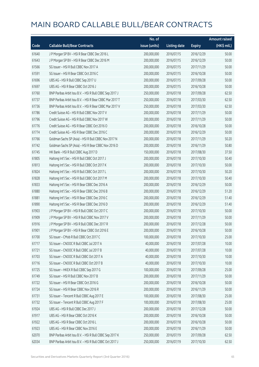|       |                                                          | No. of        |                     |               | <b>Amount raised</b> |
|-------|----------------------------------------------------------|---------------|---------------------|---------------|----------------------|
| Code  | <b>Callable Bull/Bear Contracts</b>                      | issue (units) | <b>Listing date</b> | <b>Expiry</b> | (HK\$ mil.)          |
| 61640 | J P Morgan SP BV - HSI R Bear CBBC Dec 2016 L            | 200,000,000   | 2016/07/15          | 2016/12/29    | 50.00                |
| 61643 | J P Morgan SP BV - HSI R Bear CBBC Dec 2016 M            | 200,000,000   | 2016/07/15          | 2016/12/29    | 50.00                |
| 61566 | SG Issuer - HSI R Bull CBBC Nov 2017 A                   | 200,000,000   | 2016/07/15          | 2017/11/29    | 50.00                |
| 61591 | SG Issuer - HSI R Bear CBBC Oct 2016 C                   | 200,000,000   | 2016/07/15          | 2016/10/28    | 50.00                |
| 61696 | UBS AG - HSI R Bull CBBC Sep 2017 U                      | 200,000,000   | 2016/07/15          | 2017/09/28    | 50.00                |
| 61697 | UBS AG - HSI R Bear CBBC Oct 2016 J                      | 200,000,000   | 2016/07/15          | 2016/10/28    | 50.00                |
| 61760 | BNP Paribas Arbit Issu B.V. - HSI R Bull CBBC Sep 2017 J | 250,000,000   | 2016/07/18          | 2017/09/28    | 62.50                |
| 61737 | BNP Paribas Arbit Issu B.V. - HSI R Bear CBBC Mar 2017 T | 250,000,000   | 2016/07/18          | 2017/03/30    | 62.50                |
| 61736 | BNP Paribas Arbit Issu B.V. - HSI R Bear CBBC Mar 2017 V | 250,000,000   | 2016/07/18          | 2017/03/30    | 62.50                |
| 61786 | Credit Suisse AG - HSI R Bull CBBC Nov 2017 V            | 200,000,000   | 2016/07/18          | 2017/11/29    | 50.00                |
| 61796 | Credit Suisse AG - HSI R Bull CBBC Nov 2017 W            | 200,000,000   | 2016/07/18          | 2017/11/29    | 50.00                |
| 61776 | Credit Suisse AG - HSI R Bear CBBC Oct 2016 O            | 200,000,000   | 2016/07/18          | 2016/10/28    | 50.00                |
| 61774 | Credit Suisse AG - HSI R Bear CBBC Dec 2016 C            | 200,000,000   | 2016/07/18          | 2016/12/29    | 50.00                |
| 61766 | Goldman Sachs SP (Asia) - HSI R Bull CBBC Nov 2017 N     | 200,000,000   | 2016/07/18          | 2017/11/29    | 50.20                |
| 61742 | Goldman Sachs SP (Asia) - HSI R Bear CBBC Nov 2016 D     | 200,000,000   | 2016/07/18          | 2016/11/29    | 50.80                |
| 61745 | HK Bank - HSI R Bull CBBC Aug 2017 D                     | 150,000,000   | 2016/07/18          | 2017/08/30    | 37.50                |
| 61805 | Haitong Int'l Sec - HSI R Bull CBBC Oct 2017 J           | 200,000,000   | 2016/07/18          | 2017/10/30    | 50.40                |
| 61813 | Haitong Int'l Sec - HSI R Bull CBBC Oct 2017 K           | 200,000,000   | 2016/07/18          | 2017/10/30    | 50.00                |
| 61824 | Haitong Int'l Sec - HSI R Bull CBBC Oct 2017 L           | 200,000,000   | 2016/07/18          | 2017/10/30    | 50.20                |
| 61828 | Haitong Int'l Sec - HSI R Bull CBBC Oct 2017 M           | 200,000,000   | 2016/07/18          | 2017/10/30    | 50.40                |
| 61833 | Haitong Int'l Sec - HSI R Bear CBBC Dec 2016 A           | 200,000,000   | 2016/07/18          | 2016/12/29    | 50.00                |
| 61880 | Haitong Int'l Sec - HSI R Bear CBBC Dec 2016 B           | 200,000,000   | 2016/07/18          | 2016/12/29    | 51.20                |
| 61881 | Haitong Int'l Sec - HSI R Bear CBBC Dec 2016 C           | 200,000,000   | 2016/07/18          | 2016/12/29    | 51.40                |
| 61890 | Haitong Int'l Sec - HSI R Bear CBBC Dec 2016 D           | 200,000,000   | 2016/07/18          | 2016/12/29    | 51.40                |
| 61903 | J P Morgan SP BV - HSI R Bull CBBC Oct 2017 C            | 200,000,000   | 2016/07/18          | 2017/10/30    | 50.00                |
| 61909 | J P Morgan SP BV - HSI R Bull CBBC Nov 2017 V            | 200,000,000   | 2016/07/18          | 2017/11/29    | 50.00                |
| 61916 | J P Morgan SP BV - HSI R Bull CBBC Dec 2017 R            | 200,000,000   | 2016/07/18          | 2017/12/28    | 50.00                |
| 61901 | J P Morgan SP BV - HSI R Bear CBBC Oct 2016 E            | 200,000,000   | 2016/07/18          | 2016/10/28    | 50.00                |
| 61700 | SG Issuer - CMob R Bull CBBC Oct 2017 C                  | 100,000,000   | 2016/07/18          | 2017/10/30    | 25.00                |
| 61717 | SG Issuer - CNOOC R Bull CBBC Jul 2017 A                 | 40,000,000    | 2016/07/18          | 2017/07/28    | 10.00                |
| 61721 | SG Issuer - CNOOC R Bull CBBC Jul 2017 B                 | 40,000,000    | 2016/07/18          | 2017/07/28    | 10.00                |
| 61703 | SG Issuer - CNOOC R Bull CBBC Oct 2017 A                 | 40,000,000    | 2016/07/18          | 2017/10/30    | 10.00                |
| 61716 | SG Issuer - CNOOC R Bull CBBC Oct 2017 B                 | 40,000,000    | 2016/07/18          | 2017/10/30    | 10.00                |
| 61725 | SG Issuer - HKEX R Bull CBBC Sep 2017 G                  | 100,000,000   | 2016/07/18          | 2017/09/28    | 25.00                |
| 61749 | SG Issuer - HSI R Bull CBBC Nov 2017 B                   | 200,000,000   | 2016/07/18          | 2017/11/29    | 50.00                |
| 61722 | SG Issuer - HSI R Bear CBBC Oct 2016 G                   | 200,000,000   | 2016/07/18          | 2016/10/28    | 50.00                |
| 61724 | SG Issuer - HSI R Bear CBBC Nov 2016 R                   | 200,000,000   | 2016/07/18          | 2016/11/29    | 50.00                |
| 61731 | SG Issuer - Tencent R Bull CBBC Aug 2017 E               | 100,000,000   | 2016/07/18          | 2017/08/30    | 25.00                |
| 61732 | SG Issuer - Tencent R Bull CBBC Aug 2017 F               | 100,000,000   | 2016/07/18          | 2017/08/30    | 25.00                |
| 61924 | UBS AG - HSI R Bull CBBC Dec 2017 J                      | 200,000,000   | 2016/07/18          | 2017/12/28    | 50.00                |
| 61917 | UBS AG - HSI R Bear CBBC Oct 2016 K                      | 200,000,000   | 2016/07/18          | 2016/10/28    | 50.00                |
| 61922 | UBS AG - HSI R Bear CBBC Oct 2016 L                      | 200,000,000   | 2016/07/18          | 2016/10/28    | 50.00                |
| 61923 | UBS AG - HSI R Bear CBBC Nov 2016 E                      | 200,000,000   | 2016/07/18          | 2016/11/29    | 50.00                |
| 62070 | BNP Paribas Arbit Issu B.V. - HSI R Bull CBBC Sep 2017 K | 250,000,000   | 2016/07/19          | 2017/09/28    | 62.50                |
| 62034 | BNP Paribas Arbit Issu B.V. - HSI R Bull CBBC Oct 2017 J | 250,000,000   | 2016/07/19          | 2017/10/30    | 62.50                |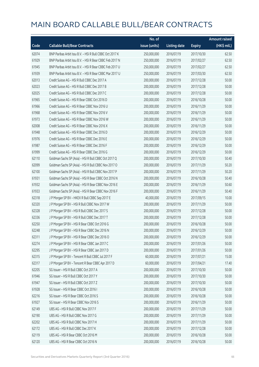|       |                                                          | No. of        |                     |               | <b>Amount raised</b>  |
|-------|----------------------------------------------------------|---------------|---------------------|---------------|-----------------------|
| Code  | <b>Callable Bull/Bear Contracts</b>                      | issue (units) | <b>Listing date</b> | <b>Expiry</b> | $(HK\frac{1}{2}mil.)$ |
| 62074 | BNP Paribas Arbit Issu B.V. - HSI R Bull CBBC Oct 2017 K | 250,000,000   | 2016/07/19          | 2017/10/30    | 62.50                 |
| 61929 | BNP Paribas Arbit Issu B.V. - HSI R Bear CBBC Feb 2017 N | 250,000,000   | 2016/07/19          | 2017/02/27    | 62.50                 |
| 61945 | BNP Paribas Arbit Issu B.V. - HSI R Bear CBBC Feb 2017 U | 250,000,000   | 2016/07/19          | 2017/02/27    | 62.50                 |
| 61939 | BNP Paribas Arbit Issu B.V. - HSI R Bear CBBC Mar 2017 U | 250,000,000   | 2016/07/19          | 2017/03/30    | 62.50                 |
| 62013 | Credit Suisse AG - HSI R Bull CBBC Dec 2017 A            | 200,000,000   | 2016/07/19          | 2017/12/28    | 50.00                 |
| 62023 | Credit Suisse AG - HSI R Bull CBBC Dec 2017 B            | 200,000,000   | 2016/07/19          | 2017/12/28    | 50.00                 |
| 62025 | Credit Suisse AG - HSI R Bull CBBC Dec 2017 C            | 200,000,000   | 2016/07/19          | 2017/12/28    | 50.00                 |
| 61965 | Credit Suisse AG - HSI R Bear CBBC Oct 2016 D            | 200,000,000   | 2016/07/19          | 2016/10/28    | 50.00                 |
| 61966 | Credit Suisse AG - HSI R Bear CBBC Nov 2016 U            | 200,000,000   | 2016/07/19          | 2016/11/29    | 50.00                 |
| 61968 | Credit Suisse AG - HSI R Bear CBBC Nov 2016 V            | 200,000,000   | 2016/07/19          | 2016/11/29    | 50.00                 |
| 61973 | Credit Suisse AG - HSI R Bear CBBC Nov 2016 W            | 200,000,000   | 2016/07/19          | 2016/11/29    | 50.00                 |
| 62008 | Credit Suisse AG - HSI R Bear CBBC Nov 2016 X            | 200,000,000   | 2016/07/19          | 2016/11/29    | 50.00                 |
| 61948 | Credit Suisse AG - HSI R Bear CBBC Dec 2016 D            | 200,000,000   | 2016/07/19          | 2016/12/29    | 50.00                 |
| 61976 | Credit Suisse AG - HSI R Bear CBBC Dec 2016 E            | 200,000,000   | 2016/07/19          | 2016/12/29    | 50.00                 |
| 61987 | Credit Suisse AG - HSI R Bear CBBC Dec 2016 F            | 200,000,000   | 2016/07/19          | 2016/12/29    | 50.00                 |
| 61999 | Credit Suisse AG - HSI R Bear CBBC Dec 2016 G            | 200,000,000   | 2016/07/19          | 2016/12/29    | 50.00                 |
| 62110 | Goldman Sachs SP (Asia) - HSI R Bull CBBC Oct 2017 Q     | 200,000,000   | 2016/07/19          | 2017/10/30    | 50.40                 |
| 62099 | Goldman Sachs SP (Asia) - HSI R Bull CBBC Nov 2017 O     | 200,000,000   | 2016/07/19          | 2017/11/29    | 50.20                 |
| 62100 | Goldman Sachs SP (Asia) - HSI R Bull CBBC Nov 2017 P     | 200,000,000   | 2016/07/19          | 2017/11/29    | 50.20                 |
| 61931 | Goldman Sachs SP (Asia) - HSI R Bear CBBC Oct 2016 N     | 200,000,000   | 2016/07/19          | 2016/10/28    | 50.40                 |
| 61932 | Goldman Sachs SP (Asia) - HSI R Bear CBBC Nov 2016 E     | 200,000,000   | 2016/07/19          | 2016/11/29    | 50.60                 |
| 61933 | Goldman Sachs SP (Asia) - HSI R Bear CBBC Nov 2016 F     | 200,000,000   | 2016/07/19          | 2016/11/29    | 50.40                 |
| 62318 | J P Morgan SP BV - HKEX R Bull CBBC Sep 2017 E           | 40,000,000    | 2016/07/19          | 2017/09/15    | 10.00                 |
| 62320 | J P Morgan SP BV - HSI R Bull CBBC Nov 2017 W            | 200,000,000   | 2016/07/19          | 2017/11/29    | 50.00                 |
| 62328 | JP Morgan SP BV - HSIR Bull CBBC Dec 2017 S              | 200,000,000   | 2016/07/19          | 2017/12/28    | 50.00                 |
| 62336 | J P Morgan SP BV - HSI R Bull CBBC Dec 2017 T            | 200,000,000   | 2016/07/19          | 2017/12/28    | 50.00                 |
| 62250 | J P Morgan SP BV - HSI R Bear CBBC Oct 2016 G            | 200,000,000   | 2016/07/19          | 2016/10/28    | 50.00                 |
| 62248 | J P Morgan SP BV - HSI R Bear CBBC Dec 2016 N            | 200,000,000   | 2016/07/19          | 2016/12/29    | 50.00                 |
| 62311 | J P Morgan SP BV - HSI R Bear CBBC Dec 2016 O            | 200,000,000   | 2016/07/19          | 2016/12/29    | 50.00                 |
| 62274 | J P Morgan SP BV - HSI R Bear CBBC Jan 2017 C            | 200,000,000   | 2016/07/19          | 2017/01/26    | 50.00                 |
| 62295 | J P Morgan SP BV - HSI R Bear CBBC Jan 2017 D            | 200,000,000   | 2016/07/19          | 2017/01/26    | 50.00                 |
| 62315 | J P Morgan SP BV - Tencent R Bull CBBC Jul 2017 F        | 60,000,000    | 2016/07/19          | 2017/07/21    | 15.00                 |
| 62317 | J P Morgan SP BV - Tencent R Bear CBBC Apr 2017 D        | 60,000,000    | 2016/07/19          | 2017/04/21    | 17.40                 |
| 62205 | SG Issuer - HSI R Bull CBBC Oct 2017 A                   | 200,000,000   | 2016/07/19          | 2017/10/30    | 50.00                 |
| 61946 | SG Issuer - HSI R Bull CBBC Oct 2017 Y                   | 200,000,000   | 2016/07/19          | 2017/10/30    | 50.00                 |
| 61947 | SG Issuer - HSI R Bull CBBC Oct 2017 Z                   | 200,000,000   | 2016/07/19          | 2017/10/30    | 50.00                 |
| 61928 | SG Issuer - HSI R Bear CBBC Oct 2016 I                   | 200,000,000   | 2016/07/19          | 2016/10/28    | 50.00                 |
| 62216 | SG Issuer - HSI R Bear CBBC Oct 2016 S                   | 200,000,000   | 2016/07/19          | 2016/10/28    | 50.00                 |
| 61927 | SG Issuer - HSI R Bear CBBC Nov 2016 S                   | 200,000,000   | 2016/07/19          | 2016/11/29    | 50.00                 |
| 62149 | UBS AG - HSI R Bull CBBC Nov 2017 F                      | 200,000,000   | 2016/07/19          | 2017/11/29    | 50.00                 |
| 62190 | UBS AG - HSI R Bull CBBC Nov 2017 G                      | 200,000,000   | 2016/07/19          | 2017/11/29    | 50.00                 |
| 62202 | UBS AG - HSI R Bull CBBC Nov 2017 H                      | 200,000,000   | 2016/07/19          | 2017/11/29    | 50.00                 |
| 62172 | UBS AG - HSI R Bull CBBC Dec 2017 K                      | 200,000,000   | 2016/07/19          | 2017/12/28    | 50.00                 |
| 62119 | UBS AG - HSI R Bear CBBC Oct 2016 M                      | 200,000,000   | 2016/07/19          | 2016/10/28    | 50.00                 |
| 62120 | UBS AG - HSI R Bear CBBC Oct 2016 N                      | 200,000,000   | 2016/07/19          | 2016/10/28    | 50.00                 |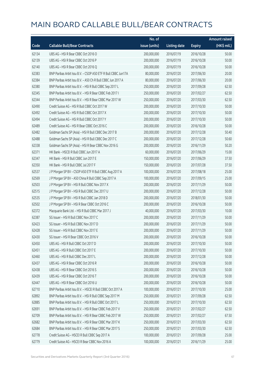|       |                                                               | No. of        |                     |               | <b>Amount raised</b> |
|-------|---------------------------------------------------------------|---------------|---------------------|---------------|----------------------|
| Code  | <b>Callable Bull/Bear Contracts</b>                           | issue (units) | <b>Listing date</b> | <b>Expiry</b> | (HK\$ mil.)          |
| 62134 | UBS AG - HSI R Bear CBBC Oct 2016 O                           | 200,000,000   | 2016/07/19          | 2016/10/28    | 50.00                |
| 62139 | UBS AG - HSI R Bear CBBC Oct 2016 P                           | 200,000,000   | 2016/07/19          | 2016/10/28    | 50.00                |
| 62140 | UBS AG - HSI R Bear CBBC Oct 2016 Q                           | 200,000,000   | 2016/07/19          | 2016/10/28    | 50.00                |
| 62383 | BNP Paribas Arbit Issu B.V. - CSOP A50 ETF R Bull CBBC Jun17A | 80,000,000    | 2016/07/20          | 2017/06/30    | 20.00                |
| 62384 | BNP Paribas Arbit Issu B.V. - A50 Ch R Bull CBBC Jun 2017 A   | 80,000,000    | 2016/07/20          | 2017/06/30    | 20.00                |
| 62380 | BNP Paribas Arbit Issu B.V. - HSI R Bull CBBC Sep 2017 L      | 250,000,000   | 2016/07/20          | 2017/09/28    | 62.50                |
| 62345 | BNP Paribas Arbit Issu B.V. - HSI R Bear CBBC Feb 2017 I      | 250,000,000   | 2016/07/20          | 2017/02/27    | 62.50                |
| 62344 | BNP Paribas Arbit Issu B.V. - HSI R Bear CBBC Mar 2017 W      | 250,000,000   | 2016/07/20          | 2017/03/30    | 62.50                |
| 62490 | Credit Suisse AG - HSI R Bull CBBC Oct 2017 W                 | 200,000,000   | 2016/07/20          | 2017/10/30    | 50.00                |
| 62492 | Credit Suisse AG - HSI R Bull CBBC Oct 2017 X                 | 200,000,000   | 2016/07/20          | 2017/10/30    | 50.00                |
| 62494 | Credit Suisse AG - HSI R Bull CBBC Oct 2017 Y                 | 200,000,000   | 2016/07/20          | 2017/10/30    | 50.00                |
| 62489 | Credit Suisse AG - HSI R Bear CBBC Oct 2016 C                 | 200,000,000   | 2016/07/20          | 2016/10/28    | 50.00                |
| 62482 | Goldman Sachs SP (Asia) - HSI R Bull CBBC Dec 2017 B          | 200,000,000   | 2016/07/20          | 2017/12/28    | 50.40                |
| 62488 | Goldman Sachs SP (Asia) - HSI R Bull CBBC Dec 2017 C          | 200,000,000   | 2016/07/20          | 2017/12/28    | 50.60                |
| 62338 | Goldman Sachs SP (Asia) - HSI R Bear CBBC Nov 2016 G          | 200,000,000   | 2016/07/20          | 2016/11/29    | 50.20                |
| 62371 | HK Bank - HSCEI R Bull CBBC Jun 2017 A                        | 60,000,000    | 2016/07/20          | 2017/06/29    | 15.00                |
| 62347 | HK Bank - HSI R Bull CBBC Jun 2017 E                          | 150,000,000   | 2016/07/20          | 2017/06/29    | 37.50                |
| 62350 | HK Bank - HSI R Bull CBBC Jul 2017 F                          | 150,000,000   | 2016/07/20          | 2017/07/28    | 37.50                |
| 62537 | J P Morgan SP BV - CSOP A50 ETF R Bull CBBC Aug 2017 A        | 100,000,000   | 2016/07/20          | 2017/08/18    | 25.00                |
| 62569 | J P Morgan SP BV - A50 China R Bull CBBC Sep 2017 A           | 100,000,000   | 2016/07/20          | 2017/09/15    | 25.00                |
| 62503 | J P Morgan SP BV - HSI R Bull CBBC Nov 2017 X                 | 200,000,000   | 2016/07/20          | 2017/11/29    | 50.00                |
| 62515 | J P Morgan SP BV - HSI R Bull CBBC Dec 2017 U                 | 200,000,000   | 2016/07/20          | 2017/12/28    | 50.00                |
| 62535 | J P Morgan SP BV - HSI R Bull CBBC Jan 2018 D                 | 200,000,000   | 2016/07/20          | 2018/01/30    | 50.00                |
| 62502 | J P Morgan SP BV - HSI R Bear CBBC Oct 2016 C                 | 200,000,000   | 2016/07/20          | 2016/10/28    | 50.00                |
| 62372 | Macquarie Bank Ltd. - HSI R Bull CBBC Mar 2017 J              | 40,000,000    | 2016/07/20          | 2017/03/30    | 10.00                |
| 62387 | SG Issuer - HSI R Bull CBBC Nov 2017 C                        | 200,000,000   | 2016/07/20          | 2017/11/29    | 50.00                |
| 62423 | SG Issuer - HSI R Bull CBBC Nov 2017 D                        | 200,000,000   | 2016/07/20          | 2017/11/29    | 50.00                |
| 62428 | SG Issuer - HSI R Bull CBBC Nov 2017 E                        | 200,000,000   | 2016/07/20          | 2017/11/29    | 50.00                |
| 62430 | SG Issuer - HSI R Bear CBBC Oct 2016 V                        | 200,000,000   | 2016/07/20          | 2016/10/28    | 50.00                |
| 62450 | UBS AG - HSI R Bull CBBC Oct 2017 D                           | 200,000,000   | 2016/07/20          | 2017/10/30    | 50.00                |
| 62451 | UBS AG - HSI R Bull CBBC Oct 2017 E                           | 200,000,000   | 2016/07/20          | 2017/10/30    | 50.00                |
| 62460 | UBS AG - HSI R Bull CBBC Dec 2017 L                           | 200,000,000   | 2016/07/20          | 2017/12/28    | 50.00                |
| 62437 | UBS AG - HSI R Bear CBBC Oct 2016 R                           | 200,000,000   | 2016/07/20          | 2016/10/28    | 50.00                |
| 62438 | UBS AG - HSI R Bear CBBC Oct 2016 S                           | 200,000,000   | 2016/07/20          | 2016/10/28    | 50.00                |
| 62439 | UBS AG - HSI R Bear CBBC Oct 2016 T                           | 200,000,000   | 2016/07/20          | 2016/10/28    | 50.00                |
| 62447 | UBS AG - HSI R Bear CBBC Oct 2016 U                           | 200,000,000   | 2016/07/20          | 2016/10/28    | 50.00                |
| 62710 | BNP Paribas Arbit Issu B.V. - HSCEI R Bull CBBC Oct 2017 A    | 100,000,000   | 2016/07/21          | 2017/10/30    | 25.00                |
| 62892 | BNP Paribas Arbit Issu B.V. - HSI R Bull CBBC Sep 2017 M      | 250,000,000   | 2016/07/21          | 2017/09/28    | 62.50                |
| 62885 | BNP Paribas Arbit Issu B.V. - HSI R Bull CBBC Oct 2017 L      | 250,000,000   | 2016/07/21          | 2017/10/30    | 62.50                |
| 62691 | BNP Paribas Arbit Issu B.V. - HSI R Bear CBBC Feb 2017 V      | 250,000,000   | 2016/07/21          | 2017/02/27    | 62.50                |
| 62709 | BNP Paribas Arbit Issu B.V. - HSI R Bear CBBC Feb 2017 W      | 250,000,000   | 2016/07/21          | 2017/02/27    | 67.50                |
| 62682 | BNP Paribas Arbit Issu B.V. - HSI R Bear CBBC Mar 2017 K      | 250,000,000   | 2016/07/21          | 2017/03/30    | 62.50                |
| 62684 | BNP Paribas Arbit Issu B.V. - HSI R Bear CBBC Mar 2017 S      | 250,000,000   | 2016/07/21          | 2017/03/30    | 62.50                |
| 62778 | Credit Suisse AG - HSCEI R Bull CBBC Sep 2017 A               | 100,000,000   | 2016/07/21          | 2017/09/28    | 25.00                |
| 62779 | Credit Suisse AG - HSCEI R Bear CBBC Nov 2016 A               | 100,000,000   | 2016/07/21          | 2016/11/29    | 25.00                |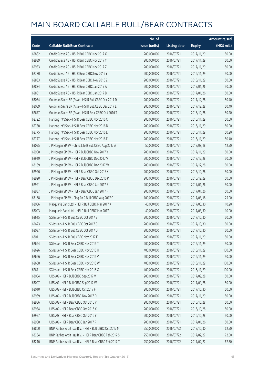|       |                                                          | No. of        |                     |               | <b>Amount raised</b> |
|-------|----------------------------------------------------------|---------------|---------------------|---------------|----------------------|
| Code  | <b>Callable Bull/Bear Contracts</b>                      | issue (units) | <b>Listing date</b> | <b>Expiry</b> | (HK\$ mil.)          |
| 62882 | Credit Suisse AG - HSI R Bull CBBC Nov 2017 X            | 200,000,000   | 2016/07/21          | 2017/11/29    | 50.00                |
| 62939 | Credit Suisse AG - HSI R Bull CBBC Nov 2017 Y            | 200,000,000   | 2016/07/21          | 2017/11/29    | 50.00                |
| 62953 | Credit Suisse AG - HSI R Bull CBBC Nov 2017 Z            | 200,000,000   | 2016/07/21          | 2017/11/29    | 50.00                |
| 62780 | Credit Suisse AG - HSI R Bear CBBC Nov 2016 Y            | 200,000,000   | 2016/07/21          | 2016/11/29    | 50.00                |
| 62833 | Credit Suisse AG - HSI R Bear CBBC Nov 2016 Z            | 200,000,000   | 2016/07/21          | 2016/11/29    | 50.00                |
| 62834 | Credit Suisse AG - HSI R Bear CBBC Jan 2017 A            | 200,000,000   | 2016/07/21          | 2017/01/26    | 50.00                |
| 62881 | Credit Suisse AG - HSI R Bear CBBC Jan 2017 B            | 200,000,000   | 2016/07/21          | 2017/01/26    | 50.00                |
| 63054 | Goldman Sachs SP (Asia) - HSI R Bull CBBC Dec 2017 D     | 200,000,000   | 2016/07/21          | 2017/12/28    | 50.40                |
| 63059 | Goldman Sachs SP (Asia) - HSI R Bull CBBC Dec 2017 E     | 200,000,000   | 2016/07/21          | 2017/12/28    | 50.40                |
| 62677 | Goldman Sachs SP (Asia) - HSI R Bear CBBC Oct 2016 T     | 200,000,000   | 2016/07/21          | 2016/10/28    | 50.20                |
| 62722 | Haitong Int'l Sec - HSI R Bear CBBC Nov 2016 C           | 200,000,000   | 2016/07/21          | 2016/11/29    | 50.00                |
| 62750 | Haitong Int'l Sec - HSI R Bear CBBC Nov 2016 D           | 200,000,000   | 2016/07/21          | 2016/11/29    | 50.00                |
| 62775 | Haitong Int'l Sec - HSI R Bear CBBC Nov 2016 E           | 200,000,000   | 2016/07/21          | 2016/11/29    | 50.20                |
| 62777 | Haitong Int'l Sec - HSI R Bear CBBC Nov 2016 F           | 200,000,000   | 2016/07/21          | 2016/11/29    | 50.40                |
| 63095 | J P Morgan SP BV - China Life R Bull CBBC Aug 2017 A     | 50,000,000    | 2016/07/21          | 2017/08/18    | 12.50                |
| 62908 | J P Morgan SP BV - HSI R Bull CBBC Nov 2017 Y            | 200,000,000   | 2016/07/21          | 2017/11/29    | 50.00                |
| 62919 | J P Morgan SP BV - HSI R Bull CBBC Dec 2017 V            | 200,000,000   | 2016/07/21          | 2017/12/28    | 50.00                |
| 63169 | J P Morgan SP BV - HSI R Bull CBBC Dec 2017 W            | 200,000,000   | 2016/07/21          | 2017/12/28    | 50.00                |
| 62926 | J P Morgan SP BV - HSI R Bear CBBC Oct 2016 K            | 200,000,000   | 2016/07/21          | 2016/10/28    | 50.00                |
| 62920 | J P Morgan SP BV - HSI R Bear CBBC Dec 2016 P            | 200,000,000   | 2016/07/21          | 2016/12/29    | 50.00                |
| 62921 | J P Morgan SP BV - HSI R Bear CBBC Jan 2017 E            | 200,000,000   | 2016/07/21          | 2017/01/26    | 50.00                |
| 62937 | J P Morgan SP BV - HSI R Bear CBBC Jan 2017 F            | 200,000,000   | 2016/07/21          | 2017/01/26    | 50.00                |
| 63168 | J P Morgan SP BV - Ping An R Bull CBBC Aug 2017 C        | 100,000,000   | 2016/07/21          | 2017/08/18    | 25.00                |
| 63086 | Macquarie Bank Ltd. - HSI R Bull CBBC Mar 2017 K         | 40,000,000    | 2016/07/21          | 2017/03/30    | 10.20                |
| 63093 | Macquarie Bank Ltd. - HSI R Bull CBBC Mar 2017 L         | 40,000,000    | 2016/07/21          | 2017/03/30    | 10.00                |
| 62615 | SG Issuer - HSI R Bull CBBC Oct 2017 B                   | 200,000,000   | 2016/07/21          | 2017/10/30    | 50.00                |
| 62623 | SG Issuer - HSI R Bull CBBC Oct 2017 C                   | 200,000,000   | 2016/07/21          | 2017/10/30    | 50.00                |
| 63037 | SG Issuer - HSI R Bull CBBC Oct 2017 D                   | 200,000,000   | 2016/07/21          | 2017/10/30    | 50.00                |
| 63011 | SG Issuer - HSI R Bull CBBC Nov 2017 F                   | 200,000,000   | 2016/07/21          | 2017/11/29    | 50.00                |
| 62624 | SG Issuer - HSI R Bear CBBC Nov 2016 T                   | 200,000,000   | 2016/07/21          | 2016/11/29    | 50.00                |
| 62626 | SG Issuer - HSI R Bear CBBC Nov 2016 U                   | 400,000,000   | 2016/07/21          | 2016/11/29    | 100.00               |
| 62666 | SG Issuer - HSI R Bear CBBC Nov 2016 V                   | 200,000,000   | 2016/07/21          | 2016/11/29    | 50.00                |
| 62668 | SG Issuer - HSI R Bear CBBC Nov 2016 W                   | 400,000,000   | 2016/07/21          | 2016/11/29    | 100.00               |
| 62671 | SG Issuer - HSI R Bear CBBC Nov 2016 X                   | 400,000,000   | 2016/07/21          | 2016/11/29    | 100.00               |
| 63004 | UBS AG - HSI R Bull CBBC Sep 2017 V                      | 200,000,000   | 2016/07/21          | 2017/09/28    | 50.00                |
| 63007 | UBS AG - HSI R Bull CBBC Sep 2017 W                      | 200,000,000   | 2016/07/21          | 2017/09/28    | 50.00                |
| 63010 | UBS AG - HSI R Bull CBBC Oct 2017 F                      | 200,000,000   | 2016/07/21          | 2017/10/30    | 50.00                |
| 62989 | UBS AG - HSI R Bull CBBC Nov 2017 D                      | 200,000,000   | 2016/07/21          | 2017/11/29    | 50.00                |
| 62956 | UBS AG - HSI R Bear CBBC Oct 2016 V                      | 200,000,000   | 2016/07/21          | 2016/10/28    | 50.00                |
| 62954 | UBS AG - HSI R Bear CBBC Oct 2016 X                      | 200,000,000   | 2016/07/21          | 2016/10/28    | 50.00                |
| 62957 | UBS AG - HSI R Bear CBBC Oct 2016 Y                      | 200,000,000   | 2016/07/21          | 2016/10/28    | 50.00                |
| 62988 | UBS AG - HSI R Bear CBBC Jan 2017 P                      | 200,000,000   | 2016/07/21          | 2017/01/26    | 50.00                |
| 63800 | BNP Paribas Arbit Issu B.V. - HSI R Bull CBBC Oct 2017 M | 250,000,000   | 2016/07/22          | 2017/10/30    | 62.50                |
| 63264 | BNP Paribas Arbit Issu B.V. - HSI R Bear CBBC Feb 2017 S | 250,000,000   | 2016/07/22          | 2017/02/27    | 72.50                |
| 63210 | BNP Paribas Arbit Issu B.V. - HSI R Bear CBBC Feb 2017 T | 250,000,000   | 2016/07/22          | 2017/02/27    | 62.50                |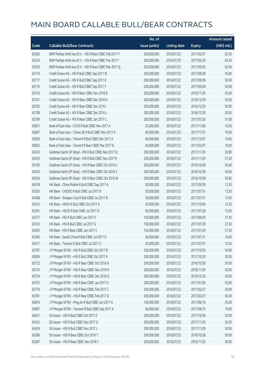|       |                                                          | No. of        |                     |               | <b>Amount raised</b> |
|-------|----------------------------------------------------------|---------------|---------------------|---------------|----------------------|
| Code  | <b>Callable Bull/Bear Contracts</b>                      | issue (units) | <b>Listing date</b> | <b>Expiry</b> | $(HK$$ mil.)         |
| 63262 | BNP Paribas Arbit Issu B.V. - HSI R Bear CBBC Feb 2017 Y | 250,000,000   | 2016/07/22          | 2017/02/27    | 62.50                |
| 63234 | BNP Paribas Arbit Issu B.V. - HSI R Bear CBBC Mar 2017 I | 250,000,000   | 2016/07/22          | 2017/03/30    | 62.50                |
| 63259 | BNP Paribas Arbit Issu B.V. - HSI R Bear CBBC Mar 2017 Q | 250,000,000   | 2016/07/22          | 2017/03/30    | 62.50                |
| 63710 | Credit Suisse AG - HSI R Bull CBBC Sep 2017 W            | 200,000,000   | 2016/07/22          | 2017/09/28    | 50.00                |
| 63717 | Credit Suisse AG - HSI R Bull CBBC Sep 2017 X            | 200,000,000   | 2016/07/22          | 2017/09/28    | 50.00                |
| 63719 | Credit Suisse AG - HSI R Bull CBBC Sep 2017 Y            | 200,000,000   | 2016/07/22          | 2017/09/28    | 50.00                |
| 63703 | Credit Suisse AG - HSI R Bear CBBC Nov 2016 B            | 200,000,000   | 2016/07/22          | 2016/11/29    | 50.00                |
| 63701 | Credit Suisse AG - HSI R Bear CBBC Dec 2016 H            | 200,000,000   | 2016/07/22          | 2016/12/29    | 50.00                |
| 63705 | Credit Suisse AG - HSI R Bear CBBC Dec 2016 I            | 200,000,000   | 2016/07/22          | 2016/12/29    | 50.00                |
| 63708 | Credit Suisse AG - HSI R Bear CBBC Dec 2016 J            | 200,000,000   | 2016/07/22          | 2016/12/29    | 50.00                |
| 63709 | Credit Suisse AG - HSI R Bear CBBC Jan 2017 C            | 200,000,000   | 2016/07/22          | 2017/01/26    | 51.00                |
| 63831 | Bank of East Asia - COVS R Bull CBBC Nov 2017 A          | 25,000,000    | 2016/07/22          | 2017/11/06    | 10.00                |
| 63847 | Bank of East Asia - China Life R Bull CBBC Nov 2017 A    | 40,000,000    | 2016/07/22          | 2017/11/27    | 10.00                |
| 63826 | Bank of East Asia - Tencent R Bull CBBC Dec 2017 A       | 40,000,000    | 2016/07/22          | 2017/12/07    | 10.00                |
| 63825 | Bank of East Asia - Tencent R Bear CBBC Mar 2017 B       | 40,000,000    | 2016/07/22          | 2017/03/07    | 10.00                |
| 63432 | Goldman Sachs SP (Asia) - HSI R Bull CBBC Nov 2017 Q     | 200,000,000   | 2016/07/22          | 2017/11/29    | 50.80                |
| 63433 | Goldman Sachs SP (Asia) - HSI R Bull CBBC Nov 2017 R     | 200,000,000   | 2016/07/22          | 2017/11/29    | 51.20                |
| 63192 | Goldman Sachs SP (Asia) - HSI R Bear CBBC Oct 2016 U     | 200,000,000   | 2016/07/22          | 2016/10/28    | 50.40                |
| 63203 | Goldman Sachs SP (Asia) - HSI R Bear CBBC Oct 2016 V     | 200,000,000   | 2016/07/22          | 2016/10/28    | 50.60                |
| 63204 | Goldman Sachs SP (Asia) - HSI R Bear CBBC Oct 2016 W     | 200,000,000   | 2016/07/22          | 2016/10/28    | 50.60                |
| 63418 | HK Bank - China Mobile R Bull CBBC Sep 2017 A            | 50,000,000    | 2016/07/22          | 2017/09/29    | 12.50                |
| 63350 | HK Bank - CNOOC R Bull CBBC Jul 2017 B                   | 50,000,000    | 2016/07/22          | 2017/07/31    | 12.50                |
| 63408 | HK Bank - Sinopec Corp R Bull CBBC Jul 2017 B            | 50,000,000    | 2016/07/22          | 2017/07/31    | 12.50                |
| 63415 | HK Bank - HKEX R Bull CBBC Oct 2017 A                    | 50,000,000    | 2016/07/22          | 2017/10/09    | 12.50                |
| 63391 | HK Bank - HSCEI R Bull CBBC Jul 2017 D                   | 60,000,000    | 2016/07/22          | 2017/07/28    | 15.00                |
| 63377 | HK Bank - HSI R Bull CBBC Jun 2017 F                     | 150,000,000   | 2016/07/22          | 2017/06/29    | 37.50                |
| 63333 | HK Bank - HSI R Bull CBBC Jul 2017 G                     | 150,000,000   | 2016/07/22          | 2017/07/28    | 37.50                |
| 63403 | HK Bank - HSI R Bear CBBC Jan 2017 C                     | 150,000,000   | 2016/07/22          | 2017/01/26    | 37.50                |
| 63365 | HK Bank - Sands China R Bull CBBC Jul 2017 D             | 40,000,000    | 2016/07/22          | 2017/07/31    | 14.00                |
| 63417 | HK Bank - Tencent R Bull CBBC Jul 2017 E                 | 50,000,000    | 2016/07/22          | 2017/07/31    | 12.50                |
| 63787 | J P Morgan SP BV - HSI R Bull CBBC Oct 2017 B            | 200,000,000   | 2016/07/22          | 2017/10/30    | 50.00                |
| 63824 | J P Morgan SP BV - HSI R Bull CBBC Oct 2017 K            | 200,000,000   | 2016/07/22          | 2017/10/30    | 50.00                |
| 63722 | J P Morgan SP BV - HSI R Bear CBBC Oct 2016 N            | 200,000,000   | 2016/07/22          | 2016/10/28    | 50.00                |
| 63724 | J P Morgan SP BV - HSI R Bear CBBC Nov 2016 K            | 200,000,000   | 2016/07/22          | 2016/11/29    | 50.00                |
| 63734 | J P Morgan SP BV - HSI R Bear CBBC Dec 2016 Q            | 200,000,000   | 2016/07/22          | 2016/12/29    | 50.00                |
| 63752 | J P Morgan SP BV - HSI R Bear CBBC Jan 2017 G            | 200,000,000   | 2016/07/22          | 2017/01/26    | 50.00                |
| 63776 | J P Morgan SP BV - HSI R Bear CBBC Feb 2017 C            | 200,000,000   | 2016/07/22          | 2017/02/27    | 50.00                |
| 63781 | J P Morgan SP BV - HSI R Bear CBBC Feb 2017 D            | 200,000,000   | 2016/07/22          | 2017/02/27    | 50.00                |
| 63816 | J P Morgan SP BV - Ping An R Bull CBBC Jun 2017 A        | 100,000,000   | 2016/07/22          | 2017/06/16    | 25.00                |
| 63807 | J P Morgan SP BV - Tencent R Bull CBBC Sep 2017 A        | 60,000,000    | 2016/07/22          | 2017/09/15    | 15.00                |
| 63431 | SG Issuer - HSI R Bull CBBC Oct 2017 E                   | 200,000,000   | 2016/07/22          | 2017/10/30    | 50.00                |
| 63423 | SG Issuer - HSI R Bull CBBC Nov 2017 G                   | 200,000,000   | 2016/07/22          | 2017/11/29    | 50.00                |
| 63429 | SG Issuer - HSI R Bull CBBC Nov 2017 L                   | 200,000,000   | 2016/07/22          | 2017/11/29    | 50.00                |
| 63296 | SG Issuer - HSI R Bear CBBC Oct 2016 T                   | 200,000,000   | 2016/07/22          | 2016/10/28    | 50.00                |
| 63287 | SG Issuer - HSI R Bear CBBC Nov 2016 Y                   | 200,000,000   | 2016/07/22          | 2016/11/29    | 50.00                |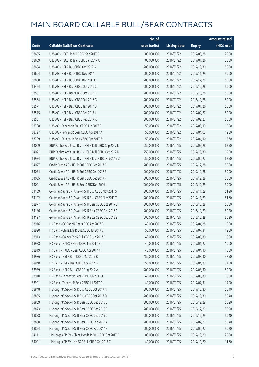|       |                                                          | No. of        |                     |               | <b>Amount raised</b> |
|-------|----------------------------------------------------------|---------------|---------------------|---------------|----------------------|
| Code  | <b>Callable Bull/Bear Contracts</b>                      | issue (units) | <b>Listing date</b> | <b>Expiry</b> | (HK\$ mil.)          |
| 63655 | UBS AG - HSCEI R Bull CBBC Sep 2017 D                    | 100,000,000   | 2016/07/22          | 2017/09/28    | 25.00                |
| 63689 | UBS AG - HSCEI R Bear CBBC Jan 2017 A                    | 100,000,000   | 2016/07/22          | 2017/01/26    | 25.00                |
| 63654 | UBS AG - HSI R Bull CBBC Oct 2017 G                      | 200,000,000   | 2016/07/22          | 2017/10/30    | 50.00                |
| 63604 | UBS AG - HSI R Bull CBBC Nov 2017 I                      | 200,000,000   | 2016/07/22          | 2017/11/29    | 50.00                |
| 63650 | UBS AG - HSI R Bull CBBC Dec 2017 M                      | 200,000,000   | 2016/07/22          | 2017/12/28    | 50.00                |
| 63454 | UBS AG - HSI R Bear CBBC Oct 2016 C                      | 200,000,000   | 2016/07/22          | 2016/10/28    | 50.00                |
| 63551 | UBS AG - HSI R Bear CBBC Oct 2016 F                      | 200,000,000   | 2016/07/22          | 2016/10/28    | 50.00                |
| 63564 | UBS AG - HSI R Bear CBBC Oct 2016 G                      | 200,000,000   | 2016/07/22          | 2016/10/28    | 50.00                |
| 63571 | UBS AG - HSI R Bear CBBC Jan 2017 Q                      | 200,000,000   | 2016/07/22          | 2017/01/26    | 50.00                |
| 63575 | UBS AG - HSI R Bear CBBC Feb 2017 J                      | 200,000,000   | 2016/07/22          | 2017/02/27    | 50.00                |
| 63581 | UBS AG - HSI R Bear CBBC Feb 2017 K                      | 200,000,000   | 2016/07/22          | 2017/02/27    | 50.00                |
| 63788 | UBS AG - Tencent R Bull CBBC Jun 2017 D                  | 50,000,000    | 2016/07/22          | 2017/06/19    | 12.50                |
| 63797 | UBS AG - Tencent R Bear CBBC Apr 2017 A                  | 50,000,000    | 2016/07/22          | 2017/04/03    | 12.50                |
| 63799 | UBS AG - Tencent R Bear CBBC Apr 2017 B                  | 50,000,000    | 2016/07/22          | 2017/04/10    | 12.50                |
| 64009 | BNP Paribas Arbit Issu B.V. - HSI R Bull CBBC Sep 2017 N | 250,000,000   | 2016/07/25          | 2017/09/28    | 62.50                |
| 64021 | BNP Paribas Arbit Issu B.V. - HSI R Bull CBBC Oct 2017 N | 250,000,000   | 2016/07/25          | 2017/10/30    | 62.50                |
| 63974 | BNP Paribas Arbit Issu B.V. - HSI R Bear CBBC Feb 2017 Z | 250,000,000   | 2016/07/25          | 2017/02/27    | 62.50                |
| 64027 | Credit Suisse AG - HSI R Bull CBBC Dec 2017 D            | 200,000,000   | 2016/07/25          | 2017/12/28    | 50.00                |
| 64034 | Credit Suisse AG - HSI R Bull CBBC Dec 2017 E            | 200,000,000   | 2016/07/25          | 2017/12/28    | 50.00                |
| 64035 | Credit Suisse AG - HSI R Bull CBBC Dec 2017 F            | 200,000,000   | 2016/07/25          | 2017/12/28    | 50.00                |
| 64001 | Credit Suisse AG - HSI R Bear CBBC Dec 2016 K            | 200,000,000   | 2016/07/25          | 2016/12/29    | 50.00                |
| 64189 | Goldman Sachs SP (Asia) - HSI R Bull CBBC Nov 2017 S     | 200,000,000   | 2016/07/25          | 2017/11/29    | 51.20                |
| 64192 | Goldman Sachs SP (Asia) - HSI R Bull CBBC Nov 2017 T     | 200,000,000   | 2016/07/25          | 2017/11/29    | 51.60                |
| 63977 | Goldman Sachs SP (Asia) - HSI R Bear CBBC Oct 2016 O     | 200,000,000   | 2016/07/25          | 2016/10/28    | 50.80                |
| 64186 | Goldman Sachs SP (Asia) - HSI R Bear CBBC Dec 2016 A     | 200,000,000   | 2016/07/25          | 2016/12/29    | 50.20                |
| 64187 | Goldman Sachs SP (Asia) - HSI R Bear CBBC Dec 2016 B     | 200,000,000   | 2016/07/25          | 2016/12/29    | 50.20                |
| 63916 | HK Bank - CC Bank R Bear CBBC Apr 2017 B                 | 40,000,000    | 2016/07/25          | 2017/04/28    | 10.00                |
| 63920 | HK Bank - China Life R Bull CBBC Jul 2017 C              | 50,000,000    | 2016/07/25          | 2017/07/31    | 12.50                |
| 63913 | HK Bank - Galaxy Ent R Bull CBBC Jun 2017 D              | 40,000,000    | 2016/07/25          | 2017/06/30    | 10.00                |
| 63938 | HK Bank - HKEX R Bear CBBC Jan 2017 E                    | 40,000,000    | 2016/07/25          | 2017/01/27    | 10.00                |
| 63919 | HK Bank - HKEX R Bear CBBC Apr 2017 A                    | 40,000,000    | 2016/07/25          | 2017/04/10    | 10.00                |
| 63936 | HK Bank - HSI R Bear CBBC Mar 2017 K                     | 150,000,000   | 2016/07/25          | 2017/03/30    | 37.50                |
| 63940 | HK Bank - HSI R Bear CBBC Apr 2017 D                     | 150,000,000   | 2016/07/25          | 2017/04/27    | 37.50                |
| 63939 | HK Bank - HSI R Bear CBBC Aug 2017 A                     | 200,000,000   | 2016/07/25          | 2017/08/30    | 50.00                |
| 63910 | HK Bank - Tencent R Bear CBBC Jun 2017 A                 | 40,000,000    | 2016/07/25          | 2017/06/30    | 10.00                |
| 63901 | HK Bank - Tencent R Bear CBBC Jul 2017 A                 | 40,000,000    | 2016/07/25          | 2017/07/31    | 14.00                |
| 63848 | Haitong Int'l Sec - HSI R Bull CBBC Oct 2017 N           | 200,000,000   | 2016/07/25          | 2017/10/30    | 50.40                |
| 63865 | Haitong Int'l Sec - HSI R Bull CBBC Oct 2017 O           | 200,000,000   | 2016/07/25          | 2017/10/30    | 50.40                |
| 63869 | Haitong Int'l Sec - HSI R Bear CBBC Dec 2016 E           | 200,000,000   | 2016/07/25          | 2016/12/29    | 50.20                |
| 63873 | Haitong Int'l Sec - HSI R Bear CBBC Dec 2016 F           | 200,000,000   | 2016/07/25          | 2016/12/29    | 50.20                |
| 63878 | Haitong Int'l Sec - HSI R Bear CBBC Dec 2016 G           | 200,000,000   | 2016/07/25          | 2016/12/29    | 50.40                |
| 63880 | Haitong Int'l Sec - HSI R Bear CBBC Feb 2017 A           | 200,000,000   | 2016/07/25          | 2017/02/27    | 50.40                |
| 63894 | Haitong Int'l Sec - HSI R Bear CBBC Feb 2017 B           | 200,000,000   | 2016/07/25          | 2017/02/27    | 50.20                |
| 64111 | J P Morgan SP BV - China Mobile R Bull CBBC Oct 2017 B   | 100,000,000   | 2016/07/25          | 2017/10/20    | 25.00                |
| 64091 | J P Morgan SP BV - HKEX R Bull CBBC Oct 2017 C           | 40,000,000    | 2016/07/25          | 2017/10/20    | 11.60                |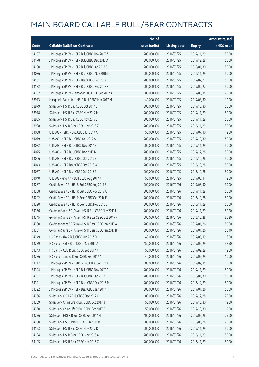|       |                                                      | No. of        |                     |               | <b>Amount raised</b> |
|-------|------------------------------------------------------|---------------|---------------------|---------------|----------------------|
| Code  | <b>Callable Bull/Bear Contracts</b>                  | issue (units) | <b>Listing date</b> | <b>Expiry</b> | (HK\$ mil.)          |
| 64157 | J P Morgan SP BV - HSI R Bull CBBC Nov 2017 Z        | 200,000,000   | 2016/07/25          | 2017/11/29    | 50.00                |
| 64178 | J P Morgan SP BV - HSI R Bull CBBC Dec 2017 X        | 200,000,000   | 2016/07/25          | 2017/12/28    | 50.00                |
| 64180 | J P Morgan SP BV - HSI R Bull CBBC Jan 2018 E        | 200,000,000   | 2016/07/25          | 2018/01/30    | 50.00                |
| 64036 | J P Morgan SP BV - HSI R Bear CBBC Nov 2016 L        | 200,000,000   | 2016/07/25          | 2016/11/29    | 50.00                |
| 64181 | J P Morgan SP BV - HSI R Bear CBBC Feb 2017 E        | 200,000,000   | 2016/07/25          | 2017/02/27    | 50.00                |
| 64182 | J P Morgan SP BV - HSI R Bear CBBC Feb 2017 F        | 200,000,000   | 2016/07/25          | 2017/02/27    | 50.00                |
| 64102 | J P Morgan SP BV - Lenovo R Bull CBBC Sep 2017 A     | 100,000,000   | 2016/07/25          | 2017/09/15    | 25.00                |
| 63973 | Macquarie Bank Ltd. - HSI R Bull CBBC Mar 2017 M     | 40,000,000    | 2016/07/25          | 2017/03/30    | 10.00                |
| 63979 | SG Issuer - HSI R Bull CBBC Oct 2017 G               | 200,000,000   | 2016/07/25          | 2017/10/30    | 50.00                |
| 63978 | SG Issuer - HSI R Bull CBBC Nov 2017 H               | 200,000,000   | 2016/07/25          | 2017/11/29    | 50.00                |
| 63985 | SG Issuer - HSI R Bull CBBC Nov 2017 J               | 200,000,000   | 2016/07/25          | 2017/11/29    | 50.00                |
| 63988 | SG Issuer - HSI R Bear CBBC Nov 2016 Z               | 200,000,000   | 2016/07/25          | 2016/11/29    | 50.00                |
| 64038 | UBS AG - HSBC R Bull CBBC Jul 2017 A                 | 50,000,000    | 2016/07/25          | 2017/07/10    | 12.50                |
| 64079 | UBS AG - HSI R Bull CBBC Oct 2017 A                  | 200,000,000   | 2016/07/25          | 2017/10/30    | 50.00                |
| 64082 | UBS AG - HSI R Bull CBBC Nov 2017 E                  | 200,000,000   | 2016/07/25          | 2017/11/29    | 50.00                |
| 64075 | UBS AG - HSI R Bull CBBC Dec 2017 N                  | 200,000,000   | 2016/07/25          | 2017/12/28    | 50.00                |
| 64066 | UBS AG - HSI R Bear CBBC Oct 2016 E                  | 200,000,000   | 2016/07/25          | 2016/10/28    | 50.00                |
| 64043 | UBS AG - HSI R Bear CBBC Oct 2016 W                  | 200,000,000   | 2016/07/25          | 2016/10/28    | 50.00                |
| 64057 | UBS AG - HSI R Bear CBBC Oct 2016 Z                  | 200,000,000   | 2016/07/25          | 2016/10/28    | 50.00                |
| 64040 | UBS AG - Ping An R Bull CBBC Aug 2017 A              | 50,000,000    | 2016/07/25          | 2017/08/14    | 12.50                |
| 64287 | Credit Suisse AG - HSI R Bull CBBC Aug 2017 B        | 200,000,000   | 2016/07/26          | 2017/08/30    | 50.00                |
| 64288 | Credit Suisse AG - HSI R Bull CBBC Nov 2017 A        | 200,000,000   | 2016/07/26          | 2017/11/29    | 50.00                |
| 64292 | Credit Suisse AG - HSI R Bear CBBC Oct 2016 E        | 200,000,000   | 2016/07/26          | 2016/10/28    | 50.00                |
| 64290 | Credit Suisse AG - HSI R Bear CBBC Nov 2016 C        | 200,000,000   | 2016/07/26          | 2016/11/29    | 50.00                |
| 64356 | Goldman Sachs SP (Asia) - HSI R Bull CBBC Nov 2017 U | 200,000,000   | 2016/07/26          | 2017/11/29    | 50.20                |
| 64345 | Goldman Sachs SP (Asia) - HSI R Bear CBBC Oct 2016 P | 200,000,000   | 2016/07/26          | 2016/10/28    | 50.20                |
| 64360 | Goldman Sachs SP (Asia) - HSI R Bear CBBC Jan 2017 A | 200,000,000   | 2016/07/26          | 2017/01/26    | 50.80                |
| 64361 | Goldman Sachs SP (Asia) - HSI R Bear CBBC Jan 2017 B | 200,000,000   | 2016/07/26          | 2017/01/26    | 50.40                |
| 64249 | HK Bank - AIA R Bull CBBC Jun 2017 D                 | 40,000,000    | 2016/07/26          | 2017/06/19    | 16.00                |
| 64239 | HK Bank - HSI R Bear CBBC May 2017 A                 | 150,000,000   | 2016/07/26          | 2017/05/29    | 37.50                |
| 64243 | HK Bank - ICBC R Bull CBBC Sep 2017 A                | 50,000,000    | 2016/07/26          | 2017/09/29    | 12.50                |
| 64236 | HK Bank - Lenovo R Bull CBBC Sep 2017 A              | 40,000,000    | 2016/07/26          | 2017/09/29    | 10.00                |
| 64317 | J P Morgan SP BV - HSBC R Bull CBBC Sep 2017 C       | 100,000,000   | 2016/07/26          | 2017/09/15    | 25.00                |
| 64324 | J P Morgan SP BV - HSI R Bull CBBC Nov 2017 D        | 200,000,000   | 2016/07/26          | 2017/11/29    | 50.00                |
| 64297 | J P Morgan SP BV - HSI R Bull CBBC Jan 2018 F        | 200,000,000   | 2016/07/26          | 2018/01/30    | 50.00                |
| 64321 | J P Morgan SP BV - HSI R Bear CBBC Dec 2016 R        | 200,000,000   | 2016/07/26          | 2016/12/29    | 50.00                |
| 64322 | J P Morgan SP BV - HSI R Bear CBBC Jan 2017 H        | 200,000,000   | 2016/07/26          | 2017/01/26    | 50.00                |
| 64266 | SG Issuer - CKH R Bull CBBC Dec 2017 C               | 100,000,000   | 2016/07/26          | 2017/12/28    | 25.00                |
| 64259 | SG Issuer - China Life R Bull CBBC Oct 2017 B        | 50,000,000    | 2016/07/26          | 2017/10/30    | 12.50                |
| 64260 | SG Issuer - China Life R Bull CBBC Oct 2017 C        | 50,000,000    | 2016/07/26          | 2017/10/30    | 12.50                |
| 64276 | SG Issuer - HKEX R Bull CBBC Sep 2017 H              | 100,000,000   | 2016/07/26          | 2017/09/28    | 25.00                |
| 64280 | SG Issuer - HSBC R Bull CBBC Jun 2018 B              | 100,000,000   | 2016/07/26          | 2018/06/28    | 25.00                |
| 64193 | SG Issuer - HSI R Bull CBBC Nov 2017 K               | 200,000,000   | 2016/07/26          | 2017/11/29    | 50.00                |
| 64194 | SG Issuer - HSI R Bear CBBC Nov 2016 A               | 200,000,000   | 2016/07/26          | 2016/11/29    | 50.00                |
| 64195 | SG Issuer - HSI R Bear CBBC Nov 2016 C               | 200,000,000   | 2016/07/26          | 2016/11/29    | 50.00                |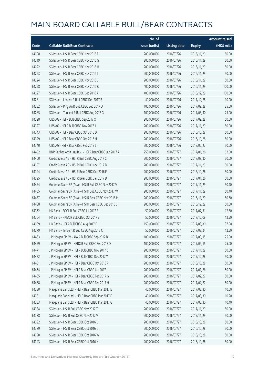|       |                                                          | No. of        |                     |               | <b>Amount raised</b> |
|-------|----------------------------------------------------------|---------------|---------------------|---------------|----------------------|
| Code  | <b>Callable Bull/Bear Contracts</b>                      | issue (units) | <b>Listing date</b> | <b>Expiry</b> | (HK\$ mil.)          |
| 64208 | SG Issuer - HSI R Bear CBBC Nov 2016 F                   | 200,000,000   | 2016/07/26          | 2016/11/29    | 50.00                |
| 64219 | SG Issuer - HSI R Bear CBBC Nov 2016 G                   | 200,000,000   | 2016/07/26          | 2016/11/29    | 50.00                |
| 64222 | SG Issuer - HSI R Bear CBBC Nov 2016 H                   | 200,000,000   | 2016/07/26          | 2016/11/29    | 50.00                |
| 64223 | SG Issuer - HSI R Bear CBBC Nov 2016 I                   | 200,000,000   | 2016/07/26          | 2016/11/29    | 50.00                |
| 64224 | SG Issuer - HSI R Bear CBBC Nov 2016 J                   | 200,000,000   | 2016/07/26          | 2016/11/29    | 50.00                |
| 64228 | SG Issuer - HSI R Bear CBBC Nov 2016 K                   | 400,000,000   | 2016/07/26          | 2016/11/29    | 100.00               |
| 64227 | SG Issuer - HSI R Bear CBBC Dec 2016 A                   | 400,000,000   | 2016/07/26          | 2016/12/29    | 100.00               |
| 64281 | SG Issuer - Lenovo R Bull CBBC Dec 2017 B                | 40,000,000    | 2016/07/26          | 2017/12/28    | 10.00                |
| 64282 | SG Issuer - Ping An R Bull CBBC Sep 2017 D               | 100,000,000   | 2016/07/26          | 2017/09/28    | 25.00                |
| 64285 | SG Issuer - Tencent R Bull CBBC Aug 2017 G               | 100,000,000   | 2016/07/26          | 2017/08/30    | 25.00                |
| 64328 | UBS AG - HSI R Bull CBBC Sep 2017 X                      | 200,000,000   | 2016/07/26          | 2017/09/28    | 50.00                |
| 64327 | UBS AG - HSI R Bull CBBC Nov 2017 J                      | 200,000,000   | 2016/07/26          | 2017/11/29    | 50.00                |
| 64343 | UBS AG - HSI R Bear CBBC Oct 2016 D                      | 200,000,000   | 2016/07/26          | 2016/10/28    | 50.00                |
| 64329 | UBS AG - HSI R Bear CBBC Oct 2016 H                      | 200,000,000   | 2016/07/26          | 2016/10/28    | 50.00                |
| 64340 | UBS AG - HSI R Bear CBBC Feb 2017 L                      | 200,000,000   | 2016/07/26          | 2017/02/27    | 50.00                |
| 64452 | BNP Paribas Arbit Issu B.V. - HSI R Bear CBBC Jan 2017 A | 250,000,000   | 2016/07/27          | 2017/01/26    | 62.50                |
| 64400 | Credit Suisse AG - HSI R Bull CBBC Aug 2017 C            | 200,000,000   | 2016/07/27          | 2017/08/30    | 50.00                |
| 64397 | Credit Suisse AG - HSI R Bull CBBC Nov 2017 B            | 200,000,000   | 2016/07/27          | 2017/11/29    | 50.00                |
| 64394 | Credit Suisse AG - HSI R Bear CBBC Oct 2016 F            | 200,000,000   | 2016/07/27          | 2016/10/28    | 50.00                |
| 64395 | Credit Suisse AG - HSI R Bear CBBC Jan 2017 D            | 200,000,000   | 2016/07/27          | 2017/01/26    | 50.00                |
| 64454 | Goldman Sachs SP (Asia) - HSI R Bull CBBC Nov 2017 V     | 200,000,000   | 2016/07/27          | 2017/11/29    | 50.40                |
| 64455 | Goldman Sachs SP (Asia) - HSI R Bull CBBC Nov 2017 W     | 200,000,000   | 2016/07/27          | 2017/11/29    | 50.40                |
| 64457 | Goldman Sachs SP (Asia) - HSI R Bear CBBC Nov 2016 H     | 200,000,000   | 2016/07/27          | 2016/11/29    | 50.60                |
| 64458 | Goldman Sachs SP (Asia) - HSI R Bear CBBC Dec 2016 C     | 200,000,000   | 2016/07/27          | 2016/12/29    | 50.80                |
| 64362 | HK Bank - BOCL R Bull CBBC Jul 2017 B                    | 50,000,000    | 2016/07/27          | 2017/07/31    | 12.50                |
| 64364 | HK Bank - HKEX R Bull CBBC Oct 2017 B                    | 50,000,000    | 2016/07/27          | 2017/10/09    | 12.50                |
| 64369 | HK Bank - HSI R Bull CBBC Aug 2017 E                     | 150,000,000   | 2016/07/27          | 2017/08/30    | 37.50                |
| 64379 | HK Bank - Tencent R Bull CBBC Aug 2017 C                 | 50,000,000    | 2016/07/27          | 2017/08/24    | 12.50                |
| 64463 | J P Morgan SP BV - AIA R Bull CBBC Sep 2017 B            | 100,000,000   | 2016/07/27          | 2017/09/15    | 25.00                |
| 64459 | J P Morgan SP BV - HSBC R Bull CBBC Sep 2017 D           | 100,000,000   | 2016/07/27          | 2017/09/15    | 25.00                |
| 64471 | J P Morgan SP BV - HSI R Bull CBBC Nov 2017 E            | 200,000,000   | 2016/07/27          | 2017/11/29    | 50.00                |
| 64472 | J P Morgan SP BV - HSI R Bull CBBC Dec 2017 Y            | 200,000,000   | 2016/07/27          | 2017/12/28    | 50.00                |
| 64451 | JP Morgan SP BV - HSIR Bear CBBC Oct 2016 P              | 200,000,000   | 2016/07/27          | 2016/10/28    | 50.00                |
| 64464 | JP Morgan SP BV - HSIR Bear CBBC Jan 2017 I              | 200,000,000   | 2016/07/27          | 2017/01/26    | 50.00                |
| 64465 | J P Morgan SP BV - HSI R Bear CBBC Feb 2017 G            | 200,000,000   | 2016/07/27          | 2017/02/27    | 50.00                |
| 64468 | J P Morgan SP BV - HSI R Bear CBBC Feb 2017 H            | 200,000,000   | 2016/07/27          | 2017/02/27    | 50.00                |
| 64380 | Macquarie Bank Ltd. - HSI R Bear CBBC Mar 2017 E         | 40,000,000    | 2016/07/27          | 2017/03/30    | 10.00                |
| 64381 | Macquarie Bank Ltd. - HSI R Bear CBBC Mar 2017 F         | 40,000,000    | 2016/07/27          | 2017/03/30    | 10.20                |
| 64383 | Macquarie Bank Ltd. - HSI R Bear CBBC Mar 2017 G         | 40,000,000    | 2016/07/27          | 2017/03/30    | 10.40                |
| 64384 | SG Issuer - HSI R Bull CBBC Nov 2017 T                   | 200,000,000   | 2016/07/27          | 2017/11/29    | 50.00                |
| 64388 | SG Issuer - HSI R Bull CBBC Nov 2017 V                   | 200,000,000   | 2016/07/27          | 2017/11/29    | 50.00                |
| 64392 | SG Issuer - HSI R Bear CBBC Oct 2016 D                   | 200,000,000   | 2016/07/27          | 2016/10/28    | 50.00                |
| 64389 | SG Issuer - HSI R Bear CBBC Oct 2016 U                   | 200,000,000   | 2016/07/27          | 2016/10/28    | 50.00                |
| 64390 | SG Issuer - HSI R Bear CBBC Oct 2016 W                   | 200,000,000   | 2016/07/27          | 2016/10/28    | 50.00                |
| 64393 | SG Issuer - HSI R Bear CBBC Oct 2016 X                   | 200,000,000   | 2016/07/27          | 2016/10/28    | 50.00                |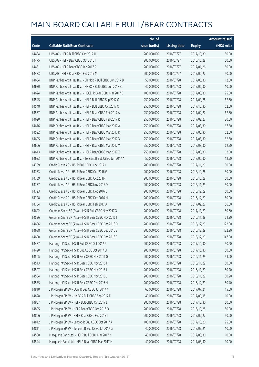|       |                                                              | No. of        |                     |               | <b>Amount raised</b>  |
|-------|--------------------------------------------------------------|---------------|---------------------|---------------|-----------------------|
| Code  | <b>Callable Bull/Bear Contracts</b>                          | issue (units) | <b>Listing date</b> | <b>Expiry</b> | $(HK\frac{1}{2}mil.)$ |
| 64484 | UBS AG - HSI R Bull CBBC Oct 2017 H                          | 200,000,000   | 2016/07/27          | 2017/10/30    | 50.00                 |
| 64475 | UBS AG - HSI R Bear CBBC Oct 2016 I                          | 200,000,000   | 2016/07/27          | 2016/10/28    | 50.00                 |
| 64481 | UBS AG - HSI R Bear CBBC Jan 2017 R                          | 200,000,000   | 2016/07/27          | 2017/01/26    | 50.00                 |
| 64483 | UBS AG - HSI R Bear CBBC Feb 2017 M                          | 200,000,000   | 2016/07/27          | 2017/02/27    | 50.00                 |
| 64634 | BNP Paribas Arbit Issu B.V. - Ch Mob R Bull CBBC Jun 2017 B  | 50,000,000    | 2016/07/28          | 2017/06/30    | 12.50                 |
| 64630 | BNP Paribas Arbit Issu B.V. - HKEX R Bull CBBC Jun 2017 B    | 40,000,000    | 2016/07/28          | 2017/06/30    | 10.00                 |
| 64624 | BNP Paribas Arbit Issu B.V. - HSCEI R Bear CBBC Mar 2017 E   | 100,000,000   | 2016/07/28          | 2017/03/30    | 25.00                 |
| 64545 | BNP Paribas Arbit Issu B.V. - HSI R Bull CBBC Sep 2017 O     | 250,000,000   | 2016/07/28          | 2017/09/28    | 62.50                 |
| 64548 | BNP Paribas Arbit Issu B.V. - HSI R Bull CBBC Oct 2017 O     | 250,000,000   | 2016/07/28          | 2017/10/30    | 62.50                 |
| 64537 | BNP Paribas Arbit Issu B.V. - HSI R Bear CBBC Feb 2017 A     | 250,000,000   | 2016/07/28          | 2017/02/27    | 62.50                 |
| 64620 | BNP Paribas Arbit Issu B.V. - HSI R Bear CBBC Feb 2017 R     | 250,000,000   | 2016/07/28          | 2017/02/27    | 80.00                 |
| 64616 | BNP Paribas Arbit Issu B.V. - HSI R Bear CBBC Mar 2017 A     | 250,000,000   | 2016/07/28          | 2017/03/30    | 67.50                 |
| 64592 | BNP Paribas Arbit Issu B.V. - HSI R Bear CBBC Mar 2017 R     | 250,000,000   | 2016/07/28          | 2017/03/30    | 62.50                 |
| 64605 | BNP Paribas Arbit Issu B.V. - HSI R Bear CBBC Mar 2017 X     | 250,000,000   | 2016/07/28          | 2017/03/30    | 62.50                 |
| 64606 | BNP Paribas Arbit Issu B.V. - HSI R Bear CBBC Mar 2017 Y     | 250,000,000   | 2016/07/28          | 2017/03/30    | 62.50                 |
| 64613 | BNP Paribas Arbit Issu B.V. - HSI R Bear CBBC Mar 2017 Z     | 250,000,000   | 2016/07/28          | 2017/03/30    | 62.50                 |
| 64633 | BNP Paribas Arbit Issu B.V. - Tencent R Bull CBBC Jun 2017 A | 50,000,000    | 2016/07/28          | 2017/06/30    | 12.50                 |
| 64769 | Credit Suisse AG - HSI R Bull CBBC Nov 2017 C                | 200,000,000   | 2016/07/28          | 2017/11/29    | 50.00                 |
| 64733 | Credit Suisse AG - HSI R Bear CBBC Oct 2016 G                | 200,000,000   | 2016/07/28          | 2016/10/28    | 50.00                 |
| 64759 | Credit Suisse AG - HSI R Bear CBBC Oct 2016 T                | 200,000,000   | 2016/07/28          | 2016/10/28    | 50.00                 |
| 64737 | Credit Suisse AG - HSI R Bear CBBC Nov 2016 D                | 200,000,000   | 2016/07/28          | 2016/11/29    | 50.00                 |
| 64723 | Credit Suisse AG - HSI R Bear CBBC Dec 2016 L                | 200,000,000   | 2016/07/28          | 2016/12/29    | 50.00                 |
| 64728 | Credit Suisse AG - HSI R Bear CBBC Dec 2016 M                | 200,000,000   | 2016/07/28          | 2016/12/29    | 50.00                 |
| 64704 | Credit Suisse AG - HSI R Bear CBBC Feb 2017 A                | 200,000,000   | 2016/07/28          | 2017/02/27    | 56.00                 |
| 64692 | Goldman Sachs SP (Asia) - HSI R Bull CBBC Nov 2017 X         | 200,000,000   | 2016/07/28          | 2017/11/29    | 50.60                 |
| 64536 | Goldman Sachs SP (Asia) - HSI R Bear CBBC Nov 2016 I         | 200,000,000   | 2016/07/28          | 2016/11/29    | 51.20                 |
| 64686 | Goldman Sachs SP (Asia) - HSI R Bear CBBC Dec 2016 D         | 200,000,000   | 2016/07/28          | 2016/12/29    | 122.80                |
| 64688 | Goldman Sachs SP (Asia) - HSI R Bear CBBC Dec 2016 E         | 200,000,000   | 2016/07/28          | 2016/12/29    | 132.20                |
| 64690 | Goldman Sachs SP (Asia) - HSI R Bear CBBC Dec 2016 F         | 200,000,000   | 2016/07/28          | 2016/12/29    | 147.00                |
| 64487 | Haitong Int'l Sec - HSI R Bull CBBC Oct 2017 P               | 200,000,000   | 2016/07/28          | 2017/10/30    | 50.60                 |
| 64490 | Haitong Int'l Sec - HSI R Bull CBBC Oct 2017 Q               | 200,000,000   | 2016/07/28          | 2017/10/30    | 50.80                 |
| 64505 | Haitong Int'l Sec - HSI R Bear CBBC Nov 2016 G               | 200,000,000   | 2016/07/28          | 2016/11/29    | 51.00                 |
| 64513 | Haitong Int'l Sec - HSI R Bear CBBC Nov 2016 H               | 200,000,000   | 2016/07/28          | 2016/11/29    | 50.00                 |
| 64527 | Haitong Int'l Sec - HSI R Bear CBBC Nov 2016 I               | 200,000,000   | 2016/07/28          | 2016/11/29    | 50.20                 |
| 64534 | Haitong Int'l Sec - HSI R Bear CBBC Nov 2016 J               | 200,000,000   | 2016/07/28          | 2016/11/29    | 50.20                 |
| 64535 | Haitong Int'l Sec - HSI R Bear CBBC Dec 2016 H               | 200,000,000   | 2016/07/28          | 2016/12/29    | 50.40                 |
| 64810 | J P Morgan SP BV - CUni R Bull CBBC Jul 2017 A               | 60,000,000    | 2016/07/28          | 2017/07/21    | 15.00                 |
| 64828 | J P Morgan SP BV - HKEX R Bull CBBC Sep 2017 F               | 40,000,000    | 2016/07/28          | 2017/09/15    | 10.00                 |
| 64807 | J P Morgan SP BV - HSI R Bull CBBC Oct 2017 L                | 200,000,000   | 2016/07/28          | 2017/10/30    | 50.00                 |
| 64805 | J P Morgan SP BV - HSI R Bear CBBC Oct 2016 O                | 200,000,000   | 2016/07/28          | 2016/10/28    | 50.00                 |
| 64806 | J P Morgan SP BV - HSI R Bear CBBC Feb 2017 I                | 200,000,000   | 2016/07/28          | 2017/02/27    | 50.00                 |
| 64812 | J P Morgan SP BV - Lenovo R Bull CBBC Oct 2017 A             | 100,000,000   | 2016/07/28          | 2017/10/20    | 25.00                 |
| 64811 | J P Morgan SP BV - Tencent R Bull CBBC Jul 2017 G            | 40,000,000    | 2016/07/28          | 2017/07/21    | 10.00                 |
| 64538 | Macquarie Bank Ltd. - HSI R Bull CBBC Mar 2017 N             | 40,000,000    | 2016/07/28          | 2017/03/30    | 10.00                 |
| 64544 | Macquarie Bank Ltd. - HSI R Bear CBBC Mar 2017 H             | 40,000,000    | 2016/07/28          | 2017/03/30    | 10.00                 |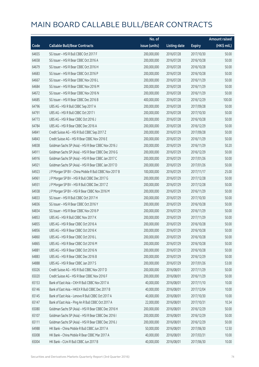|       |                                                        | No. of        |                     |               | <b>Amount raised</b> |
|-------|--------------------------------------------------------|---------------|---------------------|---------------|----------------------|
| Code  | <b>Callable Bull/Bear Contracts</b>                    | issue (units) | <b>Listing date</b> | <b>Expiry</b> | (HK\$ mil.)          |
| 64655 | SG Issuer - HSI R Bull CBBC Oct 2017 F                 | 200,000,000   | 2016/07/28          | 2017/10/30    | 50.00                |
| 64658 | SG Issuer - HSI R Bear CBBC Oct 2016 A                 | 200,000,000   | 2016/07/28          | 2016/10/28    | 50.00                |
| 64679 | SG Issuer - HSI R Bear CBBC Oct 2016 H                 | 200,000,000   | 2016/07/28          | 2016/10/28    | 50.00                |
| 64683 | SG Issuer - HSI R Bear CBBC Oct 2016 P                 | 200,000,000   | 2016/07/28          | 2016/10/28    | 50.00                |
| 64667 | SG Issuer - HSI R Bear CBBC Nov 2016 L                 | 200,000,000   | 2016/07/28          | 2016/11/29    | 50.00                |
| 64684 | SG Issuer - HSI R Bear CBBC Nov 2016 M                 | 200,000,000   | 2016/07/28          | 2016/11/29    | 50.00                |
| 64672 | SG Issuer - HSI R Bear CBBC Nov 2016 N                 | 200,000,000   | 2016/07/28          | 2016/11/29    | 50.00                |
| 64685 | SG Issuer - HSI R Bear CBBC Dec 2016 B                 | 400,000,000   | 2016/07/28          | 2016/12/29    | 100.00               |
| 64796 | UBS AG - HSI R Bull CBBC Sep 2017 A                    | 200,000,000   | 2016/07/28          | 2017/09/28    | 50.00                |
| 64791 | UBS AG - HSI R Bull CBBC Oct 2017 I                    | 200,000,000   | 2016/07/28          | 2017/10/30    | 50.00                |
| 64773 | UBS AG - HSI R Bear CBBC Oct 2016 J                    | 200,000,000   | 2016/07/28          | 2016/10/28    | 50.00                |
| 64784 | UBS AG - HSI R Bear CBBC Dec 2016 A                    | 200,000,000   | 2016/07/28          | 2016/12/29    | 50.00                |
| 64841 | Credit Suisse AG - HSI R Bull CBBC Sep 2017 Z          | 200,000,000   | 2016/07/29          | 2017/09/28    | 50.00                |
| 64843 | Credit Suisse AG - HSI R Bear CBBC Nov 2016 E          | 200,000,000   | 2016/07/29          | 2016/11/29    | 50.00                |
| 64838 | Goldman Sachs SP (Asia) - HSI R Bear CBBC Nov 2016 J   | 200,000,000   | 2016/07/29          | 2016/11/29    | 50.20                |
| 64911 | Goldman Sachs SP (Asia) - HSI R Bear CBBC Dec 2016 G   | 200,000,000   | 2016/07/29          | 2016/12/29    | 50.00                |
| 64916 | Goldman Sachs SP (Asia) - HSI R Bear CBBC Jan 2017 C   | 200,000,000   | 2016/07/29          | 2017/01/26    | 50.00                |
| 64921 | Goldman Sachs SP (Asia) - HSI R Bear CBBC Jan 2017 D   | 200,000,000   | 2016/07/29          | 2017/01/26    | 50.00                |
| 64923 | J P Morgan SP BV - China Mobile R Bull CBBC Nov 2017 B | 100,000,000   | 2016/07/29          | 2017/11/17    | 25.00                |
| 64961 | JP Morgan SP BV - HSIR Bull CBBC Dec 2017 G            | 200,000,000   | 2016/07/29          | 2017/12/28    | 50.00                |
| 64931 | JP Morgan SP BV - HSIR Bull CBBC Dec 2017 Z            | 200,000,000   | 2016/07/29          | 2017/12/28    | 50.00                |
| 64938 | J P Morgan SP BV - HSI R Bear CBBC Nov 2016 M          | 200,000,000   | 2016/07/29          | 2016/11/29    | 50.00                |
| 64833 | SG Issuer - HSI R Bull CBBC Oct 2017 H                 | 200,000,000   | 2016/07/29          | 2017/10/30    | 50.00                |
| 64836 | SG Issuer - HSI R Bear CBBC Oct 2016 Y                 | 200,000,000   | 2016/07/29          | 2016/10/28    | 50.00                |
| 64834 | SG Issuer - HSI R Bear CBBC Nov 2016 P                 | 200,000,000   | 2016/07/29          | 2016/11/29    | 50.00                |
| 64853 | UBS AG - HSI R Bull CBBC Nov 2017 K                    | 200,000,000   | 2016/07/29          | 2017/11/29    | 50.00                |
| 64855 | UBS AG - HSI R Bear CBBC Oct 2016 A                    | 200,000,000   | 2016/07/29          | 2016/10/28    | 50.00                |
| 64856 | UBS AG - HSI R Bear CBBC Oct 2016 K                    | 200,000,000   | 2016/07/29          | 2016/10/28    | 50.00                |
| 64860 | UBS AG - HSI R Bear CBBC Oct 2016 L                    | 200,000,000   | 2016/07/29          | 2016/10/28    | 50.00                |
| 64865 | UBS AG - HSI R Bear CBBC Oct 2016 M                    | 200,000,000   | 2016/07/29          | 2016/10/28    | 50.00                |
| 64881 | UBS AG - HSI R Bear CBBC Oct 2016 N                    | 200,000,000   | 2016/07/29          | 2016/10/28    | 50.00                |
| 64883 | UBS AG - HSI R Bear CBBC Dec 2016 B                    | 200,000,000   | 2016/07/29          | 2016/12/29    | 50.00                |
| 64888 | UBS AG - HSI R Bear CBBC Jan 2017 S                    | 200,000,000   | 2016/07/29          | 2017/01/26    | 53.00                |
| 65026 | Credit Suisse AG - HSI R Bull CBBC Nov 2017 D          | 200,000,000   | 2016/08/01          | 2017/11/29    | 50.00                |
| 65020 | Credit Suisse AG - HSI R Bear CBBC Nov 2016 F          | 200,000,000   | 2016/08/01          | 2016/11/29    | 50.00                |
| 65153 | Bank of East Asia - CKH R Bull CBBC Nov 2017 A         | 40,000,000    | 2016/08/01          | 2017/11/10    | 10.00                |
| 65146 | Bank of East Asia - HKEX R Bull CBBC Dec 2017 B        | 40,000,000    | 2016/08/01          | 2017/12/04    | 10.00                |
| 65145 | Bank of East Asia - Lenovo R Bull CBBC Oct 2017 A      | 40,000,000    | 2016/08/01          | 2017/10/30    | 10.00                |
| 65147 | Bank of East Asia - Ping An R Bull CBBC Oct 2017 A     | 22,000,000    | 2016/08/01          | 2017/10/31    | 10.34                |
| 65080 | Goldman Sachs SP (Asia) - HSI R Bear CBBC Dec 2016 H   | 200,000,000   | 2016/08/01          | 2016/12/29    | 50.00                |
| 65107 | Goldman Sachs SP (Asia) - HSI R Bear CBBC Dec 2016 I   | 200,000,000   | 2016/08/01          | 2016/12/29    | 50.00                |
| 65111 | Goldman Sachs SP (Asia) - HSI R Bear CBBC Dec 2016 J   | 200,000,000   | 2016/08/01          | 2016/12/29    | 50.00                |
| 64988 | HK Bank - China Mobile R Bull CBBC Jun 2017 A          | 50,000,000    | 2016/08/01          | 2017/06/30    | 12.50                |
| 65008 | HK Bank - China Mobile R Bear CBBC Mar 2017 A          | 40,000,000    | 2016/08/01          | 2017/03/31    | 10.00                |
| 65004 | HK Bank - CUni R Bull CBBC Jun 2017 B                  | 40,000,000    | 2016/08/01          | 2017/06/30    | 10.00                |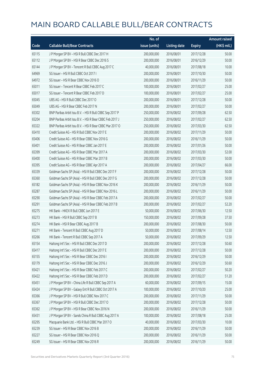|       |                                                          | No. of        |                     |               | Amount raised |
|-------|----------------------------------------------------------|---------------|---------------------|---------------|---------------|
| Code  | <b>Callable Bull/Bear Contracts</b>                      | issue (units) | <b>Listing date</b> | <b>Expiry</b> | (HK\$ mil.)   |
| 65115 | J P Morgan SP BV - HSI R Bull CBBC Dec 2017 H            | 200,000,000   | 2016/08/01          | 2017/12/28    | 50.00         |
| 65112 | JP Morgan SP BV - HSIR Bear CBBC Dec 2016 S              | 200,000,000   | 2016/08/01          | 2016/12/29    | 50.00         |
| 65144 | J P Morgan SP BV - Tencent R Bull CBBC Aug 2017 C        | 40,000,000    | 2016/08/01          | 2017/08/18    | 10.00         |
| 64969 | SG Issuer - HSI R Bull CBBC Oct 2017 I                   | 200,000,000   | 2016/08/01          | 2017/10/30    | 50.00         |
| 64972 | SG Issuer - HSI R Bear CBBC Nov 2016 O                   | 200,000,000   | 2016/08/01          | 2016/11/29    | 50.00         |
| 65011 | SG Issuer - Tencent R Bear CBBC Feb 2017 C               | 100,000,000   | 2016/08/01          | 2017/02/27    | 25.00         |
| 65017 | SG Issuer - Tencent R Bear CBBC Feb 2017 D               | 100,000,000   | 2016/08/01          | 2017/02/27    | 25.00         |
| 65045 | UBS AG - HSI R Bull CBBC Dec 2017 O                      | 200,000,000   | 2016/08/01          | 2017/12/28    | 50.00         |
| 65049 | UBS AG - HSI R Bear CBBC Feb 2017 N                      | 200,000,000   | 2016/08/01          | 2017/02/27    | 50.00         |
| 65302 | BNP Paribas Arbit Issu B.V. - HSI R Bull CBBC Sep 2017 P | 250,000,000   | 2016/08/02          | 2017/09/28    | 62.50         |
| 65204 | BNP Paribas Arbit Issu B.V. - HSI R Bear CBBC Feb 2017 J | 250,000,000   | 2016/08/02          | 2017/02/27    | 62.50         |
| 65322 | BNP Paribas Arbit Issu B.V. - HSI R Bear CBBC Mar 2017 O | 250,000,000   | 2016/08/02          | 2017/03/30    | 62.50         |
| 65410 | Credit Suisse AG - HSI R Bull CBBC Nov 2017 E            | 200,000,000   | 2016/08/02          | 2017/11/29    | 50.00         |
| 65406 | Credit Suisse AG - HSI R Bear CBBC Nov 2016 G            | 200,000,000   | 2016/08/02          | 2016/11/29    | 50.00         |
| 65401 | Credit Suisse AG - HSI R Bear CBBC Jan 2017 E            | 200,000,000   | 2016/08/02          | 2017/01/26    | 50.00         |
| 65399 | Credit Suisse AG - HSI R Bear CBBC Mar 2017 A            | 200,000,000   | 2016/08/02          | 2017/03/30    | 52.00         |
| 65400 | Credit Suisse AG - HSI R Bear CBBC Mar 2017 B            | 200,000,000   | 2016/08/02          | 2017/03/30    | 50.00         |
| 65395 | Credit Suisse AG - HSI R Bear CBBC Apr 2017 A            | 200,000,000   | 2016/08/02          | 2017/04/27    | 66.00         |
| 65339 | Goldman Sachs SP (Asia) - HSI R Bull CBBC Dec 2017 F     | 200,000,000   | 2016/08/02          | 2017/12/28    | 50.00         |
| 65360 | Goldman Sachs SP (Asia) - HSI R Bull CBBC Dec 2017 G     | 200,000,000   | 2016/08/02          | 2017/12/28    | 50.00         |
| 65182 | Goldman Sachs SP (Asia) - HSI R Bear CBBC Nov 2016 K     | 200,000,000   | 2016/08/02          | 2016/11/29    | 50.00         |
| 65287 | Goldman Sachs SP (Asia) - HSI R Bear CBBC Nov 2016 L     | 200,000,000   | 2016/08/02          | 2016/11/29    | 50.00         |
| 65290 | Goldman Sachs SP (Asia) - HSI R Bear CBBC Feb 2017 A     | 200,000,000   | 2016/08/02          | 2017/02/27    | 50.00         |
| 65291 | Goldman Sachs SP (Asia) - HSI R Bear CBBC Feb 2017 B     | 200,000,000   | 2016/08/02          | 2017/02/27    | 52.20         |
| 65275 | HK Bank - HKEX R Bull CBBC Jun 2017 E                    | 50,000,000    | 2016/08/02          | 2017/06/30    | 12.50         |
| 65273 | HK Bank - HSI R Bull CBBC Sep 2017 B                     | 150,000,000   | 2016/08/02          | 2017/09/28    | 37.50         |
| 65274 | HK Bank - HSI R Bear CBBC Aug 2017 B                     | 200,000,000   | 2016/08/02          | 2017/08/30    | 50.00         |
| 65271 | HK Bank - Tencent R Bull CBBC Aug 2017 D                 | 50,000,000    | 2016/08/02          | 2017/08/14    | 12.50         |
| 65266 | HK Bank - Tencent R Bull CBBC Sep 2017 A                 | 50,000,000    | 2016/08/02          | 2017/09/29    | 12.50         |
| 65154 | Haitong Int'l Sec - HSI R Bull CBBC Dec 2017 D           | 200,000,000   | 2016/08/02          | 2017/12/28    | 50.60         |
| 65417 | Haitong Int'l Sec - HSI R Bull CBBC Dec 2017 E           | 200,000,000   | 2016/08/02          | 2017/12/28    | 50.00         |
| 65155 | Haitong Int'l Sec - HSI R Bear CBBC Dec 2016 I           | 200,000,000   | 2016/08/02          | 2016/12/29    | 50.00         |
| 65179 | Haitong Int'l Sec - HSI R Bear CBBC Dec 2016 J           | 200,000,000   | 2016/08/02          | 2016/12/29    | 50.60         |
| 65421 | Haitong Int'l Sec - HSI R Bear CBBC Feb 2017 C           | 200,000,000   | 2016/08/02          | 2017/02/27    | 50.20         |
| 65422 | Haitong Int'l Sec - HSI R Bear CBBC Feb 2017 D           | 200,000,000   | 2016/08/02          | 2017/02/27    | 51.20         |
| 65451 | J P Morgan SP BV - China Life R Bull CBBC Sep 2017 A     | 60,000,000    | 2016/08/02          | 2017/09/15    | 15.00         |
| 65424 | J P Morgan SP BV - Galaxy Ent R Bull CBBC Oct 2017 A     | 100,000,000   | 2016/08/02          | 2017/10/20    | 25.00         |
| 65366 | J P Morgan SP BV - HSI R Bull CBBC Nov 2017 C            | 200,000,000   | 2016/08/02          | 2017/11/29    | 50.00         |
| 65367 | J P Morgan SP BV - HSI R Bull CBBC Dec 2017 O            | 200,000,000   | 2016/08/02          | 2017/12/28    | 50.00         |
| 65362 | J P Morgan SP BV - HSI R Bear CBBC Nov 2016 N            | 200,000,000   | 2016/08/02          | 2016/11/29    | 50.00         |
| 65431 | J P Morgan SP BV - Sands China R Bull CBBC Aug 2017 A    | 100,000,000   | 2016/08/02          | 2017/08/18    | 25.00         |
| 65295 | Macquarie Bank Ltd. - HSI R Bull CBBC Mar 2017 O         | 40,000,000    | 2016/08/02          | 2017/03/30    | 10.00         |
| 65239 | SG Issuer - HSI R Bear CBBC Nov 2016 B                   | 200,000,000   | 2016/08/02          | 2016/11/29    | 50.00         |
| 65227 | SG Issuer - HSI R Bear CBBC Nov 2016 Q                   | 200,000,000   | 2016/08/02          | 2016/11/29    | 50.00         |
| 65249 | SG Issuer - HSI R Bear CBBC Nov 2016 R                   | 200,000,000   | 2016/08/02          | 2016/11/29    | 50.00         |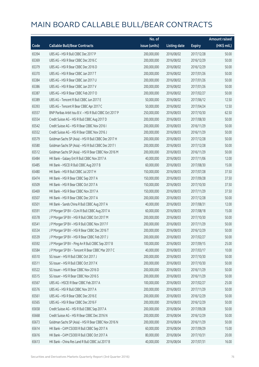|       |                                                          | No. of        |                     |               | <b>Amount raised</b> |
|-------|----------------------------------------------------------|---------------|---------------------|---------------|----------------------|
| Code  | <b>Callable Bull/Bear Contracts</b>                      | issue (units) | <b>Listing date</b> | <b>Expiry</b> | $(HK$$ mil.)         |
| 65394 | UBS AG - HSI R Bull CBBC Dec 2017 P                      | 200,000,000   | 2016/08/02          | 2017/12/28    | 50.00                |
| 65369 | UBS AG - HSI R Bear CBBC Dec 2016 C                      | 200,000,000   | 2016/08/02          | 2016/12/29    | 50.00                |
| 65379 | UBS AG - HSI R Bear CBBC Dec 2016 D                      | 200,000,000   | 2016/08/02          | 2016/12/29    | 50.00                |
| 65370 | UBS AG - HSI R Bear CBBC Jan 2017 T                      | 200,000,000   | 2016/08/02          | 2017/01/26    | 50.00                |
| 65384 | UBS AG - HSI R Bear CBBC Jan 2017 U                      | 200,000,000   | 2016/08/02          | 2017/01/26    | 50.00                |
| 65386 | UBS AG - HSI R Bear CBBC Jan 2017 V                      | 200,000,000   | 2016/08/02          | 2017/01/26    | 50.00                |
| 65387 | UBS AG - HSI R Bear CBBC Feb 2017 O                      | 200,000,000   | 2016/08/02          | 2017/02/27    | 50.00                |
| 65389 | UBS AG - Tencent R Bull CBBC Jun 2017 E                  | 50,000,000    | 2016/08/02          | 2017/06/12    | 12.50                |
| 65393 | UBS AG - Tencent R Bear CBBC Apr 2017 C                  | 50,000,000    | 2016/08/02          | 2017/04/24    | 12.50                |
| 65557 | BNP Paribas Arbit Issu B.V. - HSI R Bull CBBC Oct 2017 P | 250,000,000   | 2016/08/03          | 2017/10/30    | 62.50                |
| 65554 | Credit Suisse AG - HSI R Bull CBBC Aug 2017 D            | 200,000,000   | 2016/08/03          | 2017/08/30    | 50.00                |
| 65542 | Credit Suisse AG - HSI R Bear CBBC Nov 2016 I            | 200,000,000   | 2016/08/03          | 2016/11/29    | 50.00                |
| 65552 | Credit Suisse AG - HSI R Bear CBBC Nov 2016 J            | 200,000,000   | 2016/08/03          | 2016/11/29    | 50.00                |
| 65579 | Goldman Sachs SP (Asia) - HSI R Bull CBBC Dec 2017 H     | 200,000,000   | 2016/08/03          | 2017/12/28    | 50.00                |
| 65580 | Goldman Sachs SP (Asia) - HSI R Bull CBBC Dec 2017 I     | 200,000,000   | 2016/08/03          | 2017/12/28    | 50.00                |
| 65512 | Goldman Sachs SP (Asia) - HSI R Bear CBBC Nov 2016 M     | 200,000,000   | 2016/08/03          | 2016/11/29    | 50.00                |
| 65484 | HK Bank - Galaxy Ent R Bull CBBC Nov 2017 A              | 40,000,000    | 2016/08/03          | 2017/11/06    | 12.00                |
| 65485 | HK Bank - HSCEI R Bull CBBC Aug 2017 B                   | 60,000,000    | 2016/08/03          | 2017/08/30    | 15.00                |
| 65480 | HK Bank - HSI R Bull CBBC Jul 2017 H                     | 150,000,000   | 2016/08/03          | 2017/07/28    | 37.50                |
| 65474 | HK Bank - HSI R Bear CBBC Sep 2017 A                     | 150,000,000   | 2016/08/03          | 2017/09/28    | 37.50                |
| 65509 | HK Bank - HSI R Bear CBBC Oct 2017 A                     | 150,000,000   | 2016/08/03          | 2017/10/30    | 37.50                |
| 65469 | HK Bank - HSI R Bear CBBC Nov 2017 A                     | 150,000,000   | 2016/08/03          | 2017/11/29    | 37.50                |
| 65507 | HK Bank - HSI R Bear CBBC Dec 2017 A                     | 200,000,000   | 2016/08/03          | 2017/12/28    | 50.00                |
| 65501 | HK Bank - Sands China R Bull CBBC Aug 2017 A             | 40,000,000    | 2016/08/03          | 2017/08/31    | 12.00                |
| 65591 | J P Morgan SP BV - CUni R Bull CBBC Aug 2017 A           | 60,000,000    | 2016/08/03          | 2017/08/18    | 15.00                |
| 65578 | J P Morgan SP BV - HSI R Bull CBBC Oct 2017 M            | 200,000,000   | 2016/08/03          | 2017/10/30    | 50.00                |
| 65541 | J P Morgan SP BV - HSI R Bull CBBC Nov 2017 F            | 200,000,000   | 2016/08/03          | 2017/11/29    | 50.00                |
| 65534 | J P Morgan SP BV - HSI R Bear CBBC Dec 2016 T            | 200,000,000   | 2016/08/03          | 2016/12/29    | 50.00                |
| 65539 | J P Morgan SP BV - HSI R Bear CBBC Feb 2017 J            | 200,000,000   | 2016/08/03          | 2017/02/27    | 50.00                |
| 65592 | J P Morgan SP BV - Ping An R Bull CBBC Sep 2017 B        | 100,000,000   | 2016/08/03          | 2017/09/15    | 25.00                |
| 65584 | JP Morgan SP BV - Tencent R Bear CBBC Mar 2017 C         | 40,000,000    | 2016/08/03          | 2017/03/17    | 10.00                |
| 65510 | SG Issuer - HSI R Bull CBBC Oct 2017 J                   | 200,000,000   | 2016/08/03          | 2017/10/30    | 50.00                |
| 65511 | SG Issuer - HSI R Bull CBBC Oct 2017 K                   | 200,000,000   | 2016/08/03          | 2017/10/30    | 50.00                |
| 65522 | SG Issuer - HSI R Bear CBBC Nov 2016 D                   | 200,000,000   | 2016/08/03          | 2016/11/29    | 50.00                |
| 65515 | SG Issuer - HSI R Bear CBBC Nov 2016 S                   | 200,000,000   | 2016/08/03          | 2016/11/29    | 50.00                |
| 65567 | UBS AG - HSCEI R Bear CBBC Feb 2017 A                    | 100,000,000   | 2016/08/03          | 2017/02/27    | 25.00                |
| 65576 | UBS AG - HSI R Bull CBBC Nov 2017 A                      | 200,000,000   | 2016/08/03          | 2017/11/29    | 50.00                |
| 65561 | UBS AG - HSI R Bear CBBC Dec 2016 E                      | 200,000,000   | 2016/08/03          | 2016/12/29    | 50.00                |
| 65565 | UBS AG - HSI R Bear CBBC Dec 2016 F                      | 200,000,000   | 2016/08/03          | 2016/12/29    | 50.00                |
| 65658 | Credit Suisse AG - HSI R Bull CBBC Sep 2017 A            | 200,000,000   | 2016/08/04          | 2017/09/28    | 50.00                |
| 65668 | Credit Suisse AG - HSI R Bear CBBC Dec 2016 N            | 200,000,000   | 2016/08/04          | 2016/12/29    | 50.00                |
| 65673 | Goldman Sachs SP (Asia) - HSI R Bear CBBC Nov 2016 N     | 200,000,000   | 2016/08/04          | 2016/11/29    | 50.00                |
| 65614 | HK Bank - CAM CSI300 R Bull CBBC Sep 2017 A              | 60,000,000    | 2016/08/04          | 2017/09/29    | 15.00                |
| 65616 | HK Bank - CAM CSI300 R Bull CBBC Oct 2017 A              | 80,000,000    | 2016/08/04          | 2017/10/31    | 20.00                |
| 65613 | HK Bank - China Res Land R Bull CBBC Jul 2017 B          | 40,000,000    | 2016/08/04          | 2017/07/31    | 16.00                |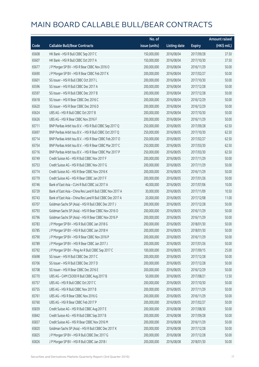|       |                                                           | No. of        |                     |               | <b>Amount raised</b> |
|-------|-----------------------------------------------------------|---------------|---------------------|---------------|----------------------|
| Code  | <b>Callable Bull/Bear Contracts</b>                       | issue (units) | <b>Listing date</b> | <b>Expiry</b> | (HK\$ mil.)          |
| 65608 | HK Bank - HSI R Bull CBBC Sep 2017 C                      | 150,000,000   | 2016/08/04          | 2017/09/28    | 37.50                |
| 65607 | HK Bank - HSI R Bull CBBC Oct 2017 A                      | 150,000,000   | 2016/08/04          | 2017/10/30    | 37.50                |
| 65677 | J P Morgan SP BV - HSI R Bear CBBC Nov 2016 O             | 200,000,000   | 2016/08/04          | 2016/11/29    | 50.00                |
| 65690 | JP Morgan SP BV - HSIR Bear CBBC Feb 2017 K               | 200,000,000   | 2016/08/04          | 2017/02/27    | 50.00                |
| 65601 | SG Issuer - HSI R Bull CBBC Oct 2017 L                    | 200,000,000   | 2016/08/04          | 2017/10/30    | 50.00                |
| 65596 | SG Issuer - HSI R Bull CBBC Dec 2017 A                    | 200,000,000   | 2016/08/04          | 2017/12/28    | 50.00                |
| 65597 | SG Issuer - HSI R Bull CBBC Dec 2017 B                    | 200,000,000   | 2016/08/04          | 2017/12/28    | 50.00                |
| 65618 | SG Issuer - HSI R Bear CBBC Dec 2016 C                    | 200,000,000   | 2016/08/04          | 2016/12/29    | 50.00                |
| 65620 | SG Issuer - HSI R Bear CBBC Dec 2016 D                    | 200,000,000   | 2016/08/04          | 2016/12/29    | 50.00                |
| 65624 | UBS AG - HSI R Bull CBBC Oct 2017 B                       | 200,000,000   | 2016/08/04          | 2017/10/30    | 50.00                |
| 65626 | UBS AG - HSI R Bear CBBC Nov 2016 F                       | 200,000,000   | 2016/08/04          | 2016/11/29    | 50.00                |
| 65711 | BNP Paribas Arbit Issu B.V. - HSI R Bull CBBC Sep 2017 Q  | 250,000,000   | 2016/08/05          | 2017/09/28    | 62.50                |
| 65697 | BNP Paribas Arbit Issu B.V. - HSI R Bull CBBC Oct 2017 Q  | 250,000,000   | 2016/08/05          | 2017/10/30    | 62.50                |
| 65714 | BNP Paribas Arbit Issu B.V. - HSI R Bear CBBC Feb 2017 O  | 250,000,000   | 2016/08/05          | 2017/02/27    | 62.50                |
| 65754 | BNP Paribas Arbit Issu B.V. - HSI R Bear CBBC Mar 2017 C  | 250,000,000   | 2016/08/05          | 2017/03/30    | 62.50                |
| 65716 | BNP Paribas Arbit Issu B.V. - HSI R Bear CBBC Mar 2017 P  | 250,000,000   | 2016/08/05          | 2017/03/30    | 62.50                |
| 65749 | Credit Suisse AG - HSI R Bull CBBC Nov 2017 F             | 200,000,000   | 2016/08/05          | 2017/11/29    | 50.00                |
| 65753 | Credit Suisse AG - HSI R Bull CBBC Nov 2017 G             | 200,000,000   | 2016/08/05          | 2017/11/29    | 50.00                |
| 65774 | Credit Suisse AG - HSI R Bear CBBC Nov 2016 K             | 200,000,000   | 2016/08/05          | 2016/11/29    | 50.00                |
| 65779 | Credit Suisse AG - HSI R Bear CBBC Jan 2017 F             | 200,000,000   | 2016/08/05          | 2017/01/26    | 50.00                |
| 65746 | Bank of East Asia - CUni R Bull CBBC Jul 2017 A           | 40,000,000    | 2016/08/05          | 2017/07/06    | 10.00                |
| 65739 | Bank of East Asia - China Res Land R Bull CBBC Nov 2017 A | 30,000,000    | 2016/08/05          | 2017/11/09    | 10.50                |
| 65743 | Bank of East Asia - China Res Land R Bull CBBC Dec 2017 A | 20,000,000    | 2016/08/05          | 2017/12/08    | 11.00                |
| 65707 | Goldman Sachs SP (Asia) - HSI R Bull CBBC Dec 2017 J      | 200,000,000   | 2016/08/05          | 2017/12/28    | 50.00                |
| 65793 | Goldman Sachs SP (Asia) - HSI R Bear CBBC Nov 2016 O      | 200,000,000   | 2016/08/05          | 2016/11/29    | 50.00                |
| 65796 | Goldman Sachs SP (Asia) - HSI R Bear CBBC Nov 2016 P      | 200,000,000   | 2016/08/05          | 2016/11/29    | 50.00                |
| 65783 | J P Morgan SP BV - HSI R Bull CBBC Jan 2018 G             | 200,000,000   | 2016/08/05          | 2018/01/30    | 50.00                |
| 65785 | J P Morgan SP BV - HSI R Bull CBBC Jan 2018 H             | 200,000,000   | 2016/08/05          | 2018/01/30    | 50.00                |
| 65790 | J P Morgan SP BV - HSI R Bear CBBC Nov 2016 P             | 200,000,000   | 2016/08/05          | 2016/11/29    | 50.00                |
| 65789 | J P Morgan SP BV - HSI R Bear CBBC Jan 2017 J             | 200,000,000   | 2016/08/05          | 2017/01/26    | 50.00                |
| 65792 | J P Morgan SP BV - Ping An R Bull CBBC Sep 2017 C         | 100,000,000   | 2016/08/05          | 2017/09/15    | 25.00                |
| 65698 | SG Issuer - HSI R Bull CBBC Dec 2017 C                    | 200,000,000   | 2016/08/05          | 2017/12/28    | 50.00                |
| 65706 | SG Issuer - HSI R Bull CBBC Dec 2017 D                    | 200,000,000   | 2016/08/05          | 2017/12/28    | 50.00                |
| 65708 | SG Issuer - HSI R Bear CBBC Dec 2016 E                    | 200,000,000   | 2016/08/05          | 2016/12/29    | 50.00                |
| 65770 | UBS AG - CAM CSI300 R Bull CBBC Aug 2017 B                | 50,000,000    | 2016/08/05          | 2017/08/21    | 12.50                |
| 65757 | UBS AG - HSI R Bull CBBC Oct 2017 C                       | 200,000,000   | 2016/08/05          | 2017/10/30    | 50.00                |
| 65755 | UBS AG - HSI R Bull CBBC Nov 2017 B                       | 200,000,000   | 2016/08/05          | 2017/11/29    | 50.00                |
| 65761 | UBS AG - HSI R Bear CBBC Nov 2016 G                       | 200,000,000   | 2016/08/05          | 2016/11/29    | 50.00                |
| 65760 | UBS AG - HSI R Bear CBBC Feb 2017 P                       | 200,000,000   | 2016/08/05          | 2017/02/27    | 50.00                |
| 65839 | Credit Suisse AG - HSI R Bull CBBC Aug 2017 E             | 200,000,000   | 2016/08/08          | 2017/08/30    | 50.00                |
| 65842 | Credit Suisse AG - HSI R Bull CBBC Sep 2017 B             | 200,000,000   | 2016/08/08          | 2017/09/28    | 50.00                |
| 65837 | Credit Suisse AG - HSI R Bear CBBC Nov 2016 M             | 200,000,000   | 2016/08/08          | 2016/11/29    | 50.00                |
| 65820 | Goldman Sachs SP (Asia) - HSI R Bull CBBC Dec 2017 K      | 200,000,000   | 2016/08/08          | 2017/12/28    | 50.00                |
| 65825 | J P Morgan SP BV - HSI R Bull CBBC Dec 2017 G             | 200,000,000   | 2016/08/08          | 2017/12/28    | 50.00                |
| 65826 | J P Morgan SP BV - HSI R Bull CBBC Jan 2018 I             | 200,000,000   | 2016/08/08          | 2018/01/30    | 50.00                |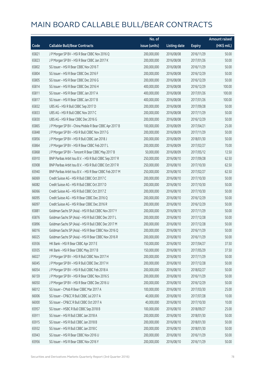|       |                                                          | No. of        |                     |               | Amount raised |
|-------|----------------------------------------------------------|---------------|---------------------|---------------|---------------|
| Code  | <b>Callable Bull/Bear Contracts</b>                      | issue (units) | <b>Listing date</b> | <b>Expiry</b> | (HK\$ mil.)   |
| 65821 | J P Morgan SP BV - HSI R Bear CBBC Nov 2016 Q            | 200,000,000   | 2016/08/08          | 2016/11/29    | 50.00         |
| 65823 | J P Morgan SP BV - HSI R Bear CBBC Jan 2017 K            | 200,000,000   | 2016/08/08          | 2017/01/26    | 50.00         |
| 65802 | SG Issuer - HSI R Bear CBBC Nov 2016 T                   | 200,000,000   | 2016/08/08          | 2016/11/29    | 50.00         |
| 65804 | SG Issuer - HSI R Bear CBBC Dec 2016 F                   | 200,000,000   | 2016/08/08          | 2016/12/29    | 50.00         |
| 65805 | SG Issuer - HSI R Bear CBBC Dec 2016 G                   | 200,000,000   | 2016/08/08          | 2016/12/29    | 50.00         |
| 65814 | SG Issuer - HSI R Bear CBBC Dec 2016 H                   | 400,000,000   | 2016/08/08          | 2016/12/29    | 100.00        |
| 65811 | SG Issuer - HSI R Bear CBBC Jan 2017 A                   | 400,000,000   | 2016/08/08          | 2017/01/26    | 100.00        |
| 65817 | SG Issuer - HSI R Bear CBBC Jan 2017 B                   | 400,000,000   | 2016/08/08          | 2017/01/26    | 100.00        |
| 65832 | UBS AG - HSI R Bull CBBC Sep 2017 D                      | 200,000,000   | 2016/08/08          | 2017/09/28    | 50.00         |
| 65833 | UBS AG - HSI R Bull CBBC Nov 2017 C                      | 200,000,000   | 2016/08/08          | 2017/11/29    | 50.00         |
| 65830 | UBS AG - HSI R Bear CBBC Dec 2016 G                      | 200,000,000   | 2016/08/08          | 2016/12/29    | 50.00         |
| 65865 | J P Morgan SP BV - China Mobile R Bear CBBC Apr 2017 B   | 100,000,000   | 2016/08/09          | 2017/04/21    | 25.00         |
| 65848 | J P Morgan SP BV - HSI R Bull CBBC Nov 2017 G            | 200,000,000   | 2016/08/09          | 2017/11/29    | 50.00         |
| 65856 | JP Morgan SP BV - HSIR Bull CBBC Jan 2018 J              | 200,000,000   | 2016/08/09          | 2018/01/30    | 50.00         |
| 65864 | J P Morgan SP BV - HSI R Bear CBBC Feb 2017 L            | 200,000,000   | 2016/08/09          | 2017/02/27    | 70.00         |
| 65868 | J P Morgan SP BV - Tencent R Bear CBBC May 2017 B        | 50,000,000    | 2016/08/09          | 2017/05/12    | 12.50         |
| 65910 | BNP Paribas Arbit Issu B.V. - HSI R Bull CBBC Sep 2017 R | 250,000,000   | 2016/08/10          | 2017/09/28    | 62.50         |
| 65908 | BNP Paribas Arbit Issu B.V. - HSI R Bull CBBC Oct 2017 R | 250,000,000   | 2016/08/10          | 2017/10/30    | 62.50         |
| 65940 | BNP Paribas Arbit Issu B.V. - HSI R Bear CBBC Feb 2017 M | 250,000,000   | 2016/08/10          | 2017/02/27    | 62.50         |
| 66069 | Credit Suisse AG - HSI R Bull CBBC Oct 2017 C            | 200,000,000   | 2016/08/10          | 2017/10/30    | 50.00         |
| 66082 | Credit Suisse AG - HSI R Bull CBBC Oct 2017 D            | 200,000,000   | 2016/08/10          | 2017/10/30    | 50.00         |
| 66066 | Credit Suisse AG - HSI R Bull CBBC Oct 2017 Z            | 200,000,000   | 2016/08/10          | 2017/10/30    | 50.00         |
| 66095 | Credit Suisse AG - HSI R Bear CBBC Dec 2016 Q            | 200,000,000   | 2016/08/10          | 2016/12/29    | 50.00         |
| 66097 | Credit Suisse AG - HSI R Bear CBBC Dec 2016 R            | 200,000,000   | 2016/08/10          | 2016/12/29    | 50.00         |
| 65881 | Goldman Sachs SP (Asia) - HSI R Bull CBBC Nov 2017 Y     | 200,000,000   | 2016/08/10          | 2017/11/29    | 50.00         |
| 65876 | Goldman Sachs SP (Asia) - HSI R Bull CBBC Dec 2017 L     | 200,000,000   | 2016/08/10          | 2017/12/28    | 50.00         |
| 65896 | Goldman Sachs SP (Asia) - HSI R Bull CBBC Dec 2017 M     | 200,000,000   | 2016/08/10          | 2017/12/28    | 50.00         |
| 66016 | Goldman Sachs SP (Asia) - HSI R Bear CBBC Nov 2016 Q     | 200,000,000   | 2016/08/10          | 2016/11/29    | 50.00         |
| 66025 | Goldman Sachs SP (Asia) - HSI R Bear CBBC Nov 2016 R     | 200,000,000   | 2016/08/10          | 2016/11/29    | 50.00         |
| 65936 | HK Bank - HSI R Bear CBBC Apr 2017 E                     | 150,000,000   | 2016/08/10          | 2017/04/27    | 37.50         |
| 65935 | HK Bank - HSI R Bear CBBC May 2017 B                     | 150,000,000   | 2016/08/10          | 2017/05/29    | 37.50         |
| 66027 | J P Morgan SP BV - HSI R Bull CBBC Nov 2017 H            | 200,000,000   | 2016/08/10          | 2017/11/29    | 50.00         |
| 66045 | J P Morgan SP BV - HSI R Bull CBBC Dec 2017 H            | 200,000,000   | 2016/08/10          | 2017/12/28    | 50.00         |
| 66054 | J P Morgan SP BV - HSI R Bull CBBC Feb 2018 A            | 200,000,000   | 2016/08/10          | 2018/02/27    | 50.00         |
| 66159 | J P Morgan SP BV - HSI R Bear CBBC Nov 2016 S            | 200,000,000   | 2016/08/10          | 2016/11/29    | 50.00         |
| 66050 | J P Morgan SP BV - HSI R Bear CBBC Dec 2016 U            | 200,000,000   | 2016/08/10          | 2016/12/29    | 50.00         |
| 66012 | SG Issuer - CMob R Bear CBBC Mar 2017 A                  | 100,000,000   | 2016/08/10          | 2017/03/30    | 25.00         |
| 66006 | SG Issuer - CP&CC R Bull CBBC Jul 2017 A                 | 40,000,000    | 2016/08/10          | 2017/07/28    | 10.00         |
| 66000 | SG Issuer - CP&CC R Bull CBBC Oct 2017 A                 | 40,000,000    | 2016/08/10          | 2017/10/30    | 10.00         |
| 65957 | SG Issuer - HSBC R Bull CBBC Sep 2018 B                  | 100,000,000   | 2016/08/10          | 2018/09/27    | 25.00         |
| 65911 | SG Issuer - HSI R Bull CBBC Jan 2018 A                   | 200,000,000   | 2016/08/10          | 2018/01/30    | 50.00         |
| 65915 | SG Issuer - HSI R Bull CBBC Jan 2018 B                   | 200,000,000   | 2016/08/10          | 2018/01/30    | 50.00         |
| 65932 | SG Issuer - HSI R Bull CBBC Jan 2018 C                   | 200,000,000   | 2016/08/10          | 2018/01/30    | 50.00         |
| 65943 | SG Issuer - HSI R Bear CBBC Nov 2016 U                   | 200,000,000   | 2016/08/10          | 2016/11/29    | 50.00         |
| 65956 | SG Issuer - HSI R Bear CBBC Nov 2016 Y                   | 200,000,000   | 2016/08/10          | 2016/11/29    | 50.00         |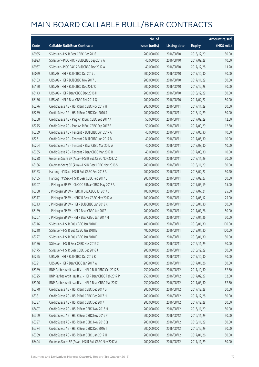|       |                                                          | No. of        |                     |               | <b>Amount raised</b> |
|-------|----------------------------------------------------------|---------------|---------------------|---------------|----------------------|
| Code  | <b>Callable Bull/Bear Contracts</b>                      | issue (units) | <b>Listing date</b> | <b>Expiry</b> | (HK\$ mil.)          |
| 65955 | SG Issuer - HSI R Bear CBBC Dec 2016 I                   | 200,000,000   | 2016/08/10          | 2016/12/29    | 50.00                |
| 65993 | SG Issuer - PICC P&C R Bull CBBC Sep 2017 A              | 40,000,000    | 2016/08/10          | 2017/09/28    | 10.00                |
| 65967 | SG Issuer - PICC P&C R Bull CBBC Dec 2017 A              | 40,000,000    | 2016/08/10          | 2017/12/28    | 11.20                |
| 66099 | UBS AG - HSI R Bull CBBC Oct 2017 J                      | 200,000,000   | 2016/08/10          | 2017/10/30    | 50.00                |
| 66103 | UBS AG - HSI R Bull CBBC Nov 2017 L                      | 200,000,000   | 2016/08/10          | 2017/11/29    | 50.00                |
| 66120 | UBS AG - HSI R Bull CBBC Dec 2017 Q                      | 200,000,000   | 2016/08/10          | 2017/12/28    | 50.00                |
| 66143 | UBS AG - HSI R Bear CBBC Dec 2016 H                      | 200,000,000   | 2016/08/10          | 2016/12/29    | 50.00                |
| 66136 | UBS AG - HSI R Bear CBBC Feb 2017 Q                      | 200,000,000   | 2016/08/10          | 2017/02/27    | 50.00                |
| 66276 | Credit Suisse AG - HSI R Bull CBBC Nov 2017 H            | 200,000,000   | 2016/08/11          | 2017/11/29    | 50.00                |
| 66239 | Credit Suisse AG - HSI R Bear CBBC Dec 2016 S            | 200,000,000   | 2016/08/11          | 2016/12/29    | 50.00                |
| 66268 | Credit Suisse AG - Ping An R Bull CBBC Sep 2017 A        | 50,000,000    | 2016/08/11          | 2017/09/29    | 12.50                |
| 66275 | Credit Suisse AG - Ping An R Bull CBBC Sep 2017 B        | 50,000,000    | 2016/08/11          | 2017/09/29    | 12.50                |
| 66259 | Credit Suisse AG - Tencent R Bull CBBC Jun 2017 A        | 40,000,000    | 2016/08/11          | 2017/06/30    | 10.00                |
| 66261 | Credit Suisse AG - Tencent R Bull CBBC Jun 2017 B        | 40,000,000    | 2016/08/11          | 2017/06/30    | 10.00                |
| 66264 | Credit Suisse AG - Tencent R Bear CBBC Mar 2017 A        | 40,000,000    | 2016/08/11          | 2017/03/30    | 10.00                |
| 66265 | Credit Suisse AG - Tencent R Bear CBBC Mar 2017 B        | 40,000,000    | 2016/08/11          | 2017/03/30    | 10.00                |
| 66238 | Goldman Sachs SP (Asia) - HSI R Bull CBBC Nov 2017 Z     | 200,000,000   | 2016/08/11          | 2017/11/29    | 50.00                |
| 66166 | Goldman Sachs SP (Asia) - HSI R Bear CBBC Nov 2016 S     | 200,000,000   | 2016/08/11          | 2016/11/29    | 50.00                |
| 66163 | Haitong Int'l Sec - HSI R Bull CBBC Feb 2018 A           | 200,000,000   | 2016/08/11          | 2018/02/27    | 50.20                |
| 66165 | Haitong Int'l Sec - HSI R Bear CBBC Feb 2017 E           | 200,000,000   | 2016/08/11          | 2017/02/27    | 50.00                |
| 66307 | J P Morgan SP BV - CNOOC R Bear CBBC May 2017 A          | 60,000,000    | 2016/08/11          | 2017/05/19    | 15.00                |
| 66308 | J P Morgan SP BV - HSBC R Bull CBBC Jul 2017 C           | 100,000,000   | 2016/08/11          | 2017/07/21    | 25.00                |
| 66317 | J P Morgan SP BV - HSBC R Bear CBBC May 2017 A           | 100,000,000   | 2016/08/11          | 2017/05/12    | 25.00                |
| 66213 | J P Morgan SP BV - HSI R Bull CBBC Jan 2018 K            | 200,000,000   | 2016/08/11          | 2018/01/30    | 50.00                |
| 66189 | J P Morgan SP BV - HSI R Bear CBBC Jan 2017 L            | 200,000,000   | 2016/08/11          | 2017/01/26    | 50.00                |
| 66207 | J P Morgan SP BV - HSI R Bear CBBC Jan 2017 M            | 200,000,000   | 2016/08/11          | 2017/01/26    | 50.00                |
| 66216 | SG Issuer - HSI R Bull CBBC Jan 2018 D                   | 400,000,000   | 2016/08/11          | 2018/01/30    | 100.00               |
| 66218 | SG Issuer - HSLR Bull CBBC Jan 2018 F                    | 400,000,000   | 2016/08/11          | 2018/01/30    | 100.00               |
| 66227 | SG Issuer - HSI R Bull CBBC Jan 2018 F                   | 200,000,000   | 2016/08/11          | 2018/01/30    | 50.00                |
| 66176 | SG Issuer - HSI R Bear CBBC Nov 2016 Z                   | 200,000,000   | 2016/08/11          | 2016/11/29    | 50.00                |
| 66175 | SG Issuer - HSI R Bear CBBC Dec 2016 J                   | 200,000,000   | 2016/08/11          | 2016/12/29    | 50.00                |
| 66295 | UBS AG - HSI R Bull CBBC Oct 2017 K                      | 200,000,000   | 2016/08/11          | 2017/10/30    | 50.00                |
| 66291 | UBS AG - HSI R Bear CBBC Jan 2017 W                      | 200,000,000   | 2016/08/11          | 2017/01/26    | 50.00                |
| 66389 | BNP Paribas Arbit Issu B.V. - HSI R Bull CBBC Oct 2017 S | 250,000,000   | 2016/08/12          | 2017/10/30    | 62.50                |
| 66325 | BNP Paribas Arbit Issu B.V. - HSI R Bear CBBC Feb 2017 P | 250,000,000   | 2016/08/12          | 2017/02/27    | 62.50                |
| 66326 | BNP Paribas Arbit Issu B.V. - HSI R Bear CBBC Mar 2017 J | 250,000,000   | 2016/08/12          | 2017/03/30    | 62.50                |
| 66378 | Credit Suisse AG - HSI R Bull CBBC Dec 2017 G            | 200,000,000   | 2016/08/12          | 2017/12/28    | 50.00                |
| 66381 | Credit Suisse AG - HSI R Bull CBBC Dec 2017 H            | 200,000,000   | 2016/08/12          | 2017/12/28    | 50.00                |
| 66387 | Credit Suisse AG - HSI R Bull CBBC Dec 2017 I            | 200,000,000   | 2016/08/12          | 2017/12/28    | 50.00                |
| 66407 | Credit Suisse AG - HSI R Bear CBBC Nov 2016 H            | 200,000,000   | 2016/08/12          | 2016/11/29    | 50.00                |
| 66369 | Credit Suisse AG - HSI R Bear CBBC Nov 2016 P            | 200,000,000   | 2016/08/12          | 2016/11/29    | 50.00                |
| 66397 | Credit Suisse AG - HSI R Bear CBBC Nov 2016 Q            | 200,000,000   | 2016/08/12          | 2016/11/29    | 50.00                |
| 66374 | Credit Suisse AG - HSI R Bear CBBC Dec 2016 T            | 200,000,000   | 2016/08/12          | 2016/12/29    | 50.00                |
| 66359 | Credit Suisse AG - HSI R Bear CBBC Jan 2017 H            | 200,000,000   | 2016/08/12          | 2017/01/26    | 50.00                |
| 66404 | Goldman Sachs SP (Asia) - HSI R Bull CBBC Nov 2017 A     | 200,000,000   | 2016/08/12          | 2017/11/29    | 50.00                |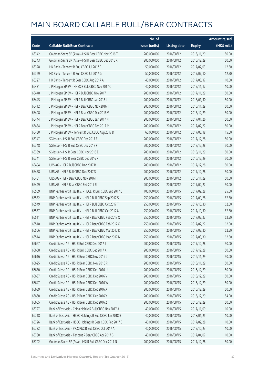|       |                                                            | No. of        |                     |               | Amount raised |
|-------|------------------------------------------------------------|---------------|---------------------|---------------|---------------|
| Code  | <b>Callable Bull/Bear Contracts</b>                        | issue (units) | <b>Listing date</b> | <b>Expiry</b> | (HK\$ mil.)   |
| 66342 | Goldman Sachs SP (Asia) - HSI R Bear CBBC Nov 2016 T       | 200,000,000   | 2016/08/12          | 2016/11/29    | 50.00         |
| 66343 | Goldman Sachs SP (Asia) - HSI R Bear CBBC Dec 2016 K       | 200,000,000   | 2016/08/12          | 2016/12/29    | 50.00         |
| 66328 | HK Bank - Tencent R Bull CBBC Jul 2017 F                   | 50,000,000    | 2016/08/12          | 2017/07/03    | 12.50         |
| 66329 | HK Bank - Tencent R Bull CBBC Jul 2017 G                   | 50,000,000    | 2016/08/12          | 2017/07/10    | 12.50         |
| 66327 | HK Bank - Tencent R Bear CBBC Aug 2017 A                   | 40,000,000    | 2016/08/12          | 2017/08/17    | 10.00         |
| 66431 | J P Morgan SP BV - HKEX R Bull CBBC Nov 2017 C             | 40,000,000    | 2016/08/12          | 2017/11/17    | 10.00         |
| 66448 | J P Morgan SP BV - HSI R Bull CBBC Nov 2017 I              | 200,000,000   | 2016/08/12          | 2017/11/29    | 50.00         |
| 66445 | J P Morgan SP BV - HSI R Bull CBBC Jan 2018 L              | 200,000,000   | 2016/08/12          | 2018/01/30    | 50.00         |
| 66412 | J P Morgan SP BV - HSI R Bear CBBC Nov 2016 T              | 200,000,000   | 2016/08/12          | 2016/11/29    | 50.00         |
| 66408 | J P Morgan SP BV - HSI R Bear CBBC Dec 2016 V              | 200,000,000   | 2016/08/12          | 2016/12/29    | 50.00         |
| 66444 | J P Morgan SP BV - HSI R Bear CBBC Jan 2017 N              | 200,000,000   | 2016/08/12          | 2017/01/26    | 50.00         |
| 66434 | J P Morgan SP BV - HSI R Bear CBBC Feb 2017 M              | 200,000,000   | 2016/08/12          | 2017/02/27    | 50.00         |
| 66430 | J P Morgan SP BV - Tencent R Bull CBBC Aug 2017 D          | 60,000,000    | 2016/08/12          | 2017/08/18    | 15.00         |
| 66347 | SG Issuer - HSI R Bull CBBC Dec 2017 E                     | 200,000,000   | 2016/08/12          | 2017/12/28    | 50.00         |
| 66348 | SG Issuer - HSI R Bull CBBC Dec 2017 F                     | 200,000,000   | 2016/08/12          | 2017/12/28    | 50.00         |
| 66339 | SG Issuer - HSI R Bear CBBC Nov 2016 E                     | 200,000,000   | 2016/08/12          | 2016/11/29    | 50.00         |
| 66341 | SG Issuer - HSI R Bear CBBC Dec 2016 K                     | 200,000,000   | 2016/08/12          | 2016/12/29    | 50.00         |
| 66454 | UBS AG - HSI R Bull CBBC Dec 2017 R                        | 200,000,000   | 2016/08/12          | 2017/12/28    | 50.00         |
| 66458 | UBS AG - HSI R Bull CBBC Dec 2017 S                        | 200,000,000   | 2016/08/12          | 2017/12/28    | 50.00         |
| 66451 | UBS AG - HSI R Bear CBBC Nov 2016 H                        | 200,000,000   | 2016/08/12          | 2016/11/29    | 50.00         |
| 66449 | UBS AG - HSI R Bear CBBC Feb 2017 R                        | 200,000,000   | 2016/08/12          | 2017/02/27    | 50.00         |
| 66569 | BNP Paribas Arbit Issu B.V. - HSCEI R Bull CBBC Sep 2017 B | 100,000,000   | 2016/08/15          | 2017/09/28    | 25.00         |
| 66552 | BNP Paribas Arbit Issu B.V. - HSI R Bull CBBC Sep 2017 S   | 250,000,000   | 2016/08/15          | 2017/09/28    | 62.50         |
| 66549 | BNP Paribas Arbit Issu B.V. - HSI R Bull CBBC Oct 2017 T   | 250,000,000   | 2016/08/15          | 2017/10/30    | 62.50         |
| 66557 | BNP Paribas Arbit Issu B.V. - HSI R Bull CBBC Oct 2017 U   | 250,000,000   | 2016/08/15          | 2017/10/30    | 62.50         |
| 66511 | BNP Paribas Arbit Issu B.V. - HSI R Bear CBBC Feb 2017 Q   | 250,000,000   | 2016/08/15          | 2017/02/27    | 62.50         |
| 66518 | BNP Paribas Arbit Issu B.V. - HSI R Bear CBBC Feb 2017 X   | 250,000,000   | 2016/08/15          | 2017/02/27    | 62.50         |
| 66566 | BNP Paribas Arbit Issu B.V. - HSI R Bear CBBC Mar 2017 D   | 250,000,000   | 2016/08/15          | 2017/03/30    | 62.50         |
| 66514 | BNP Paribas Arbit Issu B.V. - HSI R Bear CBBC Mar 2017 N   | 250,000,000   | 2016/08/15          | 2017/03/30    | 62.50         |
| 66667 | Credit Suisse AG - HSI R Bull CBBC Dec 2017 J              | 200,000,000   | 2016/08/15          | 2017/12/28    | 50.00         |
| 66668 | Credit Suisse AG - HSI R Bull CBBC Dec 2017 K              | 200,000,000   | 2016/08/15          | 2017/12/28    | 50.00         |
| 66616 | Credit Suisse AG - HSI R Bear CBBC Nov 2016 L              | 200,000,000   | 2016/08/15          | 2016/11/29    | 50.00         |
| 66625 | Credit Suisse AG - HSI R Bear CBBC Nov 2016 R              | 200,000,000   | 2016/08/15          | 2016/11/29    | 50.00         |
| 66630 | Credit Suisse AG - HSI R Bear CBBC Dec 2016 U              | 200,000,000   | 2016/08/15          | 2016/12/29    | 50.00         |
| 66637 | Credit Suisse AG - HSI R Bear CBBC Dec 2016 V              | 200,000,000   | 2016/08/15          | 2016/12/29    | 50.00         |
| 66647 | Credit Suisse AG - HSI R Bear CBBC Dec 2016 W              | 200,000,000   | 2016/08/15          | 2016/12/29    | 50.00         |
| 66659 | Credit Suisse AG - HSI R Bear CBBC Dec 2016 X              | 200,000,000   | 2016/08/15          | 2016/12/29    | 50.00         |
| 66660 | Credit Suisse AG - HSI R Bear CBBC Dec 2016 Y              | 200,000,000   | 2016/08/15          | 2016/12/29    | 54.00         |
| 66665 | Credit Suisse AG - HSI R Bear CBBC Dec 2016 Z              | 200,000,000   | 2016/08/15          | 2016/12/29    | 50.00         |
| 66727 | Bank of East Asia - China Mobile R Bull CBBC Nov 2017 A    | 40,000,000    | 2016/08/15          | 2017/11/09    | 10.00         |
| 66718 | Bank of East Asia - HSBC Holdings R Bull CBBC Jan 2018 B   | 40,000,000    | 2016/08/15          | 2018/01/25    | 10.00         |
| 66726 | Bank of East Asia - HSBC Holdings R Bear CBBC Feb 2017 B   | 40,000,000    | 2016/08/15          | 2017/02/28    | 10.00         |
| 66732 | Bank of East Asia - PICC P&C R Bull CBBC Oct 2017 A        | 40,000,000    | 2016/08/15          | 2017/10/23    | 10.00         |
| 66730 | Bank of East Asia - Tencent R Bear CBBC Apr 2017 B         | 40,000,000    | 2016/08/15          | 2017/04/07    | 10.00         |
| 66702 | Goldman Sachs SP (Asia) - HSI R Bull CBBC Dec 2017 N       | 200,000,000   | 2016/08/15          | 2017/12/28    | 50.00         |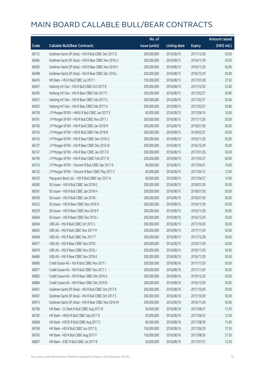|       |                                                      | No. of        |                     |               | <b>Amount raised</b> |
|-------|------------------------------------------------------|---------------|---------------------|---------------|----------------------|
| Code  | <b>Callable Bull/Bear Contracts</b>                  | issue (units) | <b>Listing date</b> | <b>Expiry</b> | (HK\$ mil.)          |
| 66712 | Goldman Sachs SP (Asia) - HSI R Bull CBBC Dec 2017 O | 200,000,000   | 2016/08/15          | 2017/12/28    | 50.00                |
| 66485 | Goldman Sachs SP (Asia) - HSI R Bear CBBC Nov 2016 U | 200,000,000   | 2016/08/15          | 2016/11/29    | 50.00                |
| 66583 | Goldman Sachs SP (Asia) - HSI R Bear CBBC Nov 2016 V | 200,000,000   | 2016/08/15          | 2016/11/29    | 50.00                |
| 66488 | Goldman Sachs SP (Asia) - HSI R Bear CBBC Dec 2016 L | 200,000,000   | 2016/08/15          | 2016/12/29    | 50.00                |
| 66470 | HK Bank - HSI R Bull CBBC Jul 2017 I                 | 150,000,000   | 2016/08/15          | 2017/07/28    | 37.50                |
| 66507 | Haitong Int'l Sec - HSI R Bull CBBC Oct 2017 R       | 200,000,000   | 2016/08/15          | 2017/10/30    | 52.80                |
| 66495 | Haitong Int'l Sec - HSI R Bear CBBC Feb 2017 F       | 200,000,000   | 2016/08/15          | 2017/02/27    | 50.80                |
| 66501 | Haitong Int'l Sec - HSI R Bear CBBC Feb 2017 G       | 200,000,000   | 2016/08/15          | 2017/02/27    | 50.40                |
| 66505 | Haitong Int'l Sec - HSI R Bear CBBC Feb 2017 H       | 200,000,000   | 2016/08/15          | 2017/02/27    | 50.80                |
| 66759 | J P Morgan SP BV - HKEX R Bull CBBC Jun 2017 E       | 40,000,000    | 2016/08/15          | 2017/06/16    | 10.00                |
| 66761 | J P Morgan SP BV - HSI R Bull CBBC Nov 2017 J        | 200,000,000   | 2016/08/15          | 2017/11/29    | 50.00                |
| 66760 | J P Morgan SP BV - HSI R Bull CBBC Jan 2018 M        | 200,000,000   | 2016/08/15          | 2018/01/30    | 50.00                |
| 66763 | J P Morgan SP BV - HSI R Bull CBBC Feb 2018 B        | 200,000,000   | 2016/08/15          | 2018/02/27    | 50.00                |
| 66743 | J P Morgan SP BV - HSI R Bear CBBC Nov 2016 U        | 200,000,000   | 2016/08/15          | 2016/11/29    | 50.00                |
| 66737 | J P Morgan SP BV - HSI R Bear CBBC Dec 2016 W        | 200,000,000   | 2016/08/15          | 2016/12/29    | 50.00                |
| 66747 | J P Morgan SP BV - HSI R Bear CBBC Jan 2017 O        | 200,000,000   | 2016/08/15          | 2017/01/26    | 50.00                |
| 66749 | J P Morgan SP BV - HSI R Bear CBBC Feb 2017 N        | 200,000,000   | 2016/08/15          | 2017/02/27    | 60.00                |
| 66753 | J P Morgan SP BV - Tencent R Bull CBBC Apr 2017 D    | 40,000,000    | 2016/08/15          | 2017/04/21    | 10.00                |
| 66752 | J P Morgan SP BV - Tencent R Bear CBBC May 2017 C    | 40,000,000    | 2016/08/15          | 2017/05/12    | 12.00                |
| 66535 | Macquarie Bank Ltd. - HSI R Bull CBBC Apr 2017 A     | 40,000,000    | 2016/08/15          | 2017/04/27    | 10.00                |
| 66585 | SG Issuer - HSI R Bull CBBC Jan 2018 G               | 200,000,000   | 2016/08/15          | 2018/01/30    | 50.00                |
| 66591 | SG Issuer - HSI R Bull CBBC Jan 2018 H               | 200,000,000   | 2016/08/15          | 2018/01/30    | 50.00                |
| 66599 | SG Issuer - HSI R Bull CBBC Jan 2018 I               | 200,000,000   | 2016/08/15          | 2018/01/30    | 50.00                |
| 66533 | SG Issuer - HSI R Bear CBBC Nov 2016 O               | 200,000,000   | 2016/08/15          | 2016/11/29    | 50.00                |
| 66529 | SG Issuer - HSI R Bear CBBC Nov 2016 P               | 200,000,000   | 2016/08/15          | 2016/11/29    | 50.00                |
| 66604 | SG Issuer - HSI R Bear CBBC Dec 2016 L               | 200,000,000   | 2016/08/15          | 2016/12/29    | 50.00                |
| 66694 | UBS AG - HSI R Bull CBBC Oct 2017 L                  | 200,000,000   | 2016/08/15          | 2017/10/30    | 50.00                |
| 66692 | UBS AG - HSI R Bull CBBC Nov 2017 M                  | 200,000,000   | 2016/08/15          | 2017/11/29    | 50.00                |
| 66698 | UBS AG - HSI R Bull CBBC Dec 2017 T                  | 200,000,000   | 2016/08/15          | 2017/12/28    | 50.00                |
| 66677 | UBS AG - HSI R Bear CBBC Nov 2016 I                  | 200,000,000   | 2016/08/15          | 2016/11/29    | 50.00                |
| 66679 | UBS AG - HSI R Bear CBBC Nov 2016 J                  | 200,000,000   | 2016/08/15          | 2016/11/29    | 50.00                |
| 66686 | UBS AG - HSI R Bear CBBC Nov 2016 K                  | 200,000,000   | 2016/08/15          | 2016/11/29    | 50.00                |
| 66866 | Credit Suisse AG - HSI R Bull CBBC Nov 2017 I        | 200,000,000   | 2016/08/16          | 2017/11/29    | 50.00                |
| 66877 | Credit Suisse AG - HSI R Bull CBBC Nov 2017 J        | 200,000,000   | 2016/08/16          | 2017/11/29    | 50.00                |
| 66883 | Credit Suisse AG - HSI R Bear CBBC Dec 2016 A        | 200,000,000   | 2016/08/16          | 2016/12/29    | 50.00                |
| 66884 | Credit Suisse AG - HSI R Bear CBBC Dec 2016 B        | 200,000,000   | 2016/08/16          | 2016/12/29    | 50.00                |
| 66961 | Goldman Sachs SP (Asia) - HSI R Bull CBBC Oct 2017 R | 200,000,000   | 2016/08/16          | 2017/10/30    | 50.00                |
| 66967 | Goldman Sachs SP (Asia) - HSI R Bull CBBC Oct 2017 S | 200,000,000   | 2016/08/16          | 2017/10/30    | 50.00                |
| 66973 | Goldman Sachs SP (Asia) - HSI R Bear CBBC Nov 2016 W | 200,000,000   | 2016/08/16          | 2016/11/29    | 50.00                |
| 66796 | HK Bank - CC Bank R Bull CBBC Aug 2017 B             | 50,000,000    | 2016/08/16          | 2017/08/31    | 12.50                |
| 66783 | HK Bank - HKEX R Bull CBBC Sep 2017 D                | 50,000,000    | 2016/08/16          | 2017/09/25    | 12.50                |
| 66828 | HK Bank - HSCEI R Bull CBBC Aug 2017 C               | 60,000,000    | 2016/08/16          | 2017/08/30    | 15.00                |
| 66769 | HK Bank - HSI R Bull CBBC Jun 2017 G                 | 150,000,000   | 2016/08/16          | 2017/06/29    | 37.50                |
| 66765 | HK Bank - HSI R Bull CBBC Aug 2017 F                 | 150,000,000   | 2016/08/16          | 2017/08/30    | 37.50                |
| 66807 | HK Bank - ICBC R Bull CBBC Jul 2017 B                | 50,000,000    | 2016/08/16          | 2017/07/31    | 12.50                |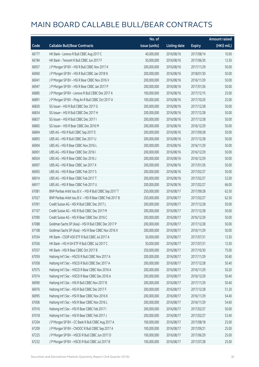|       |                                                          | No. of        |                     |               | Amount raised |
|-------|----------------------------------------------------------|---------------|---------------------|---------------|---------------|
| Code  | <b>Callable Bull/Bear Contracts</b>                      | issue (units) | <b>Listing date</b> | <b>Expiry</b> | (HK\$ mil.)   |
| 66777 | HK Bank - Lenovo R Bull CBBC Aug 2017 C                  | 40,000,000    | 2016/08/16          | 2017/08/14    | 10.00         |
| 66784 | HK Bank - Tencent R Bull CBBC Jun 2017 F                 | 50,000,000    | 2016/08/16          | 2017/06/30    | 12.50         |
| 66957 | J P Morgan SP BV - HSI R Bull CBBC Nov 2017 K            | 200,000,000   | 2016/08/16          | 2017/11/29    | 50.00         |
| 66960 | J P Morgan SP BV - HSI R Bull CBBC Jan 2018 N            | 200,000,000   | 2016/08/16          | 2018/01/30    | 50.00         |
| 66941 | J P Morgan SP BV - HSI R Bear CBBC Nov 2016 V            | 200,000,000   | 2016/08/16          | 2016/11/29    | 50.00         |
| 66947 | J P Morgan SP BV - HSI R Bear CBBC Jan 2017 P            | 200,000,000   | 2016/08/16          | 2017/01/26    | 50.00         |
| 66885 | J P Morgan SP BV - Lenovo R Bull CBBC Dec 2017 A         | 100,000,000   | 2016/08/16          | 2017/12/15    | 25.00         |
| 66891 | J P Morgan SP BV - Ping An R Bull CBBC Oct 2017 A        | 100,000,000   | 2016/08/16          | 2017/10/20    | 25.00         |
| 66830 | SG Issuer - HSI R Bull CBBC Dec 2017 G                   | 200,000,000   | 2016/08/16          | 2017/12/28    | 50.00         |
| 66834 | SG Issuer - HSI R Bull CBBC Dec 2017 H                   | 200,000,000   | 2016/08/16          | 2017/12/28    | 50.00         |
| 66837 | SG Issuer - HSI R Bull CBBC Dec 2017 I                   | 200,000,000   | 2016/08/16          | 2017/12/28    | 50.00         |
| 66865 | SG Issuer - HSI R Bear CBBC Dec 2016 M                   | 200,000,000   | 2016/08/16          | 2016/12/29    | 50.00         |
| 66894 | UBS AG - HSI R Bull CBBC Sep 2017 E                      | 200,000,000   | 2016/08/16          | 2017/09/28    | 50.00         |
| 66893 | UBS AG - HSI R Bull CBBC Dec 2017 U                      | 200,000,000   | 2016/08/16          | 2017/12/28    | 50.00         |
| 66904 | UBS AG - HSI R Bear CBBC Nov 2016 L                      | 200,000,000   | 2016/08/16          | 2016/11/29    | 50.00         |
| 66901 | UBS AG - HSI R Bear CBBC Dec 2016 I                      | 200,000,000   | 2016/08/16          | 2016/12/29    | 50.00         |
| 66924 | UBS AG - HSI R Bear CBBC Dec 2016 J                      | 200,000,000   | 2016/08/16          | 2016/12/29    | 50.00         |
| 66907 | UBS AG - HSI R Bear CBBC Jan 2017 X                      | 200,000,000   | 2016/08/16          | 2017/01/26    | 50.00         |
| 66905 | UBS AG - HSI R Bear CBBC Feb 2017 S                      | 200,000,000   | 2016/08/16          | 2017/02/27    | 50.00         |
| 66914 | UBS AG - HSI R Bear CBBC Feb 2017 T                      | 200,000,000   | 2016/08/16          | 2017/02/27    | 52.00         |
| 66917 | UBS AG - HSI R Bear CBBC Feb 2017 U                      | 200,000,000   | 2016/08/16          | 2017/02/27    | 66.00         |
| 67081 | BNP Paribas Arbit Issu B.V. - HSI R Bull CBBC Sep 2017 T | 250,000,000   | 2016/08/17          | 2017/09/28    | 62.50         |
| 67027 | BNP Paribas Arbit Issu B.V. - HSI R Bear CBBC Feb 2017 B | 250,000,000   | 2016/08/17          | 2017/02/27    | 62.50         |
| 67091 | Credit Suisse AG - HSI R Bull CBBC Dec 2017 L            | 200,000,000   | 2016/08/17          | 2017/12/28    | 50.00         |
| 67107 | Credit Suisse AG - HSI R Bull CBBC Dec 2017 M            | 200,000,000   | 2016/08/17          | 2017/12/28    | 50.00         |
| 67090 | Credit Suisse AG - HSI R Bear CBBC Dec 2016 C            | 200,000,000   | 2016/08/17          | 2016/12/29    | 50.00         |
| 67088 | Goldman Sachs SP (Asia) - HSI R Bull CBBC Dec 2017 P     | 200,000,000   | 2016/08/17          | 2017/12/28    | 50.00         |
| 67108 | Goldman Sachs SP (Asia) - HSI R Bear CBBC Nov 2016 X     | 200,000,000   | 2016/08/17          | 2016/11/29    | 50.00         |
| 67034 | HK Bank - CSOP A50 ETF R Bull CBBC Jul 2017 A            | 50,000,000    | 2016/08/17          | 2017/07/31    | 12.50         |
| 67036 | HK Bank - HS H-SH ETF R Bull CBBC Jul 2017 C             | 50,000,000    | 2016/08/17          | 2017/07/31    | 12.50         |
| 67037 | HK Bank - HSI R Bear CBBC Oct 2017 B                     | 250,000,000   | 2016/08/17          | 2017/10/30    | 75.00         |
| 67059 | Haitong Int'l Sec - HSCEI R Bull CBBC Nov 2017 A         | 200,000,000   | 2016/08/17          | 2017/11/29    | 50.60         |
| 67058 | Haitong Int'l Sec - HSCEI R Bull CBBC Dec 2017 A         | 200,000,000   | 2016/08/17          | 2017/12/28    | 50.40         |
| 67075 | Haitong Int'l Sec - HSCEI R Bear CBBC Nov 2016 A         | 200,000,000   | 2016/08/17          | 2016/11/29    | 50.20         |
| 67074 | Haitong Int'l Sec - HSCEI R Bear CBBC Dec 2016 A         | 200,000,000   | 2016/08/17          | 2016/12/29    | 50.40         |
| 66990 | Haitong Int'l Sec - HSI R Bull CBBC Nov 2017 B           | 200,000,000   | 2016/08/17          | 2017/11/29    | 50.40         |
| 66976 | Haitong Int'l Sec - HSI R Bull CBBC Dec 2017 F           | 200,000,000   | 2016/08/17          | 2017/12/28    | 51.20         |
| 66995 | Haitong Int'l Sec - HSI R Bear CBBC Nov 2016 K           | 200,000,000   | 2016/08/17          | 2016/11/29    | 54.40         |
| 67006 | Haitong Int'l Sec - HSI R Bear CBBC Nov 2016 L           | 200,000,000   | 2016/08/17          | 2016/11/29    | 54.60         |
| 67016 | Haitong Int'l Sec - HSI R Bear CBBC Feb 2017 I           | 200,000,000   | 2016/08/17          | 2017/02/27    | 50.00         |
| 67018 | Haitong Int'l Sec - HSI R Bear CBBC Feb 2017 J           | 200,000,000   | 2016/08/17          | 2017/02/27    | 53.40         |
| 67204 | J P Morgan SP BV - CC Bank R Bull CBBC Aug 2017 A        | 100,000,000   | 2016/08/17          | 2017/08/18    | 25.00         |
| 67209 | J P Morgan SP BV - CNOOC R Bull CBBC Sep 2017 A          | 100,000,000   | 2016/08/17          | 2017/09/21    | 25.00         |
| 67225 | J P Morgan SP BV - HSCEI R Bull CBBC Jun 2017 D          | 100,000,000   | 2016/08/17          | 2017/06/29    | 25.00         |
| 67232 | J P Morgan SP BV - HSCEI R Bull CBBC Jul 2017 B          | 100,000,000   | 2016/08/17          | 2017/07/28    | 25.00         |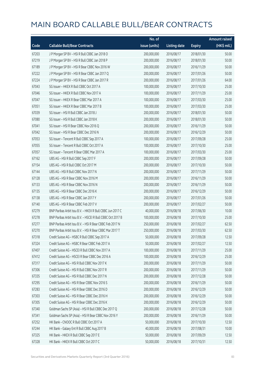|       |                                                            | No. of        |                     |               | <b>Amount raised</b> |
|-------|------------------------------------------------------------|---------------|---------------------|---------------|----------------------|
| Code  | <b>Callable Bull/Bear Contracts</b>                        | issue (units) | <b>Listing date</b> | <b>Expiry</b> | (HK\$ mil.)          |
| 67203 | J P Morgan SP BV - HSI R Bull CBBC Jan 2018 O              | 200,000,000   | 2016/08/17          | 2018/01/30    | 50.00                |
| 67219 | J P Morgan SP BV - HSI R Bull CBBC Jan 2018 P              | 200,000,000   | 2016/08/17          | 2018/01/30    | 50.00                |
| 67189 | J P Morgan SP BV - HSI R Bear CBBC Nov 2016 W              | 200,000,000   | 2016/08/17          | 2016/11/29    | 50.00                |
| 67222 | J P Morgan SP BV - HSI R Bear CBBC Jan 2017 Q              | 200,000,000   | 2016/08/17          | 2017/01/26    | 50.00                |
| 67224 | J P Morgan SP BV - HSI R Bear CBBC Jan 2017 R              | 200,000,000   | 2016/08/17          | 2017/01/26    | 64.00                |
| 67043 | SG Issuer - HKEX R Bull CBBC Oct 2017 A                    | 100,000,000   | 2016/08/17          | 2017/10/30    | 25.00                |
| 67046 | SG Issuer - HKEX R Bull CBBC Nov 2017 A                    | 100,000,000   | 2016/08/17          | 2017/11/29    | 25.00                |
| 67047 | SG Issuer - HKEX R Bear CBBC Mar 2017 A                    | 100,000,000   | 2016/08/17          | 2017/03/30    | 25.00                |
| 67051 | SG Issuer – HKEX R Bear CBBC Mar 2017 B                    | 100,000,000   | 2016/08/17          | 2017/03/30    | 25.00                |
| 67039 | SG Issuer - HSI R Bull CBBC Jan 2018 J                     | 200,000,000   | 2016/08/17          | 2018/01/30    | 50.00                |
| 67080 | SG Issuer - HSI R Bull CBBC Jan 2018 K                     | 200,000,000   | 2016/08/17          | 2018/01/30    | 50.00                |
| 67041 | SG Issuer - HSI R Bear CBBC Nov 2016 Q                     | 200,000,000   | 2016/08/17          | 2016/11/29    | 50.00                |
| 67042 | SG Issuer - HSI R Bear CBBC Dec 2016 N                     | 200,000,000   | 2016/08/17          | 2016/12/29    | 50.00                |
| 67053 | SG Issuer - Tencent R Bull CBBC Sep 2017 A                 | 100,000,000   | 2016/08/17          | 2017/09/28    | 25.00                |
| 67055 | SG Issuer - Tencent R Bull CBBC Oct 2017 A                 | 100,000,000   | 2016/08/17          | 2017/10/30    | 25.00                |
| 67057 | SG Issuer - Tencent R Bear CBBC Mar 2017 A                 | 100,000,000   | 2016/08/17          | 2017/03/30    | 25.00                |
| 67162 | UBS AG - HSI R Bull CBBC Sep 2017 F                        | 200,000,000   | 2016/08/17          | 2017/09/28    | 50.00                |
| 67154 | UBS AG - HSI R Bull CBBC Oct 2017 M                        | 200,000,000   | 2016/08/17          | 2017/10/30    | 50.00                |
| 67144 | UBS AG - HSI R Bull CBBC Nov 2017 N                        | 200,000,000   | 2016/08/17          | 2017/11/29    | 50.00                |
| 67128 | UBS AG - HSI R Bear CBBC Nov 2016 M                        | 200,000,000   | 2016/08/17          | 2016/11/29    | 50.00                |
| 67133 | UBS AG - HSI R Bear CBBC Nov 2016 N                        | 200,000,000   | 2016/08/17          | 2016/11/29    | 50.00                |
| 67135 | UBS AG - HSI R Bear CBBC Dec 2016 K                        | 200,000,000   | 2016/08/17          | 2016/12/29    | 50.00                |
| 67138 | UBS AG - HSI R Bear CBBC Jan 2017 Y                        | 200,000,000   | 2016/08/17          | 2017/01/26    | 50.00                |
| 67140 | UBS AG - HSI R Bear CBBC Feb 2017 V                        | 200,000,000   | 2016/08/17          | 2017/02/27    | 50.00                |
| 67279 | BNP Paribas Arbit Issu B.V. - HKEX R Bull CBBC Jun 2017 C  | 40,000,000    | 2016/08/18          | 2017/06/30    | 10.00                |
| 67278 | BNP Paribas Arbit Issu B.V. - HSCEI R Bull CBBC Oct 2017 B | 100,000,000   | 2016/08/18          | 2017/10/30    | 25.00                |
| 67277 | BNP Paribas Arbit Issu B.V. - HSI R Bear CBBC Feb 2017 N   | 250,000,000   | 2016/08/18          | 2017/02/27    | 62.50                |
| 67270 | BNP Paribas Arbit Issu B.V. - HSI R Bear CBBC Mar 2017 T   | 250,000,000   | 2016/08/18          | 2017/03/30    | 62.50                |
| 67318 | Credit Suisse AG - HSBC R Bull CBBC Sep 2017 A             | 50,000,000    | 2016/08/18          | 2017/09/28    | 12.50                |
| 67324 | Credit Suisse AG - HSBC R Bear CBBC Feb 2017 A             | 50,000,000    | 2016/08/18          | 2017/02/27    | 12.50                |
| 67407 | Credit Suisse AG - HSCEI R Bull CBBC Nov 2017 A            | 100,000,000   | 2016/08/18          | 2017/11/29    | 25.00                |
| 67412 | Credit Suisse AG - HSCEI R Bear CBBC Dec 2016 A            | 100,000,000   | 2016/08/18          | 2016/12/29    | 25.00                |
| 67317 | Credit Suisse AG - HSI R Bull CBBC Nov 2017 K              | 200,000,000   | 2016/08/18          | 2017/11/29    | 50.00                |
| 67306 | Credit Suisse AG - HSI R Bull CBBC Nov 2017 R              | 200,000,000   | 2016/08/18          | 2017/11/29    | 50.00                |
| 67335 | Credit Suisse AG - HSI R Bull CBBC Dec 2017 N              | 200,000,000   | 2016/08/18          | 2017/12/28    | 50.00                |
| 67295 | Credit Suisse AG - HSI R Bear CBBC Nov 2016 S              | 200,000,000   | 2016/08/18          | 2016/11/29    | 50.00                |
| 67283 | Credit Suisse AG - HSI R Bear CBBC Dec 2016 D              | 200,000,000   | 2016/08/18          | 2016/12/29    | 50.00                |
| 67303 | Credit Suisse AG - HSI R Bear CBBC Dec 2016 H              | 200,000,000   | 2016/08/18          | 2016/12/29    | 50.00                |
| 67305 | Credit Suisse AG - HSI R Bear CBBC Dec 2016 K              | 200,000,000   | 2016/08/18          | 2016/12/29    | 50.00                |
| 67340 | Goldman Sachs SP (Asia) - HSI R Bull CBBC Dec 2017 Q       | 200,000,000   | 2016/08/18          | 2017/12/28    | 50.00                |
| 67341 | Goldman Sachs SP (Asia) - HSI R Bear CBBC Nov 2016 Y       | 200,000,000   | 2016/08/18          | 2016/11/29    | 50.00                |
| 67252 | HK Bank - CNOOC R Bull CBBC Oct 2017 A                     | 50,000,000    | 2016/08/18          | 2017/10/30    | 12.50                |
| 67244 | HK Bank - Galaxy Ent R Bull CBBC Aug 2017 B                | 40,000,000    | 2016/08/18          | 2017/08/31    | 10.00                |
| 67325 | HK Bank - HKEX R Bull CBBC Sep 2017 E                      | 50,000,000    | 2016/08/18          | 2017/09/29    | 12.50                |
| 67328 | HK Bank - HKEX R Bull CBBC Oct 2017 C                      | 50,000,000    | 2016/08/18          | 2017/10/31    | 12.50                |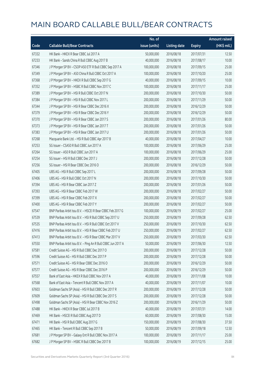|       |                                                              | No. of        |                     |               | <b>Amount raised</b> |
|-------|--------------------------------------------------------------|---------------|---------------------|---------------|----------------------|
| Code  | <b>Callable Bull/Bear Contracts</b>                          | issue (units) | <b>Listing date</b> | <b>Expiry</b> | $(HK$$ mil.)         |
| 67332 | HK Bank - HKEX R Bear CBBC Jul 2017 A                        | 50,000,000    | 2016/08/18          | 2017/07/31    | 12.50                |
| 67233 | HK Bank - Sands China R Bull CBBC Aug 2017 B                 | 40,000,000    | 2016/08/18          | 2017/08/17    | 10.00                |
| 67346 | J P Morgan SP BV - CSOP A50 ETF R Bull CBBC Sep 2017 A       | 100,000,000   | 2016/08/18          | 2017/09/15    | 25.00                |
| 67349 | J P Morgan SP BV - A50 China R Bull CBBC Oct 2017 A          | 100,000,000   | 2016/08/18          | 2017/10/20    | 25.00                |
| 67368 | J P Morgan SP BV - HKEX R Bull CBBC Sep 2017 G               | 40,000,000    | 2016/08/18          | 2017/09/15    | 10.00                |
| 67352 | J P Morgan SP BV - HSBC R Bull CBBC Nov 2017 C               | 100,000,000   | 2016/08/18          | 2017/11/17    | 25.00                |
| 67389 | J P Morgan SP BV - HSI R Bull CBBC Oct 2017 N                | 200,000,000   | 2016/08/18          | 2017/10/30    | 50.00                |
| 67384 | J P Morgan SP BV - HSI R Bull CBBC Nov 2017 L                | 200,000,000   | 2016/08/18          | 2017/11/29    | 50.00                |
| 67344 | J P Morgan SP BV - HSI R Bear CBBC Dec 2016 X                | 200,000,000   | 2016/08/18          | 2016/12/29    | 50.00                |
| 67379 | J P Morgan SP BV - HSI R Bear CBBC Dec 2016 Y                | 200,000,000   | 2016/08/18          | 2016/12/29    | 50.00                |
| 67370 | J P Morgan SP BV - HSI R Bear CBBC Jan 2017 S                | 200,000,000   | 2016/08/18          | 2017/01/26    | 80.00                |
| 67373 | J P Morgan SP BV - HSI R Bear CBBC Jan 2017 T                | 200,000,000   | 2016/08/18          | 2017/01/26    | 50.00                |
| 67383 | J P Morgan SP BV - HSI R Bear CBBC Jan 2017 U                | 200,000,000   | 2016/08/18          | 2017/01/26    | 50.00                |
| 67268 | Macquarie Bank Ltd. - HSI R Bull CBBC Apr 2017 B             | 40,000,000    | 2016/08/18          | 2017/04/27    | 10.00                |
| 67253 | SG Issuer - CSA50 R Bull CBBC Jun 2017 A                     | 100,000,000   | 2016/08/18          | 2017/06/29    | 25.00                |
| 67264 | SG Issuer - A50 R Bull CBBC Jun 2017 A                       | 100,000,000   | 2016/08/18          | 2017/06/29    | 25.00                |
| 67254 | SG Issuer - HSI R Bull CBBC Dec 2017 J                       | 200,000,000   | 2016/08/18          | 2017/12/28    | 50.00                |
| 67256 | SG Issuer - HSI R Bear CBBC Dec 2016 O                       | 200,000,000   | 2016/08/18          | 2016/12/29    | 50.00                |
| 67405 | UBS AG - HSI R Bull CBBC Sep 2017 L                          | 200,000,000   | 2016/08/18          | 2017/09/28    | 50.00                |
| 67406 | UBS AG - HSI R Bull CBBC Oct 2017 N                          | 200,000,000   | 2016/08/18          | 2017/10/30    | 50.00                |
| 67394 | UBS AG - HSI R Bear CBBC Jan 2017 Z                          | 200,000,000   | 2016/08/18          | 2017/01/26    | 50.00                |
| 67393 | UBS AG - HSI R Bear CBBC Feb 2017 W                          | 200,000,000   | 2016/08/18          | 2017/02/27    | 50.00                |
| 67399 | UBS AG - HSI R Bear CBBC Feb 2017 X                          | 200,000,000   | 2016/08/18          | 2017/02/27    | 50.00                |
| 67400 | UBS AG - HSI R Bear CBBC Feb 2017 Y                          | 200,000,000   | 2016/08/18          | 2017/02/27    | 50.00                |
| 67547 | BNP Paribas Arbit Issu B.V. - HSCEI R Bear CBBC Feb 2017 G   | 100,000,000   | 2016/08/19          | 2017/02/27    | 25.00                |
| 67539 | BNP Paribas Arbit Issu B.V. - HSI R Bull CBBC Sep 2017 U     | 250,000,000   | 2016/08/19          | 2017/09/28    | 62.50                |
| 67535 | BNP Paribas Arbit Issu B.V. - HSI R Bull CBBC Oct 2017 V     | 250,000,000   | 2016/08/19          | 2017/10/30    | 62.50                |
| 67416 | BNP Paribas Arbit Issu B.V. - HSI R Bear CBBC Feb 2017 U     | 250,000,000   | 2016/08/19          | 2017/02/27    | 62.50                |
| 67413 | BNP Paribas Arbit Issu B.V. - HSI R Bear CBBC Mar 2017 V     | 250,000,000   | 2016/08/19          | 2017/03/30    | 62.50                |
| 67550 | BNP Paribas Arbit Issu B.V. - Ping An R Bull CBBC Jun 2017 A | 50,000,000    | 2016/08/19          | 2017/06/30    | 12.50                |
| 67581 | Credit Suisse AG - HSI R Bull CBBC Dec 2017 O                | 200,000,000   | 2016/08/19          | 2017/12/28    | 50.00                |
| 67596 | Credit Suisse AG - HSI R Bull CBBC Dec 2017 P                | 200,000,000   | 2016/08/19          | 2017/12/28    | 50.00                |
| 67571 | Credit Suisse AG - HSI R Bear CBBC Dec 2016 O                | 200,000,000   | 2016/08/19          | 2016/12/29    | 50.00                |
| 67577 | Credit Suisse AG - HSI R Bear CBBC Dec 2016 P                | 200,000,000   | 2016/08/19          | 2016/12/29    | 50.00                |
| 67557 | Bank of East Asia - HKEX R Bull CBBC Nov 2017 A              | 40,000,000    | 2016/08/19          | 2017/11/08    | 10.00                |
| 67568 | Bank of East Asia - Tencent R Bull CBBC Nov 2017 A           | 40,000,000    | 2016/08/19          | 2017/11/07    | 10.00                |
| 67603 | Goldman Sachs SP (Asia) - HSI R Bull CBBC Dec 2017 R         | 200,000,000   | 2016/08/19          | 2017/12/28    | 50.00                |
| 67609 | Goldman Sachs SP (Asia) - HSI R Bull CBBC Dec 2017 S         | 200,000,000   | 2016/08/19          | 2017/12/28    | 50.00                |
| 67498 | Goldman Sachs SP (Asia) - HSI R Bear CBBC Nov 2016 Z         | 200,000,000   | 2016/08/19          | 2016/11/29    | 50.00                |
| 67488 | HK Bank - HKEX R Bear CBBC Jul 2017 B                        | 40,000,000    | 2016/08/19          | 2017/07/31    | 14.00                |
| 67469 | HK Bank - HSCEI R Bull CBBC Aug 2017 D                       | 60,000,000    | 2016/08/19          | 2017/08/30    | 15.00                |
| 67471 | HK Bank - HSI R Bull CBBC Aug 2017 G                         | 150,000,000   | 2016/08/19          | 2017/08/30    | 37.50                |
| 67465 | HK Bank - Tencent R Bull CBBC Sep 2017 B                     | 50,000,000    | 2016/08/19          | 2017/09/18    | 12.50                |
| 67681 | J P Morgan SP BV - Galaxy Ent R Bull CBBC Nov 2017 A         | 100,000,000   | 2016/08/19          | 2017/11/17    | 25.00                |
| 67682 | J P Morgan SP BV - HSBC R Bull CBBC Dec 2017 B               | 100,000,000   | 2016/08/19          | 2017/12/15    | 25.00                |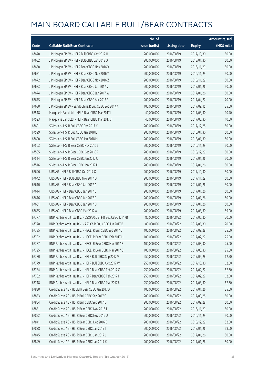|       |                                                               | No. of        |                     |               | Amount raised |
|-------|---------------------------------------------------------------|---------------|---------------------|---------------|---------------|
| Code  | <b>Callable Bull/Bear Contracts</b>                           | issue (units) | <b>Listing date</b> | <b>Expiry</b> | (HK\$ mil.)   |
| 67670 | J P Morgan SP BV - HSI R Bull CBBC Oct 2017 H                 | 200,000,000   | 2016/08/19          | 2017/10/30    | 50.00         |
| 67652 | J P Morgan SP BV - HSI R Bull CBBC Jan 2018 Q                 | 200,000,000   | 2016/08/19          | 2018/01/30    | 50.00         |
| 67650 | J P Morgan SP BV - HSI R Bear CBBC Nov 2016 X                 | 200,000,000   | 2016/08/19          | 2016/11/29    | 80.00         |
| 67671 | J P Morgan SP BV - HSI R Bear CBBC Nov 2016 Y                 | 200,000,000   | 2016/08/19          | 2016/11/29    | 50.00         |
| 67672 | J P Morgan SP BV - HSI R Bear CBBC Nov 2016 Z                 | 200,000,000   | 2016/08/19          | 2016/11/29    | 50.00         |
| 67673 | J P Morgan SP BV - HSI R Bear CBBC Jan 2017 V                 | 200,000,000   | 2016/08/19          | 2017/01/26    | 50.00         |
| 67674 | J P Morgan SP BV - HSI R Bear CBBC Jan 2017 W                 | 200,000,000   | 2016/08/19          | 2017/01/26    | 50.00         |
| 67675 | J P Morgan SP BV - HSI R Bear CBBC Apr 2017 A                 | 200,000,000   | 2016/08/19          | 2017/04/27    | 70.00         |
| 67680 | J P Morgan SP BV - Sands China R Bull CBBC Sep 2017 A         | 100,000,000   | 2016/08/19          | 2017/09/15    | 25.00         |
| 67518 | Macquarie Bank Ltd. - HSI R Bear CBBC Mar 2017 I              | 40,000,000    | 2016/08/19          | 2017/03/30    | 10.40         |
| 67523 | Macquarie Bank Ltd. - HSI R Bear CBBC Mar 2017 J              | 40,000,000    | 2016/08/19          | 2017/03/30    | 10.00         |
| 67601 | SG Issuer - HSI R Bull CBBC Dec 2017 K                        | 200,000,000   | 2016/08/19          | 2017/12/28    | 50.00         |
| 67599 | SG Issuer - HSI R Bull CBBC Jan 2018 L                        | 200,000,000   | 2016/08/19          | 2018/01/30    | 50.00         |
| 67600 | SG Issuer - HSI R Bull CBBC Jan 2018 M                        | 200,000,000   | 2016/08/19          | 2018/01/30    | 50.00         |
| 67503 | SG Issuer - HSI R Bear CBBC Nov 2016 S                        | 200,000,000   | 2016/08/19          | 2016/11/29    | 50.00         |
| 67505 | SG Issuer - HSI R Bear CBBC Dec 2016 P                        | 200,000,000   | 2016/08/19          | 2016/12/29    | 50.00         |
| 67514 | SG Issuer - HSI R Bear CBBC Jan 2017 C                        | 200,000,000   | 2016/08/19          | 2017/01/26    | 50.00         |
| 67516 | SG Issuer - HSI R Bear CBBC Jan 2017 D                        | 200,000,000   | 2016/08/19          | 2017/01/26    | 50.00         |
| 67646 | UBS AG - HSI R Bull CBBC Oct 2017 O                           | 200,000,000   | 2016/08/19          | 2017/10/30    | 50.00         |
| 67642 | UBS AG - HSI R Bull CBBC Nov 2017 O                           | 200,000,000   | 2016/08/19          | 2017/11/29    | 50.00         |
| 67610 | UBS AG - HSI R Bear CBBC Jan 2017 A                           | 200,000,000   | 2016/08/19          | 2017/01/26    | 50.00         |
| 67614 | UBS AG - HSI R Bear CBBC Jan 2017 B                           | 200,000,000   | 2016/08/19          | 2017/01/26    | 50.00         |
| 67616 | UBS AG - HSI R Bear CBBC Jan 2017 C                           | 200,000,000   | 2016/08/19          | 2017/01/26    | 50.00         |
| 67631 | UBS AG - HSI R Bear CBBC Jan 2017 D                           | 200,000,000   | 2016/08/19          | 2017/01/26    | 50.00         |
| 67635 | UBS AG - HSI R Bear CBBC Mar 2017 A                           | 200,000,000   | 2016/08/19          | 2017/03/30    | 69.00         |
| 67777 | BNP Paribas Arbit Issu B.V. - CSOP A50 ETF R Bull CBBC Jun17B | 80,000,000    | 2016/08/22          | 2017/06/30    | 20.00         |
| 67778 | BNP Paribas Arbit Issu B.V. - A50 Ch R Bull CBBC Jun 2017 B   | 80,000,000    | 2016/08/22          | 2017/06/30    | 20.00         |
| 67785 | BNP Paribas Arbit Issu B.V. - HSCEI R Bull CBBC Sep 2017 C    | 100,000,000   | 2016/08/22          | 2017/09/28    | 25.00         |
| 67792 | BNP Paribas Arbit Issu B.V. - HSCEI R Bear CBBC Feb 2017 H    | 100,000,000   | 2016/08/22          | 2017/02/27    | 25.00         |
| 67787 | BNP Paribas Arbit Issu B.V. - HSCEI R Bear CBBC Mar 2017 F    | 100,000,000   | 2016/08/22          | 2017/03/30    | 25.00         |
| 67795 | BNP Paribas Arbit Issu B.V. - HSCEI R Bear CBBC Mar 2017 G    | 100,000,000   | 2016/08/22          | 2017/03/30    | 25.00         |
| 67780 | BNP Paribas Arbit Issu B.V. - HSI R Bull CBBC Sep 2017 V      | 250,000,000   | 2016/08/22          | 2017/09/28    | 62.50         |
| 67779 | BNP Paribas Arbit Issu B.V. - HSI R Bull CBBC Oct 2017 W      | 250,000,000   | 2016/08/22          | 2017/10/30    | 62.50         |
| 67784 | BNP Paribas Arbit Issu B.V. - HSI R Bear CBBC Feb 2017 C      | 250,000,000   | 2016/08/22          | 2017/02/27    | 62.50         |
| 67782 | BNP Paribas Arbit Issu B.V. - HSI R Bear CBBC Feb 2017 I      | 250,000,000   | 2016/08/22          | 2017/02/27    | 62.50         |
| 67718 | BNP Paribas Arbit Issu B.V. - HSI R Bear CBBC Mar 2017 U      | 250,000,000   | 2016/08/22          | 2017/03/30    | 62.50         |
| 67830 | Credit Suisse AG - HSCEI R Bear CBBC Jan 2017 A               | 100,000,000   | 2016/08/22          | 2017/01/26    | 25.00         |
| 67853 | Credit Suisse AG - HSI R Bull CBBC Sep 2017 C                 | 200,000,000   | 2016/08/22          | 2017/09/28    | 50.00         |
| 67854 | Credit Suisse AG - HSI R Bull CBBC Sep 2017 D                 | 200,000,000   | 2016/08/22          | 2017/09/28    | 50.00         |
| 67851 | Credit Suisse AG - HSI R Bear CBBC Nov 2016 T                 | 200,000,000   | 2016/08/22          | 2016/11/29    | 50.00         |
| 67852 | Credit Suisse AG - HSI R Bear CBBC Nov 2016 U                 | 200,000,000   | 2016/08/22          | 2016/11/29    | 50.00         |
| 67841 | Credit Suisse AG - HSI R Bear CBBC Dec 2016 E                 | 200,000,000   | 2016/08/22          | 2016/12/29    | 52.00         |
| 67838 | Credit Suisse AG - HSI R Bear CBBC Jan 2017 I                 | 200,000,000   | 2016/08/22          | 2017/01/26    | 58.00         |
| 67845 | Credit Suisse AG - HSI R Bear CBBC Jan 2017 J                 | 200,000,000   | 2016/08/22          | 2017/01/26    | 50.00         |
| 67849 | Credit Suisse AG - HSI R Bear CBBC Jan 2017 K                 | 200,000,000   | 2016/08/22          | 2017/01/26    | 50.00         |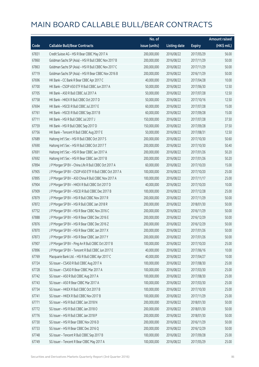|       |                                                        | No. of        |                     |               | <b>Amount raised</b> |
|-------|--------------------------------------------------------|---------------|---------------------|---------------|----------------------|
| Code  | <b>Callable Bull/Bear Contracts</b>                    | issue (units) | <b>Listing date</b> | <b>Expiry</b> | (HK\$ mil.)          |
| 67831 | Credit Suisse AG - HSI R Bear CBBC May 2017 A          | 200,000,000   | 2016/08/22          | 2017/05/29    | 56.00                |
| 67860 | Goldman Sachs SP (Asia) - HSI R Bull CBBC Nov 2017 B   | 200,000,000   | 2016/08/22          | 2017/11/29    | 50.00                |
| 67863 | Goldman Sachs SP (Asia) - HSI R Bull CBBC Nov 2017 C   | 200,000,000   | 2016/08/22          | 2017/11/29    | 50.00                |
| 67719 | Goldman Sachs SP (Asia) - HSI R Bear CBBC Nov 2016 B   | 200,000,000   | 2016/08/22          | 2016/11/29    | 50.00                |
| 67696 | HK Bank - CC Bank R Bear CBBC Apr 2017 C               | 40,000,000    | 2016/08/22          | 2017/04/28    | 10.00                |
| 67700 | HK Bank - CSOP A50 ETF R Bull CBBC Jun 2017 A          | 50,000,000    | 2016/08/22          | 2017/06/30    | 12.50                |
| 67705 | HK Bank - A50 R Bull CBBC Jul 2017 A                   | 50,000,000    | 2016/08/22          | 2017/07/28    | 12.50                |
| 67758 | HK Bank - HKEX R Bull CBBC Oct 2017 D                  | 50,000,000    | 2016/08/22          | 2017/10/16    | 12.50                |
| 67694 | HK Bank - HSCEI R Bull CBBC Jul 2017 E                 | 60,000,000    | 2016/08/22          | 2017/07/28    | 15.00                |
| 67761 | HK Bank - HSCEI R Bull CBBC Sep 2017 B                 | 60,000,000    | 2016/08/22          | 2017/09/28    | 15.00                |
| 67711 | HK Bank - HSI R Bull CBBC Jul 2017 J                   | 150,000,000   | 2016/08/22          | 2017/07/28    | 37.50                |
| 67759 | HK Bank - HSI R Bull CBBC Sep 2017 D                   | 150,000,000   | 2016/08/22          | 2017/09/28    | 37.50                |
| 67756 | HK Bank - Tencent R Bull CBBC Aug 2017 E               | 50,000,000    | 2016/08/22          | 2017/08/31    | 12.50                |
| 67689 | Haitong Int'l Sec - HSI R Bull CBBC Oct 2017 S         | 200,000,000   | 2016/08/22          | 2017/10/30    | 50.60                |
| 67690 | Haitong Int'l Sec - HSI R Bull CBBC Oct 2017 T         | 200,000,000   | 2016/08/22          | 2017/10/30    | 50.40                |
| 67691 | Haitong Int'l Sec - HSI R Bear CBBC Jan 2017 A         | 200,000,000   | 2016/08/22          | 2017/01/26    | 50.20                |
| 67692 | Haitong Int'l Sec - HSI R Bear CBBC Jan 2017 B         | 200,000,000   | 2016/08/22          | 2017/01/26    | 50.20                |
| 67894 | J P Morgan SP BV - China Life R Bull CBBC Oct 2017 A   | 60,000,000    | 2016/08/22          | 2017/10/20    | 15.00                |
| 67905 | J P Morgan SP BV - CSOP A50 ETF R Bull CBBC Oct 2017 A | 100,000,000   | 2016/08/22          | 2017/10/20    | 25.00                |
| 67895 | J P Morgan SP BV - A50 China R Bull CBBC Nov 2017 A    | 100,000,000   | 2016/08/22          | 2017/11/17    | 25.00                |
| 67904 | J P Morgan SP BV - HKEX R Bull CBBC Oct 2017 D         | 40,000,000    | 2016/08/22          | 2017/10/20    | 10.00                |
| 67909 | J P Morgan SP BV - HSCEI R Bull CBBC Dec 2017 B        | 100,000,000   | 2016/08/22          | 2017/12/28    | 25.00                |
| 67879 | J P Morgan SP BV - HSI R Bull CBBC Nov 2017 R          | 200,000,000   | 2016/08/22          | 2017/11/29    | 50.00                |
| 67872 | J P Morgan SP BV - HSI R Bull CBBC Jan 2018 R          | 200,000,000   | 2016/08/22          | 2018/01/30    | 50.00                |
| 67752 | J P Morgan SP BV - HSI R Bear CBBC Nov 2016 C          | 200,000,000   | 2016/08/22          | 2016/11/29    | 50.00                |
| 67888 | J P Morgan SP BV - HSI R Bear CBBC Dec 2016 E          | 200,000,000   | 2016/08/22          | 2016/12/29    | 50.00                |
| 67876 | J P Morgan SP BV - HSI R Bear CBBC Dec 2016 Z          | 200,000,000   | 2016/08/22          | 2016/12/29    | 50.00                |
| 67870 | J P Morgan SP BV - HSI R Bear CBBC Jan 2017 X          | 200,000,000   | 2016/08/22          | 2017/01/26    | 50.00                |
| 67873 | J P Morgan SP BV - HSI R Bear CBBC Jan 2017 Y          | 200,000,000   | 2016/08/22          | 2017/01/26    | 50.00                |
| 67907 | J P Morgan SP BV - Ping An R Bull CBBC Oct 2017 B      | 100,000,000   | 2016/08/22          | 2017/10/20    | 25.00                |
| 67896 | J P Morgan SP BV - Tencent R Bull CBBC Jun 2017 E      | 40,000,000    | 2016/08/22          | 2017/06/16    | 10.00                |
| 67769 | Macquarie Bank Ltd. - HSI R Bull CBBC Apr 2017 C       | 40,000,000    | 2016/08/22          | 2017/04/27    | 10.00                |
| 67724 | SG Issuer - CSA50 R Bull CBBC Aug 2017 A               | 100,000,000   | 2016/08/22          | 2017/08/30    | 25.00                |
| 67728 | SG Issuer - CSA50 R Bear CBBC Mar 2017 A               | 100,000,000   | 2016/08/22          | 2017/03/30    | 25.00                |
| 67742 | SG Issuer - A50 R Bull CBBC Aug 2017 A                 | 100,000,000   | 2016/08/22          | 2017/08/30    | 25.00                |
| 67743 | SG Issuer - A50 R Bear CBBC Mar 2017 A                 | 100,000,000   | 2016/08/22          | 2017/03/30    | 25.00                |
| 67734 | SG Issuer - HKEX R Bull CBBC Oct 2017 B                | 100,000,000   | 2016/08/22          | 2017/10/30    | 25.00                |
| 67741 | SG Issuer - HKEX R Bull CBBC Nov 2017 B                | 100,000,000   | 2016/08/22          | 2017/11/29    | 25.00                |
| 67771 | SG Issuer - HSI R Bull CBBC Jan 2018 N                 | 200,000,000   | 2016/08/22          | 2018/01/30    | 50.00                |
| 67772 | SG Issuer - HSI R Bull CBBC Jan 2018 O                 | 200,000,000   | 2016/08/22          | 2018/01/30    | 50.00                |
| 67776 | SG Issuer - HSI R Bull CBBC Jan 2018 P                 | 200,000,000   | 2016/08/22          | 2018/01/30    | 50.00                |
| 67730 | SG Issuer - HSI R Bear CBBC Nov 2016 D                 | 200,000,000   | 2016/08/22          | 2016/11/29    | 50.00                |
| 67733 | SG Issuer - HSI R Bear CBBC Dec 2016 Q                 | 200,000,000   | 2016/08/22          | 2016/12/29    | 50.00                |
| 67748 | SG Issuer - Tencent R Bull CBBC Sep 2017 B             | 100,000,000   | 2016/08/22          | 2017/09/28    | 25.00                |
| 67749 | SG Issuer - Tencent R Bear CBBC May 2017 A             | 100,000,000   | 2016/08/22          | 2017/05/29    | 25.00                |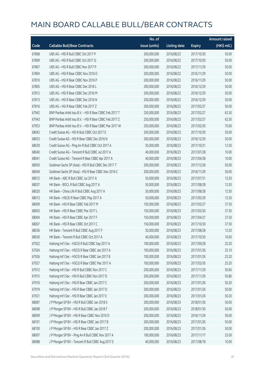|       |                                                          | No. of        |                     |               | <b>Amount raised</b> |
|-------|----------------------------------------------------------|---------------|---------------------|---------------|----------------------|
| Code  | <b>Callable Bull/Bear Contracts</b>                      | issue (units) | <b>Listing date</b> | <b>Expiry</b> | (HK\$ mil.)          |
| 67808 | UBS AG - HSI R Bull CBBC Oct 2017 P                      | 200,000,000   | 2016/08/22          | 2017/10/30    | 50.00                |
| 67809 | UBS AG - HSI R Bull CBBC Oct 2017 Q                      | 200,000,000   | 2016/08/22          | 2017/10/30    | 50.00                |
| 67807 | UBS AG - HSI R Bull CBBC Nov 2017 P                      | 200,000,000   | 2016/08/22          | 2017/11/29    | 50.00                |
| 67804 | UBS AG - HSI R Bear CBBC Nov 2016 O                      | 200,000,000   | 2016/08/22          | 2016/11/29    | 50.00                |
| 67810 | UBS AG - HSI R Bear CBBC Nov 2016 P                      | 200,000,000   | 2016/08/22          | 2016/11/29    | 50.00                |
| 67805 | UBS AG - HSI R Bear CBBC Dec 2016 L                      | 200,000,000   | 2016/08/22          | 2016/12/29    | 50.00                |
| 67812 | UBS AG - HSI R Bear CBBC Dec 2016 M                      | 200,000,000   | 2016/08/22          | 2016/12/29    | 50.00                |
| 67813 | UBS AG - HSI R Bear CBBC Dec 2016 N                      | 200,000,000   | 2016/08/22          | 2016/12/29    | 50.00                |
| 67816 | UBS AG - HSI R Bear CBBC Feb 2017 Z                      | 200,000,000   | 2016/08/22          | 2017/02/27    | 50.00                |
| 67942 | BNP Paribas Arbit Issu B.V. - HSI R Bear CBBC Feb 2017 T | 250,000,000   | 2016/08/23          | 2017/02/27    | 62.50                |
| 67943 | BNP Paribas Arbit Issu B.V. - HSI R Bear CBBC Feb 2017 Z | 250,000,000   | 2016/08/23          | 2017/02/27    | 62.50                |
| 67953 | BNP Paribas Arbit Issu B.V. - HSI R Bear CBBC Mar 2017 W | 250,000,000   | 2016/08/23          | 2017/03/30    | 70.00                |
| 68042 | Credit Suisse AG - HSI R Bull CBBC Oct 2017 E            | 200,000,000   | 2016/08/23          | 2017/10/30    | 50.00                |
| 68053 | Credit Suisse AG - HSI R Bear CBBC Dec 2016 N            | 200,000,000   | 2016/08/23          | 2016/12/29    | 50.00                |
| 68039 | Credit Suisse AG - Ping An R Bull CBBC Oct 2017 A        | 50,000,000    | 2016/08/23          | 2017/10/31    | 12.50                |
| 68040 | Credit Suisse AG - Tencent R Bull CBBC Jul 2017 A        | 40,000,000    | 2016/08/23          | 2017/07/28    | 10.00                |
| 68041 | Credit Suisse AG - Tencent R Bear CBBC Apr 2017 A        | 40,000,000    | 2016/08/23          | 2017/04/28    | 10.00                |
| 68050 | Goldman Sachs SP (Asia) - HSI R Bull CBBC Dec 2017 T     | 200,000,000   | 2016/08/23          | 2017/12/28    | 50.00                |
| 68049 | Goldman Sachs SP (Asia) - HSI R Bear CBBC Nov 2016 C     | 200,000,000   | 2016/08/23          | 2016/11/29    | 50.00                |
| 68012 | HK Bank - ABC R Bull CBBC Jul 2017 A                     | 50,000,000    | 2016/08/23          | 2017/07/31    | 12.50                |
| 68037 | HK Bank - BOCL R Bull CBBC Aug 2017 A                    | 50,000,000    | 2016/08/23          | 2017/08/28    | 12.50                |
| 68020 | HK Bank - China Life R Bull CBBC Aug 2017 A              | 50,000,000    | 2016/08/23          | 2017/08/28    | 12.50                |
| 68013 | HK Bank - HSCEI R Bear CBBC May 2017 A                   | 50,000,000    | 2016/08/23          | 2017/05/29    | 12.50                |
| 68009 | HK Bank - HSI R Bear CBBC Feb 2017 M                     | 150,000,000   | 2016/08/23          | 2017/02/27    | 37.50                |
| 68003 | HK Bank - HSI R Bear CBBC Mar 2017 L                     | 150,000,000   | 2016/08/23          | 2017/03/30    | 37.50                |
| 68004 | HK Bank - HSI R Bear CBBC Apr 2017 F                     | 150,000,000   | 2016/08/23          | 2017/04/27    | 37.50                |
| 68007 | HK Bank - HSI R Bear CBBC Oct 2017 C                     | 150,000,000   | 2016/08/23          | 2017/10/30    | 37.50                |
| 68036 | HK Bank - Tencent R Bull CBBC Aug 2017 F                 | 50,000,000    | 2016/08/23          | 2017/08/28    | 12.50                |
| 68030 | HK Bank - Tencent R Bull CBBC Oct 2017 A                 | 40,000,000    | 2016/08/23          | 2017/10/30    | 10.00                |
| 67922 | Haitong Int'l Sec - HSCEI R Bull CBBC Sep 2017 A         | 100,000,000   | 2016/08/23          | 2017/09/28    | 25.20                |
| 67924 | Haitong Int'l Sec - HSCEI R Bear CBBC Jan 2017 A         | 100,000,000   | 2016/08/23          | 2017/01/26    | 25.10                |
| 67926 | Haitong Int'l Sec - HSCEI R Bear CBBC Jan 2017 B         | 100,000,000   | 2016/08/23          | 2017/01/26    | 25.20                |
| 67927 | Haitong Int'l Sec - HSCEI R Bear CBBC Mar 2017 A         | 100,000,000   | 2016/08/23          | 2017/03/30    | 25.20                |
| 67912 | Haitong Int'l Sec - HSI R Bull CBBC Nov 2017 C           | 200,000,000   | 2016/08/23          | 2017/11/29    | 50.60                |
| 67915 | Haitong Int'l Sec - HSI R Bull CBBC Nov 2017 D           | 200,000,000   | 2016/08/23          | 2017/11/29    | 50.80                |
| 67916 | Haitong Int'l Sec - HSI R Bear CBBC Jan 2017 C           | 200,000,000   | 2016/08/23          | 2017/01/26    | 50.20                |
| 67919 | Haitong Int'l Sec - HSI R Bear CBBC Jan 2017 D           | 200,000,000   | 2016/08/23          | 2017/01/26    | 50.00                |
| 67921 | Haitong Int'l Sec - HSI R Bear CBBC Jan 2017 E           | 200,000,000   | 2016/08/23          | 2017/01/26    | 50.20                |
| 68087 | J P Morgan SP BV - HSI R Bull CBBC Jan 2018 S            | 200,000,000   | 2016/08/23          | 2018/01/30    | 50.00                |
| 68098 | J P Morgan SP BV - HSI R Bull CBBC Jan 2018 T            | 200,000,000   | 2016/08/23          | 2018/01/30    | 50.00                |
| 68099 | J P Morgan SP BV - HSI R Bear CBBC Nov 2016 D            | 200,000,000   | 2016/08/23          | 2016/11/29    | 50.00                |
| 68101 | J P Morgan SP BV - HSI R Bear CBBC Jan 2017 B            | 200,000,000   | 2016/08/23          | 2017/01/26    | 50.00                |
| 68100 | J P Morgan SP BV - HSI R Bear CBBC Jan 2017 Z            | 200,000,000   | 2016/08/23          | 2017/01/26    | 50.00                |
| 68097 | J P Morgan SP BV - Ping An R Bull CBBC Nov 2017 A        | 100,000,000   | 2016/08/23          | 2017/11/17    | 25.00                |
| 68088 | J P Morgan SP BV - Tencent R Bull CBBC Aug 2017 E        | 40,000,000    | 2016/08/23          | 2017/08/18    | 10.00                |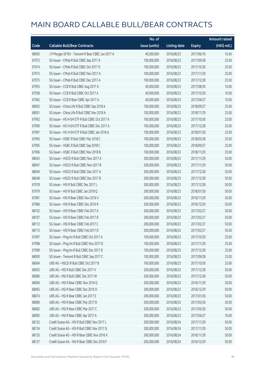|       |                                                   | No. of        |                     |               | <b>Amount raised</b> |
|-------|---------------------------------------------------|---------------|---------------------|---------------|----------------------|
| Code  | <b>Callable Bull/Bear Contracts</b>               | issue (units) | <b>Listing date</b> | <b>Expiry</b> | $(HK\$ mil.)         |
| 68093 | J P Morgan SP BV - Tencent R Bear CBBC Jun 2017 A | 40,000,000    | 2016/08/23          | 2017/06/16    | 10.40                |
| 67972 | SG Issuer - CMob R Bull CBBC Sep 2017 A           | 100,000,000   | 2016/08/23          | 2017/09/28    | 25.00                |
| 67974 | SG Issuer - CMob R Bull CBBC Oct 2017 D           | 100,000,000   | 2016/08/23          | 2017/10/30    | 25.00                |
| 67973 | SG Issuer - CMob R Bull CBBC Nov 2017 A           | 100,000,000   | 2016/08/23          | 2017/11/29    | 25.00                |
| 67975 | SG Issuer - CMob R Bull CBBC Dec 2017 A           | 100,000,000   | 2016/08/23          | 2017/12/28    | 25.00                |
| 67955 | SG Issuer - CCB R Bull CBBC Aug 2017 A            | 40,000,000    | 2016/08/23          | 2017/08/30    | 10.00                |
| 67958 | SG Issuer - CCB R Bull CBBC Oct 2017 A            | 40,000,000    | 2016/08/23          | 2017/10/30    | 10.00                |
| 67962 | SG Issuer - CCB R Bear CBBC Apr 2017 A            | 40,000,000    | 2016/08/23          | 2017/04/27    | 10.00                |
| 68002 | SG Issuer - China Life R Bull CBBC Sep 2018 A     | 100,000,000   | 2016/08/23          | 2018/09/27    | 25.00                |
| 68001 | SG Issuer - China Life R Bull CBBC Nov 2018 A     | 100,000,000   | 2016/08/23          | 2018/11/29    | 25.00                |
| 67992 | SG Issuer - HS H-SH ETF R Bull CBBC Oct 2017 A    | 100,000,000   | 2016/08/23          | 2017/10/30    | 25.00                |
| 67990 | SG Issuer - HS H-SH ETF R Bull CBBC Dec 2017 A    | 100,000,000   | 2016/08/23          | 2017/12/28    | 25.00                |
| 67991 | SG Issuer - HS H-SH ETF R Bull CBBC Jan 2018 A    | 100,000,000   | 2016/08/23          | 2018/01/30    | 25.00                |
| 67993 | SG Issuer - HSBC R Bull CBBC Mar 2018 C           | 100,000,000   | 2016/08/23          | 2018/03/28    | 25.00                |
| 67995 | SG Issuer - HSBC R Bull CBBC Sep 2018 C           | 100,000,000   | 2016/08/23          | 2018/09/27    | 25.00                |
| 67996 | SG Issuer - HSBC R Bull CBBC Nov 2018 B           | 100,000,000   | 2016/08/23          | 2018/11/29    | 25.00                |
| 68043 | SG Issuer - HSCEI R Bull CBBC Nov 2017 A          | 200,000,000   | 2016/08/23          | 2017/11/29    | 50.00                |
| 68047 | SG Issuer - HSCEI R Bull CBBC Nov 2017 B          | 200,000,000   | 2016/08/23          | 2017/11/29    | 50.00                |
| 68044 | SG Issuer - HSCEI R Bull CBBC Dec 2017 A          | 200,000,000   | 2016/08/23          | 2017/12/28    | 50.00                |
| 68048 | SG Issuer - HSCEI R Bull CBBC Dec 2017 B          | 200,000,000   | 2016/08/23          | 2017/12/28    | 50.00                |
| 67978 | SG Issuer - HSI R Bull CBBC Dec 2017 L            | 200,000,000   | 2016/08/23          | 2017/12/28    | 50.00                |
| 67979 | SG Issuer - HSI R Bull CBBC Jan 2018 Q            | 200,000,000   | 2016/08/23          | 2018/01/30    | 50.00                |
| 67981 | SG Issuer - HSI R Bear CBBC Nov 2016 V            | 200,000,000   | 2016/08/23          | 2016/11/29    | 50.00                |
| 67986 | SG Issuer - HSI R Bear CBBC Dec 2016 R            | 200,000,000   | 2016/08/23          | 2016/12/29    | 50.00                |
| 68102 | SG Issuer - HSI R Bear CBBC Feb 2017 A            | 200,000,000   | 2016/08/23          | 2017/02/27    | 50.00                |
| 68107 | SG Issuer - HSI R Bear CBBC Feb 2017 B            | 200,000,000   | 2016/08/23          | 2017/02/27    | 50.00                |
| 68112 | SG Issuer - HSI R Bear CBBC Feb 2017 C            | 200,000,000   | 2016/08/23          | 2017/02/27    | 50.00                |
| 68113 | SG Issuer - HSI R Bear CBBC Feb 2017 D            | 200,000,000   | 2016/08/23          | 2017/02/27    | 50.00                |
| 67997 | SG Issuer - Ping An R Bull CBBC Oct 2017 A        | 100,000,000   | 2016/08/23          | 2017/10/30    | 25.00                |
| 67998 | SG Issuer - Ping An R Bull CBBC Nov 2017 B        | 100,000,000   | 2016/08/23          | 2017/11/29    | 25.00                |
| 67999 | SG Issuer - Ping An R Bull CBBC Dec 2017 B        | 100,000,000   | 2016/08/23          | 2017/12/28    | 25.00                |
| 68000 | SG Issuer - Tencent R Bull CBBC Sep 2017 C        | 100,000,000   | 2016/08/23          | 2017/09/28    | 25.00                |
| 68064 | UBS AG - HSCEI R Bull CBBC Oct 2017 B             | 100,000,000   | 2016/08/23          | 2017/10/30    | 25.00                |
| 68055 | UBS AG - HSI R Bull CBBC Dec 2017 V               | 200,000,000   | 2016/08/23          | 2017/12/28    | 50.00                |
| 68086 | UBS AG - HSI R Bull CBBC Dec 2017 W               | 200,000,000   | 2016/08/23          | 2017/12/28    | 50.00                |
| 68066 | UBS AG - HSI R Bear CBBC Nov 2016 Q               | 200,000,000   | 2016/08/23          | 2016/11/29    | 50.00                |
| 68065 | UBS AG - HSI R Bear CBBC Dec 2016 O               | 200,000,000   | 2016/08/23          | 2016/12/29    | 50.00                |
| 68074 | UBS AG - HSI R Bear CBBC Jan 2017 E               | 200,000,000   | 2016/08/23          | 2017/01/26    | 50.00                |
| 68080 | UBS AG - HSI R Bear CBBC Mar 2017 B               | 200,000,000   | 2016/08/23          | 2017/03/30    | 50.00                |
| 68082 | UBS AG - HSI R Bear CBBC Mar 2017 C               | 200,000,000   | 2016/08/23          | 2017/03/30    | 50.00                |
| 68085 | UBS AG - HSI R Bear CBBC Apr 2017 A               | 200,000,000   | 2016/08/23          | 2017/04/27    | 76.00                |
| 68132 | Credit Suisse AG - HSI R Bull CBBC Nov 2017 L     | 200,000,000   | 2016/08/24          | 2017/11/29    | 50.00                |
| 68134 | Credit Suisse AG - HSI R Bull CBBC Nov 2017 Q     | 200,000,000   | 2016/08/24          | 2017/11/29    | 50.00                |
| 68135 | Credit Suisse AG - HSI R Bear CBBC Nov 2016 X     | 200,000,000   | 2016/08/24          | 2016/11/29    | 50.00                |
| 68137 | Credit Suisse AG - HSI R Bear CBBC Dec 2016 F     | 200,000,000   | 2016/08/24          | 2016/12/29    | 50.00                |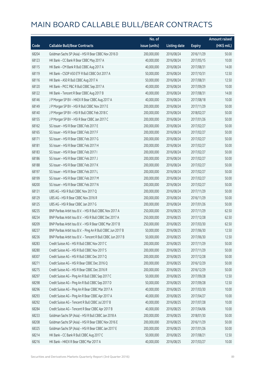|       |                                                              | No. of        |                     |               | <b>Amount raised</b> |
|-------|--------------------------------------------------------------|---------------|---------------------|---------------|----------------------|
| Code  | <b>Callable Bull/Bear Contracts</b>                          | issue (units) | <b>Listing date</b> | <b>Expiry</b> | (HK\$ mil.)          |
| 68204 | Goldman Sachs SP (Asia) - HSI R Bear CBBC Nov 2016 D         | 200,000,000   | 2016/08/24          | 2016/11/29    | 50.00                |
| 68123 | HK Bank - CC Bank R Bear CBBC May 2017 A                     | 40,000,000    | 2016/08/24          | 2017/05/15    | 10.00                |
| 68115 | HK Bank - CM Bank R Bull CBBC Aug 2017 A                     | 40,000,000    | 2016/08/24          | 2017/08/31    | 14.00                |
| 68119 | HK Bank - CSOP A50 ETF R Bull CBBC Oct 2017 A                | 50,000,000    | 2016/08/24          | 2017/10/31    | 12.50                |
| 68116 | HK Bank - A50 R Bull CBBC Aug 2017 A                         | 50,000,000    | 2016/08/24          | 2017/08/31    | 12.50                |
| 68120 | HK Bank - PICC P&C R Bull CBBC Sep 2017 A                    | 40,000,000    | 2016/08/24          | 2017/09/29    | 10.00                |
| 68122 | HK Bank - Tencent R Bear CBBC Aug 2017 B                     | 40,000,000    | 2016/08/24          | 2017/08/31    | 14.00                |
| 68146 | J P Morgan SP BV - HKEX R Bear CBBC Aug 2017 A               | 40,000,000    | 2016/08/24          | 2017/08/18    | 10.00                |
| 68149 | J P Morgan SP BV - HSI R Bull CBBC Nov 2017 E                | 200,000,000   | 2016/08/24          | 2017/11/29    | 50.00                |
| 68140 | JP Morgan SP BV - HSIR Bull CBBC Feb 2018 C                  | 200,000,000   | 2016/08/24          | 2018/02/27    | 50.00                |
| 68155 | J P Morgan SP BV - HSI R Bear CBBC Jan 2017 C                | 200,000,000   | 2016/08/24          | 2017/01/26    | 50.00                |
| 68162 | SG Issuer - HSI R Bear CBBC Feb 2017 E                       | 200,000,000   | 2016/08/24          | 2017/02/27    | 50.00                |
| 68165 | SG Issuer - HSI R Bear CBBC Feb 2017 F                       | 200,000,000   | 2016/08/24          | 2017/02/27    | 50.00                |
| 68171 | SG Issuer - HSI R Bear CBBC Feb 2017 G                       | 200,000,000   | 2016/08/24          | 2017/02/27    | 50.00                |
| 68181 | SG Issuer - HSI R Bear CBBC Feb 2017 H                       | 200,000,000   | 2016/08/24          | 2017/02/27    | 50.00                |
| 68183 | SG Issuer - HSI R Bear CBBC Feb 2017 I                       | 200,000,000   | 2016/08/24          | 2017/02/27    | 50.00                |
| 68186 | SG Issuer - HSI R Bear CBBC Feb 2017 J                       | 200,000,000   | 2016/08/24          | 2017/02/27    | 50.00                |
| 68188 | SG Issuer - HSI R Bear CBBC Feb 2017 K                       | 200,000,000   | 2016/08/24          | 2017/02/27    | 50.00                |
| 68197 | SG Issuer - HSI R Bear CBBC Feb 2017 L                       | 200,000,000   | 2016/08/24          | 2017/02/27    | 50.00                |
| 68199 | SG Issuer - HSI R Bear CBBC Feb 2017 M                       | 200,000,000   | 2016/08/24          | 2017/02/27    | 50.00                |
| 68200 | SG Issuer - HSI R Bear CBBC Feb 2017 N                       | 200,000,000   | 2016/08/24          | 2017/02/27    | 50.00                |
| 68131 | UBS AG - HSI R Bull CBBC Nov 2017 Q                          | 200,000,000   | 2016/08/24          | 2017/11/29    | 50.00                |
| 68129 | UBS AG - HSI R Bear CBBC Nov 2016 R                          | 200,000,000   | 2016/08/24          | 2016/11/29    | 50.00                |
| 68125 | UBS AG - HSI R Bear CBBC Jan 2017 G                          | 200,000,000   | 2016/08/24          | 2017/01/26    | 50.00                |
| 68235 | BNP Paribas Arbit Issu B.V. - HSI R Bull CBBC Nov 2017 A     | 250,000,000   | 2016/08/25          | 2017/11/29    | 62.50                |
| 68234 | BNP Paribas Arbit Issu B.V. - HSI R Bull CBBC Dec 2017 A     | 250,000,000   | 2016/08/25          | 2017/12/28    | 62.50                |
| 68209 | BNP Paribas Arbit Issu B.V. - HSI R Bear CBBC Mar 2017 B     | 250,000,000   | 2016/08/25          | 2017/03/30    | 62.50                |
| 68237 | BNP Paribas Arbit Issu B.V. - Ping An R Bull CBBC Jun 2017 B | 50,000,000    | 2016/08/25          | 2017/06/30    | 12.50                |
| 68236 | BNP Paribas Arbit Issu B.V. - Tencent R Bull CBBC Jun 2017 B | 50,000,000    | 2016/08/25          | 2017/06/30    | 12.50                |
| 68283 | Credit Suisse AG - HSI R Bull CBBC Nov 2017 C                | 200,000,000   | 2016/08/25          | 2017/11/29    | 50.00                |
| 68280 | Credit Suisse AG - HSI R Bull CBBC Nov 2017 S                | 200,000,000   | 2016/08/25          | 2017/11/29    | 50.00                |
| 68307 | Credit Suisse AG - HSI R Bull CBBC Dec 2017 Q                | 200,000,000   | 2016/08/25          | 2017/12/28    | 50.00                |
| 68271 | Credit Suisse AG - HSI R Bear CBBC Dec 2016 Q                | 200,000,000   | 2016/08/25          | 2016/12/29    | 50.00                |
| 68275 | Credit Suisse AG - HSI R Bear CBBC Dec 2016 R                | 200,000,000   | 2016/08/25          | 2016/12/29    | 50.00                |
| 68297 | Credit Suisse AG - Ping An R Bull CBBC Sep 2017 C            | 50,000,000    | 2016/08/25          | 2017/09/28    | 12.50                |
| 68298 | Credit Suisse AG - Ping An R Bull CBBC Sep 2017 D            | 50,000,000    | 2016/08/25          | 2017/09/28    | 12.50                |
| 68296 | Credit Suisse AG - Ping An R Bear CBBC Mar 2017 A            | 40,000,000    | 2016/08/25          | 2017/03/30    | 10.00                |
| 68293 | Credit Suisse AG - Ping An R Bear CBBC Apr 2017 A            | 40,000,000    | 2016/08/25          | 2017/04/27    | 10.00                |
| 68292 | Credit Suisse AG - Tencent R Bull CBBC Jul 2017 B            | 40,000,000    | 2016/08/25          | 2017/07/28    | 10.00                |
| 68284 | Credit Suisse AG - Tencent R Bear CBBC Apr 2017 B            | 40,000,000    | 2016/08/25          | 2017/04/06    | 10.00                |
| 68233 | Goldman Sachs SP (Asia) - HSI R Bull CBBC Jan 2018 A         | 200,000,000   | 2016/08/25          | 2018/01/30    | 50.00                |
| 68208 | Goldman Sachs SP (Asia) - HSI R Bear CBBC Nov 2016 E         | 200,000,000   | 2016/08/25          | 2016/11/29    | 50.00                |
| 68325 | Goldman Sachs SP (Asia) - HSI R Bear CBBC Jan 2017 E         | 200,000,000   | 2016/08/25          | 2017/01/26    | 50.00                |
| 68214 | HK Bank - CC Bank R Bull CBBC Aug 2017 C                     | 50,000,000    | 2016/08/25          | 2017/08/21    | 12.50                |
| 68216 | HK Bank - HKEX R Bear CBBC Mar 2017 A                        | 40,000,000    | 2016/08/25          | 2017/03/27    | 10.00                |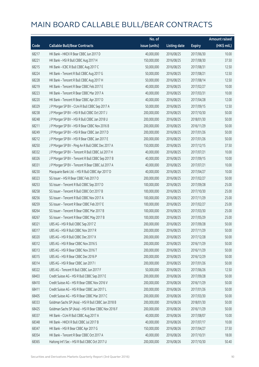|       |                                                      | No. of        |                     |               | <b>Amount raised</b> |
|-------|------------------------------------------------------|---------------|---------------------|---------------|----------------------|
| Code  | <b>Callable Bull/Bear Contracts</b>                  | issue (units) | <b>Listing date</b> | <b>Expiry</b> | (HK\$ mil.)          |
| 68217 | HK Bank - HKEX R Bear CBBC Jun 2017 D                | 40,000,000    | 2016/08/25          | 2017/06/30    | 10.00                |
| 68221 | HK Bank - HSI R Bull CBBC Aug 2017 H                 | 150,000,000   | 2016/08/25          | 2017/08/30    | 37.50                |
| 68215 | HK Bank - ICBC R Bull CBBC Aug 2017 C                | 50,000,000    | 2016/08/25          | 2017/08/31    | 12.50                |
| 68224 | HK Bank - Tencent R Bull CBBC Aug 2017 G             | 50,000,000    | 2016/08/25          | 2017/08/21    | 12.50                |
| 68228 | HK Bank - Tencent R Bull CBBC Aug 2017 H             | 50,000,000    | 2016/08/25          | 2017/08/14    | 12.50                |
| 68219 | HK Bank - Tencent R Bear CBBC Feb 2017 E             | 40,000,000    | 2016/08/25          | 2017/02/27    | 10.00                |
| 68223 | HK Bank - Tencent R Bear CBBC Mar 2017 A             | 40,000,000    | 2016/08/25          | 2017/03/31    | 10.00                |
| 68220 | HK Bank - Tencent R Bear CBBC Apr 2017 D             | 40,000,000    | 2016/08/25          | 2017/04/28    | 12.00                |
| 68329 | J P Morgan SP BV - CUni R Bull CBBC Sep 2017 A       | 50,000,000    | 2016/08/25          | 2017/09/15    | 12.50                |
| 68238 | JP Morgan SP BV - HSIR Bull CBBC Oct 2017 J          | 200,000,000   | 2016/08/25          | 2017/10/30    | 50.00                |
| 68248 | J P Morgan SP BV - HSI R Bull CBBC Jan 2018 U        | 200,000,000   | 2016/08/25          | 2018/01/30    | 50.00                |
| 68211 | J P Morgan SP BV - HSI R Bear CBBC Nov 2016 B        | 200,000,000   | 2016/08/25          | 2016/11/29    | 50.00                |
| 68249 | J P Morgan SP BV - HSI R Bear CBBC Jan 2017 D        | 200,000,000   | 2016/08/25          | 2017/01/26    | 50.00                |
| 68212 | J P Morgan SP BV - HSI R Bear CBBC Jan 2017 E        | 200,000,000   | 2016/08/25          | 2017/01/26    | 50.00                |
| 68250 | J P Morgan SP BV - Ping An R Bull CBBC Dec 2017 A    | 150,000,000   | 2016/08/25          | 2017/12/15    | 37.50                |
| 68332 | J P Morgan SP BV - Tencent R Bull CBBC Jul 2017 H    | 40,000,000    | 2016/08/25          | 2017/07/21    | 10.00                |
| 68326 | J P Morgan SP BV - Tencent R Bull CBBC Sep 2017 B    | 40,000,000    | 2016/08/25          | 2017/09/15    | 10.00                |
| 68331 | J P Morgan SP BV - Tencent R Bear CBBC Jul 2017 A    | 40,000,000    | 2016/08/25          | 2017/07/21    | 10.00                |
| 68230 | Macquarie Bank Ltd. - HSI R Bull CBBC Apr 2017 D     | 40,000,000    | 2016/08/25          | 2017/04/27    | 10.00                |
| 68323 | SG Issuer - HSI R Bear CBBC Feb 2017 O               | 200,000,000   | 2016/08/25          | 2017/02/27    | 50.00                |
| 68253 | SG Issuer - Tencent R Bull CBBC Sep 2017 D           | 100,000,000   | 2016/08/25          | 2017/09/28    | 25.00                |
| 68258 | SG Issuer - Tencent R Bull CBBC Oct 2017 B           | 100,000,000   | 2016/08/25          | 2017/10/30    | 25.00                |
| 68256 | SG Issuer - Tencent R Bull CBBC Nov 2017 A           | 100,000,000   | 2016/08/25          | 2017/11/29    | 25.00                |
| 68259 | SG Issuer - Tencent R Bear CBBC Feb 2017 E           | 100,000,000   | 2016/08/25          | 2017/02/27    | 25.00                |
| 68264 | SG Issuer - Tencent R Bear CBBC Mar 2017 B           | 100,000,000   | 2016/08/25          | 2017/03/30    | 25.00                |
| 68267 | SG Issuer - Tencent R Bear CBBC May 2017 B           | 100,000,000   | 2016/08/25          | 2017/05/29    | 25.00                |
| 68321 | UBS AG - HSI R Bull CBBC Sep 2017 Z                  | 200,000,000   | 2016/08/25          | 2017/09/28    | 50.00                |
| 68317 | UBS AG - HSI R Bull CBBC Nov 2017 R                  | 200,000,000   | 2016/08/25          | 2017/11/29    | 50.00                |
| 68320 | UBS AG - HSI R Bull CBBC Dec 2017 X                  | 200,000,000   | 2016/08/25          | 2017/12/28    | 50.00                |
| 68312 | UBS AG - HSI R Bear CBBC Nov 2016 S                  | 200,000,000   | 2016/08/25          | 2016/11/29    | 50.00                |
| 68313 | UBS AG - HSI R Bear CBBC Nov 2016 T                  | 200,000,000   | 2016/08/25          | 2016/11/29    | 50.00                |
| 68315 | UBS AG - HSI R Bear CBBC Dec 2016 P                  | 200,000,000   | 2016/08/25          | 2016/12/29    | 50.00                |
| 68314 | UBS AG - HSI R Bear CBBC Jan 2017 I                  | 200,000,000   | 2016/08/25          | 2017/01/26    | 50.00                |
| 68322 | UBS AG - Tencent R Bull CBBC Jun 2017 F              | 50,000,000    | 2016/08/25          | 2017/06/26    | 12.50                |
| 68403 | Credit Suisse AG - HSI R Bull CBBC Sep 2017 E        | 200,000,000   | 2016/08/26          | 2017/09/28    | 50.00                |
| 68410 | Credit Suisse AG - HSI R Bear CBBC Nov 2016 V        | 200,000,000   | 2016/08/26          | 2016/11/29    | 50.00                |
| 68411 | Credit Suisse AG - HSI R Bear CBBC Jan 2017 L        | 200,000,000   | 2016/08/26          | 2017/01/26    | 50.00                |
| 68405 | Credit Suisse AG - HSI R Bear CBBC Mar 2017 C        | 200,000,000   | 2016/08/26          | 2017/03/30    | 50.00                |
| 68333 | Goldman Sachs SP (Asia) - HSI R Bull CBBC Jan 2018 B | 200,000,000   | 2016/08/26          | 2018/01/30    | 50.00                |
| 68425 | Goldman Sachs SP (Asia) - HSI R Bear CBBC Nov 2016 F | 200,000,000   | 2016/08/26          | 2016/11/29    | 50.00                |
| 68337 | HK Bank - CUni R Bull CBBC Aug 2017 A                | 40,000,000    | 2016/08/26          | 2017/08/07    | 10.00                |
| 68348 | HK Bank - HKEX R Bull CBBC Jul 2017 B                | 40,000,000    | 2016/08/26          | 2017/07/17    | 10.00                |
| 68347 | HK Bank - HSI R Bear CBBC Apr 2017 G                 | 150,000,000   | 2016/08/26          | 2017/04/27    | 37.50                |
| 68354 | HK Bank - Tencent R Bear CBBC Oct 2017 A             | 40,000,000    | 2016/08/26          | 2017/10/31    | 18.00                |
| 68365 | Haitong Int'l Sec - HSI R Bull CBBC Oct 2017 U       | 200,000,000   | 2016/08/26          | 2017/10/30    | 50.40                |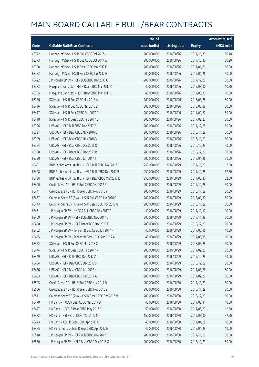|       |                                                          | No. of        |                     |               | <b>Amount raised</b>  |
|-------|----------------------------------------------------------|---------------|---------------------|---------------|-----------------------|
| Code  | <b>Callable Bull/Bear Contracts</b>                      | issue (units) | <b>Listing date</b> | <b>Expiry</b> | $(HK\frac{1}{2}mil.)$ |
| 68372 | Haitong Int'l Sec - HSI R Bull CBBC Oct 2017 V           | 200,000,000   | 2016/08/26          | 2017/10/30    | 50.40                 |
| 68373 | Haitong Int'l Sec - HSI R Bull CBBC Oct 2017 W           | 200,000,000   | 2016/08/26          | 2017/10/30    | 50.20                 |
| 68380 | Haitong Int'l Sec - HSI R Bear CBBC Jan 2017 F           | 200,000,000   | 2016/08/26          | 2017/01/26    | 50.00                 |
| 68382 | Haitong Int'l Sec - HSI R Bear CBBC Jan 2017 G           | 200,000,000   | 2016/08/26          | 2017/01/26    | 50.00                 |
| 68422 | J P Morgan SP BV - HSI R Bull CBBC Dec 2017 O            | 200,000,000   | 2016/08/26          | 2017/12/28    | 50.00                 |
| 68383 | Macquarie Bank Ltd. - HSI R Bear CBBC Mar 2017 K         | 40,000,000    | 2016/08/26          | 2017/03/30    | 10.20                 |
| 68385 | Macquarie Bank Ltd. - HSI R Bear CBBC Mar 2017 L         | 40,000,000    | 2016/08/26          | 2017/03/30    | 10.00                 |
| 68336 | SG Issuer - HSI R Bull CBBC Mar 2018 A                   | 200,000,000   | 2016/08/26          | 2018/03/28    | 50.00                 |
| 68416 | SG Issuer - HSI R Bull CBBC Mar 2018 B                   | 200,000,000   | 2016/08/26          | 2018/03/28    | 50.00                 |
| 68417 | SG Issuer - HSI R Bear CBBC Feb 2017 P                   | 200,000,000   | 2016/08/26          | 2017/02/27    | 50.00                 |
| 68418 | SG Issuer - HSI R Bear CBBC Feb 2017 Q                   | 200,000,000   | 2016/08/26          | 2017/02/27    | 50.00                 |
| 68386 | UBS AG - HSI R Bull CBBC Dec 2017 Y                      | 200,000,000   | 2016/08/26          | 2017/12/28    | 50.00                 |
| 68397 | UBS AG - HSI R Bear CBBC Nov 2016 U                      | 200,000,000   | 2016/08/26          | 2016/11/29    | 50.00                 |
| 68399 | UBS AG - HSI R Bear CBBC Nov 2016 V                      | 200,000,000   | 2016/08/26          | 2016/11/29    | 50.00                 |
| 68394 | UBS AG - HSI R Bear CBBC Dec 2016 Q                      | 200,000,000   | 2016/08/26          | 2016/12/29    | 50.00                 |
| 68398 | UBS AG - HSI R Bear CBBC Dec 2016 R                      | 200,000,000   | 2016/08/26          | 2016/12/29    | 50.00                 |
| 68390 | UBS AG - HSI R Bear CBBC Jan 2017 J                      | 200,000,000   | 2016/08/26          | 2017/01/26    | 50.00                 |
| 68431 | BNP Paribas Arbit Issu B.V. - HSI R Bull CBBC Nov 2017 B | 250,000,000   | 2016/08/29          | 2017/11/29    | 62.50                 |
| 68428 | BNP Paribas Arbit Issu B.V. - HSI R Bull CBBC Dec 2017 B | 250,000,000   | 2016/08/29          | 2017/12/28    | 62.50                 |
| 68436 | BNP Paribas Arbit Issu B.V. - HSI R Bear CBBC Mar 2017 E | 250,000,000   | 2016/08/29          | 2017/03/30    | 62.50                 |
| 68440 | Credit Suisse AG - HSI R Bull CBBC Dec 2017 R            | 200,000,000   | 2016/08/29          | 2017/12/28    | 50.00                 |
| 68441 | Credit Suisse AG - HSI R Bear CBBC Nov 2016 Y            | 200,000,000   | 2016/08/29          | 2016/11/29    | 50.00                 |
| 68457 | Goldman Sachs SP (Asia) - HSI R Bull CBBC Jan 2018 C     | 200,000,000   | 2016/08/29          | 2018/01/30    | 50.00                 |
| 68443 | Goldman Sachs SP (Asia) - HSI R Bear CBBC Nov 2016 G     | 200,000,000   | 2016/08/29          | 2016/11/29    | 50.00                 |
| 68461 | J P Morgan SP BV - HKEX R Bull CBBC Nov 2017 D           | 40,000,000    | 2016/08/29          | 2017/11/17    | 10.00                 |
| 68469 | J P Morgan SP BV - HSI R Bull CBBC Nov 2017 C            | 200,000,000   | 2016/08/29          | 2017/11/29    | 50.00                 |
| 68458 | JP Morgan SP BV - HSIR Bear CBBC Dec 2016 F              | 200,000,000   | 2016/08/29          | 2016/12/29    | 50.00                 |
| 68462 | J P Morgan SP BV - Tencent R Bull CBBC Jun 2017 F        | 40,000,000    | 2016/08/29          | 2017/06/16    | 10.00                 |
| 68465 | J P Morgan SP BV - Tencent R Bear CBBC Aug 2017 A        | 40,000,000    | 2016/08/29          | 2017/08/18    | 10.00                 |
| 68432 | SG Issuer - HSI R Bull CBBC Mar 2018 C                   | 200,000,000   | 2016/08/29          | 2018/03/28    | 50.00                 |
| 68444 | SG Issuer - HSI R Bear CBBC Feb 2017 R                   | 200,000,000   | 2016/08/29          | 2017/02/27    | 50.00                 |
| 68449 | UBS AG - HSI R Bull CBBC Dec 2017 Z                      | 200,000,000   | 2016/08/29          | 2017/12/28    | 50.00                 |
| 68454 | UBS AG - HSI R Bear CBBC Dec 2016 S                      | 200,000,000   | 2016/08/29          | 2016/12/29    | 50.00                 |
| 68456 | UBS AG - HSI R Bear CBBC Jan 2017 K                      | 200,000,000   | 2016/08/29          | 2017/01/26    | 50.00                 |
| 68453 | UBS AG - HSI R Bear CBBC Feb 2017 A                      | 200,000,000   | 2016/08/29          | 2017/02/27    | 50.00                 |
| 68505 | Credit Suisse AG - HSI R Bull CBBC Nov 2017 D            | 200,000,000   | 2016/08/30          | 2017/11/29    | 50.00                 |
| 68506 | Credit Suisse AG - HSI R Bear CBBC Nov 2016 Z            | 200,000,000   | 2016/08/30          | 2016/11/29    | 50.00                 |
| 68511 | Goldman Sachs SP (Asia) - HSI R Bear CBBC Dec 2016 M     | 200,000,000   | 2016/08/30          | 2016/12/29    | 50.00                 |
| 68470 | HK Bank - HKEX R Bear CBBC Mar 2017 B                    | 40,000,000    | 2016/08/30          | 2017/03/31    | 10.00                 |
| 68477 | HK Bank - HSCEI R Bear CBBC May 2017 B                   | 50,000,000    | 2016/08/30          | 2017/05/29    | 12.50                 |
| 68482 | HK Bank - HSI R Bear CBBC Mar 2017 M                     | 150,000,000   | 2016/08/30          | 2017/03/30    | 37.50                 |
| 68473 | HK Bank - ICBC R Bear CBBC Apr 2017 B                    | 40,000,000    | 2016/08/30          | 2017/04/28    | 10.00                 |
| 68475 | HK Bank - Sands China R Bear CBBC Apr 2017 E             | 40,000,000    | 2016/08/30          | 2017/04/28    | 10.00                 |
| 68548 | J P Morgan SP BV - HSI R Bull CBBC Nov 2017 F            | 200,000,000   | 2016/08/30          | 2017/11/29    | 50.00                 |
| 68550 | J P Morgan SP BV - HSI R Bear CBBC Dec 2016 G            | 200,000,000   | 2016/08/30          | 2016/12/29    | 50.00                 |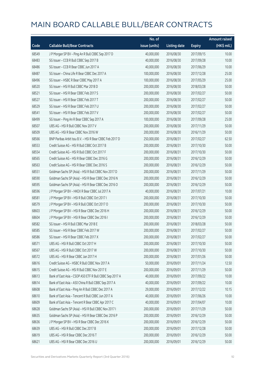|       |                                                          | No. of        |                     |               | Amount raised |
|-------|----------------------------------------------------------|---------------|---------------------|---------------|---------------|
| Code  | <b>Callable Bull/Bear Contracts</b>                      | issue (units) | <b>Listing date</b> | <b>Expiry</b> | (HK\$ mil.)   |
| 68549 | J P Morgan SP BV - Ping An R Bull CBBC Sep 2017 D        | 40,000,000    | 2016/08/30          | 2017/09/15    | 10.00         |
| 68483 | SG Issuer - CCB R Bull CBBC Sep 2017 B                   | 40,000,000    | 2016/08/30          | 2017/09/28    | 10.00         |
| 68486 | SG Issuer - CCB R Bear CBBC Jun 2017 A                   | 40,000,000    | 2016/08/30          | 2017/06/29    | 10.00         |
| 68487 | SG Issuer - China Life R Bear CBBC Dec 2017 A            | 100,000,000   | 2016/08/30          | 2017/12/28    | 25.00         |
| 68496 | SG Issuer - HSBC R Bear CBBC May 2017 A                  | 100,000,000   | 2016/08/30          | 2017/05/29    | 25.00         |
| 68520 | SG Issuer - HSI R Bull CBBC Mar 2018 D                   | 200,000,000   | 2016/08/30          | 2018/03/28    | 50.00         |
| 68521 | SG Issuer - HSI R Bear CBBC Feb 2017 S                   | 200,000,000   | 2016/08/30          | 2017/02/27    | 50.00         |
| 68527 | SG Issuer - HSI R Bear CBBC Feb 2017 T                   | 200,000,000   | 2016/08/30          | 2017/02/27    | 50.00         |
| 68529 | SG Issuer - HSI R Bear CBBC Feb 2017 U                   | 200,000,000   | 2016/08/30          | 2017/02/27    | 50.00         |
| 68541 | SG Issuer - HSI R Bear CBBC Feb 2017 V                   | 200,000,000   | 2016/08/30          | 2017/02/27    | 50.00         |
| 68499 | SG Issuer - Ping An R Bear CBBC Sep 2017 A               | 100,000,000   | 2016/08/30          | 2017/09/28    | 25.00         |
| 68507 | UBS AG - HSI R Bull CBBC Nov 2017 V                      | 200,000,000   | 2016/08/30          | 2017/11/29    | 50.00         |
| 68509 | UBS AG - HSI R Bear CBBC Nov 2016 W                      | 200,000,000   | 2016/08/30          | 2016/11/29    | 50.00         |
| 68566 | BNP Paribas Arbit Issu B.V. - HSI R Bear CBBC Feb 2017 D | 250,000,000   | 2016/08/31          | 2017/02/27    | 62.50         |
| 68553 | Credit Suisse AG - HSI R Bull CBBC Oct 2017 B            | 200,000,000   | 2016/08/31          | 2017/10/30    | 50.00         |
| 68554 | Credit Suisse AG - HSI R Bull CBBC Oct 2017 F            | 200,000,000   | 2016/08/31          | 2017/10/30    | 50.00         |
| 68565 | Credit Suisse AG - HSI R Bear CBBC Dec 2016 G            | 200,000,000   | 2016/08/31          | 2016/12/29    | 50.00         |
| 68563 | Credit Suisse AG - HSI R Bear CBBC Dec 2016 S            | 200,000,000   | 2016/08/31          | 2016/12/29    | 50.00         |
| 68551 | Goldman Sachs SP (Asia) - HSI R Bull CBBC Nov 2017 D     | 200,000,000   | 2016/08/31          | 2017/11/29    | 50.00         |
| 68590 | Goldman Sachs SP (Asia) - HSI R Bear CBBC Dec 2016 N     | 200,000,000   | 2016/08/31          | 2016/12/29    | 50.00         |
| 68595 | Goldman Sachs SP (Asia) - HSI R Bear CBBC Dec 2016 O     | 200,000,000   | 2016/08/31          | 2016/12/29    | 50.00         |
| 68596 | J P Morgan SP BV - HKEX R Bear CBBC Jul 2017 A           | 40,000,000    | 2016/08/31          | 2017/07/21    | 10.00         |
| 68581 | JP Morgan SP BV - HSIR Bull CBBC Oct 2017 I              | 200,000,000   | 2016/08/31          | 2017/10/30    | 50.00         |
| 68579 | J P Morgan SP BV - HSI R Bull CBBC Oct 2017 O            | 200,000,000   | 2016/08/31          | 2017/10/30    | 50.00         |
| 68603 | J P Morgan SP BV - HSI R Bear CBBC Dec 2016 H            | 200,000,000   | 2016/08/31          | 2016/12/29    | 50.00         |
| 68604 | J P Morgan SP BV - HSI R Bear CBBC Dec 2016 I            | 200,000,000   | 2016/08/31          | 2016/12/29    | 50.00         |
| 68582 | SG Issuer - HSI R Bull CBBC Mar 2018 E                   | 200,000,000   | 2016/08/31          | 2018/03/28    | 50.00         |
| 68585 | SG Issuer – HSI R Bear CBBC Feb 2017 W                   | 200,000,000   | 2016/08/31          | 2017/02/27    | 50.00         |
| 68586 | SG Issuer - HSI R Bear CBBC Feb 2017 X                   | 200,000,000   | 2016/08/31          | 2017/02/27    | 50.00         |
| 68571 | UBS AG - HSI R Bull CBBC Oct 2017 H                      | 200,000,000   | 2016/08/31          | 2017/10/30    | 50.00         |
| 68567 | UBS AG - HSI R Bull CBBC Oct 2017 W                      | 200,000,000   | 2016/08/31          | 2017/10/30    | 50.00         |
| 68572 | UBS AG - HSI R Bear CBBC Jan 2017 H                      | 200,000,000   | 2016/08/31          | 2017/01/26    | 50.00         |
| 68616 | Credit Suisse AG - HSBC R Bull CBBC Nov 2017 A           | 50,000,000    | 2016/09/01          | 2017/11/24    | 12.50         |
| 68615 | Credit Suisse AG - HSI R Bull CBBC Nov 2017 E            | 200,000,000   | 2016/09/01          | 2017/11/29    | 50.00         |
| 68613 | Bank of East Asia - CSOP A50 ETF R Bull CBBC Sep 2017 A  | 40,000,000    | 2016/09/01          | 2017/09/22    | 10.00         |
| 68614 | Bank of East Asia - A50 China R Bull CBBC Sep 2017 A     | 40,000,000    | 2016/09/01          | 2017/09/22    | 10.00         |
| 68608 | Bank of East Asia - Ping An R Bull CBBC Dec 2017 A       | 29,000,000    | 2016/09/01          | 2017/12/22    | 10.15         |
| 68610 | Bank of East Asia - Tencent R Bull CBBC Jun 2017 A       | 40,000,000    | 2016/09/01          | 2017/06/26    | 10.00         |
| 68609 | Bank of East Asia - Tencent R Bear CBBC Apr 2017 C       | 40,000,000    | 2016/09/01          | 2017/04/07    | 10.00         |
| 68628 | Goldman Sachs SP (Asia) - HSI R Bull CBBC Nov 2017 I     | 200,000,000   | 2016/09/01          | 2017/11/29    | 50.00         |
| 68635 | Goldman Sachs SP (Asia) - HSI R Bear CBBC Dec 2016 P     | 200,000,000   | 2016/09/01          | 2016/12/29    | 50.00         |
| 68636 | J P Morgan SP BV - HSI R Bear CBBC Dec 2016 K            | 200,000,000   | 2016/09/01          | 2016/12/29    | 50.00         |
| 68639 | UBS AG - HSI R Bull CBBC Dec 2017 B                      | 200,000,000   | 2016/09/01          | 2017/12/28    | 50.00         |
| 68619 | UBS AG - HSI R Bear CBBC Dec 2016 T                      | 200,000,000   | 2016/09/01          | 2016/12/29    | 50.00         |
| 68621 | UBS AG - HSI R Bear CBBC Dec 2016 U                      | 200,000,000   | 2016/09/01          | 2016/12/29    | 50.00         |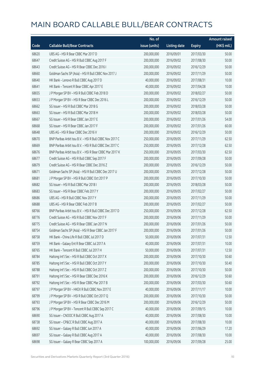|       |                                                          | No. of        |                     |               | <b>Amount raised</b> |
|-------|----------------------------------------------------------|---------------|---------------------|---------------|----------------------|
| Code  | <b>Callable Bull/Bear Contracts</b>                      | issue (units) | <b>Listing date</b> | <b>Expiry</b> | (HK\$ mil.)          |
| 68620 | UBS AG - HSI R Bear CBBC Mar 2017 D                      | 200,000,000   | 2016/09/01          | 2017/03/30    | 50.00                |
| 68647 | Credit Suisse AG - HSI R Bull CBBC Aug 2017 F            | 200,000,000   | 2016/09/02          | 2017/08/30    | 50.00                |
| 68643 | Credit Suisse AG - HSI R Bear CBBC Dec 2016 I            | 200,000,000   | 2016/09/02          | 2016/12/29    | 50.00                |
| 68660 | Goldman Sachs SP (Asia) - HSI R Bull CBBC Nov 2017 J     | 200,000,000   | 2016/09/02          | 2017/11/29    | 50.00                |
| 68640 | HK Bank - Lenovo R Bull CBBC Aug 2017 D                  | 40,000,000    | 2016/09/02          | 2017/08/31    | 10.00                |
| 68641 | HK Bank - Tencent R Bear CBBC Apr 2017 E                 | 40,000,000    | 2016/09/02          | 2017/04/28    | 10.00                |
| 68655 | J P Morgan SP BV - HSI R Bull CBBC Feb 2018 D            | 200,000,000   | 2016/09/02          | 2018/02/27    | 50.00                |
| 68653 | J P Morgan SP BV - HSI R Bear CBBC Dec 2016 L            | 200,000,000   | 2016/09/02          | 2016/12/29    | 50.00                |
| 68662 | SG Issuer - HSI R Bull CBBC Mar 2018 G                   | 200,000,000   | 2016/09/02          | 2018/03/28    | 50.00                |
| 68663 | SG Issuer - HSI R Bull CBBC Mar 2018 H                   | 200,000,000   | 2016/09/02          | 2018/03/28    | 50.00                |
| 68667 | SG Issuer - HSI R Bear CBBC Jan 2017 E                   | 200,000,000   | 2016/09/02          | 2017/01/26    | 54.00                |
| 68668 | SG Issuer - HSI R Bear CBBC Jan 2017 F                   | 200,000,000   | 2016/09/02          | 2017/01/26    | 60.00                |
| 68648 | UBS AG - HSI R Bear CBBC Dec 2016 V                      | 200,000,000   | 2016/09/02          | 2016/12/29    | 50.00                |
| 68670 | BNP Paribas Arbit Issu B.V. - HSI R Bull CBBC Nov 2017 C | 250,000,000   | 2016/09/05          | 2017/11/29    | 62.50                |
| 68669 | BNP Paribas Arbit Issu B.V. - HSI R Bull CBBC Dec 2017 C | 250,000,000   | 2016/09/05          | 2017/12/28    | 62.50                |
| 68676 | BNP Paribas Arbit Issu B.V. - HSI R Bear CBBC Mar 2017 K | 250,000,000   | 2016/09/05          | 2017/03/30    | 62.50                |
| 68677 | Credit Suisse AG - HSI R Bull CBBC Sep 2017 F            | 200,000,000   | 2016/09/05          | 2017/09/28    | 50.00                |
| 68679 | Credit Suisse AG - HSI R Bear CBBC Dec 2016 Z            | 200,000,000   | 2016/09/05          | 2016/12/29    | 50.00                |
| 68671 | Goldman Sachs SP (Asia) - HSI R Bull CBBC Dec 2017 U     | 200,000,000   | 2016/09/05          | 2017/12/28    | 50.00                |
| 68681 | J P Morgan SP BV - HSI R Bull CBBC Oct 2017 P            | 200,000,000   | 2016/09/05          | 2017/10/30    | 50.00                |
| 68682 | SG Issuer - HSI R Bull CBBC Mar 2018 I                   | 200,000,000   | 2016/09/05          | 2018/03/28    | 50.00                |
| 68683 | SG Issuer - HSI R Bear CBBC Feb 2017 Y                   | 200,000,000   | 2016/09/05          | 2017/02/27    | 50.00                |
| 68686 | UBS AG - HSI R Bull CBBC Nov 2017 Y                      | 200,000,000   | 2016/09/05          | 2017/11/29    | 50.00                |
| 68688 | UBS AG - HSI R Bear CBBC Feb 2017 B                      | 200,000,000   | 2016/09/05          | 2017/02/27    | 50.00                |
| 68766 | BNP Paribas Arbit Issu B.V. - HSI R Bull CBBC Dec 2017 D | 250,000,000   | 2016/09/06          | 2017/12/28    | 62.50                |
| 68776 | Credit Suisse AG - HSI R Bull CBBC Nov 2017 F            | 200,000,000   | 2016/09/06          | 2017/11/29    | 50.00                |
| 68775 | Credit Suisse AG - HSI R Bear CBBC Jan 2017 N            | 200,000,000   | 2016/09/06          | 2017/01/26    | 50.00                |
| 68754 | Goldman Sachs SP (Asia) - HSI R Bear CBBC Jan 2017 F     | 200,000,000   | 2016/09/06          | 2017/01/26    | 50.00                |
| 68758 | HK Bank - China Life R Bull CBBC Jul 2017 D              | 50,000,000    | 2016/09/06          | 2017/07/31    | 12.50                |
| 68759 | HK Bank - Galaxy Ent R Bear CBBC Jul 2017 A              | 40,000,000    | 2016/09/06          | 2017/07/31    | 10.00                |
| 68765 | HK Bank - Tencent R Bull CBBC Jul 2017 H                 | 50,000,000    | 2016/09/06          | 2017/07/31    | 12.50                |
| 68784 | Haitong Int'l Sec - HSI R Bull CBBC Oct 2017 X           | 200,000,000   | 2016/09/06          | 2017/10/30    | 50.60                |
| 68785 | Haitong Int'l Sec - HSI R Bull CBBC Oct 2017 Y           | 200,000,000   | 2016/09/06          | 2017/10/30    | 50.40                |
| 68788 | Haitong Int'l Sec - HSI R Bull CBBC Oct 2017 Z           | 200,000,000   | 2016/09/06          | 2017/10/30    | 50.00                |
| 68791 | Haitong Int'l Sec - HSI R Bear CBBC Dec 2016 K           | 200,000,000   | 2016/09/06          | 2016/12/29    | 50.60                |
| 68792 | Haitong Int'l Sec - HSI R Bear CBBC Mar 2017 B           | 200,000,000   | 2016/09/06          | 2017/03/30    | 50.60                |
| 68797 | J P Morgan SP BV - HKEX R Bull CBBC Nov 2017 E           | 40,000,000    | 2016/09/06          | 2017/11/17    | 10.00                |
| 68799 | J P Morgan SP BV - HSI R Bull CBBC Oct 2017 Q            | 200,000,000   | 2016/09/06          | 2017/10/30    | 50.00                |
| 68793 | J P Morgan SP BV - HSI R Bear CBBC Dec 2016 M            | 200,000,000   | 2016/09/06          | 2016/12/29    | 50.00                |
| 68796 | J P Morgan SP BV - Tencent R Bull CBBC Sep 2017 C        | 40,000,000    | 2016/09/06          | 2017/09/15    | 10.00                |
| 68690 | SG Issuer - CNOOC R Bull CBBC Aug 2017 A                 | 40,000,000    | 2016/09/06          | 2017/08/30    | 10.00                |
| 68738 | SG Issuer - CP&CC R Bull CBBC Aug 2017 A                 | 40,000,000    | 2016/09/06          | 2017/08/30    | 10.00                |
| 68692 | SG Issuer - Galaxy R Bull CBBC Jun 2017 A                | 40,000,000    | 2016/09/06          | 2017/06/29    | 17.20                |
| 68697 | SG Issuer - Galaxy R Bull CBBC Aug 2017 A                | 40,000,000    | 2016/09/06          | 2017/08/30    | 10.00                |
| 68698 | SG Issuer - Galaxy R Bear CBBC Sep 2017 A                | 100,000,000   | 2016/09/06          | 2017/09/28    | 25.00                |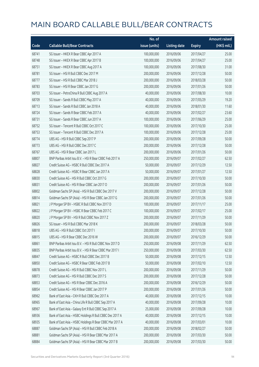|       |                                                          | No. of        |                     |               | <b>Amount raised</b> |
|-------|----------------------------------------------------------|---------------|---------------------|---------------|----------------------|
| Code  | <b>Callable Bull/Bear Contracts</b>                      | issue (units) | <b>Listing date</b> | <b>Expiry</b> | (HK\$ mil.)          |
| 68741 | SG Issuer - HKEX R Bear CBBC Apr 2017 A                  | 100,000,000   | 2016/09/06          | 2017/04/27    | 25.00                |
| 68748 | SG Issuer - HKEX R Bear CBBC Apr 2017 B                  | 100,000,000   | 2016/09/06          | 2017/04/27    | 25.00                |
| 68751 | SG Issuer - HKEX R Bear CBBC Aug 2017 A                  | 100,000,000   | 2016/09/06          | 2017/08/30    | 31.00                |
| 68781 | SG Issuer - HSI R Bull CBBC Dec 2017 M                   | 200,000,000   | 2016/09/06          | 2017/12/28    | 50.00                |
| 68777 | SG Issuer - HSI R Bull CBBC Mar 2018 J                   | 200,000,000   | 2016/09/06          | 2018/03/28    | 50.00                |
| 68783 | SG Issuer - HSI R Bear CBBC Jan 2017 G                   | 200,000,000   | 2016/09/06          | 2017/01/26    | 50.00                |
| 68703 | SG Issuer - PetroChina R Bull CBBC Aug 2017 A            | 40,000,000    | 2016/09/06          | 2017/08/30    | 10.00                |
| 68709 | SG Issuer - Sands R Bull CBBC May 2017 A                 | 40,000,000    | 2016/09/06          | 2017/05/29    | 19.20                |
| 68713 | SG Issuer - Sands R Bull CBBC Jan 2018 A                 | 40,000,000    | 2016/09/06          | 2018/01/30    | 11.60                |
| 68724 | SG Issuer - Sands R Bear CBBC Feb 2017 A                 | 40,000,000    | 2016/09/06          | 2017/02/27    | 23.60                |
| 68731 | SG Issuer - Sands R Bear CBBC Jun 2017 A                 | 100,000,000   | 2016/09/06          | 2017/06/29    | 25.00                |
| 68752 | SG Issuer - Tencent R Bull CBBC Oct 2017 C               | 100,000,000   | 2016/09/06          | 2017/10/30    | 25.00                |
| 68753 | SG Issuer - Tencent R Bull CBBC Dec 2017 A               | 100,000,000   | 2016/09/06          | 2017/12/28    | 25.00                |
| 68774 | UBS AG - HSI R Bull CBBC Sep 2017 P                      | 200,000,000   | 2016/09/06          | 2017/09/28    | 50.00                |
| 68773 | UBS AG - HSI R Bull CBBC Dec 2017 C                      | 200,000,000   | 2016/09/06          | 2017/12/28    | 50.00                |
| 68767 | UBS AG - HSI R Bear CBBC Jan 2017 L                      | 200,000,000   | 2016/09/06          | 2017/01/26    | 50.00                |
| 68807 | BNP Paribas Arbit Issu B.V. - HSI R Bear CBBC Feb 2017 A | 250,000,000   | 2016/09/07          | 2017/02/27    | 62.50                |
| 68827 | Credit Suisse AG - HSBC R Bull CBBC Dec 2017 A           | 50,000,000    | 2016/09/07          | 2017/12/29    | 12.50                |
| 68828 | Credit Suisse AG - HSBC R Bear CBBC Jan 2017 A           | 50,000,000    | 2016/09/07          | 2017/01/27    | 12.50                |
| 68830 | Credit Suisse AG - HSI R Bull CBBC Oct 2017 G            | 200,000,000   | 2016/09/07          | 2017/10/30    | 50.00                |
| 68831 | Credit Suisse AG - HSI R Bear CBBC Jan 2017 O            | 200,000,000   | 2016/09/07          | 2017/01/26    | 50.00                |
| 68802 | Goldman Sachs SP (Asia) - HSI R Bull CBBC Dec 2017 V     | 200,000,000   | 2016/09/07          | 2017/12/28    | 50.00                |
| 68814 | Goldman Sachs SP (Asia) - HSI R Bear CBBC Jan 2017 G     | 200,000,000   | 2016/09/07          | 2017/01/26    | 50.00                |
| 68821 | J P Morgan SP BV - HSBC R Bull CBBC Nov 2017 D           | 100,000,000   | 2016/09/07          | 2017/11/17    | 25.00                |
| 68822 | JP Morgan SP BV - HSBC R Bear CBBC Feb 2017 C            | 100,000,000   | 2016/09/07          | 2017/02/17    | 25.00                |
| 68820 | J P Morgan SP BV - HSI R Bull CBBC Nov 2017 Z            | 200,000,000   | 2016/09/07          | 2017/11/29    | 50.00                |
| 68826 | SG Issuer - HSI R Bull CBBC Mar 2018 K                   | 200,000,000   | 2016/09/07          | 2018/03/28    | 50.00                |
| 68818 | UBS AG - HSI R Bull CBBC Oct 2017 I                      | 200,000,000   | 2016/09/07          | 2017/10/30    | 50.00                |
| 68815 | UBS AG - HSI R Bear CBBC Dec 2016 W                      | 200,000,000   | 2016/09/07          | 2016/12/29    | 50.00                |
| 68861 | BNP Paribas Arbit Issu B.V. - HSI R Bull CBBC Nov 2017 D | 250,000,000   | 2016/09/08          | 2017/11/29    | 62.50                |
| 68835 | BNP Paribas Arbit Issu B.V. - HSI R Bear CBBC Mar 2017 I | 250,000,000   | 2016/09/08          | 2017/03/30    | 62.50                |
| 68847 | Credit Suisse AG - HSBC R Bull CBBC Dec 2017 B           | 50,000,000    | 2016/09/08          | 2017/12/15    | 12.50                |
| 68850 | Credit Suisse AG - HSBC R Bear CBBC Feb 2017 B           | 50,000,000    | 2016/09/08          | 2017/02/10    | 12.50                |
| 68878 | Credit Suisse AG - HSI R Bull CBBC Nov 2017 L            | 200,000,000   | 2016/09/08          | 2017/11/29    | 50.00                |
| 68873 | Credit Suisse AG - HSI R Bull CBBC Dec 2017 S            | 200,000,000   | 2016/09/08          | 2017/12/28    | 50.00                |
| 68853 | Credit Suisse AG - HSI R Bear CBBC Dec 2016 A            | 200,000,000   | 2016/09/08          | 2016/12/29    | 50.00                |
| 68854 | Credit Suisse AG - HSI R Bear CBBC Jan 2017 P            | 200,000,000   | 2016/09/08          | 2017/01/26    | 50.00                |
| 68962 | Bank of East Asia - CKH R Bull CBBC Dec 2017 A           | 40,000,000    | 2016/09/08          | 2017/12/15    | 10.00                |
| 68965 | Bank of East Asia - China Life R Bull CBBC Sep 2017 A    | 40,000,000    | 2016/09/08          | 2017/09/28    | 10.00                |
| 68967 | Bank of East Asia - Galaxy Ent R Bull CBBC Sep 2017 A    | 25,000,000    | 2016/09/08          | 2017/09/28    | 10.00                |
| 68936 | Bank of East Asia - HSBC Holdings R Bull CBBC Dec 2017 A | 40,000,000    | 2016/09/08          | 2017/12/15    | 10.00                |
| 68935 | Bank of East Asia - HSBC Holdings R Bear CBBC Mar 2017 A | 40,000,000    | 2016/09/08          | 2017/03/01    | 10.00                |
| 68887 | Goldman Sachs SP (Asia) - HSI R Bull CBBC Feb 2018 A     | 200,000,000   | 2016/09/08          | 2018/02/27    | 50.00                |
| 68881 | Goldman Sachs SP (Asia) - HSI R Bear CBBC Mar 2017 A     | 200,000,000   | 2016/09/08          | 2017/03/30    | 50.00                |
| 68884 | Goldman Sachs SP (Asia) - HSI R Bear CBBC Mar 2017 B     | 200,000,000   | 2016/09/08          | 2017/03/30    | 50.00                |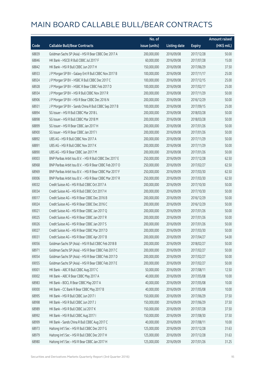|       |                                                          | No. of        |                     |               | <b>Amount raised</b> |
|-------|----------------------------------------------------------|---------------|---------------------|---------------|----------------------|
| Code  | <b>Callable Bull/Bear Contracts</b>                      | issue (units) | <b>Listing date</b> | <b>Expiry</b> | (HK\$ mil.)          |
| 68839 | Goldman Sachs SP (Asia) - HSI R Bear CBBC Dec 2017 A     | 200,000,000   | 2016/09/08          | 2017/12/28    | 50.00                |
| 68846 | HK Bank - HSCEI R Bull CBBC Jul 2017 F                   | 60,000,000    | 2016/09/08          | 2017/07/28    | 15.00                |
| 68842 | HK Bank - HSI R Bull CBBC Jun 2017 H                     | 150,000,000   | 2016/09/08          | 2017/06/29    | 37.50                |
| 68933 | J P Morgan SP BV - Galaxy Ent R Bull CBBC Nov 2017 B     | 100,000,000   | 2016/09/08          | 2017/11/17    | 25.00                |
| 68924 | J P Morgan SP BV - HSBC R Bull CBBC Dec 2017 C           | 100,000,000   | 2016/09/08          | 2017/12/15    | 25.00                |
| 68928 | J P Morgan SP BV - HSBC R Bear CBBC Feb 2017 D           | 100,000,000   | 2016/09/08          | 2017/02/17    | 25.00                |
| 68934 | J P Morgan SP BV - HSI R Bull CBBC Nov 2017 R            | 200,000,000   | 2016/09/08          | 2017/11/29    | 50.00                |
| 68906 | J P Morgan SP BV - HSI R Bear CBBC Dec 2016 N            | 200,000,000   | 2016/09/08          | 2016/12/29    | 50.00                |
| 68931 | J P Morgan SP BV - Sands China R Bull CBBC Sep 2017 B    | 100,000,000   | 2016/09/08          | 2017/09/15    | 25.00                |
| 68894 | SG Issuer - HSI R Bull CBBC Mar 2018 L                   | 200,000,000   | 2016/09/08          | 2018/03/28    | 50.00                |
| 68898 | SG Issuer - HSI R Bull CBBC Mar 2018 M                   | 200,000,000   | 2016/09/08          | 2018/03/28    | 50.00                |
| 68899 | SG Issuer - HSI R Bear CBBC Jan 2017 H                   | 200,000,000   | 2016/09/08          | 2017/01/26    | 50.00                |
| 68900 | SG Issuer - HSI R Bear CBBC Jan 2017 I                   | 200,000,000   | 2016/09/08          | 2017/01/26    | 50.00                |
| 68892 | UBS AG - HSI R Bull CBBC Nov 2017 A                      | 200,000,000   | 2016/09/08          | 2017/11/29    | 50.00                |
| 68891 | UBS AG - HSI R Bull CBBC Nov 2017 K                      | 200,000,000   | 2016/09/08          | 2017/11/29    | 50.00                |
| 68890 | UBS AG - HSI R Bear CBBC Jan 2017 M                      | 200,000,000   | 2016/09/08          | 2017/01/26    | 50.00                |
| 69003 | BNP Paribas Arbit Issu B.V. - HSI R Bull CBBC Dec 2017 E | 250,000,000   | 2016/09/09          | 2017/12/28    | 62.50                |
| 68968 | BNP Paribas Arbit Issu B.V. - HSI R Bear CBBC Feb 2017 O | 250,000,000   | 2016/09/09          | 2017/02/27    | 62.50                |
| 68969 | BNP Paribas Arbit Issu B.V. - HSI R Bear CBBC Mar 2017 F | 250,000,000   | 2016/09/09          | 2017/03/30    | 62.50                |
| 69006 | BNP Paribas Arbit Issu B.V. - HSI R Bear CBBC Mar 2017 R | 250,000,000   | 2016/09/09          | 2017/03/30    | 62.50                |
| 69032 | Credit Suisse AG - HSI R Bull CBBC Oct 2017 A            | 200,000,000   | 2016/09/09          | 2017/10/30    | 50.00                |
| 69034 | Credit Suisse AG - HSI R Bull CBBC Oct 2017 H            | 200,000,000   | 2016/09/09          | 2017/10/30    | 50.00                |
| 69017 | Credit Suisse AG - HSI R Bear CBBC Dec 2016 B            | 200,000,000   | 2016/09/09          | 2016/12/29    | 50.00                |
| 69024 | Credit Suisse AG - HSI R Bear CBBC Dec 2016 C            | 200,000,000   | 2016/09/09          | 2016/12/29    | 50.00                |
| 69021 | Credit Suisse AG - HSI R Bear CBBC Jan 2017 Q            | 200,000,000   | 2016/09/09          | 2017/01/26    | 50.00                |
| 69025 | Credit Suisse AG - HSI R Bear CBBC Jan 2017 R            | 200,000,000   | 2016/09/09          | 2017/01/26    | 50.00                |
| 69026 | Credit Suisse AG - HSI R Bear CBBC Jan 2017 S            | 200,000,000   | 2016/09/09          | 2017/01/26    | 50.00                |
| 69027 | Credit Suisse AG - HSI R Bear CBBC Mar 2017 D            | 200,000,000   | 2016/09/09          | 2017/03/30    | 50.00                |
| 69031 | Credit Suisse AG - HSI R Bear CBBC Apr 2017 B            | 200,000,000   | 2016/09/09          | 2017/04/27    | 54.00                |
| 69056 | Goldman Sachs SP (Asia) - HSI R Bull CBBC Feb 2018 B     | 200,000,000   | 2016/09/09          | 2018/02/27    | 50.00                |
| 68971 | Goldman Sachs SP (Asia) - HSI R Bear CBBC Feb 2017 C     | 200,000,000   | 2016/09/09          | 2017/02/27    | 50.00                |
| 69054 | Goldman Sachs SP (Asia) - HSI R Bear CBBC Feb 2017 D     | 200,000,000   | 2016/09/09          | 2017/02/27    | 50.00                |
| 69055 | Goldman Sachs SP (Asia) - HSI R Bear CBBC Feb 2017 E     | 200,000,000   | 2016/09/09          | 2017/02/27    | 50.00                |
| 69001 | HK Bank - ABC R Bull CBBC Aug 2017 C                     | 50,000,000    | 2016/09/09          | 2017/08/11    | 12.50                |
| 69002 | HK Bank - ABC R Bear CBBC May 2017 A                     | 40,000,000    | 2016/09/09          | 2017/05/08    | 10.00                |
| 68983 | HK Bank - BOCL R Bear CBBC May 2017 A                    | 40,000,000    | 2016/09/09          | 2017/05/08    | 10.00                |
| 69000 | HK Bank - CC Bank R Bear CBBC May 2017 B                 | 40,000,000    | 2016/09/09          | 2017/05/08    | 10.00                |
| 68995 | HK Bank - HSI R Bull CBBC Jun 2017 I                     | 150,000,000   | 2016/09/09          | 2017/06/29    | 37.50                |
| 68998 | HK Bank - HSI R Bull CBBC Jun 2017 J                     | 150,000,000   | 2016/09/09          | 2017/06/29    | 37.50                |
| 68989 | HK Bank - HSI R Bull CBBC Jul 2017 K                     | 150,000,000   | 2016/09/09          | 2017/07/28    | 37.50                |
| 68992 | HK Bank - HSI R Bull CBBC Aug 2017 I                     | 150,000,000   | 2016/09/09          | 2017/08/30    | 37.50                |
| 68999 | HK Bank - Sands China R Bull CBBC Aug 2017 C             | 40,000,000    | 2016/09/09          | 2017/08/11    | 10.00                |
| 68973 | Haitong Int'l Sec - HSI R Bull CBBC Dec 2017 G           | 125,000,000   | 2016/09/09          | 2017/12/28    | 31.63                |
| 68979 | Haitong Int'l Sec - HSI R Bull CBBC Dec 2017 H           | 125,000,000   | 2016/09/09          | 2017/12/28    | 31.63                |
| 68980 | Haitong Int'l Sec - HSI R Bear CBBC Jan 2017 H           | 125,000,000   | 2016/09/09          | 2017/01/26    | 31.25                |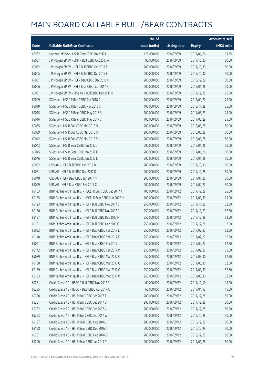|       |                                                            | No. of        |                     |               | <b>Amount raised</b> |
|-------|------------------------------------------------------------|---------------|---------------------|---------------|----------------------|
| Code  | <b>Callable Bull/Bear Contracts</b>                        | issue (units) | <b>Listing date</b> | <b>Expiry</b> | (HK\$ mil.)          |
| 68982 | Haitong Int'l Sec - HSI R Bear CBBC Jan 2017 I             | 125,000,000   | 2016/09/09          | 2017/01/26    | 31.25                |
| 69067 | J P Morgan SP BV - CKH R Bull CBBC Oct 2017 A              | 80,000,000    | 2016/09/09          | 2017/10/20    | 20.00                |
| 69062 | J P Morgan SP BV - HSI R Bull CBBC Oct 2017 E              | 200,000,000   | 2016/09/09          | 2017/10/30    | 50.00                |
| 69065 | JP Morgan SP BV - HSIR Bull CBBC Oct 2017 F                | 200,000,000   | 2016/09/09          | 2017/10/30    | 50.00                |
| 69057 | J P Morgan SP BV - HSI R Bear CBBC Dec 2016 O              | 200,000,000   | 2016/09/09          | 2016/12/29    | 50.00                |
| 69066 | J P Morgan SP BV - HSI R Bear CBBC Jan 2017 H              | 200,000,000   | 2016/09/09          | 2017/01/26    | 50.00                |
| 69061 | J P Morgan SP BV - Ping An R Bull CBBC Dec 2017 B          | 100,000,000   | 2016/09/09          | 2017/12/15    | 25.00                |
| 69009 | SG Issuer - HSBC R Bull CBBC Sep 2018 D                    | 100,000,000   | 2016/09/09          | 2018/09/27    | 25.00                |
| 69010 | SG Issuer - HSBC R Bull CBBC Nov 2018 C                    | 100,000,000   | 2016/09/09          | 2018/11/29    | 25.00                |
| 69015 | SG Issuer - HSBC R Bear CBBC May 2017 B                    | 100,000,000   | 2016/09/09          | 2017/05/29    | 25.00                |
| 69016 | SG Issuer - HSBC R Bear CBBC May 2017 C                    | 100,000,000   | 2016/09/09          | 2017/05/29    | 25.00                |
| 69035 | SG Issuer - HSI R Bull CBBC Mar 2018 N                     | 200,000,000   | 2016/09/09          | 2018/03/28    | 50.00                |
| 69039 | SG Issuer - HSI R Bull CBBC Mar 2018 O                     | 200,000,000   | 2016/09/09          | 2018/03/28    | 50.00                |
| 69042 | SG Issuer - HSI R Bull CBBC Mar 2018 P                     | 200,000,000   | 2016/09/09          | 2018/03/28    | 50.00                |
| 69043 | SG Issuer - HSI R Bear CBBC Jan 2017 J                     | 200,000,000   | 2016/09/09          | 2017/01/26    | 50.00                |
| 69045 | SG Issuer - HSI R Bear CBBC Jan 2017 K                     | 200,000,000   | 2016/09/09          | 2017/01/26    | 50.00                |
| 69046 | SG Issuer - HSI R Bear CBBC Jan 2017 L                     | 200,000,000   | 2016/09/09          | 2017/01/26    | 50.00                |
| 69052 | UBS AG - HSI R Bull CBBC Oct 2017 B                        | 200,000,000   | 2016/09/09          | 2017/10/30    | 50.00                |
| 69051 | UBS AG - HSI R Bull CBBC Dec 2017 D                        | 200,000,000   | 2016/09/09          | 2017/12/28    | 50.00                |
| 69048 | UBS AG - HSI R Bear CBBC Jan 2017 N                        | 200,000,000   | 2016/09/09          | 2017/01/26    | 50.00                |
| 69049 | UBS AG - HSI R Bear CBBC Feb 2017 C                        | 200,000,000   | 2016/09/09          | 2017/02/27    | 50.00                |
| 69153 | BNP Paribas Arbit Issu B.V. - HSCEI R Bull CBBC Dec 2017 A | 100,000,000   | 2016/09/12          | 2017/12/28    | 25.00                |
| 69155 | BNP Paribas Arbit Issu B.V. - HSCEI R Bear CBBC Mar 2017 H | 100,000,000   | 2016/09/12          | 2017/03/30    | 25.00                |
| 69123 | BNP Paribas Arbit Issu B.V. - HSI R Bull CBBC Nov 2017 E   | 250,000,000   | 2016/09/12          | 2017/11/29    | 62.50                |
| 69130 | BNP Paribas Arbit Issu B.V. - HSI R Bull CBBC Nov 2017 F   | 250,000,000   | 2016/09/12          | 2017/11/29    | 62.50                |
| 69127 | BNP Paribas Arbit Issu B.V. - HSI R Bull CBBC Dec 2017 F   | 250,000,000   | 2016/09/12          | 2017/12/28    | 62.50                |
| 69131 | BNP Paribas Arbit Issu B.V. - HSI R Bull CBBC Dec 2017 G   | 250,000,000   | 2016/09/12          | 2017/12/28    | 62.50                |
| 69082 | BNP Paribas Arbit Issu B.V. - HSI R Bear CBBC Feb 2017 E   | 250,000,000   | 2016/09/12          | 2017/02/27    | 62.50                |
| 69140 | BNP Paribas Arbit Issu B.V. - HSI R Bear CBBC Feb 2017 F   | 250,000,000   | 2016/09/12          | 2017/02/27    | 62.50                |
| 69091 | BNP Paribas Arbit Issu B.V. - HSI R Bear CBBC Feb 2017 J   | 250,000,000   | 2016/09/12          | 2017/02/27    | 62.50                |
| 69142 | BNP Paribas Arbit Issu B.V. - HSI R Bear CBBC Feb 2017 M   | 250,000,000   | 2016/09/12          | 2017/02/27    | 65.00                |
| 69089 | BNP Paribas Arbit Issu B.V. - HSI R Bear CBBC Mar 2017 C   | 250,000,000   | 2016/09/12          | 2017/03/30    | 62.50                |
| 69138 | BNP Paribas Arbit Issu B.V. - HSI R Bear CBBC Mar 2017 G   | 250,000,000   | 2016/09/12          | 2017/03/30    | 62.50                |
| 69139 | BNP Paribas Arbit Issu B.V. - HSI R Bear CBBC Mar 2017 O   | 250,000,000   | 2016/09/12          | 2017/03/30    | 62.50                |
| 69133 | BNP Paribas Arbit Issu B.V. - HSI R Bear CBBC Mar 2017 P   | 250,000,000   | 2016/09/12          | 2017/03/30    | 62.50                |
| 69231 | Credit Suisse AG - HSBC R Bull CBBC Nov 2017 B             | 60,000,000    | 2016/09/12          | 2017/11/10    | 15.00                |
| 69235 | Credit Suisse AG - HSBC R Bear CBBC Apr 2017 A             | 60,000,000    | 2016/09/12          | 2017/04/13    | 15.00                |
| 69250 | Credit Suisse AG - HSI R Bull CBBC Dec 2017 T              | 200,000,000   | 2016/09/12          | 2017/12/28    | 50.00                |
| 69251 | Credit Suisse AG - HSI R Bull CBBC Dec 2017 U              | 200,000,000   | 2016/09/12          | 2017/12/28    | 50.00                |
| 69252 | Credit Suisse AG - HSI R Bull CBBC Dec 2017 V              | 200,000,000   | 2016/09/12          | 2017/12/28    | 50.00                |
| 69253 | Credit Suisse AG - HSI R Bull CBBC Dec 2017 W              | 200,000,000   | 2016/09/12          | 2017/12/28    | 50.00                |
| 69197 | Credit Suisse AG - HSI R Bear CBBC Dec 2016 D              | 200,000,000   | 2016/09/12          | 2016/12/29    | 50.00                |
| 69198 | Credit Suisse AG - HSI R Bear CBBC Dec 2016 J              | 200,000,000   | 2016/09/12          | 2016/12/29    | 50.00                |
| 69201 | Credit Suisse AG - HSI R Bear CBBC Dec 2016 O              | 200,000,000   | 2016/09/12          | 2016/12/29    | 50.00                |
| 69200 | Credit Suisse AG - HSI R Bear CBBC Jan 2017 T              | 200,000,000   | 2016/09/12          | 2017/01/26    | 50.00                |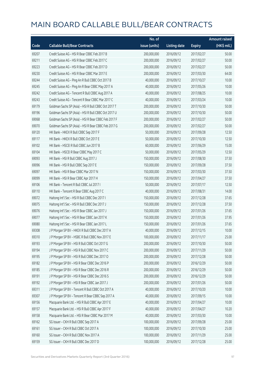|       |                                                      | No. of        |                     |               | <b>Amount raised</b> |
|-------|------------------------------------------------------|---------------|---------------------|---------------|----------------------|
| Code  | <b>Callable Bull/Bear Contracts</b>                  | issue (units) | <b>Listing date</b> | <b>Expiry</b> | (HK\$ mil.)          |
| 69207 | Credit Suisse AG - HSI R Bear CBBC Feb 2017 B        | 200,000,000   | 2016/09/12          | 2017/02/27    | 50.00                |
| 69211 | Credit Suisse AG - HSI R Bear CBBC Feb 2017 C        | 200,000,000   | 2016/09/12          | 2017/02/27    | 50.00                |
| 69223 | Credit Suisse AG - HSI R Bear CBBC Feb 2017 D        | 200,000,000   | 2016/09/12          | 2017/02/27    | 50.00                |
| 69230 | Credit Suisse AG - HSI R Bear CBBC Mar 2017 E        | 200,000,000   | 2016/09/12          | 2017/03/30    | 64.00                |
| 69244 | Credit Suisse AG - Ping An R Bull CBBC Oct 2017 B    | 40,000,000    | 2016/09/12          | 2017/10/27    | 10.00                |
| 69245 | Credit Suisse AG - Ping An R Bear CBBC May 2017 A    | 40,000,000    | 2016/09/12          | 2017/05/26    | 10.00                |
| 69242 | Credit Suisse AG - Tencent R Bull CBBC Aug 2017 A    | 40,000,000    | 2016/09/12          | 2017/08/25    | 10.00                |
| 69243 | Credit Suisse AG - Tencent R Bear CBBC Mar 2017 C    | 40,000,000    | 2016/09/12          | 2017/03/24    | 10.00                |
| 69179 | Goldman Sachs SP (Asia) - HSI R Bull CBBC Oct 2017 T | 200,000,000   | 2016/09/12          | 2017/10/30    | 50.00                |
| 69196 | Goldman Sachs SP (Asia) - HSI R Bull CBBC Oct 2017 U | 200,000,000   | 2016/09/12          | 2017/10/30    | 50.00                |
| 69068 | Goldman Sachs SP (Asia) - HSI R Bear CBBC Feb 2017 F | 200,000,000   | 2016/09/12          | 2017/02/27    | 50.00                |
| 69070 | Goldman Sachs SP (Asia) - HSI R Bear CBBC Feb 2017 G | 200,000,000   | 2016/09/12          | 2017/02/27    | 50.00                |
| 69120 | HK Bank - HKEX R Bull CBBC Sep 2017 F                | 50,000,000    | 2016/09/12          | 2017/09/28    | 12.50                |
| 69117 | HK Bank - HKEX R Bull CBBC Oct 2017 E                | 50,000,000    | 2016/09/12          | 2017/10/30    | 12.50                |
| 69102 | HK Bank - HSCEI R Bull CBBC Jun 2017 B               | 60,000,000    | 2016/09/12          | 2017/06/29    | 15.00                |
| 69104 | HK Bank - HSCEI R Bear CBBC May 2017 C               | 50,000,000    | 2016/09/12          | 2017/05/29    | 12.50                |
| 69093 | HK Bank - HSI R Bull CBBC Aug 2017 J                 | 150,000,000   | 2016/09/12          | 2017/08/30    | 37.50                |
| 69096 | HK Bank - HSI R Bull CBBC Sep 2017 E                 | 150,000,000   | 2016/09/12          | 2017/09/28    | 37.50                |
| 69097 | HK Bank - HSI R Bear CBBC Mar 2017 N                 | 150,000,000   | 2016/09/12          | 2017/03/30    | 37.50                |
| 69099 | HK Bank - HSI R Bear CBBC Apr 2017 H                 | 150,000,000   | 2016/09/12          | 2017/04/27    | 37.50                |
| 69106 | HK Bank - Tencent R Bull CBBC Jul 2017 I             | 50,000,000    | 2016/09/12          | 2017/07/17    | 12.50                |
| 69110 | HK Bank - Tencent R Bear CBBC Aug 2017 C             | 40,000,000    | 2016/09/12          | 2017/08/31    | 14.00                |
| 69072 | Haitong Int'l Sec - HSI R Bull CBBC Dec 2017 I       | 150,000,000   | 2016/09/12          | 2017/12/28    | 37.65                |
| 69075 | Haitong Int'l Sec - HSI R Bull CBBC Dec 2017 J       | 150,000,000   | 2016/09/12          | 2017/12/28    | 37.50                |
| 69076 | Haitong Int'l Sec - HSI R Bear CBBC Jan 2017 J       | 150,000,000   | 2016/09/12          | 2017/01/26    | 37.65                |
| 69077 | Haitong Int'l Sec - HSI R Bear CBBC Jan 2017 K       | 150,000,000   | 2016/09/12          | 2017/01/26    | 37.95                |
| 69080 | Haitong Int'l Sec - HSI R Bear CBBC Jan 2017 L       | 150,000,000   | 2016/09/12          | 2017/01/26    | 37.65                |
| 69308 | J P Morgan SP BV - HKEX R Bull CBBC Dec 2017 A       | 40,000,000    | 2016/09/12          | 2017/12/15    | 10.00                |
| 69310 | J P Morgan SP BV - HSBC R Bull CBBC Nov 2017 E       | 100,000,000   | 2016/09/12          | 2017/11/17    | 25.00                |
| 69193 | JP Morgan SP BV - HSIR Bull CBBC Oct 2017 G          | 200,000,000   | 2016/09/12          | 2017/10/30    | 50.00                |
| 69194 | J P Morgan SP BV - HSI R Bull CBBC Nov 2017 C        | 200,000,000   | 2016/09/12          | 2017/11/29    | 50.00                |
| 69195 | J P Morgan SP BV - HSI R Bull CBBC Dec 2017 O        | 200,000,000   | 2016/09/12          | 2017/12/28    | 50.00                |
| 69182 | J P Morgan SP BV - HSI R Bear CBBC Dec 2016 P        | 200,000,000   | 2016/09/12          | 2016/12/29    | 50.00                |
| 69185 | J P Morgan SP BV - HSI R Bear CBBC Dec 2016 R        | 200,000,000   | 2016/09/12          | 2016/12/29    | 50.00                |
| 69191 | J P Morgan SP BV - HSI R Bear CBBC Dec 2016 S        | 200,000,000   | 2016/09/12          | 2016/12/29    | 50.00                |
| 69192 | J P Morgan SP BV - HSI R Bear CBBC Jan 2017 J        | 200,000,000   | 2016/09/12          | 2017/01/26    | 50.00                |
| 69311 | J P Morgan SP BV - Tencent R Bull CBBC Oct 2017 A    | 40,000,000    | 2016/09/12          | 2017/10/20    | 10.00                |
| 69307 | J P Morgan SP BV - Tencent R Bear CBBC Sep 2017 A    | 40,000,000    | 2016/09/12          | 2017/09/15    | 10.00                |
| 69156 | Macquarie Bank Ltd. - HSI R Bull CBBC Apr 2017 E     | 40,000,000    | 2016/09/12          | 2017/04/27    | 10.00                |
| 69157 | Macquarie Bank Ltd. - HSI R Bull CBBC Apr 2017 F     | 40,000,000    | 2016/09/12          | 2017/04/27    | 10.20                |
| 69158 | Macquarie Bank Ltd. - HSI R Bear CBBC Mar 2017 M     | 40,000,000    | 2016/09/12          | 2017/03/30    | 10.00                |
| 69162 | SG Issuer - CKH R Bull CBBC Sep 2017 A               | 100,000,000   | 2016/09/12          | 2017/09/28    | 25.00                |
| 69161 | SG Issuer - CKH R Bull CBBC Oct 2017 A               | 100,000,000   | 2016/09/12          | 2017/10/30    | 25.00                |
| 69160 | SG Issuer - CKH R Bull CBBC Nov 2017 A               | 100,000,000   | 2016/09/12          | 2017/11/29    | 25.00                |
| 69159 | SG Issuer - CKH R Bull CBBC Dec 2017 D               | 100,000,000   | 2016/09/12          | 2017/12/28    | 25.00                |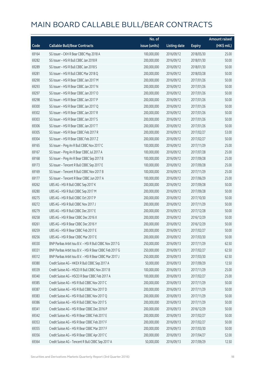|       |                                                          | No. of        |                     |               | <b>Amount raised</b> |
|-------|----------------------------------------------------------|---------------|---------------------|---------------|----------------------|
| Code  | <b>Callable Bull/Bear Contracts</b>                      | issue (units) | <b>Listing date</b> | <b>Expiry</b> | (HK\$ mil.)          |
| 69164 | SG Issuer - CKH R Bear CBBC May 2018 A                   | 100,000,000   | 2016/09/12          | 2018/05/30    | 25.00                |
| 69282 | SG Issuer - HSI R Bull CBBC Jan 2018 R                   | 200,000,000   | 2016/09/12          | 2018/01/30    | 50.00                |
| 69289 | SG Issuer - HSI R Bull CBBC Jan 2018 S                   | 200,000,000   | 2016/09/12          | 2018/01/30    | 50.00                |
| 69281 | SG Issuer - HSI R Bull CBBC Mar 2018 Q                   | 200,000,000   | 2016/09/12          | 2018/03/28    | 50.00                |
| 69290 | SG Issuer - HSI R Bear CBBC Jan 2017 M                   | 200,000,000   | 2016/09/12          | 2017/01/26    | 50.00                |
| 69293 | SG Issuer - HSI R Bear CBBC Jan 2017 N                   | 200,000,000   | 2016/09/12          | 2017/01/26    | 50.00                |
| 69297 | SG Issuer - HSI R Bear CBBC Jan 2017 O                   | 200,000,000   | 2016/09/12          | 2017/01/26    | 50.00                |
| 69298 | SG Issuer - HSI R Bear CBBC Jan 2017 P                   | 200,000,000   | 2016/09/12          | 2017/01/26    | 50.00                |
| 69300 | SG Issuer - HSI R Bear CBBC Jan 2017 Q                   | 200,000,000   | 2016/09/12          | 2017/01/26    | 50.00                |
| 69302 | SG Issuer - HSI R Bear CBBC Jan 2017 R                   | 200,000,000   | 2016/09/12          | 2017/01/26    | 50.00                |
| 69303 | SG Issuer - HSI R Bear CBBC Jan 2017 S                   | 200,000,000   | 2016/09/12          | 2017/01/26    | 50.00                |
| 69306 | SG Issuer - HSI R Bear CBBC Jan 2017 T                   | 200,000,000   | 2016/09/12          | 2017/01/26    | 50.00                |
| 69305 | SG Issuer - HSI R Bear CBBC Feb 2017 R                   | 200,000,000   | 2016/09/12          | 2017/02/27    | 53.00                |
| 69304 | SG Issuer - HSI R Bear CBBC Feb 2017 Z                   | 200,000,000   | 2016/09/12          | 2017/02/27    | 50.00                |
| 69165 | SG Issuer - Ping An R Bull CBBC Nov 2017 C               | 100,000,000   | 2016/09/12          | 2017/11/29    | 25.00                |
| 69167 | SG Issuer - Ping An R Bear CBBC Jul 2017 A               | 100,000,000   | 2016/09/12          | 2017/07/28    | 25.00                |
| 69168 | SG Issuer - Ping An R Bear CBBC Sep 2017 B               | 100,000,000   | 2016/09/12          | 2017/09/28    | 25.00                |
| 69173 | SG Issuer - Tencent R Bull CBBC Sep 2017 E               | 100,000,000   | 2016/09/12          | 2017/09/28    | 25.00                |
| 69169 | SG Issuer - Tencent R Bull CBBC Nov 2017 B               | 100,000,000   | 2016/09/12          | 2017/11/29    | 25.00                |
| 69177 | SG Issuer - Tencent R Bear CBBC Jun 2017 A               | 100,000,000   | 2016/09/12          | 2017/06/29    | 25.00                |
| 69262 | UBS AG - HSI R Bull CBBC Sep 2017 K                      | 200,000,000   | 2016/09/12          | 2017/09/28    | 50.00                |
| 69280 | UBS AG - HSI R Bull CBBC Sep 2017 M                      | 200,000,000   | 2016/09/12          | 2017/09/28    | 50.00                |
| 69275 | UBS AG - HSI R Bull CBBC Oct 2017 P                      | 200,000,000   | 2016/09/12          | 2017/10/30    | 50.00                |
| 69272 | UBS AG - HSI R Bull CBBC Nov 2017 J                      | 200,000,000   | 2016/09/12          | 2017/11/29    | 50.00                |
| 69279 | UBS AG - HSI R Bull CBBC Dec 2017 E                      | 200,000,000   | 2016/09/12          | 2017/12/28    | 50.00                |
| 69258 | UBS AG - HSI R Bear CBBC Dec 2016 X                      | 200,000,000   | 2016/09/12          | 2016/12/29    | 50.00                |
| 69261 | UBS AG - HSI R Bear CBBC Dec 2016 Y                      | 200,000,000   | 2016/09/12          | 2016/12/29    | 50.00                |
| 69259 | UBS AG - HSI R Bear CBBC Feb 2017 E                      | 200,000,000   | 2016/09/12          | 2017/02/27    | 50.00                |
| 69256 | UBS AG - HSI R Bear CBBC Mar 2017 E                      | 200,000,000   | 2016/09/12          | 2017/03/30    | 50.00                |
| 69330 | BNP Paribas Arbit Issu B.V. - HSI R Bull CBBC Nov 2017 G | 250,000,000   | 2016/09/13          | 2017/11/29    | 62.50                |
| 69331 | BNP Paribas Arbit Issu B.V. - HSI R Bear CBBC Feb 2017 G | 250,000,000   | 2016/09/13          | 2017/02/27    | 62.50                |
| 69312 | BNP Paribas Arbit Issu B.V. - HSI R Bear CBBC Mar 2017 J | 250,000,000   | 2016/09/13          | 2017/03/30    | 62.50                |
| 69380 | Credit Suisse AG - HKEX R Bull CBBC Sep 2017 A           | 50,000,000    | 2016/09/13          | 2017/09/29    | 12.50                |
| 69339 | Credit Suisse AG - HSCEI R Bull CBBC Nov 2017 B          | 100,000,000   | 2016/09/13          | 2017/11/29    | 25.00                |
| 69340 | Credit Suisse AG - HSCEI R Bear CBBC Feb 2017 A          | 100,000,000   | 2016/09/13          | 2017/02/27    | 25.00                |
| 69385 | Credit Suisse AG - HSI R Bull CBBC Nov 2017 C            | 200,000,000   | 2016/09/13          | 2017/11/29    | 50.00                |
| 69387 | Credit Suisse AG - HSI R Bull CBBC Nov 2017 D            | 200,000,000   | 2016/09/13          | 2017/11/29    | 50.00                |
| 69383 | Credit Suisse AG - HSI R Bull CBBC Nov 2017 Q            | 200,000,000   | 2016/09/13          | 2017/11/29    | 50.00                |
| 69386 | Credit Suisse AG - HSI R Bull CBBC Nov 2017 S            | 200,000,000   | 2016/09/13          | 2017/11/29    | 50.00                |
| 69341 | Credit Suisse AG - HSI R Bear CBBC Dec 2016 P            | 200,000,000   | 2016/09/13          | 2016/12/29    | 50.00                |
| 69342 | Credit Suisse AG - HSI R Bear CBBC Feb 2017 E            | 200,000,000   | 2016/09/13          | 2017/02/27    | 50.00                |
| 69353 | Credit Suisse AG - HSI R Bear CBBC Feb 2017 F            | 200,000,000   | 2016/09/13          | 2017/02/27    | 50.00                |
| 69355 | Credit Suisse AG - HSI R Bear CBBC Mar 2017 F            | 200,000,000   | 2016/09/13          | 2017/03/30    | 50.00                |
| 69356 | Credit Suisse AG - HSI R Bear CBBC Apr 2017 C            | 200,000,000   | 2016/09/13          | 2017/04/27    | 52.00                |
| 69364 | Credit Suisse AG - Tencent R Bull CBBC Sep 2017 A        | 50,000,000    | 2016/09/13          | 2017/09/29    | 12.50                |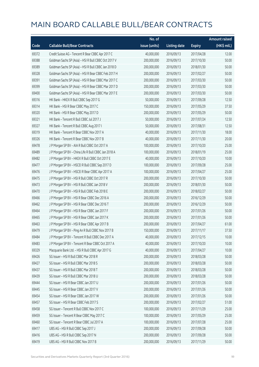|       |                                                      | No. of        |                     |               | <b>Amount raised</b> |
|-------|------------------------------------------------------|---------------|---------------------|---------------|----------------------|
| Code  | <b>Callable Bull/Bear Contracts</b>                  | issue (units) | <b>Listing date</b> | <b>Expiry</b> | (HK\$ mil.)          |
| 69372 | Credit Suisse AG - Tencent R Bear CBBC Apr 2017 C    | 40,000,000    | 2016/09/13          | 2017/04/28    | 12.00                |
| 69388 | Goldman Sachs SP (Asia) - HSI R Bull CBBC Oct 2017 V | 200,000,000   | 2016/09/13          | 2017/10/30    | 50.00                |
| 69389 | Goldman Sachs SP (Asia) - HSI R Bull CBBC Jan 2018 D | 200,000,000   | 2016/09/13          | 2018/01/30    | 50.00                |
| 69328 | Goldman Sachs SP (Asia) - HSI R Bear CBBC Feb 2017 H | 200,000,000   | 2016/09/13          | 2017/02/27    | 50.00                |
| 69391 | Goldman Sachs SP (Asia) - HSI R Bear CBBC Mar 2017 C | 200,000,000   | 2016/09/13          | 2017/03/30    | 50.00                |
| 69399 | Goldman Sachs SP (Asia) - HSI R Bear CBBC Mar 2017 D | 200,000,000   | 2016/09/13          | 2017/03/30    | 50.00                |
| 69400 | Goldman Sachs SP (Asia) - HSI R Bear CBBC Mar 2017 E | 200,000,000   | 2016/09/13          | 2017/03/30    | 50.00                |
| 69316 | HK Bank - HKEX R Bull CBBC Sep 2017 G                | 50,000,000    | 2016/09/13          | 2017/09/28    | 12.50                |
| 69314 | HK Bank - HSI R Bear CBBC May 2017 C                 | 150,000,000   | 2016/09/13          | 2017/05/29    | 37.50                |
| 69320 | HK Bank - HSI R Bear CBBC May 2017 D                 | 200,000,000   | 2016/09/13          | 2017/05/29    | 50.00                |
| 69321 | HK Bank - Tencent R Bull CBBC Jul 2017 J             | 50,000,000    | 2016/09/13          | 2017/07/24    | 12.50                |
| 69327 | HK Bank - Tencent R Bull CBBC Aug 2017 I             | 50,000,000    | 2016/09/13          | 2017/08/31    | 12.50                |
| 69319 | HK Bank - Tencent R Bear CBBC Nov 2017 A             | 40,000,000    | 2016/09/13          | 2017/11/30    | 18.00                |
| 69326 | HK Bank - Tencent R Bear CBBC Nov 2017 B             | 40,000,000    | 2016/09/13          | 2017/11/30    | 20.00                |
| 69478 | J P Morgan SP BV - AIA R Bull CBBC Oct 2017 A        | 100,000,000   | 2016/09/13          | 2017/10/20    | 25.00                |
| 69489 | J P Morgan SP BV - China Life R Bull CBBC Jan 2018 A | 100,000,000   | 2016/09/13          | 2018/01/19    | 25.00                |
| 69482 | J P Morgan SP BV - HKEX R Bull CBBC Oct 2017 E       | 40,000,000    | 2016/09/13          | 2017/10/20    | 10.00                |
| 69477 | J P Morgan SP BV - HSCEI R Bull CBBC Sep 2017 D      | 100,000,000   | 2016/09/13          | 2017/09/28    | 25.00                |
| 69476 | J P Morgan SP BV - HSCEI R Bear CBBC Apr 2017 A      | 100,000,000   | 2016/09/13          | 2017/04/27    | 25.00                |
| 69475 | JP Morgan SP BV - HSIR Bull CBBC Oct 2017 R          | 200,000,000   | 2016/09/13          | 2017/10/30    | 50.00                |
| 69473 | J P Morgan SP BV - HSI R Bull CBBC Jan 2018 V        | 200,000,000   | 2016/09/13          | 2018/01/30    | 50.00                |
| 69470 | J P Morgan SP BV - HSI R Bull CBBC Feb 2018 E        | 200,000,000   | 2016/09/13          | 2018/02/27    | 50.00                |
| 69466 | J P Morgan SP BV - HSI R Bear CBBC Dec 2016 A        | 200,000,000   | 2016/09/13          | 2016/12/29    | 50.00                |
| 69462 | J P Morgan SP BV - HSI R Bear CBBC Dec 2016 T        | 200,000,000   | 2016/09/13          | 2016/12/29    | 50.00                |
| 69464 | JP Morgan SP BV - HSIR Bear CBBC Jan 2017 F          | 200,000,000   | 2016/09/13          | 2017/01/26    | 50.00                |
| 69465 | J P Morgan SP BV - HSI R Bear CBBC Jan 2017 K        | 200,000,000   | 2016/09/13          | 2017/01/26    | 50.00                |
| 69463 | J P Morgan SP BV - HSI R Bear CBBC Apr 2017 B        | 200,000,000   | 2016/09/13          | 2017/04/27    | 61.00                |
| 69479 | J P Morgan SP BV - Ping An R Bull CBBC Nov 2017 B    | 150,000,000   | 2016/09/13          | 2017/11/17    | 37.50                |
| 69484 | J P Morgan SP BV - Tencent R Bull CBBC Dec 2017 A    | 40,000,000    | 2016/09/13          | 2017/12/15    | 10.00                |
| 69483 | J P Morgan SP BV - Tencent R Bear CBBC Oct 2017 A    | 40,000,000    | 2016/09/13          | 2017/10/20    | 10.00                |
| 69329 | Macquarie Bank Ltd. - HSI R Bull CBBC Apr 2017 G     | 40,000,000    | 2016/09/13          | 2017/04/27    | 10.00                |
| 69426 | SG Issuer - HSI R Bull CBBC Mar 2018 R               | 200,000,000   | 2016/09/13          | 2018/03/28    | 50.00                |
| 69427 | SG Issuer - HSI R Bull CBBC Mar 2018 S               | 200,000,000   | 2016/09/13          | 2018/03/28    | 50.00                |
| 69437 | SG Issuer - HSI R Bull CBBC Mar 2018 T               | 200,000,000   | 2016/09/13          | 2018/03/28    | 50.00                |
| 69439 | SG Issuer - HSI R Bull CBBC Mar 2018 U               | 200,000,000   | 2016/09/13          | 2018/03/28    | 50.00                |
| 69444 | SG Issuer - HSI R Bear CBBC Jan 2017 U               | 200,000,000   | 2016/09/13          | 2017/01/26    | 50.00                |
| 69445 | SG Issuer - HSI R Bear CBBC Jan 2017 V               | 200,000,000   | 2016/09/13          | 2017/01/26    | 50.00                |
| 69454 | SG Issuer - HSI R Bear CBBC Jan 2017 W               | 200,000,000   | 2016/09/13          | 2017/01/26    | 50.00                |
| 69457 | SG Issuer - HSI R Bear CBBC Feb 2017 S               | 200,000,000   | 2016/09/13          | 2017/02/27    | 51.00                |
| 69458 | SG Issuer - Tencent R Bull CBBC Nov 2017 C           | 100,000,000   | 2016/09/13          | 2017/11/29    | 25.00                |
| 69459 | SG Issuer - Tencent R Bear CBBC May 2017 C           | 100,000,000   | 2016/09/13          | 2017/05/29    | 25.00                |
| 69460 | SG Issuer - Tencent R Bear CBBC Jul 2017 A           | 100,000,000   | 2016/09/13          | 2017/07/28    | 25.00                |
| 69417 | UBS AG - HSI R Bull CBBC Sep 2017 J                  | 200,000,000   | 2016/09/13          | 2017/09/28    | 50.00                |
| 69416 | UBS AG - HSI R Bull CBBC Sep 2017 N                  | 200,000,000   | 2016/09/13          | 2017/09/28    | 50.00                |
| 69419 | UBS AG - HSI R Bull CBBC Nov 2017 B                  | 200,000,000   | 2016/09/13          | 2017/11/29    | 50.00                |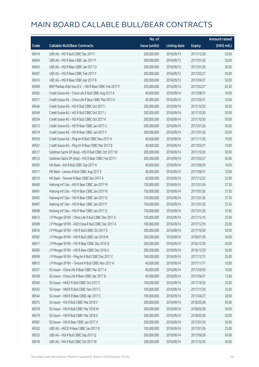|       |                                                          | No. of        |                     |               | <b>Amount raised</b> |
|-------|----------------------------------------------------------|---------------|---------------------|---------------|----------------------|
| Code  | <b>Callable Bull/Bear Contracts</b>                      | issue (units) | <b>Listing date</b> | <b>Expiry</b> | (HK\$ mil.)          |
| 69414 | UBS AG - HSI R Bull CBBC Dec 2017 I                      | 200,000,000   | 2016/09/13          | 2017/12/28    | 50.00                |
| 69404 | UBS AG - HSI R Bear CBBC Jan 2017 F                      | 200,000,000   | 2016/09/13          | 2017/01/26    | 50.00                |
| 69403 | UBS AG - HSI R Bear CBBC Jan 2017 O                      | 200,000,000   | 2016/09/13          | 2017/01/26    | 50.00                |
| 69407 | UBS AG - HSI R Bear CBBC Feb 2017 F                      | 200,000,000   | 2016/09/13          | 2017/02/27    | 50.00                |
| 69410 | UBS AG - HSI R Bear CBBC Apr 2017 B                      | 200,000,000   | 2016/09/13          | 2017/04/27    | 50.00                |
| 69499 | BNP Paribas Arbit Issu B.V. - HSI R Bear CBBC Feb 2017 P | 250,000,000   | 2016/09/14          | 2017/02/27    | 62.50                |
| 69562 | Credit Suisse AG - China Life R Bull CBBC Aug 2017 A     | 40,000,000    | 2016/09/14          | 2017/08/31    | 10.00                |
| 69571 | Credit Suisse AG - China Life R Bear CBBC Mar 2017 A     | 40,000,000    | 2016/09/14          | 2017/03/31    | 16.00                |
| 69546 | Credit Suisse AG - HSI R Bull CBBC Oct 2017 I            | 200,000,000   | 2016/09/14          | 2017/10/30    | 50.00                |
| 69549 | Credit Suisse AG - HSI R Bull CBBC Oct 2017 J            | 200,000,000   | 2016/09/14          | 2017/10/30    | 50.00                |
| 69554 | Credit Suisse AG - HSI R Bull CBBC Oct 2017 K            | 200,000,000   | 2016/09/14          | 2017/10/30    | 50.00                |
| 69573 | Credit Suisse AG - HSI R Bear CBBC Jan 2017 U            | 200,000,000   | 2016/09/14          | 2017/01/26    | 50.00                |
| 69574 | Credit Suisse AG - HSI R Bear CBBC Jan 2017 V            | 200,000,000   | 2016/09/14          | 2017/01/26    | 50.00                |
| 69559 | Credit Suisse AG - Ping An R Bull CBBC Nov 2017 A        | 40,000,000    | 2016/09/14          | 2017/11/30    | 10.00                |
| 69561 | Credit Suisse AG - Ping An R Bear CBBC Mar 2017 B        | 40,000,000    | 2016/09/14          | 2017/03/31    | 10.00                |
| 69517 | Goldman Sachs SP (Asia) - HSI R Bull CBBC Oct 2017 W     | 200,000,000   | 2016/09/14          | 2017/10/30    | 50.00                |
| 69512 | Goldman Sachs SP (Asia) - HSI R Bear CBBC Feb 2017 I     | 200,000,000   | 2016/09/14          | 2017/02/27    | 50.00                |
| 69505 | HK Bank - AIA R Bull CBBC Sep 2017 A                     | 40,000,000    | 2016/09/14          | 2017/09/29    | 10.00                |
| 69511 | HK Bank - Lenovo R Bull CBBC Aug 2017 E                  | 40,000,000    | 2016/09/14          | 2017/08/31    | 10.00                |
| 69510 | HK Bank - Tencent R Bear CBBC Dec 2017 A                 | 40,000,000    | 2016/09/14          | 2017/12/22    | 22.00                |
| 69490 | Haitong Int'l Sec - HSI R Bear CBBC Jan 2017 M           | 150,000,000   | 2016/09/14          | 2017/01/26    | 37.50                |
| 69491 | Haitong Int'l Sec - HSI R Bear CBBC Jan 2017 N           | 150,000,000   | 2016/09/14          | 2017/01/26    | 37.50                |
| 69492 | Haitong Int'l Sec - HSI R Bear CBBC Jan 2017 O           | 150,000,000   | 2016/09/14          | 2017/01/26    | 37.50                |
| 69497 | Haitong Int'l Sec - HSI R Bear CBBC Jan 2017 P           | 150,000,000   | 2016/09/14          | 2017/01/26    | 37.65                |
| 69498 | Haitong Int'l Sec - HSI R Bear CBBC Jan 2017 Q           | 150,000,000   | 2016/09/14          | 2017/01/26    | 37.65                |
| 69613 | J P Morgan SP BV - China Life R Bull CBBC Dec 2017 A     | 100,000,000   | 2016/09/14          | 2017/12/15    | 25.00                |
| 69589 | J P Morgan SP BV - A50 China R Bull CBBC Dec 2017 A      | 100,000,000   | 2016/09/14          | 2017/12/19    | 25.00                |
| 69616 | J P Morgan SP BV - HSI R Bull CBBC Oct 2017 S            | 200,000,000   | 2016/09/14          | 2017/10/30    | 50.00                |
| 69582 | J P Morgan SP BV - HSI R Bull CBBC Jan 2018 W            | 200,000,000   | 2016/09/14          | 2018/01/30    | 50.00                |
| 69617 | J P Morgan SP BV - HSI R Bear CBBC Dec 2016 Q            | 200,000,000   | 2016/09/14          | 2016/12/29    | 50.00                |
| 69585 | J P Morgan SP BV - HSI R Bear CBBC Dec 2016 U            | 200,000,000   | 2016/09/14          | 2016/12/29    | 50.00                |
| 69599 | J P Morgan SP BV - Ping An R Bull CBBC Dec 2017 C        | 100,000,000   | 2016/09/14          | 2017/12/15    | 25.00                |
| 69615 | J P Morgan SP BV - Tencent R Bull CBBC Nov 2017 A        | 40,000,000    | 2016/09/14          | 2017/11/17    | 10.00                |
| 69537 | SG Issuer - China Life R Bear CBBC Mar 2017 A            | 40,000,000    | 2016/09/14          | 2017/03/30    | 10.00                |
| 69538 | SG Issuer - China Life R Bear CBBC Apr 2017 B            | 40,000,000    | 2016/09/14          | 2017/04/27    | 13.60                |
| 69540 | SG Issuer - HKEX R Bull CBBC Oct 2017 C                  | 100,000,000   | 2016/09/14          | 2017/10/30    | 25.00                |
| 69542 | SG Issuer - HKEX R Bull CBBC Nov 2017 C                  | 100,000,000   | 2016/09/14          | 2017/11/29    | 25.00                |
| 69544 | SG Issuer - HKEX R Bear CBBC Apr 2017 C                  | 100,000,000   | 2016/09/14          | 2017/04/27    | 28.00                |
| 69575 | SG Issuer - HSI R Bull CBBC Mar 2018 V                   | 200,000,000   | 2016/09/14          | 2018/03/28    | 50.00                |
| 69578 | SG Issuer - HSI R Bull CBBC Mar 2018 W                   | 200,000,000   | 2016/09/14          | 2018/03/28    | 50.00                |
| 69579 | SG Issuer - HSI R Bull CBBC Mar 2018 X                   | 200,000,000   | 2016/09/14          | 2018/03/28    | 50.00                |
| 69581 | SG Issuer - HSI R Bear CBBC Jan 2017 X                   | 200,000,000   | 2016/09/14          | 2017/01/26    | 50.00                |
| 69520 | UBS AG - HSCEI R Bear CBBC Jan 2017 B                    | 100,000,000   | 2016/09/14          | 2017/01/26    | 25.00                |
| 69535 | UBS AG - HSI R Bull CBBC Sep 2017 Q                      | 200,000,000   | 2016/09/14          | 2017/09/28    | 50.00                |
| 69518 | UBS AG - HSI R Bull CBBC Oct 2017 W                      | 200,000,000   | 2016/09/14          | 2017/10/30    | 50.00                |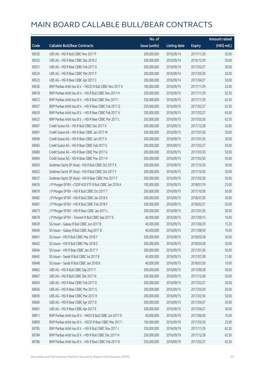|       |                                                            | No. of        |                     |               | <b>Amount raised</b>  |
|-------|------------------------------------------------------------|---------------|---------------------|---------------|-----------------------|
| Code  | <b>Callable Bull/Bear Contracts</b>                        | issue (units) | <b>Listing date</b> | <b>Expiry</b> | $(HK\frac{1}{2}mil.)$ |
| 69530 | UBS AG - HSI R Bull CBBC Nov 2017 P                        | 200,000,000   | 2016/09/14          | 2017/11/29    | 50.00                 |
| 69525 | UBS AG - HSI R Bear CBBC Dec 2016 Z                        | 200,000,000   | 2016/09/14          | 2016/12/29    | 50.00                 |
| 69521 | UBS AG - HSI R Bear CBBC Feb 2017 G                        | 200,000,000   | 2016/09/14          | 2017/02/27    | 50.00                 |
| 69524 | UBS AG - HSI R Bear CBBC Mar 2017 F                        | 200,000,000   | 2016/09/14          | 2017/03/30    | 50.00                 |
| 69523 | UBS AG - HSI R Bear CBBC Apr 2017 C                        | 200,000,000   | 2016/09/14          | 2017/04/27    | 50.00                 |
| 69636 | BNP Paribas Arbit Issu B.V. - HSCEI R Bull CBBC Nov 2017 A | 100,000,000   | 2016/09/15          | 2017/11/29    | 25.00                 |
| 69618 | BNP Paribas Arbit Issu B.V. - HSI R Bull CBBC Nov 2017 H   | 250,000,000   | 2016/09/15          | 2017/11/29    | 62.50                 |
| 69672 | BNP Paribas Arbit Issu B.V. - HSI R Bull CBBC Nov 2017 I   | 250,000,000   | 2016/09/15          | 2017/11/29    | 62.50                 |
| 69627 | BNP Paribas Arbit Issu B.V. - HSI R Bear CBBC Feb 2017 Q   | 250,000,000   | 2016/09/15          | 2017/02/27    | 62.50                 |
| 69629 | BNP Paribas Arbit Issu B.V. - HSI R Bear CBBC Feb 2017 X   | 250,000,000   | 2016/09/15          | 2017/02/27    | 65.00                 |
| 69623 | BNP Paribas Arbit Issu B.V. - HSI R Bear CBBC Mar 2017 L   | 250,000,000   | 2016/09/15          | 2017/03/30    | 62.50                 |
| 69697 | Credit Suisse AG - HSI R Bull CBBC Dec 2017 X              | 200,000,000   | 2016/09/15          | 2017/12/28    | 50.00                 |
| 69691 | Credit Suisse AG - HSI R Bear CBBC Jan 2017 W              | 200,000,000   | 2016/09/15          | 2017/01/26    | 50.00                 |
| 69696 | Credit Suisse AG - HSI R Bear CBBC Jan 2017 X              | 200,000,000   | 2016/09/15          | 2017/01/26    | 50.00                 |
| 69683 | Credit Suisse AG - HSI R Bear CBBC Feb 2017 G              | 200,000,000   | 2016/09/15          | 2017/02/27    | 50.00                 |
| 69689 | Credit Suisse AG - HSI R Bear CBBC Mar 2017 G              | 200,000,000   | 2016/09/15          | 2017/03/30    | 50.00                 |
| 69694 | Credit Suisse AG - HSI R Bear CBBC Mar 2017 H              | 200,000,000   | 2016/09/15          | 2017/03/30    | 50.00                 |
| 69650 | Goldman Sachs SP (Asia) - HSI R Bull CBBC Oct 2017 X       | 200,000,000   | 2016/09/15          | 2017/10/30    | 50.00                 |
| 69652 | Goldman Sachs SP (Asia) - HSI R Bull CBBC Oct 2017 Y       | 200,000,000   | 2016/09/15          | 2017/10/30    | 50.00                 |
| 69637 | Goldman Sachs SP (Asia) - HSI R Bear CBBC Mar 2017 F       | 200,000,000   | 2016/09/15          | 2017/03/30    | 50.00                 |
| 69676 | J P Morgan SP BV - CSOP A50 ETF R Bull CBBC Jan 2018 A     | 100,000,000   | 2016/09/15          | 2018/01/19    | 25.00                 |
| 69679 | JP Morgan SP BV - HSIR Bull CBBC Oct 2017 T                | 200,000,000   | 2016/09/15          | 2017/10/30    | 50.00                 |
| 69682 | J P Morgan SP BV - HSI R Bull CBBC Jan 2018 X              | 200,000,000   | 2016/09/15          | 2018/01/30    | 50.00                 |
| 69681 | JP Morgan SP BV - HSIR Bull CBBC Feb 2018 F                | 200,000,000   | 2016/09/15          | 2018/02/27    | 50.00                 |
| 69673 | JP Morgan SP BV - HSIR Bear CBBC Jan 2017 L                | 200,000,000   | 2016/09/15          | 2017/01/26    | 50.00                 |
| 69678 | J P Morgan SP BV - Tencent R Bull CBBC Sep 2017 D          | 40,000,000    | 2016/09/15          | 2017/09/15    | 10.00                 |
| 69639 | SG Issuer - Galaxy R Bull CBBC Jun 2017 B                  | 40,000,000    | 2016/09/15          | 2017/06/29    | 15.20                 |
| 69640 | SG Issuer - Galaxy R Bull CBBC Aug 2017 B                  | 40,000,000    | 2016/09/15          | 2017/08/30    | 10.00                 |
| 69641 | SG Issuer - HSI R Bull CBBC Mar 2018 Y                     | 200,000,000   | 2016/09/15          | 2018/03/28    | 50.00                 |
| 69642 | SG Issuer - HSI R Bull CBBC Mar 2018 Z                     | 200,000,000   | 2016/09/15          | 2018/03/28    | 50.00                 |
| 69644 | SG Issuer - HSI R Bear CBBC Jan 2017 Y                     | 200,000,000   | 2016/09/15          | 2017/01/26    | 50.00                 |
| 69645 | SG Issuer - Sands R Bull CBBC Jul 2017 B                   | 40,000,000    | 2016/09/15          | 2017/07/28    | 21.60                 |
| 69648 | SG Issuer - Sands R Bull CBBC Jan 2018 B                   | 40,000,000    | 2016/09/15          | 2018/01/30    | 10.00                 |
| 69662 | UBS AG - HSI R Bull CBBC Sep 2017 Y                        | 200,000,000   | 2016/09/15          | 2017/09/28    | 50.00                 |
| 69667 | UBS AG - HSI R Bull CBBC Dec 2017 N                        | 200,000,000   | 2016/09/15          | 2017/12/28    | 50.00                 |
| 69654 | UBS AG - HSI R Bear CBBC Feb 2017 D                        | 200,000,000   | 2016/09/15          | 2017/02/27    | 50.00                 |
| 69656 | UBS AG - HSI R Bear CBBC Mar 2017 G                        | 200,000,000   | 2016/09/15          | 2017/03/30    | 50.00                 |
| 69659 | UBS AG - HSI R Bear CBBC Mar 2017 H                        | 200,000,000   | 2016/09/15          | 2017/03/30    | 50.00                 |
| 69660 | UBS AG - HSI R Bear CBBC Apr 2017 D                        | 200,000,000   | 2016/09/15          | 2017/04/27    | 50.00                 |
| 69661 | UBS AG - HSI R Bear CBBC Apr 2017 E                        | 200,000,000   | 2016/09/15          | 2017/04/27    | 50.00                 |
| 69811 | BNP Paribas Arbit Issu B.V. - HKEX R Bull CBBC Jun 2017 D  | 40,000,000    | 2016/09/19          | 2017/06/30    | 10.00                 |
| 69809 | BNP Paribas Arbit Issu B.V. - HSCEI R Bear CBBC Mar 2017 I | 100,000,000   | 2016/09/19          | 2017/03/30    | 25.00                 |
| 69785 | BNP Paribas Arbit Issu B.V. - HSI R Bull CBBC Nov 2017 J   | 250,000,000   | 2016/09/19          | 2017/11/29    | 62.50                 |
| 69784 | BNP Paribas Arbit Issu B.V. - HSI R Bull CBBC Dec 2017 H   | 250,000,000   | 2016/09/19          | 2017/12/28    | 62.50                 |
| 69786 | BNP Paribas Arbit Issu B.V. - HSI R Bear CBBC Feb 2017 B   | 250,000,000   | 2016/09/19          | 2017/02/27    | 62.50                 |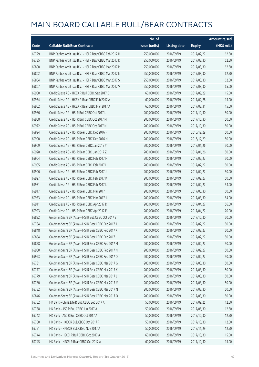|       |                                                          | No. of        |                     |               | <b>Amount raised</b> |
|-------|----------------------------------------------------------|---------------|---------------------|---------------|----------------------|
| Code  | <b>Callable Bull/Bear Contracts</b>                      | issue (units) | <b>Listing date</b> | <b>Expiry</b> | (HK\$ mil.)          |
| 69729 | BNP Paribas Arbit Issu B.V. - HSI R Bear CBBC Feb 2017 H | 250,000,000   | 2016/09/19          | 2017/02/27    | 62.50                |
| 69735 | BNP Paribas Arbit Issu B.V. - HSI R Bear CBBC Mar 2017 D | 250,000,000   | 2016/09/19          | 2017/03/30    | 62.50                |
| 69800 | BNP Paribas Arbit Issu B.V. - HSI R Bear CBBC Mar 2017 M | 250,000,000   | 2016/09/19          | 2017/03/30    | 62.50                |
| 69802 | BNP Paribas Arbit Issu B.V. - HSI R Bear CBBC Mar 2017 N | 250,000,000   | 2016/09/19          | 2017/03/30    | 62.50                |
| 69804 | BNP Paribas Arbit Issu B.V. - HSI R Bear CBBC Mar 2017 S | 250,000,000   | 2016/09/19          | 2017/03/30    | 62.50                |
| 69807 | BNP Paribas Arbit Issu B.V. - HSI R Bear CBBC Mar 2017 V | 250,000,000   | 2016/09/19          | 2017/03/30    | 65.00                |
| 69950 | Credit Suisse AG - HKEX R Bull CBBC Sep 2017 B           | 60,000,000    | 2016/09/19          | 2017/09/29    | 15.00                |
| 69954 | Credit Suisse AG - HKEX R Bear CBBC Feb 2017 A           | 60,000,000    | 2016/09/19          | 2017/02/28    | 15.00                |
| 69962 | Credit Suisse AG - HKEX R Bear CBBC Mar 2017 A           | 60,000,000    | 2016/09/19          | 2017/03/31    | 15.00                |
| 69966 | Credit Suisse AG - HSI R Bull CBBC Oct 2017 L            | 200,000,000   | 2016/09/19          | 2017/10/30    | 50.00                |
| 69968 | Credit Suisse AG - HSI R Bull CBBC Oct 2017 M            | 200,000,000   | 2016/09/19          | 2017/10/30    | 50.00                |
| 69972 | Credit Suisse AG - HSI R Bull CBBC Oct 2017 N            | 200,000,000   | 2016/09/19          | 2017/10/30    | 50.00                |
| 69894 | Credit Suisse AG - HSI R Bear CBBC Dec 2016 F            | 200,000,000   | 2016/09/19          | 2016/12/29    | 50.00                |
| 69900 | Credit Suisse AG - HSI R Bear CBBC Dec 2016 N            | 200,000,000   | 2016/09/19          | 2016/12/29    | 50.00                |
| 69909 | Credit Suisse AG - HSI R Bear CBBC Jan 2017 Y            | 200,000,000   | 2016/09/19          | 2017/01/26    | 50.00                |
| 69928 | Credit Suisse AG - HSI R Bear CBBC Jan 2017 Z            | 200,000,000   | 2016/09/19          | 2017/01/26    | 50.00                |
| 69904 | Credit Suisse AG - HSI R Bear CBBC Feb 2017 H            | 200,000,000   | 2016/09/19          | 2017/02/27    | 50.00                |
| 69905 | Credit Suisse AG - HSI R Bear CBBC Feb 2017 I            | 200,000,000   | 2016/09/19          | 2017/02/27    | 50.00                |
| 69906 | Credit Suisse AG - HSI R Bear CBBC Feb 2017 J            | 200,000,000   | 2016/09/19          | 2017/02/27    | 50.00                |
| 69927 | Credit Suisse AG - HSI R Bear CBBC Feb 2017 K            | 200,000,000   | 2016/09/19          | 2017/02/27    | 50.00                |
| 69931 | Credit Suisse AG - HSI R Bear CBBC Feb 2017 L            | 200,000,000   | 2016/09/19          | 2017/02/27    | 54.00                |
| 69917 | Credit Suisse AG - HSI R Bear CBBC Mar 2017 I            | 200,000,000   | 2016/09/19          | 2017/03/30    | 60.00                |
| 69933 | Credit Suisse AG - HSI R Bear CBBC Mar 2017 J            | 200,000,000   | 2016/09/19          | 2017/03/30    | 64.00                |
| 69911 | Credit Suisse AG - HSI R Bear CBBC Apr 2017 D            | 200,000,000   | 2016/09/19          | 2017/04/27    | 56.00                |
| 69923 | Credit Suisse AG - HSI R Bear CBBC Apr 2017 E            | 200,000,000   | 2016/09/19          | 2017/04/27    | 70.00                |
| 69892 | Goldman Sachs SP (Asia) - HSI R Bull CBBC Oct 2017 Z     | 200,000,000   | 2016/09/19          | 2017/10/30    | 50.00                |
| 69734 | Goldman Sachs SP (Asia) - HSI R Bear CBBC Feb 2017 J     | 200,000,000   | 2016/09/19          | 2017/02/27    | 50.00                |
| 69848 | Goldman Sachs SP (Asia) - HSI R Bear CBBC Feb 2017 K     | 200,000,000   | 2016/09/19          | 2017/02/27    | 50.00                |
| 69854 | Goldman Sachs SP (Asia) - HSI R Bear CBBC Feb 2017 L     | 200,000,000   | 2016/09/19          | 2017/02/27    | 50.00                |
| 69858 | Goldman Sachs SP (Asia) - HSI R Bear CBBC Feb 2017 M     | 200,000,000   | 2016/09/19          | 2017/02/27    | 50.00                |
| 69980 | Goldman Sachs SP (Asia) - HSI R Bear CBBC Feb 2017 N     | 200,000,000   | 2016/09/19          | 2017/02/27    | 50.00                |
| 69993 | Goldman Sachs SP (Asia) - HSI R Bear CBBC Feb 2017 O     | 200,000,000   | 2016/09/19          | 2017/02/27    | 50.00                |
| 69731 | Goldman Sachs SP (Asia) - HSI R Bear CBBC Mar 2017 G     | 200,000,000   | 2016/09/19          | 2017/03/30    | 50.00                |
| 69777 | Goldman Sachs SP (Asia) - HSI R Bear CBBC Mar 2017 K     | 200,000,000   | 2016/09/19          | 2017/03/30    | 50.00                |
| 69779 | Goldman Sachs SP (Asia) - HSI R Bear CBBC Mar 2017 L     | 200,000,000   | 2016/09/19          | 2017/03/30    | 50.00                |
| 69780 | Goldman Sachs SP (Asia) - HSI R Bear CBBC Mar 2017 M     | 200,000,000   | 2016/09/19          | 2017/03/30    | 50.00                |
| 69782 | Goldman Sachs SP (Asia) - HSI R Bear CBBC Mar 2017 N     | 200,000,000   | 2016/09/19          | 2017/03/30    | 50.00                |
| 69846 | Goldman Sachs SP (Asia) - HSI R Bear CBBC Mar 2017 O     | 200,000,000   | 2016/09/19          | 2017/03/30    | 50.00                |
| 69752 | HK Bank - China Life R Bull CBBC Sep 2017 A              | 50,000,000    | 2016/09/19          | 2017/09/25    | 12.50                |
| 69758 | HK Bank - A50 R Bull CBBC Jun 2017 A                     | 50,000,000    | 2016/09/19          | 2017/06/30    | 12.50                |
| 69742 | HK Bank - A50 R Bull CBBC Oct 2017 A                     | 50,000,000    | 2016/09/19          | 2017/10/30    | 12.50                |
| 69750 | HK Bank - HKEX R Bull CBBC Oct 2017 F                    | 50,000,000    | 2016/09/19          | 2017/10/30    | 12.50                |
| 69751 | HK Bank - HKEX R Bull CBBC Nov 2017 A                    | 50,000,000    | 2016/09/19          | 2017/11/29    | 12.50                |
| 69744 | HK Bank - HSCEI R Bull CBBC Oct 2017 A                   | 60,000,000    | 2016/09/19          | 2017/10/30    | 15.00                |
| 69745 | HK Bank - HSCEI R Bear CBBC Oct 2017 A                   | 60,000,000    | 2016/09/19          | 2017/10/30    | 15.00                |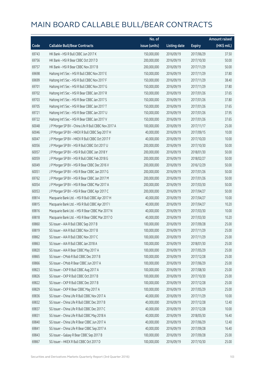|       |                                                      | No. of        |                     |               | <b>Amount raised</b> |
|-------|------------------------------------------------------|---------------|---------------------|---------------|----------------------|
| Code  | <b>Callable Bull/Bear Contracts</b>                  | issue (units) | <b>Listing date</b> | <b>Expiry</b> | (HK\$ mil.)          |
| 69743 | HK Bank - HSI R Bull CBBC Jun 2017 K                 | 150,000,000   | 2016/09/19          | 2017/06/29    | 37.50                |
| 69756 | HK Bank - HSI R Bear CBBC Oct 2017 D                 | 200,000,000   | 2016/09/19          | 2017/10/30    | 50.00                |
| 69757 | HK Bank - HSI R Bear CBBC Nov 2017 B                 | 200,000,000   | 2016/09/19          | 2017/11/29    | 50.00                |
| 69698 | Haitong Int'l Sec - HSI R Bull CBBC Nov 2017 E       | 150,000,000   | 2016/09/19          | 2017/11/29    | 37.80                |
| 69699 | Haitong Int'l Sec - HSI R Bull CBBC Nov 2017 F       | 150,000,000   | 2016/09/19          | 2017/11/29    | 38.40                |
| 69701 | Haitong Int'l Sec - HSI R Bull CBBC Nov 2017 G       | 150,000,000   | 2016/09/19          | 2017/11/29    | 37.80                |
| 69702 | Haitong Int'l Sec - HSI R Bear CBBC Jan 2017 R       | 150,000,000   | 2016/09/19          | 2017/01/26    | 37.65                |
| 69703 | Haitong Int'l Sec - HSI R Bear CBBC Jan 2017 S       | 150,000,000   | 2016/09/19          | 2017/01/26    | 37.80                |
| 69705 | Haitong Int'l Sec - HSI R Bear CBBC Jan 2017 T       | 150,000,000   | 2016/09/19          | 2017/01/26    | 37.65                |
| 69721 | Haitong Int'l Sec - HSI R Bear CBBC Jan 2017 U       | 150,000,000   | 2016/09/19          | 2017/01/26    | 37.95                |
| 69722 | Haitong Int'l Sec - HSI R Bear CBBC Jan 2017 V       | 150,000,000   | 2016/09/19          | 2017/01/26    | 37.65                |
| 60048 | J P Morgan SP BV - China Life R Bull CBBC Nov 2017 A | 100,000,000   | 2016/09/19          | 2017/11/17    | 25.00                |
| 60046 | J P Morgan SP BV - HKEX R Bull CBBC Sep 2017 H       | 40,000,000    | 2016/09/19          | 2017/09/15    | 10.00                |
| 60047 | J P Morgan SP BV - HKEX R Bull CBBC Oct 2017 F       | 40,000,000    | 2016/09/19          | 2017/10/20    | 10.00                |
| 60056 | J P Morgan SP BV - HSI R Bull CBBC Oct 2017 U        | 200,000,000   | 2016/09/19          | 2017/10/30    | 50.00                |
| 60057 | J P Morgan SP BV - HSI R Bull CBBC Jan 2018 Y        | 200,000,000   | 2016/09/19          | 2018/01/30    | 50.00                |
| 60059 | J P Morgan SP BV - HSI R Bull CBBC Feb 2018 G        | 200,000,000   | 2016/09/19          | 2018/02/27    | 50.00                |
| 60049 | J P Morgan SP BV - HSI R Bear CBBC Dec 2016 V        | 200,000,000   | 2016/09/19          | 2016/12/29    | 50.00                |
| 60051 | J P Morgan SP BV - HSI R Bear CBBC Jan 2017 G        | 200,000,000   | 2016/09/19          | 2017/01/26    | 50.00                |
| 69762 | J P Morgan SP BV - HSI R Bear CBBC Jan 2017 M        | 200,000,000   | 2016/09/19          | 2017/01/26    | 50.00                |
| 60054 | J P Morgan SP BV - HSI R Bear CBBC Mar 2017 A        | 200,000,000   | 2016/09/19          | 2017/03/30    | 50.00                |
| 60053 | J P Morgan SP BV - HSI R Bear CBBC Apr 2017 C        | 200,000,000   | 2016/09/19          | 2017/04/27    | 50.00                |
| 69814 | Macquarie Bank Ltd. - HSI R Bull CBBC Apr 2017 H     | 40,000,000    | 2016/09/19          | 2017/04/27    | 10.00                |
| 69815 | Macquarie Bank Ltd. - HSI R Bull CBBC Apr 2017 I     | 40,000,000    | 2016/09/19          | 2017/04/27    | 10.20                |
| 69816 | Macquarie Bank Ltd. - HSI R Bear CBBC Mar 2017 N     | 40,000,000    | 2016/09/19          | 2017/03/30    | 10.00                |
| 69818 | Macquarie Bank Ltd. - HSI R Bear CBBC Mar 2017 O     | 40,000,000    | 2016/09/19          | 2017/03/30    | 10.20                |
| 69860 | SG Issuer - AIA R Bull CBBC Sep 2017 B               | 100,000,000   | 2016/09/19          | 2017/09/28    | 25.00                |
| 69819 | SG Issuer - AIA R Bull CBBC Nov 2017 B               | 100,000,000   | 2016/09/19          | 2017/11/29    | 25.00                |
| 69862 | SG Issuer - AIA R Bull CBBC Nov 2017 C               | 100,000,000   | 2016/09/19          | 2017/11/29    | 25.00                |
| 69863 | SG Issuer - AIA R Bull CBBC Jan 2018 A               | 100,000,000   | 2016/09/19          | 2018/01/30    | 25.00                |
| 69820 | SG Issuer - AIA R Bear CBBC May 2017 A               | 100,000,000   | 2016/09/19          | 2017/05/29    | 25.00                |
| 69865 | SG Issuer - CMob R Bull CBBC Dec 2017 B              | 100,000,000   | 2016/09/19          | 2017/12/28    | 25.00                |
| 69866 | SG Issuer - CMob R Bear CBBC Jun 2017 A              | 100,000,000   | 2016/09/19          | 2017/06/29    | 25.00                |
| 69823 | SG Issuer - CKP R Bull CBBC Aug 2017 A               | 100,000,000   | 2016/09/19          | 2017/08/30    | 25.00                |
| 69826 | SG Issuer - CKP R Bull CBBC Oct 2017 B               | 100,000,000   | 2016/09/19          | 2017/10/30    | 25.00                |
| 69822 | SG Issuer - CKP R Bull CBBC Dec 2017 B               | 100,000,000   | 2016/09/19          | 2017/12/28    | 25.00                |
| 69829 | SG Issuer - CKP R Bear CBBC May 2017 A               | 100,000,000   | 2016/09/19          | 2017/05/29    | 25.00                |
| 69836 | SG Issuer - China Life R Bull CBBC Nov 2017 A        | 40,000,000    | 2016/09/19          | 2017/11/29    | 10.00                |
| 69832 | SG Issuer - China Life R Bull CBBC Dec 2017 B        | 40,000,000    | 2016/09/19          | 2017/12/28    | 12.40                |
| 69837 | SG Issuer - China Life R Bull CBBC Dec 2017 C        | 40,000,000    | 2016/09/19          | 2017/12/28    | 10.00                |
| 69831 | SG Issuer - China Life R Bull CBBC May 2018 A        | 40,000,000    | 2016/09/19          | 2018/05/30    | 16.40                |
| 69840 | SG Issuer - China Life R Bear CBBC Jun 2017 A        | 40,000,000    | 2016/09/19          | 2017/06/29    | 12.40                |
| 69841 | SG Issuer - China Life R Bear CBBC Sep 2017 A        | 40,000,000    | 2016/09/19          | 2017/09/28    | 16.40                |
| 69843 | SG Issuer - Galaxy R Bear CBBC Sep 2017 B            | 100,000,000   | 2016/09/19          | 2017/09/28    | 25.00                |
| 69867 | SG Issuer - HKEX R Bull CBBC Oct 2017 D              | 100,000,000   | 2016/09/19          | 2017/10/30    | 25.00                |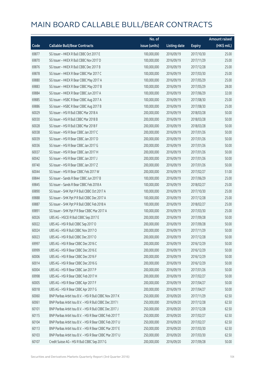|       |                                                          | No. of        |                     |               | <b>Amount raised</b> |
|-------|----------------------------------------------------------|---------------|---------------------|---------------|----------------------|
| Code  | <b>Callable Bull/Bear Contracts</b>                      | issue (units) | <b>Listing date</b> | <b>Expiry</b> | (HK\$ mil.)          |
| 69877 | SG Issuer - HKEX R Bull CBBC Oct 2017 E                  | 100,000,000   | 2016/09/19          | 2017/10/30    | 25.00                |
| 69870 | SG Issuer - HKEX R Bull CBBC Nov 2017 D                  | 100,000,000   | 2016/09/19          | 2017/11/29    | 25.00                |
| 69876 | SG Issuer - HKEX R Bull CBBC Dec 2017 B                  | 100,000,000   | 2016/09/19          | 2017/12/28    | 25.00                |
| 69878 | SG Issuer - HKEX R Bear CBBC Mar 2017 C                  | 100,000,000   | 2016/09/19          | 2017/03/30    | 25.00                |
| 69880 | SG Issuer - HKEX R Bear CBBC May 2017 A                  | 100,000,000   | 2016/09/19          | 2017/05/29    | 25.00                |
| 69883 | SG Issuer - HKEX R Bear CBBC May 2017 B                  | 100,000,000   | 2016/09/19          | 2017/05/29    | 28.00                |
| 69884 | SG Issuer - HKEX R Bear CBBC Jun 2017 A                  | 100,000,000   | 2016/09/19          | 2017/06/29    | 32.00                |
| 69885 | SG Issuer - HSBC R Bear CBBC Aug 2017 A                  | 100,000,000   | 2016/09/19          | 2017/08/30    | 25.00                |
| 69886 | SG Issuer - HSBC R Bear CBBC Aug 2017 B                  | 100,000,000   | 2016/09/19          | 2017/08/30    | 25.00                |
| 60029 | SG Issuer - HSI R Bull CBBC Mar 2018 A                   | 200,000,000   | 2016/09/19          | 2018/03/28    | 50.00                |
| 60030 | SG Issuer - HSI R Bull CBBC Mar 2018 B                   | 200,000,000   | 2016/09/19          | 2018/03/28    | 50.00                |
| 60028 | SG Issuer - HSI R Bull CBBC Mar 2018 F                   | 200,000,000   | 2016/09/19          | 2018/03/28    | 50.00                |
| 60038 | SG Issuer - HSI R Bear CBBC Jan 2017 C                   | 200,000,000   | 2016/09/19          | 2017/01/26    | 50.00                |
| 60039 | SG Issuer - HSI R Bear CBBC Jan 2017 D                   | 200,000,000   | 2016/09/19          | 2017/01/26    | 50.00                |
| 60036 | SG Issuer - HSI R Bear CBBC Jan 2017 G                   | 200,000,000   | 2016/09/19          | 2017/01/26    | 50.00                |
| 60037 | SG Issuer - HSI R Bear CBBC Jan 2017 H                   | 200,000,000   | 2016/09/19          | 2017/01/26    | 50.00                |
| 60042 | SG Issuer - HSI R Bear CBBC Jan 2017 J                   | 200,000,000   | 2016/09/19          | 2017/01/26    | 50.00                |
| 69740 | SG Issuer - HSI R Bear CBBC Jan 2017 Z                   | 200,000,000   | 2016/09/19          | 2017/01/26    | 50.00                |
| 60044 | SG Issuer - HSI R Bear CBBC Feb 2017 W                   | 200,000,000   | 2016/09/19          | 2017/02/27    | 51.00                |
| 69844 | SG Issuer - Sands R Bear CBBC Jun 2017 B                 | 100,000,000   | 2016/09/19          | 2017/06/29    | 25.00                |
| 69845 | SG Issuer - Sands R Bear CBBC Feb 2018 A                 | 100,000,000   | 2016/09/19          | 2018/02/27    | 25.00                |
| 69890 | SG Issuer - SHK Ppt P R Bull CBBC Oct 2017 A             | 100,000,000   | 2016/09/19          | 2017/10/30    | 25.00                |
| 69888 | SG Issuer - SHK Ppt P R Bull CBBC Dec 2017 A             | 100,000,000   | 2016/09/19          | 2017/12/28    | 25.00                |
| 69887 | SG Issuer - SHK Ppt P R Bull CBBC Feb 2018 A             | 100,000,000   | 2016/09/19          | 2018/02/27    | 25.00                |
| 69891 | SG Issuer - SHK Ppt P R Bear CBBC Mar 2017 A             | 100,000,000   | 2016/09/19          | 2017/03/30    | 25.00                |
| 60026 | UBS AG - HSCEI R Bull CBBC Sep 2017 E                    | 200,000,000   | 2016/09/19          | 2017/09/28    | 50.00                |
| 60022 | UBS AG - HSI R Bull CBBC Sep 2017 O                      | 200,000,000   | 2016/09/19          | 2017/09/28    | 50.00                |
| 60024 | UBS AG - HSI R Bull CBBC Nov 2017 O                      | 200,000,000   | 2016/09/19          | 2017/11/29    | 50.00                |
| 60023 | UBS AG - HSI R Bull CBBC Dec 2017 O                      | 200,000,000   | 2016/09/19          | 2017/12/28    | 50.00                |
| 69997 | UBS AG - HSI R Bear CBBC Dec 2016 C                      | 200,000,000   | 2016/09/19          | 2016/12/29    | 50.00                |
| 69999 | UBS AG - HSI R Bear CBBC Dec 2016 E                      | 200,000,000   | 2016/09/19          | 2016/12/29    | 50.00                |
| 60006 | UBS AG - HSI R Bear CBBC Dec 2016 F                      | 200,000,000   | 2016/09/19          | 2016/12/29    | 50.00                |
| 60014 | UBS AG - HSI R Bear CBBC Dec 2016 G                      | 200,000,000   | 2016/09/19          | 2016/12/29    | 50.00                |
| 60004 | UBS AG - HSI R Bear CBBC Jan 2017 P                      | 200,000,000   | 2016/09/19          | 2017/01/26    | 50.00                |
| 69998 | UBS AG - HSI R Bear CBBC Feb 2017 H                      | 200,000,000   | 2016/09/19          | 2017/02/27    | 50.00                |
| 60005 | UBS AG - HSI R Bear CBBC Apr 2017 F                      | 200,000,000   | 2016/09/19          | 2017/04/27    | 50.00                |
| 60018 | UBS AG - HSI R Bear CBBC Apr 2017 G                      | 200,000,000   | 2016/09/19          | 2017/04/27    | 50.00                |
| 60060 | BNP Paribas Arbit Issu B.V. - HSI R Bull CBBC Nov 2017 K | 250,000,000   | 2016/09/20          | 2017/11/29    | 62.50                |
| 60061 | BNP Paribas Arbit Issu B.V. - HSI R Bull CBBC Dec 2017 I | 250,000,000   | 2016/09/20          | 2017/12/28    | 62.50                |
| 60101 | BNP Paribas Arbit Issu B.V. - HSI R Bull CBBC Dec 2017 J | 250,000,000   | 2016/09/20          | 2017/12/28    | 62.50                |
| 60115 | BNP Paribas Arbit Issu B.V. - HSI R Bear CBBC Feb 2017 T | 250,000,000   | 2016/09/20          | 2017/02/27    | 62.50                |
| 60104 | BNP Paribas Arbit Issu B.V. - HSI R Bear CBBC Feb 2017 U | 250,000,000   | 2016/09/20          | 2017/02/27    | 62.50                |
| 60113 | BNP Paribas Arbit Issu B.V. - HSI R Bear CBBC Mar 2017 E | 250,000,000   | 2016/09/20          | 2017/03/30    | 62.50                |
| 60103 | BNP Paribas Arbit Issu B.V. - HSI R Bear CBBC Mar 2017 U | 250,000,000   | 2016/09/20          | 2017/03/30    | 62.50                |
| 60107 | Credit Suisse AG - HSI R Bull CBBC Sep 2017 G            | 200,000,000   | 2016/09/20          | 2017/09/28    | 50.00                |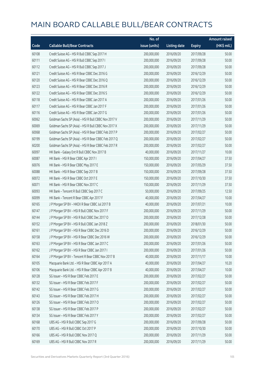|       |                                                      | No. of        |                     |               | <b>Amount raised</b> |
|-------|------------------------------------------------------|---------------|---------------------|---------------|----------------------|
| Code  | <b>Callable Bull/Bear Contracts</b>                  | issue (units) | <b>Listing date</b> | <b>Expiry</b> | (HK\$ mil.)          |
| 60108 | Credit Suisse AG - HSI R Bull CBBC Sep 2017 H        | 200,000,000   | 2016/09/20          | 2017/09/28    | 50.00                |
| 60111 | Credit Suisse AG - HSI R Bull CBBC Sep 2017 I        | 200,000,000   | 2016/09/20          | 2017/09/28    | 50.00                |
| 60112 | Credit Suisse AG - HSI R Bull CBBC Sep 2017 J        | 200,000,000   | 2016/09/20          | 2017/09/28    | 50.00                |
| 60121 | Credit Suisse AG - HSI R Bear CBBC Dec 2016 G        | 200,000,000   | 2016/09/20          | 2016/12/29    | 50.00                |
| 60120 | Credit Suisse AG - HSI R Bear CBBC Dec 2016 Q        | 200,000,000   | 2016/09/20          | 2016/12/29    | 50.00                |
| 60123 | Credit Suisse AG - HSI R Bear CBBC Dec 2016 R        | 200,000,000   | 2016/09/20          | 2016/12/29    | 50.00                |
| 60122 | Credit Suisse AG - HSI R Bear CBBC Dec 2016 S        | 200,000,000   | 2016/09/20          | 2016/12/29    | 50.00                |
| 60118 | Credit Suisse AG - HSI R Bear CBBC Jan 2017 A        | 200,000,000   | 2016/09/20          | 2017/01/26    | 50.00                |
| 60117 | Credit Suisse AG - HSI R Bear CBBC Jan 2017 F        | 200,000,000   | 2016/09/20          | 2017/01/26    | 50.00                |
| 60116 | Credit Suisse AG - HSI R Bear CBBC Jan 2017 G        | 200,000,000   | 2016/09/20          | 2017/01/26    | 50.00                |
| 60062 | Goldman Sachs SP (Asia) - HSI R Bull CBBC Nov 2017 V | 200,000,000   | 2016/09/20          | 2017/11/29    | 50.00                |
| 60069 | Goldman Sachs SP (Asia) - HSI R Bull CBBC Nov 2017 X | 200,000,000   | 2016/09/20          | 2017/11/29    | 50.00                |
| 60068 | Goldman Sachs SP (Asia) - HSI R Bear CBBC Feb 2017 P | 200,000,000   | 2016/09/20          | 2017/02/27    | 50.00                |
| 60199 | Goldman Sachs SP (Asia) - HSI R Bear CBBC Feb 2017 Q | 200,000,000   | 2016/09/20          | 2017/02/27    | 50.00                |
| 60200 | Goldman Sachs SP (Asia) - HSI R Bear CBBC Feb 2017 R | 200,000,000   | 2016/09/20          | 2017/02/27    | 50.00                |
| 60097 | HK Bank - Galaxy Ent R Bull CBBC Nov 2017 B          | 40,000,000    | 2016/09/20          | 2017/11/27    | 10.00                |
| 60087 | HK Bank - HSI R Bear CBBC Apr 2017 I                 | 150,000,000   | 2016/09/20          | 2017/04/27    | 37.50                |
| 60076 | HK Bank - HSI R Bear CBBC May 2017 E                 | 150,000,000   | 2016/09/20          | 2017/05/29    | 37.50                |
| 60088 | HK Bank - HSI R Bear CBBC Sep 2017 B                 | 150,000,000   | 2016/09/20          | 2017/09/28    | 37.50                |
| 60072 | HK Bank - HSI R Bear CBBC Oct 2017 E                 | 150,000,000   | 2016/09/20          | 2017/10/30    | 37.50                |
| 60071 | HK Bank - HSI R Bear CBBC Nov 2017 C                 | 150,000,000   | 2016/09/20          | 2017/11/29    | 37.50                |
| 60093 | HK Bank - Tencent R Bull CBBC Sep 2017 C             | 50,000,000    | 2016/09/20          | 2017/09/25    | 12.50                |
| 60099 | HK Bank - Tencent R Bear CBBC Apr 2017 F             | 40,000,000    | 2016/09/20          | 2017/04/27    | 10.00                |
| 60165 | J P Morgan SP BV - HKEX R Bear CBBC Jul 2017 B       | 40,000,000    | 2016/09/20          | 2017/07/21    | 10.00                |
| 60147 | J P Morgan SP BV - HSI R Bull CBBC Nov 2017 F        | 200,000,000   | 2016/09/20          | 2017/11/29    | 50.00                |
| 60144 | J P Morgan SP BV - HSI R Bull CBBC Dec 2017 O        | 200,000,000   | 2016/09/20          | 2017/12/28    | 50.00                |
| 60152 | J P Morgan SP BV - HSI R Bull CBBC Jan 2018 Z        | 200,000,000   | 2016/09/20          | 2018/01/30    | 50.00                |
| 60161 | J P Morgan SP BV - HSI R Bear CBBC Dec 2016 D        | 200,000,000   | 2016/09/20          | 2016/12/29    | 50.00                |
| 60158 | J P Morgan SP BV - HSI R Bear CBBC Dec 2016 W        | 200,000,000   | 2016/09/20          | 2016/12/29    | 50.00                |
| 60163 | J P Morgan SP BV - HSI R Bear CBBC Jan 2017 C        | 200,000,000   | 2016/09/20          | 2017/01/26    | 50.00                |
| 60162 | J P Morgan SP BV - HSI R Bear CBBC Jan 2017 I        | 200,000,000   | 2016/09/20          | 2017/01/26    | 50.00                |
| 60164 | J P Morgan SP BV - Tencent R Bear CBBC Nov 2017 B    | 40,000,000    | 2016/09/20          | 2017/11/17    | 10.00                |
| 60105 | Macquarie Bank Ltd. - HSI R Bear CBBC Apr 2017 A     | 40,000,000    | 2016/09/20          | 2017/04/27    | 10.20                |
| 60106 | Macquarie Bank Ltd. - HSI R Bear CBBC Apr 2017 B     | 40,000,000    | 2016/09/20          | 2017/04/27    | 10.00                |
| 60128 | SG Issuer - HSI R Bear CBBC Feb 2017 E               | 200,000,000   | 2016/09/20          | 2017/02/27    | 50.00                |
| 60132 | SG Issuer - HSI R Bear CBBC Feb 2017 F               | 200,000,000   | 2016/09/20          | 2017/02/27    | 50.00                |
| 60142 | SG Issuer - HSI R Bear CBBC Feb 2017 G               | 200,000,000   | 2016/09/20          | 2017/02/27    | 50.00                |
| 60143 | SG Issuer - HSI R Bear CBBC Feb 2017 H               | 200,000,000   | 2016/09/20          | 2017/02/27    | 50.00                |
| 60126 | SG Issuer - HSI R Bear CBBC Feb 2017 O               | 200,000,000   | 2016/09/20          | 2017/02/27    | 50.00                |
| 60138 | SG Issuer - HSI R Bear CBBC Feb 2017 P               | 200,000,000   | 2016/09/20          | 2017/02/27    | 50.00                |
| 60134 | SG Issuer - HSI R Bear CBBC Feb 2017 Y               | 200,000,000   | 2016/09/20          | 2017/02/27    | 50.00                |
| 60168 | UBS AG - HSI R Bull CBBC Sep 2017 G                  | 200,000,000   | 2016/09/20          | 2017/09/28    | 50.00                |
| 60170 | UBS AG - HSI R Bull CBBC Oct 2017 P                  | 200,000,000   | 2016/09/20          | 2017/10/30    | 50.00                |
| 60166 | UBS AG - HSI R Bull CBBC Nov 2017 Q                  | 200,000,000   | 2016/09/20          | 2017/11/29    | 50.00                |
| 60169 | UBS AG - HSI R Bull CBBC Nov 2017 R                  | 200,000,000   | 2016/09/20          | 2017/11/29    | 50.00                |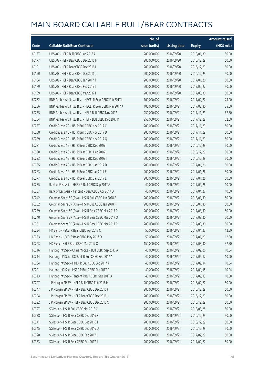|       |                                                            | No. of        |                     |               | <b>Amount raised</b> |
|-------|------------------------------------------------------------|---------------|---------------------|---------------|----------------------|
| Code  | <b>Callable Bull/Bear Contracts</b>                        | issue (units) | <b>Listing date</b> | <b>Expiry</b> | (HK\$ mil.)          |
| 60167 | UBS AG - HSI R Bull CBBC Jan 2018 A                        | 200,000,000   | 2016/09/20          | 2018/01/30    | 50.00                |
| 60177 | UBS AG - HSI R Bear CBBC Dec 2016 H                        | 200,000,000   | 2016/09/20          | 2016/12/29    | 50.00                |
| 60191 | UBS AG - HSI R Bear CBBC Dec 2016 I                        | 200,000,000   | 2016/09/20          | 2016/12/29    | 50.00                |
| 60190 | UBS AG - HSI R Bear CBBC Dec 2016 J                        | 200,000,000   | 2016/09/20          | 2016/12/29    | 50.00                |
| 60184 | UBS AG - HSI R Bear CBBC Jan 2017 T                        | 200,000,000   | 2016/09/20          | 2017/01/26    | 50.00                |
| 60179 | UBS AG - HSI R Bear CBBC Feb 2017 I                        | 200,000,000   | 2016/09/20          | 2017/02/27    | 50.00                |
| 60189 | UBS AG - HSI R Bear CBBC Mar 2017 I                        | 200,000,000   | 2016/09/20          | 2017/03/30    | 50.00                |
| 60262 | BNP Paribas Arbit Issu B.V. - HSCEI R Bear CBBC Feb 2017 I | 100,000,000   | 2016/09/21          | 2017/02/27    | 25.00                |
| 60256 | BNP Paribas Arbit Issu B.V. - HSCEI R Bear CBBC Mar 2017 J | 100,000,000   | 2016/09/21          | 2017/03/30    | 25.00                |
| 60255 | BNP Paribas Arbit Issu B.V. - HSI R Bull CBBC Nov 2017 L   | 250,000,000   | 2016/09/21          | 2017/11/29    | 62.50                |
| 60254 | BNP Paribas Arbit Issu B.V. - HSI R Bull CBBC Dec 2017 K   | 250,000,000   | 2016/09/21          | 2017/12/28    | 62.50                |
| 60287 | Credit Suisse AG - HSI R Bull CBBC Nov 2017 C              | 200,000,000   | 2016/09/21          | 2017/11/29    | 50.00                |
| 60288 | Credit Suisse AG - HSI R Bull CBBC Nov 2017 D              | 200,000,000   | 2016/09/21          | 2017/11/29    | 50.00                |
| 60289 | Credit Suisse AG - HSI R Bull CBBC Nov 2017 Q              | 200,000,000   | 2016/09/21          | 2017/11/29    | 50.00                |
| 60281 | Credit Suisse AG - HSI R Bear CBBC Dec 2016 I              | 200,000,000   | 2016/09/21          | 2016/12/29    | 50.00                |
| 60290 | Credit Suisse AG - HSI R Bear CBBC Dec 2016 L              | 200,000,000   | 2016/09/21          | 2016/12/29    | 50.00                |
| 60283 | Credit Suisse AG - HSI R Bear CBBC Dec 2016 T              | 200,000,000   | 2016/09/21          | 2016/12/29    | 50.00                |
| 60265 | Credit Suisse AG - HSI R Bear CBBC Jan 2017 D              | 200,000,000   | 2016/09/21          | 2017/01/26    | 50.00                |
| 60263 | Credit Suisse AG - HSI R Bear CBBC Jan 2017 E              | 200,000,000   | 2016/09/21          | 2017/01/26    | 50.00                |
| 60277 | Credit Suisse AG - HSI R Bear CBBC Jan 2017 L              | 200,000,000   | 2016/09/21          | 2017/01/26    | 50.00                |
| 60235 | Bank of East Asia - HKEX R Bull CBBC Sep 2017 A            | 40,000,000    | 2016/09/21          | 2017/09/28    | 10.00                |
| 60237 | Bank of East Asia - Tencent R Bear CBBC Apr 2017 D         | 40,000,000    | 2016/09/21          | 2017/04/27    | 10.00                |
| 60242 | Goldman Sachs SP (Asia) - HSI R Bull CBBC Jan 2018 E       | 200,000,000   | 2016/09/21          | 2018/01/30    | 50.00                |
| 60252 | Goldman Sachs SP (Asia) - HSI R Bull CBBC Jan 2018 F       | 200,000,000   | 2016/09/21          | 2018/01/30    | 50.00                |
| 60239 | Goldman Sachs SP (Asia) - HSI R Bear CBBC Mar 2017 P       | 200,000,000   | 2016/09/21          | 2017/03/30    | 50.00                |
| 60240 | Goldman Sachs SP (Asia) - HSI R Bear CBBC Mar 2017 Q       | 200,000,000   | 2016/09/21          | 2017/03/30    | 50.00                |
| 60351 | Goldman Sachs SP (Asia) - HSI R Bear CBBC Mar 2017 R       | 200,000,000   | 2016/09/21          | 2017/03/30    | 50.00                |
| 60234 | HK Bank - HSCEI R Bear CBBC Apr 2017 C                     | 50,000,000    | 2016/09/21          | 2017/04/27    | 12.50                |
| 60233 | HK Bank - HSCEI R Bear CBBC May 2017 D                     | 50,000,000    | 2016/09/21          | 2017/05/29    | 12.50                |
| 60223 | HK Bank - HSI R Bear CBBC Mar 2017 O                       | 150,000,000   | 2016/09/21          | 2017/03/30    | 37.50                |
| 60216 | Haitong Int'l Sec - China Mobile R Bull CBBC Sep 2017 A    | 40,000,000    | 2016/09/21          | 2017/09/26    | 10.04                |
| 60214 | Haitong Int'l Sec - CC Bank R Bull CBBC Sep 2017 A         | 40,000,000    | 2016/09/21          | 2017/09/12    | 10.00                |
| 60204 | Haitong Int'l Sec - HKEX R Bull CBBC Sep 2017 A            | 40,000,000    | 2016/09/21          | 2017/09/14    | 10.04                |
| 60201 | Haitong Int'l Sec - HSBC R Bull CBBC Sep 2017 A            | 40,000,000    | 2016/09/21          | 2017/09/15    | 10.04                |
| 60213 | Haitong Int'l Sec - Tencent R Bull CBBC Sep 2017 A         | 40,000,000    | 2016/09/21          | 2017/09/13    | 10.08                |
| 60297 | J P Morgan SP BV - HSI R Bull CBBC Feb 2018 H              | 200,000,000   | 2016/09/21          | 2018/02/27    | 50.00                |
| 60347 | J P Morgan SP BV - HSI R Bear CBBC Dec 2016 F              | 200,000,000   | 2016/09/21          | 2016/12/29    | 50.00                |
| 60294 | J P Morgan SP BV - HSI R Bear CBBC Dec 2016 J              | 200,000,000   | 2016/09/21          | 2016/12/29    | 50.00                |
| 60292 | J P Morgan SP BV - HSI R Bear CBBC Dec 2016 X              | 200,000,000   | 2016/09/21          | 2016/12/29    | 50.00                |
| 60327 | SG Issuer - HSI R Bull CBBC Mar 2018 C                     | 200,000,000   | 2016/09/21          | 2018/03/28    | 50.00                |
| 60338 | SG Issuer - HSI R Bear CBBC Dec 2016 S                     | 200,000,000   | 2016/09/21          | 2016/12/29    | 50.00                |
| 60341 | SG Issuer - HSI R Bear CBBC Dec 2016 T                     | 200,000,000   | 2016/09/21          | 2016/12/29    | 50.00                |
| 60345 | SG Issuer - HSI R Bear CBBC Dec 2016 U                     | 200,000,000   | 2016/09/21          | 2016/12/29    | 50.00                |
| 60328 | SG Issuer - HSI R Bear CBBC Feb 2017 I                     | 200,000,000   | 2016/09/21          | 2017/02/27    | 50.00                |
| 60333 | SG Issuer - HSI R Bear CBBC Feb 2017 J                     | 200,000,000   | 2016/09/21          | 2017/02/27    | 50.00                |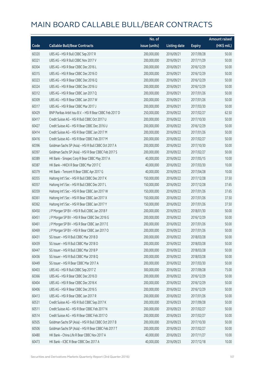|       |                                                          | No. of        |                     |               | <b>Amount raised</b>  |
|-------|----------------------------------------------------------|---------------|---------------------|---------------|-----------------------|
| Code  | <b>Callable Bull/Bear Contracts</b>                      | issue (units) | <b>Listing date</b> | <b>Expiry</b> | $(HK\frac{1}{2}mil.)$ |
| 60320 | UBS AG - HSI R Bull CBBC Sep 2017 R                      | 200,000,000   | 2016/09/21          | 2017/09/28    | 50.00                 |
| 60321 | UBS AG - HSI R Bull CBBC Nov 2017 V                      | 200,000,000   | 2016/09/21          | 2017/11/29    | 50.00                 |
| 60304 | UBS AG - HSI R Bear CBBC Dec 2016 L                      | 200,000,000   | 2016/09/21          | 2016/12/29    | 50.00                 |
| 60315 | UBS AG - HSI R Bear CBBC Dec 2016 O                      | 200,000,000   | 2016/09/21          | 2016/12/29    | 50.00                 |
| 60323 | UBS AG - HSI R Bear CBBC Dec 2016 Q                      | 200,000,000   | 2016/09/21          | 2016/12/29    | 50.00                 |
| 60324 | UBS AG - HSI R Bear CBBC Dec 2016 U                      | 200,000,000   | 2016/09/21          | 2016/12/29    | 50.00                 |
| 60312 | UBS AG - HSI R Bear CBBC Jan 2017 Q                      | 200,000,000   | 2016/09/21          | 2017/01/26    | 50.00                 |
| 60309 | UBS AG - HSI R Bear CBBC Jan 2017 W                      | 200,000,000   | 2016/09/21          | 2017/01/26    | 50.00                 |
| 60317 | UBS AG - HSI R Bear CBBC Mar 2017 J                      | 200,000,000   | 2016/09/21          | 2017/03/30    | 50.00                 |
| 60429 | BNP Paribas Arbit Issu B.V. - HSI R Bear CBBC Feb 2017 D | 250,000,000   | 2016/09/22          | 2017/02/27    | 62.50                 |
| 60417 | Credit Suisse AG - HSI R Bull CBBC Oct 2017 U            | 200,000,000   | 2016/09/22          | 2017/10/30    | 50.00                 |
| 60427 | Credit Suisse AG - HSI R Bear CBBC Dec 2016 U            | 200,000,000   | 2016/09/22          | 2016/12/29    | 50.00                 |
| 60414 | Credit Suisse AG - HSI R Bear CBBC Jan 2017 M            | 200,000,000   | 2016/09/22          | 2017/01/26    | 50.00                 |
| 60416 | Credit Suisse AG - HSI R Bear CBBC Feb 2017 M            | 200,000,000   | 2016/09/22          | 2017/02/27    | 50.00                 |
| 60396 | Goldman Sachs SP (Asia) - HSI R Bull CBBC Oct 2017 A     | 200,000,000   | 2016/09/22          | 2017/10/30    | 50.00                 |
| 60397 | Goldman Sachs SP (Asia) - HSI R Bear CBBC Feb 2017 S     | 200,000,000   | 2016/09/22          | 2017/02/27    | 50.00                 |
| 60389 | HK Bank - Sinopec Corp R Bear CBBC May 2017 A            | 40,000,000    | 2016/09/22          | 2017/05/15    | 10.00                 |
| 60387 | HK Bank - HKEX R Bear CBBC Mar 2017 C                    | 40,000,000    | 2016/09/22          | 2017/03/30    | 10.00                 |
| 60379 | HK Bank - Tencent R Bear CBBC Apr 2017 G                 | 40,000,000    | 2016/09/22          | 2017/04/28    | 10.00                 |
| 60355 | Haitong Int'l Sec - HSI R Bull CBBC Dec 2017 K           | 150,000,000   | 2016/09/22          | 2017/12/28    | 37.50                 |
| 60357 | Haitong Int'l Sec - HSI R Bull CBBC Dec 2017 L           | 150,000,000   | 2016/09/22          | 2017/12/28    | 37.65                 |
| 60359 | Haitong Int'l Sec - HSI R Bear CBBC Jan 2017 W           | 150,000,000   | 2016/09/22          | 2017/01/26    | 37.65                 |
| 60361 | Haitong Int'l Sec - HSI R Bear CBBC Jan 2017 X           | 150,000,000   | 2016/09/22          | 2017/01/26    | 37.50                 |
| 60362 | Haitong Int'l Sec - HSI R Bear CBBC Jan 2017 Y           | 150,000,000   | 2016/09/22          | 2017/01/26    | 37.50                 |
| 60450 | J P Morgan SP BV - HSI R Bull CBBC Jan 2018 F            | 200,000,000   | 2016/09/22          | 2018/01/30    | 50.00                 |
| 60451 | J P Morgan SP BV - HSI R Bear CBBC Dec 2016 G            | 200,000,000   | 2016/09/22          | 2016/12/29    | 50.00                 |
| 60461 | J P Morgan SP BV - HSI R Bear CBBC Jan 2017 E            | 200,000,000   | 2016/09/22          | 2017/01/26    | 50.00                 |
| 60469 | J P Morgan SP BV - HSI R Bear CBBC Jan 2017 O            | 200,000,000   | 2016/09/22          | 2017/01/26    | 50.00                 |
| 60431 | SG Issuer - HSI R Bull CBBC Mar 2018 D                   | 200,000,000   | 2016/09/22          | 2018/03/28    | 50.00                 |
| 60439 | SG Issuer - HSI R Bull CBBC Mar 2018 O                   | 200,000,000   | 2016/09/22          | 2018/03/28    | 50.00                 |
| 60447 | SG Issuer - HSI R Bull CBBC Mar 2018 P                   | 200,000,000   | 2016/09/22          | 2018/03/28    | 50.00                 |
| 60436 | SG Issuer - HSI R Bull CBBC Mar 2018 Q                   | 200,000,000   | 2016/09/22          | 2018/03/28    | 50.00                 |
| 60449 | SG Issuer - HSI R Bear CBBC Mar 2017 A                   | 200,000,000   | 2016/09/22          | 2017/03/30    | 50.00                 |
| 60403 | UBS AG - HSI R Bull CBBC Sep 2017 Z                      | 300,000,000   | 2016/09/22          | 2017/09/28    | 75.00                 |
| 60366 | UBS AG - HSI R Bear CBBC Dec 2016 D                      | 200,000,000   | 2016/09/22          | 2016/12/29    | 50.00                 |
| 60404 | UBS AG - HSI R Bear CBBC Dec 2016 K                      | 200,000,000   | 2016/09/22          | 2016/12/29    | 50.00                 |
| 60406 | UBS AG - HSI R Bear CBBC Dec 2016 S                      | 200,000,000   | 2016/09/22          | 2016/12/29    | 50.00                 |
| 60413 | UBS AG - HSI R Bear CBBC Jan 2017 R                      | 200,000,000   | 2016/09/22          | 2017/01/26    | 50.00                 |
| 60531 | Credit Suisse AG - HSI R Bull CBBC Sep 2017 K            | 200,000,000   | 2016/09/23          | 2017/09/28    | 50.00                 |
| 60511 | Credit Suisse AG - HSI R Bear CBBC Feb 2017 N            | 200,000,000   | 2016/09/23          | 2017/02/27    | 50.00                 |
| 60514 | Credit Suisse AG - HSI R Bear CBBC Feb 2017 O            | 200,000,000   | 2016/09/23          | 2017/02/27    | 50.00                 |
| 60505 | Goldman Sachs SP (Asia) - HSI R Bull CBBC Oct 2017 B     | 200,000,000   | 2016/09/23          | 2017/10/30    | 50.00                 |
| 60506 | Goldman Sachs SP (Asia) - HSI R Bear CBBC Feb 2017 T     | 200,000,000   | 2016/09/23          | 2017/02/27    | 50.00                 |
| 60480 | HK Bank - China Life R Bear CBBC Nov 2017 A              | 40,000,000    | 2016/09/23          | 2017/11/27    | 10.00                 |
| 60473 | HK Bank - ICBC R Bear CBBC Dec 2017 A                    | 40,000,000    | 2016/09/23          | 2017/12/18    | 10.00                 |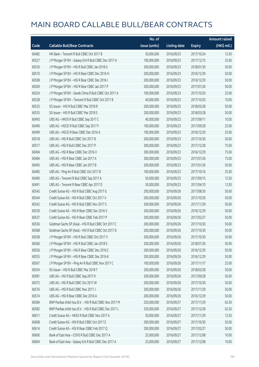|       |                                                          | No. of        |                     |               | <b>Amount raised</b> |
|-------|----------------------------------------------------------|---------------|---------------------|---------------|----------------------|
| Code  | <b>Callable Bull/Bear Contracts</b>                      | issue (units) | <b>Listing date</b> | <b>Expiry</b> | (HK\$ mil.)          |
| 60482 | HK Bank - Tencent R Bull CBBC Oct 2017 B                 | 50,000,000    | 2016/09/23          | 2017/10/24    | 12.50                |
| 60527 | J P Morgan SP BV - Galaxy Ent R Bull CBBC Dec 2017 A     | 100,000,000   | 2016/09/23          | 2017/12/15    | 25.00                |
| 60530 | J P Morgan SP BV - HSI R Bull CBBC Jan 2018 G            | 200,000,000   | 2016/09/23          | 2018/01/30    | 50.00                |
| 60510 | J P Morgan SP BV - HSI R Bear CBBC Dec 2016 H            | 200,000,000   | 2016/09/23          | 2016/12/29    | 50.00                |
| 60508 | JP Morgan SP BV - HSIR Bear CBBC Dec 2016 I              | 200,000,000   | 2016/09/23          | 2016/12/29    | 50.00                |
| 60509 | JP Morgan SP BV - HSIR Bear CBBC Jan 2017 P              | 200,000,000   | 2016/09/23          | 2017/01/26    | 50.00                |
| 60524 | J P Morgan SP BV - Sands China R Bull CBBC Oct 2017 A    | 100,000,000   | 2016/09/23          | 2017/10/20    | 25.00                |
| 60528 | J P Morgan SP BV - Tencent R Bull CBBC Oct 2017 B        | 40,000,000    | 2016/09/23          | 2017/10/20    | 10.00                |
| 60533 | SG Issuer - HSI R Bull CBBC Mar 2018 R                   | 200,000,000   | 2016/09/23          | 2018/03/28    | 50.00                |
| 60535 | SG Issuer - HSI R Bull CBBC Mar 2018 S                   | 200,000,000   | 2016/09/23          | 2018/03/28    | 50.00                |
| 60493 | UBS AG - HKEX R Bull CBBC Sep 2017 C                     | 40,000,000    | 2016/09/23          | 2017/09/11    | 10.00                |
| 60496 | UBS AG - HSCEI R Bull CBBC Sep 2017 F                    | 100,000,000   | 2016/09/23          | 2017/09/28    | 25.00                |
| 60499 | UBS AG - HSCEI R Bear CBBC Dec 2016 A                    | 100,000,000   | 2016/09/23          | 2016/12/29    | 25.00                |
| 60518 | UBS AG - HSI R Bull CBBC Oct 2017 B                      | 200,000,000   | 2016/09/23          | 2017/10/30    | 50.00                |
| 60517 | UBS AG - HSI R Bull CBBC Dec 2017 P                      | 300,000,000   | 2016/09/23          | 2017/12/28    | 75.00                |
| 60494 | UBS AG - HSI R Bear CBBC Dec 2016 V                      | 300,000,000   | 2016/09/23          | 2016/12/29    | 75.00                |
| 60484 | UBS AG - HSI R Bear CBBC Jan 2017 A                      | 300,000,000   | 2016/09/23          | 2017/01/26    | 75.00                |
| 60495 | UBS AG - HSI R Bear CBBC Jan 2017 B                      | 200,000,000   | 2016/09/23          | 2017/01/26    | 50.00                |
| 60485 | UBS AG - Ping An R Bull CBBC Oct 2017 B                  | 100,000,000   | 2016/09/23          | 2017/10/16    | 25.00                |
| 60490 | UBS AG - Tencent R Bull CBBC Sep 2017 A                  | 50,000,000    | 2016/09/23          | 2017/09/15    | 12.50                |
| 60491 | UBS AG - Tencent R Bear CBBC Apr 2017 D                  | 50,000,000    | 2016/09/23          | 2017/04/10    | 12.50                |
| 60545 | Credit Suisse AG - HSI R Bull CBBC Aug 2017 G            | 200,000,000   | 2016/09/26          | 2017/08/30    | 50.00                |
| 60544 | Credit Suisse AG - HSI R Bull CBBC Oct 2017 V            | 200,000,000   | 2016/09/26          | 2017/10/30    | 50.00                |
| 60542 | Credit Suisse AG - HSI R Bull CBBC Nov 2017 S            | 200,000,000   | 2016/09/26          | 2017/11/29    | 50.00                |
| 60539 | Credit Suisse AG - HSI R Bear CBBC Dec 2016 V            | 200,000,000   | 2016/09/26          | 2016/12/29    | 50.00                |
| 60537 | Credit Suisse AG - HSI R Bear CBBC Feb 2017 P            | 200,000,000   | 2016/09/26          | 2017/02/27    | 50.00                |
| 60536 | Goldman Sachs SP (Asia) - HSI R Bull CBBC Oct 2017 C     | 200,000,000   | 2016/09/26          | 2017/10/30    | 50.00                |
| 60568 | Goldman Sachs SP (Asia) - HSI R Bull CBBC Oct 2017 D     | 200,000,000   | 2016/09/26          | 2017/10/30    | 50.00                |
| 60558 | J P Morgan SP BV - HSI R Bull CBBC Oct 2017 V            | 200,000,000   | 2016/09/26          | 2017/10/30    | 50.00                |
| 60566 | J P Morgan SP BV - HSI R Bull CBBC Jan 2018 S            | 200,000,000   | 2016/09/26          | 2018/01/30    | 50.00                |
| 60556 | JP Morgan SP BV - HSIR Bear CBBC Dec 2016 C              | 200,000,000   | 2016/09/26          | 2016/12/29    | 50.00                |
| 60555 | J P Morgan SP BV - HSI R Bear CBBC Dec 2016 K            | 200,000,000   | 2016/09/26          | 2016/12/29    | 50.00                |
| 60567 | J P Morgan SP BV - Ping An R Bull CBBC Nov 2017 C        | 100,000,000   | 2016/09/26          | 2017/11/17    | 25.00                |
| 60554 | SG Issuer - HSI R Bull CBBC Mar 2018 T                   | 200,000,000   | 2016/09/26          | 2018/03/28    | 50.00                |
| 60581 | UBS AG - HSI R Bull CBBC Sep 2017 K                      | 200,000,000   | 2016/09/26          | 2017/09/28    | 50.00                |
| 60575 | UBS AG - HSI R Bull CBBC Oct 2017 W                      | 200,000,000   | 2016/09/26          | 2017/10/30    | 50.00                |
| 60576 | UBS AG - HSI R Bull CBBC Nov 2017 J                      | 200,000,000   | 2016/09/26          | 2017/11/29    | 50.00                |
| 60574 | UBS AG - HSI R Bear CBBC Dec 2016 A                      | 200,000,000   | 2016/09/26          | 2016/12/29    | 50.00                |
| 60584 | BNP Paribas Arbit Issu B.V. - HSI R Bull CBBC Nov 2017 M | 250,000,000   | 2016/09/27          | 2017/11/29    | 62.50                |
| 60582 | BNP Paribas Arbit Issu B.V. - HSI R Bull CBBC Dec 2017 L | 250,000,000   | 2016/09/27          | 2017/12/28    | 62.50                |
| 60611 | Credit Suisse AG - HKEX R Bull CBBC Nov 2017 A           | 50,000,000    | 2016/09/27          | 2017/11/29    | 12.50                |
| 60608 | Credit Suisse AG - HSI R Bull CBBC Oct 2017 E            | 200,000,000   | 2016/09/27          | 2017/10/30    | 50.00                |
| 60614 | Credit Suisse AG - HSI R Bear CBBC Feb 2017 Q            | 200,000,000   | 2016/09/27          | 2017/02/27    | 50.00                |
| 60600 | Bank of East Asia - COVS R Bull CBBC Dec 2017 A          | 25,000,000    | 2016/09/27          | 2017/12/08    | 10.00                |
| 60604 | Bank of East Asia - Galaxy Ent R Bull CBBC Dec 2017 A    | 25,000,000    | 2016/09/27          | 2017/12/08    | 10.00                |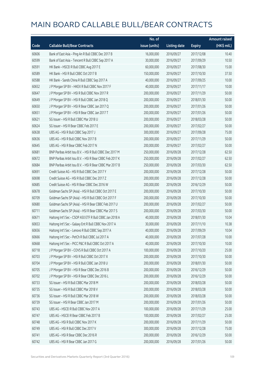|       |                                                          | No. of        |                     |               | Amount raised         |
|-------|----------------------------------------------------------|---------------|---------------------|---------------|-----------------------|
| Code  | <b>Callable Bull/Bear Contracts</b>                      | issue (units) | <b>Listing date</b> | <b>Expiry</b> | $(HK\frac{1}{2}mil.)$ |
| 60606 | Bank of East Asia - Ping An R Bull CBBC Dec 2017 B       | 16,000,000    | 2016/09/27          | 2017/12/08    | 10.40                 |
| 60599 | Bank of East Asia - Tencent R Bull CBBC Sep 2017 A       | 30,000,000    | 2016/09/27          | 2017/09/29    | 10.50                 |
| 60591 | HK Bank - HSCEI R Bull CBBC Aug 2017 E                   | 60,000,000    | 2016/09/27          | 2017/08/30    | 15.00                 |
| 60589 | HK Bank - HSI R Bull CBBC Oct 2017 B                     | 150,000,000   | 2016/09/27          | 2017/10/30    | 37.50                 |
| 60588 | HK Bank - Sands China R Bull CBBC Sep 2017 A             | 40,000,000    | 2016/09/27          | 2017/09/25    | 10.00                 |
| 60652 | J P Morgan SP BV - HKEX R Bull CBBC Nov 2017 F           | 40,000,000    | 2016/09/27          | 2017/11/17    | 10.00                 |
| 60647 | J P Morgan SP BV - HSI R Bull CBBC Nov 2017 R            | 200,000,000   | 2016/09/27          | 2017/11/29    | 50.00                 |
| 60649 | J P Morgan SP BV - HSI R Bull CBBC Jan 2018 Q            | 200,000,000   | 2016/09/27          | 2018/01/30    | 50.00                 |
| 60650 | J P Morgan SP BV - HSI R Bear CBBC Jan 2017 Q            | 200,000,000   | 2016/09/27          | 2017/01/26    | 50.00                 |
| 60651 | JP Morgan SP BV - HSIR Bear CBBC Jan 2017 T              | 200,000,000   | 2016/09/27          | 2017/01/26    | 50.00                 |
| 60621 | SG Issuer - HSI R Bull CBBC Mar 2018 U                   | 200,000,000   | 2016/09/27          | 2018/03/28    | 50.00                 |
| 60624 | SG Issuer - HSI R Bear CBBC Feb 2017 E                   | 200,000,000   | 2016/09/27          | 2017/02/27    | 50.00                 |
| 60638 | UBS AG - HSI R Bull CBBC Sep 2017 J                      | 300,000,000   | 2016/09/27          | 2017/09/28    | 75.00                 |
| 60636 | UBS AG - HSI R Bull CBBC Nov 2017 B                      | 200,000,000   | 2016/09/27          | 2017/11/29    | 50.00                 |
| 60645 | UBS AG - HSI R Bear CBBC Feb 2017 N                      | 200,000,000   | 2016/09/27          | 2017/02/27    | 50.00                 |
| 60681 | BNP Paribas Arbit Issu B.V. - HSI R Bull CBBC Dec 2017 M | 250,000,000   | 2016/09/28          | 2017/12/28    | 62.50                 |
| 60672 | BNP Paribas Arbit Issu B.V. - HSI R Bear CBBC Feb 2017 K | 250,000,000   | 2016/09/28          | 2017/02/27    | 62.50                 |
| 60684 | BNP Paribas Arbit Issu B.V. - HSI R Bear CBBC Mar 2017 B | 250,000,000   | 2016/09/28          | 2017/03/30    | 62.50                 |
| 60691 | Credit Suisse AG - HSI R Bull CBBC Dec 2017 Y            | 200,000,000   | 2016/09/28          | 2017/12/28    | 50.00                 |
| 60698 | Credit Suisse AG - HSI R Bull CBBC Dec 2017 Z            | 200,000,000   | 2016/09/28          | 2017/12/28    | 50.00                 |
| 60685 | Credit Suisse AG - HSI R Bear CBBC Dec 2016 W            | 200,000,000   | 2016/09/28          | 2016/12/29    | 50.00                 |
| 60678 | Goldman Sachs SP (Asia) - HSI R Bull CBBC Oct 2017 E     | 200,000,000   | 2016/09/28          | 2017/10/30    | 50.00                 |
| 60709 | Goldman Sachs SP (Asia) - HSI R Bull CBBC Oct 2017 F     | 200,000,000   | 2016/09/28          | 2017/10/30    | 50.00                 |
| 60680 | Goldman Sachs SP (Asia) - HSI R Bear CBBC Feb 2017 U     | 200,000,000   | 2016/09/28          | 2017/02/27    | 50.00                 |
| 60711 | Goldman Sachs SP (Asia) - HSI R Bear CBBC Mar 2017 S     | 200,000,000   | 2016/09/28          | 2017/03/30    | 50.00                 |
| 60671 | Haitong Int'l Sec - CSOP A50 ETF R Bull CBBC Jan 2018 A  | 40,000,000    | 2016/09/28          | 2018/01/30    | 10.04                 |
| 60653 | Haitong Int'l Sec - Galaxy Ent R Bull CBBC Nov 2017 A    | 30,000,000    | 2016/09/28          | 2017/11/10    | 10.38                 |
| 60656 | Haitong Int'l Sec - Lenovo R Bull CBBC Sep 2017 A        | 40,000,000    | 2016/09/28          | 2017/09/29    | 10.04                 |
| 60666 | Haitong Int'l Sec - PetCh R Bull CBBC Jul 2017 A         | 40,000,000    | 2016/09/28          | 2017/07/28    | 10.00                 |
| 60668 | Haitong Int'l Sec - PICC P&C R Bull CBBC Oct 2017 A      | 40,000,000    | 2016/09/28          | 2017/10/30    | 10.00                 |
| 60718 | J P Morgan SP BV - COVS R Bull CBBC Oct 2017 A           | 100,000,000   | 2016/09/28          | 2017/10/20    | 25.00                 |
| 60703 | J P Morgan SP BV - HSI R Bull CBBC Oct 2017 X            | 200,000,000   | 2016/09/28          | 2017/10/30    | 50.00                 |
| 60704 | J P Morgan SP BV - HSI R Bull CBBC Jan 2018 U            | 200,000,000   | 2016/09/28          | 2018/01/30    | 50.00                 |
| 60705 | J P Morgan SP BV - HSI R Bear CBBC Dec 2016 B            | 200,000,000   | 2016/09/28          | 2016/12/29    | 50.00                 |
| 60702 | J P Morgan SP BV - HSI R Bear CBBC Dec 2016 L            | 200,000,000   | 2016/09/28          | 2016/12/29    | 50.00                 |
| 60733 | SG Issuer - HSI R Bull CBBC Mar 2018 M                   | 200,000,000   | 2016/09/28          | 2018/03/28    | 50.00                 |
| 60735 | SG Issuer - HSI R Bull CBBC Mar 2018 V                   | 200,000,000   | 2016/09/28          | 2018/03/28    | 50.00                 |
| 60736 | SG Issuer - HSI R Bull CBBC Mar 2018 W                   | 200,000,000   | 2016/09/28          | 2018/03/28    | 50.00                 |
| 60739 | SG Issuer - HSI R Bear CBBC Jan 2017 M                   | 200,000,000   | 2016/09/28          | 2017/01/26    | 50.00                 |
| 60743 | UBS AG - HSCEI R Bull CBBC Nov 2017 A                    | 100,000,000   | 2016/09/28          | 2017/11/29    | 25.00                 |
| 60747 | UBS AG - HSCEI R Bear CBBC Feb 2017 B                    | 100,000,000   | 2016/09/28          | 2017/02/27    | 25.00                 |
| 60748 | UBS AG - HSI R Bull CBBC Nov 2017 K                      | 200,000,000   | 2016/09/28          | 2017/11/29    | 50.00                 |
| 60749 | UBS AG - HSI R Bull CBBC Dec 2017 V                      | 300,000,000   | 2016/09/28          | 2017/12/28    | 75.00                 |
| 60741 | UBS AG - HSI R Bear CBBC Dec 2016 R                      | 200,000,000   | 2016/09/28          | 2016/12/29    | 50.00                 |
| 60742 | UBS AG - HSI R Bear CBBC Jan 2017 G                      | 200,000,000   | 2016/09/28          | 2017/01/26    | 50.00                 |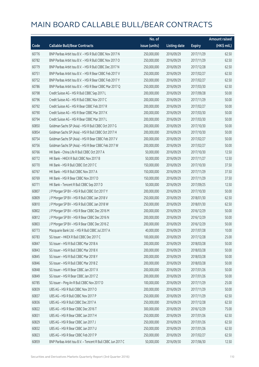|       |                                                              | No. of        |                     |               | <b>Amount raised</b> |
|-------|--------------------------------------------------------------|---------------|---------------------|---------------|----------------------|
| Code  | <b>Callable Bull/Bear Contracts</b>                          | issue (units) | <b>Listing date</b> | <b>Expiry</b> | (HK\$ mil.)          |
| 60776 | BNP Paribas Arbit Issu B.V. - HSI R Bull CBBC Nov 2017 N     | 250,000,000   | 2016/09/29          | 2017/11/29    | 62.50                |
| 60782 | BNP Paribas Arbit Issu B.V. - HSI R Bull CBBC Nov 2017 O     | 250,000,000   | 2016/09/29          | 2017/11/29    | 62.50                |
| 60779 | BNP Paribas Arbit Issu B.V. - HSI R Bull CBBC Dec 2017 N     | 250,000,000   | 2016/09/29          | 2017/12/28    | 62.50                |
| 60751 | BNP Paribas Arbit Issu B.V. - HSI R Bear CBBC Feb 2017 V     | 250,000,000   | 2016/09/29          | 2017/02/27    | 62.50                |
| 60752 | BNP Paribas Arbit Issu B.V. - HSI R Bear CBBC Feb 2017 Y     | 250,000,000   | 2016/09/29          | 2017/02/27    | 62.50                |
| 60786 | BNP Paribas Arbit Issu B.V. - HSI R Bear CBBC Mar 2017 Q     | 250,000,000   | 2016/09/29          | 2017/03/30    | 62.50                |
| 60798 | Credit Suisse AG - HSI R Bull CBBC Sep 2017 L                | 200,000,000   | 2016/09/29          | 2017/09/28    | 50.00                |
| 60796 | Credit Suisse AG - HSI R Bull CBBC Nov 2017 C                | 200,000,000   | 2016/09/29          | 2017/11/29    | 50.00                |
| 60792 | Credit Suisse AG - HSI R Bear CBBC Feb 2017 R                | 200,000,000   | 2016/09/29          | 2017/02/27    | 50.00                |
| 60790 | Credit Suisse AG - HSI R Bear CBBC Mar 2017 K                | 200,000,000   | 2016/09/29          | 2017/03/30    | 50.00                |
| 60794 | Credit Suisse AG - HSI R Bear CBBC Mar 2017 L                | 200,000,000   | 2016/09/29          | 2017/03/30    | 50.00                |
| 60850 | Goldman Sachs SP (Asia) - HSI R Bull CBBC Oct 2017 G         | 200,000,000   | 2016/09/29          | 2017/10/30    | 50.00                |
| 60854 | Goldman Sachs SP (Asia) - HSI R Bull CBBC Oct 2017 H         | 200,000,000   | 2016/09/29          | 2017/10/30    | 50.00                |
| 60754 | Goldman Sachs SP (Asia) - HSI R Bear CBBC Feb 2017 V         | 200,000,000   | 2016/09/29          | 2017/02/27    | 50.00                |
| 60756 | Goldman Sachs SP (Asia) - HSI R Bear CBBC Feb 2017 W         | 200,000,000   | 2016/09/29          | 2017/02/27    | 50.00                |
| 60766 | HK Bank - China Life R Bull CBBC Oct 2017 A                  | 50,000,000    | 2016/09/29          | 2017/10/30    | 12.50                |
| 60772 | HK Bank - HKEX R Bull CBBC Nov 2017 B                        | 50,000,000    | 2016/09/29          | 2017/11/27    | 12.50                |
| 60770 | HK Bank - HSI R Bull CBBC Oct 2017 C                         | 150,000,000   | 2016/09/29          | 2017/10/30    | 37.50                |
| 60767 | HK Bank - HSI R Bull CBBC Nov 2017 A                         | 150,000,000   | 2016/09/29          | 2017/11/29    | 37.50                |
| 60769 | HK Bank - HSI R Bear CBBC Nov 2017 D                         | 150,000,000   | 2016/09/29          | 2017/11/29    | 37.50                |
| 60771 | HK Bank - Tencent R Bull CBBC Sep 2017 D                     | 50,000,000    | 2016/09/29          | 2017/09/25    | 12.50                |
| 60807 | J P Morgan SP BV - HSI R Bull CBBC Oct 2017 Y                | 200,000,000   | 2016/09/29          | 2017/10/30    | 50.00                |
| 60809 | J P Morgan SP BV - HSI R Bull CBBC Jan 2018 V                | 250,000,000   | 2016/09/29          | 2018/01/30    | 62.50                |
| 60810 | J P Morgan SP BV - HSI R Bull CBBC Jan 2018 W                | 250,000,000   | 2016/09/29          | 2018/01/30    | 62.50                |
| 60802 | J P Morgan SP BV - HSI R Bear CBBC Dec 2016 M                | 200,000,000   | 2016/09/29          | 2016/12/29    | 50.00                |
| 60812 | J P Morgan SP BV - HSI R Bear CBBC Dec 2016 N                | 200,000,000   | 2016/09/29          | 2016/12/29    | 50.00                |
| 60803 | J P Morgan SP BV - HSI R Bear CBBC Dec 2016 Z                | 200,000,000   | 2016/09/29          | 2016/12/29    | 50.00                |
| 60773 | Macquarie Bank Ltd. - HSI R Bull CBBC Jul 2017 A             | 40,000,000    | 2016/09/29          | 2017/07/28    | 10.00                |
| 60783 | SG Issuer - HKEX R Bull CBBC Dec 2017 C                      | 100,000,000   | 2016/09/29          | 2017/12/28    | 25.00                |
| 60847 | SG Issuer - HSI R Bull CBBC Mar 2018 A                       | 200,000,000   | 2016/09/29          | 2018/03/28    | 50.00                |
| 60843 | SG Issuer - HSI R Bull CBBC Mar 2018 X                       | 200,000,000   | 2016/09/29          | 2018/03/28    | 50.00                |
| 60845 | SG Issuer - HSI R Bull CBBC Mar 2018 Y                       | 200,000,000   | 2016/09/29          | 2018/03/28    | 50.00                |
| 60846 | SG Issuer - HSI R Bull CBBC Mar 2018 Z                       | 200,000,000   | 2016/09/29          | 2018/03/28    | 50.00                |
| 60848 | SG Issuer - HSI R Bear CBBC Jan 2017 X                       | 200,000,000   | 2016/09/29          | 2017/01/26    | 50.00                |
| 60849 | SG Issuer - HSI R Bear CBBC Jan 2017 Z                       | 200,000,000   | 2016/09/29          | 2017/01/26    | 50.00                |
| 60785 | SG Issuer - Ping An R Bull CBBC Nov 2017 D                   | 100,000,000   | 2016/09/29          | 2017/11/29    | 25.00                |
| 60839 | UBS AG - HSI R Bull CBBC Nov 2017 O                          | 200,000,000   | 2016/09/29          | 2017/11/29    | 50.00                |
| 60837 | UBS AG - HSI R Bull CBBC Nov 2017 P                          | 250,000,000   | 2016/09/29          | 2017/11/29    | 62.50                |
| 60836 | UBS AG - HSI R Bull CBBC Dec 2017 A                          | 250,000,000   | 2016/09/29          | 2017/12/28    | 62.50                |
| 60822 | UBS AG - HSI R Bear CBBC Dec 2016 T                          | 300,000,000   | 2016/09/29          | 2016/12/29    | 75.00                |
| 60831 | UBS AG - HSI R Bear CBBC Jan 2017 H                          | 250,000,000   | 2016/09/29          | 2017/01/26    | 62.50                |
| 60829 | UBS AG - HSI R Bear CBBC Jan 2017 J                          | 250,000,000   | 2016/09/29          | 2017/01/26    | 62.50                |
| 60832 | UBS AG - HSI R Bear CBBC Jan 2017 U                          | 250,000,000   | 2016/09/29          | 2017/01/26    | 62.50                |
| 60823 | UBS AG - HSI R Bear CBBC Feb 2017 P                          | 250,000,000   | 2016/09/29          | 2017/02/27    | 62.50                |
| 60859 | BNP Paribas Arbit Issu B.V. - Tencent R Bull CBBC Jun 2017 C | 50,000,000    | 2016/09/30          | 2017/06/30    | 12.50                |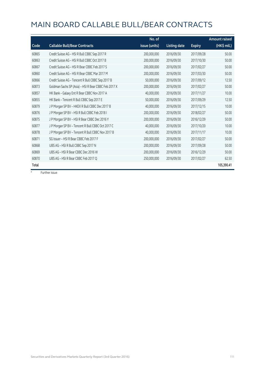|       |                                                      | No. of        |                     |               | <b>Amount raised</b> |
|-------|------------------------------------------------------|---------------|---------------------|---------------|----------------------|
| Code  | <b>Callable Bull/Bear Contracts</b>                  | issue (units) | <b>Listing date</b> | <b>Expiry</b> | (HK\$ mil.)          |
| 60865 | Credit Suisse AG - HSI R Bull CBBC Sep 2017 R        | 200,000,000   | 2016/09/30          | 2017/09/28    | 50.00                |
| 60863 | Credit Suisse AG - HSI R Bull CBBC Oct 2017 B        | 200,000,000   | 2016/09/30          | 2017/10/30    | 50.00                |
| 60867 | Credit Suisse AG - HSI R Bear CBBC Feb 2017 S        | 200,000,000   | 2016/09/30          | 2017/02/27    | 50.00                |
| 60860 | Credit Suisse AG - HSI R Bear CBBC Mar 2017 M        | 200,000,000   | 2016/09/30          | 2017/03/30    | 50.00                |
| 60866 | Credit Suisse AG - Tencent R Bull CBBC Sep 2017 B    | 50,000,000    | 2016/09/30          | 2017/09/12    | 12.50                |
| 60873 | Goldman Sachs SP (Asia) - HSI R Bear CBBC Feb 2017 X | 200,000,000   | 2016/09/30          | 2017/02/27    | 50.00                |
| 60857 | HK Bank - Galaxy Ent R Bear CBBC Nov 2017 A          | 40,000,000    | 2016/09/30          | 2017/11/27    | 10.00                |
| 60855 | HK Bank - Tencent R Bull CBBC Sep 2017 E             | 50,000,000    | 2016/09/30          | 2017/09/29    | 12.50                |
| 60879 | J P Morgan SP BV - HKEX R Bull CBBC Dec 2017 B       | 40,000,000    | 2016/09/30          | 2017/12/15    | 10.00                |
| 60876 | J P Morgan SP BV - HSI R Bull CBBC Feb 2018 I        | 200,000,000   | 2016/09/30          | 2018/02/27    | 50.00                |
| 60875 | J P Morgan SP BV - HSI R Bear CBBC Dec 2016 Y        | 200,000,000   | 2016/09/30          | 2016/12/29    | 50.00                |
| 60877 | J P Morgan SP BV - Tencent R Bull CBBC Oct 2017 C    | 40,000,000    | 2016/09/30          | 2017/10/20    | 10.00                |
| 60878 | J P Morgan SP BV - Tencent R Bull CBBC Nov 2017 B    | 40,000,000    | 2016/09/30          | 2017/11/17    | 10.00                |
| 60871 | SG Issuer - HSI R Bear CBBC Feb 2017 F               | 200,000,000   | 2016/09/30          | 2017/02/27    | 50.00                |
| 60868 | UBS AG - HSI R Bull CBBC Sep 2017 N                  | 200,000,000   | 2016/09/30          | 2017/09/28    | 50.00                |
| 60869 | UBS AG - HSI R Bear CBBC Dec 2016 W                  | 200,000,000   | 2016/09/30          | 2016/12/29    | 50.00                |
| 60870 | UBS AG - HSI R Bear CBBC Feb 2017 Q                  | 250,000,000   | 2016/09/30          | 2017/02/27    | 62.50                |
| Total |                                                      |               |                     |               | 105,390.41           |

# Further issue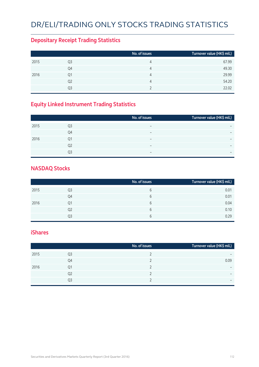# DR/ELI/TRADING ONLY STOCKS TRADING STATISTICS

#### **Depositary Receipt Trading Statistics**

|      |                | No. of issues | Turnover value (HK\$ mil.) |
|------|----------------|---------------|----------------------------|
| 2015 | Q3             | 4             | 67.99                      |
|      | Q4             | 4             | 49.30                      |
| 2016 | Q1             | 4             | 29.99                      |
|      | Q <sub>2</sub> | 4             | 54.20                      |
|      | O3             |               | 22.02                      |

### **Equity Linked Instrument Trading Statistics**

|                | No. of issues            | Turnover value (HK\$ mil.) |
|----------------|--------------------------|----------------------------|
| Q <sub>3</sub> | $\overline{\phantom{0}}$ |                            |
| Q4             | $\overline{\phantom{0}}$ | $\overline{\phantom{0}}$   |
| Q1             | $\overline{\phantom{0}}$ | $\overline{\phantom{0}}$   |
| Q <sub>2</sub> | $\overline{\phantom{0}}$ |                            |
| O3             | $\overline{\phantom{0}}$ | $\overline{\phantom{0}}$   |
|                |                          |                            |

#### **NASDAQ Stocks**

|      |    | No. of issues | Turnover value (HK\$ mil.) |
|------|----|---------------|----------------------------|
| 2015 | Q3 | b             | 0.01                       |
|      | Q4 | 6             | 0.01                       |
| 2016 | Q1 | 6             | 0.04                       |
|      | Q2 | 6             | 0.10                       |
|      | Q3 | 6             | 0.29                       |

#### **iShares**

|      |    | No. of issues | Turnover value (HK\$ mil.) |
|------|----|---------------|----------------------------|
| 2015 | Q3 |               | $\overline{\phantom{0}}$   |
|      | Q4 |               | 0.09                       |
| 2016 | Q1 |               | $\overline{\phantom{0}}$   |
|      | Q2 |               | $\overline{\phantom{0}}$   |
|      | Q3 |               | $\overline{\phantom{0}}$   |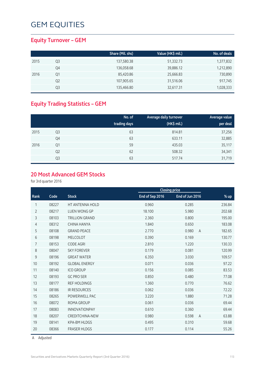#### **Equity Turnover – GEM**

|      |    | Share (Mil. shs) | Value (HK\$ mil.) | No. of deals |
|------|----|------------------|-------------------|--------------|
| 2015 | Q3 | 137,580.38       | 51,332.73         | 1,377,832    |
|      | Q4 | 136,058.68       | 39,886.12         | 1,212,890    |
| 2016 | Q1 | 85,420.86        | 25,666.83         | 730,890      |
|      | Q2 | 107,905.65       | 31,516.06         | 917,745      |
|      | Q3 | 135,466.80       | 32,617.31         | 1,028,333    |

### **Equity Trading Statistics – GEM**

|      |                | No. of<br>trading days | Average daily turnover<br>(HK\$ mil.) | Average value<br>per deal |
|------|----------------|------------------------|---------------------------------------|---------------------------|
| 2015 | Q3             | 63                     | 814.81                                | 37,256                    |
|      | Q4             | 63                     | 633.11                                | 32,885                    |
| 2016 | Q1             | 59                     | 435.03                                | 35,117                    |
|      | Q <sub>2</sub> | 62                     | 508.32                                | 34,341                    |
|      | Q <sub>3</sub> | 63                     | 517.74                                | 31,719                    |

#### **20 Most Advanced GEM Stocks**

for 3rd quarter 2016

|                |       |                        | <b>Closing price</b> |                         |        |
|----------------|-------|------------------------|----------------------|-------------------------|--------|
| Rank           | Code  | <b>Stock</b>           | End of Sep 2016      | End of Jun 2016         | $%$ up |
| 1              | 08227 | <b>HT ANTENNA HOLD</b> | 0.960                | 0.285                   | 236.84 |
| $\overline{2}$ | 08217 | <b>LUEN WONG GP</b>    | 18.100               | 5.980                   | 202.68 |
| 3              | 08103 | <b>TRILLION GRAND</b>  | 2.360                | 0.800                   | 195.00 |
| 4              | 08312 | <b>CHINA HANYA</b>     | 1.840                | 0.650                   | 183.08 |
| 5              | 08108 | <b>GRAND PEACE</b>     | 2.770                | 0.980<br>$\overline{A}$ | 182.65 |
| 6              | 08198 | <b>MELCOLOT</b>        | 0.390                | 0.169                   | 130.77 |
| 7              | 08153 | <b>CODE AGRI</b>       | 2.810                | 1.220                   | 130.33 |
| 8              | 08047 | <b>SKY FOREVER</b>     | 0.179                | 0.081                   | 120.99 |
| 9              | 08196 | <b>GREAT WATER</b>     | 6.350                | 3.030                   | 109.57 |
| 10             | 08192 | <b>GLOBAL ENERGY</b>   | 0.071                | 0.036                   | 97.22  |
| 11             | 08140 | <b>ICO GROUP</b>       | 0.156                | 0.085                   | 83.53  |
| 12             | 08193 | <b>GC PRO SER</b>      | 0.850                | 0.480                   | 77.08  |
| 13             | 08177 | <b>REF HOLDINGS</b>    | 1.360                | 0.770                   | 76.62  |
| 14             | 08186 | <b>IR RESOURCES</b>    | 0.062                | 0.036                   | 72.22  |
| 15             | 08265 | POWERWELL PAC          | 3.220                | 1.880                   | 71.28  |
| 16             | 08072 | <b>ROMA GROUP</b>      | 0.061                | 0.036                   | 69.44  |
| 17             | 08083 | INNOVATIONPAY          | 0.610                | 0.360                   | 69.44  |
| 18             | 08207 | <b>CREDITCHINA-NEW</b> | 0.980                | 0.598<br>$\overline{A}$ | 63.88  |
| 19             | 08141 | <b>KPA-BM HLDGS</b>    | 0.495                | 0.310                   | 59.68  |
| 20             | 08366 | <b>FRASER HLDGS</b>    | 0.177                | 0.114                   | 55.26  |
|                |       |                        |                      |                         |        |

A Adjusted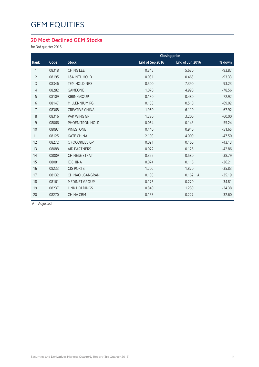#### **20 Most Declined GEM Stocks**

for 3rd quarter 2016

|                |       |                          | <b>Closing price</b> |                         |          |
|----------------|-------|--------------------------|----------------------|-------------------------|----------|
| Rank           | Code  | <b>Stock</b>             | End of Sep 2016      | End of Jun 2016         | % down   |
| 1              | 08318 | <b>CHING LEE</b>         | 0.345                | 5.630                   | $-93.87$ |
| $\overline{2}$ | 08195 | <b>L&amp;A INTL HOLD</b> | 0.031                | 0.465                   | $-93.33$ |
| 3              | 08346 | <b>TEM HOLDINGS</b>      | 0.500                | 7.390                   | $-93.23$ |
| 4              | 08282 | <b>GAMEONE</b>           | 1.070                | 4.990                   | $-78.56$ |
| 5              | 08109 | <b>KIRIN GROUP</b>       | 0.130                | 0.480                   | $-72.92$ |
| 6              | 08147 | MILLENNIUM PG            | 0.158                | 0.510                   | $-69.02$ |
| $\overline{7}$ | 08368 | <b>CREATIVE CHINA</b>    | 1.960                | 6.110                   | $-67.92$ |
| 8              | 08316 | <b>PAK WING GP</b>       | 1.280                | 3.200                   | $-60.00$ |
| 9              | 08066 | PHOENITRON HOLD          | 0.064                | 0.143                   | $-55.24$ |
| 10             | 08097 | <b>PINESTONE</b>         | 0.440                | 0.910                   | $-51.65$ |
| 11             | 08125 | <b>KATE CHINA</b>        | 2.100                | 4.000                   | $-47.50$ |
| 12             | 08272 | C FOOD&BEV GP            | 0.091                | 0.160                   | $-43.13$ |
| 13             | 08088 | <b>AID PARTNERS</b>      | 0.072                | 0.126                   | $-42.86$ |
| 14             | 08089 | <b>CHINESE STRAT</b>     | 0.355                | 0.580                   | $-38.79$ |
| 15             | 08081 | <b>IE CHINA</b>          | 0.074                | 0.116                   | $-36.21$ |
| 16             | 08233 | <b>CIG PORTS</b>         | 1.200                | 1.870                   | $-35.83$ |
| 17             | 08132 | CHINAOILGANGRAN          | 0.105                | 0.162<br>$\overline{A}$ | $-35.19$ |
| 18             | 08161 | <b>MEDINET GROUP</b>     | 0.176                | 0.270                   | $-34.81$ |
| 19             | 08237 | <b>LINK HOLDINGS</b>     | 0.840                | 1.280                   | $-34.38$ |
| 20             | 08270 | <b>CHINA CBM</b>         | 0.153                | 0.227                   | $-32.60$ |
|                |       |                          |                      |                         |          |

A Adjusted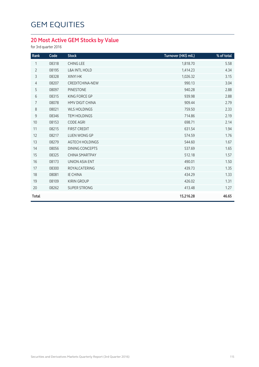### **20 Most Active GEM Stocks by Value**

for 3rd quarter 2016

| Rank           | Code  | <b>Stock</b>             | Turnover (HK\$ mil.) | % of total |
|----------------|-------|--------------------------|----------------------|------------|
| 1              | 08318 | <b>CHING LEE</b>         | 1,818.70             | 5.58       |
| $\overline{2}$ | 08195 | <b>L&amp;A INTL HOLD</b> | 1,414.23             | 4.34       |
| 3              | 08328 | XINYI HK                 | 1,026.32             | 3.15       |
| $\overline{4}$ | 08207 | <b>CREDITCHINA-NEW</b>   | 990.13               | 3.04       |
| 5              | 08097 | <b>PINESTONE</b>         | 940.28               | 2.88       |
| 6              | 08315 | KING FORCE GP            | 939.98               | 2.88       |
| $\overline{7}$ | 08078 | <b>HMV DIGIT CHINA</b>   | 909.44               | 2.79       |
| 8              | 08021 | <b>WLS HOLDINGS</b>      | 759.50               | 2.33       |
| $\mathsf 9$    | 08346 | <b>TEM HOLDINGS</b>      | 714.86               | 2.19       |
| 10             | 08153 | <b>CODE AGRI</b>         | 698.71               | 2.14       |
| 11             | 08215 | <b>FIRST CREDIT</b>      | 631.54               | 1.94       |
| 12             | 08217 | <b>LUEN WONG GP</b>      | 574.59               | 1.76       |
| 13             | 08279 | <b>AGTECH HOLDINGS</b>   | 544.60               | 1.67       |
| 14             | 08056 | <b>DINING CONCEPTS</b>   | 537.69               | 1.65       |
| 15             | 08325 | <b>CHINA SMARTPAY</b>    | 512.18               | 1.57       |
| 16             | 08173 | <b>UNION ASIA ENT</b>    | 490.01               | 1.50       |
| 17             | 08300 | ROYALCATERING            | 439.73               | 1.35       |
| 18             | 08081 | <b>IE CHINA</b>          | 434.29               | 1.33       |
| 19             | 08109 | <b>KIRIN GROUP</b>       | 426.02               | 1.31       |
| 20             | 08262 | <b>SUPER STRONG</b>      | 413.48               | 1.27       |
| Total          |       |                          | 15,216.28            | 46.65      |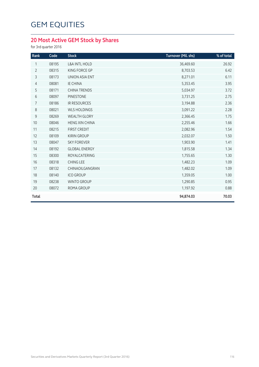### **20 Most Active GEM Stock by Shares**

for 3rd quarter 2016

| Rank           | Code  | <b>Stock</b>             | Turnover (Mil. shs) | % of total |
|----------------|-------|--------------------------|---------------------|------------|
| 1              | 08195 | <b>L&amp;A INTL HOLD</b> | 36,469.60           | 26.92      |
| $\overline{2}$ | 08315 | KING FORCE GP            | 8,703.53            | 6.42       |
| 3              | 08173 | UNION ASIA ENT           | 8,271.01            | 6.11       |
| $\overline{4}$ | 08081 | <b>IE CHINA</b>          | 5,353.45            | 3.95       |
| 5              | 08171 | <b>CHINA TRENDS</b>      | 5,034.97            | 3.72       |
| 6              | 08097 | <b>PINESTONE</b>         | 3,731.25            | 2.75       |
| 7              | 08186 | <b>IR RESOURCES</b>      | 3,194.88            | 2.36       |
| $8\,$          | 08021 | <b>WLS HOLDINGS</b>      | 3,091.22            | 2.28       |
| 9              | 08269 | <b>WEALTH GLORY</b>      | 2,366.45            | 1.75       |
| 10             | 08046 | <b>HENG XIN CHINA</b>    | 2,255.46            | 1.66       |
| 11             | 08215 | <b>FIRST CREDIT</b>      | 2,082.96            | 1.54       |
| 12             | 08109 | <b>KIRIN GROUP</b>       | 2,032.07            | 1.50       |
| 13             | 08047 | <b>SKY FOREVER</b>       | 1,903.90            | 1.41       |
| 14             | 08192 | <b>GLOBAL ENERGY</b>     | 1,815.58            | 1.34       |
| 15             | 08300 | ROYALCATERING            | 1,755.65            | 1.30       |
| 16             | 08318 | <b>CHING LEE</b>         | 1,482.23            | 1.09       |
| 17             | 08132 | CHINAOILGANGRAN          | 1,482.02            | 1.09       |
| 18             | 08140 | <b>ICO GROUP</b>         | 1,359.05            | 1.00       |
| 19             | 08238 | <b>WINTO GROUP</b>       | 1,290.85            | 0.95       |
| 20             | 08072 | ROMA GROUP               | 1,197.92            | 0.88       |
| <b>Total</b>   |       |                          | 94,874.03           | 70.03      |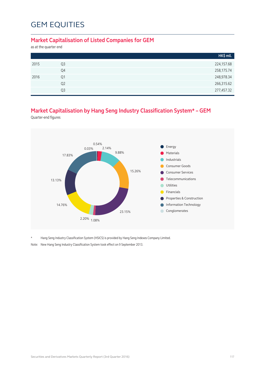#### **Market Capitalisation of Listed Companies for GEM**

as at the quarter end

|      |                | HK\$ mil.  |
|------|----------------|------------|
| 2015 | Q <sub>3</sub> | 224,157.68 |
|      | Q4             | 258,175.74 |
| 2016 | Q1             | 248,978.34 |
|      | Q <sub>2</sub> | 266,315.62 |
|      | Q <sub>3</sub> | 277,457.32 |

### **Market Capitalisation by Hang Seng Industry Classification System\* – GEM**

Quarter-end figures



\* Hang Seng Industry Classification System (HSICS) is provided by Hang Seng Indexes Company Limited.

Note: New Hang Seng Industry Classification System took effect on 9 September 2013.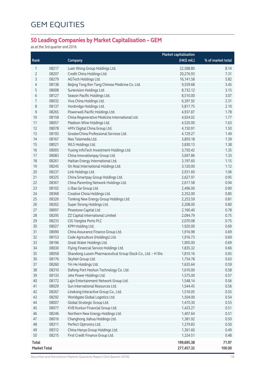### **50 Leading Companies by Market Capitalisation – GEM**

as at the 3rd quarter end 2016

|              |              |                                                              | <b>Market capitalisation</b> |                   |
|--------------|--------------|--------------------------------------------------------------|------------------------------|-------------------|
| Rank         |              | Company                                                      | (HK\$ mil.)                  | % of market total |
| 1            | 08217        | Luen Wong Group Holdings Ltd.                                | 22,588.80                    | 8.14              |
| 2            | 08207        | Credit China Holdings Ltd.                                   | 20,276.93                    | 7.31              |
| 3            | 08279        | AGTech Holdings Ltd.                                         | 16,141.58                    | 5.82              |
| 4            | 08138        | Beijing Tong Ren Tang Chinese Medicine Co. Ltd.              | 9,559.68                     | 3.45              |
| 5            | 08008        | Sunevision Holdings Ltd.                                     | 8,732.12                     | 3.15              |
| 6            | 08127        | Season Pacific Holdings Ltd.                                 | 8,510.00                     | 3.07              |
| 7            | 08032        | Viva China Holdings Ltd.                                     | 6,397.92                     | 2.31              |
| 8            | 08137        | Honbridge Holdings Ltd.                                      | 5,817.75                     | 2.10              |
| 9            | 08265        | Powerwell Pacific Holdings Ltd.                              | 4,937.87                     | 1.78              |
| 10           | 08158        | China Regenerative Medicine International Ltd.               | 4,924.02                     | 1.77              |
| 11           | 08057        | Madison Wine Holdings Ltd.                                   | 4,520.00                     | 1.63              |
| 12           | 08078        | HMV Digital China Group Ltd.                                 | 4,150.91                     | 1.50              |
| 13           | 08193        | GreaterChina Professional Services Ltd.                      | 4,129.27                     | 1.49              |
| 14           | 08167        | Neo Telemedia Ltd.                                           | 3,859.18                     | 1.39              |
| 15           | 08021        | WLS Holdings Ltd.                                            | 3,830.13                     | 1.38              |
| 16           | 08005        | Yuxing InfoTech Investment Holdings Ltd.                     | 3,750.42                     | 1.35              |
| 17           | 08083        | China Innovationpay Group Ltd.                               | 3,697.86                     | 1.33              |
| 18           | 08261        | Haitian Energy International Ltd.                            | 3,197.60                     | 1.15              |
| 19           | 08245        | On Real International Holdings Ltd.                          | 3,120.00                     | 1.12              |
| 20           | 08237        | Link Holdings Ltd.                                           | 2,931.60                     | 1.06              |
| 21           | 08325        | China Smartpay Group Holdings Ltd.                           | 2,627.97                     | 0.95              |
| 22           | 08361        | China Parenting Network Holdings Ltd.                        | 2,617.58                     | 0.94              |
| 23           | 08102        | Li Bao Ge Group Ltd.                                         | 2,496.00                     | 0.90              |
| 24           | 08368        | Creative China Holdings Ltd.                                 | 2,352.00                     | 0.85              |
| 25           | 08326        | Tonking New Energy Group Holdings Ltd.                       | 2,253.59                     | 0.81              |
| 26           | 08262        | Super Strong Holdings Ltd.                                   | 2,208.00                     | 0.80              |
| 27           | 08097        | Pinestone Captial Ltd.                                       | 2,160.40                     | 0.78              |
| 28           | 08295        | ZZ Capital International Limited                             | 2,094.79                     | 0.75              |
| 29           | 08233        | CIG Yangtze Ports PLC                                        | 2,070.08                     | 0.75              |
| 30           | 08027        | KPM Holding Ltd.                                             | 1,920.00                     | 0.69              |
| 31           | 08090        | China Assurance Finance Group Ltd.                           | 1,916.98                     | 0.69              |
| 32           | 08153        | Code Agriculture (Holdings) Ltd.                             | 1,916.73                     | 0.69              |
| 33           | 08196        | Great Water Holdings Ltd.                                    | 1,905.00                     | 0.69              |
| 34           | 08030        | Flying Financial Service Holdings Ltd.                       | 1,835.32                     | 0.66              |
| 35           | 08058        | Shandong Luoxin Pharmaceutical Group Stock Co., Ltd. - H Shs | 1,810.16                     | 0.65              |
| 36           | 08176        | SkyNet Group Ltd.                                            | 1,754.78                     | 0.63              |
| 37           | 08260        | Yin He Holdings Ltd.                                         | 1,635.64                     | 0.59              |
| 38           | 08310        | Dafeng Port Heshun Technology Co. Ltd.                       | 1,610.00                     | 0.58              |
| 39           | 08133        | Jete Power Holdings Ltd.                                     | 1,575.00                     | 0.57              |
| $40\,$       | 08172        | Lajin Entertainment Network Group Ltd.                       | 1,548.14                     | 0.56              |
| 41           | 08029        | Sun International Resources Ltd.                             | 1,544.45                     | 0.56              |
| 42           | 08267        | Linekong Interactive Group Co., Ltd.                         | 1,516.05                     | 0.55              |
| 43           | 08292        | Worldgate Global Logistics Ltd.                              | 1,504.00                     | 0.54              |
| 44           | 08007        | Global Strategic Group Ltd.                                  | 1,470.30                     | 0.53              |
| 45           | 08077        | KVB Kunlun Financial Group Ltd.                              | 1,423.27                     | 0.51              |
| 46           | 08246        | Northern New Energy Holdings Ltd.                            | 1,407.64                     | 0.51              |
| 47           | 08016        | Changhong Jiahua Holdings Ltd.                               | 1,381.92                     | 0.50              |
| 48           | 08311        | Perfect Optronics Ltd.                                       | 1,379.83                     | 0.50              |
| 49           | 08312        | China Hanya Group Holdings Ltd.                              | 1,361.60                     | 0.49              |
| 50           | 08215        | First Credit Finance Group Ltd.                              | 1,324.51                     | 0.48              |
| <b>Total</b> |              |                                                              | 199,695.38                   | 71.97             |
|              | Market Total |                                                              | 277,457.32                   | 100.00            |

Securities and Derivatives Markets Quarterly Report (3rd Quarter 2016) 118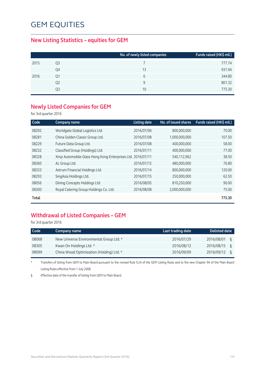#### **New Listing Statistics – equities for GEM**

|    | No. of newly listed companies | Funds raised (HK\$ mil.) |
|----|-------------------------------|--------------------------|
| Q3 |                               | 777.74                   |
| Q4 | 13                            | 931.94                   |
| Ο1 | 6                             | 344.80                   |
| Q2 | 9                             | 801.32                   |
| Q3 | 10                            | 775.30                   |
|    |                               |                          |

#### **Newly Listed Companies for GEM**

for 3rd quarter 2016

| Code  | Company name                                                 | <b>Listing date</b> | No. of issued shares | Funds raised (HK\$ mil.) |
|-------|--------------------------------------------------------------|---------------------|----------------------|--------------------------|
| 08292 | Worldgate Global Logistics Ltd.                              | 2016/07/06          | 800,000,000          | 70.00                    |
| 08281 | China Golden Classic Group Ltd.                              | 2016/07/08          | 1,000,000,000        | 107.50                   |
| 08229 | Future Data Group Ltd.                                       | 2016/07/08          | 400,000,000          | 58.00                    |
| 08232 | Classified Group (Holdings) Ltd.                             | 2016/07/11          | 400,000,000          | 77.00                    |
| 08328 | Xinyi Automobile Glass Hong Kong Enterprises Ltd. 2016/07/11 |                     | 540,112,962          | 38.50                    |
| 08360 | AL Group Ltd.                                                | 2016/07/12          | 480,000,000          | 76.80                    |
| 08333 | Astrum Financial Holdings Ltd.                               | 2016/07/14          | 800,000,000          | 120.00                   |
| 08293 | SingAsia Holdings Ltd.                                       | 2016/07/15          | 250,000,000          | 62.50                    |
| 08056 | Dining Concepts Holdings Ltd                                 | 2016/08/05          | 810,250,000          | 90.00                    |
| 08300 | Royal Catering Group Holdings Co. Ltd.                       | 2016/08/08          | 2,000,000,000        | 75.00                    |
| Total |                                                              |                     |                      | 775.30                   |

### **Withdrawal of Listed Companies – GEM**

for 3rd quarter 2016

| Code  | Company name                             | Last trading date | <b>Delisted date</b> |
|-------|------------------------------------------|-------------------|----------------------|
| 08068 | New Universe Environmental Group Ltd. *  | 2016/07/29        | 2016/08/01           |
| 08305 | Kwan On Holdings Ltd. *                  | 2016/08/12        | 2016/08/15           |
| 08099 | China Wood Optimization (Holding) Ltd. * | 2016/09/09        | 2016/09/12           |

\* Transfers of listing from GEM to Main Board pursuant to the revised Rule 9.24 of the GEM Listing Rules and to the new Chapter 9A of the Main Board Listing Rules effective from 1 July 2008.

§ Effective date of the transfer of listing from GEM to Main Board.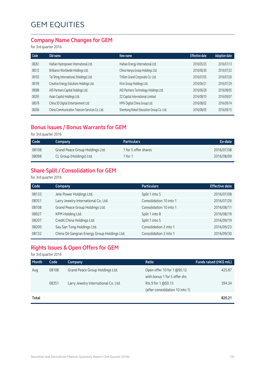#### **Company Name Changes for GEM**

for 3rd quarter 2016

| New name                                | <b>Effective date</b> | <b>Adoption date</b> |
|-----------------------------------------|-----------------------|----------------------|
| Haitian Energy International Ltd.       | 2016/05/25            | 2016/07/13           |
| China Hanya Group Holdings Ltd.         | 2016/06/30            | 2016/07/22           |
| Trillion Grand Corporate Co. Ltd.       | 2016/07/05            | 2016/07/26           |
| Kirin Group Holdings Ltd.               | 2016/06/21            | 2016/07/29           |
| AID Partners Technology Holdings Ltd.   | 2016/06/28            | 2016/08/05           |
| ZZ Capital International Limited        | 2016/08/10            | 2016/09/07           |
| HMV Digital China Group Ltd.            | 2016/08/02            | 2016/09/14           |
| Shentong Robot Education Group Co. Ltd. | 2016/08/05            | 2016/09/15           |
|                                         |                       |                      |

#### **Bonus Issues / Bonus Warrants for GEM**

for 3rd quarter 2016

| Code  | Company                         | <b>Particulars</b>   | Ex-date    |
|-------|---------------------------------|----------------------|------------|
| 08108 | Grand Peace Group Holdings Ltd. | 1 for 5 offer shares | 2016/07/08 |
| 08098 | CL Group (Holdings) Ltd.        | 1 for 1              | 2016/08/09 |

### **Share Split / Consolidation for GEM**

for 3rd quarter 2016

| Code  | Company                                      | <b>Particulars</b>      | <b>Effective date</b> |
|-------|----------------------------------------------|-------------------------|-----------------------|
| 08133 | Jete Power Holdings Ltd.                     | Split 1 into 5          | 2016/07/08            |
| 08351 | Larry Jewelry International Co. Ltd.         | Consolidation 10 into 1 | 2016/07/26            |
| 08108 | Grand Peace Group Holdings Ltd.              | Consolidation 10 into 1 | 2016/08/11            |
| 08027 | KPM Holding Ltd.                             | Split 1 into 8          | 2016/08/19            |
| 08207 | Credit China Holdings Ltd.                   | Split 1 into 5          | 2016/09/19            |
| 08200 | Sau San Tong Holdings Ltd.                   | Consolidation 2 into 1  | 2016/09/23            |
| 08132 | China Oil Gangran Energy Group Holdings Ltd. | Consolidation 2 into 1  | 2016/09/30            |

### **Rights Issues & Open Offers for GEM**

for 3rd quarter 2016

| <b>Month</b> | Code  | Company                              | Ratio                                                       | Funds raised (HK\$ mil.) |
|--------------|-------|--------------------------------------|-------------------------------------------------------------|--------------------------|
| Aug          | 08108 | Grand Peace Group Holdings Ltd.      | Open offer 10 for 1 @\$0.12<br>with bonus 1 for 5 offer shs | 425.87                   |
|              | 08351 | Larry Jewelry International Co. Ltd. | Rts 9 for 1 @\$0.13<br>(after consolidation 10 into 1)      | 394.34                   |
| Total        |       |                                      |                                                             | 820.21                   |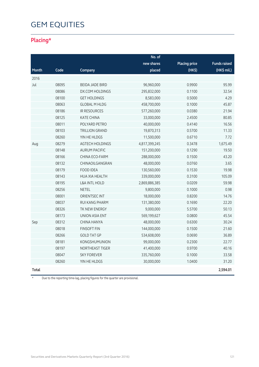### **Placing\***

|       |       |                          | No. of        |                      |                     |
|-------|-------|--------------------------|---------------|----------------------|---------------------|
|       |       |                          | new shares    | <b>Placing price</b> | <b>Funds raised</b> |
| Month | Code  | Company                  | placed        | (HK\$)               | (HK\$ mil.)         |
| 2016  |       |                          |               |                      |                     |
| Jul   | 08095 | <b>BEIDA JADE BIRD</b>   | 96,960,000    | 0.9900               | 95.99               |
|       | 08086 | DX.COM HOLDINGS          | 295,832,000   | 0.1100               | 32.54               |
|       | 08100 | <b>GET HOLDINGS</b>      | 8,583,000     | 0.5000               | 4.29                |
|       | 08063 | <b>GLOBAL M HLDG</b>     | 458,700,000   | 0.1000               | 45.87               |
|       | 08186 | <b>IR RESOURCES</b>      | 577,260,000   | 0.0380               | 21.94               |
|       | 08125 | <b>KATE CHINA</b>        | 33,000,000    | 2.4500               | 80.85               |
|       | 08011 | POLYARD PETRO            | 40,000,000    | 0.4140               | 16.56               |
|       | 08103 | <b>TRILLION GRAND</b>    | 19,870,313    | 0.5700               | 11.33               |
|       | 08260 | YIN HE HLDGS             | 11,500,000    | 0.6710               | 7.72                |
| Aug   | 08279 | AGTECH HOLDINGS          | 4,817,399,245 | 0.3478               | 1,675.49            |
|       | 08148 | <b>AURUM PACIFIC</b>     | 151,200,000   | 0.1290               | 19.50               |
|       | 08166 | CHINA ECO-FARM           | 288,000,000   | 0.1500               | 43.20               |
|       | 08132 | CHINAOILGANGRAN          | 48,000,000    | 0.0760               | 3.65                |
|       | 08179 | <b>FOOD IDEA</b>         | 130,560,000   | 0.1530               | 19.98               |
|       | 08143 | <b>HUA XIA HEALTH</b>    | 339,000,000   | 0.3100               | 105.09              |
|       | 08195 | <b>L&amp;A INTL HOLD</b> | 2,869,886,385 | 0.0209               | 59.98               |
|       | 08256 | <b>NETEL</b>             | 9,800,000     | 0.1000               | 0.98                |
|       | 08001 | ORIENTSEC INT            | 18,000,000    | 0.8200               | 14.76               |
|       | 08037 | <b>RUI KANG PHARM</b>    | 131,380,000   | 0.1690               | 22.20               |
|       | 08326 | TK NEW ENERGY            | 9,000,000     | 5.5700               | 50.13               |
|       | 08173 | <b>UNION ASIA ENT</b>    | 569,199,627   | 0.0800               | 45.54               |
| Sep   | 08312 | CHINA HANYA              | 48,000,000    | 0.6300               | 30.24               |
|       | 08018 | <b>FINSOFT FIN</b>       | 144,000,000   | 0.1500               | 21.60               |
|       | 08266 | <b>GOLD TAT GP</b>       | 534,608,000   | 0.0690               | 36.89               |
|       | 08181 | <b>KONGSHUMUNION</b>     | 99,000,000    | 0.2300               | 22.77               |
|       | 08197 | <b>NORTHEAST TIGER</b>   | 41,400,000    | 0.9700               | 40.16               |
|       | 08047 | <b>SKY FOREVER</b>       | 335,760,000   | 0.1000               | 33.58               |
|       | 08260 | YIN HE HLDGS             | 30,000,000    | 1.0400               | 31.20               |
| Total |       |                          |               |                      | 2,594.01            |

\* Due to the reporting time-lag, placing figures for the quarter are provisional.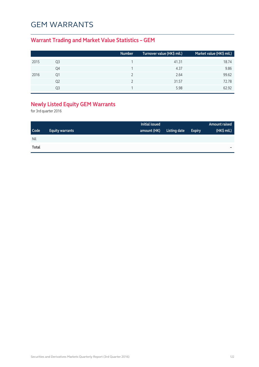## GEM WARRANTS

### **Warrant Trading and Market Value Statistics – GEM**

|      |    | <b>Number</b> | Turnover value (HK\$ mil.) | Market value (HK\$ mil.) |
|------|----|---------------|----------------------------|--------------------------|
| 2015 | Q3 |               | 41.31                      | 18.74                    |
|      | Q4 |               | 4.37                       | 9.86                     |
| 2016 | 01 |               | 2.64                       | 99.62                    |
|      | Q2 |               | 31.57                      | 72.78                    |
|      | Ο3 |               | 5.98                       | 62.92                    |

### **Newly Listed Equity GEM Warrants**

for 3rd quarter 2016

|       |                        | Initial issued |              |               | <b>Amount raised</b> |
|-------|------------------------|----------------|--------------|---------------|----------------------|
| Code  | <b>Equity warrants</b> | amount (HK)    | Listing date | <b>Expiry</b> | (HK\$ mil.)          |
| Nil   |                        |                |              |               |                      |
| Total |                        |                |              |               | -                    |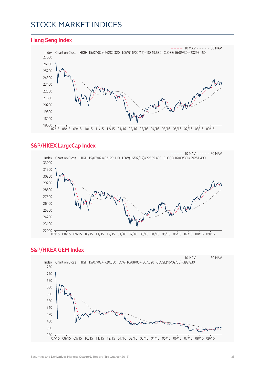### STOCK MARKET INDICES

#### **Hang Seng Index**



#### **S&P/HKEX LargeCap Index**



#### **S&P/HKEX GEM Index**

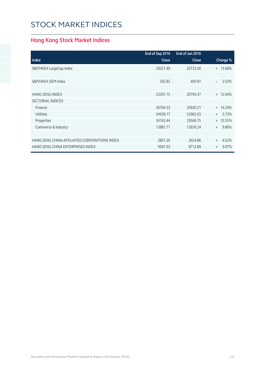# STOCK MARKET INDICES

### **Hong Kong Stock Market Indices**

|                                               | End of Sep 2016 | End of Jun 2016 |              |
|-----------------------------------------------|-----------------|-----------------|--------------|
| <b>Index</b>                                  | <b>Close</b>    | <b>Close</b>    | Change %     |
| S&P/HKEX LargeCap Index                       | 29251.49        | 25732.40        | + 13.68%     |
|                                               |                 |                 |              |
| S&P/HKEX GEM Index                            | 392.83          | 400.97          | 2.03%        |
|                                               |                 |                 |              |
| <b>HANG SENG INDEX</b>                        | 23297.15        | 20794.37        | $+ 12.04\%$  |
| <b>SECTORIAL INDICES</b>                      |                 |                 |              |
| Finance                                       | 30764.33        | 26930.21        | $+ 14.24%$   |
| <b>Utilities</b>                              | 54938.17        | 52962.03        | 3.73%<br>$+$ |
| Properties                                    | 34163.44        | 29566.15        | + 15.55%     |
| Commerce & Industry                           | 13881.71        | 12636.24        | 9.86%<br>$+$ |
|                                               |                 |                 |              |
| HANG SENG CHINA-AFFILIATED CORPORATIONS INDEX | 3861.20         | 3624.86         | 6.52%<br>$+$ |
| HANG SENG CHINA ENTERPRISES INDEX             | 9581.93         | 8712.89         | 9.97%<br>$+$ |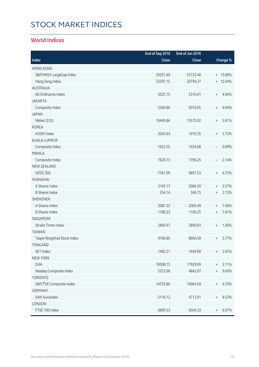# STOCK MARKET INDICES

#### **World Indices**

|                             | End of Sep 2016 | End of Jun 2016 |                                  |          |
|-----------------------------|-----------------|-----------------|----------------------------------|----------|
| Index                       | Close           | Close           |                                  | Change % |
| <b>HONG KONG</b>            |                 |                 |                                  |          |
| S&P/HKEX LargeCap Index     | 29251.49        | 25732.40        |                                  | + 13.68% |
| Hang Seng Index             | 23297.15        | 20794.37        |                                  | + 12.04% |
| <b>AUSTRALIA</b>            |                 |                 |                                  |          |
| All Ordinaries Index        | 5525.15         | 5310.41         | $\begin{array}{c} + \end{array}$ | 4.04%    |
| <b>JAKARTA</b>              |                 |                 |                                  |          |
| Composite Index             | 5364.80         | 5016.65         | $\begin{array}{c} + \end{array}$ | 6.94%    |
| <b>JAPAN</b>                |                 |                 |                                  |          |
| Nikkei (225)                | 16449.84        | 15575.92        | $\begin{array}{c} + \end{array}$ | 5.61%    |
| <b>KOREA</b>                |                 |                 |                                  |          |
| KOSPI Index                 | 2043.63         | 1970.35         | $\begin{array}{c} + \end{array}$ | 3.72%    |
| <b>KUALA LUMPUR</b>         |                 |                 |                                  |          |
| Composite Index             | 1652.55         | 1654.08         | $\overline{\phantom{a}}$         | 0.09%    |
| <b>MANILA</b>               |                 |                 |                                  |          |
| Composite Index             | 7629.73         | 7796.25         | $\overline{\phantom{a}}$         | 2.14%    |
| <b>NEW ZEALAND</b>          |                 |                 |                                  |          |
| <b>NZSE (50)</b>            | 7361.09         | 6897.53         | $\begin{array}{c} + \end{array}$ | 6.72%    |
| SHANGHAI                    |                 |                 |                                  |          |
| A Shares Index              | 3145.17         | 3066.50         | $\begin{array}{c} + \end{array}$ | 2.57%    |
| <b>B Shares Index</b>       | 354.14          | 346.75          | $^{+}$                           | 2.13%    |
| <b>SHENZHEN</b>             |                 |                 |                                  |          |
| A Shares Index              | 2087.32         | 2065.49         | $\begin{array}{c} + \end{array}$ | 1.06%    |
| <b>B Shares Index</b>       | 1186.23         | 1100.25         | $\begin{array}{c} + \end{array}$ | 7.81%    |
| SINGAPORE                   |                 |                 |                                  |          |
| <b>Straits Times Index</b>  | 2869.47         | 2840.93         | $\begin{array}{c} + \end{array}$ | 1.00%    |
| <b>TAIWAN</b>               |                 |                 |                                  |          |
| Taipei Weighted Stock Index | 9166.85         | 8666.58         | $^{+}$                           | 5.77%    |
| THAILAND                    |                 |                 |                                  |          |
| SET Index                   | 1483.21         | 1444.99         | $^{+}$                           | 2.65%    |
| <b>NEW YORK</b>             |                 |                 |                                  |          |
| <b>DJIA</b>                 | 18308.15        | 17929.99        | $^+$                             | 2.11%    |
| Nasdaq Composite Index      | 5312.00         | 4842.67         | $^{+}$                           | 9.69%    |
| <b>TORONTO</b>              |                 |                 |                                  |          |
| S&P/TSX Composite Index     | 14725.86        | 14064.54        | $^{+}$                           | 4.70%    |
| <b>GERMANY</b>              |                 |                 |                                  |          |
| DAX Kursindex               | 5116.12         | 4713.91         | $^{+}$                           | 8.53%    |
| LONDON                      |                 |                 |                                  |          |
| FTSE 100 Index              | 6899.33         | 6504.33         | $^{+}$                           | 6.07%    |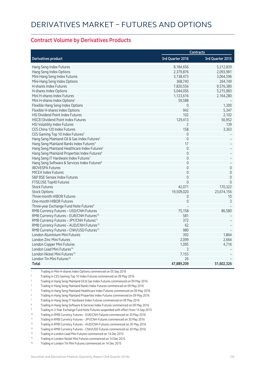#### **Contract Volume by Derivatives Products**

|                                                          | <b>Contracts</b> |                     |  |
|----------------------------------------------------------|------------------|---------------------|--|
| <b>Derivatives product</b>                               | 3rd Quarter 2016 | 3rd Quarter 2015    |  |
| Hang Seng Index Futures                                  | 8,184,656        | 5,212,839           |  |
| Hang Seng Index Options                                  | 2,379,876        | 2,093,981           |  |
| Mini-Hang Seng Index Futures                             | 3,138,473        | 3,064,596           |  |
| Mini-Hang Seng Index Options                             | 368,740          | 264,749             |  |
| H-shares Index Futures                                   | 7,820,556        | 9,576,380           |  |
| H-shares Index Options                                   | 5,044,056        | 5,215,983           |  |
| Mini H-shares Index Futures                              | 1,123,616        | 2,164,280           |  |
| Mini H-shares Index Options <sup>1</sup>                 | 59,588           |                     |  |
| Flexible Hang Seng Index Options                         | 0                | 1,300               |  |
| Flexible H-shares Index Options                          | 942              | 5,347               |  |
| HSI Dividend Point Index Futures                         | 102              | 2,102               |  |
| <b>HSCEI Dividend Point Index Futures</b>                | 129,413          | 56,952              |  |
| HSI Volatility Index Futures                             | $\overline{2}$   | 139                 |  |
| CES China 120 Index Futures                              | 158              | 3,363               |  |
| CES Gaming Top 10 Index Futures <sup>2</sup>             | $\Omega$         |                     |  |
| Hang Seng Mainland Oil & Gas Index Futures <sup>3</sup>  | $\overline{0}$   |                     |  |
| Hang Seng Mainland Banks Index Futures <sup>4</sup>      | 17               |                     |  |
| Hang Seng Mainland Healthcare Index Futures <sup>5</sup> | $\Omega$         |                     |  |
| Hang Seng Mainland Properties Index Futures <sup>6</sup> | $\overline{0}$   |                     |  |
| Hang Seng IT Hardware Index Futures7                     | 0                |                     |  |
| Hang Seng Software & Services Index Futures <sup>8</sup> | $\mathbf 0$      |                     |  |
| <b>IBOVESPA Futures</b>                                  | $\overline{0}$   | $\mathsf{O}\xspace$ |  |
| <b>MICEX Index Futures</b>                               | $\mathbf 0$      | $\mathsf{O}\xspace$ |  |
| S&P BSE Sensex Index Futures                             | $\Omega$         | $\mathbf 0$         |  |
| FTSE/JSE Top40 Futures                                   | $\Omega$         | $\Omega$            |  |
| <b>Stock Futures</b>                                     | 42,071           | 170,322             |  |
| <b>Stock Options</b>                                     | 19,509,020       | 23,674,156          |  |
| Three-month HIBOR Futures                                | 0                | 10                  |  |
| One-month HIBOR Futures                                  | $\Omega$         | $\overline{3}$      |  |
| Three-year Exchange Fund Note Futures <sup>9</sup>       |                  |                     |  |
| RMB Currency Futures - USD/CNH Futures                   | 75,158           | 86,580              |  |
| RMB Currency Futures - EUR/CNH Futures <sup>10</sup>     | 581              |                     |  |
| RMB Currency Futures - JPY/CNH Futures <sup>11</sup>     | 372              |                     |  |
| RMB Currency Futures - AUD/CNH Futures <sup>12</sup>     | 62               |                     |  |
| RMB Currency Futures - CNH/USD Futures <sup>13</sup>     | 980              |                     |  |
| London Aluminium Mini Futures                            | 392              | 1,864               |  |
| London Zinc Mini Futures                                 | 2,099            | 2,664               |  |
| London Copper Mini Futures                               | 1,095            | 4,716               |  |
| London Lead Mini Futures <sup>14</sup>                   | 3                |                     |  |
| London Nickel Mini Futures <sup>15</sup>                 | 7,155            |                     |  |
| London Tin Mini Futures <sup>16</sup>                    | 26               |                     |  |
| Total                                                    | 47,889,209       | 51,602,326          |  |

1 Trading in Mini H-shares Index Options commenced on 05 Sep 2016

- 2 Trading in CES Gaming Top 10 Index Futures commenced on 09 May 2016
- 3 Trading in Hang Seng Mainland Oil & Gas Index Futures commenced on 09 May 2016
- 4 Trading in Hang Seng Mainland Banks Index Futures commenced on 09 May 2016
- 5 Trading in Hang Seng Mainland Healthcare Index Futures commenced on 09 May 2016
- 6 Trading in Hang Seng Mainland Properties Index Futures commenced on 09 May 2016
- 7 Trading in Hang Seng IT Hardware Index Futures commenced on 09 May 2016
- 8 Trading in Hang Seng Software & Services Index Futures commenced on 09 May 2016
- 9 Trading in 3-Year Exchange Fund Note Futures suspended with effect from 14 Sep 2015
- 10 Trading in RMB Currency Futures EUR/CNH Futures commenced on 30 May 2016
- 11 Trading in RMB Currency Futures JPY/CNH Futures commenced on 30 May 2016
- <sup>12</sup> Trading in RMB Currency Futures AUD/CNH Futures commenced on 30 May 2016
- 13 Trading in RMB Currency Futures CNH/USD Futures commenced on 30 May 2016
- 14 Trading in London Lead Mini Futures commenced on 14 Dec 2015
- <sup>15</sup> Trading in London Nickel Mini Futures commenced on 14 Dec 2015
- Trading in London Tin Mini Futures commenced on 14 Dec 2015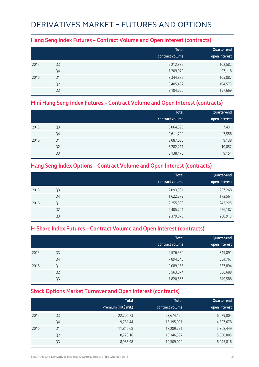## DERIVATIVES MARKET – FUTURES AND OPTIONS

#### **Hang Seng Index Futures – Contract Volume and Open Interest (contracts)**

|      |                | <b>Total</b>    | Quarter-end   |
|------|----------------|-----------------|---------------|
|      |                | contract volume | open interest |
| 2015 | Q <sub>3</sub> | 5,212,839       | 102,582       |
|      | Q4             | 7,209,070       | 97,118        |
| 2016 | Q1             | 8,344,875       | 105,887       |
|      | Q <sub>2</sub> | 8,405,492       | 104,573       |
|      | Q3             | 8,184,656       | 157,669       |

#### **Mini Hang Seng Index Futures – Contract Volume and Open Interest (contracts)**

|      |                | <b>Total</b><br>contract volume | Quarter-end<br>open interest |
|------|----------------|---------------------------------|------------------------------|
|      |                |                                 |                              |
| 2015 | Q <sub>3</sub> | 3,064,596                       | 7,431                        |
|      | Q4             | 2,611,709                       | 7,556                        |
| 2016 | Q1             | 3,087,080                       | 9,138                        |
|      | Q <sub>2</sub> | 3,282,211                       | 10,857                       |
|      | Q3             | 3,138,473                       | 9,151                        |

#### **Hang Seng Index Options – Contract Volume and Open Interest (contracts)**

|      |                | <b>Total</b>    | Quarter-end   |
|------|----------------|-----------------|---------------|
|      |                | contract volume | open interest |
| 2015 | Q3             | 2,093,981       | 257,268       |
|      | Q4             | 1,622,372       | 172,564       |
| 2016 | Q1             | 2,255,893       | 243,225       |
|      | Q <sub>2</sub> | 2,405,701       | 226,187       |
|      | Q <sub>3</sub> | 2,379,876       | 280,913       |

#### **H-Share Index Futures – Contract Volume and Open Interest (contracts)**

|      |                | <b>Total</b><br>contract volume | Quarter-end<br>open interest |
|------|----------------|---------------------------------|------------------------------|
| 2015 | Q <sub>3</sub> | 9,576,380                       | 349,891                      |
|      | Q4             | 7,894,548                       | 384,767                      |
| 2016 | Q1             | 9,089,155                       | 357,894                      |
|      | Q <sub>2</sub> | 8,563,874                       | 366,688                      |
|      | Q <sub>3</sub> | 7,820,556                       | 349,588                      |

#### **Stock Options Market Turnover and Open Interest (contracts)**

|      |                | <b>Total</b><br>Premium (HK\$ mil.) | <b>Total</b><br>contract volume | Quarter-end<br>open interest |
|------|----------------|-------------------------------------|---------------------------------|------------------------------|
| 2015 | Q3             | 22,706.73                           | 23,674,156                      | 6,679,004                    |
|      | Q4             | 9,781.44                            | 15,195,091                      | 4,827,678                    |
| 2016 | Q1             | 11,846.68                           | 17,289,771                      | 5,368,449                    |
|      | Q <sub>2</sub> | 8,723.16                            | 18,146,397                      | 5,550,885                    |
|      | Q3             | 8,985.98                            | 19,509,020                      | 6,045,816                    |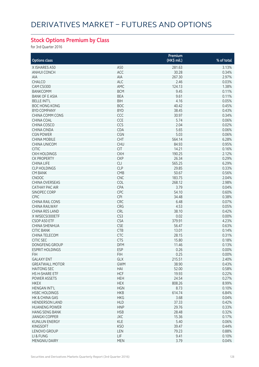### **Stock Options Premium by Class**

for 3rd Quarter 2016

|                        |                 | Premium     |            |
|------------------------|-----------------|-------------|------------|
| <b>Options class</b>   |                 | (HK\$ mil.) | % of total |
| X ISHARES A50          | A50             | 281.63      | 3.13%      |
| ANHUI CONCH            | ACC             | 30.28       | 0.34%      |
| <b>AIA</b>             | AIA             | 267.30      | 2.97%      |
| CHALCO                 | ALC             | 2.46        | 0.03%      |
| CAM CSI300             | AMC             | 124.13      | 1.38%      |
| <b>BANKCOMM</b>        | <b>BCM</b>      | 9.45        | 0.11%      |
| <b>BANK OF E ASIA</b>  | <b>BEA</b>      | 9.61        | 0.11%      |
| <b>BELLE INT'L</b>     | <b>BIH</b>      | 4.16        | 0.05%      |
| <b>BOC HONG KONG</b>   | <b>BOC</b>      | 40.42       | 0.45%      |
| <b>BYD COMPANY</b>     | <b>BYD</b>      | 38.45       | 0.43%      |
| <b>CHINA COMM CONS</b> | CCC             | 30.97       | 0.34%      |
| CHINA COAL             | CCE             | 5.74        | 0.06%      |
| CHINA COSCO            | CCS             | 2.04        | 0.02%      |
|                        |                 |             |            |
| CHINA CINDA            | CDA             | 5.65        | 0.06%      |
| <b>CGN POWER</b>       | CGN             | 5.03        | 0.06%      |
| <b>CHINA MOBILE</b>    | CHT             | 564.14      | 6.28%      |
| <b>CHINA UNICOM</b>    | <b>CHU</b>      | 84.93       | 0.95%      |
| <b>CITIC</b>           | <b>CIT</b>      | 14.21       | 0.16%      |
| <b>CKH HOLDINGS</b>    | <b>CKH</b>      | 190.25      | 2.12%      |
| <b>CK PROPERTY</b>     | <b>CKP</b>      | 26.34       | 0.29%      |
| <b>CHINA LIFE</b>      | <b>CLI</b>      | 565.25      | 6.29%      |
| <b>CLP HOLDINGS</b>    | <b>CLP</b>      | 29.85       | 0.33%      |
| <b>CM BANK</b>         | CMB             | 50.67       | 0.56%      |
| <b>CNOOC</b>           | <b>CNC</b>      | 183.75      | 2.04%      |
| <b>CHINA OVERSEAS</b>  | COL             | 268.12      | 2.98%      |
| <b>CATHAY PAC AIR</b>  | <b>CPA</b>      | 3.79        | 0.04%      |
| SINOPEC CORP           | CPC             | 54.10       | 0.60%      |
| <b>CPIC</b>            | <b>CPI</b>      | 34.48       | 0.38%      |
| <b>CHINA RAIL CONS</b> | CRC             | 6.48        | 0.07%      |
| <b>CHINA RAILWAY</b>   | CRG             | 4.53        | 0.05%      |
| <b>CHINA RES LAND</b>  | CRL             | 38.10       | 0.42%      |
| X WISECSI300ETF        | CS <sub>3</sub> | 0.02        | 0.00%      |
| CSOP A50 ETF           | <b>CSA</b>      | 379.91      | 4.23%      |
| CHINA SHENHUA          | <b>CSE</b>      | 56.47       | 0.63%      |
| <b>CITIC BANK</b>      | <b>CTB</b>      | 13.01       | 0.14%      |
| CHINA TELECOM          | CTC             | 28.15       | 0.31%      |
| <b>CITIC SEC</b>       | <b>CTS</b>      | 15.80       | 0.18%      |
| <b>DONGFENG GROUP</b>  | <b>DFM</b>      | 11.46       | 0.13%      |
| <b>ESPRIT HOLDINGS</b> | ESP             | 0.26        | 0.00%      |
| <b>FIH</b>             | <b>FIH</b>      | 0.25        | 0.00%      |
| <b>GALAXY ENT</b>      | GLX             | 215.51      | 2.40%      |
| <b>GREATWALL MOTOR</b> | <b>GWM</b>      | 38.90       | 0.43%      |
| <b>HAITONG SEC</b>     | HAI             | 52.00       | 0.58%      |
| <b>HS H-SHARE ETF</b>  | <b>HCF</b>      | 19.93       | 0.22%      |
| POWER ASSETS           | <b>HEH</b>      | 24.54       | 0.27%      |
| <b>HKEX</b>            | <b>HEX</b>      | 808.26      | 8.99%      |
| HENGAN INT'L           | <b>HGN</b>      | 8.73        | 0.10%      |
| <b>HSBC HOLDINGS</b>   | <b>HKB</b>      | 614.74      | 6.84%      |
| HK & CHINA GAS         | <b>HKG</b>      | 3.68        | 0.04%      |
| <b>HENDERSON LAND</b>  | <b>HLD</b>      | 37.33       | 0.42%      |
| <b>HUANENG POWER</b>   | <b>HNP</b>      | 29.76       | 0.33%      |
| <b>HANG SENG BANK</b>  | <b>HSB</b>      | 28.48       | 0.32%      |
| <b>JIANGXI COPPER</b>  | JXC             | 15.36       | 0.17%      |
| <b>KUNLUN ENERGY</b>   | <b>KLE</b>      | 5.40        | 0.06%      |
| <b>KINGSOFT</b>        | <b>KSO</b>      | 39.47       | 0.44%      |
| LENOVO GROUP           | LEN             | 79.23       | 0.88%      |
| LI & FUNG              | LIF.            | 9.41        | 0.10%      |
| MENGNIU DAIRY          | <b>MEN</b>      | 3.79        | 0.04%      |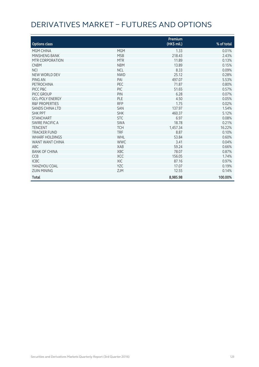# DERIVATIVES MARKET – FUTURES AND OPTIONS

|                           |            | Premium     |            |
|---------------------------|------------|-------------|------------|
| <b>Options class</b>      |            | (HK\$ mil.) | % of total |
| MGM CHINA                 | <b>MGM</b> | 1.33        | 0.01%      |
| MINSHENG BANK             | <b>MSB</b> | 218.43      | 2.43%      |
| MTR CORPORATION           | <b>MTR</b> | 11.89       | 0.13%      |
| <b>CNBM</b>               | <b>NBM</b> | 13.89       | 0.15%      |
| <b>NCI</b>                | <b>NCL</b> | 8.33        | 0.09%      |
| NEW WORLD DEV             | <b>NWD</b> | 25.12       | 0.28%      |
| PING AN                   | PAI        | 497.07      | 5.53%      |
| PETROCHINA                | PEC        | 71.87       | 0.80%      |
| PICC P&C                  | <b>PIC</b> | 51.65       | 0.57%      |
| PICC GROUP                | PIN        | 6.28        | 0.07%      |
| <b>GCL-POLY ENERGY</b>    | PLE        | 4.50        | 0.05%      |
| <b>R&amp;F PROPERTIES</b> | <b>RFP</b> | 1.75        | 0.02%      |
| <b>SANDS CHINA LTD</b>    | <b>SAN</b> | 137.97      | 1.54%      |
| <b>SHK PPT</b>            | <b>SHK</b> | 460.37      | 5.12%      |
| <b>STANCHART</b>          | <b>STC</b> | 6.97        | 0.08%      |
| SWIRE PACIFIC A           | <b>SWA</b> | 18.78       | 0.21%      |
| <b>TENCENT</b>            | <b>TCH</b> | 1,457.34    | 16.22%     |
| <b>TRACKER FUND</b>       | <b>TRF</b> | 8.87        | 0.10%      |
| <b>WHARF HOLDINGS</b>     | WHL        | 53.84       | 0.60%      |
| WANT WANT CHINA           | <b>WWC</b> | 3.41        | 0.04%      |
| <b>ABC</b>                | <b>XAB</b> | 59.24       | 0.66%      |
| <b>BANK OF CHINA</b>      | <b>XBC</b> | 78.07       | 0.87%      |
| <b>CCB</b>                | <b>XCC</b> | 156.05      | 1.74%      |
| <b>ICBC</b>               | <b>XIC</b> | 87.16       | 0.97%      |
| YANZHOU COAL              | <b>YZC</b> | 17.07       | 0.19%      |
| <b>ZIJIN MINING</b>       | <b>ZJM</b> | 12.55       | 0.14%      |
| <b>Total</b>              |            | 8,985.98    | 100.00%    |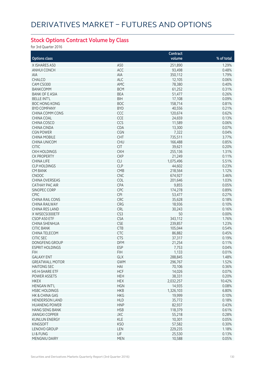### **Stock Options Contract Volume by Class**

for 3rd Quarter 2016

|                        |            | Contract       |            |
|------------------------|------------|----------------|------------|
| <b>Options class</b>   |            | volume         | % of total |
| X ISHARES A50          | A50        | 251,890        | 1.29%      |
| <b>ANHUI CONCH</b>     | ACC        | 93,498         | 0.48%      |
| AIA                    | AIA        | 350,112        | 1.79%      |
| CHALCO                 | ALC        | 12,105         | 0.06%      |
| CAM CSI300             | AMC        | 78,380         | 0.40%      |
| <b>BANKCOMM</b>        | <b>BCM</b> | 61,252         | 0.31%      |
| <b>BANK OF E ASIA</b>  | <b>BEA</b> | 51,477         | 0.26%      |
| <b>BELLE INT'L</b>     | <b>BIH</b> | 17,108         | 0.09%      |
| <b>BOC HONG KONG</b>   | <b>BOC</b> | 158,714        | 0.81%      |
| <b>BYD COMPANY</b>     | <b>BYD</b> | 40,556         | 0.21%      |
| CHINA COMM CONS        | CCC        | 120,674        | 0.62%      |
| CHINA COAL             | CCE        | 24,659         | 0.13%      |
| CHINA COSCO            | CCS        | 11,589         | 0.06%      |
| <b>CHINA CINDA</b>     | CDA        | 13,300         | 0.07%      |
| <b>CGN POWER</b>       | CGN        | 7,322          | 0.04%      |
| <b>CHINA MOBILE</b>    | CHT        | 735,511        | 3.77%      |
| <b>CHINA UNICOM</b>    | <b>CHU</b> | 166,488        | 0.85%      |
| <b>CITIC</b>           | <b>CIT</b> | 39,621         | 0.20%      |
| <b>CKH HOLDINGS</b>    | <b>CKH</b> | 255,136        | 1.31%      |
| <b>CK PROPERTY</b>     | <b>CKP</b> | 21,249         | 0.11%      |
| <b>CHINA LIFE</b>      | <b>CLI</b> | 1,075,496      | 5.51%      |
| <b>CLP HOLDINGS</b>    | <b>CLP</b> | 44,602         | 0.23%      |
| <b>CM BANK</b>         | CMB        | 218,564        | 1.12%      |
| <b>CNOOC</b>           | <b>CNC</b> | 674,927        | 3.46%      |
| <b>CHINA OVERSEAS</b>  | COL        | 201,646        | 1.03%      |
| <b>CATHAY PAC AIR</b>  | CPA        | 9,855          | 0.05%      |
| SINOPEC CORP           | CPC        | 174,278        | 0.89%      |
| <b>CPIC</b>            | CPI        | 53,477         | 0.27%      |
| <b>CHINA RAIL CONS</b> | CRC        | 35,628         | 0.18%      |
| <b>CHINA RAILWAY</b>   | CRG        | 18,936         | 0.10%      |
| CHINA RES LAND         | <b>CRL</b> | 30,243         | 0.16%      |
| X WISECSI300ETF        | CS3        | 50             | 0.00%      |
| CSOP A50 ETF           | <b>CSA</b> | 343,112        | 1.76%      |
| CHINA SHENHUA          | <b>CSE</b> | 239,857        | 1.23%      |
| <b>CITIC BANK</b>      | CTB        | 105,044        | 0.54%      |
| CHINA TELECOM          | <b>CTC</b> | 86,882         | 0.45%      |
| <b>CITIC SEC</b>       | <b>CTS</b> | 37,317         | 0.19%      |
| <b>DONGFENG GROUP</b>  | <b>DFM</b> | 21,254         | 0.11%      |
| <b>ESPRIT HOLDINGS</b> | ESP        |                | 0.04%      |
| <b>FIH</b>             | <b>FIH</b> | 1,153<br>1,133 | 0.01%      |
| <b>GALAXY ENT</b>      | GLX        | 288,845        | 1.48%      |
| <b>GREATWALL MOTOR</b> | <b>GWM</b> | 296,767        | 1.52%      |
| <b>HAITONG SEC</b>     | HAI        | 70,106         | 0.36%      |
| HS H-SHARE ETF         | <b>HCF</b> | 14,026         | 0.07%      |
| POWER ASSETS           | <b>HEH</b> | 38,331         | 0.20%      |
| <b>HKEX</b>            | <b>HEX</b> | 2,032,257      | 10.42%     |
| <b>HENGAN INT'L</b>    | <b>HGN</b> | 14,935         | 0.08%      |
| <b>HSBC HOLDINGS</b>   | <b>HKB</b> | 1,326,103      | 6.80%      |
| HK & CHINA GAS         | <b>HKG</b> | 19,999         | 0.10%      |
| <b>HENDERSON LAND</b>  | <b>HLD</b> | 35,772         | 0.18%      |
| <b>HUANENG POWER</b>   | <b>HNP</b> | 82,937         | 0.43%      |
| <b>HANG SENG BANK</b>  | <b>HSB</b> | 118,379        | 0.61%      |
| <b>JIANGXI COPPER</b>  | JXC        | 55,218         | 0.28%      |
| <b>KUNLUN ENERGY</b>   | KLE        | 10,301         | 0.05%      |
| <b>KINGSOFT</b>        | <b>KSO</b> | 57,582         | 0.30%      |
| LENOVO GROUP           | LEN        | 229,235        | 1.18%      |
| LI & FUNG              | <b>LIF</b> | 25,530         | 0.13%      |
| MENGNIU DAIRY          | <b>MEN</b> | 10,588         | 0.05%      |
|                        |            |                |            |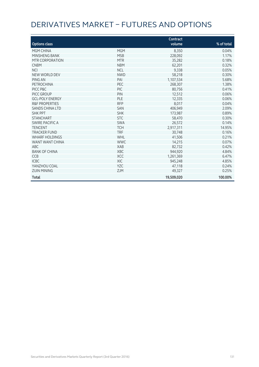# DERIVATIVES MARKET – FUTURES AND OPTIONS

|                           |            | Contract   |            |
|---------------------------|------------|------------|------------|
| <b>Options class</b>      |            | volume     | % of total |
| MGM CHINA                 | <b>MGM</b> | 8,350      | 0.04%      |
| MINSHENG BANK             | <b>MSB</b> | 228,092    | 1.17%      |
| MTR CORPORATION           | <b>MTR</b> | 35,282     | 0.18%      |
| <b>CNBM</b>               | <b>NBM</b> | 62,201     | 0.32%      |
| <b>NCI</b>                | <b>NCL</b> | 9,338      | 0.05%      |
| NEW WORLD DEV             | <b>NWD</b> | 58,218     | 0.30%      |
| PING AN                   | PAI        | 1,107,534  | 5.68%      |
| PETROCHINA                | PEC        | 268,307    | 1.38%      |
| PICC P&C                  | <b>PIC</b> | 80,756     | 0.41%      |
| PICC GROUP                | PIN        | 12,512     | 0.06%      |
| <b>GCL-POLY ENERGY</b>    | PLE        | 12,335     | 0.06%      |
| <b>R&amp;F PROPERTIES</b> | <b>RFP</b> | 8,017      | 0.04%      |
| <b>SANDS CHINA LTD</b>    | <b>SAN</b> | 406,949    | 2.09%      |
| <b>SHK PPT</b>            | <b>SHK</b> | 173,987    | 0.89%      |
| <b>STANCHART</b>          | <b>STC</b> | 58,470     | 0.30%      |
| SWIRE PACIFIC A           | <b>SWA</b> | 26,572     | 0.14%      |
| <b>TENCENT</b>            | <b>TCH</b> | 2,917,311  | 14.95%     |
| <b>TRACKER FUND</b>       | <b>TRF</b> | 30,748     | 0.16%      |
| <b>WHARF HOLDINGS</b>     | WHL        | 41,506     | 0.21%      |
| WANT WANT CHINA           | <b>WWC</b> | 14,215     | 0.07%      |
| ABC                       | <b>XAB</b> | 82,732     | 0.42%      |
| <b>BANK OF CHINA</b>      | XBC        | 944,920    | 4.84%      |
| <b>CCB</b>                | <b>XCC</b> | 1,261,369  | 6.47%      |
| <b>ICBC</b>               | <b>XIC</b> | 945,248    | 4.85%      |
| YANZHOU COAL              | <b>YZC</b> | 47,118     | 0.24%      |
| <b>ZIJIN MINING</b>       | <b>ZJM</b> | 49,327     | 0.25%      |
| Total                     |            | 19,509,020 | 100.00%    |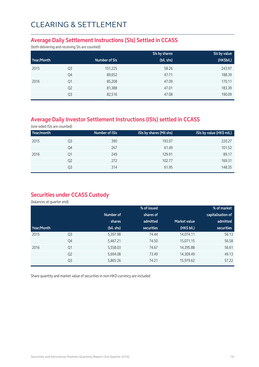#### **Average Daily Settlement Instructions (SIs) Settled in CCASS**

(both delivering and receiving SIs are counted)

|            |                |               | SIs by shares | SIs by value |
|------------|----------------|---------------|---------------|--------------|
| Year/Month |                | Number of SIs | (bil. shs)    | (HK\$bil.)   |
| 2015       | Q <sub>3</sub> | 101,225       | 58.26         | 243.97       |
|            | Q4             | 89,652        | 47.71         | 188.39       |
| 2016       | Q <sub>1</sub> | 85,208        | 47.09         | 170.11       |
|            | Q <sub>2</sub> | 81,388        | 47.01         | 183.39       |
|            | Q3             | 82,516        | 47.08         | 190.09       |

### **Average Daily Investor Settlement Instructions (ISIs) settled in CCASS**

(one sided ISIs are counted)

|    | Number of ISIs | ISIs by shares (Mil shs) | ISIs by value (HK\$ mil.) |
|----|----------------|--------------------------|---------------------------|
| Q3 | 390            | 193.07                   | 220.27                    |
| Q4 | 267            | 61.49                    | 101.52                    |
| Q1 | 249            | 129.91                   | 89.17                     |
| Q2 | 272            | 102.77                   | 169.31                    |
| Q3 | 314            | 61.95                    | 148.35                    |
|    |                |                          |                           |

### **Securities under CCASS Custody**

(balances at quarter end)

| capitalisation of |
|-------------------|
| admitted          |
| securities        |
| 56.13             |
| 56.58             |
| 56.61             |
| 49.13             |
| 57.22             |
|                   |

Share quantity and market value of securities in non-HKD currency are included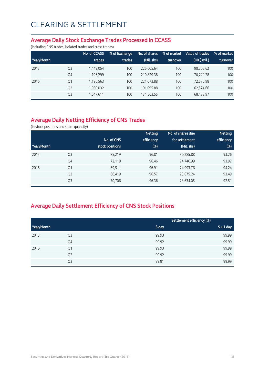#### **Average Daily Stock Exchange Trades Processed in CCASS**

(including CNS trades, isolated trades and cross trades)

|            |                | No. of CCASS | % of Exchange | No. of shares | % of market | Value of trades | % of market |
|------------|----------------|--------------|---------------|---------------|-------------|-----------------|-------------|
| Year/Month |                | trades       | trades        | (Mil. shs)    | turnover    | (HK\$ mil.)     | turnover    |
| 2015       | Q <sub>3</sub> | 1,449,054    | 100           | 226,605.64    | 100         | 98.705.62       | 100         |
|            | Q4             | 1,106,299    | 100           | 210.829.38    | 100         | 70.729.28       | 100         |
| 2016       | Q1             | 1,196,563    | 100           | 221.073.88    | 100         | 72.576.98       | 100         |
|            | Q <sub>2</sub> | 1,030,032    | 100           | 191,095.88    | 100         | 62.524.66       | 100         |
|            | Q <sub>3</sub> | 1,047,611    | 100           | 174,563.55    | 100         | 68,188.97       | 100         |

### **Average Daily Netting Efficiency of CNS Trades**

(in stock positions and share quantity)

|            |                |                 | <b>Netting</b> | No. of shares due | <b>Netting</b> |
|------------|----------------|-----------------|----------------|-------------------|----------------|
|            |                | No. of CNS      | efficiency     | for settlement    | efficiency     |
| Year/Month |                | stock positions | $(\%)$         | (Mil. shs)        | (%)            |
| 2015       | Q <sub>3</sub> | 85,219          | 96.81          | 30,285.88         | 93.26          |
|            | Q4             | 72,118          | 96.46          | 24,746.99         | 93.92          |
| 2016       | Q1             | 69,511          | 96.91          | 24,993.76         | 94.24          |
|            | Q <sub>2</sub> | 66,419          | 96.57          | 23,875.24         | 93.49          |
|            | Q <sub>3</sub> | 70,706          | 96.36          | 23,634.05         | 92.51          |

### **Average Daily Settlement Efficiency of CNS Stock Positions**

|            |                | Settlement efficiency (%) |             |
|------------|----------------|---------------------------|-------------|
| Year/Month |                | S day                     | $S + 1$ day |
| 2015       | Q3             | 99.93                     | 99.99       |
|            | Q4             | 99.92                     | 99.99       |
| 2016       | Q1             | 99.93                     | 99.99       |
|            | Q <sub>2</sub> | 99.92                     | 99.99       |
|            | Q3             | 99.91                     | 99.99       |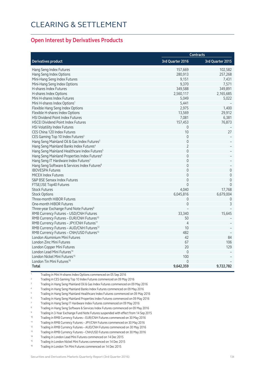#### **Open Interest by Derivatives Products**

| Contracts                                                |                  |                     |
|----------------------------------------------------------|------------------|---------------------|
| <b>Derivatives product</b>                               | 3rd Quarter 2016 | 3rd Quarter 2015    |
| Hang Seng Index Futures                                  | 157,669          | 102,582             |
| Hang Seng Index Options                                  | 280,913          | 257,268             |
| Mini-Hang Seng Index Futures                             | 9,151            | 7,431               |
| Mini-Hang Seng Index Options                             | 9,370            | 7,571               |
| H-shares Index Futures                                   | 349,588          | 349,891             |
| H-shares Index Options                                   | 2,560,117        | 2,165,685           |
| Mini H-shares Index Futures                              | 5,049            | 5,022               |
| Mini H-shares Index Options <sup>1</sup>                 | 5,441            |                     |
| Flexible Hang Seng Index Options                         | 2,975            | 1,400               |
| Flexible H-shares Index Options                          | 13,569           | 29,912              |
| HSI Dividend Point Index Futures                         | 7,081            | 6,381               |
| <b>HSCEI Dividend Point Index Futures</b>                | 157,453          | 76,873              |
| HSI Volatility Index Futures                             | 0                |                     |
| CES China 120 Index Futures                              | 10               | 27                  |
| CES Gaming Top 10 Index Futures <sup>2</sup>             | $\mathbf 0$      |                     |
| Hang Seng Mainland Oil & Gas Index Futures <sup>3</sup>  | $\mathbf 0$      |                     |
| Hang Seng Mainland Banks Index Futures <sup>4</sup>      | $\overline{2}$   |                     |
| Hang Seng Mainland Healthcare Index Futures <sup>5</sup> | $\mathbf 0$      |                     |
| Hang Seng Mainland Properties Index Futures <sup>6</sup> | $\Omega$         |                     |
| Hang Seng IT Hardware Index Futures7                     | $\mathbf 0$      |                     |
| Hang Seng Software & Services Index Futures <sup>8</sup> | $\mathbf 0$      |                     |
| <b>IBOVESPA Futures</b>                                  | $\Omega$         | $\mathsf{O}\xspace$ |
| <b>MICEX Index Futures</b>                               | $\Omega$         | $\mathbf 0$         |
| S&P BSE Sensex Index Futures                             | $\mathbf 0$      | $\mathbf 0$         |
| FTSE/JSE Top40 Futures                                   | $\Omega$         | $\Omega$            |
| <b>Stock Futures</b>                                     | 4,040            | 17,768              |
| <b>Stock Options</b>                                     | 6,045,816        | 6,679,004           |
| Three-month HIBOR Futures                                | 0                | 0                   |
| One-month HIBOR Futures                                  | $\Omega$         | 3                   |
| Three-year Exchange Fund Note Futures <sup>9</sup>       |                  |                     |
| RMB Currency Futures - USD/CNH Futures                   | 33,340           | 15,645              |
| RMB Currency Futures - EUR/CNH Futures <sup>10</sup>     | 50               |                     |
| RMB Currency Futures - JPY/CNH Futures <sup>11</sup>     | $\overline{4}$   |                     |
| RMB Currency Futures - AUD/CNH Futures <sup>12</sup>     | 10               |                     |
| RMB Currency Futures - CNH/USD Futures <sup>13</sup>     | 482              |                     |
| London Aluminium Mini Futures                            | 42               | 84                  |
| London Zinc Mini Futures                                 | 67               | 106                 |
| London Copper Mini Futures                               | 20               | 129                 |
| London Lead Mini Futures <sup>14</sup>                   | $\overline{0}$   |                     |
| London Nickel Mini Futures <sup>15</sup>                 | 100              |                     |
| London Tin Mini Futures <sup>16</sup>                    | $\Omega$         |                     |
| <b>Total</b>                                             | 9,642,359        | 9,722,782           |

1 Trading in Mini H-shares Index Options commenced on 05 Sep 2016

- 2 Trading in CES Gaming Top 10 Index Futures commenced on 09 May 2016
- 3 Trading in Hang Seng Mainland Oil & Gas Index Futures commenced on 09 May 2016
- 4 Trading in Hang Seng Mainland Banks Index Futures commenced on 09 May 2016
- 5 Trading in Hang Seng Mainland Healthcare Index Futures commenced on 09 May 2016

6 Trading in Hang Seng Mainland Properties Index Futures commenced on 09 May 2016

- 7 Trading in Hang Seng IT Hardware Index Futures commenced on 09 May 2016
- 8 Trading in Hang Seng Software & Services Index Futures commenced on 09 May 2016

<sup>9</sup> Trading in 3-Year Exchange Fund Note Futures suspended with effect from 14 Sep 2015<br><sup>10</sup> Trading in BMP Currency Futures - FUR/CNH Futures commenced on 20 May 2016

<sup>10</sup> Trading in RMB Currency Futures – EUR/CNH Futures commenced on 30 May 2016<br><sup>11</sup> Trading in PMB Currency Futures – IBY/CNH Futures commenced on 30 May 2016

11 Trading in RMB Currency Futures – JPY/CNH Futures commenced on 30 May 2016<br>12 Trading in RMB Currency Futures – ALID/CNH Futures commenced on 30 May 2016

12 Trading in RMB Currency Futures – AUD/CNH Futures commenced on 30 May 2016<br>Trading in RMB Currency Futures – CNH/LISD Futures commenced on 30 May 2016

13 Trading in RMB Currency Futures – CNH/USD Futures commenced on 30 May 2016<br>Trading in London Load Mini Futures commenced on 14 Dec 2015

Trading in London Lead Mini Futures commenced on 14 Dec 2015

15 Trading in London Nickel Mini Futures commenced on 14 Dec 2015

16 Trading in London Tin Mini Futures commenced on 14 Dec 2015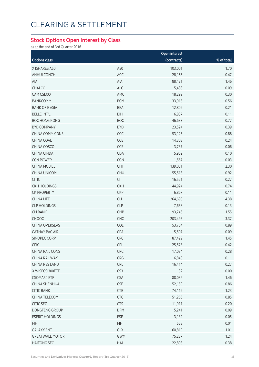#### **Stock Options Open Interest by Class**

as at the end of 3rd Quarter 2016

|                        | Open interest   |             |            |  |
|------------------------|-----------------|-------------|------------|--|
| <b>Options class</b>   |                 | (contracts) | % of total |  |
| X ISHARES A50          | A50             | 103,001     | 1.70       |  |
| ANHUI CONCH            | ACC             | 28,165      | 0.47       |  |
| AIA                    | AIA             | 88,121      | 1.46       |  |
| CHALCO                 | <b>ALC</b>      | 5,483       | 0.09       |  |
| CAM CSI300             | AMC             | 18,299      | 0.30       |  |
| <b>BANKCOMM</b>        | <b>BCM</b>      | 33,915      | 0.56       |  |
| <b>BANK OF E ASIA</b>  | <b>BEA</b>      | 12,809      | 0.21       |  |
| <b>BELLE INT'L</b>     | <b>BIH</b>      | 6,837       | 0.11       |  |
| <b>BOC HONG KONG</b>   | <b>BOC</b>      | 46,633      | 0.77       |  |
| <b>BYD COMPANY</b>     | <b>BYD</b>      | 23,524      | 0.39       |  |
| CHINA COMM CONS        | CCC             | 53,125      | 0.88       |  |
| CHINA COAL             | CCE             | 14,303      | 0.24       |  |
| CHINA COSCO            | CCS             | 3,737       | 0.06       |  |
| CHINA CINDA            | CDA             | 5,962       | 0.10       |  |
| <b>CGN POWER</b>       | CGN             | 1,567       | 0.03       |  |
| <b>CHINA MOBILE</b>    | CHT             | 139,031     | 2.30       |  |
| CHINA UNICOM           | <b>CHU</b>      | 55,513      | 0.92       |  |
| <b>CITIC</b>           | <b>CIT</b>      | 16,521      | 0.27       |  |
| <b>CKH HOLDINGS</b>    | <b>CKH</b>      | 44,924      | 0.74       |  |
| <b>CK PROPERTY</b>     | <b>CKP</b>      | 6,867       | 0.11       |  |
| <b>CHINA LIFE</b>      | CLI             | 264,690     | 4.38       |  |
| <b>CLP HOLDINGS</b>    | <b>CLP</b>      | 7,658       | 0.13       |  |
| <b>CM BANK</b>         | CMB             | 93,746      | 1.55       |  |
| CNOOC                  | CNC             | 203,495     | 3.37       |  |
| CHINA OVERSEAS         | COL             | 53,764      | 0.89       |  |
| CATHAY PAC AIR         | CPA             | 5,507       | 0.09       |  |
| SINOPEC CORP           | CPC             | 87,429      | 1.45       |  |
| CPIC                   | <b>CPI</b>      | 25,573      | 0.42       |  |
| CHINA RAIL CONS        | CRC             | 17,034      | 0.28       |  |
| CHINA RAILWAY          | CRG             | 6,843       | 0.11       |  |
| CHINA RES LAND         | CRL             | 16,414      | 0.27       |  |
| X WISECSI300ETF        | CS <sub>3</sub> | 32          | 0.00       |  |
| CSOP A50 ETF           | <b>CSA</b>      | 88,036      | 1.46       |  |
| CHINA SHENHUA          | <b>CSE</b>      | 52,159      | 0.86       |  |
| <b>CITIC BANK</b>      | <b>CTB</b>      | 74,119      | 1.23       |  |
| CHINA TELECOM          | <b>CTC</b>      | 51,266      | 0.85       |  |
| CITIC SEC              | <b>CTS</b>      | 11,917      | 0.20       |  |
| DONGFENG GROUP         | <b>DFM</b>      | 5,241       | 0.09       |  |
| <b>ESPRIT HOLDINGS</b> | <b>ESP</b>      | 3,132       | 0.05       |  |
| <b>FIH</b>             | <b>FIH</b>      | 553         | 0.01       |  |
| <b>GALAXY ENT</b>      | GLX             | 60,819      | 1.01       |  |
| <b>GREATWALL MOTOR</b> | <b>GWM</b>      | 75,237      | 1.24       |  |
| <b>HAITONG SEC</b>     | HAI             | 22,893      | 0.38       |  |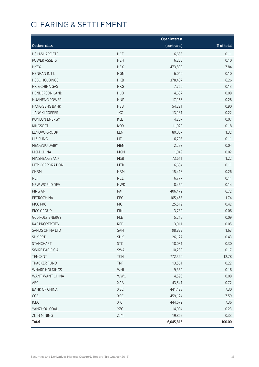|                           |            | Open interest |            |
|---------------------------|------------|---------------|------------|
| <b>Options class</b>      |            | (contracts)   | % of total |
| HS H-SHARE ETF            | <b>HCF</b> | 6,655         | 0.11       |
| POWER ASSETS              | <b>HEH</b> | 6,255         | 0.10       |
| <b>HKEX</b>               | <b>HEX</b> | 473,899       | 7.84       |
| <b>HENGAN INT'L</b>       | <b>HGN</b> | 6,040         | 0.10       |
| <b>HSBC HOLDINGS</b>      | <b>HKB</b> | 378,487       | 6.26       |
| HK & CHINA GAS            | <b>HKG</b> | 7,760         | 0.13       |
| <b>HENDERSON LAND</b>     | <b>HLD</b> | 4,637         | 0.08       |
| <b>HUANENG POWER</b>      | <b>HNP</b> | 17,166        | 0.28       |
| <b>HANG SENG BANK</b>     | <b>HSB</b> | 54,221        | 0.90       |
| <b>JIANGXI COPPER</b>     | <b>JXC</b> | 13,131        | 0.22       |
| <b>KUNLUN ENERGY</b>      | <b>KLE</b> | 4,207         | 0.07       |
| <b>KINGSOFT</b>           | <b>KSO</b> | 11,020        | 0.18       |
| LENOVO GROUP              | LEN        | 80,067        | 1.32       |
| LI & FUNG                 | LIF        | 6,703         | 0.11       |
| MENGNIU DAIRY             | <b>MEN</b> | 2,293         | 0.04       |
| MGM CHINA                 | <b>MGM</b> | 1,049         | 0.02       |
| MINSHENG BANK             | <b>MSB</b> | 73,611        | 1.22       |
| MTR CORPORATION           | <b>MTR</b> | 6,654         | 0.11       |
| <b>CNBM</b>               | <b>NBM</b> | 15,418        | 0.26       |
| <b>NCI</b>                | <b>NCL</b> | 6,777         | 0.11       |
| NEW WORLD DEV             | <b>NWD</b> | 8,460         | 0.14       |
| PING AN                   | PAI        | 406,472       | 6.72       |
| PETROCHINA                | PEC        | 105,463       | 1.74       |
| PICC P&C                  | PIC        | 25,519        | 0.42       |
| PICC GROUP                | PIN        | 3,730         | 0.06       |
| <b>GCL-POLY ENERGY</b>    | PLE        | 5,215         | 0.09       |
| <b>R&amp;F PROPERTIES</b> | <b>RFP</b> | 3,011         | 0.05       |
| SANDS CHINA LTD           | SAN        | 98,833        | 1.63       |
| <b>SHK PPT</b>            | <b>SHK</b> | 26,127        | 0.43       |
| <b>STANCHART</b>          | <b>STC</b> | 18,031        | 0.30       |
| <b>SWIRE PACIFIC A</b>    | SWA        | 10,280        | 0.17       |
| <b>TENCENT</b>            | <b>TCH</b> | 772,560       | 12.78      |
| <b>TRACKER FUND</b>       | <b>TRF</b> | 13,561        | 0.22       |
| <b>WHARF HOLDINGS</b>     | WHL        | 9,380         | 0.16       |
| WANT WANT CHINA           | <b>WWC</b> | 4,596         | 0.08       |
| ABC                       | XAB        | 43,541        | 0.72       |
| <b>BANK OF CHINA</b>      | XBC        | 441,428       | 7.30       |
| CCB                       | XCC        | 459,124       | 7.59       |
| ICBC                      | XIC        | 444,672       | 7.36       |
| YANZHOU COAL              | <b>YZC</b> | 14,004        | 0.23       |
| <b>ZIJIN MINING</b>       | ZJM        | 19,865        | 0.33       |
| <b>Total</b>              |            | 6,045,816     | 100.00     |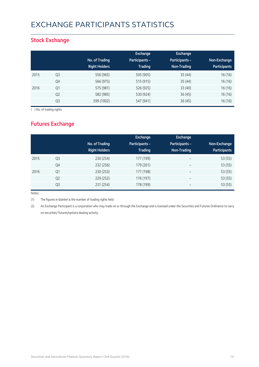# EXCHANGE PARTICIPANTS STATISTICS

### **Stock Exchange**

|      |                | No. of Trading<br><b>Right Holders</b> | Exchange<br><b>Participants -</b><br><b>Trading</b> | <b>Exchange</b><br>Participants -<br>Non-Trading | Non-Exchange<br><b>Participants</b> |
|------|----------------|----------------------------------------|-----------------------------------------------------|--------------------------------------------------|-------------------------------------|
| 2015 | Q3             | 556 (965)                              | 505 (905)                                           | 35(44)                                           | 16(16)                              |
|      | Q4             | 566 (975)                              | 515 (915)                                           | 35(44)                                           | 16(16)                              |
| 2016 | Q1             | 575 (981)                              | 526 (925)                                           | 33(40)                                           | 16(16)                              |
|      | Q <sub>2</sub> | 582 (985)                              | 530 (924)                                           | 36(45)                                           | 16 (16)                             |
|      | Q <sub>3</sub> | 599 (1002)                             | 547 (941)                                           | 36(45)                                           | 16(16)                              |

( ) No. of trading rights

### **Futures Exchange**

|      |                | No. of Trading<br><b>Right Holders</b> | Exchange<br><b>Participants -</b><br><b>Trading</b> | Exchange<br>Participants -<br>Non-Trading | Non-Exchange<br><b>Participants</b> |
|------|----------------|----------------------------------------|-----------------------------------------------------|-------------------------------------------|-------------------------------------|
| 2015 | Q <sub>3</sub> | 230 (254)                              | 177 (199)                                           | $\overline{\phantom{a}}$                  | 53 (55)                             |
|      | Q4             | 232 (256)                              | 179 (201)                                           | $\overline{\phantom{a}}$                  | 53 (55)                             |
| 2016 | Q <sub>1</sub> | 230 (253)                              | 177 (198)                                           | $\overline{\phantom{m}}$                  | 53 (55)                             |
|      | Q <sub>2</sub> | 229 (252)                              | 176 (197)                                           | $\overline{\phantom{m}}$                  | 53 (55)                             |
|      | Q <sub>3</sub> | 231 (254)                              | 178 (199)                                           | $\qquad \qquad$                           | 53 (55)                             |

Notes:

(1) The figures in blanket is the number of trading rights held.

(2) An Exchange Participant is a corporation who may trade on or through the Exchange and is licensed under the Securities and Futures Ordinance to carry on securities/ futures/options dealing activity.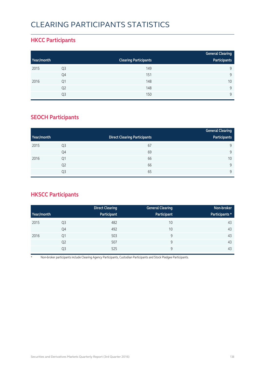# CLEARING PARTICIPANTS STATISTICS

### **HKCC Participants**

|            |                |                              | <b>General Clearing</b> |
|------------|----------------|------------------------------|-------------------------|
| Year/month |                | <b>Clearing Participants</b> | Participants            |
| 2015       | Q <sub>3</sub> | 149                          | 9                       |
|            | Q4             | 151                          | $\mathsf{Q}$            |
| 2016       | Q1             | 148                          | 10                      |
|            | Q <sub>2</sub> | 148                          | 9                       |
|            | Q3             | 150                          | $\mathsf{Q}$            |

### **SEOCH Participants**

|            |                |                                     | <b>General Clearing</b> |
|------------|----------------|-------------------------------------|-------------------------|
| Year/month |                | <b>Direct Clearing Participants</b> | Participants            |
| 2015       | Q <sub>3</sub> | 67                                  | 9                       |
|            | Q4             | 69                                  | 9                       |
| 2016       | Q <sub>1</sub> | 66                                  | 10                      |
|            | Q <sub>2</sub> | 66                                  | 9                       |
|            | Q <sub>3</sub> | 65                                  | 9                       |

### **HKSCC Participants**

|            |                | <b>Direct Clearing</b> | <b>General Clearing</b> | Non-broker     |
|------------|----------------|------------------------|-------------------------|----------------|
| Year/month |                | Participant            | Participant             | Participants * |
| 2015       | Q <sub>3</sub> | 482                    | 10                      | 43             |
|            | Q4             | 492                    | 10                      | 43             |
| 2016       | Q1             | 503                    | 9                       | 43             |
|            | Q <sub>2</sub> | 507                    | 9                       | 43             |
|            | Q3             | 525                    | 9                       | 43             |

\* Non-broker participants include Clearing Agency Participants, Custodian Participants and Stock Pledgee Participants.